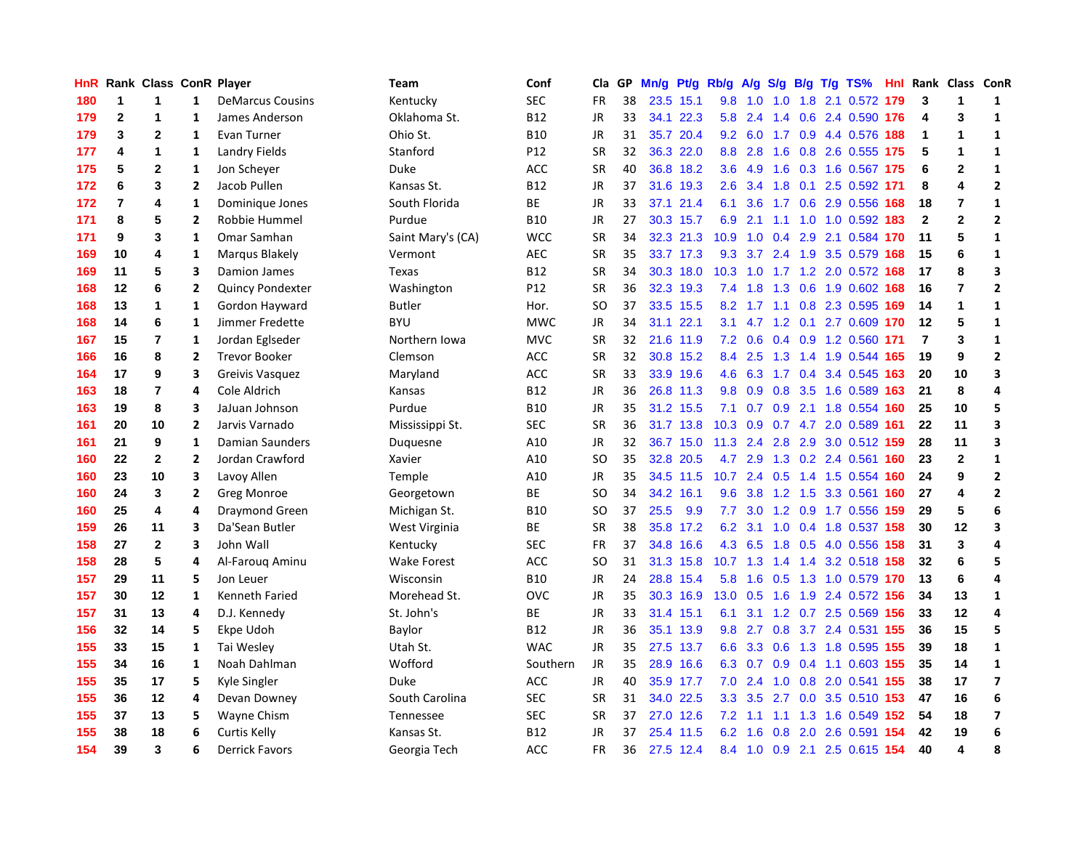| <b>HnR</b> |                | Rank Class ConR Player |                |                         | Team              | Conf       | Cla       | GP | Mn/g | Pt/g      | Rb/g | A/g    | S/g |     | $B/g$ T/g TS%                  |      |                | Hnl Rank Class ConR |                         |
|------------|----------------|------------------------|----------------|-------------------------|-------------------|------------|-----------|----|------|-----------|------|--------|-----|-----|--------------------------------|------|----------------|---------------------|-------------------------|
| 180        | 1              | 1                      | 1              | <b>DeMarcus Cousins</b> | Kentucky          | <b>SEC</b> | <b>FR</b> | 38 |      | 23.5 15.1 | 9.8  | 1.0    | 1.0 | 1.8 | 2.1 0.572                      | 179  | 3              | 1                   | 1                       |
| 179        | $\mathbf{2}$   | 1                      | $\mathbf{1}$   | James Anderson          | Oklahoma St.      | <b>B12</b> | JR        | 33 |      | 34.1 22.3 | 5.8  | 2.4    |     |     | 1.4 0.6 2.4 0.590 176          |      | 4              | 3                   | 1                       |
| 179        | 3              | $\mathbf{2}$           | 1              | Evan Turner             | Ohio St.          | <b>B10</b> | JR        | 31 |      | 35.7 20.4 | 9.2  |        |     |     | 6.0 1.7 0.9 4.4 0.576 188      |      | 1              | 1                   | $\mathbf{1}$            |
| 177        | 4              | 1                      | $\mathbf{1}$   | Landry Fields           | Stanford          | P12        | <b>SR</b> | 32 |      | 36.3 22.0 | 8.8  | 2.8    |     |     | 1.6 0.8 2.6 0.555 175          |      | 5              | 1                   | $\mathbf{1}$            |
| 175        | 5              | $\mathbf{2}$           | 1              | Jon Scheyer             | Duke              | ACC        | <b>SR</b> | 40 |      | 36.8 18.2 | 3.6  | 4.9    | 1.6 |     | 0.3 1.6 0.567 175              |      | 6              | $\overline{2}$      | $\mathbf{1}$            |
| 172        | 6              | 3                      | $\overline{2}$ | Jacob Pullen            | Kansas St.        | <b>B12</b> | <b>JR</b> | 37 | 31.6 | 19.3      | 2.6  | 3.4    | 1.8 |     | 0.1 2.5 0.592 171              |      | 8              | 4                   | $\overline{2}$          |
| 172        | $\overline{7}$ | 4                      | $\mathbf{1}$   | Dominique Jones         | South Florida     | BE         | <b>JR</b> | 33 | 37.1 | 21.4      | 6.1  | 3.6    |     |     | 1.7 0.6 2.9 0.556              | 168  | 18             | $\overline{7}$      | $\mathbf{1}$            |
| 171        | 8              | 5                      | $\overline{2}$ | Robbie Hummel           | Purdue            | <b>B10</b> | JR        | 27 |      | 30.3 15.7 | 6.9  | 2.1    |     |     | 1.1 1.0 1.0 0.592              | 183  | $\mathbf{2}$   | $\overline{2}$      | $\overline{2}$          |
| 171        | 9              | 3                      | 1              | Omar Samhan             | Saint Mary's (CA) | <b>WCC</b> | <b>SR</b> | 34 |      | 32.3 21.3 | 10.9 | 1.0    | 0.4 |     | 2.9 2.1 0.584 170              |      | 11             | 5                   | $\mathbf{1}$            |
| 169        | 10             | 4                      | 1              | Marqus Blakely          | Vermont           | <b>AEC</b> | <b>SR</b> | 35 |      | 33.7 17.3 | 9.3  | 3.7    |     |     | 2.4 1.9 3.5 0.579 168          |      | 15             | 6                   | $\mathbf{1}$            |
| 169        | 11             | 5                      | 3              | Damion James            | <b>Texas</b>      | <b>B12</b> | <b>SR</b> | 34 |      | 30.3 18.0 | 10.3 |        |     |     | 1.0 1.7 1.2 2.0 0.572 168      |      | 17             | 8                   | 3                       |
| 168        | 12             | 6                      | $\mathbf{2}$   | Quincy Pondexter        | Washington        | P12        | <b>SR</b> | 36 |      | 32.3 19.3 | 7.4  | 1.8    |     |     | 1.3 0.6 1.9 0.602 168          |      | 16             | 7                   | $\overline{2}$          |
| 168        | 13             | $\mathbf{1}$           | $\mathbf{1}$   | Gordon Hayward          | <b>Butler</b>     | Hor.       | <b>SO</b> | 37 |      | 33.5 15.5 | 8.2  |        |     |     | 1.7 1.1 0.8 2.3 0.595 169      |      | 14             | 1                   | $\mathbf{1}$            |
| 168        | 14             | 6                      | $\mathbf{1}$   | Jimmer Fredette         | <b>BYU</b>        | <b>MWC</b> | <b>JR</b> | 34 | 31.1 | 22.1      | 3.1  | 4.7    |     |     | 1.2 0.1 2.7 0.609              | 170  | 12             | 5                   | $\mathbf{1}$            |
| 167        | 15             | $\overline{7}$         | $\mathbf{1}$   | Jordan Eglseder         | Northern Iowa     | <b>MVC</b> | <b>SR</b> | 32 | 21.6 | 11.9      | 7.2  | 0.6    |     |     | $0.4$ 0.9 1.2 0.560            | -171 | $\overline{7}$ | 3                   | $\mathbf 1$             |
| 166        | 16             | 8                      | $\overline{2}$ | <b>Trevor Booker</b>    | Clemson           | <b>ACC</b> | <b>SR</b> | 32 | 30.8 | 15.2      | 8.4  | 2.5    |     |     | 1.3 1.4 1.9 0.544 165          |      | 19             | 9                   | $\overline{2}$          |
| 164        | 17             | 9                      | 3              | Greivis Vasquez         | Maryland          | <b>ACC</b> | <b>SR</b> | 33 | 33.9 | 19.6      | 4.6  | 6.3    | 1.7 |     | $0.4$ 3.4 0.545                | 163  | 20             | 10                  | $\overline{\mathbf{3}}$ |
| 163        | 18             | 7                      | 4              | Cole Aldrich            | Kansas            | <b>B12</b> | JR        | 36 |      | 26.8 11.3 | 9.8  | 0.9    | 0.8 |     | 3.5 1.6 0.589                  | 163  | 21             | 8                   | 4                       |
| 163        | 19             | 8                      | 3              | JaJuan Johnson          | Purdue            | <b>B10</b> | JR        | 35 |      | 31.2 15.5 | 7.1  | 0.7    |     |     | 0.9 2.1 1.8 0.554 160          |      | 25             | 10                  | 5                       |
| 161        | 20             | 10                     | $\overline{2}$ | Jarvis Varnado          | Mississippi St.   | <b>SEC</b> | <b>SR</b> | 36 |      | 31.7 13.8 | 10.3 | 0.9    |     |     | 0.7 4.7 2.0 0.589 161          |      | 22             | 11                  | $\overline{\mathbf{3}}$ |
| 161        | 21             | 9                      | $\mathbf{1}$   | Damian Saunders         | Duquesne          | A10        | JR        | 32 |      | 36.7 15.0 | 11.3 | 2.4    | 2.8 |     | 2.9 3.0 0.512 159              |      | 28             | 11                  | $\overline{\mathbf{3}}$ |
| 160        | 22             | $\mathbf{2}$           | $\overline{2}$ | Jordan Crawford         | Xavier            | A10        | <b>SO</b> | 35 |      | 32.8 20.5 | 4.7  | 2.9    | 1.3 |     | 0.2 2.4 0.561                  | 160  | 23             | $\mathbf{2}$        | $\mathbf{1}$            |
| 160        | 23             | 10                     | 3              | Lavoy Allen             | Temple            | A10        | JR        | 35 |      | 34.5 11.5 | 10.7 | 2.4    | 0.5 |     | 1.4 1.5 0.554                  | 160  | 24             | 9                   | $\overline{2}$          |
| 160        | 24             | 3                      | $\overline{2}$ | Greg Monroe             | Georgetown        | <b>BE</b>  | <b>SO</b> | 34 |      | 34.2 16.1 | 9.6  | 3.8    | 1.2 | 1.5 | 3.3 0.561                      | 160  | 27             | 4                   | $\overline{2}$          |
| 160        | 25             | 4                      | 4              | <b>Draymond Green</b>   | Michigan St.      | <b>B10</b> | SO        | 37 | 25.5 | 9.9       | 7.7  | 3.0    |     |     | 1.2 0.9 1.7 0.556 159          |      | 29             | 5                   | $\bf 6$                 |
| 159        | 26             | 11                     | 3              | Da'Sean Butler          | West Virginia     | <b>BE</b>  | <b>SR</b> | 38 |      | 35.8 17.2 | 6.2  | 3.1    |     |     | 1.0 0.4 1.8 0.537 158          |      | 30             | 12                  | 3                       |
| 158        | 27             | $\mathbf{2}$           | 3              | John Wall               | Kentucky          | <b>SEC</b> | <b>FR</b> | 37 |      | 34.8 16.6 |      |        |     |     | 4.3 6.5 1.8 0.5 4.0 0.556 158  |      | 31             | 3                   | 4                       |
| 158        | 28             | 5                      | 4              | Al-Faroug Aminu         | Wake Forest       | <b>ACC</b> | <b>SO</b> | 31 |      | 31.3 15.8 |      |        |     |     | 10.7 1.3 1.4 1.4 3.2 0.518 158 |      | 32             | 6                   | 5                       |
| 157        | 29             | 11                     | 5              | Jon Leuer               | Wisconsin         | <b>B10</b> | JR        | 24 |      | 28.8 15.4 | 5.8  | 1.6    |     |     | 0.5 1.3 1.0 0.579 170          |      | 13             | 6                   | 4                       |
| 157        | 30             | 12                     | 1              | Kenneth Faried          | Morehead St.      | OVC        | <b>JR</b> | 35 |      | 30.3 16.9 | 13.0 | 0.5    | 1.6 |     | 1.9 2.4 0.572 156              |      | 34             | 13                  | $\mathbf{1}$            |
| 157        | 31             | 13                     | 4              | D.J. Kennedy            | St. John's        | ВE         | JR        | 33 | 31.4 | 15.1      | 6.1  | 3.1    |     |     | 1.2 0.7 2.5 0.569 156          |      | 33             | 12                  | 4                       |
| 156        | 32             | 14                     | 5              | Ekpe Udoh               | Baylor            | <b>B12</b> | JR        | 36 | 35.1 | 13.9      | 9.8  | 2.7    | 0.8 |     | 3.7 2.4 0.531 155              |      | 36             | 15                  | 5                       |
| 155        | 33             | 15                     | 1              | Tai Wesley              | Utah St.          | <b>WAC</b> | JR        | 35 | 27.5 | 13.7      | 6.6  | 3.3    | 0.6 |     | 1.3 1.8 0.595 155              |      | 39             | 18                  | $\mathbf{1}$            |
| 155        | 34             | 16                     | 1              | Noah Dahlman            | Wofford           | Southern   | <b>JR</b> | 35 | 28.9 | 16.6      | 6.3  | 0.7    | 0.9 |     | 0.4 1.1 0.603 155              |      | 35             | 14                  | $\mathbf{1}$            |
| 155        | 35             | 17                     | 5              | Kyle Singler            | Duke              | <b>ACC</b> | JR        | 40 |      | 35.9 17.7 | 7.0  | 2.4    |     |     | 1.0 0.8 2.0 0.541 155          |      | 38             | 17                  | $\overline{\mathbf{z}}$ |
| 155        | 36             | 12                     | 4              | Devan Downey            | South Carolina    | <b>SEC</b> | <b>SR</b> | 31 |      | 34.0 22.5 | 3.3  | 3.5    |     |     | 2.7 0.0 3.5 0.510 153          |      | 47             | 16                  | 6                       |
| 155        | 37             | 13                     | 5              | Wayne Chism             | Tennessee         | <b>SEC</b> | <b>SR</b> | 37 |      | 27.0 12.6 | 7.2  | $-1.1$ |     |     | 1.1 1.3 1.6 0.549 152          |      | 54             | 18                  | $\overline{\mathbf{z}}$ |
| 155        | 38             | 18                     | 6              | Curtis Kelly            | Kansas St.        | <b>B12</b> | <b>JR</b> | 37 | 25.4 | 11.5      | 6.2  | 1.6    | 0.8 |     | 2.0 2.6 0.591 154              |      | 42             | 19                  | $\boldsymbol{6}$        |
| 154        | 39             | 3                      | 6              | <b>Derrick Favors</b>   | Georgia Tech      | <b>ACC</b> | FR        | 36 |      | 27.5 12.4 | 8.4  |        |     |     | 1.0 0.9 2.1 2.5 0.615 154      |      | 40             | 4                   | 8                       |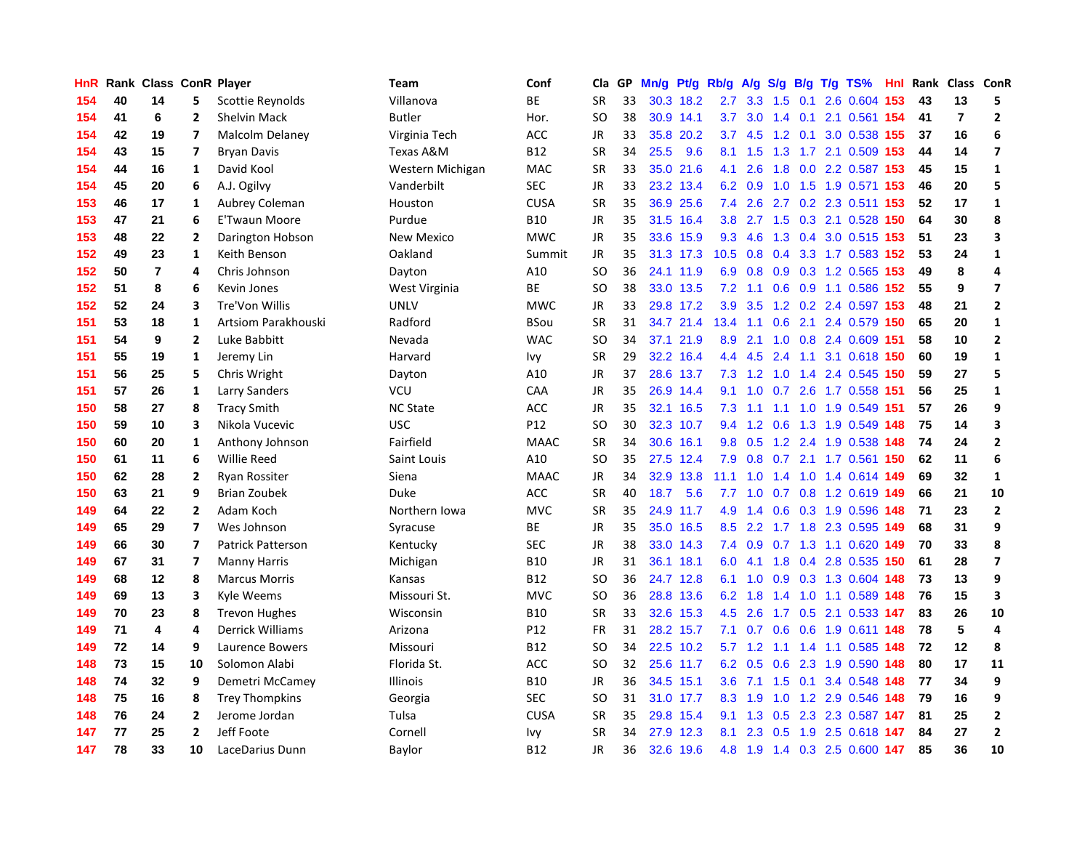| HnR |    | Rank Class ConR Player |                         |                          | <b>Team</b>      | Conf        | Cla       | GP | Mn/g | Pt/g      | Rb/g             | A/g             | S/g       |     | $B/g$ T/g TS%             | Hnl | Rank | Class ConR              |                         |
|-----|----|------------------------|-------------------------|--------------------------|------------------|-------------|-----------|----|------|-----------|------------------|-----------------|-----------|-----|---------------------------|-----|------|-------------------------|-------------------------|
| 154 | 40 | 14                     | 5                       | Scottie Reynolds         | Villanova        | BE          | <b>SR</b> | 33 | 30.3 | 18.2      | 2.7              | 3.3             | 1.5       | 0.1 | 2.6 0.604                 | 153 | 43   | 13                      | 5                       |
| 154 | 41 | 6                      | 2                       | <b>Shelvin Mack</b>      | <b>Butler</b>    | Hor.        | <b>SO</b> | 38 |      | 30.9 14.1 | 3.7              | 3.0             |           |     | 1.4 0.1 2.1 0.561 154     |     | 41   | $\overline{\mathbf{r}}$ | $\overline{2}$          |
| 154 | 42 | 19                     | $\overline{\mathbf{z}}$ | Malcolm Delaney          | Virginia Tech    | ACC         | JR        | 33 |      | 35.8 20.2 | 3.7              |                 |           |     | 4.5 1.2 0.1 3.0 0.538 155 |     | 37   | 16                      | 6                       |
| 154 | 43 | 15                     | $\overline{\mathbf{z}}$ | <b>Bryan Davis</b>       | Texas A&M        | <b>B12</b>  | <b>SR</b> | 34 | 25.5 | 9.6       | 8.1              | 1.5             |           |     | 1.3 1.7 2.1 0.509 153     |     | 44   | 14                      | $\overline{\mathbf{z}}$ |
| 154 | 44 | 16                     | 1                       | David Kool               | Western Michigan | MAC         | <b>SR</b> | 33 |      | 35.0 21.6 | 4.1              | 2.6             | 1.8       |     | 0.0 2.2 0.587 153         |     | 45   | 15                      | $\mathbf{1}$            |
| 154 | 45 | 20                     | 6                       | A.J. Ogilvy              | Vanderbilt       | <b>SEC</b>  | <b>JR</b> | 33 |      | 23.2 13.4 | 6.2              | 0.9             | 1.0       |     | 1.5 1.9 0.571 153         |     | 46   | 20                      | 5                       |
| 153 | 46 | 17                     | $\mathbf{1}$            | Aubrey Coleman           | Houston          | <b>CUSA</b> | <b>SR</b> | 35 |      | 36.9 25.6 | 7.4              | 2.6             |           |     | 2.7 0.2 2.3 0.511 153     |     | 52   | 17                      | $\mathbf{1}$            |
| 153 | 47 | 21                     | 6                       | <b>E'Twaun Moore</b>     | Purdue           | <b>B10</b>  | JR        | 35 | 31.5 | 16.4      | 3.8              |                 | $2.7$ 1.5 |     | 0.3 2.1 0.528             | 150 | 64   | 30                      | 8                       |
| 153 | 48 | 22                     | $\overline{2}$          | Darington Hobson         | New Mexico       | <b>MWC</b>  | <b>JR</b> | 35 | 33.6 | 15.9      | 9.3              | 4.6             | 1.3       |     | 0.4 3.0 0.515 153         |     | 51   | 23                      | 3                       |
| 152 | 49 | 23                     | 1                       | Keith Benson             | Oakland          | Summit      | <b>JR</b> | 35 |      | 31.3 17.3 | 10.5             | 0.8             |           |     | 0.4 3.3 1.7 0.583 152     |     | 53   | 24                      | $\mathbf{1}$            |
| 152 | 50 | $\overline{7}$         | 4                       | Chris Johnson            | Dayton           | A10         | <b>SO</b> | 36 |      | 24.1 11.9 |                  | $6.9$ 0.8       |           |     | 0.9 0.3 1.2 0.565 153     |     | 49   | 8                       | $\overline{4}$          |
| 152 | 51 | 8                      | 6                       | Kevin Jones              | West Virginia    | <b>BE</b>   | SO.       | 38 |      | 33.0 13.5 | 7.2              | 1.1             |           |     | 0.6 0.9 1.1 0.586 152     |     | 55   | 9                       | $\overline{7}$          |
| 152 | 52 | 24                     | 3                       | Tre'Von Willis           | UNLV             | <b>MWC</b>  | <b>JR</b> | 33 |      | 29.8 17.2 | 3.9 <sub>2</sub> | 3.5             |           |     | 1.2 0.2 2.4 0.597 153     |     | 48   | 21                      | $\overline{2}$          |
| 151 | 53 | 18                     | $\mathbf{1}$            | Artsiom Parakhouski      | Radford          | <b>BSou</b> | <b>SR</b> | 31 |      | 34.7 21.4 | 13.4             | 1.1             | 0.6       |     | 2.1 2.4 0.579             | 150 | 65   | 20                      | $\mathbf{1}$            |
| 151 | 54 | 9                      | $\mathbf{2}$            | Luke Babbitt             | Nevada           | <b>WAC</b>  | <b>SO</b> | 34 | 37.1 | 21.9      | 8.9              | 2.1             |           |     | 1.0 0.8 2.4 0.609         | 151 | 58   | 10                      | $\overline{\mathbf{2}}$ |
| 151 | 55 | 19                     | 1                       | Jeremy Lin               | Harvard          | Ivy         | <b>SR</b> | 29 |      | 32.2 16.4 | 4.4              | 4.5             |           |     | 2.4 1.1 3.1 0.618 150     |     | 60   | 19                      | $\mathbf{1}$            |
| 151 | 56 | 25                     | 5                       | Chris Wright             | Dayton           | A10         | JR        | 37 | 28.6 | 13.7      | 7.3              | $1.2 \quad 1.0$ |           |     | 1.4 2.4 0.545 150         |     | 59   | 27                      | 5                       |
| 151 | 57 | 26                     | 1                       | <b>Larry Sanders</b>     | VCU              | CAA         | JR        | 35 |      | 26.9 14.4 | 9.1              | 1.0             | 0.7       |     | 2.6 1.7 0.558 151         |     | 56   | 25                      | 1                       |
| 150 | 58 | 27                     | 8                       | <b>Tracy Smith</b>       | <b>NC State</b>  | ACC         | JR        | 35 |      | 32.1 16.5 | 7.3              |                 |           |     | 1.1 1.1 1.0 1.9 0.549 151 |     | 57   | 26                      | 9                       |
| 150 | 59 | 10                     | 3                       | Nikola Vucevic           | <b>USC</b>       | P12         | <b>SO</b> | 30 |      | 32.3 10.7 | 9.4              |                 |           |     | 1.2 0.6 1.3 1.9 0.549 148 |     | 75   | 14                      | $\overline{\mathbf{3}}$ |
| 150 | 60 | 20                     | $\mathbf{1}$            | Anthony Johnson          | Fairfield        | <b>MAAC</b> | <b>SR</b> | 34 |      | 30.6 16.1 | 9.8              |                 |           |     | 0.5 1.2 2.4 1.9 0.538 148 |     | 74   | 24                      | $\overline{2}$          |
| 150 | 61 | 11                     | 6                       | <b>Willie Reed</b>       | Saint Louis      | A10         | <b>SO</b> | 35 |      | 27.5 12.4 | 7.9              | 0.8             | 0.7       |     | 2.1 1.7 0.561 150         |     | 62   | 11                      | 6                       |
| 150 | 62 | 28                     | $\overline{2}$          | <b>Ryan Rossiter</b>     | Siena            | <b>MAAC</b> | JR        | 34 |      | 32.9 13.8 | 11.1             | 1.0             |           |     | 1.4 1.0 1.4 0.614 149     |     | 69   | 32                      | $\mathbf{1}$            |
| 150 | 63 | 21                     | 9                       | <b>Brian Zoubek</b>      | Duke             | <b>ACC</b>  | <b>SR</b> | 40 | 18.7 | 5.6       | 7.7              | 1.0             | 0.7       |     | 0.8 1.2 0.619             | 149 | 66   | 21                      | 10                      |
| 149 | 64 | 22                     | $\overline{2}$          | Adam Koch                | Northern Iowa    | <b>MVC</b>  | <b>SR</b> | 35 |      | 24.9 11.7 | 4.9              | 1.4             |           |     | 0.6 0.3 1.9 0.596         | 148 | 71   | 23                      | $\overline{2}$          |
| 149 | 65 | 29                     | $\overline{7}$          | Wes Johnson              | Syracuse         | <b>BE</b>   | JR        | 35 |      | 35.0 16.5 | 8.5              | 2.2             |           |     | 1.7 1.8 2.3 0.595 149     |     | 68   | 31                      | 9                       |
| 149 | 66 | 30                     | $\overline{7}$          | <b>Patrick Patterson</b> | Kentucky         | <b>SEC</b>  | JR        | 38 |      | 33.0 14.3 | 7.4              |                 |           |     | 0.9 0.7 1.3 1.1 0.620 149 |     | 70   | 33                      | $\pmb{8}$               |
| 149 | 67 | 31                     | 7                       | <b>Manny Harris</b>      | Michigan         | <b>B10</b>  | JR        | 31 |      | 36.1 18.1 | 6.0              |                 |           |     | 4.1 1.8 0.4 2.8 0.535 150 |     | 61   | 28                      | $\overline{\mathbf{z}}$ |
| 149 | 68 | 12                     | 8                       | <b>Marcus Morris</b>     | Kansas           | <b>B12</b>  | <b>SO</b> | 36 |      | 24.7 12.8 | 6.1              | 1.0             |           |     | 0.9 0.3 1.3 0.604 148     |     | 73   | 13                      | 9                       |
| 149 | 69 | 13                     | 3                       | Kyle Weems               | Missouri St.     | <b>MVC</b>  | <b>SO</b> | 36 |      | 28.8 13.6 | 6.2              | 1.8             |           |     | 1.4 1.0 1.1 0.589         | 148 | 76   | 15                      | 3                       |
| 149 | 70 | 23                     | 8                       | <b>Trevon Hughes</b>     | Wisconsin        | <b>B10</b>  | <b>SR</b> | 33 | 32.6 | 15.3      | 4.5              | 2.6             |           |     | 1.7 0.5 2.1 0.533 147     |     | 83   | 26                      | 10                      |
| 149 | 71 | 4                      | 4                       | Derrick Williams         | Arizona          | P12         | FR        | 31 | 28.2 | 15.7      | 7.1              | 0.7             | 0.6       |     | 0.6 1.9 0.611             | 148 | 78   | 5                       | $\overline{\mathbf{4}}$ |
| 149 | 72 | 14                     | 9                       | Laurence Bowers          | Missouri         | B12         | <b>SO</b> | 34 | 22.5 | 10.2      | 5.7              | 1.2             |           |     | 1.1 1.4 1.1 0.585         | 148 | 72   | 12                      | 8                       |
| 148 | 73 | 15                     | 10                      | Solomon Alabi            | Florida St.      | ACC         | <b>SO</b> | 32 |      | 25.6 11.7 | 6.2              | 0.5             | 0.6       |     | 2.3 1.9 0.590             | 148 | 80   | 17                      | 11                      |
| 148 | 74 | 32                     | 9                       | Demetri McCamey          | Illinois         | <b>B10</b>  | JR        | 36 |      | 34.5 15.1 | 3.6              | 7.1             |           |     | 1.5 0.1 3.4 0.548 148     |     | 77   | 34                      | 9                       |
| 148 | 75 | 16                     | 8                       | <b>Trey Thompkins</b>    | Georgia          | <b>SEC</b>  | <b>SO</b> | 31 |      | 31.0 17.7 | 8.3              | 1.9             |           |     | 1.0 1.2 2.9 0.546 148     |     | 79   | 16                      | 9                       |
| 148 | 76 | 24                     | 2                       | Jerome Jordan            | Tulsa            | <b>CUSA</b> | <b>SR</b> | 35 |      | 29.8 15.4 | 9.1              | 1.3             |           |     | 0.5 2.3 2.3 0.587 147     |     | 81   | 25                      | $\overline{2}$          |
| 147 | 77 | 25                     | $\overline{2}$          | Jeff Foote               | Cornell          | Ivy         | <b>SR</b> | 34 | 27.9 | 12.3      | 8.1              | 2.3             | 0.5       |     | 1.9 2.5 0.618 147         |     | 84   | 27                      | $\overline{2}$          |
| 147 | 78 | 33                     | 10                      | LaceDarius Dunn          | Baylor           | <b>B12</b>  | <b>JR</b> | 36 |      | 32.6 19.6 | 4.8              | 1.9             |           |     | 1.4 0.3 2.5 0.600 147     |     | 85   | 36                      | 10                      |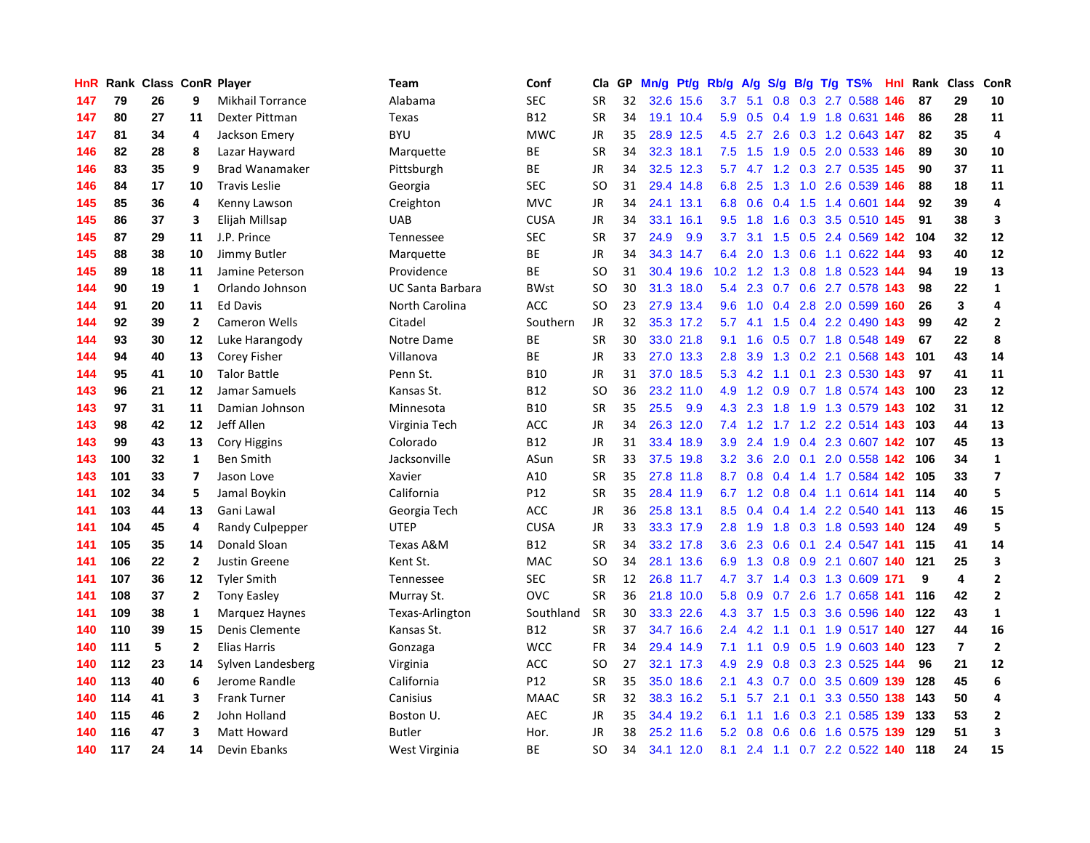| HnR |     | Rank Class ConR Player |              |                         | <b>Team</b>             | Conf            | Cla           | GP. | Mn/g | Pt/g Rb/g |                  | A/g       |                  |     | S/g B/g T/g TS%                   | Hnl | Rank | <b>Class</b>   | ConR                    |
|-----|-----|------------------------|--------------|-------------------------|-------------------------|-----------------|---------------|-----|------|-----------|------------------|-----------|------------------|-----|-----------------------------------|-----|------|----------------|-------------------------|
| 147 | 79  | 26                     | 9            | <b>Mikhail Torrance</b> | Alabama                 | <b>SEC</b>      | <b>SR</b>     | 32  |      | 32.6 15.6 | 3.7              | 5.1       | 0.8              |     | 0.3 2.7 0.588                     | 146 | 87   | 29             | 10                      |
| 147 | 80  | 27                     | 11           | Dexter Pittman          | Texas                   | <b>B12</b>      | <b>SR</b>     | 34  |      | 19.1 10.4 |                  |           |                  |     | 5.9 0.5 0.4 1.9 1.8 0.631 146     |     | 86   | 28             | 11                      |
| 147 | 81  | 34                     | 4            | Jackson Emery           | <b>BYU</b>              | <b>MWC</b>      | JR            | 35  |      | 28.9 12.5 | 4.5              | 2.7       |                  |     | 2.6 0.3 1.2 0.643 147             |     | 82   | 35             | 4                       |
| 146 | 82  | 28                     | 8            | Lazar Hayward           | Marquette               | BE              | <b>SR</b>     | 34  |      | 32.3 18.1 | 7.5              | 1.5       |                  |     | 1.9 0.5 2.0 0.533 146             |     | 89   | 30             | 10                      |
| 146 | 83  | 35                     | 9            | <b>Brad Wanamaker</b>   | Pittsburgh              | BE              | <b>JR</b>     | 34  |      | 32.5 12.3 | 5.7              |           |                  |     | 4.7 1.2 0.3 2.7 0.535 145         |     | 90   | 37             | 11                      |
| 146 | 84  | 17                     | 10           | <b>Travis Leslie</b>    | Georgia                 | <b>SEC</b>      | <b>SO</b>     | 31  |      | 29.4 14.8 | 6.8              | 2.5       |                  |     | 1.3 1.0 2.6 0.539 146             |     | 88   | 18             | 11                      |
| 145 | 85  | 36                     | 4            | Kenny Lawson            | Creighton               | <b>MVC</b>      | JR            | 34  | 24.1 | 13.1      | 6.8              | 0.6       |                  |     | 0.4 1.5 1.4 0.601 144             |     | 92   | 39             | 4                       |
| 145 | 86  | 37                     | 3            | Elijah Millsap          | <b>UAB</b>              | <b>CUSA</b>     | <b>JR</b>     | 34  |      | 33.1 16.1 | 9.5              | 1.8       | 1.6              |     | 0.3 3.5 0.510 145                 |     | 91   | 38             | 3                       |
| 145 | 87  | 29                     | 11           | J.P. Prince             | Tennessee               | <b>SEC</b>      | <b>SR</b>     | 37  | 24.9 | 9.9       | 3.7              | 3.1       | 1.5              |     | 0.5 2.4 0.569 142                 |     | 104  | 32             | 12                      |
| 145 | 88  | 38                     | 10           | Jimmy Butler            | Marquette               | <b>BE</b>       | <b>JR</b>     | 34  |      | 34.3 14.7 | 6.4              | 2.0       |                  |     | 1.3 0.6 1.1 0.622 144             |     | 93   | 40             | 12                      |
| 145 | 89  | 18                     | 11           | Jamine Peterson         | Providence              | <b>BE</b>       | <b>SO</b>     | 31  |      | 30.4 19.6 | 10.2             |           |                  |     | 1.2 1.3 0.8 1.8 0.523 144         |     | 94   | 19             | 13                      |
| 144 | 90  | 19                     | 1            | Orlando Johnson         | <b>UC Santa Barbara</b> | <b>BWst</b>     | SO            | 30  |      | 31.3 18.0 | 5.4              | 2.3       |                  |     | 0.7 0.6 2.7 0.578 143             |     | 98   | 22             | $\mathbf{1}$            |
| 144 | 91  | 20                     | 11           | <b>Ed Davis</b>         | North Carolina          | <b>ACC</b>      | <b>SO</b>     | 23  |      | 27.9 13.4 | 9.6              | 1.0       | 0.4              |     | 2.8 2.0 0.599 160                 |     | 26   | 3              | $\overline{a}$          |
| 144 | 92  | 39                     | $\mathbf{2}$ | <b>Cameron Wells</b>    | Citadel                 | Southern        | JR            | 32  |      | 35.3 17.2 | 5.7              | 4.1       |                  |     | 1.5 0.4 2.2 0.490                 | 143 | 99   | 42             | $\overline{2}$          |
| 144 | 93  | 30                     | 12           | Luke Harangody          | Notre Dame              | BE              | <b>SR</b>     | 30  |      | 33.0 21.8 | 9.1              | 1.6       |                  |     | $0.5$ 0.7 1.8 0.548               | 149 | 67   | 22             | 8                       |
| 144 | 94  | 40                     | 13           | Corey Fisher            | Villanova               | <b>BE</b>       | JR            | 33  | 27.0 | 13.3      | 2.8              | 3.9       | 1.3              |     | 0.2 2.1 0.568 143                 |     | 101  | 43             | 14                      |
| 144 | 95  | 41                     | 10           | <b>Talor Battle</b>     | Penn St.                | <b>B10</b>      | JR            | 31  |      | 37.0 18.5 |                  | $5.3$ 4.2 | 1.1              | 0.1 | 2.3 0.530                         | 143 | 97   | 41             | 11                      |
| 143 | 96  | 21                     | 12           | Jamar Samuels           | Kansas St.              | B <sub>12</sub> | <sub>SO</sub> | 36  |      | 23.2 11.0 |                  | 4.9 1.2   | 0.9 <sub>0</sub> |     | 0.7 1.8 0.574 143                 |     | 100  | 23             | 12                      |
| 143 | 97  | 31                     | 11           | Damian Johnson          | Minnesota               | <b>B10</b>      | <b>SR</b>     | 35  | 25.5 | 9.9       |                  | 4.3 2.3   |                  |     | 1.8 1.9 1.3 0.579 143             |     | 102  | 31             | 12                      |
| 143 | 98  | 42                     | 12           | Jeff Allen              | Virginia Tech           | <b>ACC</b>      | <b>JR</b>     | 34  |      | 26.3 12.0 | 7.4              |           |                  |     | 1.2 1.7 1.2 2.2 0.514 143         |     | 103  | 44             | 13                      |
| 143 | 99  | 43                     | 13           | <b>Cory Higgins</b>     | Colorado                | <b>B12</b>      | JR            | 31  |      | 33.4 18.9 | 3.9 <sup>°</sup> | 2.4       |                  |     | 1.9 0.4 2.3 0.607 142             |     | 107  | 45             | 13                      |
| 143 | 100 | 32                     | $\mathbf{1}$ | <b>Ben Smith</b>        | Jacksonville            | ASun            | <b>SR</b>     | 33  |      | 37.5 19.8 | 3.2              | 3.6       | 2.0              |     | 0.1 2.0 0.558 142                 |     | 106  | 34             | $\mathbf 1$             |
| 143 | 101 | 33                     | 7            | Jason Love              | Xavier                  | A10             | <b>SR</b>     | 35  |      | 27.8 11.8 | 8.7              | 0.8       | $0.4^{\circ}$    |     | 1.4 1.7 0.584 142                 |     | 105  | 33             | $\overline{\mathbf{z}}$ |
| 141 | 102 | 34                     | 5            | Jamal Boykin            | California              | P12             | <b>SR</b>     | 35  |      | 28.4 11.9 |                  | $6.7$ 1.2 |                  |     | 0.8 0.4 1.1 0.614 141             |     | 114  | 40             | 5                       |
| 141 | 103 | 44                     | 13           | Gani Lawal              | Georgia Tech            | <b>ACC</b>      | JR            | 36  |      | 25.8 13.1 | 8.5              | 0.4       |                  |     | $0.4$ 1.4 2.2 0.540 141           |     | 113  | 46             | 15                      |
| 141 | 104 | 45                     | 4            | Randy Culpepper         | <b>UTEP</b>             | <b>CUSA</b>     | JR            | 33  |      | 33.3 17.9 | 2.8              | 1.9       | 1.8              |     | 0.3 1.8 0.593 140                 |     | 124  | 49             | 5                       |
| 141 | 105 | 35                     | 14           | Donald Sloan            | Texas A&M               | <b>B12</b>      | SR            | 34  |      | 33.2 17.8 | 3.6 <sub>2</sub> | 2.3       |                  |     | 0.6 0.1 2.4 0.547 141             |     | 115  | 41             | 14                      |
| 141 | 106 | 22                     | $\mathbf{2}$ | <b>Justin Greene</b>    | Kent St.                | <b>MAC</b>      | <b>SO</b>     | 34  |      | 28.1 13.6 |                  |           |                  |     | 6.9 1.3 0.8 0.9 2.1 0.607 140 121 |     |      | 25             | $\overline{\mathbf{3}}$ |
| 141 | 107 | 36                     | 12           | Tyler Smith             | Tennessee               | <b>SEC</b>      | SR            | 12  |      | 26.8 11.7 | 4.7              |           |                  |     | 3.7 1.4 0.3 1.3 0.609 171         |     | 9    | 4              | $\overline{2}$          |
| 141 | 108 | 37                     | $\mathbf{2}$ | <b>Tony Easley</b>      | Murray St.              | <b>OVC</b>      | SR            | 36  |      | 21.8 10.0 | 5.8              | 0.9       |                  |     | 0.7 2.6 1.7 0.658 141             |     | 116  | 42             | $\overline{2}$          |
| 141 | 109 | 38                     | 1            | Marquez Haynes          | Texas-Arlington         | Southland       | <b>SR</b>     | 30  |      | 33.3 22.6 | 4.3              | 3.7       | 1.5              |     | 0.3 3.6 0.596 140                 |     | 122  | 43             | $\mathbf{1}$            |
| 140 | 110 | 39                     | 15           | Denis Clemente          | Kansas St.              | <b>B12</b>      | <b>SR</b>     | 37  |      | 34.7 16.6 | $2.4^{\circ}$    | 4.2       |                  |     | 1.1 0.1 1.9 0.517 140             |     | 127  | 44             | 16                      |
| 140 | 111 | 5                      | $\mathbf{2}$ | <b>Elias Harris</b>     | Gonzaga                 | <b>WCC</b>      | <b>FR</b>     | 34  |      | 29.4 14.9 | 7.1              | 1.1       | 0.9 <sup>°</sup> |     | $0.5$ 1.9 0.603                   | 140 | 123  | $\overline{7}$ | $\overline{\mathbf{2}}$ |
| 140 | 112 | 23                     | 14           | Sylven Landesberg       | Virginia                | ACC             | <b>SO</b>     | 27  |      | 32.1 17.3 | 4.9              | 2.9       | 0.8              |     | 0.3 2.3 0.525 144                 |     | 96   | 21             | 12                      |
| 140 | 113 | 40                     | 6            | Jerome Randle           | California              | P12             | <b>SR</b>     | 35  |      | 35.0 18.6 | 2.1              | 4.3       |                  |     | 0.7 0.0 3.5 0.609 139             |     | 128  | 45             | $\boldsymbol{6}$        |
| 140 | 114 | 41                     | 3            | <b>Frank Turner</b>     | Canisius                | <b>MAAC</b>     | <b>SR</b>     | 32  |      | 38.3 16.2 | 5.1              | 5.7       |                  |     | 2.1 0.1 3.3 0.550 138             |     | 143  | 50             | $\overline{4}$          |
| 140 | 115 | 46                     | $\mathbf{2}$ | John Holland            | Boston U.               | <b>AEC</b>      | <b>JR</b>     | 35  |      | 34.4 19.2 | 6.1              | 1.1       |                  |     | 1.6 0.3 2.1 0.585 139             |     | 133  | 53             | $\overline{2}$          |
| 140 | 116 | 47                     | 3            | <b>Matt Howard</b>      | <b>Butler</b>           | Hor.            | <b>JR</b>     | 38  |      | 25.2 11.6 | 5.2              | 0.8       | 0.6              |     | 0.6 1.6 0.575 139                 |     | 129  | 51             | 3                       |
| 140 | 117 | 24                     | 14           | Devin Ebanks            | West Virginia           | <b>BE</b>       | <b>SO</b>     | 34  |      | 34.1 12.0 | 8.1              |           |                  |     | 2.4 1.1 0.7 2.2 0.522 140         |     | 118  | 24             | 15                      |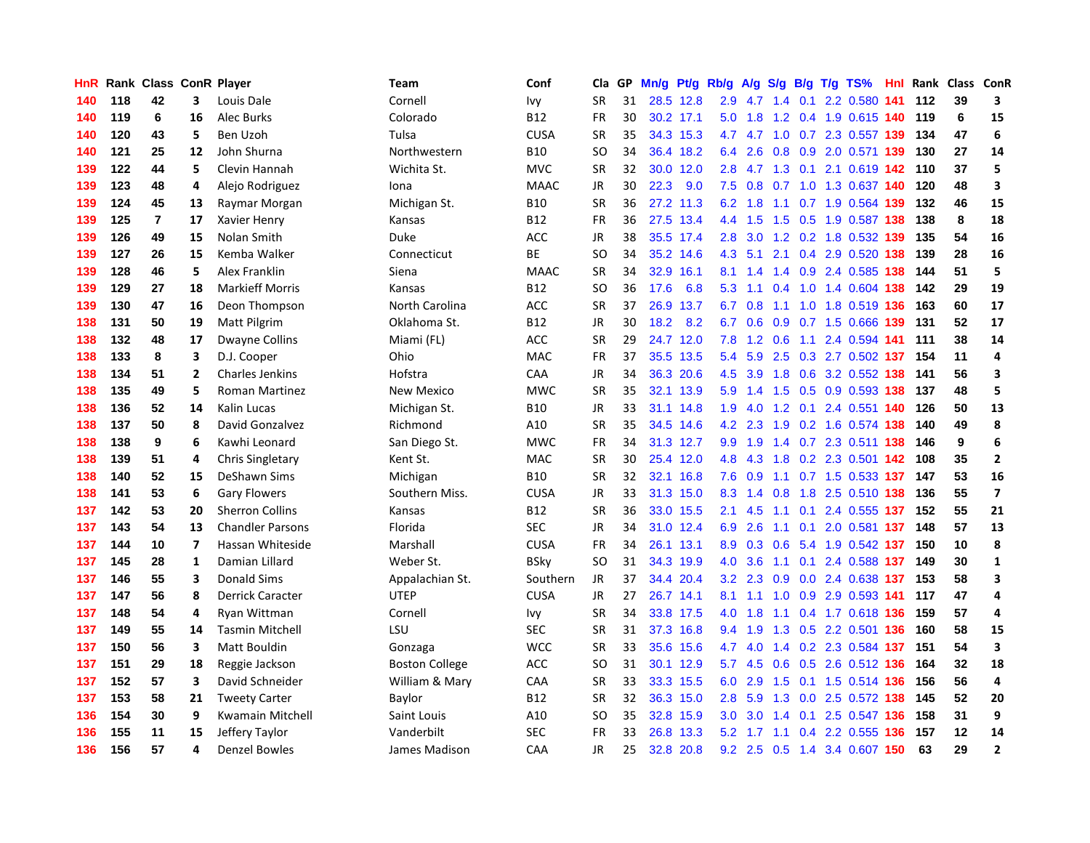| HnR |     | Rank Class ConR Player |                |                         | <b>Team</b>           | Conf        | Cla       | <b>GP</b> | Mn/g | <b>Pt/g</b> | Rb/g             | A/g       |               |  | S/g B/g T/g TS%               |     | Hnl Rank | Class | <b>ConR</b>             |
|-----|-----|------------------------|----------------|-------------------------|-----------------------|-------------|-----------|-----------|------|-------------|------------------|-----------|---------------|--|-------------------------------|-----|----------|-------|-------------------------|
| 140 | 118 | 42                     | 3              | Louis Dale              | Cornell               | Ivy         | <b>SR</b> | 31        |      | 28.5 12.8   | 2.9              | 4.7       |               |  | 1.4 0.1 2.2 0.580 141         |     | 112      | 39    | 3                       |
| 140 | 119 | 6                      | 16             | <b>Alec Burks</b>       | Colorado              | <b>B12</b>  | <b>FR</b> | 30        |      | 30.2 17.1   | 5.0              | 1.8       |               |  | 1.2 0.4 1.9 0.615 140 119     |     |          | 6     | 15                      |
| 140 | 120 | 43                     | 5              | Ben Uzoh                | Tulsa                 | <b>CUSA</b> | <b>SR</b> | 35        |      | 34.3 15.3   |                  |           |               |  | 4.7 4.7 1.0 0.7 2.3 0.557 139 |     | 134      | 47    | 6                       |
| 140 | 121 | 25                     | 12             | John Shurna             | Northwestern          | <b>B10</b>  | <b>SO</b> | 34        |      | 36.4 18.2   | 6.4              | 2.6       | 0.8           |  | 0.9 2.0 0.571 139             |     | 130      | 27    | 14                      |
| 139 | 122 | 44                     | 5              | Clevin Hannah           | Wichita St.           | <b>MVC</b>  | <b>SR</b> | 32        | 30.0 | 12.0        | 2.8              | 4.7       | 1.3           |  | $0.1$ 2.1 0.619 142           |     | 110      | 37    | 5                       |
| 139 | 123 | 48                     | 4              | Alejo Rodriguez         | Iona                  | <b>MAAC</b> | JR        | 30        | 22.3 | 9.0         | 7.5              | 0.8       |               |  | 0.7 1.0 1.3 0.637 140         |     | 120      | 48    | $\overline{\mathbf{3}}$ |
| 139 | 124 | 45                     | 13             | Raymar Morgan           | Michigan St.          | <b>B10</b>  | <b>SR</b> | 36        |      | 27.2 11.3   | 6.2              | 1.8       |               |  | 1.1 0.7 1.9 0.564 139         |     | 132      | 46    | 15                      |
| 139 | 125 | $\overline{7}$         | 17             | Xavier Henry            | Kansas                | <b>B12</b>  | FR        | 36        | 27.5 | 13.4        | $4.4^{\circ}$    | 1.5       | 1.5           |  | 0.5 1.9 0.587 138             |     | 138      | 8     | 18                      |
| 139 | 126 | 49                     | 15             | Nolan Smith             | <b>Duke</b>           | <b>ACC</b>  | <b>JR</b> | 38        |      | 35.5 17.4   | 2.8              | 3.0       |               |  | 1.2 0.2 1.8 0.532 139         |     | 135      | 54    | 16                      |
| 139 | 127 | 26                     | 15             | Kemba Walker            | Connecticut           | <b>BE</b>   | <b>SO</b> | 34        |      | 35.2 14.6   | 4.3              |           |               |  | 5.1 2.1 0.4 2.9 0.520 138 139 |     |          | 28    | 16                      |
| 139 | 128 | 46                     | 5              | Alex Franklin           | Siena                 | <b>MAAC</b> | <b>SR</b> | 34        |      | 32.9 16.1   | 8.1              | 1.4       |               |  | 1.4 0.9 2.4 0.585 138         |     | 144      | 51    | 5                       |
| 139 | 129 | 27                     | 18             | <b>Markieff Morris</b>  | Kansas                | B12         | <b>SO</b> | 36        | 17.6 | 6.8         | 5.3              | 1.1       |               |  | 0.4 1.0 1.4 0.604 138 142     |     |          | 29    | 19                      |
| 139 | 130 | 47                     | 16             | Deon Thompson           | North Carolina        | <b>ACC</b>  | <b>SR</b> | 37        | 26.9 | 13.7        | 6.7              | 0.8       |               |  | 1.1 1.0 1.8 0.519 136         |     | 163      | 60    | 17                      |
| 138 | 131 | 50                     | 19             | Matt Pilgrim            | Oklahoma St.          | <b>B12</b>  | JR        | 30        | 18.2 | 8.2         | 6.7              | 0.6       | 0.9           |  | 0.7 1.5 0.666 139             |     | 131      | 52    | 17                      |
| 138 | 132 | 48                     | 17             | <b>Dwayne Collins</b>   | Miami (FL)            | <b>ACC</b>  | <b>SR</b> | 29        | 24.7 | 12.0        | 7.8              | 1.2       | 0.6           |  | 1.1 2.4 0.594 141             |     | 111      | 38    | 14                      |
| 138 | 133 | 8                      | 3              | D.J. Cooper             | Ohio                  | <b>MAC</b>  | <b>FR</b> | 37        | 35.5 | 13.5        | 5.4              | 5.9       | $2.5^{\circ}$ |  | 0.3 2.7 0.502 137             |     | 154      | 11    | $\overline{4}$          |
| 138 | 134 | 51                     | $\overline{2}$ | <b>Charles Jenkins</b>  | Hofstra               | CAA         | <b>JR</b> | 34        | 36.3 | 20.6        | 4.5              | 3.9       | 1.8           |  | 0.6 3.2 0.552 138             |     | 141      | 56    | $\overline{\mathbf{3}}$ |
| 138 | 135 | 49                     | 5              | <b>Roman Martinez</b>   | <b>New Mexico</b>     | <b>MWC</b>  | <b>SR</b> | 35        | 32.1 | 13.9        | 5.9              | 1.4       | 1.5           |  | 0.5 0.9 0.593 138             |     | 137      | 48    | 5                       |
| 138 | 136 | 52                     | 14             | Kalin Lucas             | Michigan St.          | <b>B10</b>  | JR        | 33        |      | 31.1 14.8   | 1.9 <sup>°</sup> |           |               |  | 4.0 1.2 0.1 2.4 0.551 140 126 |     |          | 50    | 13                      |
| 138 | 137 | 50                     | 8              | David Gonzalvez         | Richmond              | A10         | <b>SR</b> | 35        |      | 34.5 14.6   |                  |           |               |  | 4.2 2.3 1.9 0.2 1.6 0.574 138 |     | 140      | 49    | 8                       |
| 138 | 138 | 9                      | 6              | Kawhi Leonard           | San Diego St.         | <b>MWC</b>  | FR        | 34        |      | 31.3 12.7   |                  | $9.9$ 1.9 |               |  | 1.4 0.7 2.3 0.511 138 146     |     |          | 9     | $\boldsymbol{6}$        |
| 138 | 139 | 51                     | 4              | Chris Singletary        | Kent St.              | <b>MAC</b>  | <b>SR</b> | 30        |      | 25.4 12.0   | 4.8              | 4.3       | 1.8           |  | 0.2 2.3 0.501 142             |     | 108      | 35    | $\overline{\mathbf{2}}$ |
| 138 | 140 | 52                     | 15             | DeShawn Sims            | Michigan              | <b>B10</b>  | SR        | 32        | 32.1 | 16.8        | 7.6              | 0.9       |               |  | 1.1 0.7 1.5 0.533 137         |     | 147      | 53    | 16                      |
| 138 | 141 | 53                     | 6              | <b>Gary Flowers</b>     | Southern Miss.        | <b>CUSA</b> | JR        | 33        | 31.3 | 15.0        | 8.3              | 1.4       | 0.8           |  | 1.8 2.5 0.510                 | 138 | 136      | 55    | $\overline{\mathbf{z}}$ |
| 137 | 142 | 53                     | 20             | <b>Sherron Collins</b>  | Kansas                | <b>B12</b>  | <b>SR</b> | 36        | 33.0 | 15.5        | 2.1              | 4.5       | 1.1           |  | 0.1 2.4 0.555 137             |     | 152      | 55    | 21                      |
| 137 | 143 | 54                     | 13             | <b>Chandler Parsons</b> | Florida               | SEC         | <b>JR</b> | 34        | 31.0 | 12.4        | 6.9              | 2.6       | 1.1           |  | 0.1 2.0 0.581 137             |     | 148      | 57    | 13                      |
| 137 | 144 | 10                     | $\overline{7}$ | Hassan Whiteside        | Marshall              | <b>CUSA</b> | FR        | 34        |      | 26.1 13.1   | 8.9              | 0.3       |               |  | 0.6 5.4 1.9 0.542 137 150     |     |          | 10    | 8                       |
| 137 | 145 | 28                     | 1              | Damian Lillard          | Weber St.             | <b>BSky</b> | <b>SO</b> | 31        |      | 34.3 19.9   | 4.0              | 3.6       |               |  | 1.1 0.1 2.4 0.588 137 149     |     |          | 30    | $\mathbf{1}$            |
| 137 | 146 | 55                     | 3              | Donald Sims             | Appalachian St.       | Southern    | JR        | 37        |      | 34.4 20.4   | 3.2              | 2.3       |               |  | 0.9 0.0 2.4 0.638 137 153     |     |          | 58    | 3                       |
| 137 | 147 | 56                     | 8              | <b>Derrick Caracter</b> | <b>UTEP</b>           | <b>CUSA</b> | <b>JR</b> | 27        |      | 26.7 14.1   | 8.1              | 1.1       | 1.0           |  | 0.9 2.9 0.593 141             |     | 117      | 47    | $\overline{\mathbf{A}}$ |
| 137 | 148 | 54                     | 4              | Ryan Wittman            | Cornell               | Ivy         | <b>SR</b> | 34        | 33.8 | 17.5        | 4.0              | 1.8       | 1.1           |  | 0.4 1.7 0.618 136             |     | 159      | 57    | 4                       |
| 137 | 149 | 55                     | 14             | <b>Tasmin Mitchell</b>  | LSU                   | <b>SEC</b>  | SR        | 31        |      | 37.3 16.8   | 9.4              | 1.9       |               |  | 1.3 0.5 2.2 0.501 136         |     | 160      | 58    | 15                      |
| 137 | 150 | 56                     | 3              | <b>Matt Bouldin</b>     | Gonzaga               | <b>WCC</b>  | <b>SR</b> | 33        | 35.6 | 15.6        | 4.7              | 4.0       | 1.4           |  | 0.2 2.3 0.584 137             |     | 151      | 54    | $\overline{\mathbf{3}}$ |
| 137 | 151 | 29                     | 18             | Reggie Jackson          | <b>Boston College</b> | <b>ACC</b>  | SO        | 31        | 30.1 | 12.9        |                  | 5.7 4.5   | 0.6           |  | 0.5 2.6 0.512 136             |     | 164      | 32    | 18                      |
| 137 | 152 | 57                     | 3              | David Schneider         | William & Mary        | CAA         | <b>SR</b> | 33        |      | 33.3 15.5   | 6.0              | 2.9       | 1.5           |  | 0.1 1.5 0.514 136             |     | 156      | 56    | $\overline{4}$          |
| 137 | 153 | 58                     | 21             | <b>Tweety Carter</b>    | Baylor                | <b>B12</b>  | <b>SR</b> | 32        |      | 36.3 15.0   | 2.8              | 5.9       |               |  | 1.3 0.0 2.5 0.572 138 145     |     |          | 52    | 20                      |
| 136 | 154 | 30                     | 9              | Kwamain Mitchell        | Saint Louis           | A10         | SO        | 35        |      | 32.8 15.9   | 3.0 <sub>2</sub> | 3.0       |               |  | 1.4 0.1 2.5 0.547 136         |     | 158      | 31    | 9                       |
| 136 | 155 | 11                     | 15             | Jeffery Taylor          | Vanderbilt            | <b>SEC</b>  | FR        | 33        | 26.8 | 13.3        | 5.2              |           |               |  | 1.7 1.1 0.4 2.2 0.555 136     |     | 157      | 12    | 14                      |
| 136 | 156 | 57                     | 4              | <b>Denzel Bowles</b>    | James Madison         | CAA         | <b>JR</b> | 25        |      | 32.8 20.8   |                  | $9.2$ 2.5 |               |  | 0.5 1.4 3.4 0.607 150         |     | 63       | 29    | $\overline{2}$          |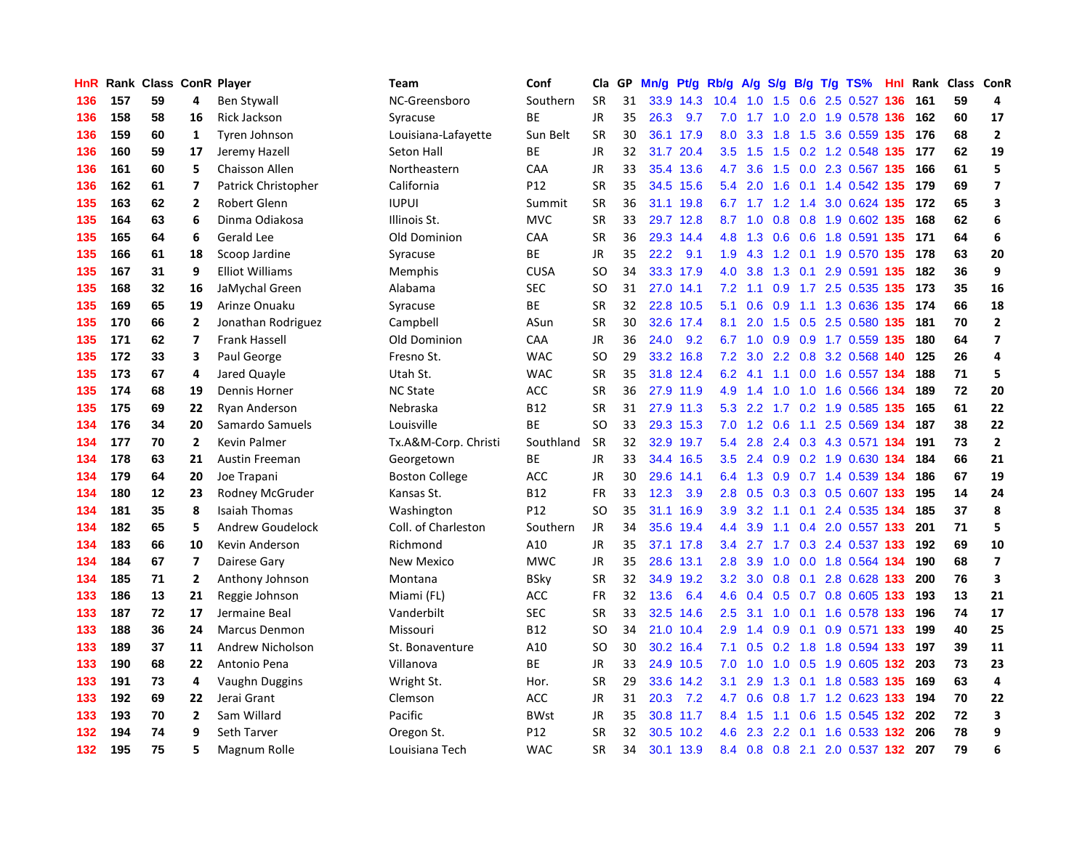| HnR |     | Rank Class ConR Player |                         |                        | <b>Team</b>           | Conf        | Cla       | GP. | Mn/g | Pt/g      | Rb/g             | A/g              |     |  | $S/g$ B/g T/g TS%             |     | Hnl Rank | Class ConR |                         |
|-----|-----|------------------------|-------------------------|------------------------|-----------------------|-------------|-----------|-----|------|-----------|------------------|------------------|-----|--|-------------------------------|-----|----------|------------|-------------------------|
| 136 | 157 | 59                     | 4                       | <b>Ben Stywall</b>     | NC-Greensboro         | Southern    | <b>SR</b> | 31  |      | 33.9 14.3 | 10.4             | 1.0              | 1.5 |  | 0.6 2.5 0.527                 | 136 | 161      | 59         | 4                       |
| 136 | 158 | 58                     | 16                      | Rick Jackson           | Syracuse              | ВE          | <b>JR</b> | 35  | 26.3 | 9.7       | 7.0              |                  |     |  | 1.7 1.0 2.0 1.9 0.578 136 162 |     |          | 60         | 17                      |
| 136 | 159 | 60                     | 1                       | Tyren Johnson          | Louisiana-Lafayette   | Sun Belt    | <b>SR</b> | 30  |      | 36.1 17.9 | 8.0              | 3.3              |     |  | 1.8 1.5 3.6 0.559 135 176     |     |          | 68         | $\overline{2}$          |
| 136 | 160 | 59                     | 17                      | Jeremy Hazell          | Seton Hall            | ВE          | JR        | 32  |      | 31.7 20.4 | 3.5              | 1.5              |     |  | 1.5 0.2 1.2 0.548 135 177     |     |          | 62         | 19                      |
| 136 | 161 | 60                     | 5                       | Chaisson Allen         | Northeastern          | CAA         | <b>JR</b> | 33  |      | 35.4 13.6 |                  | 4.7 3.6          |     |  | 1.5 0.0 2.3 0.567 135         |     | 166      | 61         | 5                       |
| 136 | 162 | 61                     | $\overline{\mathbf{z}}$ | Patrick Christopher    | California            | P12         | <b>SR</b> | 35  | 34.5 | 15.6      | 5.4              | 2.0              | 1.6 |  | 0.1 1.4 0.542 135             |     | 179      | 69         | $\overline{\mathbf{z}}$ |
| 135 | 163 | 62                     | $\mathbf{2}$            | Robert Glenn           | <b>IUPUI</b>          | Summit      | <b>SR</b> | 36  | 31.1 | 19.8      |                  | $6.7$ 1.7        |     |  | 1.2 1.4 3.0 0.624 135         |     | 172      | 65         | 3                       |
| 135 | 164 | 63                     | 6                       | Dinma Odiakosa         | Illinois St.          | <b>MVC</b>  | <b>SR</b> | 33  | 29.7 | 12.8      | 8.7              | 1.0              | 0.8 |  | 0.8 1.9 0.602 135             |     | 168      | 62         | 6                       |
| 135 | 165 | 64                     | 6                       | Gerald Lee             | Old Dominion          | CAA         | <b>SR</b> | 36  | 29.3 | 14.4      | 4.8              | 1.3              | 0.6 |  | 0.6 1.8 0.591 135             |     | 171      | 64         | $\bf 6$                 |
| 135 | 166 | 61                     | 18                      | Scoop Jardine          | Syracuse              | ВE          | JR        | 35  | 22.2 | 9.1       | 1.9              | 4.3              |     |  | 1.2 0.1 1.9 0.570 135 178     |     |          | 63         | 20                      |
| 135 | 167 | 31                     | 9                       | <b>Elliot Williams</b> | <b>Memphis</b>        | <b>CUSA</b> | <b>SO</b> | 34  |      | 33.3 17.9 | 4.0              | 3.8              |     |  | 1.3 0.1 2.9 0.591 135 182     |     |          | 36         | 9                       |
| 135 | 168 | 32                     | 16                      | JaMychal Green         | Alabama               | <b>SEC</b>  | <b>SO</b> | 31  |      | 27.0 14.1 | 7.2              |                  |     |  | 1.1 0.9 1.7 2.5 0.535 135 173 |     |          | 35         | 16                      |
| 135 | 169 | 65                     | 19                      | Arinze Onuaku          | Syracuse              | <b>BE</b>   | <b>SR</b> | 32  |      | 22.8 10.5 | 5.1              | 0.6              |     |  | 0.9 1.1 1.3 0.636 135 174     |     |          | 66         | 18                      |
| 135 | 170 | 66                     | $\overline{2}$          | Jonathan Rodriguez     | Campbell              | ASun        | <b>SR</b> | 30  | 32.6 | 17.4      | 8.1              | 2.0              | 1.5 |  | 0.5 2.5 0.580                 | 135 | 181      | 70         | $\overline{2}$          |
| 135 | 171 | 62                     | $\overline{ }$          | <b>Frank Hassell</b>   | Old Dominion          | CAA         | <b>JR</b> | 36  | 24.0 | 9.2       | 6.7              |                  |     |  | 1.0 0.9 0.9 1.7 0.559 135     |     | 180      | 64         | $\overline{7}$          |
| 135 | 172 | 33                     | 3                       | Paul George            | Fresno St.            | <b>WAC</b>  | <b>SO</b> | 29  |      | 33.2 16.8 | 7.2              | 3.0              |     |  | 2.2 0.8 3.2 0.568 140         |     | 125      | 26         | 4                       |
| 135 | 173 | 67                     | 4                       | Jared Quayle           | Utah St.              | <b>WAC</b>  | <b>SR</b> | 35  |      | 31.8 12.4 | 6.2              | 4.1              |     |  | 1.1 0.0 1.6 0.557 134         |     | 188      | 71         | 5                       |
| 135 | 174 | 68                     | 19                      | Dennis Horner          | <b>NC State</b>       | ACC         | <b>SR</b> | 36  |      | 27.9 11.9 | 4.9              | 1.4              | 1.0 |  | 1.0 1.6 0.566 134             |     | 189      | 72         | 20                      |
| 135 | 175 | 69                     | 22                      | Rvan Anderson          | Nebraska              | <b>B12</b>  | <b>SR</b> | 31  |      | 27.9 11.3 |                  |                  |     |  | 5.3 2.2 1.7 0.2 1.9 0.585 135 |     | 165      | 61         | 22                      |
| 134 | 176 | 34                     | 20                      | Samardo Samuels        | Louisville            | <b>BE</b>   | <b>SO</b> | 33  |      | 29.3 15.3 |                  |                  |     |  | 7.0 1.2 0.6 1.1 2.5 0.569 134 |     | 187      | 38         | 22                      |
| 134 | 177 | 70                     | $\overline{2}$          | Kevin Palmer           | Tx.A&M-Corp. Christi  | Southland   | <b>SR</b> | 32  |      | 32.9 19.7 | 5.4              | 2.8              |     |  | 2.4 0.3 4.3 0.571 134         |     | 191      | 73         | $\overline{2}$          |
| 134 | 178 | 63                     | 21                      | Austin Freeman         | Georgetown            | BE          | <b>JR</b> | 33  |      | 34.4 16.5 |                  | $3.5$ 2.4        | 0.9 |  | 0.2 1.9 0.630 134             |     | 184      | 66         | 21                      |
| 134 | 179 | 64                     | 20                      | Joe Trapani            | <b>Boston College</b> | ACC         | JR        | 30  | 29.6 | 14.1      | 6.4              | 1.3              |     |  | 0.9 0.7 1.4 0.539 134         |     | 186      | 67         | 19                      |
| 134 | 180 | 12                     | 23                      | Rodney McGruder        | Kansas St.            | <b>B12</b>  | <b>FR</b> | 33  | 12.3 | 3.9       | 2.8              | 0.5              |     |  | 0.3 0.3 0.5 0.607 133         |     | 195      | 14         | 24                      |
| 134 | 181 | 35                     | 8                       | <b>Isaiah Thomas</b>   | Washington            | P12         | <b>SO</b> | 35  | 31.1 | 16.9      | 3.9              | 3.2              |     |  | 1.1 0.1 2.4 0.535 134         |     | 185      | 37         | 8                       |
| 134 | 182 | 65                     | 5                       | Andrew Goudelock       | Coll. of Charleston   | Southern    | <b>JR</b> | 34  | 35.6 | 19.4      | 4.4              | 3.9              |     |  | 1.1 0.4 2.0 0.557 133         |     | 201      | 71         | 5                       |
| 134 | 183 | 66                     | 10                      | Kevin Anderson         | Richmond              | A10         | JR        | 35  |      | 37.1 17.8 | $3.4^{\circ}$    | 2.7              |     |  | 1.7 0.3 2.4 0.537 133         |     | 192      | 69         | 10                      |
| 134 | 184 | 67                     | 7                       | Dairese Gary           | New Mexico            | <b>MWC</b>  | JR        | 35  |      | 28.6 13.1 | 2.8              |                  |     |  | 3.9 1.0 0.0 1.8 0.564 134     |     | 190      | 68         | $\overline{7}$          |
| 134 | 185 | 71                     | $\overline{2}$          | Anthony Johnson        | Montana               | <b>BSky</b> | <b>SR</b> | 32  |      | 34.9 19.2 | 3.2 <sub>2</sub> | 3.0 <sub>2</sub> |     |  | 0.8 0.1 2.8 0.628 133         |     | 200      | 76         | $\overline{\mathbf{3}}$ |
| 133 | 186 | 13                     | 21                      | Reggie Johnson         | Miami (FL)            | ACC         | FR        | 32  | 13.6 | 6.4       | 4.6              | 0.4              |     |  | $0.5$ 0.7 0.8 0.605 133       |     | 193      | 13         | 21                      |
| 133 | 187 | 72                     | 17                      | Jermaine Beal          | Vanderbilt            | <b>SEC</b>  | <b>SR</b> | 33  | 32.5 | 14.6      | 2.5              | 3.1              | 1.0 |  | 0.1 1.6 0.578 133             |     | 196      | 74         | 17                      |
| 133 | 188 | 36                     | 24                      | <b>Marcus Denmon</b>   | Missouri              | <b>B12</b>  | SO        | 34  | 21.0 | 10.4      | 2.9              | 1.4              | 0.9 |  | 0.1 0.9 0.571 133             |     | 199      | 40         | 25                      |
| 133 | 189 | 37                     | 11                      | Andrew Nicholson       | St. Bonaventure       | A10         | SO        | 30  | 30.2 | 16.4      | 7.1              | 0.5              |     |  | 0.2 1.8 1.8 0.594 133         |     | 197      | 39         | 11                      |
| 133 | 190 | 68                     | 22                      | Antonio Pena           | Villanova             | <b>BE</b>   | JR        | 33  | 24.9 | 10.5      | 7.0              | 1.0              | 1.0 |  | 0.5 1.9 0.605 132             |     | 203      | 73         | 23                      |
| 133 | 191 | 73                     | 4                       | Vaughn Duggins         | Wright St.            | Hor.        | <b>SR</b> | 29  | 33.6 | 14.2      | 3.1              | 2.9              | 1.3 |  | 0.1 1.8 0.583 135             |     | 169      | 63         | 4                       |
| 133 | 192 | 69                     | 22                      | Jerai Grant            | Clemson               | ACC         | <b>JR</b> | 31  | 20.3 | 7.2       | 4.7              | 0.6              |     |  | 0.8 1.7 1.2 0.623 133 194     |     |          | 70         | 22                      |
| 133 | 193 | 70                     | $\overline{2}$          | Sam Willard            | Pacific               | <b>BWst</b> | JR        | 35  |      | 30.8 11.7 | 8.4              | 1.5              |     |  | 1.1 0.6 1.5 0.545 132         |     | 202      | 72         | $\overline{\mathbf{3}}$ |
| 132 | 194 | 74                     | 9                       | <b>Seth Tarver</b>     | Oregon St.            | P12         | SR        | 32  |      | 30.5 10.2 | 4.6              | 2.3              |     |  | 2.2 0.1 1.6 0.533 132         |     | 206      | 78         | 9                       |
| 132 | 195 | 75                     | 5.                      | Magnum Rolle           | Louisiana Tech        | <b>WAC</b>  | <b>SR</b> | 34  | 30.1 | 13.9      | 8.4              |                  |     |  | 0.8 0.8 2.1 2.0 0.537 132     |     | 207      | 79         | 6                       |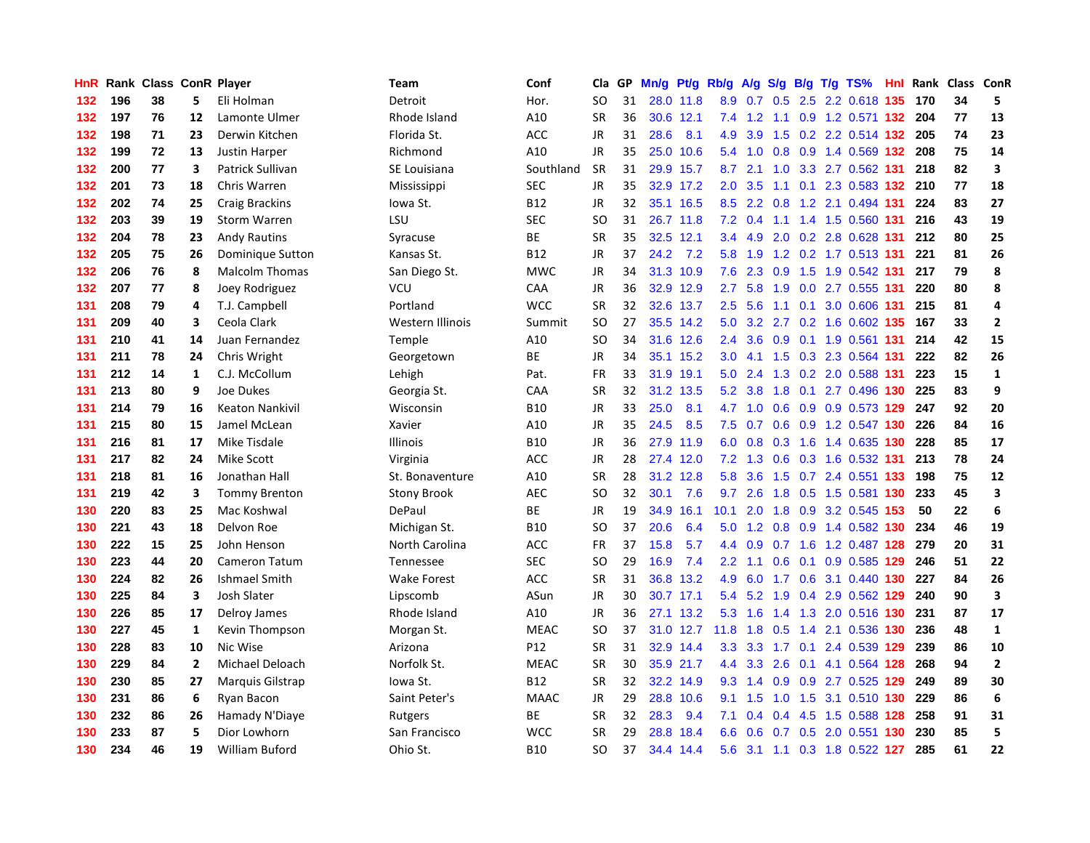| HnR |     | Rank Class ConR Player |                |                         | <b>Team</b>        | Conf        | Cla       | GP. | Mn/g |           | Pt/g Rb/g        | A/g    |     |     | S/g B/g T/g TS%                   | Hnl Rank | Class ConR |                         |
|-----|-----|------------------------|----------------|-------------------------|--------------------|-------------|-----------|-----|------|-----------|------------------|--------|-----|-----|-----------------------------------|----------|------------|-------------------------|
| 132 | 196 | 38                     | 5              | Eli Holman              | Detroit            | Hor.        | <b>SO</b> | 31  |      | 28.0 11.8 | 8.9              | 0.7    | 0.5 |     | 2.5 2.2 0.618 135                 | 170      | 34         | 5                       |
| 132 | 197 | 76                     | 12             | Lamonte Ulmer           | Rhode Island       | A10         | <b>SR</b> | 36  |      | 30.6 12.1 | 7.4              |        |     |     | 1.2 1.1 0.9 1.2 0.571 132 204     |          | 77         | 13                      |
| 132 | 198 | 71                     | 23             | Derwin Kitchen          | Florida St.        | ACC         | JR        | 31  | 28.6 | 8.1       | 4.9              | 3.9    |     |     | 1.5 0.2 2.2 0.514 132 205         |          | 74         | 23                      |
| 132 | 199 | 72                     | 13             | Justin Harper           | Richmond           | A10         | <b>JR</b> | 35  |      | 25.0 10.6 | 5.4              | 1.0    |     |     | 0.8 0.9 1.4 0.569 132 208         |          | 75         | 14                      |
| 132 | 200 | 77                     | 3              | Patrick Sullivan        | SE Louisiana       | Southland   | <b>SR</b> | 31  |      | 29.9 15.7 | 8.7              | 2.1    | 1.0 |     | 3.3 2.7 0.562 131                 | 218      | 82         | 3                       |
| 132 | 201 | 73                     | 18             | Chris Warren            | Mississippi        | <b>SEC</b>  | JR        | 35  |      | 32.9 17.2 | 2.0              | 3.5    |     |     | 1.1 0.1 2.3 0.583 132 210         |          | 77         | 18                      |
| 132 | 202 | 74                     | 25             | <b>Craig Brackins</b>   | Iowa St.           | <b>B12</b>  | JR        | 32  | 35.1 | 16.5      | 8.5              | 2.2    | 0.8 |     | 1.2 2.1 0.494 131                 | 224      | 83         | 27                      |
| 132 | 203 | 39                     | 19             | <b>Storm Warren</b>     | LSU                | <b>SEC</b>  | <b>SO</b> | 31  |      | 26.7 11.8 | 7.2              | 0.4    |     |     | 1.1 1.4 1.5 0.560 131             | 216      | 43         | 19                      |
| 132 | 204 | 78                     | 23             | <b>Andy Rautins</b>     | Syracuse           | <b>BE</b>   | <b>SR</b> | 35  |      | 32.5 12.1 | $3.4^{\circ}$    | 4.9    | 2.0 |     | 0.2 2.8 0.628 131                 | 212      | 80         | 25                      |
| 132 | 205 | 75                     | 26             | Dominique Sutton        | Kansas St.         | <b>B12</b>  | <b>JR</b> | 37  | 24.2 | 7.2       | 5.8              | 1.9    |     |     | 1.2 0.2 1.7 0.513 131             | 221      | 81         | 26                      |
| 132 | 206 | 76                     | 8              | <b>Malcolm Thomas</b>   | San Diego St.      | <b>MWC</b>  | <b>JR</b> | 34  |      | 31.3 10.9 | 7.6              | 2.3    |     |     | 0.9 1.5 1.9 0.542 131             | 217      | 79         | 8                       |
| 132 | 207 | 77                     | 8              | Joey Rodriguez          | VCU                | CAA         | JR        | 36  |      | 32.9 12.9 | $2.7^{\circ}$    | 5.8    | 1.9 |     | 0.0 2.7 0.555 131                 | 220      | 80         | 8                       |
| 131 | 208 | 79                     | 4              | T.J. Campbell           | Portland           | <b>WCC</b>  | <b>SR</b> | 32  | 32.6 | 13.7      | 2.5              | 5.6    |     |     | 1.1 0.1 3.0 0.606 131             | 215      | 81         | $\overline{4}$          |
| 131 | 209 | 40                     | 3              | Ceola Clark             | Western Illinois   | Summit      | <b>SO</b> | 27  |      | 35.5 14.2 | 5.0              | 3.2    |     |     | 2.7 0.2 1.6 0.602 135             | 167      | 33         | $\overline{2}$          |
| 131 | 210 | 41                     | 14             | Juan Fernandez          | Temple             | A10         | <b>SO</b> | 34  |      | 31.6 12.6 | 2.4              | 3.6    |     |     | 0.9 0.1 1.9 0.561 131             | 214      | 42         | 15                      |
| 131 | 211 | 78                     | 24             | Chris Wright            | Georgetown         | <b>BE</b>   | JR        | 34  | 35.1 | 15.2      | 3.0 <sub>2</sub> | 4.1    | 1.5 |     | 0.3 2.3 0.564 131                 | 222      | 82         | 26                      |
| 131 | 212 | 14                     | 1              | C.J. McCollum           | Lehigh             | Pat.        | <b>FR</b> | 33  | 31.9 | 19.1      | 5.0              | 2.4    | 1.3 |     | 0.2 2.0 0.588 131                 | 223      | 15         | $\mathbf{1}$            |
| 131 | 213 | 80                     | 9              | Joe Dukes               | Georgia St.        | CAA         | <b>SR</b> | 32  | 31.2 | 13.5      | 5.2              | 3.8    | 1.8 |     | 0.1 2.7 0.496 130 225             |          | 83         | 9                       |
| 131 | 214 | 79                     | 16             | <b>Keaton Nankivil</b>  | Wisconsin          | <b>B10</b>  | <b>JR</b> | 33  | 25.0 | 8.1       |                  |        |     |     | 4.7 1.0 0.6 0.9 0.9 0.573 129 247 |          | 92         | 20                      |
| 131 | 215 | 80                     | 15             | Jamel McLean            | Xavier             | A10         | JR        | 35  | 24.5 | 8.5       | 7.5              | 0.7    |     |     | 0.6 0.9 1.2 0.547 130 226         |          | 84         | 16                      |
| 131 | 216 | 81                     | 17             | Mike Tisdale            | <b>Illinois</b>    | <b>B10</b>  | JR        | 36  |      | 27.9 11.9 | 6.0              | 0.8    |     |     | 0.3 1.6 1.4 0.635 130 228         |          | 85         | 17                      |
| 131 | 217 | 82                     | 24             | Mike Scott              | Virginia           | ACC         | JR        | 28  |      | 27.4 12.0 | 7.2              | 1.3    | 0.6 |     | 0.3 1.6 0.532 131                 | 213      | 78         | 24                      |
| 131 | 218 | 81                     | 16             | Jonathan Hall           | St. Bonaventure    | A10         | <b>SR</b> | 28  |      | 31.2 12.8 | 5.8              | 3.6    | 1.5 |     | 0.7 2.4 0.551 133                 | 198      | 75         | 12                      |
| 131 | 219 | 42                     | 3              | <b>Tommy Brenton</b>    | <b>Stony Brook</b> | AEC         | SO        | 32  | 30.1 | 7.6       | 9.7              | 2.6    | 1.8 |     | 0.5 1.5 0.581 130                 | 233      | 45         | $\overline{\mathbf{3}}$ |
| 130 | 220 | 83                     | 25             | Mac Koshwal             | DePaul             | <b>BE</b>   | JR        | 19  | 34.9 | 16.1      | 10.1             | 2.0    | 1.8 |     | 0.9 3.2 0.545 153                 | 50       | 22         | 6                       |
| 130 | 221 | 43                     | 18             | Delvon Roe              | Michigan St.       | <b>B10</b>  | <b>SO</b> | 37  | 20.6 | 6.4       | 5.0              | 1.2    |     |     | $0.8$ 0.9 1.4 0.582 130           | 234      | 46         | 19                      |
| 130 | 222 | 15                     | 25             | John Henson             | North Carolina     | <b>ACC</b>  | FR        | 37  | 15.8 | 5.7       | $4.4^{\circ}$    |        |     |     | 0.9 0.7 1.6 1.2 0.487 128 279     |          | 20         | 31                      |
| 130 | 223 | 44                     | 20             | Cameron Tatum           | Tennessee          | <b>SEC</b>  | SO        | 29  | 16.9 | 7.4       | $2.2^{\circ}$    | $-1.1$ |     |     | 0.6 0.1 0.9 0.585 129 246         |          | 51         | 22                      |
| 130 | 224 | 82                     | 26             | Ishmael Smith           | Wake Forest        | ACC         | <b>SR</b> | 31  | 36.8 | 13.2      | 4.9              |        |     |     | 6.0 1.7 0.6 3.1 0.440 130         | -227     | 84         | 26                      |
| 130 | 225 | 84                     | 3              | Josh Slater             | Lipscomb           | ASun        | JR        | 30  |      | 30.7 17.1 | 5.4              | 5.2    | 1.9 |     | 0.4 2.9 0.562 129                 | 240      | 90         | $\overline{\mathbf{3}}$ |
| 130 | 226 | 85                     | 17             | Delroy James            | Rhode Island       | A10         | JR        | 36  | 27.1 | 13.2      | 5.3              | 1.6    | 1.4 |     | 1.3 2.0 0.516 130                 | 231      | 87         | 17                      |
| 130 | 227 | 45                     | $\mathbf{1}$   | Kevin Thompson          | Morgan St.         | <b>MEAC</b> | <b>SO</b> | 37  |      | 31.0 12.7 | 11.8             | 1.8    | 0.5 |     | 1.4 2.1 0.536 130                 | 236      | 48         | $\mathbf 1$             |
| 130 | 228 | 83                     | 10             | Nic Wise                | Arizona            | P12         | <b>SR</b> | 31  | 32.9 | 14.4      | 3.3 <sub>2</sub> | 3.3    | 1.7 | 0.1 | 2.4 0.539 129                     | 239      | 86         | 10                      |
| 130 | 229 | 84                     | $\overline{2}$ | Michael Deloach         | Norfolk St.        | <b>MEAC</b> | <b>SR</b> | 30  |      | 35.9 21.7 | 4.4              | 3.3    | 2.6 |     | 0.1 4.1 0.564 128                 | 268      | 94         | $\overline{\mathbf{2}}$ |
| 130 | 230 | 85                     | 27             | <b>Marquis Gilstrap</b> | Iowa St.           | <b>B12</b>  | <b>SR</b> | 32  |      | 32.2 14.9 | 9.3              | 1.4    | 0.9 |     | 0.9 2.7 0.525 129                 | 249      | 89         | 30                      |
| 130 | 231 | 86                     | 6              | Ryan Bacon              | Saint Peter's      | <b>MAAC</b> | <b>JR</b> | 29  |      | 28.8 10.6 | 9.1              | 1.5    |     |     | 1.0 1.5 3.1 0.510 130             | 229      | 86         | $\boldsymbol{6}$        |
| 130 | 232 | 86                     | 26             | Hamady N'Diaye          | Rutgers            | <b>BE</b>   | <b>SR</b> | 32  | 28.3 | 9.4       | 7.1              | 0.4    | 0.4 |     | 4.5 1.5 0.588 128                 | 258      | 91         | 31                      |
| 130 | 233 | 87                     | 5              | Dior Lowhorn            | San Francisco      | <b>WCC</b>  | <b>SR</b> | 29  | 28.8 | 18.4      | 6.6              | 0.6    |     |     | 0.7 0.5 2.0 0.551 130             | 230      | 85         | 5                       |
| 130 | 234 | 46                     | 19             | <b>William Buford</b>   | Ohio St.           | <b>B10</b>  | <b>SO</b> | 37  |      | 34.4 14.4 | 5.6              |        |     |     | 3.1 1.1 0.3 1.8 0.522 127         | 285      | 61         | 22                      |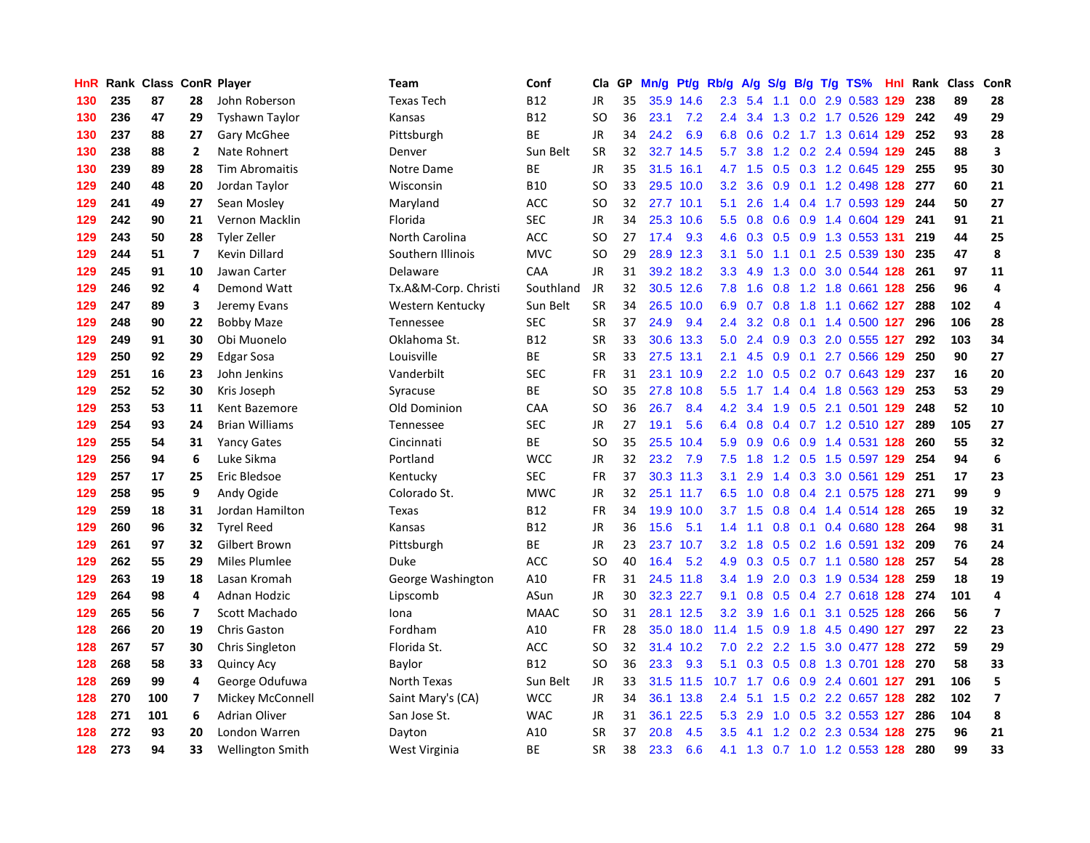| HnR | Rank | <b>Class ConR Player</b> |                          |                         | <b>Team</b>          | Conf        | Cla       | GP. | Mn/g | <b>Pt/g</b> | Rb/g             | A/g           |                  |     | S/g B/g T/g TS%                    | <b>Hnl</b> | Rank | <b>Class</b> | <b>ConR</b>             |
|-----|------|--------------------------|--------------------------|-------------------------|----------------------|-------------|-----------|-----|------|-------------|------------------|---------------|------------------|-----|------------------------------------|------------|------|--------------|-------------------------|
| 130 | 235  | 87                       | 28                       | John Roberson           | <b>Texas Tech</b>    | <b>B12</b>  | JR        | 35  | 35.9 | 14.6        | 2.3              | 5.4           | 1.1              |     | 0.0 2.9 0.583 129                  |            | 238  | 89           | 28                      |
| 130 | 236  | 47                       | 29                       | <b>Tyshawn Taylor</b>   | Kansas               | <b>B12</b>  | SO        | 36  | 23.1 | 7.2         | $2.4^{\circ}$    | 3.4           |                  |     | 1.3 0.2 1.7 0.526 129 242          |            |      | 49           | 29                      |
| 130 | 237  | 88                       | 27                       | Gary McGhee             | Pittsburgh           | <b>BE</b>   | <b>JR</b> | 34  | 24.2 | 6.9         | 6.8              | 0.6           |                  |     | 0.2 1.7 1.3 0.614 129 252          |            |      | 93           | 28                      |
| 130 | 238  | 88                       | $\overline{2}$           | Nate Rohnert            | Denver               | Sun Belt    | <b>SR</b> | 32  | 32.7 | 14.5        |                  | 5.7 3.8       |                  |     | 1.2 0.2 2.4 0.594 129              |            | 245  | 88           | $\overline{\mathbf{3}}$ |
| 130 | 239  | 89                       | 28                       | <b>Tim Abromaitis</b>   | Notre Dame           | ВE          | JR        | 35  | 31.5 | 16.1        |                  | 4.7 1.5       |                  |     | 0.5 0.3 1.2 0.645 129              |            | 255  | 95           | 30                      |
| 129 | 240  | 48                       | 20                       | Jordan Taylor           | Wisconsin            | <b>B10</b>  | <b>SO</b> | 33  | 29.5 | 10.0        | 3.2              | 3.6           | 0.9              |     | 0.1 1.2 0.498 128                  |            | 277  | 60           | 21                      |
| 129 | 241  | 49                       | 27                       | Sean Mosley             | Maryland             | ACC         | <b>SO</b> | 32  | 27.7 | 10.1        | 5.1              | 2.6           |                  |     | 1.4 0.4 1.7 0.593 129              |            | 244  | 50           | 27                      |
| 129 | 242  | 90                       | 21                       | Vernon Macklin          | Florida              | <b>SEC</b>  | JR        | 34  | 25.3 | 10.6        | 5.5              | 0.8           | 0.6              |     | 0.9 1.4 0.604 129                  |            | 241  | 91           | 21                      |
| 129 | 243  | 50                       | 28                       | Tyler Zeller            | North Carolina       | ACC         | SO        | 27  | 17.4 | 9.3         | 4.6              | 0.3           | 0.5              |     | 0.9 1.3 0.553 131                  |            | 219  | 44           | 25                      |
| 129 | 244  | 51                       | $\overline{7}$           | Kevin Dillard           | Southern Illinois    | <b>MVC</b>  | <b>SO</b> | 29  |      | 28.9 12.3   | 3.1              | 5.0           |                  |     | 1.1 0.1 2.5 0.539 130 235          |            |      | 47           | 8                       |
| 129 | 245  | 91                       | 10                       | Jawan Carter            | Delaware             | CAA         | JR        | 31  |      | 39.2 18.2   | 3.3 <sub>2</sub> | 4.9           |                  |     | 1.3 0.0 3.0 0.544 128              |            | 261  | 97           | 11                      |
| 129 | 246  | 92                       | 4                        | Demond Watt             | Tx.A&M-Corp. Christi | Southland   | <b>JR</b> | 32  |      | 30.5 12.6   | 7.8              | 1.6           |                  |     | 0.8 1.2 1.8 0.661 128 256          |            |      | 96           | 4                       |
| 129 | 247  | 89                       | 3                        | Jeremy Evans            | Western Kentucky     | Sun Belt    | <b>SR</b> | 34  |      | 26.5 10.0   | 6.9              | 0.7           | 0.8              |     | 1.8 1.1 0.662 127                  |            | 288  | 102          | $\overline{4}$          |
| 129 | 248  | 90                       | 22                       | <b>Bobby Maze</b>       | Tennessee            | <b>SEC</b>  | <b>SR</b> | 37  | 24.9 | 9.4         | 2.4              | 3.2           | 0.8              |     | 0.1 1.4 0.500 127                  |            | 296  | 106          | 28                      |
| 129 | 249  | 91                       | 30                       | Obi Muonelo             | Oklahoma St.         | <b>B12</b>  | <b>SR</b> | 33  | 30.6 | 13.3        | 5.0              | 2.4           |                  |     | 0.9 0.3 2.0 0.555 127              |            | 292  | 103          | 34                      |
| 129 | 250  | 92                       | 29                       | <b>Edgar Sosa</b>       | Louisville           | <b>BE</b>   | <b>SR</b> | 33  | 27.5 | 13.1        | 2.1              | 4.5           | 0.9 <sub>0</sub> |     | 0.1 2.7 0.566 129                  |            | 250  | 90           | 27                      |
| 129 | 251  | 16                       | 23                       | John Jenkins            | Vanderbilt           | SEC         | FR        | 31  | 23.1 | 10.9        | $2.2\phantom{0}$ | 1.0           | 0.5              |     | 0.2 0.7 0.643 129                  |            | 237  | 16           | 20                      |
| 129 | 252  | 52                       | 30                       | Kris Joseph             | Syracuse             | <b>BE</b>   | <b>SO</b> | 35  | 27.8 | 10.8        | 5.5              | 1.7           | 1.4              |     | 0.4 1.8 0.563 129                  |            | 253  | 53           | 29                      |
| 129 | 253  | 53                       | 11                       | Kent Bazemore           | Old Dominion         | CAA         | SO        | 36  | 26.7 | 8.4         | 4.2              | 3.4           |                  |     | 1.9 0.5 2.1 0.501 129              |            | 248  | 52           | 10                      |
| 129 | 254  | 93                       | 24                       | <b>Brian Williams</b>   | Tennessee            | SEC         | <b>JR</b> | 27  | 19.1 | 5.6         | 6.4              | 0.8           |                  |     | $0.4$ 0.7 1.2 0.510 127            |            | 289  | 105          | 27                      |
| 129 | 255  | 54                       | 31                       | <b>Yancy Gates</b>      | Cincinnati           | <b>BE</b>   | <b>SO</b> | 35  | 25.5 | 10.4        | 5.9              | 0.9           |                  |     | $0.6$ $0.9$ 1.4 $0.531$ <b>128</b> |            | 260  | 55           | 32                      |
| 129 | 256  | 94                       | 6                        | Luke Sikma              | Portland             | <b>WCC</b>  | <b>JR</b> | 32  | 23.2 | 7.9         | 7.5              | 1.8           |                  |     | 1.2 0.5 1.5 0.597 129              |            | 254  | 94           | $\boldsymbol{6}$        |
| 129 | 257  | 17                       | 25                       | Eric Bledsoe            | Kentucky             | SEC         | FR        | 37  |      | 30.3 11.3   | 3.1              | 2.9           |                  |     | 1.4 0.3 3.0 0.561 129              |            | 251  | 17           | 23                      |
| 129 | 258  | 95                       | 9                        | Andy Ogide              | Colorado St.         | <b>MWC</b>  | JR        | 32  | 25.1 | 11.7        | 6.5              | 1.0           | 0.8              |     | 0.4 2.1 0.575 128                  |            | 271  | 99           | 9                       |
| 129 | 259  | 18                       | 31                       | Jordan Hamilton         | Texas                | B12         | FR        | 34  | 19.9 | 10.0        | 3.7              | 1.5           | 0.8              |     | 0.4 1.4 0.514 128                  |            | 265  | 19           | 32                      |
| 129 | 260  | 96                       | 32                       | <b>Tyrel Reed</b>       | Kansas               | <b>B12</b>  | <b>JR</b> | 36  | 15.6 | 5.1         | 1.4              | 1.1           | 0.8              |     | 0.1 0.4 0.680 128                  |            | 264  | 98           | 31                      |
| 129 | 261  | 97                       | 32                       | Gilbert Brown           | Pittsburgh           | ВE          | JR        | 23  | 23.7 | 10.7        | 3.2              | 1.8           |                  |     | 0.5 0.2 1.6 0.591 132              |            | -209 | 76           | 24                      |
| 129 | 262  | 55                       | 29                       | Miles Plumlee           | Duke                 | ACC         | SO.       | 40  | 16.4 | 5.2         | 4.9              |               |                  |     | 0.3 0.5 0.7 1.1 0.580 128          |            | 257  | 54           | 28                      |
| 129 | 263  | 19                       | 18                       | Lasan Kromah            | George Washington    | A10         | FR        | 31  |      | 24.5 11.8   | $3.4^{\circ}$    | 1.9           |                  |     | 2.0 0.3 1.9 0.534 128 259          |            |      | 18           | 19                      |
| 129 | 264  | 98                       | 4                        | Adnan Hodzic            | Lipscomb             | ASun        | <b>JR</b> | 30  |      | 32.3 22.7   | 9.1              | 0.8           |                  |     | 0.5 0.4 2.7 0.618 128 274          |            |      | 101          | $\overline{a}$          |
| 129 | 265  | 56                       | $\overline{\phantom{a}}$ | Scott Machado           | Iona                 | <b>MAAC</b> | <b>SO</b> | 31  | 28.1 | 12.5        | 3.2              | 3.9           | 1.6              | 0.1 | 3.1 0.525 128                      |            | 266  | 56           | $\overline{7}$          |
| 128 | 266  | 20                       | 19                       | <b>Chris Gaston</b>     | Fordham              | A10         | FR        | 28  |      | 35.0 18.0   | 11.4             | 1.5           | 0.9              |     | 1.8 4.5 0.490 127                  |            | 297  | 22           | 23                      |
| 128 | 267  | 57                       | 30                       | <b>Chris Singleton</b>  | Florida St.          | ACC         | SO        | 32  | 31.4 | 10.2        | 7.0              | $2.2^{\circ}$ | 2.2              | 1.5 | 3.0 0.477 128                      |            | 272  | 59           | 29                      |
| 128 | 268  | 58                       | 33                       | <b>Quincy Acy</b>       | Baylor               | <b>B12</b>  | SO        | 36  | 23.3 | 9.3         | 5.1              | 0.3           | 0.5              |     | 0.8 1.3 0.701 128                  |            | 270  | 58           | 33                      |
| 128 | 269  | 99                       | 4                        | George Odufuwa          | North Texas          | Sun Belt    | JR        | 33  |      | 31.5 11.5   | 10.7             | 1.7           | 0.6              |     | 0.9 2.4 0.601 127                  |            | 291  | 106          | 5                       |
| 128 | 270  | 100                      | 7                        | Mickey McConnell        | Saint Mary's (CA)    | <b>WCC</b>  | <b>JR</b> | 34  |      | 36.1 13.8   | $2.4^{\circ}$    | 5.1           |                  |     | 1.5 0.2 2.2 0.657 128 282          |            |      | 102          | $\overline{\mathbf{z}}$ |
| 128 | 271  | 101                      | 6                        | <b>Adrian Oliver</b>    | San Jose St.         | <b>WAC</b>  | JR        | 31  | 36.1 | 22.5        | 5.3              | 2.9           |                  |     | 1.0 0.5 3.2 0.553 127              |            | 286  | 104          | 8                       |
| 128 | 272  | 93                       | 20                       | London Warren           | Dayton               | A10         | SR        | 37  | 20.8 | 4.5         | 3.5              | 4.1           |                  |     | 1.2 0.2 2.3 0.534 128              |            | 275  | 96           | 21                      |
| 128 | 273  | 94                       | 33                       | <b>Wellington Smith</b> | West Virginia        | <b>BE</b>   | <b>SR</b> | 38  | 23.3 | 6.6         |                  |               |                  |     | 4.1 1.3 0.7 1.0 1.2 0.553 128      |            | 280  | 99           | 33                      |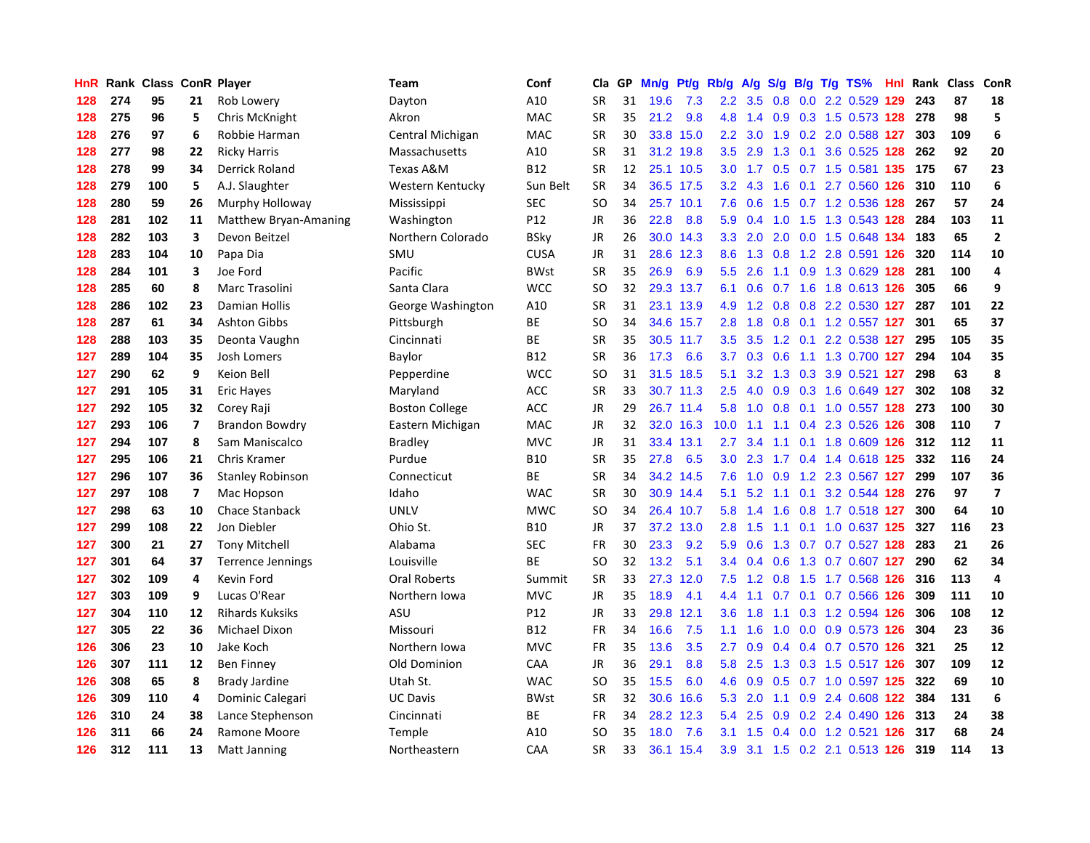| HnR |     | Rank Class ConR Player |                          |                         | Team                  | Conf        | Cla       | GP. | Mn/g | Pt/g Rb/g |                  | A/g |     |  | S/g B/g T/g TS%               | Hnl | Rank | Class | <b>ConR</b>             |
|-----|-----|------------------------|--------------------------|-------------------------|-----------------------|-------------|-----------|-----|------|-----------|------------------|-----|-----|--|-------------------------------|-----|------|-------|-------------------------|
| 128 | 274 | 95                     | 21                       | Rob Lowery              | Dayton                | A10         | SR        | 31  | 19.6 | 7.3       | $2.2\phantom{0}$ | 3.5 | 0.8 |  | 0.0 2.2 0.529 129             |     | 243  | 87    | 18                      |
| 128 | 275 | 96                     | 5                        | Chris McKnight          | Akron                 | MAC         | SR        | 35  | 21.2 | 9.8       | 4.8              | 1.4 |     |  | 0.9 0.3 1.5 0.573 128 278     |     |      | 98    | 5                       |
| 128 | 276 | 97                     | 6                        | Robbie Harman           | Central Michigan      | <b>MAC</b>  | <b>SR</b> | 30  |      | 33.8 15.0 | $2.2\phantom{0}$ | 3.0 |     |  | 1.9 0.2 2.0 0.588 127         |     | 303  | 109   | 6                       |
| 128 | 277 | 98                     | 22                       | <b>Ricky Harris</b>     | Massachusetts         | A10         | <b>SR</b> | 31  | 31.2 | 19.8      | 3.5              | 2.9 | 1.3 |  | 0.1 3.6 0.525 128             |     | 262  | 92    | 20                      |
| 128 | 278 | 99                     | 34                       | Derrick Roland          | Texas A&M             | <b>B12</b>  | <b>SR</b> | 12  | 25.1 | 10.5      | 3.0 <sub>2</sub> | 1.7 | 0.5 |  | 0.7 1.5 0.581 135             |     | 175  | 67    | 23                      |
| 128 | 279 | 100                    | 5                        | A.J. Slaughter          | Western Kentucky      | Sun Belt    | <b>SR</b> | 34  | 36.5 | 17.5      | 3.2              | 4.3 | 1.6 |  | 0.1 2.7 0.560 126             |     | 310  | 110   | $\boldsymbol{6}$        |
| 128 | 280 | 59                     | 26                       | Murphy Holloway         | Mississippi           | <b>SEC</b>  | <b>SO</b> | 34  | 25.7 | 10.1      | 7.6              | 0.6 | 1.5 |  | 0.7 1.2 0.536 128             |     | 267  | 57    | 24                      |
| 128 | 281 | 102                    | 11                       | Matthew Bryan-Amaning   | Washington            | P12         | <b>JR</b> | 36  | 22.8 | 8.8       | 5.9              | 0.4 | 1.0 |  | 1.5 1.3 0.543 128             |     | 284  | 103   | 11                      |
| 128 | 282 | 103                    | 3                        | Devon Beitzel           | Northern Colorado     | BSky        | JR        | 26  | 30.0 | 14.3      | 3.3              | 2.0 | 2.0 |  | 0.0 1.5 0.648 134             |     | 183  | 65    | $\overline{2}$          |
| 128 | 283 | 104                    | 10                       | Papa Dia                | SMU                   | <b>CUSA</b> | <b>JR</b> | 31  | 28.6 | 12.3      | 8.6              | 1.3 |     |  | 0.8 1.2 2.8 0.591 126         |     | 320  | 114   | 10                      |
| 128 | 284 | 101                    | 3                        | Joe Ford                | Pacific               | <b>BWst</b> | <b>SR</b> | 35  | 26.9 | 6.9       | 5.5              | 2.6 |     |  | 1.1 0.9 1.3 0.629 128         |     | 281  | 100   | 4                       |
| 128 | 285 | 60                     | 8                        | Marc Trasolini          | Santa Clara           | <b>WCC</b>  | <b>SO</b> | 32  |      | 29.3 13.7 | 6.1              | 0.6 |     |  | 0.7 1.6 1.8 0.613 126         |     | 305  | 66    | 9                       |
| 128 | 286 | 102                    | 23                       | Damian Hollis           | George Washington     | A10         | <b>SR</b> | 31  |      | 23.1 13.9 | 4.9              | 1.2 | 0.8 |  | 0.8 2.2 0.530 127             |     | 287  | 101   | 22                      |
| 128 | 287 | 61                     | 34                       | <b>Ashton Gibbs</b>     | Pittsburgh            | <b>BE</b>   | <b>SO</b> | 34  | 34.6 | 15.7      | 2.8              | 1.8 | 0.8 |  | 0.1 1.2 0.557 127             |     | 301  | 65    | 37                      |
| 128 | 288 | 103                    | 35                       | Deonta Vaughn           | Cincinnati            | <b>BE</b>   | <b>SR</b> | 35  |      | 30.5 11.7 | 3.5              | 3.5 |     |  | 1.2 0.1 2.2 0.538 127         |     | 295  | 105   | 35                      |
| 127 | 289 | 104                    | 35                       | Josh Lomers             | Baylor                | <b>B12</b>  | <b>SR</b> | 36  | 17.3 | 6.6       | 3.7              | 0.3 | 0.6 |  | 1.1 1.3 0.700 127             |     | 294  | 104   | 35                      |
| 127 | 290 | 62                     | 9                        | Keion Bell              | Pepperdine            | <b>WCC</b>  | <b>SO</b> | 31  | 31.5 | 18.5      | 5.1              | 3.2 | 1.3 |  | 0.3 3.9 0.521 127             |     | 298  | 63    | 8                       |
| 127 | 291 | 105                    | 31                       | <b>Eric Haves</b>       | Maryland              | ACC         | <b>SR</b> | 33  |      | 30.7 11.3 | 2.5              | 4.0 | 0.9 |  | 0.3 1.6 0.649 127             |     | 302  | 108   | 32                      |
| 127 | 292 | 105                    | 32                       | Corey Raji              | <b>Boston College</b> | ACC         | <b>JR</b> | 29  |      | 26.7 11.4 | 5.8              |     |     |  | 1.0 0.8 0.1 1.0 0.557 128 273 |     |      | 100   | 30                      |
| 127 | 293 | 106                    | $\overline{\phantom{a}}$ | <b>Brandon Bowdry</b>   | Eastern Michigan      | <b>MAC</b>  | <b>JR</b> | 32  |      | 32.0 16.3 | 10.0             | 1.1 |     |  | 1.1 0.4 2.3 0.526 126         |     | 308  | 110   | $\overline{\mathbf{z}}$ |
| 127 | 294 | 107                    | 8                        | Sam Maniscalco          | <b>Bradley</b>        | MVC         | JR        | 31  |      | 33.4 13.1 | $2.7^{\circ}$    | 3.4 |     |  | 1.1 0.1 1.8 0.609 126 312     |     |      | 112   | 11                      |
| 127 | 295 | 106                    | 21                       | Chris Kramer            | Purdue                | <b>B10</b>  | <b>SR</b> | 35  | 27.8 | 6.5       | 3.0 <sub>2</sub> | 2.3 |     |  | 1.7 0.4 1.4 0.618 125         |     | 332  | 116   | 24                      |
| 127 | 296 | 107                    | 36                       | <b>Stanley Robinson</b> | Connecticut           | <b>BE</b>   | <b>SR</b> | 34  | 34.2 | 14.5      | 7.6              | 1.0 | 0.9 |  | 1.2 2.3 0.567 127             |     | 299  | 107   | 36                      |
| 127 | 297 | 108                    | 7                        | Mac Hopson              | Idaho                 | <b>WAC</b>  | <b>SR</b> | 30  | 30.9 | 14.4      | 5.1              | 5.2 | 1.1 |  | 0.1 3.2 0.544 128             |     | 276  | 97    | $\overline{\mathbf{z}}$ |
| 127 | 298 | 63                     | 10                       | <b>Chace Stanback</b>   | <b>UNLV</b>           | <b>MWC</b>  | SO        | 34  | 26.4 | 10.7      | 5.8              | 1.4 | 1.6 |  | 0.8 1.7 0.518 127             |     | 300  | 64    | 10                      |
| 127 | 299 | 108                    | 22                       | Jon Diebler             | Ohio St.              | <b>B10</b>  | JR        | 37  | 37.2 | 13.0      | 2.8              | 1.5 | 1.1 |  | $0.1$ 1.0 0.637 125           |     | 327  | 116   | 23                      |
| 127 | 300 | 21                     | 27                       | <b>Tony Mitchell</b>    | Alabama               | <b>SEC</b>  | FR        | 30  | 23.3 | 9.2       | 5.9              | 0.6 |     |  | 1.3 0.7 0.7 0.527 128         |     | 283  | 21    | 26                      |
| 127 | 301 | 64                     | 37                       | Terrence Jennings       | Louisville            | <b>BE</b>   | SO        | 32  | 13.2 | 5.1       | $3.4^{\circ}$    | 0.4 |     |  | 0.6 1.3 0.7 0.607 127         |     | 290  | 62    | 34                      |
| 127 | 302 | 109                    | 4                        | Kevin Ford              | Oral Roberts          | Summit      | SR        | 33  | 27.3 | 12.0      | 7.5              | 1.2 |     |  | 0.8 1.5 1.7 0.568 126 316     |     |      | 113   | $\overline{a}$          |
| 127 | 303 | 109                    | 9                        | Lucas O'Rear            | Northern Iowa         | MVC         | JR        | 35  | 18.9 | 4.1       | 4.4              | 1.1 |     |  | 0.7 0.1 0.7 0.566 126         |     | 309  | 111   | 10                      |
| 127 | 304 | 110                    | 12                       | <b>Rihards Kuksiks</b>  | ASU                   | P12         | JR        | 33  | 29.8 | 12.1      | 3.6              | 1.8 | 1.1 |  | 0.3 1.2 0.594 126             |     | 306  | 108   | 12                      |
| 127 | 305 | 22                     | 36                       | <b>Michael Dixon</b>    | Missouri              | <b>B12</b>  | <b>FR</b> | 34  | 16.6 | 7.5       | 1.1              | 1.6 | 1.0 |  | 0.0 0.9 0.573 126             |     | 304  | 23    | 36                      |
| 126 | 306 | 23                     | 10                       | Jake Koch               | Northern Iowa         | <b>MVC</b>  | FR        | 35  | 13.6 | 3.5       | 2.7              | 0.9 | 0.4 |  | 0.4 0.7 0.570 126             |     | 321  | 25    | 12                      |
| 126 | 307 | 111                    | 12                       | <b>Ben Finney</b>       | Old Dominion          | CAA         | <b>JR</b> | 36  | 29.1 | 8.8       | 5.8              | 2.5 | 1.3 |  | 0.3 1.5 0.517 126             |     | 307  | 109   | 12                      |
| 126 | 308 | 65                     | 8                        | <b>Brady Jardine</b>    | Utah St.              | <b>WAC</b>  | <b>SO</b> | 35  | 15.5 | 6.0       | 4.6              | 0.9 |     |  | $0.5$ 0.7 1.0 0.597 125       |     | 322  | 69    | 10                      |
| 126 | 309 | 110                    | 4                        | Dominic Calegari        | <b>UC Davis</b>       | <b>BWst</b> | <b>SR</b> | 32  |      | 30.6 16.6 | 5.3              | 2.0 |     |  | 1.1 0.9 2.4 0.608 122         |     | 384  | 131   | $\boldsymbol{6}$        |
| 126 | 310 | 24                     | 38                       | Lance Stephenson        | Cincinnati            | <b>BE</b>   | <b>FR</b> | 34  | 28.2 | 12.3      | 5.4              | 2.5 |     |  | 0.9 0.2 2.4 0.490 126         |     | 313  | 24    | 38                      |
| 126 | 311 | 66                     | 24                       | Ramone Moore            | Temple                | A10         | SO        | 35  | 18.0 | 7.6       | 3.1              | 1.5 |     |  | 0.4 0.0 1.2 0.521 126         |     | 317  | 68    | 24                      |
| 126 | 312 | 111                    | 13                       | <b>Matt Janning</b>     | Northeastern          | CAA         | <b>SR</b> | 33  | 36.1 | 15.4      | 3.9              |     |     |  | 3.1 1.5 0.2 2.1 0.513 126     |     | 319  | 114   | 13                      |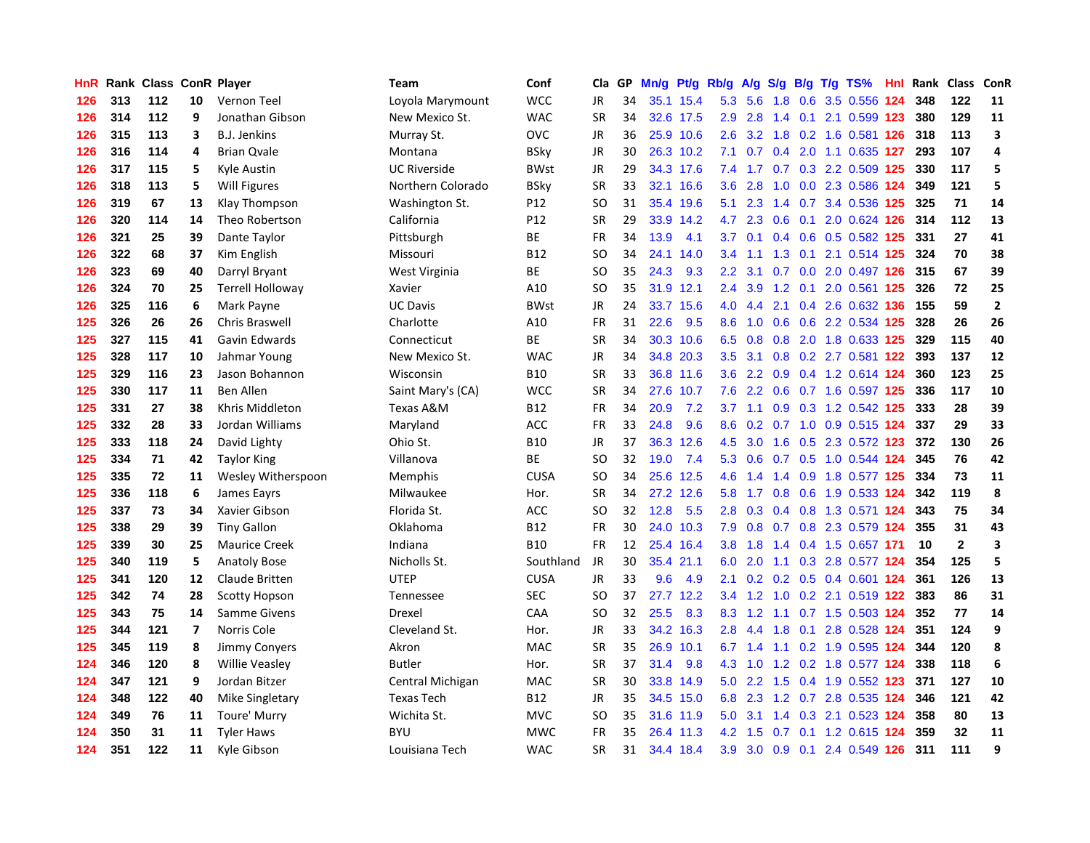| HnR |     | Rank Class ConR Player |                         |                         | Team                | Conf        | Cla       | <b>GP</b> | Mn/g | <b>Pt/g</b> | Rb/g             | A/g           |               |  | S/g B/g T/g TS%               | Hnl | Rank | Class        | <b>ConR</b>    |
|-----|-----|------------------------|-------------------------|-------------------------|---------------------|-------------|-----------|-----------|------|-------------|------------------|---------------|---------------|--|-------------------------------|-----|------|--------------|----------------|
| 126 | 313 | 112                    | 10                      | Vernon Teel             | Loyola Marymount    | <b>WCC</b>  | JR        | 34        |      | 35.1 15.4   | 5.3              | 5.6           | 1.8           |  | 0.6 3.5 0.556 124             |     | 348  | 122          | 11             |
| 126 | 314 | 112                    | 9                       | Jonathan Gibson         | New Mexico St.      | <b>WAC</b>  | <b>SR</b> | 34        |      | 32.6 17.5   | 2.9              | 2.8           |               |  | 1.4 0.1 2.1 0.599 123         |     | 380  | 129          | 11             |
| 126 | 315 | 113                    | 3                       | <b>B.J. Jenkins</b>     | Murray St.          | <b>OVC</b>  | <b>JR</b> | 36        |      | 25.9 10.6   | 2.6              |               |               |  | 3.2 1.8 0.2 1.6 0.581 126     |     | 318  | 113          | 3              |
| 126 | 316 | 114                    | 4                       | <b>Brian Qvale</b>      | Montana             | <b>BSky</b> | JR        | 30        |      | 26.3 10.2   | 7.1              | 0.7           |               |  | 0.4 2.0 1.1 0.635 127         |     | 293  | 107          | 4              |
| 126 | 317 | 115                    | 5                       | Kyle Austin             | <b>UC Riverside</b> | <b>BWst</b> | JR        | 29        |      | 34.3 17.6   | 7.4              | 1.7           |               |  | $0.7$ $0.3$ 2.2 $0.509$ 125   |     | 330  | 117          | 5              |
| 126 | 318 | 113                    | 5                       | <b>Will Figures</b>     | Northern Colorado   | <b>BSky</b> | <b>SR</b> | 33        | 32.1 | 16.6        | 3.6              | 2.8           | 1.0           |  | 0.0 2.3 0.586 124             |     | 349  | 121          | 5              |
| 126 | 319 | 67                     | 13                      | Klay Thompson           | Washington St.      | P12         | SO        | 31        | 35.4 | 19.6        | 5.1              | 2.3           | $1.4^{\circ}$ |  | 0.7 3.4 0.536 125             |     | 325  | 71           | 14             |
| 126 | 320 | 114                    | 14                      | Theo Robertson          | California          | P12         | <b>SR</b> | 29        | 33.9 | 14.2        | 4.7              | 2.3           | 0.6           |  | 0.1 2.0 0.624 126             |     | 314  | 112          | 13             |
| 126 | 321 | 25                     | 39                      | Dante Taylor            | Pittsburgh          | ВE          | <b>FR</b> | 34        | 13.9 | 4.1         | 3.7              | 0.1           |               |  | 0.4 0.6 0.5 0.582 125         |     | 331  | 27           | 41             |
| 126 | 322 | 68                     | 37                      | Kim English             | Missouri            | <b>B12</b>  | <b>SO</b> | 34        | 24.1 | 14.0        | 3.4              | 1.1           |               |  | 1.3 0.1 2.1 0.514 125         |     | 324  | 70           | 38             |
| 126 | 323 | 69                     | 40                      | Darryl Bryant           | West Virginia       | <b>BE</b>   | <b>SO</b> | 35        | 24.3 | 9.3         | 2.2              | 3.1           |               |  | $0.7$ $0.0$ $2.0$ $0.497$ 126 |     | 315  | 67           | 39             |
| 126 | 324 | 70                     | 25                      | <b>Terrell Holloway</b> | Xavier              | A10         | SO        | 35        |      | 31.9 12.1   | $2.4^{\circ}$    | 3.9           |               |  | 1.2 0.1 2.0 0.561 125         |     | 326  | 72           | 25             |
| 126 | 325 | 116                    | 6                       | Mark Payne              | <b>UC Davis</b>     | <b>BWst</b> | JR        | 24        | 33.7 | 15.6        | 4.0              | 4.4           |               |  | 2.1 0.4 2.6 0.632 136         |     | 155  | 59           | $\overline{2}$ |
| 125 | 326 | 26                     | 26                      | Chris Braswell          | Charlotte           | A10         | FR        | 31        | 22.6 | 9.5         | 8.6              | 1.0           |               |  | 0.6 0.6 2.2 0.534 125         |     | 328  | 26           | 26             |
| 125 | 327 | 115                    | 41                      | Gavin Edwards           | Connecticut         | ВE          | <b>SR</b> | 34        |      | 30.3 10.6   | 6.5              | 0.8           | 0.8           |  | 2.0 1.8 0.633 125             |     | 329  | 115          | 40             |
| 125 | 328 | 117                    | 10                      | Jahmar Young            | New Mexico St.      | <b>WAC</b>  | <b>JR</b> | 34        | 34.8 | 20.3        | 3.5              | 3.1           | 0.8           |  | 0.2 2.7 0.581 122             |     | 393  | 137          | 12             |
| 125 | 329 | 116                    | 23                      | Jason Bohannon          | Wisconsin           | <b>B10</b>  | <b>SR</b> | 33        |      | 36.8 11.6   | 3.6              | $2.2^{\circ}$ | 0.9           |  | 0.4 1.2 0.614 124             |     | 360  | 123          | 25             |
| 125 | 330 | 117                    | 11                      | <b>Ben Allen</b>        | Saint Mary's (CA)   | <b>WCC</b>  | <b>SR</b> | 34        | 27.6 | 10.7        | 7.6              | 2.2           | 0.6           |  | 0.7 1.6 0.597 125             |     | 336  | 117          | 10             |
| 125 | 331 | 27                     | 38                      | Khris Middleton         | Texas A&M           | <b>B12</b>  | <b>FR</b> | 34        | 20.9 | 7.2         |                  |               |               |  | 3.7 1.1 0.9 0.3 1.2 0.542 125 |     | 333  | 28           | 39             |
| 125 | 332 | 28                     | 33                      | Jordan Williams         | Maryland            | ACC         | <b>FR</b> | 33        | 24.8 | 9.6         | 8.6              |               |               |  | $0.2$ 0.7 1.0 0.9 0.515 124   |     | 337  | 29           | 33             |
| 125 | 333 | 118                    | 24                      | David Lighty            | Ohio St.            | <b>B10</b>  | JR        | 37        |      | 36.3 12.6   | 4.5              | 3.0           |               |  | 1.6 0.5 2.3 0.572 123         |     | 372  | 130          | 26             |
| 125 | 334 | 71                     | 42                      | <b>Taylor King</b>      | Villanova           | <b>BE</b>   | <b>SO</b> | 32        | 19.0 | 7.4         | 5.3              | 0.6           |               |  | 0.7 0.5 1.0 0.544 124         |     | 345  | 76           | 42             |
| 125 | 335 | 72                     | 11                      | Wesley Witherspoon      | <b>Memphis</b>      | <b>CUSA</b> | SO        | 34        |      | 25.6 12.5   | 4.6              | 1.4           |               |  | 1.4 0.9 1.8 0.577 125         |     | 334  | 73           | 11             |
| 125 | 336 | 118                    | 6                       | James Eayrs             | Milwaukee           | Hor.        | <b>SR</b> | 34        | 27.2 | 12.6        | 5.8              | 1.7           |               |  | 0.8 0.6 1.9 0.533 124         |     | 342  | 119          | 8              |
| 125 | 337 | 73                     | 34                      | Xavier Gibson           | Florida St.         | ACC         | <b>SO</b> | 32        | 12.8 | 5.5         | 2.8              | 0.3           |               |  | 0.4 0.8 1.3 0.571 124         |     | 343  | 75           | 34             |
| 125 | 338 | 29                     | 39                      | <b>Tiny Gallon</b>      | Oklahoma            | <b>B12</b>  | <b>FR</b> | 30        | 24.0 | 10.3        | 7.9              | 0.8           |               |  | 0.7 0.8 2.3 0.579 124         |     | 355  | 31           | 43             |
| 125 | 339 | 30                     | 25                      | <b>Maurice Creek</b>    | Indiana             | <b>B10</b>  | FR        | 12        |      | 25.4 16.4   | 3.8 <sub>2</sub> | 1.8           |               |  | 1.4 0.4 1.5 0.657 171         |     | 10   | $\mathbf{2}$ | 3              |
| 125 | 340 | 119                    | 5                       | <b>Anatoly Bose</b>     | Nicholls St.        | Southland   | JR.       | 30        |      | 35.4 21.1   | 6.0              |               |               |  | 2.0 1.1 0.3 2.8 0.577 124     |     | 354  | 125          | 5              |
| 125 | 341 | 120                    | 12                      | Claude Britten          | <b>UTEP</b>         | <b>CUSA</b> | JR        | 33        | 9.6  | 4.9         | 2.1              | 0.2           |               |  | 0.2 0.5 0.4 0.601 124         |     | 361  | 126          | 13             |
| 125 | 342 | 74                     | 28                      | <b>Scotty Hopson</b>    | Tennessee           | <b>SEC</b>  | <b>SO</b> | 37        | 27.7 | 12.2        | 3.4              | 1.2           |               |  | 1.0 0.2 2.1 0.519 122         |     | 383  | 86           | 31             |
| 125 | 343 | 75                     | 14                      | Samme Givens            | Drexel              | CAA         | <b>SO</b> | 32        | 25.5 | 8.3         | 8.3              | 1.2           | 1.1           |  | 0.7 1.5 0.503 124             |     | 352  | 77           | 14             |
| 125 | 344 | 121                    | $\overline{\mathbf{z}}$ | Norris Cole             | Cleveland St.       | Hor.        | JR        | 33        |      | 34.2 16.3   | 2.8              | 4.4           | 1.8           |  | 0.1 2.8 0.528 124             |     | 351  | 124          | 9              |
| 125 | 345 | 119                    | 8                       | Jimmy Conyers           | Akron               | <b>MAC</b>  | <b>SR</b> | 35        | 26.9 | 10.1        | 6.7              | 1.4           |               |  | 1.1 0.2 1.9 0.595 124         |     | 344  | 120          | 8              |
| 124 | 346 | 120                    | 8                       | <b>Willie Veasley</b>   | <b>Butler</b>       | Hor.        | <b>SR</b> | 37        | 31.4 | 9.8         | 4.3              | 1.0           |               |  | 1.2 0.2 1.8 0.577 124         |     | 338  | 118          | 6              |
| 124 | 347 | 121                    | 9                       | Jordan Bitzer           | Central Michigan    | <b>MAC</b>  | <b>SR</b> | 30        | 33.8 | 14.9        | 5.0              | 2.2           | 1.5           |  | 0.4 1.9 0.552 123             |     | 371  | 127          | 10             |
| 124 | 348 | 122                    | 40                      | <b>Mike Singletary</b>  | <b>Texas Tech</b>   | <b>B12</b>  | JR        | 35        |      | 34.5 15.0   | 6.8              |               |               |  | 2.3 1.2 0.7 2.8 0.535 124     |     | 346  | 121          | 42             |
| 124 | 349 | 76                     | 11                      | Toure' Murry            | Wichita St.         | <b>MVC</b>  | SO        | 35        |      | 31.6 11.9   | 5.0              | 3.1           |               |  | 1.4 0.3 2.1 0.523 124         |     | 358  | 80           | 13             |
| 124 | 350 | 31                     | 11                      | <b>Tyler Haws</b>       | <b>BYU</b>          | <b>MWC</b>  | FR        | 35        |      | 26.4 11.3   | 4.2              | 1.5           |               |  | 0.7 0.1 1.2 0.615 124         |     | 359  | 32           | 11             |
| 124 | 351 | 122                    | 11                      | Kyle Gibson             | Louisiana Tech      | <b>WAC</b>  | <b>SR</b> | 31        |      | 34.4 18.4   | 3.9              |               |               |  | 3.0 0.9 0.1 2.4 0.549 126     |     | 311  | 111          | 9              |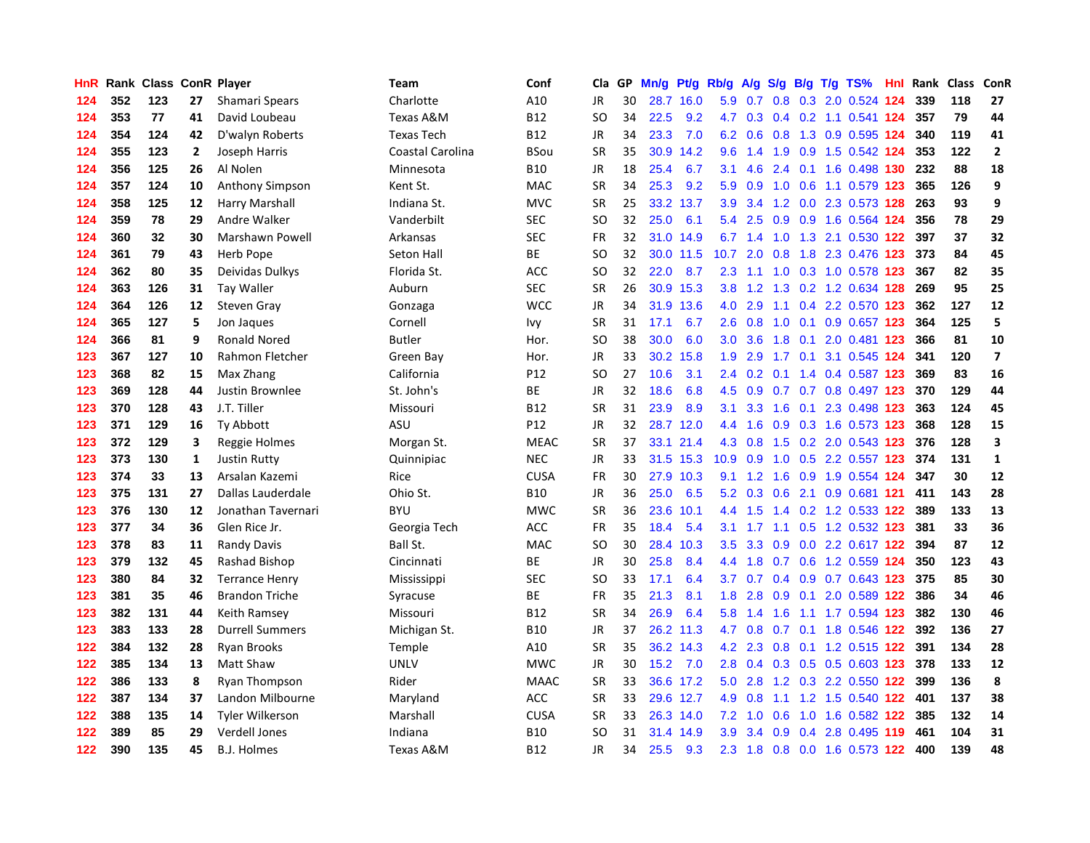| HnR | Rank |     |                | <b>Class ConR Player</b> | <b>Team</b>       | Conf            | Cla       | <b>GP</b> | Mn/g | Pt/g      | Rb/g             | A/g            |     |                 | S/g B/g T/g TS%           | Hnl | Rank | Class | <b>ConR</b>             |
|-----|------|-----|----------------|--------------------------|-------------------|-----------------|-----------|-----------|------|-----------|------------------|----------------|-----|-----------------|---------------------------|-----|------|-------|-------------------------|
| 124 | 352  | 123 | 27             | Shamari Spears           | Charlotte         | A10             | <b>JR</b> | 30        | 28.7 | 16.0      |                  | $5.9\quad 0.7$ | 0.8 |                 | 0.3 2.0 0.524 124         |     | 339  | 118   | 27                      |
| 124 | 353  | 77  | 41             | David Loubeau            | Texas A&M         | <b>B12</b>      | <b>SO</b> | 34        | 22.5 | 9.2       | 4.7              |                |     |                 | 0.3 0.4 0.2 1.1 0.541 124 |     | 357  | 79    | 44                      |
| 124 | 354  | 124 | 42             | D'walyn Roberts          | <b>Texas Tech</b> | <b>B12</b>      | JR        | 34        | 23.3 | 7.0       | 6.2              | 0.6            |     |                 | 0.8 1.3 0.9 0.595 124     |     | 340  | 119   | 41                      |
| 124 | 355  | 123 | $\overline{2}$ | Joseph Harris            | Coastal Carolina  | <b>BSou</b>     | <b>SR</b> | 35        | 30.9 | 14.2      | 9.6              | 1.4            | 1.9 |                 | 0.9 1.5 0.542 124         |     | 353  | 122   | $\overline{2}$          |
| 124 | 356  | 125 | 26             | Al Nolen                 | Minnesota         | <b>B10</b>      | JR        | 18        | 25.4 | 6.7       | 3.1              | 4.6            | 2.4 |                 | 0.1 1.6 0.498 130         |     | 232  | 88    | 18                      |
| 124 | 357  | 124 | 10             | Anthony Simpson          | Kent St.          | <b>MAC</b>      | <b>SR</b> | 34        | 25.3 | 9.2       | 5.9              | 0.9            | 1.0 |                 | 0.6 1.1 0.579 123         |     | 365  | 126   | 9                       |
| 124 | 358  | 125 | 12             | Harry Marshall           | Indiana St.       | <b>MVC</b>      | <b>SR</b> | 25        | 33.2 | 13.7      | 3.9 <sup>°</sup> | 3.4            |     |                 | 1.2 0.0 2.3 0.573 128     |     | 263  | 93    | 9                       |
| 124 | 359  | 78  | 29             | Andre Walker             | Vanderbilt        | <b>SEC</b>      | SO        | 32        | 25.0 | 6.1       | 5.4              | 2.5            | 0.9 |                 | 0.9 1.6 0.564 124         |     | 356  | 78    | 29                      |
| 124 | 360  | 32  | 30             | <b>Marshawn Powell</b>   | Arkansas          | <b>SEC</b>      | <b>FR</b> | 32        |      | 31.0 14.9 | 6.7              | 1.4            | 1.0 |                 | 1.3 2.1 0.530 122         |     | 397  | 37    | 32                      |
| 124 | 361  | 79  | 43             | Herb Pope                | Seton Hall        | <b>BE</b>       | SO        | 32        |      | 30.0 11.5 | 10.7             | 2.0            |     |                 | 0.8 1.8 2.3 0.476 123     |     | 373  | 84    | 45                      |
| 124 | 362  | 80  | 35             | Deividas Dulkys          | Florida St.       | <b>ACC</b>      | <b>SO</b> | 32        | 22.0 | 8.7       | 2.3              |                |     |                 | 1.1 1.0 0.3 1.0 0.578 123 |     | 367  | 82    | 35                      |
| 124 | 363  | 126 | 31             | <b>Tay Waller</b>        | Auburn            | <b>SEC</b>      | <b>SR</b> | 26        |      | 30.9 15.3 | 3.8 <sub>2</sub> |                |     |                 | 1.2 1.3 0.2 1.2 0.634 128 |     | -269 | 95    | 25                      |
| 124 | 364  | 126 | 12             | Steven Gray              | Gonzaga           | <b>WCC</b>      | JR        | 34        | 31.9 | 13.6      | 4.0              | 2.9            | 1.1 |                 | 0.4 2.2 0.570 123         |     | 362  | 127   | 12                      |
| 124 | 365  | 127 | 5              | Jon Jaques               | Cornell           | Ivy             | <b>SR</b> | 31        | 17.1 | 6.7       | 2.6              | 0.8            | 1.0 |                 | 0.1 0.9 0.657 123         |     | 364  | 125   | 5                       |
| 124 | 366  | 81  | 9              | <b>Ronald Nored</b>      | <b>Butler</b>     | Hor.            | SO        | 38        | 30.0 | 6.0       | 3.0 <sub>2</sub> | 3.6            | 1.8 |                 | $0.1$ 2.0 0.481 123       |     | 366  | 81    | 10                      |
| 123 | 367  | 127 | 10             | Rahmon Fletcher          | Green Bay         | Hor.            | JR        | 33        | 30.2 | 15.8      | 1.9              | 2.9            |     | $1.7 \quad 0.1$ | 3.1 0.545 124             |     | 341  | 120   | $\overline{\mathbf{z}}$ |
| 123 | 368  | 82  | 15             | Max Zhang                | California        | P12             | <b>SO</b> | 27        | 10.6 | 3.1       | $2.4^{\circ}$    | 0.2            | 0.1 |                 | 1.4 0.4 0.587 123         |     | 369  | 83    | 16                      |
| 123 | 369  | 128 | 44             | Justin Brownlee          | St. John's        | <b>BE</b>       | JR        | 32        | 18.6 | 6.8       | 4.5              | 0.9            |     |                 | 0.7 0.7 0.8 0.497 123     |     | 370  | 129   | 44                      |
| 123 | 370  | 128 | 43             | J.T. Tiller              | Missouri          | <b>B12</b>      | <b>SR</b> | 31        | 23.9 | 8.9       | 3.1              | 3.3            |     |                 | 1.6 0.1 2.3 0.498 123     |     | 363  | 124   | 45                      |
| 123 | 371  | 129 | 16             | Ty Abbott                | ASU               | P <sub>12</sub> | JR        | 32        |      | 28.7 12.0 | 4.4              | 1.6            |     |                 | 0.9 0.3 1.6 0.573 123     |     | 368  | 128   | 15                      |
| 123 | 372  | 129 | 3              | Reggie Holmes            | Morgan St.        | <b>MEAC</b>     | <b>SR</b> | 37        | 33.1 | 21.4      | 4.3              | 0.8            |     |                 | 1.5 0.2 2.0 0.543 123     |     | 376  | 128   | $\overline{\mathbf{3}}$ |
| 123 | 373  | 130 | 1              | <b>Justin Rutty</b>      | Quinnipiac        | <b>NEC</b>      | JR        | 33        | 31.5 | 15.3      | 10.9             | 0.9            | 1.0 |                 | 0.5 2.2 0.557 123         |     | 374  | 131   | $\mathbf{1}$            |
| 123 | 374  | 33  | 13             | Arsalan Kazemi           | Rice              | <b>CUSA</b>     | <b>FR</b> | 30        | 27.9 | 10.3      | 9.1              | 1.2            | 1.6 |                 | 0.9 1.9 0.554 124         |     | 347  | 30    | 12                      |
| 123 | 375  | 131 | 27             | Dallas Lauderdale        | Ohio St.          | <b>B10</b>      | JR        | 36        | 25.0 | 6.5       | 5.2              | 0.3            | 0.6 |                 | 2.1 0.9 0.681 121         |     | 411  | 143   | 28                      |
| 123 | 376  | 130 | 12             | Jonathan Tavernari       | <b>BYU</b>        | <b>MWC</b>      | <b>SR</b> | 36        | 23.6 | 10.1      | 4.4              | 1.5            |     |                 | 1.4 0.2 1.2 0.533 122     |     | 389  | 133   | 13                      |
| 123 | 377  | 34  | 36             | Glen Rice Jr.            | Georgia Tech      | <b>ACC</b>      | <b>FR</b> | 35        | 18.4 | 5.4       | 3.1              | 1.7            |     |                 | 1.1 0.5 1.2 0.532 123     |     | 381  | 33    | 36                      |
| 123 | 378  | 83  | 11             | <b>Randy Davis</b>       | Ball St.          | <b>MAC</b>      | SO.       | 30        | 28.4 | 10.3      | 3.5              | 3.3            |     |                 | 0.9 0.0 2.2 0.617 122     |     | 394  | 87    | 12                      |
| 123 | 379  | 132 | 45             | Rashad Bishop            | Cincinnati        | <b>BE</b>       | JR        | 30        | 25.8 | 8.4       | 4.4              | 1.8            |     |                 | 0.7 0.6 1.2 0.559 124     |     | 350  | 123   | 43                      |
| 123 | 380  | 84  | 32             | <b>Terrance Henry</b>    | Mississippi       | <b>SEC</b>      | <b>SO</b> | 33        | 17.1 | 6.4       | 3.7              | 0.7            |     |                 | $0.4$ 0.9 0.7 0.643 123   |     | 375  | 85    | 30                      |
| 123 | 381  | 35  | 46             | <b>Brandon Triche</b>    | Syracuse          | ВE              | <b>FR</b> | 35        | 21.3 | 8.1       | 1.8              | 2.8            | 0.9 | 0.1             | 2.0 0.589 122             |     | 386  | 34    | 46                      |
| 123 | 382  | 131 | 44             | Keith Ramsey             | Missouri          | <b>B12</b>      | <b>SR</b> | 34        | 26.9 | 6.4       | 5.8              | 1.4            | 1.6 |                 | 1.1 1.7 0.594 123         |     | 382  | 130   | 46                      |
| 123 | 383  | 133 | 28             | <b>Durrell Summers</b>   | Michigan St.      | <b>B10</b>      | <b>JR</b> | 37        |      | 26.2 11.3 | 4.7              | 0.8            | 0.7 |                 | 0.1 1.8 0.546             | 122 | 392  | 136   | 27                      |
| 122 | 384  | 132 | 28             | <b>Ryan Brooks</b>       | Temple            | A10             | <b>SR</b> | 35        | 36.2 | 14.3      | 4.2              | 2.3            | 0.8 |                 | 0.1 1.2 0.515 122         |     | 391  | 134   | 28                      |
| 122 | 385  | 134 | 13             | Matt Shaw                | <b>UNLV</b>       | <b>MWC</b>      | <b>JR</b> | 30        | 15.2 | 7.0       | 2.8              | 0.4            |     |                 | 0.3 0.5 0.5 0.603 123     |     | 378  | 133   | 12                      |
| 122 | 386  | 133 | 8              | <b>Ryan Thompson</b>     | Rider             | <b>MAAC</b>     | <b>SR</b> | 33        |      | 36.6 17.2 | 5.0              | 2.8            |     |                 | 1.2 0.3 2.2 0.550 122     |     | 399  | 136   | 8                       |
| 122 | 387  | 134 | 37             | Landon Milbourne         | Maryland          | ACC             | <b>SR</b> | 33        |      | 29.6 12.7 | 4.9              | 0.8            |     |                 | 1.1 1.2 1.5 0.540 122 401 |     |      | 137   | 38                      |
| 122 | 388  | 135 | 14             | <b>Tyler Wilkerson</b>   | Marshall          | <b>CUSA</b>     | <b>SR</b> | 33        |      | 26.3 14.0 | 7.2              | 1.0            | 0.6 |                 | 1.0 1.6 0.582 122         |     | 385  | 132   | 14                      |
| 122 | 389  | 85  | 29             | Verdell Jones            | Indiana           | <b>B10</b>      | <b>SO</b> | 31        | 31.4 | 14.9      | 3.9              | 3.4            | 0.9 | 0.4             | 2.8 0.495                 | 119 | 461  | 104   | 31                      |
| 122 | 390  | 135 | 45             | <b>B.J. Holmes</b>       | Texas A&M         | <b>B12</b>      | <b>JR</b> | 34        | 25.5 | 9.3       | 2.3              | 1.8            |     |                 | 0.8 0.0 1.6 0.573 122     |     | 400  | 139   | 48                      |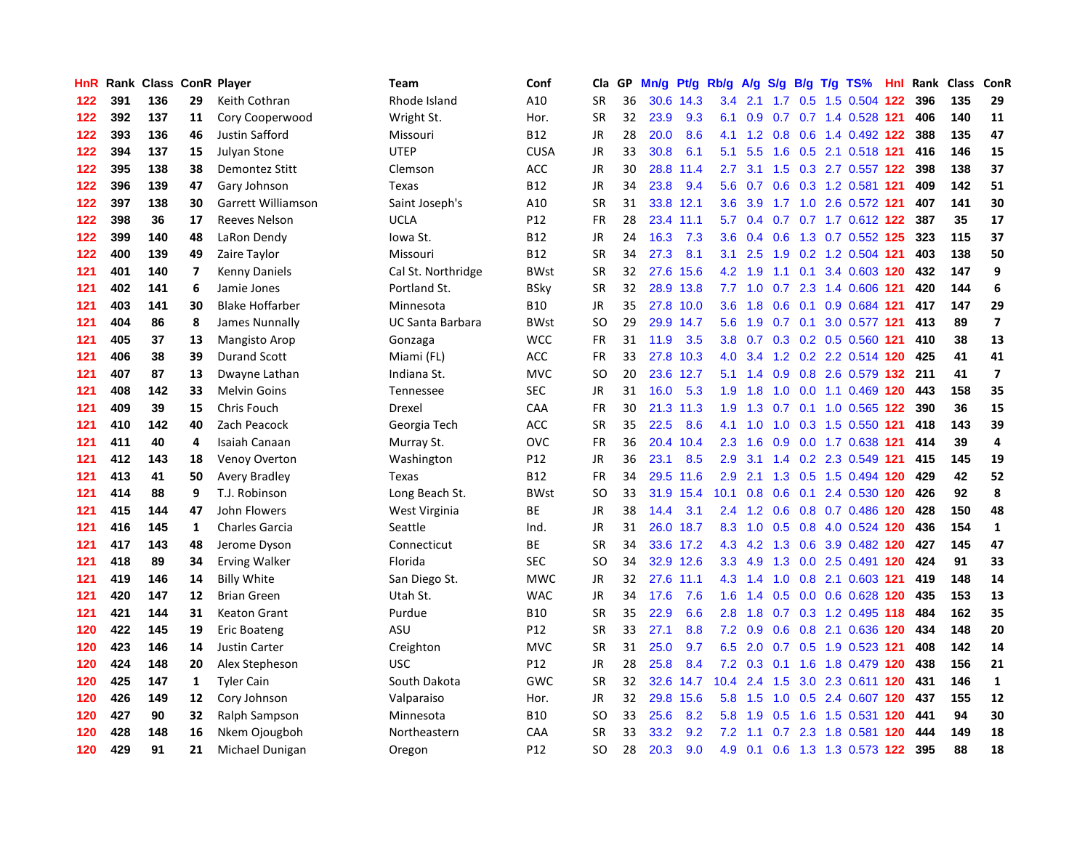| HnR | Rank |     |    | <b>Class ConR Player</b> | Team                    | Conf        | Cla       | <b>GP</b> | Mn/g | <b>Pt/g</b> | Rb/g | A/g |                  |  | S/g B/g T/g TS%               | Hnl | Rank | <b>Class</b> | <b>ConR</b>             |
|-----|------|-----|----|--------------------------|-------------------------|-------------|-----------|-----------|------|-------------|------|-----|------------------|--|-------------------------------|-----|------|--------------|-------------------------|
| 122 | 391  | 136 | 29 | Keith Cothran            | Rhode Island            | A10         | <b>SR</b> | 36        | 30.6 | 14.3        | 3.4  | 2.1 | 1.7              |  | 0.5 1.5 0.504 122             |     | 396  | 135          | 29                      |
| 122 | 392  | 137 | 11 | Cory Cooperwood          | Wright St.              | Hor.        | SR        | 32        | 23.9 | 9.3         | 6.1  |     |                  |  | 0.9 0.7 0.7 1.4 0.528 121     |     | 406  | 140          | 11                      |
| 122 | 393  | 136 | 46 | <b>Justin Safford</b>    | Missouri                | <b>B12</b>  | JR        | 28        | 20.0 | 8.6         | 4.1  |     |                  |  | 1.2 0.8 0.6 1.4 0.492 122     |     | 388  | 135          | 47                      |
| 122 | 394  | 137 | 15 | Julyan Stone             | <b>UTEP</b>             | <b>CUSA</b> | JR        | 33        | 30.8 | 6.1         | 5.1  | 5.5 | 1.6              |  | 0.5 2.1 0.518 121             |     | 416  | 146          | 15                      |
| 122 | 395  | 138 | 38 | Demontez Stitt           | Clemson                 | ACC         | <b>JR</b> | 30        | 28.8 | 11.4        | 2.7  | 3.1 | 1.5              |  | 0.3 2.7 0.557 122             |     | 398  | 138          | 37                      |
| 122 | 396  | 139 | 47 | Gary Johnson             | Texas                   | <b>B12</b>  | JR        | 34        | 23.8 | 9.4         | 5.6  | 0.7 |                  |  | 0.6 0.3 1.2 0.581 121         |     | 409  | 142          | 51                      |
| 122 | 397  | 138 | 30 | Garrett Williamson       | Saint Joseph's          | A10         | <b>SR</b> | 31        |      | 33.8 12.1   | 3.6  | 3.9 |                  |  | 1.7 1.0 2.6 0.572 121         |     | 407  | 141          | 30                      |
| 122 | 398  | 36  | 17 | <b>Reeves Nelson</b>     | <b>UCLA</b>             | P12         | FR        | 28        |      | 23.4 11.1   | 5.7  | 0.4 | 0.7              |  | 0.7 1.7 0.612 122             |     | 387  | 35           | 17                      |
| 122 | 399  | 140 | 48 | LaRon Dendy              | Iowa St.                | <b>B12</b>  | <b>JR</b> | 24        | 16.3 | 7.3         | 3.6  | 0.4 | 0.6              |  | 1.3 0.7 0.552 125             |     | 323  | 115          | 37                      |
| 122 | 400  | 139 | 49 | Zaire Taylor             | Missouri                | <b>B12</b>  | <b>SR</b> | 34        | 27.3 | 8.1         | 3.1  | 2.5 |                  |  | 1.9 0.2 1.2 0.504 121         |     | 403  | 138          | 50                      |
| 121 | 401  | 140 | 7  | <b>Kenny Daniels</b>     | Cal St. Northridge      | <b>BWst</b> | <b>SR</b> | 32        |      | 27.6 15.6   | 4.2  | 1.9 |                  |  | 1.1 0.1 3.4 0.603 120         |     | 432  | 147          | 9                       |
| 121 | 402  | 141 | 6  | Jamie Jones              | Portland St.            | <b>BSky</b> | <b>SR</b> | 32        |      | 28.9 13.8   | 7.7  | 1.0 |                  |  | 0.7 2.3 1.4 0.606 121         |     | 420  | 144          | 6                       |
| 121 | 403  | 141 | 30 | <b>Blake Hoffarber</b>   | Minnesota               | <b>B10</b>  | JR        | 35        | 27.8 | 10.0        | 3.6  | 1.8 | 0.6              |  | 0.1 0.9 0.684 121             |     | 417  | 147          | 29                      |
| 121 | 404  | 86  | 8  | James Nunnally           | <b>UC Santa Barbara</b> | <b>BWst</b> | <b>SO</b> | 29        | 29.9 | 14.7        | 5.6  | 1.9 |                  |  | 0.7 0.1 3.0 0.577 121         |     | 413  | 89           | $\overline{\mathbf{z}}$ |
| 121 | 405  | 37  | 13 | Mangisto Arop            | Gonzaga                 | <b>WCC</b>  | <b>FR</b> | 31        | 11.9 | 3.5         | 3.8  | 0.7 |                  |  | $0.3$ 0.2 0.5 0.560           | 121 | 410  | 38           | 13                      |
| 121 | 406  | 38  | 39 | <b>Durand Scott</b>      | Miami (FL)              | ACC         | FR        | 33        | 27.8 | 10.3        | 4.0  | 3.4 |                  |  | 1.2 0.2 2.2 0.514 120         |     | 425  | 41           | 41                      |
| 121 | 407  | 87  | 13 | Dwayne Lathan            | Indiana St.             | <b>MVC</b>  | <b>SO</b> | 20        | 23.6 | 12.7        | 5.1  | 1.4 | 0.9 <sub>0</sub> |  | 0.8 2.6 0.579 132 211         |     |      | 41           | $\overline{\mathbf{z}}$ |
| 121 | 408  | 142 | 33 | <b>Melvin Goins</b>      | Tennessee               | SEC         | <b>JR</b> | 31        | 16.0 | 5.3         | 1.9  | 1.8 | 1.0              |  | 0.0 1.1 0.469 120             |     | 443  | 158          | 35                      |
| 121 | 409  | 39  | 15 | Chris Fouch              | Drexel                  | CAA         | <b>FR</b> | 30        |      | 21.3 11.3   | 1.9  |     |                  |  | 1.3 0.7 0.1 1.0 0.565 122     |     | 390  | 36           | 15                      |
| 121 | 410  | 142 | 40 | Zach Peacock             | Georgia Tech            | ACC         | <b>SR</b> | 35        | 22.5 | 8.6         | 4.1  |     |                  |  | 1.0 1.0 0.3 1.5 0.550 121     |     | 418  | 143          | 39                      |
| 121 | 411  | 40  | 4  | Isaiah Canaan            | Murray St.              | OVC         | <b>FR</b> | 36        |      | 20.4 10.4   | 2.3  | 1.6 | 0.9              |  | 0.0 1.7 0.638 121             |     | 414  | 39           | $\overline{\mathbf{4}}$ |
| 121 | 412  | 143 | 18 | Venoy Overton            | Washington              | P12         | JR        | 36        | 23.1 | 8.5         | 2.9  | 3.1 | 1.4              |  | 0.2 2.3 0.549 121             |     | 415  | 145          | 19                      |
| 121 | 413  | 41  | 50 | Avery Bradley            | Texas                   | <b>B12</b>  | FR        | 34        |      | 29.5 11.6   | 2.9  | 2.1 |                  |  | 1.3 0.5 1.5 0.494 120         |     | 429  | 42           | 52                      |
| 121 | 414  | 88  | 9  | T.J. Robinson            | Long Beach St.          | <b>BWst</b> | <b>SO</b> | 33        | 31.9 | 15.4        | 10.1 | 0.8 | 0.6              |  | 0.1 2.4 0.530                 | 120 | 426  | 92           | 8                       |
| 121 | 415  | 144 | 47 | John Flowers             | West Virginia           | ВE          | <b>JR</b> | 38        | 14.4 | 3.1         | 2.4  | 1.2 | 0.6              |  | 0.8 0.7 0.486 120             |     | 428  | 150          | 48                      |
| 121 | 416  | 145 | 1  | <b>Charles Garcia</b>    | Seattle                 | Ind.        | JR        | 31        |      | 26.0 18.7   | 8.3  | 1.0 |                  |  | 0.5 0.8 4.0 0.524 120         |     | 436  | 154          | $\mathbf{1}$            |
| 121 | 417  | 143 | 48 | Jerome Dyson             | Connecticut             | <b>BE</b>   | <b>SR</b> | 34        |      | 33.6 17.2   |      |     |                  |  | 4.3 4.2 1.3 0.6 3.9 0.482 120 |     | 427  | 145          | 47                      |
| 121 | 418  | 89  | 34 | <b>Erving Walker</b>     | Florida                 | <b>SEC</b>  | <b>SO</b> | 34        |      | 32.9 12.6   | 3.3  | 4.9 |                  |  | 1.3 0.0 2.5 0.491 120         |     | 424  | 91           | 33                      |
| 121 | 419  | 146 | 14 | <b>Billy White</b>       | San Diego St.           | <b>MWC</b>  | JR        | 32        | 27.6 | 11.1        | 4.3  | 1.4 | 1.0              |  | 0.8 2.1 0.603 121             |     | 419  | 148          | 14                      |
| 121 | 420  | 147 | 12 | <b>Brian Green</b>       | Utah St.                | <b>WAC</b>  | <b>JR</b> | 34        | 17.6 | 7.6         | 1.6  | 1.4 | 0.5              |  | 0.0 0.6 0.628 120             |     | 435  | 153          | 13                      |
| 121 | 421  | 144 | 31 | <b>Keaton Grant</b>      | Purdue                  | <b>B10</b>  | <b>SR</b> | 35        | 22.9 | 6.6         | 2.8  | 1.8 |                  |  | 0.7 0.3 1.2 0.495 118         |     | 484  | 162          | 35                      |
| 120 | 422  | 145 | 19 | <b>Eric Boateng</b>      | ASU                     | P12         | <b>SR</b> | 33        | 27.1 | 8.8         | 7.2  | 0.9 | 0.6              |  | 0.8 2.1 0.636 120             |     | 434  | 148          | 20                      |
| 120 | 423  | 146 | 14 | Justin Carter            | Creighton               | MVC         | <b>SR</b> | 31        | 25.0 | 9.7         | 6.5  | 2.0 |                  |  | 0.7 0.5 1.9 0.523 121         |     | 408  | 142          | 14                      |
| 120 | 424  | 148 | 20 | Alex Stepheson           | <b>USC</b>              | P12         | <b>JR</b> | 28        | 25.8 | 8.4         | 7.2  | 0.3 | 0.1              |  | 1.6 1.8 0.479 120             |     | 438  | 156          | 21                      |
| 120 | 425  | 147 | 1  | <b>Tyler Cain</b>        | South Dakota            | GWC         | <b>SR</b> | 32        |      | 32.6 14.7   | 10.4 | 2.4 | 1.5              |  | 3.0 2.3 0.611 120             |     | 431  | 146          | $\mathbf{1}$            |
| 120 | 426  | 149 | 12 | Cory Johnson             | Valparaiso              | Hor.        | JR        | 32        | 29.8 | 15.6        | 5.8  | 1.5 |                  |  | 1.0 0.5 2.4 0.607 120         |     | 437  | 155          | 12                      |
| 120 | 427  | 90  | 32 | Ralph Sampson            | Minnesota               | <b>B10</b>  | SO        | 33        | 25.6 | 8.2         | 5.8  | 1.9 |                  |  | 0.5 1.6 1.5 0.531 120         |     | 441  | 94           | 30                      |
| 120 | 428  | 148 | 16 | Nkem Ojougboh            | Northeastern            | CAA         | <b>SR</b> | 33        | 33.2 | 9.2         | 7.2  | 1.1 | 0.7              |  | 2.3 1.8 0.581 120             |     | 444  | 149          | 18                      |
| 120 | 429  | 91  | 21 | Michael Dunigan          | Oregon                  | P12         | SO.       | 28        | 20.3 | 9.0         | 4.9  | 0.1 |                  |  | 0.6 1.3 1.3 0.573 122         |     | 395  | 88           | 18                      |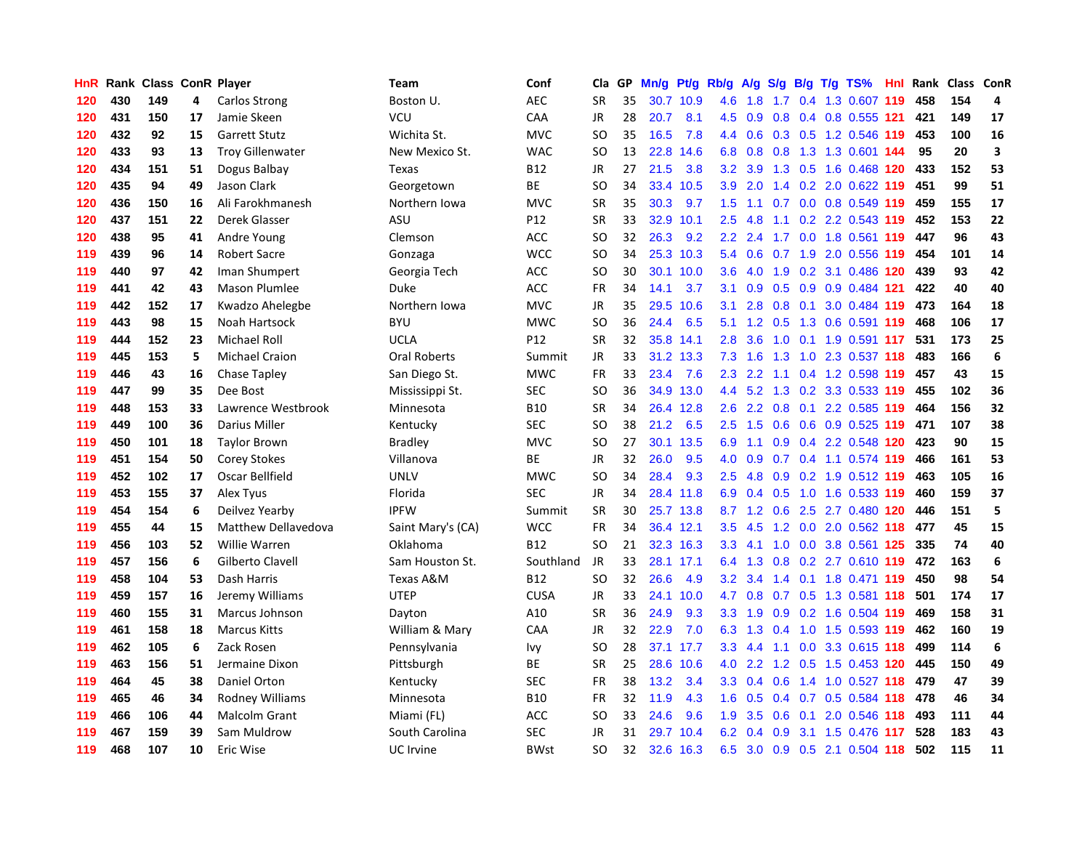| HnR | Rank |     |    | <b>Class ConR Player</b>   | Team                | Conf        | Cla           | <b>GP</b> | Mn/g | Pt/g      | Rb/g             | A/g           |     |  | S/g B/g T/g TS%           | Hnl | Rank | <b>Class</b> | <b>ConR</b>             |
|-----|------|-----|----|----------------------------|---------------------|-------------|---------------|-----------|------|-----------|------------------|---------------|-----|--|---------------------------|-----|------|--------------|-------------------------|
| 120 | 430  | 149 | 4  | Carlos Strong              | Boston U.           | <b>AEC</b>  | <b>SR</b>     | 35        |      | 30.7 10.9 | 4.6              | 1.8           |     |  | 1.7 0.4 1.3 0.607 119     |     | 458  | 154          | 4                       |
| 120 | 431  | 150 | 17 | Jamie Skeen                | VCU                 | CAA         | <b>JR</b>     | 28        | 20.7 | 8.1       | 4.5              | 0.9           |     |  | 0.8 0.4 0.8 0.555 121     |     | 421  | 149          | 17                      |
| 120 | 432  | 92  | 15 | <b>Garrett Stutz</b>       | Wichita St.         | <b>MVC</b>  | SO            | 35        | 16.5 | 7.8       | $4.4^{\circ}$    | 0.6           |     |  | 0.3 0.5 1.2 0.546 119     |     | 453  | 100          | 16                      |
| 120 | 433  | 93  | 13 | <b>Troy Gillenwater</b>    | New Mexico St.      | <b>WAC</b>  | <b>SO</b>     | 13        | 22.8 | 14.6      | 6.8              | 0.8           |     |  | 0.8 1.3 1.3 0.601 144     |     | 95   | 20           | $\overline{\mathbf{3}}$ |
| 120 | 434  | 151 | 51 | Dogus Balbay               | Texas               | <b>B12</b>  | <b>JR</b>     | 27        | 21.5 | 3.8       | 3.2              | 3.9           |     |  | 1.3 0.5 1.6 0.468 120     |     | 433  | 152          | 53                      |
| 120 | 435  | 94  | 49 | Jason Clark                | Georgetown          | BE          | SO            | 34        | 33.4 | 10.5      | 3.9              | 2.0           |     |  | 1.4 0.2 2.0 0.622 119     |     | 451  | 99           | 51                      |
| 120 | 436  | 150 | 16 | Ali Farokhmanesh           | Northern Iowa       | <b>MVC</b>  | <b>SR</b>     | 35        | 30.3 | 9.7       | 1.5              | 1.1           | 0.7 |  | 0.0 0.8 0.549             | 119 | 459  | 155          | 17                      |
| 120 | 437  | 151 | 22 | Derek Glasser              | ASU                 | P12         | <b>SR</b>     | 33        | 32.9 | 10.1      | 2.5              | 4.8           | 1.1 |  | 0.2 2.2 0.543 119         |     | 452  | 153          | 22                      |
| 120 | 438  | 95  | 41 | Andre Young                | Clemson             | <b>ACC</b>  | <b>SO</b>     | 32        | 26.3 | 9.2       | 2.2              | 2.4           |     |  | 1.7 0.0 1.8 0.561 119     |     | 447  | 96           | 43                      |
| 119 | 439  | 96  | 14 | <b>Robert Sacre</b>        | Gonzaga             | <b>WCC</b>  | <sub>SO</sub> | 34        |      | 25.3 10.3 | 5.4              | 0.6           |     |  | 0.7 1.9 2.0 0.556 119     |     | 454  | 101          | 14                      |
| 119 | 440  | 97  | 42 | Iman Shumpert              | Georgia Tech        | <b>ACC</b>  | <b>SO</b>     | 30        |      | 30.1 10.0 | 3.6              | 4.0           |     |  | 1.9 0.2 3.1 0.486 120 439 |     |      | 93           | 42                      |
| 119 | 441  | 42  | 43 | <b>Mason Plumlee</b>       | Duke                | ACC         | FR            | 34        | 14.1 | 3.7       | 3.1              | 0.9           |     |  | $0.5$ 0.9 0.9 0.484 121   |     | 422  | 40           | 40                      |
| 119 | 442  | 152 | 17 | Kwadzo Ahelegbe            | Northern Iowa       | <b>MVC</b>  | <b>JR</b>     | 35        | 29.5 | 10.6      | 3.1              | 2.8           | 0.8 |  | 0.1 3.0 0.484 119 473     |     |      | 164          | 18                      |
| 119 | 443  | 98  | 15 | Noah Hartsock              | <b>BYU</b>          | <b>MWC</b>  | <b>SO</b>     | 36        | 24.4 | 6.5       | 5.1              | 1.2           | 0.5 |  | 1.3 0.6 0.591 119         |     | 468  | 106          | 17                      |
| 119 | 444  | 152 | 23 | Michael Roll               | <b>UCLA</b>         | P12         | <b>SR</b>     | 32        | 35.8 | 14.1      | 2.8              | 3.6           |     |  | 1.0 0.1 1.9 0.591 117     |     | 531  | 173          | 25                      |
| 119 | 445  | 153 | 5  | <b>Michael Craion</b>      | <b>Oral Roberts</b> | Summit      | <b>JR</b>     | 33        |      | 31.2 13.3 | 7.3              | 1.6           | 1.3 |  | 1.0 2.3 0.537 118         |     | 483  | 166          | 6                       |
| 119 | 446  | 43  | 16 | <b>Chase Tapley</b>        | San Diego St.       | <b>MWC</b>  | <b>FR</b>     | 33        | 23.4 | 7.6       | 2.3              | 2.2           | 1.1 |  | 0.4 1.2 0.598 119         |     | 457  | 43           | 15                      |
| 119 | 447  | 99  | 35 | Dee Bost                   | Mississippi St.     | <b>SEC</b>  | <b>SO</b>     | 36        |      | 34.9 13.0 | $4.4^{\circ}$    | 5.2           |     |  | 1.3 0.2 3.3 0.533 119     |     | 455  | 102          | 36                      |
| 119 | 448  | 153 | 33 | Lawrence Westbrook         | Minnesota           | <b>B10</b>  | <b>SR</b>     | 34        |      | 26.4 12.8 | 2.6              | $2.2^{\circ}$ |     |  | 0.8 0.1 2.2 0.585 119     |     | 464  | 156          | 32                      |
| 119 | 449  | 100 | 36 | Darius Miller              | Kentucky            | <b>SEC</b>  | <b>SO</b>     | 38        | 21.2 | 6.5       | 2.5              | 1.5           |     |  | 0.6 0.6 0.9 0.525 119 471 |     |      | 107          | 38                      |
| 119 | 450  | 101 | 18 | <b>Taylor Brown</b>        | Bradley             | <b>MVC</b>  | SO.           | 27        | 30.1 | 13.5      | 6.9              | 1.1           |     |  | $0.9$ 0.4 2.2 0.548 120   |     | -423 | 90           | 15                      |
| 119 | 451  | 154 | 50 | Corey Stokes               | Villanova           | BE          | JR            | 32        | 26.0 | 9.5       | 4.0              | 0.9           |     |  | 0.7 0.4 1.1 0.574 119     |     | 466  | 161          | 53                      |
| 119 | 452  | 102 | 17 | Oscar Bellfield            | <b>UNLV</b>         | <b>MWC</b>  | SO.           | 34        | 28.4 | 9.3       | 2.5              | 4.8           | 0.9 |  | 0.2 1.9 0.512 119         |     | 463  | 105          | 16                      |
| 119 | 453  | 155 | 37 | Alex Tyus                  | Florida             | <b>SEC</b>  | <b>JR</b>     | 34        | 28.4 | 11.8      | 6.9              | 0.4           |     |  | 0.5 1.0 1.6 0.533 119     |     | 460  | 159          | 37                      |
| 119 | 454  | 154 | 6  | Deilvez Yearby             | <b>IPFW</b>         | Summit      | <b>SR</b>     | 30        | 25.7 | 13.8      |                  | 8.7 1.2       | 0.6 |  | 2.5 2.7 0.480 120         |     | 446  | 151          | 5                       |
| 119 | 455  | 44  | 15 | <b>Matthew Dellavedova</b> | Saint Mary's (CA)   | <b>WCC</b>  | <b>FR</b>     | 34        |      | 36.4 12.1 | 3.5              | 4.5           |     |  | 1.2 0.0 2.0 0.562 118     |     | 477  | 45           | 15                      |
| 119 | 456  | 103 | 52 | <b>Willie Warren</b>       | Oklahoma            | <b>B12</b>  | <b>SO</b>     | 21        |      | 32.3 16.3 | 3.3              | 4.1           |     |  | 1.0 0.0 3.8 0.561 125     |     | 335  | 74           | 40                      |
| 119 | 457  | 156 | 6  | Gilberto Clavell           | Sam Houston St.     | Southland   | <b>JR</b>     | 33        |      | 28.1 17.1 | 6.4              | 1.3           |     |  | 0.8 0.2 2.7 0.610 119 472 |     |      | 163          | 6                       |
| 119 | 458  | 104 | 53 | Dash Harris                | Texas A&M           | B12         | <b>SO</b>     | 32        | 26.6 | 4.9       | 3.2              | 3.4           |     |  | 1.4 0.1 1.8 0.471 119 450 |     |      | 98           | 54                      |
| 119 | 459  | 157 | 16 | Jeremy Williams            | <b>UTEP</b>         | <b>CUSA</b> | <b>JR</b>     | 33        | 24.1 | 10.0      | 4.7              | 0.8           |     |  | 0.7 0.5 1.3 0.581 118     |     | 501  | 174          | 17                      |
| 119 | 460  | 155 | 31 | Marcus Johnson             | Dayton              | A10         | <b>SR</b>     | 36        | 24.9 | 9.3       | 3.3              | 1.9           |     |  | 0.9 0.2 1.6 0.504 119     |     | 469  | 158          | 31                      |
| 119 | 461  | 158 | 18 | <b>Marcus Kitts</b>        | William & Mary      | CAA         | JR            | 32        | 22.9 | 7.0       | 6.3              | 1.3           |     |  | 0.4 1.0 1.5 0.593 119     |     | 462  | 160          | 19                      |
| 119 | 462  | 105 | 6  | Zack Rosen                 | Pennsylvania        | Ivy         | <b>SO</b>     | 28        |      | 37.1 17.7 | 3.3 <sub>2</sub> | 4.4           | 1.1 |  | 0.0 3.3 0.615 118         |     | 499  | 114          | 6                       |
| 119 | 463  | 156 | 51 | Jermaine Dixon             | Pittsburgh          | <b>BE</b>   | <b>SR</b>     | 25        | 28.6 | 10.6      | 4.0              | 2.2           | 1.2 |  | 0.5 1.5 0.453 120         |     | 445  | 150          | 49                      |
| 119 | 464  | 45  | 38 | <b>Daniel Orton</b>        | Kentucky            | <b>SEC</b>  | <b>FR</b>     | 38        | 13.2 | 3.4       | 3.3 <sub>2</sub> | 0.4           | 0.6 |  | 1.4 1.0 0.527 118         |     | 479  | 47           | 39                      |
| 119 | 465  | 46  | 34 | <b>Rodney Williams</b>     | Minnesota           | <b>B10</b>  | <b>FR</b>     | 32        | 11.9 | 4.3       | 1.6              | 0.5           |     |  | 0.4 0.7 0.5 0.584 118 478 |     |      | 46           | 34                      |
| 119 | 466  | 106 | 44 | <b>Malcolm Grant</b>       | Miami (FL)          | <b>ACC</b>  | SO            | 33        | 24.6 | 9.6       | 1.9              | 3.5           | 0.6 |  | $0.1$ 2.0 0.546 118       |     | 493  | 111          | 44                      |
| 119 | 467  | 159 | 39 | Sam Muldrow                | South Carolina      | <b>SEC</b>  | JR            | 31        | 29.7 | 10.4      | 6.2              | 0.4           | 0.9 |  | 3.1 1.5 0.476 117         |     | 528  | 183          | 43                      |
| 119 | 468  | 107 | 10 | Eric Wise                  | UC Irvine           | <b>BWst</b> | <b>SO</b>     | 32        |      | 32.6 16.3 | 6.5              | 3.0           |     |  | 0.9 0.5 2.1 0.504 118     |     | 502  | 115          | 11                      |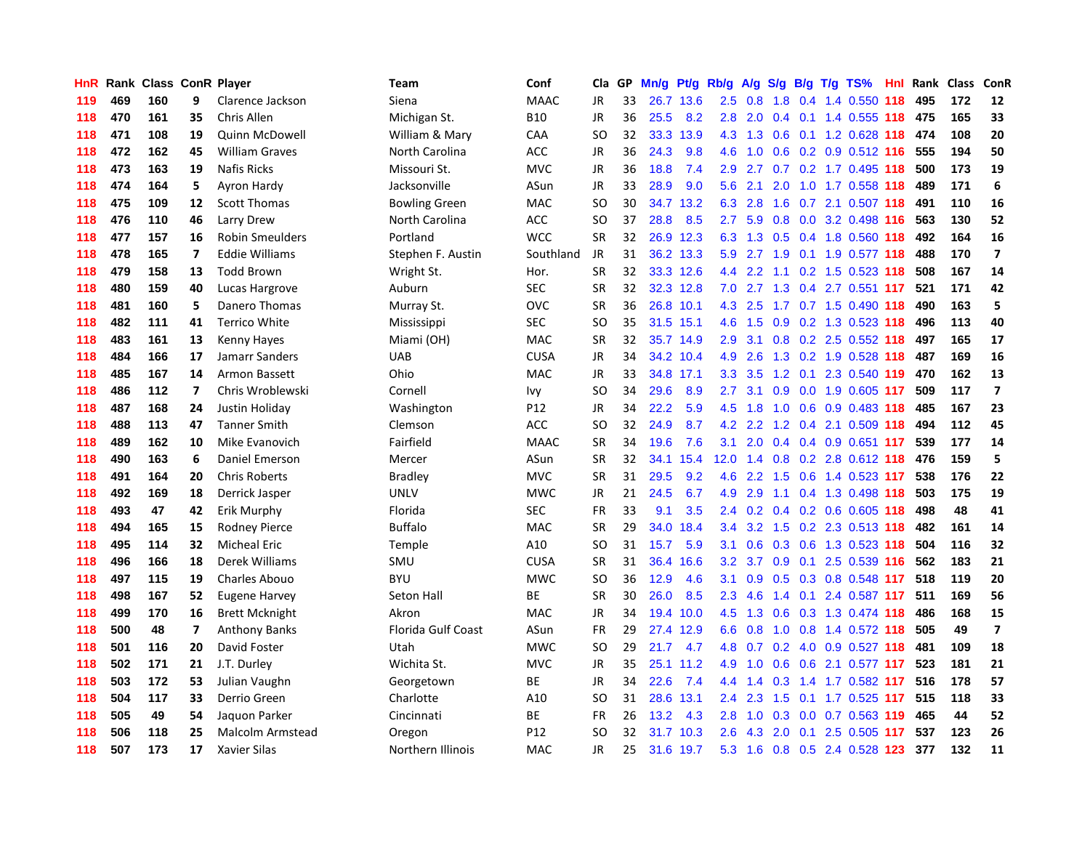| HnR | Rank |     |                          | <b>Class ConR Player</b> | Team                 | Conf        | Cla       | GP | Mn/g | <b>Pt/g</b> | Rb/g          | A/g           |                  |     | $S/g$ B/g T/g TS%                    | Hnl | Rank | Class | <b>ConR</b>             |
|-----|------|-----|--------------------------|--------------------------|----------------------|-------------|-----------|----|------|-------------|---------------|---------------|------------------|-----|--------------------------------------|-----|------|-------|-------------------------|
| 119 | 469  | 160 | 9                        | Clarence Jackson         | Siena                | <b>MAAC</b> | JR        | 33 | 26.7 | 13.6        | 2.5           | 0.8           | 1.8              |     | 0.4 1.4 0.550 118                    |     | 495  | 172   | 12                      |
| 118 | 470  | 161 | 35                       | Chris Allen              | Michigan St.         | <b>B10</b>  | <b>JR</b> | 36 | 25.5 | 8.2         | 2.8           | 2.0           |                  |     | 0.4 0.1 1.4 0.555 118 475            |     |      | 165   | 33                      |
| 118 | 471  | 108 | 19                       | <b>Quinn McDowell</b>    | William & Mary       | CAA         | <b>SO</b> | 32 | 33.3 | 13.9        | 4.3           |               |                  |     | 1.3 0.6 0.1 1.2 0.628 118 474        |     |      | 108   | 20                      |
| 118 | 472  | 162 | 45                       | <b>William Graves</b>    | North Carolina       | ACC         | JR        | 36 | 24.3 | 9.8         | 4.6           | 1.0           |                  |     | $0.6$ $0.2$ $0.9$ $0.512$ <b>116</b> |     | 555  | 194   | 50                      |
| 118 | 473  | 163 | 19                       | <b>Nafis Ricks</b>       | Missouri St.         | <b>MVC</b>  | JR        | 36 | 18.8 | 7.4         | 2.9           | 2.7           |                  |     | 0.7 0.2 1.7 0.495 118                |     | 500  | 173   | 19                      |
| 118 | 474  | 164 | 5                        | Ayron Hardy              | Jacksonville         | ASun        | <b>JR</b> | 33 | 28.9 | 9.0         | 5.6           | 2.1           | 2.0              |     | 1.0 1.7 0.558 118                    |     | 489  | 171   | 6                       |
| 118 | 475  | 109 | 12                       | <b>Scott Thomas</b>      | <b>Bowling Green</b> | <b>MAC</b>  | <b>SO</b> | 30 | 34.7 | 13.2        | 6.3           | 2.8           | 1.6              |     | 0.7 2.1 0.507 118                    |     | 491  | 110   | 16                      |
| 118 | 476  | 110 | 46                       | Larry Drew               | North Carolina       | ACC         | SO        | 37 | 28.8 | 8.5         | 2.7           | 5.9           | 0.8              |     | 0.0 3.2 0.498 116                    |     | 563  | 130   | 52                      |
| 118 | 477  | 157 | 16                       | <b>Robin Smeulders</b>   | Portland             | <b>WCC</b>  | <b>SR</b> | 32 |      | 26.9 12.3   | 6.3           | 1.3           | 0.5              |     | 0.4 1.8 0.560 118                    |     | 492  | 164   | 16                      |
| 118 | 478  | 165 | $\overline{\phantom{a}}$ | <b>Eddie Williams</b>    | Stephen F. Austin    | Southland   | <b>JR</b> | 31 |      | 36.2 13.3   | 5.9           | 2.7           |                  |     | 1.9 0.1 1.9 0.577 118                |     | 488  | 170   | $\overline{\mathbf{z}}$ |
| 118 | 479  | 158 | 13                       | <b>Todd Brown</b>        | Wright St.           | Hor.        | <b>SR</b> | 32 |      | 33.3 12.6   | 4.4           |               |                  |     | 2.2 1.1 0.2 1.5 0.523 118            |     | 508  | 167   | 14                      |
| 118 | 480  | 159 | 40                       | Lucas Hargrove           | Auburn               | <b>SEC</b>  | <b>SR</b> | 32 |      | 32.3 12.8   | 7.0           |               |                  |     | 2.7 1.3 0.4 2.7 0.551 117            |     | 521  | 171   | 42                      |
| 118 | 481  | 160 | 5                        | Danero Thomas            | Murray St.           | OVC         | <b>SR</b> | 36 |      | 26.8 10.1   | 4.3           | 2.5           |                  |     | 1.7 0.7 1.5 0.490 118                |     | 490  | 163   | 5                       |
| 118 | 482  | 111 | 41                       | <b>Terrico White</b>     | Mississippi          | <b>SEC</b>  | <b>SO</b> | 35 | 31.5 | 15.1        | 4.6           | 1.5           | 0.9 <sub>0</sub> |     | 0.2 1.3 0.523 118                    |     | 496  | 113   | 40                      |
| 118 | 483  | 161 | 13                       | <b>Kenny Hayes</b>       | Miami (OH)           | <b>MAC</b>  | <b>SR</b> | 32 |      | 35.7 14.9   | 2.9           | 3.1           |                  |     | 0.8 0.2 2.5 0.552 118                |     | 497  | 165   | 17                      |
| 118 | 484  | 166 | 17                       | Jamarr Sanders           | <b>UAB</b>           | <b>CUSA</b> | JR        | 34 | 34.2 | 10.4        | 4.9           | 2.6           | 1.3              |     | 0.2 1.9 0.528 118                    |     | 487  | 169   | 16                      |
| 118 | 485  | 167 | 14                       | Armon Bassett            | Ohio                 | MAC         | JR        | 33 | 34.8 | 17.1        | 3.3           | 3.5           | 1.2              | 0.1 | 2.3 0.540 119                        |     | 470  | 162   | 13                      |
| 118 | 486  | 112 | $\overline{\mathbf{z}}$  | Chris Wroblewski         | Cornell              | Ivy         | <b>SO</b> | 34 | 29.6 | 8.9         | 2.7           | 3.1           | 0.9              |     | 0.0 1.9 0.605 117                    |     | 509  | 117   | $\overline{\mathbf{z}}$ |
| 118 | 487  | 168 | 24                       | Justin Holiday           | Washington           | P12         | <b>JR</b> | 34 | 22.2 | 5.9         | 4.5           | 1.8           |                  |     | 1.0 0.6 0.9 0.483 118                |     | 485  | 167   | 23                      |
| 118 | 488  | 113 | 47                       | <b>Tanner Smith</b>      | Clemson              | ACC         | SO        | 32 | 24.9 | 8.7         | 4.2           | $2.2^{\circ}$ |                  |     | 1.2 0.4 2.1 0.509 118                |     | 494  | 112   | 45                      |
| 118 | 489  | 162 | 10                       | Mike Evanovich           | Fairfield            | <b>MAAC</b> | <b>SR</b> | 34 | 19.6 | 7.6         | 3.1           | 2.0           |                  |     | $0.4$ 0.4 0.9 0.651 117              |     | 539  | 177   | 14                      |
| 118 | 490  | 163 | 6                        | Daniel Emerson           | Mercer               | ASun        | <b>SR</b> | 32 | 34.1 | 15.4        | 12.0          | 1.4           | 0.8              |     | 0.2 2.8 0.612 118                    |     | 476  | 159   | 5                       |
| 118 | 491  | 164 | 20                       | <b>Chris Roberts</b>     | <b>Bradley</b>       | MVC         | <b>SR</b> | 31 | 29.5 | 9.2         | 4.6           | 2.2           | 1.5              |     | 0.6 1.4 0.523 117                    |     | 538  | 176   | 22                      |
| 118 | 492  | 169 | 18                       | Derrick Jasper           | <b>UNLV</b>          | <b>MWC</b>  | JR        | 21 | 24.5 | 6.7         | 4.9           | 2.9           |                  |     | 1.1 0.4 1.3 0.498 118                |     | 503  | 175   | 19                      |
| 118 | 493  | 47  | 42                       | Erik Murphy              | Florida              | <b>SEC</b>  | FR        | 33 | 9.1  | 3.5         | 2.4           | 0.2           |                  |     | 0.4 0.2 0.6 0.605 118                |     | 498  | 48    | 41                      |
| 118 | 494  | 165 | 15                       | <b>Rodney Pierce</b>     | <b>Buffalo</b>       | <b>MAC</b>  | <b>SR</b> | 29 | 34.0 | 18.4        | 3.4           | 3.2           | 1.5              |     | 0.2 2.3 0.513 118                    |     | 482  | 161   | 14                      |
| 118 | 495  | 114 | 32                       | <b>Micheal Eric</b>      | Temple               | A10         | <b>SO</b> | 31 | 15.7 | 5.9         | 3.1           | 0.6           |                  |     | 0.3 0.6 1.3 0.523 118                |     | 504  | 116   | 32                      |
| 118 | 496  | 166 | 18                       | Derek Williams           | SMU                  | <b>CUSA</b> | <b>SR</b> | 31 | 36.4 | 16.6        | 3.2           | 3.7           |                  |     | 0.9 0.1 2.5 0.539 116                |     | 562  | 183   | 21                      |
| 118 | 497  | 115 | 19                       | Charles Abouo            | <b>BYU</b>           | <b>MWC</b>  | SO        | 36 | 12.9 | 4.6         | 3.1           | 0.9           |                  |     | $0.5$ 0.3 0.8 0.548 117              |     | 518  | 119   | 20                      |
| 118 | 498  | 167 | 52                       | <b>Eugene Harvey</b>     | Seton Hall           | <b>BE</b>   | <b>SR</b> | 30 | 26.0 | 8.5         | $2.3^{\circ}$ | 4.6           |                  |     | 1.4 0.1 2.4 0.587 117                |     | 511  | 169   | 56                      |
| 118 | 499  | 170 | 16                       | <b>Brett Mcknight</b>    | Akron                | <b>MAC</b>  | JR        | 34 | 19.4 | 10.0        | 4.5           | 1.3           | 0.6              |     | 0.3 1.3 0.474 118                    |     | 486  | 168   | 15                      |
| 118 | 500  | 48  | $\overline{ }$           | <b>Anthony Banks</b>     | Florida Gulf Coast   | ASun        | FR        | 29 | 27.4 | 12.9        | 6.6           | 0.8           |                  |     | 1.0 0.8 1.4 0.572 118                |     | 505  | 49    | $\overline{\mathbf{z}}$ |
| 118 | 501  | 116 | 20                       | David Foster             | Utah                 | <b>MWC</b>  | <b>SO</b> | 29 | 21.7 | 4.7         | 4.8           | 0.7           | 0.2              |     | 4.0 0.9 0.527 118                    |     | 481  | 109   | 18                      |
| 118 | 502  | 171 | 21                       | J.T. Durley              | Wichita St.          | <b>MVC</b>  | JR        | 35 | 25.1 | 11.2        | 4.9           | 1.0           | 0.6              |     | 0.6 2.1 0.577 117                    |     | 523  | 181   | 21                      |
| 118 | 503  | 172 | 53                       | Julian Vaughn            | Georgetown           | ВE          | JR        | 34 | 22.6 | 7.4         | 4.4           | 1.4           | 0.3              |     | 1.4 1.7 0.582 117                    |     | 516  | 178   | 57                      |
| 118 | 504  | 117 | 33                       | Derrio Green             | Charlotte            | A10         | SO        | 31 | 28.6 | 13.1        | $2.4^{\circ}$ | 2.3           | 1.5              |     | 0.1 1.7 0.525 117                    |     | 515  | 118   | 33                      |
| 118 | 505  | 49  | 54                       | Jaquon Parker            | Cincinnati           | <b>BE</b>   | <b>FR</b> | 26 | 13.2 | 4.3         | 2.8           |               |                  |     | 1.0 0.3 0.0 0.7 0.563 119            |     | 465  | 44    | 52                      |
| 118 | 506  | 118 | 25                       | Malcolm Armstead         | Oregon               | P12         | SO        | 32 | 31.7 | 10.3        | 2.6           | 4.3           | $2.0^{\circ}$    |     | 0.1 2.5 0.505 117                    |     | 537  | 123   | 26                      |
| 118 | 507  | 173 | 17                       | <b>Xavier Silas</b>      | Northern Illinois    | MAC         | <b>JR</b> | 25 | 31.6 | 19.7        | 5.3           | 1.6           |                  |     | 0.8 0.5 2.4 0.528 123                |     | 377  | 132   | 11                      |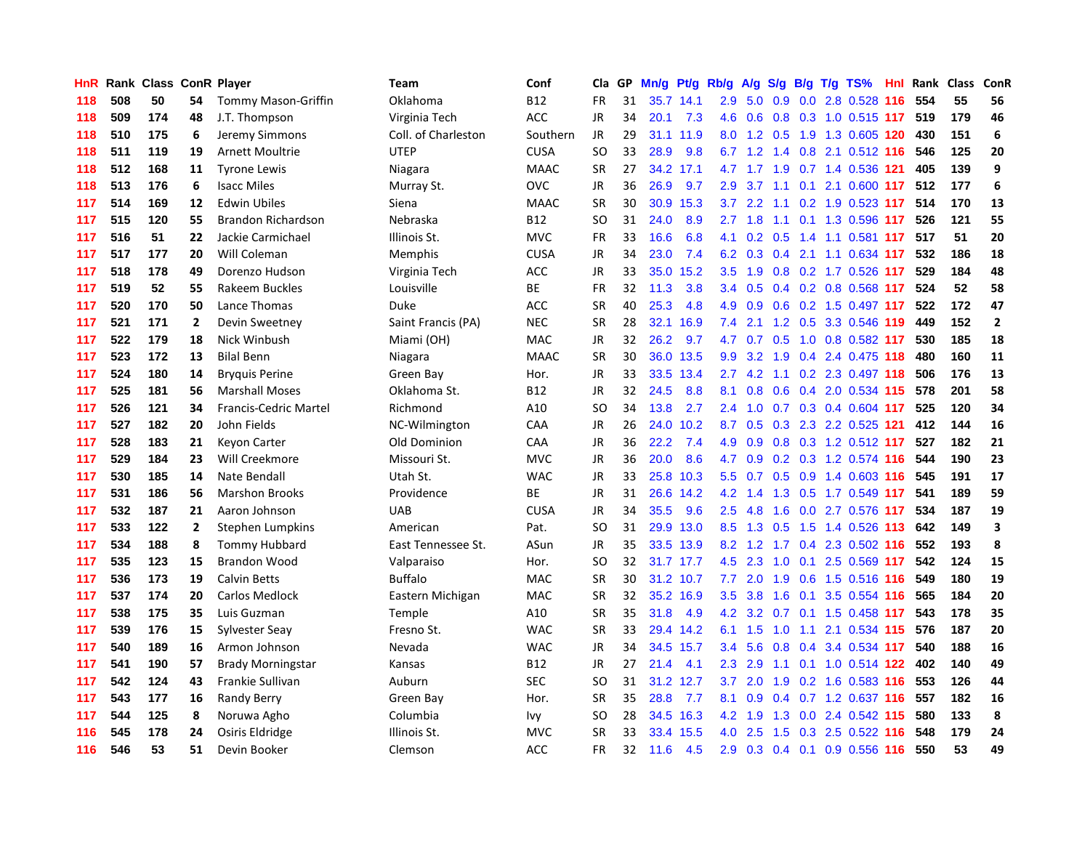| <b>HnR</b> |     | Rank Class ConR Player |                |                              | <b>Team</b>         | Conf        | Cla       | GP | Mn/g | Pt/g      | Rb/g          | A/g              | S/g |  | $B/g$ T/g TS%               |     | Hnl Rank | <b>Class</b> | ConR           |
|------------|-----|------------------------|----------------|------------------------------|---------------------|-------------|-----------|----|------|-----------|---------------|------------------|-----|--|-----------------------------|-----|----------|--------------|----------------|
| 118        | 508 | 50                     | 54             | <b>Tommy Mason-Griffin</b>   | Oklahoma            | <b>B12</b>  | <b>FR</b> | 31 | 35.7 | 14.1      | 2.9           | 5.0              | 0.9 |  | 0.0 2.8 0.528 116           |     | 554      | 55           | 56             |
| 118        | 509 | 174                    | 48             | J.T. Thompson                | Virginia Tech       | ACC         | JR        | 34 | 20.1 | 7.3       | 4.6           | 0.6              |     |  | 0.8 0.3 1.0 0.515 117       |     | 519      | 179          | 46             |
| 118        | 510 | 175                    | 6              | Jeremy Simmons               | Coll. of Charleston | Southern    | <b>JR</b> | 29 |      | 31.1 11.9 | 8.0           |                  |     |  | 1.2 0.5 1.9 1.3 0.605 120   |     | 430      | 151          | 6              |
| 118        | 511 | 119                    | 19             | <b>Arnett Moultrie</b>       | <b>UTEP</b>         | <b>CUSA</b> | SO        | 33 | 28.9 | 9.8       | 6.7           |                  |     |  | 1.2 1.4 0.8 2.1 0.512 116   |     | 546      | 125          | 20             |
| 118        | 512 | 168                    | 11             | <b>Tyrone Lewis</b>          | Niagara             | MAAC        | <b>SR</b> | 27 | 34.2 | 17.1      |               | 4.7 1.7 1.9      |     |  | 0.7 1.4 0.536 121           |     | 405      | 139          | 9              |
| 118        | 513 | 176                    | 6              | <b>Isacc Miles</b>           | Murray St.          | <b>OVC</b>  | JR        | 36 | 26.9 | 9.7       | 2.9           | 3.7              | 1.1 |  | 0.1 2.1 0.600 117           |     | 512      | 177          | 6              |
| 117        | 514 | 169                    | 12             | <b>Edwin Ubiles</b>          | Siena               | MAAC        | <b>SR</b> | 30 | 30.9 | 15.3      | 3.7           | 2.2              |     |  | 1.1 0.2 1.9 0.523 117       |     | 514      | 170          | 13             |
| 117        | 515 | 120                    | 55             | <b>Brandon Richardson</b>    | Nebraska            | B12         | SO        | 31 | 24.0 | 8.9       | $2.7^{\circ}$ | 1.8              | 1.1 |  | 0.1 1.3 0.596 117           |     | 526      | 121          | 55             |
| 117        | 516 | 51                     | 22             | Jackie Carmichael            | Illinois St.        | MVC         | <b>FR</b> | 33 | 16.6 | 6.8       | 4.1           | 0.2              | 0.5 |  | 1.4 1.1 0.581 117           |     | 517      | 51           | 20             |
| 117        | 517 | 177                    | 20             | Will Coleman                 | Memphis             | <b>CUSA</b> | JR        | 34 | 23.0 | 7.4       | 6.2           | 0.3              |     |  | 0.4 2.1 1.1 0.634 117       |     | 532      | 186          | 18             |
| 117        | 518 | 178                    | 49             | Dorenzo Hudson               | Virginia Tech       | <b>ACC</b>  | <b>JR</b> | 33 |      | 35.0 15.2 | 3.5           |                  |     |  | 1.9 0.8 0.2 1.7 0.526 117   |     | 529      | 184          | 48             |
| 117        | 519 | 52                     | 55             | Rakeem Buckles               | Louisville          | <b>BE</b>   | FR        | 32 | 11.3 | 3.8       | $3.4^{\circ}$ | 0.5              |     |  | 0.4 0.2 0.8 0.568 117       |     | 524      | 52           | 58             |
| 117        | 520 | 170                    | 50             | Lance Thomas                 | Duke                | ACC         | <b>SR</b> | 40 | 25.3 | 4.8       | 4.9           | 0.9              |     |  | $0.6$ $0.2$ 1.5 $0.497$ 117 |     | 522      | 172          | 47             |
| 117        | 521 | 171                    | $\overline{2}$ | Devin Sweetney               | Saint Francis (PA)  | <b>NEC</b>  | <b>SR</b> | 28 | 32.1 | 16.9      | 7.4           | 2.1              |     |  | 1.2 0.5 3.3 0.546 119       |     | 449      | 152          | $\overline{2}$ |
| 117        | 522 | 179                    | 18             | Nick Winbush                 | Miami (OH)          | <b>MAC</b>  | JR        | 32 | 26.2 | 9.7       | 4.7           | 0.7              | 0.5 |  | 1.0 0.8 0.582 117           |     | 530      | 185          | 18             |
| 117        | 523 | 172                    | 13             | <b>Bilal Benn</b>            | Niagara             | <b>MAAC</b> | <b>SR</b> | 30 | 36.0 | 13.5      | 9.9           | 3.2              | 1.9 |  | 0.4 2.4 0.475 118           |     | 480      | 160          | 11             |
| 117        | 524 | 180                    | 14             | <b>Bryguis Perine</b>        | Green Bay           | Hor.        | JR        | 33 | 33.5 | 13.4      | $2.7^{\circ}$ | 4.2              | 1.1 |  | 0.2 2.3 0.497 118           |     | 506      | 176          | 13             |
| 117        | 525 | 181                    | 56             | <b>Marshall Moses</b>        | Oklahoma St.        | <b>B12</b>  | <b>JR</b> | 32 | 24.5 | 8.8       | 8.1           | 0.8              | 0.6 |  | 0.4 2.0 0.534 115           |     | 578      | 201          | 58             |
| 117        | 526 | 121                    | 34             | <b>Francis-Cedric Martel</b> | Richmond            | A10         | SO        | 34 | 13.8 | 2.7       | 2.4           |                  |     |  | 1.0 0.7 0.3 0.4 0.604 117   |     | 525      | 120          | 34             |
| 117        | 527 | 182                    | 20             | John Fields                  | NC-Wilmington       | CAA         | JR        | 26 | 24.0 | 10.2      | 8.7           |                  |     |  | 0.5 0.3 2.3 2.2 0.525 121   |     | 412      | 144          | 16             |
| 117        | 528 | 183                    | 21             | Keyon Carter                 | Old Dominion        | CAA         | JR        | 36 | 22.2 | 7.4       | 4.9           | 0.9              |     |  | 0.8 0.3 1.2 0.512 117       |     | 527      | 182          | 21             |
| 117        | 529 | 184                    | 23             | Will Creekmore               | Missouri St.        | <b>MVC</b>  | <b>JR</b> | 36 | 20.0 | 8.6       | 4.7           | 0.9              |     |  | 0.2 0.3 1.2 0.574 116       |     | 544      | 190          | 23             |
| 117        | 530 | 185                    | 14             | Nate Bendall                 | Utah St.            | <b>WAC</b>  | JR        | 33 | 25.8 | 10.3      | 5.5           | 0.7              |     |  | 0.5 0.9 1.4 0.603 116       |     | 545      | 191          | 17             |
| 117        | 531 | 186                    | 56             | <b>Marshon Brooks</b>        | Providence          | ВE          | JR        | 31 | 26.6 | 14.2      | 4.2           | 1.4              | 1.3 |  | 0.5 1.7 0.549               | 117 | 541      | 189          | 59             |
| 117        | 532 | 187                    | 21             | Aaron Johnson                | <b>UAB</b>          | <b>CUSA</b> | JR        | 34 | 35.5 | 9.6       | 2.5           | 4.8              | 1.6 |  | 0.0 2.7 0.576 117           |     | 534      | 187          | 19             |
| 117        | 533 | 122                    | $\mathbf{2}$   | Stephen Lumpkins             | American            | Pat.        | SO        | 31 | 29.9 | 13.0      | 8.5           | 1.3              | 0.5 |  | 1.5 1.4 0.526 113           |     | 642      | 149          | 3              |
| 117        | 534 | 188                    | 8              | <b>Tommy Hubbard</b>         | East Tennessee St.  | ASun        | JR        | 35 |      | 33.5 13.9 | 8.2           |                  |     |  | 1.2 1.7 0.4 2.3 0.502 116   |     | 552      | 193          | 8              |
| 117        | 535 | 123                    | 15             | <b>Brandon Wood</b>          | Valparaiso          | Hor.        | SO        | 32 |      | 31.7 17.7 | 4.5           | 2.3              |     |  | 1.0 0.1 2.5 0.569 117       |     | 542      | 124          | 15             |
| 117        | 536 | 173                    | 19             | Calvin Betts                 | <b>Buffalo</b>      | <b>MAC</b>  | SR        | 30 |      | 31.2 10.7 | 7.7           | 2.0              | 1.9 |  | 0.6 1.5 0.516 116           |     | 549      | 180          | 19             |
| 117        | 537 | 174                    | 20             | <b>Carlos Medlock</b>        | Eastern Michigan    | MAC         | <b>SR</b> | 32 | 35.2 | 16.9      | 3.5           | 3.8              | 1.6 |  | 0.1 3.5 0.554 116           |     | 565      | 184          | 20             |
| 117        | 538 | 175                    | 35             | Luis Guzman                  | Temple              | A10         | <b>SR</b> | 35 | 31.8 | 4.9       | 4.2           | 3.2              | 0.7 |  | 0.1 1.5 0.458 117           |     | 543      | 178          | 35             |
| 117        | 539 | 176                    | 15             | Sylvester Seay               | Fresno St.          | <b>WAC</b>  | SR        | 33 |      | 29.4 14.2 | 6.1           | 1.5              | 1.0 |  | 1.1 2.1 0.534 115           |     | 576      | 187          | 20             |
| 117        | 540 | 189                    | 16             | Armon Johnson                | Nevada              | <b>WAC</b>  | JR        | 34 | 34.5 | 15.7      | 3.4           | 5.6              | 0.8 |  | 0.4 3.4 0.534 117           |     | 540      | 188          | 16             |
| 117        | 541 | 190                    | 57             | <b>Brady Morningstar</b>     | Kansas              | <b>B12</b>  | <b>JR</b> | 27 | 21.4 | 4.1       | 2.3           | 2.9              | 1.1 |  | $0.1$ 1.0 0.514 122         |     | 402      | 140          | 49             |
| 117        | 542 | 124                    | 43             | Frankie Sullivan             | Auburn              | <b>SEC</b>  | SO        | 31 |      | 31.2 12.7 | 3.7           | 2.0              | 1.9 |  | 0.2 1.6 0.583 116           |     | 553      | 126          | 44             |
| 117        | 543 | 177                    | 16             | <b>Randy Berry</b>           | Green Bay           | Hor.        | <b>SR</b> | 35 | 28.8 | 7.7       | 8.1           | 0.9 <sup>°</sup> |     |  | 0.4 0.7 1.2 0.637 116       |     | 557      | 182          | 16             |
| 117        | 544 | 125                    | 8              | Noruwa Agho                  | Columbia            | lvy         | SO        | 28 |      | 34.5 16.3 | 4.2           | 1.9              |     |  | 1.3 0.0 2.4 0.542 115       |     | 580      | 133          | 8              |
| 116        | 545 | 178                    | 24             | Osiris Eldridge              | Illinois St.        | <b>MVC</b>  | <b>SR</b> | 33 | 33.4 | 15.5      | 4.0           | 2.5              | 1.5 |  | 0.3 2.5 0.522 116           |     | 548      | 179          | 24             |
| 116        | 546 | 53                     | 51             | Devin Booker                 | Clemson             | <b>ACC</b>  | <b>FR</b> | 32 | 11.6 | 4.5       | 2.9           |                  |     |  | 0.3 0.4 0.1 0.9 0.556 116   |     | 550      | 53           | 49             |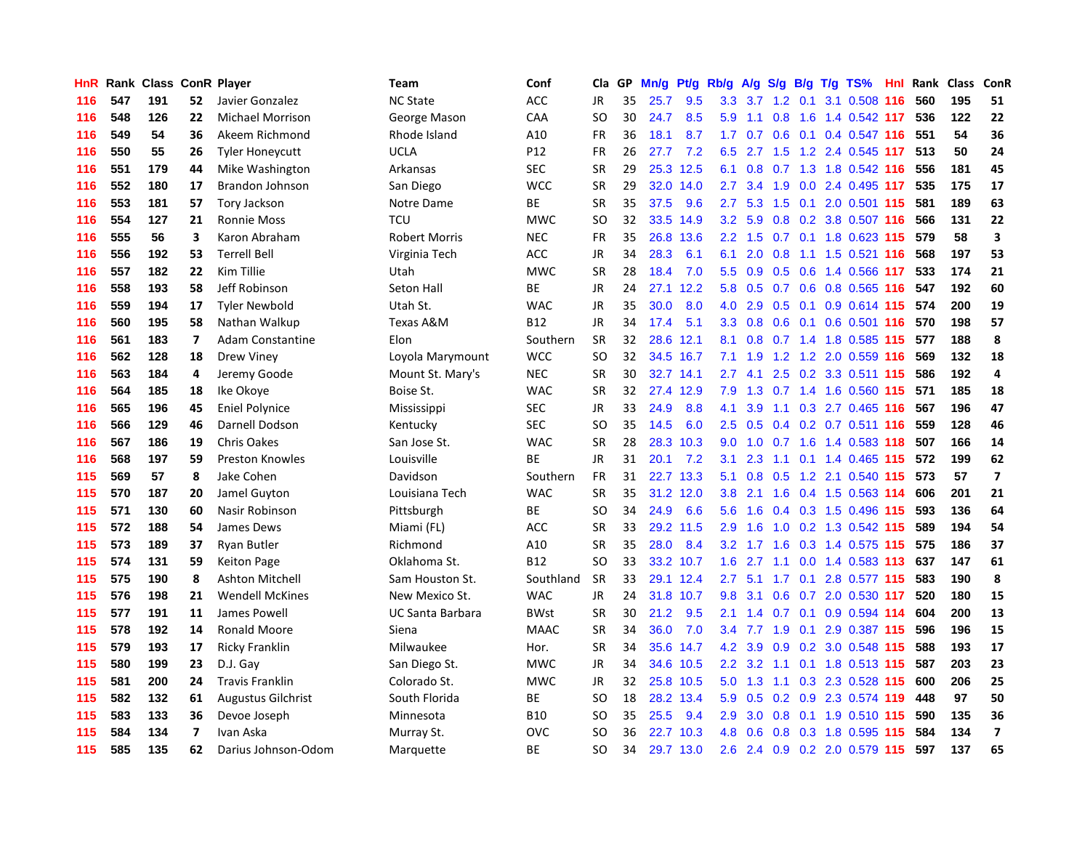| <b>HnR</b> |     | Rank Class ConR Player |                          |                         | <b>Team</b>             | Conf        | Cla       | GP | Mn/g | Pt/g Rb/g |                  | A/g | S/g |     | $B/g$ T/g TS%                 | Hnl Rank | <b>Class</b> | ConR                    |
|------------|-----|------------------------|--------------------------|-------------------------|-------------------------|-------------|-----------|----|------|-----------|------------------|-----|-----|-----|-------------------------------|----------|--------------|-------------------------|
| 116        | 547 | 191                    | 52                       | Javier Gonzalez         | <b>NC State</b>         | ACC         | JR        | 35 | 25.7 | 9.5       | 3.3              | 3.7 | 1.2 | 0.1 | 3.1 0.508 116                 | 560      | 195          | 51                      |
| 116        | 548 | 126                    | 22                       | <b>Michael Morrison</b> | George Mason            | CAA         | SO        | 30 | 24.7 | 8.5       | 5.9              | 1.1 | 0.8 |     | 1.6 1.4 0.542 117             | 536      | 122          | 22                      |
| 116        | 549 | 54                     | 36                       | Akeem Richmond          | Rhode Island            | A10         | FR        | 36 | 18.1 | 8.7       |                  |     |     |     | 1.7 0.7 0.6 0.1 0.4 0.547 116 | 551      | 54           | 36                      |
| 116        | 550 | 55                     | 26                       | <b>Tyler Honeycutt</b>  | <b>UCLA</b>             | P12         | FR        | 26 | 27.7 | 7.2       | 6.5              |     |     |     | 2.7 1.5 1.2 2.4 0.545 117     | 513      | 50           | 24                      |
| 116        | 551 | 179                    | 44                       | Mike Washington         | Arkansas                | <b>SEC</b>  | SR        | 29 |      | 25.3 12.5 | 6.1              | 0.8 |     |     | 0.7 1.3 1.8 0.542 116         | 556      | 181          | 45                      |
| 116        | 552 | 180                    | 17                       | Brandon Johnson         | San Diego               | <b>WCC</b>  | <b>SR</b> | 29 | 32.0 | 14.0      | $2.7^{\circ}$    | 3.4 | 1.9 |     | 0.0 2.4 0.495 117             | 535      | 175          | 17                      |
| 116        | 553 | 181                    | 57                       | Tory Jackson            | Notre Dame              | ВE          | SR        | 35 | 37.5 | 9.6       | 2.7              | 5.3 | 1.5 |     | 0.1 2.0 0.501 115             | 581      | 189          | 63                      |
| 116        | 554 | 127                    | 21                       | <b>Ronnie Moss</b>      | <b>TCU</b>              | <b>MWC</b>  | SO        | 32 | 33.5 | 14.9      | 3.2              | 5.9 | 0.8 |     | 0.2 3.8 0.507 116             | 566      | 131          | 22                      |
| 116        | 555 | 56                     | 3                        | Karon Abraham           | <b>Robert Morris</b>    | <b>NEC</b>  | FR        | 35 | 26.8 | 13.6      | $2.2\phantom{0}$ | 1.5 |     |     | 0.7 0.1 1.8 0.623 115         | 579      | 58           | $\overline{\mathbf{3}}$ |
| 116        | 556 | 192                    | 53                       | <b>Terrell Bell</b>     | Virginia Tech           | <b>ACC</b>  | JR        | 34 | 28.3 | 6.1       | 6.1              | 2.0 |     |     | 0.8 1.1 1.5 0.521 116         | 568      | 197          | 53                      |
| 116        | 557 | 182                    | 22                       | Kim Tillie              | Utah                    | <b>MWC</b>  | <b>SR</b> | 28 | 18.4 | 7.0       | 5.5              |     |     |     | 0.9 0.5 0.6 1.4 0.566 117     | 533      | 174          | 21                      |
| 116        | 558 | 193                    | 58                       | Jeff Robinson           | Seton Hall              | <b>BE</b>   | <b>JR</b> | 24 | 27.1 | 12.2      | 5.8              |     |     |     | $0.5$ 0.7 0.6 0.8 0.565 116   | 547      | 192          | 60                      |
| 116        | 559 | 194                    | 17                       | <b>Tyler Newbold</b>    | Utah St.                | <b>WAC</b>  | JR        | 35 | 30.0 | 8.0       | 4.0              | 2.9 |     |     | 0.5 0.1 0.9 0.614 115 574     |          | 200          | 19                      |
| 116        | 560 | 195                    | 58                       | Nathan Walkup           | Texas A&M               | <b>B12</b>  | JR        | 34 | 17.4 | 5.1       | 3.3              | 0.8 | 0.6 |     | 0.1 0.6 0.501 116             | 570      | 198          | 57                      |
| 116        | 561 | 183                    | $\overline{7}$           | Adam Constantine        | Elon                    | Southern    | <b>SR</b> | 32 | 28.6 | 12.1      | 8.1              | 0.8 |     |     | 0.7 1.4 1.8 0.585 115         | 577      | 188          | 8                       |
| 116        | 562 | 128                    | 18                       | Drew Viney              | Loyola Marymount        | <b>WCC</b>  | SO        | 32 |      | 34.5 16.7 | 7.1              | 1.9 |     |     | 1.2 1.2 2.0 0.559 116         | 569      | 132          | 18                      |
| 116        | 563 | 184                    | 4                        | Jeremy Goode            | Mount St. Mary's        | <b>NEC</b>  | <b>SR</b> | 30 |      | 32.7 14.1 | $2.7^{\circ}$    | 4.1 | 2.5 |     | 0.2 3.3 0.511 115             | 586      | 192          | $\overline{4}$          |
| 116        | 564 | 185                    | 18                       | Ike Okoye               | Boise St.               | <b>WAC</b>  | <b>SR</b> | 32 |      | 27.4 12.9 | 7.9              | 1.3 |     |     | 0.7 1.4 1.6 0.560 115         | 571      | 185          | 18                      |
| 116        | 565 | 196                    | 45                       | <b>Eniel Polynice</b>   | Mississippi             | <b>SEC</b>  | <b>JR</b> | 33 | 24.9 | 8.8       | 4.1              | 3.9 |     |     | 1.1 0.3 2.7 0.465 116         | 567      | 196          | 47                      |
| 116        | 566 | 129                    | 46                       | Darnell Dodson          | Kentucky                | <b>SEC</b>  | SO        | 35 | 14.5 | 6.0       | 2.5              | 0.5 |     |     | 0.4 0.2 0.7 0.511 116         | 559      | 128          | 46                      |
| 116        | 567 | 186                    | 19                       | <b>Chris Oakes</b>      | San Jose St.            | <b>WAC</b>  | <b>SR</b> | 28 |      | 28.3 10.3 | 9.0              |     |     |     | 1.0 0.7 1.6 1.4 0.583 118     | 507      | 166          | 14                      |
| 116        | 568 | 197                    | 59                       | <b>Preston Knowles</b>  | Louisville              | <b>BE</b>   | <b>JR</b> | 31 | 20.1 | 7.2       | 3.1              | 2.3 |     |     | 1.1 0.1 1.4 0.465 115         | 572      | 199          | 62                      |
| 115        | 569 | 57                     | 8                        | Jake Cohen              | Davidson                | Southern    | <b>FR</b> | 31 | 22.7 | 13.3      | 5.1              | 0.8 | 0.5 |     | 1.2 2.1 0.540 115             | 573      | 57           | $\overline{7}$          |
| 115        | 570 | 187                    | 20                       | Jamel Guyton            | Louisiana Tech          | <b>WAC</b>  | <b>SR</b> | 35 | 31.2 | 12.0      | 3.8              | 2.1 | 1.6 |     | 0.4 1.5 0.563 114             | 606      | 201          | 21                      |
| 115        | 571 | 130                    | 60                       | Nasir Robinson          | Pittsburgh              | ВE          | SO        | 34 | 24.9 | 6.6       | 5.6              | 1.6 | 0.4 |     | 0.3 1.5 0.496 115             | 593      | 136          | 64                      |
| 115        | 572 | 188                    | 54                       | James Dews              | Miami (FL)              | <b>ACC</b>  | SR        | 33 | 29.2 | 11.5      | 2.9              | 1.6 | 1.0 |     | 0.2 1.3 0.542 115             | 589      | 194          | 54                      |
| 115        | 573 | 189                    | 37                       | <b>Ryan Butler</b>      | Richmond                | A10         | <b>SR</b> | 35 | 28.0 | 8.4       | 3.2 <sub>2</sub> | 1.7 | 1.6 |     | 0.3 1.4 0.575 115             | 575      | 186          | 37                      |
| 115        | 574 | 131                    | 59                       | <b>Keiton Page</b>      | Oklahoma St.            | <b>B12</b>  | SO        | 33 |      | 33.2 10.7 | 1.6              |     |     |     | 2.7 1.1 0.0 1.4 0.583 113 637 |          | 147          | 61                      |
| 115        | 575 | 190                    | 8                        | Ashton Mitchell         | Sam Houston St.         | Southland   | <b>SR</b> | 33 |      | 29.1 12.4 | 2.7              |     |     |     | 5.1 1.7 0.1 2.8 0.577 115     | 583      | 190          | 8                       |
| 115        | 576 | 198                    | 21                       | <b>Wendell McKines</b>  | New Mexico St.          | <b>WAC</b>  | <b>JR</b> | 24 | 31.8 | 10.7      | 9.8              | 3.1 | 0.6 |     | $0.7$ 2.0 0.530 117           | 520      | 180          | 15                      |
| 115        | 577 | 191                    | 11                       | James Powell            | <b>UC Santa Barbara</b> | <b>BWst</b> | <b>SR</b> | 30 | 21.2 | 9.5       | 2.1              | 1.4 | 0.7 |     | $0.1$ 0.9 0.594 114           | 604      | 200          | 13                      |
| 115        | 578 | 192                    | 14                       | Ronald Moore            | Siena                   | <b>MAAC</b> | SR        | 34 | 36.0 | 7.0       | $3.4^{\circ}$    | 7.7 | 1.9 |     | $0.1$ 2.9 0.387 115           | 596      | 196          | 15                      |
| 115        | 579 | 193                    | 17                       | Ricky Franklin          | Milwaukee               | Hor.        | <b>SR</b> | 34 | 35.6 | 14.7      | 4.2              | 3.9 | 0.9 |     | 0.2 3.0 0.548 115             | 588      | 193          | 17                      |
| 115        | 580 | 199                    | 23                       | D.J. Gay                | San Diego St.           | MWC         | JR        | 34 | 34.6 | 10.5      | $2.2^{\circ}$    | 3.2 | 1.1 |     | $0.1$ 1.8 0.513 115           | 587      | 203          | 23                      |
| 115        | 581 | 200                    | 24                       | <b>Travis Franklin</b>  | Colorado St.            | <b>MWC</b>  | JR        | 32 | 25.8 | 10.5      | 5.0              | 1.3 | 1.1 |     | 0.3 2.3 0.528 115             | 600      | 206          | 25                      |
| 115        | 582 | 132                    | 61                       | Augustus Gilchrist      | South Florida           | <b>BE</b>   | SO        | 18 |      | 28.2 13.4 | 5.9              | 0.5 |     |     | 0.2 0.9 2.3 0.574 119         | 448      | 97           | 50                      |
| 115        | 583 | 133                    | 36                       | Devoe Joseph            | Minnesota               | <b>B10</b>  | SO        | 35 | 25.5 | 9.4       | 2.9              |     |     |     | 3.0 0.8 0.1 1.9 0.510 115     | 590      | 135          | 36                      |
| 115        | 584 | 134                    | $\overline{\phantom{a}}$ | Ivan Aska               | Murray St.              | <b>OVC</b>  | SO        | 36 | 22.7 | 10.3      | 4.8              | 0.6 |     |     | 0.8 0.3 1.8 0.595 115         | 584      | 134          | $\overline{\mathbf{z}}$ |
| 115        | 585 | 135                    | 62                       | Darius Johnson-Odom     | Marquette               | <b>BE</b>   | <b>SO</b> | 34 |      | 29.7 13.0 | 2.6              |     |     |     | 2.4 0.9 0.2 2.0 0.579 115     | 597      | 137          | 65                      |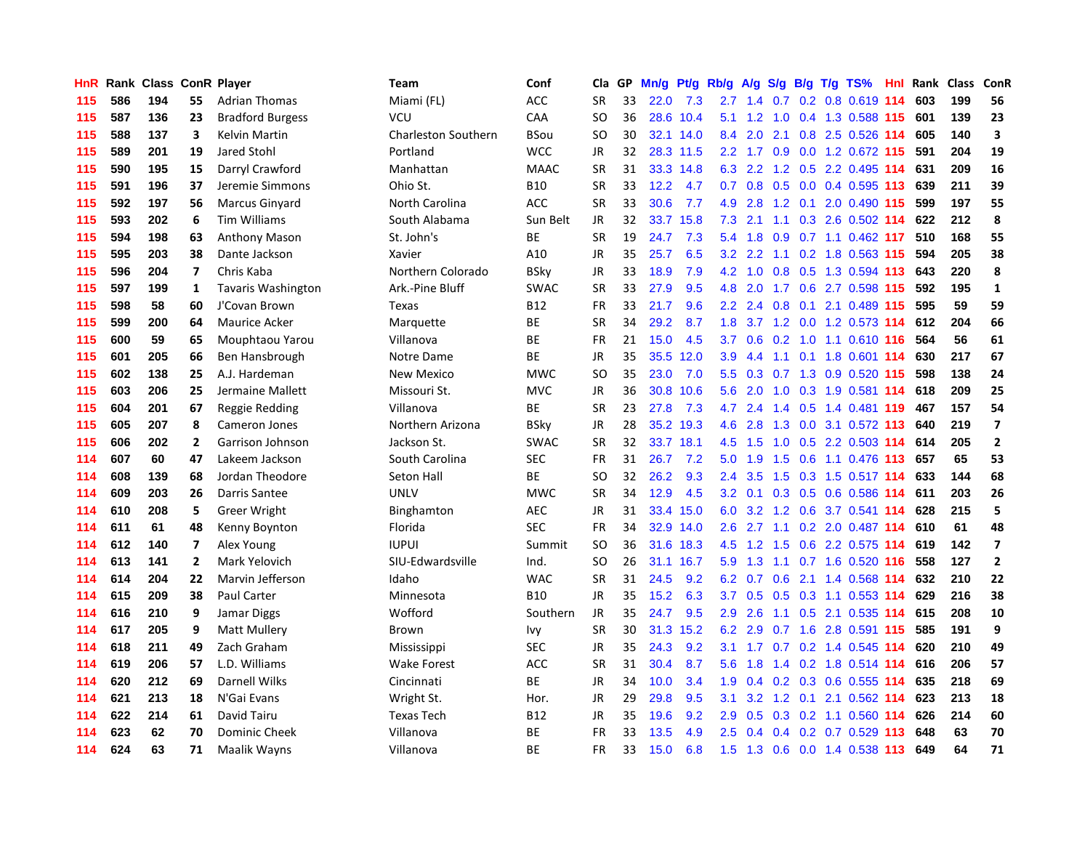| <b>HnR</b> | Rank | <b>Class ConR Player</b> |                |                           | <b>Team</b>                | Conf        | Cla       | <b>GP</b> | Mn/g | Pt/g      | Rb/g             | A/g           | S/g |  | B/g T/g TS%                       | Hnl Rank | Class | <b>ConR</b>             |
|------------|------|--------------------------|----------------|---------------------------|----------------------------|-------------|-----------|-----------|------|-----------|------------------|---------------|-----|--|-----------------------------------|----------|-------|-------------------------|
| 115        | 586  | 194                      | 55             | <b>Adrian Thomas</b>      | Miami (FL)                 | <b>ACC</b>  | <b>SR</b> | 33        | 22.0 | 7.3       | $2.7^{\circ}$    |               |     |  | 1.4 0.7 0.2 0.8 0.619 114         | 603      | 199   | 56                      |
| 115        | 587  | 136                      | 23             | <b>Bradford Burgess</b>   | <b>VCU</b>                 | CAA         | SO        | 36        |      | 28.6 10.4 | 5.1              |               |     |  | 1.2 1.0 0.4 1.3 0.588 115 601     |          | 139   | 23                      |
| 115        | 588  | 137                      | 3              | Kelvin Martin             | <b>Charleston Southern</b> | BSou        | SO        | 30        |      | 32.1 14.0 | $8.4^{\circ}$    | 2.0           |     |  | 2.1 0.8 2.5 0.526 114             | 605      | 140   | $\overline{\mathbf{3}}$ |
| 115        | 589  | 201                      | 19             | Jared Stohl               | Portland                   | <b>WCC</b>  | JR        | 32        |      | 28.3 11.5 |                  | $2.2$ 1.7 0.9 |     |  | 0.0 1.2 0.672 115                 | 591      | 204   | 19                      |
| 115        | 590  | 195                      | 15             | Darryl Crawford           | Manhattan                  | <b>MAAC</b> | <b>SR</b> | 31        | 33.3 | 14.8      | 6.3              | 2.2           |     |  | 1.2 0.5 2.2 0.495 114             | 631      | 209   | 16                      |
| 115        | 591  | 196                      | 37             | Jeremie Simmons           | Ohio St.                   | <b>B10</b>  | SR        | 33        | 12.2 | 4.7       | 0.7              | 0.8           |     |  | $0.5$ 0.0 0.4 0.595 113           | 639      | 211   | 39                      |
| 115        | 592  | 197                      | 56             | Marcus Ginyard            | North Carolina             | <b>ACC</b>  | <b>SR</b> | 33        | 30.6 | 7.7       | 4.9              | 2.8           |     |  | 1.2 0.1 2.0 0.490 115             | 599      | 197   | 55                      |
| 115        | 593  | 202                      | 6              | <b>Tim Williams</b>       | South Alabama              | Sun Belt    | JR        | 32        | 33.7 | 15.8      | 7.3              | 2.1           | 1.1 |  | 0.3 2.6 0.502 114                 | 622      | 212   | 8                       |
| 115        | 594  | 198                      | 63             | Anthony Mason             | St. John's                 | BE          | <b>SR</b> | 19        | 24.7 | 7.3       | 5.4              | 1.8           | 0.9 |  | $0.7$ 1.1 0.462 117               | 510      | 168   | 55                      |
| 115        | 595  | 203                      | 38             | Dante Jackson             | Xavier                     | A10         | JR        | 35        | 25.7 | 6.5       |                  |               |     |  | 3.2 2.2 1.1 0.2 1.8 0.563 115     | 594      | 205   | 38                      |
| 115        | 596  | 204                      | 7              | Chris Kaba                | Northern Colorado          | <b>BSky</b> | JR        | 33        | 18.9 | 7.9       | 4.2              |               |     |  | 1.0 0.8 0.5 1.3 0.594 113         | 643      | 220   | 8                       |
| 115        | 597  | 199                      | 1              | <b>Tavaris Washington</b> | Ark.-Pine Bluff            | <b>SWAC</b> | SR        | 33        | 27.9 | 9.5       | 4.8              | 2.0           |     |  | 1.7 0.6 2.7 0.598 115             | 592      | 195   | $\mathbf{1}$            |
| 115        | 598  | 58                       | 60             | J'Covan Brown             | Texas                      | <b>B12</b>  | <b>FR</b> | 33        | 21.7 | 9.6       | $2.2\phantom{0}$ | 2.4           | 0.8 |  | 0.1 2.1 0.489 115                 | 595      | 59    | 59                      |
| 115        | 599  | 200                      | 64             | Maurice Acker             | Marquette                  | BE          | SR        | 34        | 29.2 | 8.7       | 1.8              | 3.7           |     |  | 1.2 0.0 1.2 0.573 114             | 612      | 204   | 66                      |
| 115        | 600  | 59                       | 65             | Mouphtaou Yarou           | Villanova                  | ВE          | <b>FR</b> | 21        | 15.0 | 4.5       | 3.7              | 0.6           |     |  | 0.2 1.0 1.1 0.610 116             | 564      | 56    | 61                      |
| 115        | 601  | 205                      | 66             | Ben Hansbrough            | Notre Dame                 | <b>BE</b>   | <b>JR</b> | 35        | 35.5 | 12.0      | 3.9 <sup>°</sup> | 4.4           | 1.1 |  | $0.1$ 1.8 0.601 114               | 630      | 217   | 67                      |
| 115        | 602  | 138                      | 25             | A.J. Hardeman             | <b>New Mexico</b>          | MWC         | SO        | 35        | 23.0 | 7.0       | 5.5              | 0.3           |     |  | 0.7 1.3 0.9 0.520 115             | 598      | 138   | 24                      |
| 115        | 603  | 206                      | 25             | Jermaine Mallett          | Missouri St.               | <b>MVC</b>  | <b>JR</b> | 36        | 30.8 | 10.6      | 5.6              | 2.0           | 1.0 |  | 0.3 1.9 0.581 114                 | 618      | 209   | 25                      |
| 115        | 604  | 201                      | 67             | Reggie Redding            | Villanova                  | <b>BE</b>   | <b>SR</b> | 23        | 27.8 | 7.3       | 4.7              |               |     |  | 2.4 1.4 0.5 1.4 0.481 119         | 467      | 157   | 54                      |
| 115        | 605  | 207                      | 8              | Cameron Jones             | Northern Arizona           | BSky        | JR        | 28        |      | 35.2 19.3 | 4.6              | 2.8           |     |  | 1.3 0.0 3.1 0.572 113             | 640      | 219   | $\overline{7}$          |
| 115        | 606  | 202                      | 2              | Garrison Johnson          | Jackson St.                | <b>SWAC</b> | SR        | 32        |      | 33.7 18.1 | 4.5              | 1.5           | 1.0 |  | 0.5 2.2 0.503 114 614             |          | 205   | $\overline{2}$          |
| 114        | 607  | 60                       | 47             | Lakeem Jackson            | South Carolina             | <b>SEC</b>  | <b>FR</b> | 31        | 26.7 | 7.2       | 5.0              | 1.9           | 1.5 |  | $0.6$ 1.1 0.476 113               | 657      | 65    | 53                      |
| 114        | 608  | 139                      | 68             | Jordan Theodore           | Seton Hall                 | BE          | SO        | 32        | 26.2 | 9.3       | $2.4^{\circ}$    | 3.5           | 1.5 |  | 0.3 1.5 0.517 114                 | 633      | 144   | 68                      |
| 114        | 609  | 203                      | 26             | Darris Santee             | <b>UNLV</b>                | <b>MWC</b>  | <b>SR</b> | 34        | 12.9 | 4.5       | 3.2              | 0.1           | 0.3 |  | 0.5 0.6 0.586 114                 | 611      | 203   | 26                      |
| 114        | 610  | 208                      | 5              | <b>Greer Wright</b>       | Binghamton                 | <b>AEC</b>  | JR        | 31        | 33.4 | 15.0      | 6.0              | 3.2           | 1.2 |  | 0.6 3.7 0.541 114                 | 628      | 215   | 5                       |
| 114        | 611  | 61                       | 48             | Kenny Boynton             | Florida                    | <b>SEC</b>  | <b>FR</b> | 34        | 32.9 | 14.0      | 2.6              | 2.7           | 1.1 |  | 0.2 2.0 0.487 114                 | 610      | 61    | 48                      |
| 114        | 612  | 140                      | 7              | Alex Young                | <b>IUPUI</b>               | Summit      | <b>SO</b> | 36        |      | 31.6 18.3 | 4.5              |               |     |  | 1.2 1.5 0.6 2.2 0.575 114 619     |          | 142   | $\overline{\mathbf{z}}$ |
| 114        | 613  | 141                      | $\overline{2}$ | Mark Yelovich             | SIU-Edwardsville           | Ind.        | SO        | 26        |      | 31.1 16.7 | 5.9              |               |     |  | 1.3 1.1 0.7 1.6 0.520 116         | 558      | 127   | $\overline{2}$          |
| 114        | 614  | 204                      | 22             | Marvin Jefferson          | Idaho                      | <b>WAC</b>  | SR        | 31        | 24.5 | 9.2       | 6.2              | 0.7           |     |  | 0.6 2.1 1.4 0.568 114             | 632      | 210   | 22                      |
| 114        | 615  | 209                      | 38             | Paul Carter               | Minnesota                  | <b>B10</b>  | <b>JR</b> | 35        | 15.2 | 6.3       | 3.7              | 0.5           |     |  | $0.5$ $0.3$ 1.1 $0.553$ 114       | 629      | 216   | 38                      |
| 114        | 616  | 210                      | 9              | Jamar Diggs               | Wofford                    | Southern    | JR        | 35        | 24.7 | 9.5       | 2.9              | 2.6           | 1.1 |  | 0.5 2.1 0.535 114                 | 615      | 208   | 10                      |
| 114        | 617  | 205                      | 9              | Matt Mullery              | <b>Brown</b>               | Ivy         | <b>SR</b> | 30        |      | 31.3 15.2 | 6.2              | 2.9           |     |  | 0.7 1.6 2.8 0.591 115             | 585      | 191   | 9                       |
| 114        | 618  | 211                      | 49             | Zach Graham               | Mississippi                | <b>SEC</b>  | JR        | 35        | 24.3 | 9.2       | 3.1              | 1.7           | 0.7 |  | $0.2$ 1.4 $0.545$ 114             | 620      | 210   | 49                      |
| 114        | 619  | 206                      | 57             | L.D. Williams             | <b>Wake Forest</b>         | <b>ACC</b>  | <b>SR</b> | 31        | 30.4 | 8.7       | 5.6              | 1.8           | 1.4 |  | 0.2 1.8 0.514 114 616             |          | 206   | 57                      |
| 114        | 620  | 212                      | 69             | <b>Darnell Wilks</b>      | Cincinnati                 | <b>BE</b>   | JR        | 34        | 10.0 | 3.4       | 1.9              | 0.4           |     |  | 0.2 0.3 0.6 0.555 114             | 635      | 218   | 69                      |
| 114        | 621  | 213                      | 18             | N'Gai Evans               | Wright St.                 | Hor.        | JR        | 29        | 29.8 | 9.5       | 3.1              |               |     |  | 3.2 1.2 0.1 2.1 0.562 114         | 623      | 213   | 18                      |
| 114        | 622  | 214                      | 61             | David Tairu               | <b>Texas Tech</b>          | B12         | JR        | 35        | 19.6 | 9.2       | 2.9              |               |     |  | $0.5$ $0.3$ $0.2$ 1.1 $0.560$ 114 | 626      | 214   | 60                      |
| 114        | 623  | 62                       | 70             | <b>Dominic Cheek</b>      | Villanova                  | ВE          | FR        | 33        | 13.5 | 4.9       | 2.5              | 0.4           |     |  | 0.4 0.2 0.7 0.529 113             | 648      | 63    | 70                      |
| 114        | 624  | 63                       | 71             | Maalik Wayns              | Villanova                  | <b>BE</b>   | <b>FR</b> | 33        | 15.0 | 6.8       | 1.5              |               |     |  | 1.3 0.6 0.0 1.4 0.538 113         | 649      | 64    | 71                      |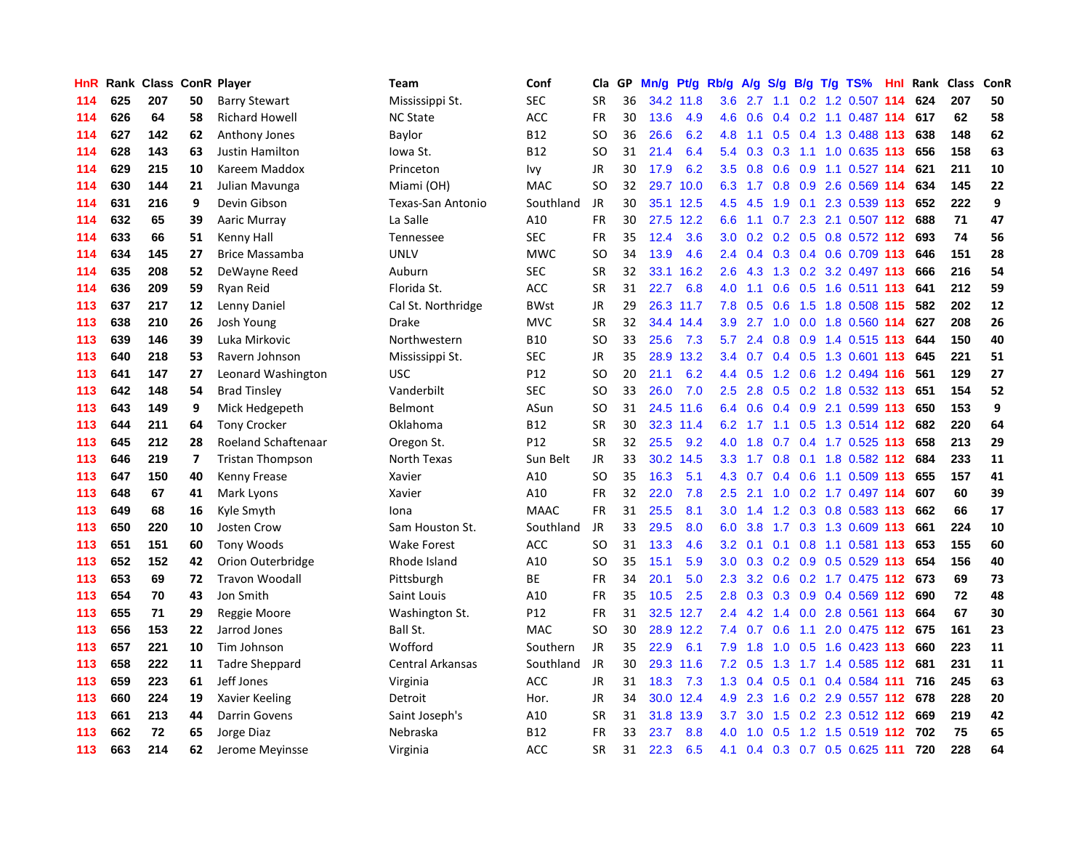| HnR | Rank |     |                         | <b>Class ConR Player</b> | <b>Team</b>             | Conf        | Cla       | GP. | Mn/g | Pt/g      | Rb/g             | A/g    |     |  | S/g B/g T/g TS%               | Hnl | Rank | <b>Class</b> | ConR |
|-----|------|-----|-------------------------|--------------------------|-------------------------|-------------|-----------|-----|------|-----------|------------------|--------|-----|--|-------------------------------|-----|------|--------------|------|
| 114 | 625  | 207 | 50                      | <b>Barry Stewart</b>     | Mississippi St.         | SEC         | <b>SR</b> | 36  | 34.2 | 11.8      | 3.6              | 2.7    | 1.1 |  | 0.2 1.2 0.507 114             |     | 624  | 207          | 50   |
| 114 | 626  | 64  | 58                      | <b>Richard Howell</b>    | <b>NC State</b>         | ACC         | <b>FR</b> | 30  | 13.6 | 4.9       | 4.6              | 0.6    |     |  | 0.4 0.2 1.1 0.487 114 617     |     |      | 62           | 58   |
| 114 | 627  | 142 | 62                      | Anthony Jones            | Baylor                  | <b>B12</b>  | SO.       | 36  | 26.6 | 6.2       | 4.8              | $-1.1$ |     |  | 0.5 0.4 1.3 0.488 113         |     | 638  | 148          | 62   |
| 114 | 628  | 143 | 63                      | Justin Hamilton          | lowa St.                | <b>B12</b>  | SO        | 31  | 21.4 | 6.4       | 5.4              | 0.3    |     |  | 0.3 1.1 1.0 0.635 113         |     | 656  | 158          | 63   |
| 114 | 629  | 215 | 10                      | Kareem Maddox            | Princeton               | Ivy         | JR        | 30  | 17.9 | 6.2       | 3.5              | 0.8    | 0.6 |  | 0.9 1.1 0.527 114             |     | 621  | 211          | 10   |
| 114 | 630  | 144 | 21                      | Julian Mavunga           | Miami (OH)              | <b>MAC</b>  | <b>SO</b> | 32  | 29.7 | 10.0      | 6.3              | 1.7    |     |  | $0.8$ 0.9 2.6 0.569 114       |     | 634  | 145          | 22   |
| 114 | 631  | 216 | 9                       | Devin Gibson             | Texas-San Antonio       | Southland   | JR        | 30  | 35.1 | 12.5      | 4.5              | 4.5    | 1.9 |  | 0.1 2.3 0.539 113             |     | 652  | 222          | 9    |
| 114 | 632  | 65  | 39                      | Aaric Murray             | La Salle                | A10         | <b>FR</b> | 30  | 27.5 | 12.2      | 6.6              | 1.1    | 0.7 |  | 2.3 2.1 0.507 112             |     | 688  | 71           | 47   |
| 114 | 633  | 66  | 51                      | Kenny Hall               | <b>Tennessee</b>        | <b>SEC</b>  | FR        | 35  | 12.4 | 3.6       | 3.0 <sub>2</sub> | 0.2    |     |  | 0.2 0.5 0.8 0.572 112         |     | 693  | 74           | 56   |
| 114 | 634  | 145 | 27                      | <b>Brice Massamba</b>    | <b>UNLV</b>             | <b>MWC</b>  | <b>SO</b> | 34  | 13.9 | 4.6       | $2.4^{\circ}$    | 0.4    |     |  | 0.3 0.4 0.6 0.709 113         |     | 646  | 151          | 28   |
| 114 | 635  | 208 | 52                      | DeWayne Reed             | Auburn                  | <b>SEC</b>  | <b>SR</b> | 32  | 33.1 | 16.2      | 2.6              |        |     |  | 4.3 1.3 0.2 3.2 0.497 113     |     | 666  | 216          | 54   |
| 114 | 636  | 209 | 59                      | Ryan Reid                | Florida St.             | <b>ACC</b>  | <b>SR</b> | 31  | 22.7 | 6.8       | 4.0              | 1.1    |     |  | $0.6$ $0.5$ 1.6 $0.511$ 113   |     | 641  | 212          | 59   |
| 113 | 637  | 217 | 12                      | Lenny Daniel             | Cal St. Northridge      | <b>BWst</b> | <b>JR</b> | 29  |      | 26.3 11.7 | 7.8              | 0.5    | 0.6 |  | 1.5 1.8 0.508 115             |     | 582  | 202          | 12   |
| 113 | 638  | 210 | 26                      | Josh Young               | <b>Drake</b>            | <b>MVC</b>  | <b>SR</b> | 32  |      | 34.4 14.4 | 3.9              | 2.7    | 1.0 |  | 0.0 1.8 0.560 114             |     | 627  | 208          | 26   |
| 113 | 639  | 146 | 39                      | Luka Mirkovic            | Northwestern            | <b>B10</b>  | <b>SO</b> | 33  | 25.6 | 7.3       | 5.7              | 2.4    |     |  | 0.8 0.9 1.4 0.515 113         |     | 644  | 150          | 40   |
| 113 | 640  | 218 | 53                      | Ravern Johnson           | Mississippi St.         | <b>SEC</b>  | <b>JR</b> | 35  | 28.9 | 13.2      | 3.4              | 0.7    |     |  | 0.4 0.5 1.3 0.601 113         |     | 645  | 221          | 51   |
| 113 | 641  | 147 | 27                      | Leonard Washington       | <b>USC</b>              | P12         | <b>SO</b> | 20  | 21.1 | 6.2       | $4.4^{\circ}$    | 0.5    | 1.2 |  | 0.6 1.2 0.494 116             |     | 561  | 129          | 27   |
| 113 | 642  | 148 | 54                      | <b>Brad Tinsley</b>      | Vanderbilt              | <b>SEC</b>  | <b>SO</b> | 33  | 26.0 | 7.0       | 2.5              | 2.8    | 0.5 |  | 0.2 1.8 0.532 113             |     | 651  | 154          | 52   |
| 113 | 643  | 149 | 9                       | Mick Hedgepeth           | Belmont                 | ASun        | <b>SO</b> | 31  |      | 24.5 11.6 | 6.4              | 0.6    |     |  | $0.4$ 0.9 2.1 0.599 113       |     | 650  | 153          | 9    |
| 113 | 644  | 211 | 64                      | <b>Tony Crocker</b>      | Oklahoma                | <b>B12</b>  | <b>SR</b> | 30  |      | 32.3 11.4 | 6.2              |        |     |  | 1.7 1.1 0.5 1.3 0.514 112     |     | 682  | 220          | 64   |
| 113 | 645  | 212 | 28                      | Roeland Schaftenaar      | Oregon St.              | P12         | SR        | 32  | 25.5 | 9.2       | 4.0              | 1.8    |     |  | $0.7$ 0.4 1.7 0.525 113       |     | 658  | 213          | 29   |
| 113 | 646  | 219 | $\overline{\mathbf{z}}$ | <b>Tristan Thompson</b>  | North Texas             | Sun Belt    | JR        | 33  | 30.2 | 14.5      | 3.3              | 1.7    | 0.8 |  | 0.1 1.8 0.582 112             |     | 684  | 233          | 11   |
| 113 | 647  | 150 | 40                      | Kenny Frease             | Xavier                  | A10         | SO        | 35  | 16.3 | 5.1       | 4.3              | 0.7    |     |  | $0.4$ 0.6 1.1 0.509 113       |     | 655  | 157          | 41   |
| 113 | 648  | 67  | 41                      | Mark Lyons               | Xavier                  | A10         | FR        | 32  | 22.0 | 7.8       | 2.5              | 2.1    | 1.0 |  | 0.2 1.7 0.497 114             |     | 607  | 60           | 39   |
| 113 | 649  | 68  | 16                      | Kyle Smyth               | Iona                    | <b>MAAC</b> | FR        | 31  | 25.5 | 8.1       | 3.0              | 1.4    |     |  | 1.2 0.3 0.8 0.583 113         |     | 662  | 66           | 17   |
| 113 | 650  | 220 | 10                      | Josten Crow              | Sam Houston St.         | Southland   | <b>JR</b> | 33  | 29.5 | 8.0       | 6.0              | 3.8    |     |  | 1.7 0.3 1.3 0.609 113         |     | 661  | 224          | 10   |
| 113 | 651  | 151 | 60                      | <b>Tony Woods</b>        | <b>Wake Forest</b>      | ACC         | <b>SO</b> | 31  | 13.3 | 4.6       | 3.2              | 0.1    |     |  | $0.1$ 0.8 1.1 0.581 113       |     | 653  | 155          | 60   |
| 113 | 652  | 152 | 42                      | Orion Outerbridge        | Rhode Island            | A10         | <b>SO</b> | 35  | 15.1 | 5.9       | 3.0 <sub>2</sub> |        |     |  | $0.3$ 0.2 0.9 0.5 0.529 113   |     | 654  | 156          | 40   |
| 113 | 653  | 69  | 72                      | <b>Travon Woodall</b>    | Pittsburgh              | <b>BE</b>   | <b>FR</b> | 34  | 20.1 | 5.0       | $2.3^{\circ}$    | 3.2    |     |  | 0.6 0.2 1.7 0.475 112 673     |     |      | 69           | 73   |
| 113 | 654  | 70  | 43                      | Jon Smith                | Saint Louis             | A10         | <b>FR</b> | 35  | 10.5 | 2.5       | 2.8              | 0.3    |     |  | $0.3$ $0.9$ $0.4$ $0.569$ 112 |     | 690  | 72           | 48   |
| 113 | 655  | 71  | 29                      | Reggie Moore             | Washington St.          | P12         | <b>FR</b> | 31  | 32.5 | 12.7      | 2.4              | 4.2    | 1.4 |  | $0.0$ 2.8 $0.561$ 113         |     | 664  | 67           | 30   |
| 113 | 656  | 153 | 22                      | Jarrod Jones             | Ball St.                | <b>MAC</b>  | <b>SO</b> | 30  |      | 28.9 12.2 | 7.4              | 0.7    | 0.6 |  | 1.1 2.0 0.475 112 675         |     |      | 161          | 23   |
| 113 | 657  | 221 | 10                      | Tim Johnson              | Wofford                 | Southern    | <b>JR</b> | 35  | 22.9 | 6.1       | 7.9              | 1.8    | 1.0 |  | $0.5$ 1.6 0.423 113           |     | 660  | 223          | 11   |
| 113 | 658  | 222 | 11                      | <b>Tadre Sheppard</b>    | <b>Central Arkansas</b> | Southland   | <b>JR</b> | 30  | 29.3 | 11.6      | 7.2              | 0.5    | 1.3 |  | 1.7 1.4 0.585 112             |     | 681  | 231          | 11   |
| 113 | 659  | 223 | 61                      | Jeff Jones               | Virginia                | ACC         | JR        | 31  | 18.3 | 7.3       | 1.3              | 0.4    | 0.5 |  | $0.1$ 0.4 0.584 111           |     | 716  | 245          | 63   |
| 113 | 660  | 224 | 19                      | Xavier Keeling           | Detroit                 | Hor.        | JR        | 34  |      | 30.0 12.4 | 4.9              | 2.3    |     |  | 1.6 0.2 2.9 0.557 112 678     |     |      | 228          | 20   |
| 113 | 661  | 213 | 44                      | <b>Darrin Govens</b>     | Saint Joseph's          | A10         | <b>SR</b> | 31  | 31.8 | 13.9      | 3.7 <sub>2</sub> |        |     |  | 3.0 1.5 0.2 2.3 0.512 112 669 |     |      | 219          | 42   |
| 113 | 662  | 72  | 65                      | Jorge Diaz               | Nebraska                | <b>B12</b>  | FR        | 33  | 23.7 | 8.8       | 4.0              | 1.0    |     |  | 0.5 1.2 1.5 0.519 112 702     |     |      | 75           | 65   |
| 113 | 663  | 214 | 62                      | Jerome Meyinsse          | Virginia                | ACC         | <b>SR</b> | 31  | 22.3 | 6.5       | 4.1              |        |     |  | 0.4 0.3 0.7 0.5 0.625 111     |     | 720  | 228          | 64   |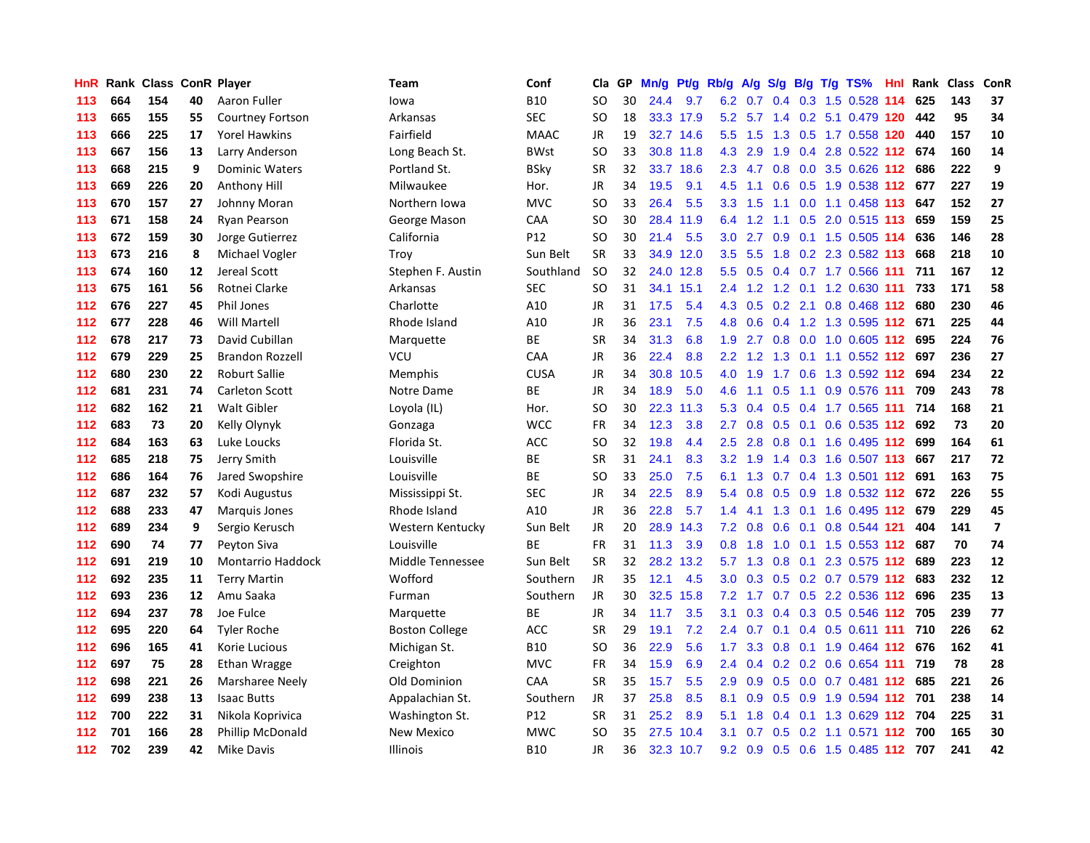| HnR | Rank |     |    | <b>Class ConR Player</b> | Team                  | Conf            | Cla       | GP | Mn/g |           | Pt/g Rb/g        | A/g |                  |     | S/g B/g T/g TS%                   | Hnl | Rank | <b>Class</b> | <b>ConR</b>             |
|-----|------|-----|----|--------------------------|-----------------------|-----------------|-----------|----|------|-----------|------------------|-----|------------------|-----|-----------------------------------|-----|------|--------------|-------------------------|
| 113 | 664  | 154 | 40 | Aaron Fuller             | lowa                  | <b>B10</b>      | <b>SO</b> | 30 | 24.4 | 9.7       | 6.2              | 0.7 | 0.4              |     | 0.3 1.5 0.528 114                 |     | 625  | 143          | 37                      |
| 113 | 665  | 155 | 55 | <b>Courtney Fortson</b>  | Arkansas              | SEC             | SO        | 18 |      | 33.3 17.9 |                  |     |                  |     | 5.2 5.7 1.4 0.2 5.1 0.479 120     |     | 442  | 95           | 34                      |
| 113 | 666  | 225 | 17 | <b>Yorel Hawkins</b>     | Fairfield             | <b>MAAC</b>     | JR        | 19 |      | 32.7 14.6 | $5.5^{\circ}$    | 1.5 |                  |     | 1.3 0.5 1.7 0.558 120             |     | 440  | 157          | 10                      |
| 113 | 667  | 156 | 13 | Larry Anderson           | Long Beach St.        | <b>BWst</b>     | <b>SO</b> | 33 |      | 30.8 11.8 | 4.3              | 2.9 | 1.9              |     | 0.4 2.8 0.522 112 674             |     |      | 160          | 14                      |
| 113 | 668  | 215 | 9  | <b>Dominic Waters</b>    | Portland St.          | <b>BSky</b>     | <b>SR</b> | 32 | 33.7 | 18.6      | 2.3              | 4.7 | 0.8              |     | 0.0 3.5 0.626 112                 |     | 686  | 222          | 9                       |
| 113 | 669  | 226 | 20 | Anthony Hill             | Milwaukee             | Hor.            | <b>JR</b> | 34 | 19.5 | 9.1       | 4.5              | 1.1 | 0.6              |     | 0.5 1.9 0.538 112                 |     | 677  | 227          | 19                      |
| 113 | 670  | 157 | 27 | Johnny Moran             | Northern Iowa         | <b>MVC</b>      | <b>SO</b> | 33 | 26.4 | 5.5       | 3.3 <sub>2</sub> | 1.5 |                  |     | 1.1 0.0 1.1 0.458 113             |     | 647  | 152          | 27                      |
| 113 | 671  | 158 | 24 | <b>Ryan Pearson</b>      | George Mason          | CAA             | SO        | 30 | 28.4 | 11.9      | 6.4              | 1.2 |                  |     | 1.1 0.5 2.0 0.515 113             |     | 659  | 159          | 25                      |
| 113 | 672  | 159 | 30 | Jorge Gutierrez          | California            | P <sub>12</sub> | <b>SO</b> | 30 | 21.4 | 5.5       | 3.0 <sub>2</sub> | 2.7 | 0.9 <sup>°</sup> |     | 0.1 1.5 0.505 114                 |     | 636  | 146          | 28                      |
| 113 | 673  | 216 | 8  | Michael Vogler           | Troy                  | Sun Belt        | <b>SR</b> | 33 | 34.9 | 12.0      | $3.5^{\circ}$    | 5.5 |                  |     | 1.8 0.2 2.3 0.582 113             |     | 668  | 218          | 10                      |
| 113 | 674  | 160 | 12 | Jereal Scott             | Stephen F. Austin     | Southland       | <b>SO</b> | 32 |      | 24.0 12.8 | 5.5              |     |                  |     | 0.5 0.4 0.7 1.7 0.566 111         |     | 711  | 167          | 12                      |
| 113 | 675  | 161 | 56 | Rotnei Clarke            | Arkansas              | <b>SEC</b>      | SO        | 31 | 34.1 | 15.1      | $2.4^{\circ}$    |     |                  |     | 1.2 1.2 0.1 1.2 0.630 111 733     |     |      | 171          | 58                      |
| 112 | 676  | 227 | 45 | <b>Phil Jones</b>        | Charlotte             | A10             | <b>JR</b> | 31 | 17.5 | 5.4       | 4.3              | 0.5 |                  |     | $0.2$ 2.1 0.8 0.468 112           |     | 680  | 230          | 46                      |
| 112 | 677  | 228 | 46 | <b>Will Martell</b>      | Rhode Island          | A10             | <b>JR</b> | 36 | 23.1 | 7.5       | 4.8              | 0.6 |                  |     | 0.4 1.2 1.3 0.595 112 671         |     |      | 225          | 44                      |
| 112 | 678  | 217 | 73 | David Cubillan           | Marquette             | ВE              | <b>SR</b> | 34 | 31.3 | 6.8       | 1.9              | 2.7 |                  |     | 0.8 0.0 1.0 0.605 112             |     | 695  | 224          | 76                      |
| 112 | 679  | 229 | 25 | <b>Brandon Rozzell</b>   | VCU                   | CAA             | JR        | 36 | 22.4 | 8.8       | $2.2\phantom{0}$ | 1.2 | 1.3              |     | $0.1$ 1.1 0.552 112               |     | 697  | 236          | 27                      |
| 112 | 680  | 230 | 22 | <b>Roburt Sallie</b>     | <b>Memphis</b>        | <b>CUSA</b>     | <b>JR</b> | 34 | 30.8 | 10.5      | 4.0              | 1.9 | 1.7              |     | 0.6 1.3 0.592 112                 |     | 694  | 234          | 22                      |
| 112 | 681  | 231 | 74 | Carleton Scott           | Notre Dame            | <b>BE</b>       | <b>JR</b> | 34 | 18.9 | 5.0       | 4.6              | 1.1 | 0.5              | 1.1 | 0.9 0.576 111                     |     | 709  | 243          | 78                      |
| 112 | 682  | 162 | 21 | <b>Walt Gibler</b>       | Loyola (IL)           | Hor.            | SO        | 30 | 22.3 | 11.3      | 5.3              | 0.4 |                  |     | 0.5 0.4 1.7 0.565 111             |     | 714  | 168          | 21                      |
| 112 | 683  | 73  | 20 | Kelly Olynyk             | Gonzaga               | <b>WCC</b>      | <b>FR</b> | 34 | 12.3 | 3.8       | $2.7^{\circ}$    | 0.8 |                  |     | 0.5 0.1 0.6 0.535 112 692         |     |      | 73           | 20                      |
| 112 | 684  | 163 | 63 | Luke Loucks              | Florida St.           | <b>ACC</b>      | <b>SO</b> | 32 | 19.8 | 4.4       | 2.5              | 2.8 |                  |     | $0.8$ 0.1 1.6 0.495 112           |     | 699  | 164          | 61                      |
| 112 | 685  | 218 | 75 | Jerry Smith              | Louisville            | ВE              | <b>SR</b> | 31 | 24.1 | 8.3       | 3.2              | 1.9 |                  |     | 1.4 0.3 1.6 0.507 113             |     | 667  | 217          | 72                      |
| 112 | 686  | 164 | 76 | Jared Swopshire          | Louisville            | ВE              | <b>SO</b> | 33 | 25.0 | 7.5       | 6.1              | 1.3 |                  |     | $0.7$ 0.4 1.3 0.501 112           |     | 691  | 163          | 75                      |
| 112 | 687  | 232 | 57 | Kodi Augustus            | Mississippi St.       | SEC             | JR        | 34 | 22.5 | 8.9       | 5.4              | 0.8 | 0.5              |     | 0.9 1.8 0.532 112                 |     | 672  | 226          | 55                      |
| 112 | 688  | 233 | 47 | Marquis Jones            | Rhode Island          | A10             | JR        | 36 | 22.8 | 5.7       | 1.4              | 4.1 | 1.3              |     | $0.1$ 1.6 0.495 112               |     | 679  | 229          | 45                      |
| 112 | 689  | 234 | 9  | Sergio Kerusch           | Western Kentucky      | Sun Belt        | <b>JR</b> | 20 | 28.9 | 14.3      | 7.2              | 0.8 | 0.6              |     | 0.1 0.8 0.544 121                 |     | 404  | 141          | $\overline{\mathbf{z}}$ |
| 112 | 690  | 74  | 77 | Peyton Siva              | Louisville            | ВE              | FR        | 31 | 11.3 | 3.9       | 0.8              | 1.8 |                  |     | 1.0 0.1 1.5 0.553 112 687         |     |      | 70           | 74                      |
| 112 | 691  | 219 | 10 | <b>Montarrio Haddock</b> | Middle Tennessee      | Sun Belt        | <b>SR</b> | 32 | 28.2 | 13.2      |                  |     |                  |     | 5.7 1.3 0.8 0.1 2.3 0.575 112 689 |     |      | 223          | 12                      |
| 112 | 692  | 235 | 11 | <b>Terry Martin</b>      | Wofford               | Southern        | JR        | 35 | 12.1 | 4.5       | 3.0 <sub>2</sub> | 0.3 |                  |     | $0.5$ 0.2 0.7 0.579 112           |     | 683  | 232          | 12                      |
| 112 | 693  | 236 | 12 | Amu Saaka                | Furman                | Southern        | <b>JR</b> | 30 | 32.5 | 15.8      | 7.2              | 1.7 |                  |     | 0.7 0.5 2.2 0.536 112             |     | 696  | 235          | 13                      |
| 112 | 694  | 237 | 78 | Joe Fulce                | Marquette             | <b>BE</b>       | JR        | 34 | 11.7 | 3.5       | 3.1              | 0.3 | $0.4^{\circ}$    |     | 0.3 0.5 0.546 112                 |     | 705  | 239          | 77                      |
| 112 | 695  | 220 | 64 | <b>Tyler Roche</b>       | <b>Boston College</b> | ACC             | <b>SR</b> | 29 | 19.1 | 7.2       | $2.4^{\circ}$    | 0.7 |                  |     | $0.1$ 0.4 0.5 0.611 111           |     | 710  | 226          | 62                      |
| 112 | 696  | 165 | 41 | Korie Lucious            | Michigan St.          | <b>B10</b>      | SO        | 36 | 22.9 | 5.6       | 1.7              | 3.3 | 0.8              |     | $0.1$ 1.9 0.464 112               |     | 676  | 162          | 41                      |
| 112 | 697  | 75  | 28 | Ethan Wragge             | Creighton             | <b>MVC</b>      | <b>FR</b> | 34 | 15.9 | 6.9       | $2.4^{\circ}$    | 0.4 |                  |     | 0.2 0.2 0.6 0.654 111             |     | 719  | 78           | 28                      |
| 112 | 698  | 221 | 26 | Marsharee Neely          | Old Dominion          | CAA             | <b>SR</b> | 35 | 15.7 | 5.5       | 2.9              | 0.9 | 0.5              |     | 0.0 0.7 0.481 112 685             |     |      | 221          | 26                      |
| 112 | 699  | 238 | 13 | <b>Isaac Butts</b>       | Appalachian St.       | Southern        | JR        | 37 | 25.8 | 8.5       | 8.1              | 0.9 |                  |     | 0.5 0.9 1.9 0.594 112 701         |     |      | 238          | 14                      |
| 112 | 700  | 222 | 31 | Nikola Koprivica         | Washington St.        | P12             | <b>SR</b> | 31 | 25.2 | 8.9       | 5.1              | 1.8 | $0.4^{\circ}$    |     | 0.1 1.3 0.629 112 704             |     |      | 225          | 31                      |
| 112 | 701  | 166 | 28 | Phillip McDonald         | <b>New Mexico</b>     | <b>MWC</b>      | SO        | 35 | 27.5 | 10.4      | 3.1              | 0.7 |                  |     | $0.5$ 0.2 1.1 0.571 112           |     | 700  | 165          | 30                      |
| 112 | 702  | 239 | 42 | Mike Davis               | <b>Illinois</b>       | <b>B10</b>      | <b>JR</b> | 36 | 32.3 | 10.7      | 9.2              | 0.9 |                  |     | 0.5 0.6 1.5 0.485 112             |     | 707  | 241          | 42                      |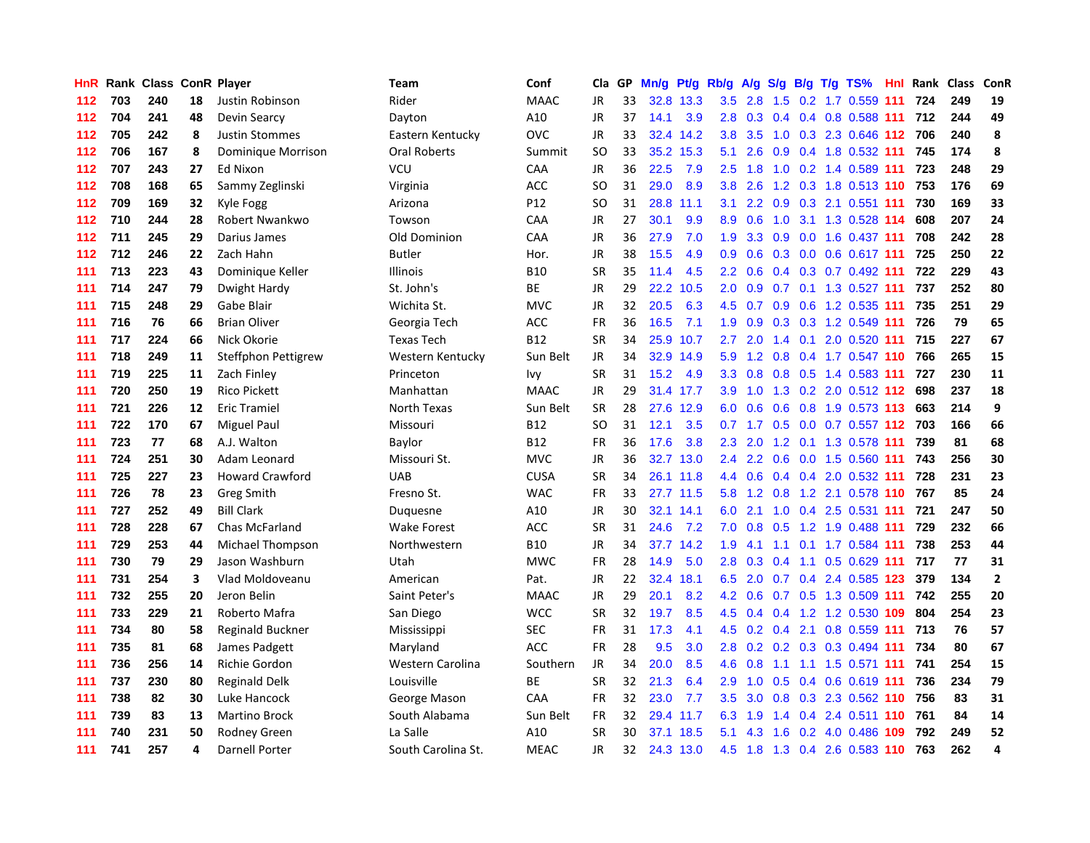| <b>HnR</b> |     | Rank Class ConR Player |    |                        | Team               | Conf        | Cla       | GP | Mn/g | Pt/g      | Rb/g             | A/g              | S/g           |  | B/g T/g TS%                   | Hnl | Rank | <b>Class</b> | <b>ConR</b>    |
|------------|-----|------------------------|----|------------------------|--------------------|-------------|-----------|----|------|-----------|------------------|------------------|---------------|--|-------------------------------|-----|------|--------------|----------------|
| 112        | 703 | 240                    | 18 | Justin Robinson        | Rider              | <b>MAAC</b> | JR        | 33 | 32.8 | 13.3      | 3.5              | 2.8              | 1.5           |  | 0.2 1.7 0.559 111             |     | 724  | 249          | 19             |
| 112        | 704 | 241                    | 48 | Devin Searcy           | Dayton             | A10         | <b>JR</b> | 37 | 14.1 | 3.9       | 2.8              |                  |               |  | 0.3 0.4 0.4 0.8 0.588 111 712 |     |      | 244          | 49             |
| 112        | 705 | 242                    | 8  | <b>Justin Stommes</b>  | Eastern Kentucky   | OVC         | <b>JR</b> | 33 |      | 32.4 14.2 | 3.8 <sub>2</sub> | 3.5              |               |  | 1.0 0.3 2.3 0.646 112 706     |     |      | 240          | 8              |
| 112        | 706 | 167                    | 8  | Dominique Morrison     | Oral Roberts       | Summit      | SO        | 33 | 35.2 | 15.3      | 5.1              | 2.6              | 0.9           |  | 0.4 1.8 0.532 111 745         |     |      | 174          | 8              |
| 112        | 707 | 243                    | 27 | Ed Nixon               | VCU                | CAA         | JR        | 36 | 22.5 | 7.9       | 2.5              | 1.8              | 1.0           |  | 0.2 1.4 0.589 111             |     | 723  | 248          | 29             |
| 112        | 708 | 168                    | 65 | Sammy Zeglinski        | Virginia           | ACC         | SO.       | 31 | 29.0 | 8.9       | 3.8              | 2.6              |               |  | 1.2 0.3 1.8 0.513 110         |     | 753  | 176          | 69             |
| 112        | 709 | 169                    | 32 | Kyle Fogg              | Arizona            | P12         | SO        | 31 | 28.8 | 11.1      | 3.1              | $2.2^{\circ}$    |               |  | 0.9 0.3 2.1 0.551 111         |     | 730  | 169          | 33             |
| 112        | 710 | 244                    | 28 | Robert Nwankwo         | Towson             | CAA         | JR        | 27 | 30.1 | 9.9       | 8.9              | 0.6              | 1.0           |  | 3.1 1.3 0.528 114             |     | 608  | 207          | 24             |
| 112        | 711 | 245                    | 29 | Darius James           | Old Dominion       | CAA         | <b>JR</b> | 36 | 27.9 | 7.0       | 1.9              | 3.3              | 0.9           |  | $0.0$ 1.6 0.437 111           |     | 708  | 242          | 28             |
| 112        | 712 | 246                    | 22 | Zach Hahn              | <b>Butler</b>      | Hor.        | <b>JR</b> | 38 | 15.5 | 4.9       | 0.9              | 0.6              |               |  | $0.3$ 0.0 0.6 0.617 111       |     | 725  | 250          | 22             |
| 111        | 713 | 223                    | 43 | Dominique Keller       | <b>Illinois</b>    | <b>B10</b>  | <b>SR</b> | 35 | 11.4 | 4.5       | $2.2^{\circ}$    |                  |               |  | $0.6$ 0.4 0.3 0.7 0.492 111   |     | 722  | 229          | 43             |
| 111        | 714 | 247                    | 79 | Dwight Hardy           | St. John's         | <b>BE</b>   | JR        | 29 | 22.2 | 10.5      | 2.0              | 0.9              |               |  | 0.7 0.1 1.3 0.527 111         |     | 737  | 252          | 80             |
| 111        | 715 | 248                    | 29 | Gabe Blair             | Wichita St.        | <b>MVC</b>  | <b>JR</b> | 32 | 20.5 | 6.3       | 4.5              | 0.7              | 0.9           |  | $0.6$ 1.2 0.535 111           |     | 735  | 251          | 29             |
| 111        | 716 | 76                     | 66 | <b>Brian Oliver</b>    | Georgia Tech       | <b>ACC</b>  | <b>FR</b> | 36 | 16.5 | 7.1       | 1.9              | 0.9              |               |  | 0.3 0.3 1.2 0.549 111         |     | 726  | 79           | 65             |
| 111        | 717 | 224                    | 66 | Nick Okorie            | <b>Texas Tech</b>  | <b>B12</b>  | <b>SR</b> | 34 | 25.9 | 10.7      | 2.7              | 2.0              | 1.4           |  | $0.1$ 2.0 0.520 111           |     | 715  | 227          | 67             |
| 111        | 718 | 249                    | 11 | Steffphon Pettigrew    | Western Kentucky   | Sun Belt    | <b>JR</b> | 34 | 32.9 | 14.9      | 5.9              | 1.2              | 0.8           |  | 0.4 1.7 0.547 110             |     | 766  | 265          | 15             |
| 111        | 719 | 225                    | 11 | Zach Finley            | Princeton          | lvy         | SR        | 31 | 15.2 | 4.9       | 3.3              | 0.8              | 0.8           |  | 0.5 1.4 0.583 111             |     | 727  | 230          | 11             |
| 111        | 720 | 250                    | 19 | <b>Rico Pickett</b>    | Manhattan          | <b>MAAC</b> | <b>JR</b> | 29 | 31.4 | 17.7      | 3.9              | 1.0              | 1.3           |  | 0.2 2.0 0.512 112 698         |     |      | 237          | 18             |
| 111        | 721 | 226                    | 12 | <b>Eric Tramiel</b>    | North Texas        | Sun Belt    | SR        | 28 |      | 27.6 12.9 | 6.0              | 0.6              |               |  | 0.6 0.8 1.9 0.573 113 663     |     |      | 214          | 9              |
| 111        | 722 | 170                    | 67 | Miguel Paul            | Missouri           | <b>B12</b>  | SO        | 31 | 12.1 | 3.5       | 0.7              |                  |               |  | 1.7 0.5 0.0 0.7 0.557 112 703 |     |      | 166          | 66             |
| 111        | 723 | 77                     | 68 | A.J. Walton            | Baylor             | <b>B12</b>  | FR        | 36 | 17.6 | 3.8       | 2.3              | 2.0              |               |  | 1.2 0.1 1.3 0.578 111 739     |     |      | 81           | 68             |
| 111        | 724 | 251                    | 30 | Adam Leonard           | Missouri St.       | <b>MVC</b>  | <b>JR</b> | 36 | 32.7 | 13.0      | 2.4              | $2.2^{\circ}$    | 0.6           |  | 0.0 1.5 0.560 111             |     | 743  | 256          | 30             |
| 111        | 725 | 227                    | 23 | <b>Howard Crawford</b> | <b>UAB</b>         | <b>CUSA</b> | SR        | 34 | 26.1 | 11.8      | 4.4              | 0.6              | 0.4           |  | 0.4 2.0 0.532 111             |     | 728  | 231          | 23             |
| 111        | 726 | 78                     | 23 | Greg Smith             | Fresno St.         | <b>WAC</b>  | FR        | 33 | 27.7 | 11.5      | 5.8              | 1.2              | 0.8           |  | 1.2 2.1 0.578 110             |     | 767  | 85           | 24             |
| 111        | 727 | 252                    | 49 | <b>Bill Clark</b>      | Duquesne           | A10         | JR        | 30 | 32.1 | 14.1      | 6.0              | 2.1              | 1.0           |  | $0.4$ 2.5 0.531 111           |     | 721  | 247          | 50             |
| 111        | 728 | 228                    | 67 | Chas McFarland         | Wake Forest        | ACC         | <b>SR</b> | 31 | 24.6 | 7.2       | 7.0              | 0.8              | 0.5           |  | 1.2 1.9 0.488 111             |     | 729  | 232          | 66             |
| 111        | 729 | 253                    | 44 | Michael Thompson       | Northwestern       | <b>B10</b>  | JR        | 34 | 37.7 | 14.2      | 1.9              | 4.1              |               |  | 1.1 0.1 1.7 0.584 111         |     | 738  | 253          | 44             |
| 111        | 730 | 79                     | 29 | Jason Washburn         | Utah               | <b>MWC</b>  | <b>FR</b> | 28 | 14.9 | 5.0       | 2.8              |                  |               |  | 0.3 0.4 1.1 0.5 0.629 111 717 |     |      | 77           | 31             |
| 111        | 731 | 254                    | 3  | Vlad Moldoveanu        | American           | Pat.        | <b>JR</b> | 22 | 32.4 | 18.1      | 6.5              | 2.0              |               |  | 0.7 0.4 2.4 0.585 123         |     | 379  | 134          | $\overline{2}$ |
| 111        | 732 | 255                    | 20 | Jeron Belin            | Saint Peter's      | <b>MAAC</b> | JR.       | 29 | 20.1 | 8.2       | 4.2              | 0.6              |               |  | 0.7 0.5 1.3 0.509 111 742     |     |      | 255          | 20             |
| 111        | 733 | 229                    | 21 | Roberto Mafra          | San Diego          | <b>WCC</b>  | <b>SR</b> | 32 | 19.7 | 8.5       | 4.5              | 0.4              | $0.4^{\circ}$ |  | 1.2 1.2 0.530 109             |     | 804  | 254          | 23             |
| 111        | 734 | 80                     | 58 | Reginald Buckner       | Mississippi        | <b>SEC</b>  | FR        | 31 | 17.3 | 4.1       | 4.5              | 0.2              | 0.4           |  | 2.1 0.8 0.559 111             |     | 713  | 76           | 57             |
| 111        | 735 | 81                     | 68 | James Padgett          | Maryland           | <b>ACC</b>  | <b>FR</b> | 28 | 9.5  | 3.0       | 2.8              | 0.2              |               |  | $0.2$ $0.3$ $0.3$ $0.494$ 111 |     | 734  | 80           | 67             |
| 111        | 736 | 256                    | 14 | Richie Gordon          | Western Carolina   | Southern    | <b>JR</b> | 34 | 20.0 | 8.5       | 4.6              | 0.8              | 1.1           |  | 1.1 1.5 0.571 111             |     | 741  | 254          | 15             |
| 111        | 737 | 230                    | 80 | <b>Reginald Delk</b>   | Louisville         | BE          | <b>SR</b> | 32 | 21.3 | 6.4       | 2.9              | 1.0              | 0.5           |  | $0.4$ 0.6 0.619 111           |     | 736  | 234          | 79             |
| 111        | 738 | 82                     | 30 | Luke Hancock           | George Mason       | CAA         | FR        | 32 | 23.0 | 7.7       | 3.5              | 3.0 <sub>2</sub> |               |  | 0.8 0.3 2.3 0.562 110 756     |     |      | 83           | 31             |
| 111        | 739 | 83                     | 13 | <b>Martino Brock</b>   | South Alabama      | Sun Belt    | FR        | 32 |      | 29.4 11.7 | 6.3              | 1.9              | $1.4^{\circ}$ |  | 0.4 2.4 0.511 110 761         |     |      | 84           | 14             |
| 111        | 740 | 231                    | 50 | Rodney Green           | La Salle           | A10         | SR        | 30 | 37.1 | 18.5      | 5.1              | 4.3              | 1.6           |  | 0.2 4.0 0.486 109             |     | 792  | 249          | 52             |
| 111        | 741 | 257                    | 4  | Darnell Porter         | South Carolina St. | <b>MEAC</b> | JR.       | 32 | 24.3 | 13.0      | 4.5              |                  |               |  | 1.8 1.3 0.4 2.6 0.583 110     |     | 763  | 262          | 4              |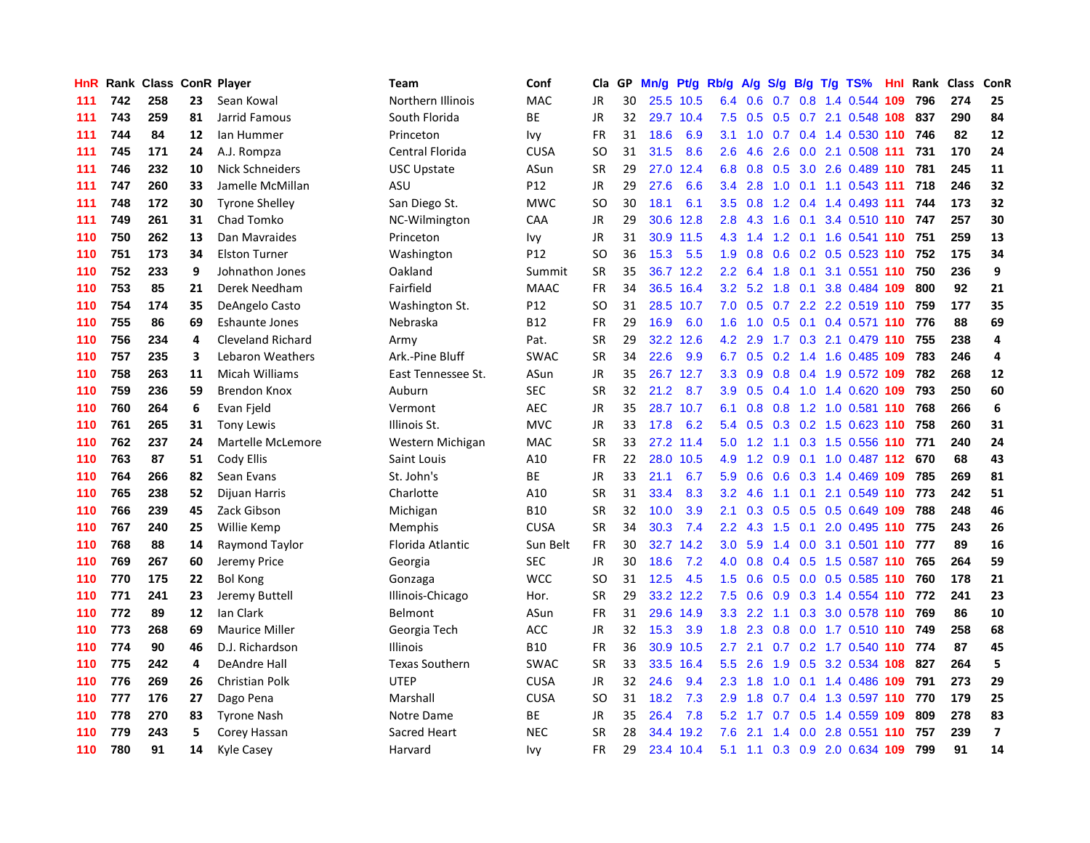| <b>HnR</b> | Rank | <b>Class ConR Player</b> |    |                          | <b>Team</b>           | Conf        | Cla       | GP | Mn/g | Pt/g      | Rb/g             | A/g | S/g           |     | $B/g$ T/g TS%                 | Hnl | Rank | <b>Class</b> | ConR                    |
|------------|------|--------------------------|----|--------------------------|-----------------------|-------------|-----------|----|------|-----------|------------------|-----|---------------|-----|-------------------------------|-----|------|--------------|-------------------------|
| 111        | 742  | 258                      | 23 | Sean Kowal               | Northern Illinois     | MAC         | JR        | 30 |      | 25.5 10.5 | 6.4              | 0.6 | 0.7           | 0.8 | 1.4 0.544 109                 |     | 796  | 274          | 25                      |
| 111        | 743  | 259                      | 81 | Jarrid Famous            | South Florida         | ВE          | JR        | 32 |      | 29.7 10.4 | 7.5              | 0.5 |               |     | 0.5 0.7 2.1 0.548 108 837     |     |      | 290          | 84                      |
| 111        | 744  | 84                       | 12 | lan Hummer               | Princeton             | lvy         | FR        | 31 | 18.6 | 6.9       | 3.1              |     |               |     | 1.0 0.7 0.4 1.4 0.530 110 746 |     |      | 82           | 12                      |
| 111        | 745  | 171                      | 24 | A.J. Rompza              | Central Florida       | <b>CUSA</b> | SO        | 31 | 31.5 | 8.6       | 2.6              | 4.6 | 2.6           |     | 0.0 2.1 0.508 111 731         |     |      | 170          | 24                      |
| 111        | 746  | 232                      | 10 | Nick Schneiders          | USC Upstate           | ASun        | SR        | 29 | 27.0 | 12.4      | 6.8              | 0.8 | 0.5           |     | 3.0 2.6 0.489 110 781         |     |      | 245          | 11                      |
| 111        | 747  | 260                      | 33 | Jamelle McMillan         | ASU                   | P12         | JR        | 29 | 27.6 | 6.6       | 3.4              | 2.8 | 1.0           |     | $0.1$ 1.1 0.543 111           |     | 718  | 246          | 32                      |
| 111        | 748  | 172                      | 30 | <b>Tyrone Shelley</b>    | San Diego St.         | MWC         | SO        | 30 | 18.1 | 6.1       | 3.5              | 0.8 |               |     | 1.2 0.4 1.4 0.493 111         |     | 744  | 173          | 32                      |
| 111        | 749  | 261                      | 31 | Chad Tomko               | NC-Wilmington         | CAA         | JR        | 29 | 30.6 | 12.8      | 2.8              | 4.3 | 1.6           |     | 0.1 3.4 0.510 110 747         |     |      | 257          | 30                      |
| 110        | 750  | 262                      | 13 | Dan Mavraides            | Princeton             | lvy         | JR        | 31 |      | 30.9 11.5 | 4.3              | 1.4 | 1.2           |     | 0.1 1.6 0.541 110             |     | 751  | 259          | 13                      |
| 110        | 751  | 173                      | 34 | <b>Elston Turner</b>     | Washington            | P12         | <b>SO</b> | 36 | 15.3 | 5.5       | 1.9              | 0.8 | 0.6           |     | 0.2 0.5 0.523 110 752         |     |      | 175          | 34                      |
| 110        | 752  | 233                      | 9  | Johnathon Jones          | Oakland               | Summit      | SR        | 35 |      | 36.7 12.2 | $2.2^{\circ}$    |     |               |     | 6.4 1.8 0.1 3.1 0.551 110 750 |     |      | 236          | 9                       |
| 110        | 753  | 85                       | 21 | Derek Needham            | Fairfield             | <b>MAAC</b> | <b>FR</b> | 34 |      | 36.5 16.4 | 3.2              |     |               |     | 5.2 1.8 0.1 3.8 0.484 109     |     | 800  | 92           | 21                      |
| 110        | 754  | 174                      | 35 | DeAngelo Casto           | Washington St.        | P12         | SO        | 31 |      | 28.5 10.7 | 7.0              | 0.5 |               |     | 0.7 2.2 2.2 0.519 110 759     |     |      | 177          | 35                      |
| 110        | 755  | 86                       | 69 | Eshaunte Jones           | Nebraska              | <b>B12</b>  | <b>FR</b> | 29 | 16.9 | 6.0       | 1.6              | 1.0 | 0.5           |     | $0.1$ 0.4 0.571 110           |     | 776  | 88           | 69                      |
| 110        | 756  | 234                      | 4  | <b>Cleveland Richard</b> | Army                  | Pat.        | <b>SR</b> | 29 | 32.2 | 12.6      | 4.2              | 2.9 | 1.7           |     | 0.3 2.1 0.479 110             |     | 755  | 238          | $\overline{\mathbf{4}}$ |
| 110        | 757  | 235                      | 3  | Lebaron Weathers         | Ark.-Pine Bluff       | <b>SWAC</b> | <b>SR</b> | 34 | 22.6 | 9.9       | 6.7              | 0.5 |               |     | 0.2 1.4 1.6 0.485 109         |     | 783  | 246          | $\overline{a}$          |
| 110        | 758  | 263                      | 11 | Micah Williams           | East Tennessee St.    | ASun        | JR        | 35 |      | 26.7 12.7 | 3.3              | 0.9 | 0.8           |     | 0.4 1.9 0.572 109             |     | 782  | 268          | 12                      |
| 110        | 759  | 236                      | 59 | <b>Brendon Knox</b>      | Auburn                | <b>SEC</b>  | <b>SR</b> | 32 | 21.2 | 8.7       | 3.9              | 0.5 |               |     | 0.4 1.0 1.4 0.620 109         |     | 793  | 250          | 60                      |
| 110        | 760  | 264                      | 6  | Evan Fjeld               | Vermont               | <b>AEC</b>  | <b>JR</b> | 35 |      | 28.7 10.7 | 6.1              | 0.8 |               |     | 0.8 1.2 1.0 0.581 110 768     |     |      | 266          | $\bf 6$                 |
| 110        | 761  | 265                      | 31 | <b>Tony Lewis</b>        | Illinois St.          | MVC         | <b>JR</b> | 33 | 17.8 | 6.2       | 5.4              |     |               |     | 0.5 0.3 0.2 1.5 0.623 110 758 |     |      | 260          | 31                      |
| 110        | 762  | 237                      | 24 | Martelle McLemore        | Western Michigan      | <b>MAC</b>  | <b>SR</b> | 33 |      | 27.2 11.4 | 5.0              |     |               |     | 1.2 1.1 0.3 1.5 0.556 110 771 |     |      | 240          | 24                      |
| 110        | 763  | 87                       | 51 | Cody Ellis               | Saint Louis           | A10         | <b>FR</b> | 22 | 28.0 | 10.5      | 4.9              | 1.2 | 0.9           |     | 0.1 1.0 0.487 112 670         |     |      | 68           | 43                      |
| 110        | 764  | 266                      | 82 | Sean Evans               | St. John's            | <b>BE</b>   | JR        | 33 | 21.1 | 6.7       | 5.9              | 0.6 | 0.6           |     | 0.3 1.4 0.469 109             |     | 785  | 269          | 81                      |
| 110        | 765  | 238                      | 52 | Dijuan Harris            | Charlotte             | A10         | <b>SR</b> | 31 | 33.4 | 8.3       | 3.2              | 4.6 |               |     | 1.1 0.1 2.1 0.549 110         |     | 773  | 242          | 51                      |
| 110        | 766  | 239                      | 45 | Zack Gibson              | Michigan              | <b>B10</b>  | SR        | 32 | 10.0 | 3.9       | 2.1              | 0.3 | 0.5           |     | $0.5$ 0.5 0.649 109           |     | 788  | 248          | 46                      |
| 110        | 767  | 240                      | 25 | Willie Kemp              | Memphis               | <b>CUSA</b> | <b>SR</b> | 34 | 30.3 | 7.4       | $2.2\phantom{0}$ | 4.3 | 1.5           |     | $0.1$ 2.0 0.495 110           |     | 775  | 243          | 26                      |
| 110        | 768  | 88                       | 14 | Raymond Taylor           | Florida Atlantic      | Sun Belt    | <b>FR</b> | 30 | 32.7 | 14.2      | 3.0 <sub>2</sub> | 5.9 |               |     | 1.4 0.0 3.1 0.501 110 777     |     |      | 89           | 16                      |
| 110        | 769  | 267                      | 60 | Jeremy Price             | Georgia               | <b>SEC</b>  | <b>JR</b> | 30 | 18.6 | 7.2       | 4.0              | 0.8 |               |     | 0.4 0.5 1.5 0.587 110 765     |     |      | 264          | 59                      |
| 110        | 770  | 175                      | 22 | Bol Kong                 | Gonzaga               | <b>WCC</b>  | SO        | 31 | 12.5 | 4.5       | 1.5              | 0.6 |               |     | 0.5 0.0 0.5 0.585 110 760     |     |      | 178          | 21                      |
| 110        | 771  | 241                      | 23 | Jeremy Buttell           | Illinois-Chicago      | Hor.        | SR        | 29 | 33.2 | 12.2      | 7.5              | 0.6 | 0.9           |     | 0.3 1.4 0.554 110 772         |     |      | 241          | 23                      |
| 110        | 772  | 89                       | 12 | Ian Clark                | Belmont               | ASun        | FR        | 31 | 29.6 | 14.9      | 3.3              | 2.2 | 1.1           |     | $0.3$ 3.0 0.578 110           |     | 769  | 86           | 10                      |
| 110        | 773  | 268                      | 69 | <b>Maurice Miller</b>    | Georgia Tech          | ACC         | JR        | 32 | 15.3 | 3.9       | 1.8              | 2.3 | 0.8           |     | 0.0 1.7 0.510 110             |     | 749  | 258          | 68                      |
| 110        | 774  | 90                       | 46 | D.J. Richardson          | <b>Illinois</b>       | <b>B10</b>  | <b>FR</b> | 36 | 30.9 | 10.5      | 2.7              | 2.1 | 0.7           |     | 0.2 1.7 0.540                 | 110 | 774  | 87           | 45                      |
| 110        | 775  | 242                      | 4  | DeAndre Hall             | <b>Texas Southern</b> | <b>SWAC</b> | <b>SR</b> | 33 | 33.5 | 16.4      | $5.5^{\circ}$    | 2.6 | 1.9           |     | 0.5 3.2 0.534 108             |     | 827  | 264          | 5                       |
| 110        | 776  | 269                      | 26 | <b>Christian Polk</b>    | <b>UTEP</b>           | <b>CUSA</b> | JR        | 32 | 24.6 | 9.4       | 2.3              | 1.8 | 1.0           |     | $0.1$ 1.4 0.486 109           |     | 791  | 273          | 29                      |
| 110        | 777  | 176                      | 27 | Dago Pena                | Marshall              | <b>CUSA</b> | SO        | 31 | 18.2 | 7.3       | 2.9              | 1.8 |               |     | 0.7 0.4 1.3 0.597 110 770     |     |      | 179          | 25                      |
| 110        | 778  | 270                      | 83 | <b>Tyrone Nash</b>       | Notre Dame            | ВE          | JR        | 35 | 26.4 | 7.8       | 5.2              | 1.7 |               |     | 0.7 0.5 1.4 0.559 109         |     | 809  | 278          | 83                      |
| 110        | 779  | 243                      | 5  | Corey Hassan             | Sacred Heart          | NEC         | SR        | 28 | 34.4 | 19.2      | 7.6              | 2.1 | $1.4^{\circ}$ |     | 0.0 2.8 0.551 110             |     | 757  | 239          | $\overline{\mathbf{z}}$ |
| 110        | 780  | 91                       | 14 | Kyle Casey               | Harvard               | Ivy         | <b>FR</b> | 29 |      | 23.4 10.4 | 5.1              | 1.1 |               |     | 0.3 0.9 2.0 0.634 109         |     | 799  | 91           | 14                      |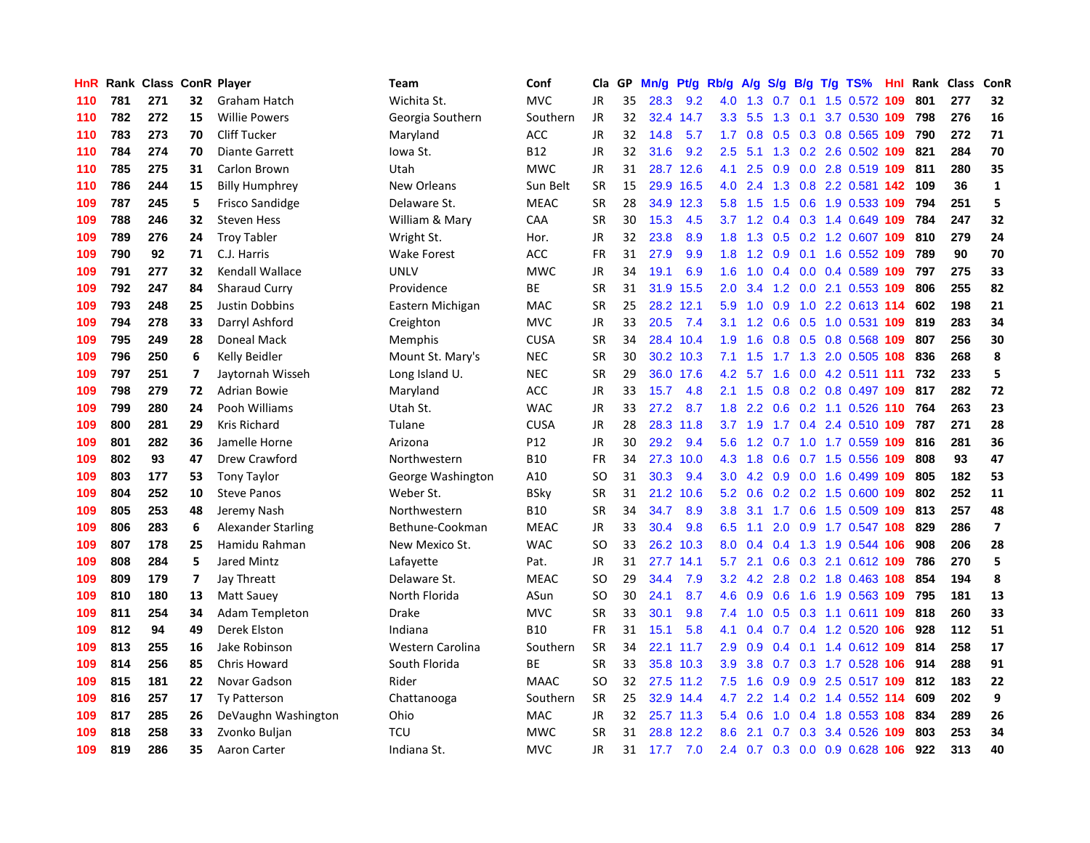| HnR |     | Rank Class ConR Player |                          |                           | <b>Team</b>        | Conf        | Cla       | GP | Mn/g | Pf/g      | Rb/g             | A/g           | S/g           |     | $B/g$ T/g TS%                 | Hnl | Rank | <b>Class</b> | ConR           |
|-----|-----|------------------------|--------------------------|---------------------------|--------------------|-------------|-----------|----|------|-----------|------------------|---------------|---------------|-----|-------------------------------|-----|------|--------------|----------------|
| 110 | 781 | 271                    | 32                       | Graham Hatch              | Wichita St.        | <b>MVC</b>  | <b>JR</b> | 35 | 28.3 | 9.2       | 4.0              | 1.3           | 0.7           | 0.1 | 1.5 0.572 109                 |     | 801  | 277          | 32             |
| 110 | 782 | 272                    | 15                       | <b>Willie Powers</b>      | Georgia Southern   | Southern    | JR        | 32 | 32.4 | 14.7      | 3.3 <sub>2</sub> | 5.5           | 1.3           |     | 0.1 3.7 0.530 109             |     | 798  | 276          | 16             |
| 110 | 783 | 273                    | 70                       | <b>Cliff Tucker</b>       | Maryland           | ACC         | <b>JR</b> | 32 | 14.8 | 5.7       | 1.7              | 0.8           |               |     | 0.5 0.3 0.8 0.565 109         |     | 790  | 272          | 71             |
| 110 | 784 | 274                    | 70                       | <b>Diante Garrett</b>     | lowa St.           | <b>B12</b>  | JR        | 32 | 31.6 | 9.2       | $2.5\,$          |               |               |     | 5.1 1.3 0.2 2.6 0.502 109     |     | 821  | 284          | 70             |
| 110 | 785 | 275                    | 31                       | Carlon Brown              | Utah               | <b>MWC</b>  | <b>JR</b> | 31 |      | 28.7 12.6 | 4.1              | 2.5           | 0.9           |     | 0.0 2.8 0.519 109             |     | 811  | 280          | 35             |
| 110 | 786 | 244                    | 15                       | <b>Billy Humphrey</b>     | <b>New Orleans</b> | Sun Belt    | <b>SR</b> | 15 | 29.9 | 16.5      | 4.0              | 2.4           | 1.3           |     | 0.8 2.2 0.581 142             |     | 109  | 36           | $\mathbf{1}$   |
| 109 | 787 | 245                    | 5                        | <b>Frisco Sandidge</b>    | Delaware St.       | <b>MEAC</b> | <b>SR</b> | 28 | 34.9 | 12.3      | 5.8              | 1.5           | 1.5           |     | 0.6 1.9 0.533 109             |     | 794  | 251          | 5              |
| 109 | 788 | 246                    | 32                       | <b>Steven Hess</b>        | William & Mary     | CAA         | <b>SR</b> | 30 | 15.3 | 4.5       | 3.7              | 1.2           | 0.4           |     | 0.3 1.4 0.649                 | 109 | 784  | 247          | 32             |
| 109 | 789 | 276                    | 24                       | <b>Troy Tabler</b>        | Wright St.         | Hor.        | JR        | 32 | 23.8 | 8.9       | 1.8              | 1.3           | 0.5           |     | 0.2 1.2 0.607 109             |     | 810  | 279          | 24             |
| 109 | 790 | 92                     | 71                       | C.J. Harris               | <b>Wake Forest</b> | ACC         | FR        | 31 | 27.9 | 9.9       | 1.8              | 1.2           | 0.9           |     | 0.1 1.6 0.552 109             |     | 789  | 90           | 70             |
| 109 | 791 | 277                    | 32                       | Kendall Wallace           | <b>UNLV</b>        | <b>MWC</b>  | JR        | 34 | 19.1 | 6.9       | 1.6              |               |               |     | 1.0 0.4 0.0 0.4 0.589 109 797 |     |      | 275          | 33             |
| 109 | 792 | 247                    | 84                       | <b>Sharaud Curry</b>      | Providence         | <b>BE</b>   | <b>SR</b> | 31 | 31.9 | 15.5      | $2.0^{\circ}$    | 3.4           |               |     | 1.2 0.0 2.1 0.553 109         |     | 806  | 255          | 82             |
| 109 | 793 | 248                    | 25                       | Justin Dobbins            | Eastern Michigan   | <b>MAC</b>  | <b>SR</b> | 25 | 28.2 | 12.1      | 5.9              | 1.0           |               |     | 0.9 1.0 2.2 0.613 114         |     | 602  | 198          | 21             |
| 109 | 794 | 278                    | 33                       | Darryl Ashford            | Creighton          | <b>MVC</b>  | JR        | 33 | 20.5 | 7.4       | 3.1              | 1.2           | 0.6           |     | 0.5 1.0 0.531 109             |     | 819  | 283          | 34             |
| 109 | 795 | 249                    | 28                       | Doneal Mack               | <b>Memphis</b>     | <b>CUSA</b> | <b>SR</b> | 34 | 28.4 | 10.4      | 1.9              | 1.6           |               |     | 0.8 0.5 0.8 0.568 109         |     | 807  | 256          | 30             |
| 109 | 796 | 250                    | 6                        | Kelly Beidler             | Mount St. Mary's   | <b>NEC</b>  | <b>SR</b> | 30 | 30.2 | 10.3      | 7.1              | 1.5           |               |     | 1.7 1.3 2.0 0.505 108         |     | 836  | 268          | 8              |
| 109 | 797 | 251                    | $\overline{\phantom{a}}$ | Jaytornah Wisseh          | Long Island U.     | <b>NEC</b>  | <b>SR</b> | 29 | 36.0 | 17.6      | 4.2              | 5.7           | 1.6           |     | $0.0$ 4.2 0.511 111           |     | 732  | 233          | 5              |
| 109 | 798 | 279                    | 72                       | Adrian Bowie              | Maryland           | ACC         | JR        | 33 | 15.7 | 4.8       | 2.1              | 1.5           | 0.8           |     | 0.2 0.8 0.497 109             |     | 817  | 282          | 72             |
| 109 | 799 | 280                    | 24                       | Pooh Williams             | Utah St.           | <b>WAC</b>  | <b>JR</b> | 33 | 27.2 | 8.7       | 1.8              | 2.2           |               |     | $0.6$ $0.2$ 1.1 $0.526$ 110   |     | 764  | 263          | 23             |
| 109 | 800 | 281                    | 29                       | <b>Kris Richard</b>       | Tulane             | <b>CUSA</b> | <b>JR</b> | 28 |      | 28.3 11.8 | 3.7              | 1.9           |               |     | 1.7 0.4 2.4 0.510 109 787     |     |      | 271          | 28             |
| 109 | 801 | 282                    | 36                       | Jamelle Horne             | Arizona            | P12         | <b>JR</b> | 30 | 29.2 | 9.4       | 5.6              | 1.2           |               |     | 0.7 1.0 1.7 0.559 109         |     | 816  | 281          | 36             |
| 109 | 802 | 93                     | 47                       | Drew Crawford             | Northwestern       | <b>B10</b>  | <b>FR</b> | 34 | 27.3 | 10.0      | 4.3              | 1.8           | 0.6           |     | 0.7 1.5 0.556 109             |     | 808  | 93           | 47             |
| 109 | 803 | 177                    | 53                       | <b>Tony Taylor</b>        | George Washington  | A10         | <b>SO</b> | 31 | 30.3 | 9.4       | 3.0 <sub>2</sub> | 4.2           | 0.9           |     | 0.0 1.6 0.499 109             |     | 805  | 182          | 53             |
| 109 | 804 | 252                    | 10                       | <b>Steve Panos</b>        | Weber St.          | <b>BSky</b> | <b>SR</b> | 31 | 21.2 | 10.6      | 5.2              | 0.6           |               |     | 0.2 0.2 1.5 0.600 109         |     | 802  | 252          | 11             |
| 109 | 805 | 253                    | 48                       | Jeremy Nash               | Northwestern       | <b>B10</b>  | <b>SR</b> | 34 | 34.7 | 8.9       | 3.8              | 3.1           | 1.7           |     | 0.6 1.5 0.509 109             |     | 813  | 257          | 48             |
| 109 | 806 | 283                    | 6                        | <b>Alexander Starling</b> | Bethune-Cookman    | <b>MEAC</b> | JR        | 33 | 30.4 | 9.8       | 6.5              | 1.1           | 2.0           |     | 0.9 1.7 0.547 108             |     | 829  | 286          | $\overline{7}$ |
| 109 | 807 | 178                    | 25                       | Hamidu Rahman             | New Mexico St.     | <b>WAC</b>  | <b>SO</b> | 33 |      | 26.2 10.3 | 8.0              | 0.4           |               |     | 0.4 1.3 1.9 0.544 106         |     | 908  | 206          | 28             |
| 109 | 808 | 284                    | 5                        | Jared Mintz               | Lafayette          | Pat.        | JR        | 31 |      | 27.7 14.1 | 5.7              | 2.1           |               |     | $0.6$ $0.3$ 2.1 $0.612$ 109   |     | 786  | 270          | 5              |
| 109 | 809 | 179                    | $\overline{ }$           | Jay Threatt               | Delaware St.       | <b>MEAC</b> | SO        | 29 | 34.4 | 7.9       | 3.2 <sub>2</sub> | 4.2           |               |     | 2.8 0.2 1.8 0.463 108         |     | 854  | 194          | 8              |
| 109 | 810 | 180                    | 13                       | <b>Matt Sauey</b>         | North Florida      | ASun        | SO        | 30 | 24.1 | 8.7       | 4.6              | 0.9           |               |     | $0.6$ 1.6 1.9 0.563 109       |     | 795  | 181          | 13             |
| 109 | 811 | 254                    | 34                       | <b>Adam Templeton</b>     | <b>Drake</b>       | <b>MVC</b>  | <b>SR</b> | 33 | 30.1 | 9.8       | 7.4              | 1.0           | 0.5           |     | 0.3 1.1 0.611 109             |     | 818  | 260          | 33             |
| 109 | 812 | 94                     | 49                       | Derek Elston              | Indiana            | <b>B10</b>  | FR        | 31 | 15.1 | 5.8       | 4.1              | 0.4           |               |     | 0.7 0.4 1.2 0.520 106         |     | 928  | 112          | 51             |
| 109 | 813 | 255                    | 16                       | Jake Robinson             | Western Carolina   | Southern    | <b>SR</b> | 34 | 22.1 | 11.7      | 2.9              | 0.9           | $0.4^{\circ}$ |     | 0.1 1.4 0.612 109             |     | 814  | 258          | 17             |
| 109 | 814 | 256                    | 85                       | Chris Howard              | South Florida      | ВE          | <b>SR</b> | 33 | 35.8 | 10.3      | 3.9 <sup>°</sup> | 3.8           | 0.7           |     | 0.3 1.7 0.528 106             |     | 914  | 288          | 91             |
| 109 | 815 | 181                    | 22                       | Novar Gadson              | Rider              | <b>MAAC</b> | <b>SO</b> | 32 |      | 27.5 11.2 | 7.5              | 1.6           | 0.9           |     | 0.9 2.5 0.517 109 812         |     |      | 183          | 22             |
| 109 | 816 | 257                    | 17                       | <b>Ty Patterson</b>       | Chattanooga        | Southern    | <b>SR</b> | 25 |      | 32.9 14.4 | 4.7              | $2.2^{\circ}$ |               |     | 1.4 0.2 1.4 0.552 114         |     | 609  | 202          | 9              |
| 109 | 817 | 285                    | 26                       | DeVaughn Washington       | Ohio               | <b>MAC</b>  | <b>JR</b> | 32 |      | 25.7 11.3 | 5.4              | 0.6           | 1.0           |     | 0.4 1.8 0.553 108             |     | 834  | 289          | 26             |
| 109 | 818 | 258                    | 33                       | Zvonko Buljan             | <b>TCU</b>         | <b>MWC</b>  | SR        | 31 | 28.8 | 12.2      | 8.6              | 2.1           |               |     | 0.7 0.3 3.4 0.526 109         |     | 803  | 253          | 34             |
| 109 | 819 | 286                    | 35                       | Aaron Carter              | Indiana St.        | <b>MVC</b>  | <b>JR</b> | 31 | 17.7 | 7.0       | 2.4              |               |               |     | 0.7 0.3 0.0 0.9 0.628 106     |     | 922  | 313          | 40             |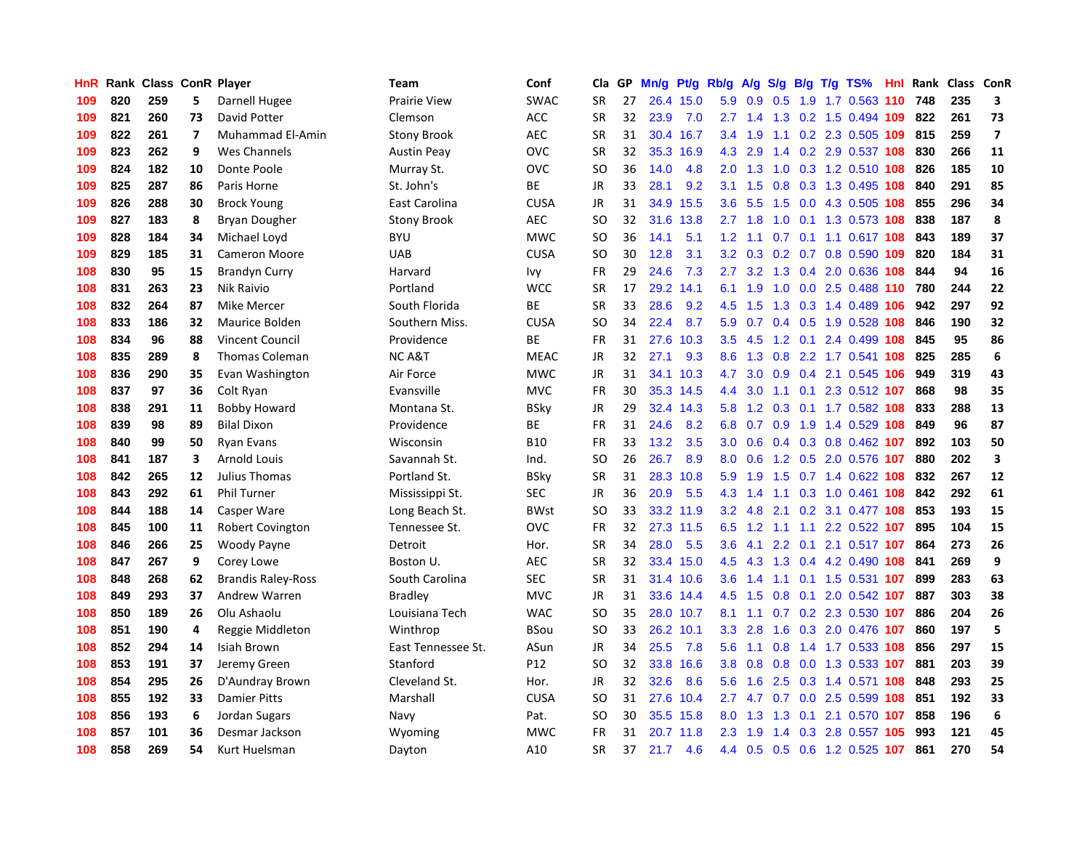| HnR | Rank | <b>Class ConR Player</b> |                         |                           | <b>Team</b>         | Conf        | Cla           | GP. | Mn/g | Pt/g Rb/g |                  | A/g           |               |  | S/g B/g T/g TS%                   | <b>Hnl</b> | Rank | Class ConR |                         |
|-----|------|--------------------------|-------------------------|---------------------------|---------------------|-------------|---------------|-----|------|-----------|------------------|---------------|---------------|--|-----------------------------------|------------|------|------------|-------------------------|
| 109 | 820  | 259                      | 5                       | Darnell Hugee             | <b>Prairie View</b> | <b>SWAC</b> | <b>SR</b>     | 27  | 26.4 | 15.0      | 5.9              | 0.9           | 0.5           |  | 1.9 1.7 0.563 110 748             |            |      | 235        | 3                       |
| 109 | 821  | 260                      | 73                      | David Potter              | Clemson             | <b>ACC</b>  | <b>SR</b>     | 32  | 23.9 | 7.0       |                  |               |               |  | 2.7 1.4 1.3 0.2 1.5 0.494 109 822 |            |      | 261        | 73                      |
| 109 | 822  | 261                      | $\overline{\mathbf{z}}$ | Muhammad El-Amin          | <b>Stony Brook</b>  | AEC         | <b>SR</b>     | 31  |      | 30.4 16.7 | $3.4^{\circ}$    | 1.9           |               |  | 1.1 0.2 2.3 0.505 109 815         |            |      | 259        | $\overline{\mathbf{z}}$ |
| 109 | 823  | 262                      | 9                       | Wes Channels              | <b>Austin Peay</b>  | OVC         | <b>SR</b>     | 32  | 35.3 | 16.9      | 4.3              | 2.9           |               |  | 1.4 0.2 2.9 0.537 108             |            | 830  | 266        | 11                      |
| 109 | 824  | 182                      | 10                      | Donte Poole               | Murray St.          | OVC         | <sub>SO</sub> | 36  | 14.0 | 4.8       | 2.0              | 1.3           | 1.0           |  | 0.3 1.2 0.510 108                 |            | 826  | 185        | 10                      |
| 109 | 825  | 287                      | 86                      | Paris Horne               | St. John's          | ВE          | JR            | 33  | 28.1 | 9.2       | 3.1              | 1.5           | 0.8           |  | 0.3 1.3 0.495 108                 |            | 840  | 291        | 85                      |
| 109 | 826  | 288                      | 30                      | <b>Brock Young</b>        | East Carolina       | <b>CUSA</b> | JR            | 31  | 34.9 | 15.5      | 3.6              | 5.5           | 1.5           |  | 0.0 4.3 0.505 108                 |            | 855  | 296        | 34                      |
| 109 | 827  | 183                      | 8                       | Bryan Dougher             | <b>Stony Brook</b>  | <b>AEC</b>  | <b>SO</b>     | 32  | 31.6 | 13.8      |                  | $2.7 \t1.8$   | 1.0           |  | 0.1 1.3 0.573 108                 |            | 838  | 187        | 8                       |
| 109 | 828  | 184                      | 34                      | Michael Loyd              | <b>BYU</b>          | <b>MWC</b>  | SO.           | 36  | 14.1 | 5.1       | 1.2              | 1.1           |               |  | 0.7 0.1 1.1 0.617 108             |            | 843  | 189        | 37                      |
| 109 | 829  | 185                      | 31                      | <b>Cameron Moore</b>      | <b>UAB</b>          | <b>CUSA</b> | <b>SO</b>     | 30  | 12.8 | 3.1       | 3.2              | 0.3           |               |  | 0.2 0.7 0.8 0.590 109             |            | 820  | 184        | 31                      |
| 108 | 830  | 95                       | 15                      | <b>Brandyn Curry</b>      | Harvard             | Ivy         | <b>FR</b>     | 29  | 24.6 | 7.3       | $2.7^{\circ}$    |               |               |  | 3.2 1.3 0.4 2.0 0.636 108         |            | 844  | 94         | 16                      |
| 108 | 831  | 263                      | 23                      | Nik Raivio                | Portland            | <b>WCC</b>  | <b>SR</b>     | 17  | 29.2 | 14.1      | 6.1              | 1.9           |               |  | 1.0 0.0 2.5 0.488 110 780         |            |      | 244        | 22                      |
| 108 | 832  | 264                      | 87                      | <b>Mike Mercer</b>        | South Florida       | <b>BE</b>   | <b>SR</b>     | 33  | 28.6 | 9.2       | 4.5              | 1.5           |               |  | 1.3 0.3 1.4 0.489 106             |            | 942  | 297        | 92                      |
| 108 | 833  | 186                      | 32                      | Maurice Bolden            | Southern Miss.      | <b>CUSA</b> | <b>SO</b>     | 34  | 22.4 | 8.7       | 5.9              | 0.7           |               |  | $0.4$ 0.5 1.9 0.528 108           |            | 846  | 190        | 32                      |
| 108 | 834  | 96                       | 88                      | <b>Vincent Council</b>    | Providence          | <b>BE</b>   | <b>FR</b>     | 31  | 27.6 | 10.3      | 3.5              | 4.5           |               |  | 1.2 0.1 2.4 0.499                 | 108        | 845  | 95         | 86                      |
| 108 | 835  | 289                      | 8                       | <b>Thomas Coleman</b>     | <b>NCA&amp;T</b>    | <b>MEAC</b> | JR            | 32  | 27.1 | 9.3       | 8.6              | 1.3           | 0.8           |  | 2.2 1.7 0.541 108                 |            | 825  | 285        | $\boldsymbol{6}$        |
| 108 | 836  | 290                      | 35                      | Evan Washington           | Air Force           | <b>MWC</b>  | JR            | 31  | 34.1 | 10.3      | 4.7              | 3.0           | 0.9           |  | 0.4 2.1 0.545 106                 |            | 949  | 319        | 43                      |
| 108 | 837  | 97                       | 36                      | Colt Ryan                 | Evansville          | <b>MVC</b>  | <b>FR</b>     | 30  |      | 35.3 14.5 | 4.4              | 3.0           | 1.1           |  | 0.1 2.3 0.512 107                 |            | 868  | 98         | 35                      |
| 108 | 838  | 291                      | 11                      | <b>Bobby Howard</b>       | Montana St.         | <b>BSky</b> | JR            | 29  |      | 32.4 14.3 | 5.8              |               |               |  | 1.2 0.3 0.1 1.7 0.582 108 833     |            |      | 288        | 13                      |
| 108 | 839  | 98                       | 89                      | <b>Bilal Dixon</b>        | Providence          | <b>BE</b>   | <b>FR</b>     | 31  | 24.6 | 8.2       | 6.8              | 0.7           |               |  | 0.9 1.9 1.4 0.529 108             |            | 849  | 96         | 87                      |
| 108 | 840  | 99                       | 50                      | <b>Ryan Evans</b>         | Wisconsin           | <b>B10</b>  | <b>FR</b>     | 33  | 13.2 | 3.5       | 3.0 <sub>1</sub> | 0.6           |               |  | $0.4$ 0.3 0.8 0.462 107           |            | 892  | 103        | 50                      |
| 108 | 841  | 187                      | 3                       | <b>Arnold Louis</b>       | Savannah St.        | Ind.        | <b>SO</b>     | 26  | 26.7 | 8.9       | 8.0              | 0.6           |               |  | 1.2 0.5 2.0 0.576 107             |            | 880  | 202        | $\overline{\mathbf{3}}$ |
| 108 | 842  | 265                      | 12                      | Julius Thomas             | Portland St.        | <b>BSky</b> | SR            | 31  | 28.3 | 10.8      | 5.9              | 1.9           |               |  | 1.5 0.7 1.4 0.622 108             |            | 832  | 267        | 12                      |
| 108 | 843  | 292                      | 61                      | <b>Phil Turner</b>        | Mississippi St.     | <b>SEC</b>  | JR            | 36  | 20.9 | 5.5       | 4.3              | 1.4           |               |  | 1.1 0.3 1.0 0.461 108             |            | 842  | 292        | 61                      |
| 108 | 844  | 188                      | 14                      | Casper Ware               | Long Beach St.      | <b>BWst</b> | <b>SO</b>     | 33  |      | 33.2 11.9 | 3.2              | 4.8           |               |  | 2.1 0.2 3.1 0.477 108             |            | 853  | 193        | 15                      |
| 108 | 845  | 100                      | 11                      | Robert Covington          | Tennessee St.       | OVC         | <b>FR</b>     | 32  |      | 27.3 11.5 | 6.5              | 1.2           | 1.1           |  | 1.1 2.2 0.522 107                 |            | 895  | 104        | 15                      |
| 108 | 846  | 266                      | 25                      | Woody Payne               | Detroit             | Hor.        | <b>SR</b>     | 34  | 28.0 | 5.5       | 3.6              |               |               |  | 4.1 2.2 0.1 2.1 0.517 107         |            | 864  | 273        | 26                      |
| 108 | 847  | 267                      | 9                       | Corey Lowe                | Boston U.           | <b>AEC</b>  | <b>SR</b>     | 32  |      | 33.4 15.0 | 4.5              |               |               |  | 4.3 1.3 0.4 4.2 0.490 108         |            | 841  | 269        | 9                       |
| 108 | 848  | 268                      | 62                      | <b>Brandis Raley-Ross</b> | South Carolina      | <b>SEC</b>  | <b>SR</b>     | 31  |      | 31.4 10.6 | 3.6 <sup>°</sup> | $1.4^{\circ}$ |               |  | 1.1 0.1 1.5 0.531 107             |            | 899  | 283        | 63                      |
| 108 | 849  | 293                      | 37                      | Andrew Warren             | <b>Bradley</b>      | <b>MVC</b>  | JR            | 31  | 33.6 | 14.4      | 4.5              | 1.5           | 0.8           |  | 0.1 2.0 0.542 107                 |            | 887  | 303        | 38                      |
| 108 | 850  | 189                      | 26                      | Olu Ashaolu               | Louisiana Tech      | <b>WAC</b>  | <b>SO</b>     | 35  |      | 28.0 10.7 | 8.1              | 1.1           |               |  | $0.7$ $0.2$ $2.3$ $0.530$ 107     |            | 886  | 204        | 26                      |
| 108 | 851  | 190                      | 4                       | Reggie Middleton          | Winthrop            | <b>BSou</b> | SO            | 33  |      | 26.2 10.1 | 3.3              | 2.8           | 1.6           |  | 0.3 2.0 0.476 107                 |            | 860  | 197        | 5                       |
| 108 | 852  | 294                      | 14                      | Isiah Brown               | East Tennessee St.  | ASun        | JR            | 34  | 25.5 | 7.8       | 5.6              | 1.1           | 0.8           |  | 1.4 1.7 0.533 108                 |            | 856  | 297        | 15                      |
| 108 | 853  | 191                      | 37                      | Jeremy Green              | Stanford            | P12         | <b>SO</b>     | 32  | 33.8 | 16.6      | 3.8 <sub>2</sub> | 0.8           | 0.8           |  | 0.0 1.3 0.533 107                 |            | 881  | 203        | 39                      |
| 108 | 854  | 295                      | 26                      | D'Aundray Brown           | Cleveland St.       | Hor.        | <b>JR</b>     | 32  | 32.6 | 8.6       | 5.6              | 1.6           |               |  | 2.5 0.3 1.4 0.571 108             |            | 848  | 293        | 25                      |
| 108 | 855  | 192                      | 33                      | <b>Damier Pitts</b>       | Marshall            | <b>CUSA</b> | <b>SO</b>     | 31  |      | 27.6 10.4 |                  |               |               |  | 2.7 4.7 0.7 0.0 2.5 0.599 108     |            | 851  | 192        | 33                      |
| 108 | 856  | 193                      | 6                       | Jordan Sugars             | Navy                | Pat.        | <b>SO</b>     | 30  | 35.5 | 15.8      | 8.0              | 1.3           | 1.3           |  | 0.1 2.1 0.570 107                 |            | 858  | 196        | 6                       |
| 108 | 857  | 101                      | 36                      | Desmar Jackson            | Wyoming             | <b>MWC</b>  | <b>FR</b>     | 31  | 20.7 | 11.8      | 2.3              | 1.9           | $1.4^{\circ}$ |  | 0.3 2.8 0.557 105                 |            | 993  | 121        | 45                      |
| 108 | 858  | 269                      | 54                      | Kurt Huelsman             | Dayton              | A10         | <b>SR</b>     | 37  | 21.7 | 4.6       | $4.4^{\circ}$    | 0.5           |               |  | 0.5 0.6 1.2 0.525 107             |            | 861  | 270        | 54                      |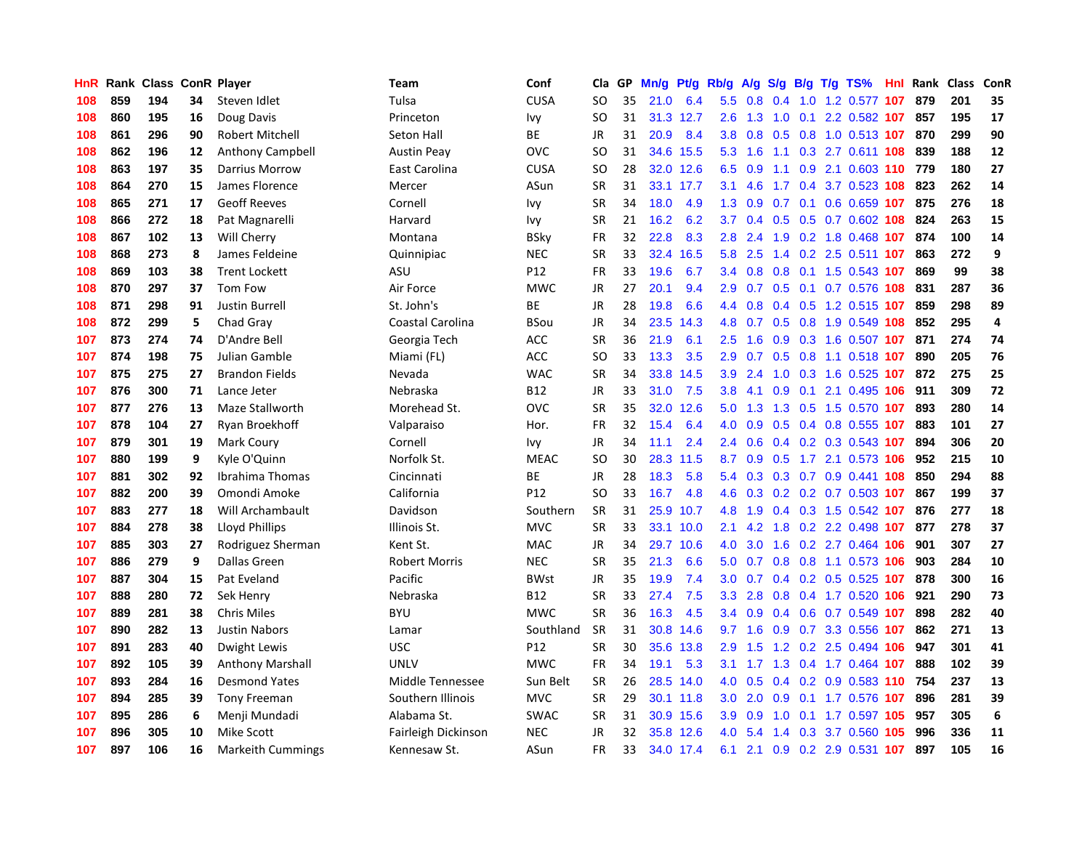| HnR |     | Rank Class ConR Player |    |                          | Team                 | Conf        | Cla       | <b>GP</b> | Mn/g | Pt/g Rb/g |                  | A/g             |     |  | $S/g$ B/g T/g TS%             | Hnl | Rank | Class | <b>ConR</b>      |
|-----|-----|------------------------|----|--------------------------|----------------------|-------------|-----------|-----------|------|-----------|------------------|-----------------|-----|--|-------------------------------|-----|------|-------|------------------|
| 108 | 859 | 194                    | 34 | Steven Idlet             | Tulsa                | <b>CUSA</b> | <b>SO</b> | 35        | 21.0 | 6.4       | 5.5              | 0.8             | 0.4 |  | 1.0 1.2 0.577 107             |     | 879  | 201   | 35               |
| 108 | 860 | 195                    | 16 | Doug Davis               | Princeton            | Ivy         | SO        | 31        |      | 31.3 12.7 | 2.6              |                 |     |  | 1.3 1.0 0.1 2.2 0.582 107 857 |     |      | 195   | 17               |
| 108 | 861 | 296                    | 90 | <b>Robert Mitchell</b>   | Seton Hall           | <b>BE</b>   | JR        | 31        | 20.9 | 8.4       | 3.8              | 0.8             |     |  | 0.5 0.8 1.0 0.513 107 870     |     |      | 299   | 90               |
| 108 | 862 | 196                    | 12 | Anthony Campbell         | <b>Austin Peay</b>   | OVC         | <b>SO</b> | 31        |      | 34.6 15.5 | 5.3              | 1.6             |     |  | 1.1 0.3 2.7 0.611 108         |     | 839  | 188   | 12               |
| 108 | 863 | 197                    | 35 | Darrius Morrow           | East Carolina        | <b>CUSA</b> | <b>SO</b> | 28        |      | 32.0 12.6 | 6.5              | 0.9             |     |  | 1.1 0.9 2.1 0.603 110 779     |     |      | 180   | 27               |
| 108 | 864 | 270                    | 15 | James Florence           | Mercer               | ASun        | <b>SR</b> | 31        | 33.1 | 17.7      | 3.1              | 4.6             |     |  | 1.7 0.4 3.7 0.523 108         |     | 823  | 262   | 14               |
| 108 | 865 | 271                    | 17 | <b>Geoff Reeves</b>      | Cornell              | Ivy         | <b>SR</b> | 34        | 18.0 | 4.9       | 1.3              | 0.9             |     |  | $0.7$ 0.1 0.6 0.659 107       |     | 875  | 276   | 18               |
| 108 | 866 | 272                    | 18 | Pat Magnarelli           | Harvard              | Ivy         | <b>SR</b> | 21        | 16.2 | 6.2       | 3.7              | 0.4             |     |  | $0.5$ 0.5 0.7 0.602 108       |     | 824  | 263   | 15               |
| 108 | 867 | 102                    | 13 | Will Cherry              | Montana              | <b>BSky</b> | FR        | 32        | 22.8 | 8.3       | 2.8              | 2.4             | 1.9 |  | 0.2 1.8 0.468 107             |     | 874  | 100   | 14               |
| 108 | 868 | 273                    | 8  | James Feldeine           | Quinnipiac           | <b>NEC</b>  | <b>SR</b> | 33        | 32.4 | 16.5      | 5.8              | 2.5             |     |  | 1.4 0.2 2.5 0.511 107         |     | 863  | 272   | 9                |
| 108 | 869 | 103                    | 38 | <b>Trent Lockett</b>     | ASU                  | P12         | <b>FR</b> | 33        | 19.6 | 6.7       | 3.4              | 0.8             |     |  | 0.8 0.1 1.5 0.543 107         |     | 869  | 99    | 38               |
| 108 | 870 | 297                    | 37 | Tom Fow                  | Air Force            | <b>MWC</b>  | JR        | 27        | 20.1 | 9.4       | 2.9 <sup>°</sup> | 0.7             |     |  | 0.5 0.1 0.7 0.576 108         |     | 831  | 287   | 36               |
| 108 | 871 | 298                    | 91 | <b>Justin Burrell</b>    | St. John's           | <b>BE</b>   | <b>JR</b> | 28        | 19.8 | 6.6       | 4.4              | 0.8             |     |  | $0.4$ 0.5 1.2 0.515 107       |     | 859  | 298   | 89               |
| 108 | 872 | 299                    | 5  | Chad Gray                | Coastal Carolina     | <b>BSou</b> | <b>JR</b> | 34        | 23.5 | 14.3      | 4.8              | 0.7             |     |  | 0.5 0.8 1.9 0.549 108         |     | 852  | 295   | $\overline{a}$   |
| 107 | 873 | 274                    | 74 | D'Andre Bell             | Georgia Tech         | ACC         | <b>SR</b> | 36        | 21.9 | 6.1       | 2.5              | 1.6             |     |  | 0.9 0.3 1.6 0.507 107         |     | 871  | 274   | 74               |
| 107 | 874 | 198                    | 75 | Julian Gamble            | Miami (FL)           | ACC         | <b>SO</b> | 33        | 13.3 | 3.5       | 2.9              | 0.7             |     |  | 0.5 0.8 1.1 0.518 107         |     | 890  | 205   | 76               |
| 107 | 875 | 275                    | 27 | <b>Brandon Fields</b>    | Nevada               | <b>WAC</b>  | <b>SR</b> | 34        | 33.8 | 14.5      | 3.9              | 2.4             | 1.0 |  | 0.3 1.6 0.525 107             |     | 872  | 275   | 25               |
| 107 | 876 | 300                    | 71 | Lance Jeter              | Nebraska             | <b>B12</b>  | <b>JR</b> | 33        | 31.0 | 7.5       | 3.8              | 4.1             | 0.9 |  | $0.1$ 2.1 0.495 106           |     | 911  | 309   | 72               |
| 107 | 877 | 276                    | 13 | Maze Stallworth          | Morehead St.         | OVC         | <b>SR</b> | 35        | 32.0 | 12.6      | 5.0              | 1.3             |     |  | 1.3 0.5 1.5 0.570 107         |     | 893  | 280   | 14               |
| 107 | 878 | 104                    | 27 | Ryan Broekhoff           | Valparaiso           | Hor.        | FR        | 32        | 15.4 | 6.4       | 4.0              | 0.9             |     |  | 0.5 0.4 0.8 0.555 107         |     | 883  | 101   | 27               |
| 107 | 879 | 301                    | 19 | Mark Coury               | Cornell              | Ivy         | JR        | 34        | 11.1 | 2.4       | $2.4^{\circ}$    | 0.6             |     |  | $0.4$ 0.2 0.3 0.543 107       |     | 894  | 306   | 20               |
| 107 | 880 | 199                    | 9  | Kyle O'Quinn             | Norfolk St.          | <b>MEAC</b> | <b>SO</b> | 30        | 28.3 | 11.5      | 8.7              | 0.9             | 0.5 |  | 1.7 2.1 0.573 106             |     | 952  | 215   | 10               |
| 107 | 881 | 302                    | 92 | Ibrahima Thomas          | Cincinnati           | BE          | JR        | 28        | 18.3 | 5.8       | 5.4              | 0.3             |     |  | 0.3 0.7 0.9 0.441 108         |     | 850  | 294   | 88               |
| 107 | 882 | 200                    | 39 | Omondi Amoke             | California           | P12         | <b>SO</b> | 33        | 16.7 | 4.8       | 4.6              | 0.3             |     |  | $0.2$ 0.2 0.7 0.503 107       |     | 867  | 199   | 37               |
| 107 | 883 | 277                    | 18 | Will Archambault         | Davidson             | Southern    | <b>SR</b> | 31        | 25.9 | 10.7      | 4.8              | 1.9             |     |  | 0.4 0.3 1.5 0.542 107         |     | 876  | 277   | 18               |
| 107 | 884 | 278                    | 38 | <b>Lloyd Phillips</b>    | Illinois St.         | <b>MVC</b>  | <b>SR</b> | 33        | 33.1 | 10.0      | 2.1              | 4.2             | 1.8 |  | 0.2 2.2 0.498 107             |     | 877  | 278   | 37               |
| 107 | 885 | 303                    | 27 | Rodriguez Sherman        | Kent St.             | <b>MAC</b>  | JR        | 34        | 29.7 | 10.6      | 4.0              | 3.0             |     |  | 1.6 0.2 2.7 0.464 106         |     | 901  | 307   | 27               |
| 107 | 886 | 279                    | 9  | Dallas Green             | <b>Robert Morris</b> | <b>NEC</b>  | <b>SR</b> | 35        | 21.3 | 6.6       | 5.0              |                 |     |  | 0.7 0.8 0.8 1.1 0.573 106     |     | 903  | 284   | 10               |
| 107 | 887 | 304                    | 15 | Pat Eveland              | Pacific              | <b>BWst</b> | JR        | 35        | 19.9 | 7.4       | 3.0 <sub>2</sub> | 0.7             |     |  | 0.4 0.2 0.5 0.525 107 878     |     |      | 300   | 16               |
| 107 | 888 | 280                    | 72 | Sek Henry                | Nebraska             | <b>B12</b>  | <b>SR</b> | 33        | 27.4 | 7.5       | 3.3 <sub>2</sub> | 2.8             |     |  | 0.8 0.4 1.7 0.520 106         |     | 921  | 290   | 73               |
| 107 | 889 | 281                    | 38 | <b>Chris Miles</b>       | <b>BYU</b>           | <b>MWC</b>  | <b>SR</b> | 36        | 16.3 | 4.5       | 3.4              | 0.9             | 0.4 |  | 0.6 0.7 0.549 107             |     | 898  | 282   | 40               |
| 107 | 890 | 282                    | 13 | <b>Justin Nabors</b>     | Lamar                | Southland   | <b>SR</b> | 31        | 30.8 | 14.6      | 9.7              | 1.6             |     |  | 0.9 0.7 3.3 0.556 107         |     | 862  | 271   | 13               |
| 107 | 891 | 283                    | 40 | Dwight Lewis             | <b>USC</b>           | P12         | <b>SR</b> | 30        | 35.6 | 13.8      | 2.9              | 1.5             |     |  | 1.2 0.2 2.5 0.494 106         |     | 947  | 301   | 41               |
| 107 | 892 | 105                    | 39 | <b>Anthony Marshall</b>  | <b>UNLV</b>          | <b>MWC</b>  | <b>FR</b> | 34        | 19.1 | 5.3       |                  | $3.1 \quad 1.7$ | 1.3 |  | 0.4 1.7 0.464 107             |     | 888  | 102   | 39               |
| 107 | 893 | 284                    | 16 | <b>Desmond Yates</b>     | Middle Tennessee     | Sun Belt    | <b>SR</b> | 26        | 28.5 | 14.0      | 4.0              | 0.5             | 0.4 |  | 0.2 0.9 0.583 110 754         |     |      | 237   | 13               |
| 107 | 894 | 285                    | 39 | <b>Tony Freeman</b>      | Southern Illinois    | <b>MVC</b>  | <b>SR</b> | 29        |      | 30.1 11.8 | 3.0 <sub>2</sub> | 2.0             |     |  | 0.9 0.1 1.7 0.576 107         |     | 896  | 281   | 39               |
| 107 | 895 | 286                    | 6  | Menji Mundadi            | Alabama St.          | <b>SWAC</b> | <b>SR</b> | 31        |      | 30.9 15.6 | 3.9 <sup>°</sup> | 0.9             | 1.0 |  | 0.1 1.7 0.597 105             |     | 957  | 305   | $\boldsymbol{6}$ |
| 107 | 896 | 305                    | 10 | <b>Mike Scott</b>        | Fairleigh Dickinson  | <b>NEC</b>  | JR        | 32        | 35.8 | 12.6      | 4.0              | 5.4             |     |  | 1.4 0.3 3.7 0.560 105         |     | 996  | 336   | 11               |
| 107 | 897 | 106                    | 16 | <b>Markeith Cummings</b> | Kennesaw St.         | ASun        | <b>FR</b> | 33        |      | 34.0 17.4 | 6.1              | 2.1             |     |  | 0.9 0.2 2.9 0.531 107         |     | 897  | 105   | 16               |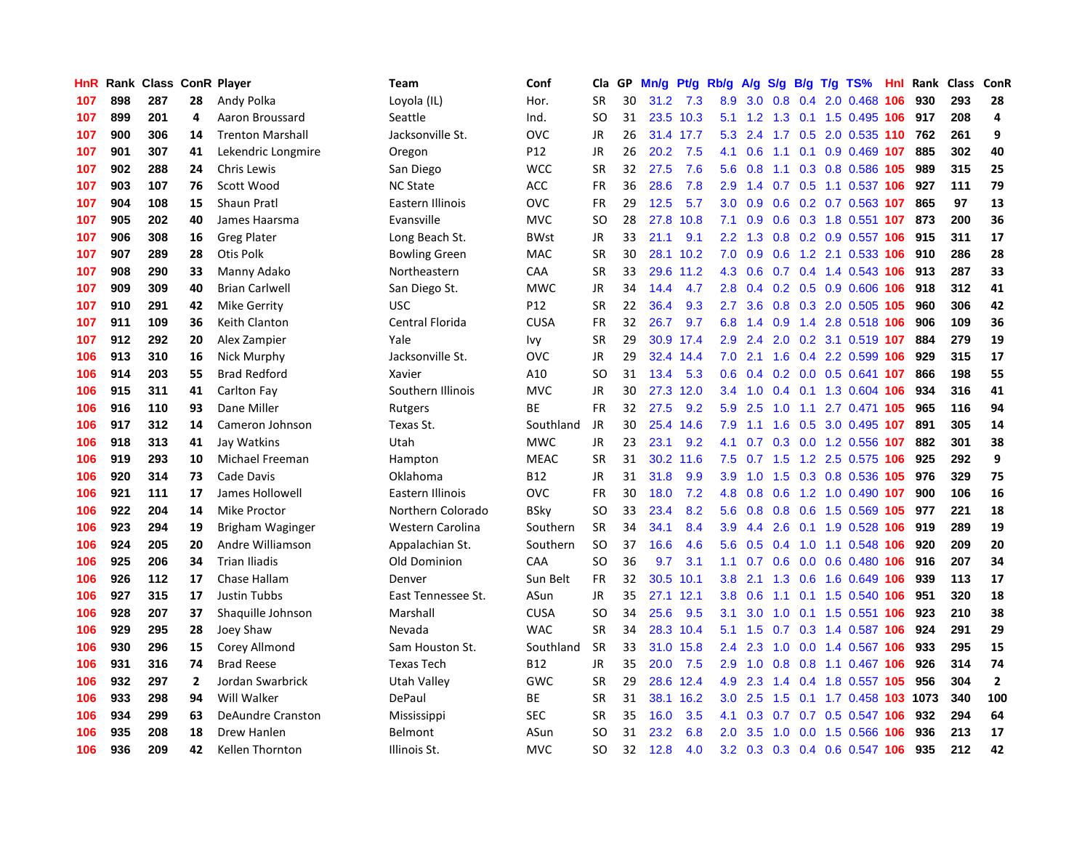| HnR. | Rank | <b>Class</b> |                | <b>ConR Player</b>       | Team                 | Conf        | Cla       | <b>GP</b> | Mn/g | <b>Pt/g</b> | Rb/g             | A/g    | S/g |  | B/g T/g TS%                   | Hnl | Rank | <b>Class</b> | ConR           |
|------|------|--------------|----------------|--------------------------|----------------------|-------------|-----------|-----------|------|-------------|------------------|--------|-----|--|-------------------------------|-----|------|--------------|----------------|
| 107  | 898  | 287          | 28             | Andy Polka               | Loyola (IL)          | Hor.        | <b>SR</b> | 30        | 31.2 | 7.3         | 8.9              | 3.0    | 0.8 |  | 0.4 2.0 0.468 106             |     | 930  | 293          | 28             |
| 107  | 899  | 201          | 4              | Aaron Broussard          | Seattle              | Ind.        | SO.       | 31        |      | 23.5 10.3   | 5.1              |        |     |  | 1.2 1.3 0.1 1.5 0.495 106 917 |     |      | 208          | $\overline{a}$ |
| 107  | 900  | 306          | 14             | <b>Trenton Marshall</b>  | Jacksonville St.     | OVC         | <b>JR</b> | 26        |      | 31.4 17.7   | 5.3              | 2.4    |     |  | 1.7 0.5 2.0 0.535 110 762     |     |      | 261          | 9              |
| 107  | 901  | 307          | 41             | Lekendric Longmire       | Oregon               | P12         | JR        | 26        | 20.2 | 7.5         | 4.1              | 0.6    |     |  | 1.1 0.1 0.9 0.469 107         |     | 885  | 302          | 40             |
| 107  | 902  | 288          | 24             | <b>Chris Lewis</b>       | San Diego            | <b>WCC</b>  | <b>SR</b> | 32        | 27.5 | 7.6         | 5.6              | 0.8    | 1.1 |  | 0.3 0.8 0.586 105             |     | 989  | 315          | 25             |
| 107  | 903  | 107          | 76             | Scott Wood               | <b>NC State</b>      | ACC         | FR        | 36        | 28.6 | 7.8         | 2.9              | 1.4    |     |  | 0.7 0.5 1.1 0.537 106         |     | 927  | 111          | 79             |
| 107  | 904  | 108          | 15             | <b>Shaun Pratl</b>       | Eastern Illinois     | OVC         | <b>FR</b> | 29        | 12.5 | 5.7         | 3.0              | 0.9    | 0.6 |  | 0.2 0.7 0.563 107             |     | 865  | 97           | 13             |
| 107  | 905  | 202          | 40             | James Haarsma            | Evansville           | <b>MVC</b>  | <b>SO</b> | 28        | 27.8 | 10.8        | 7.1              | 0.9    | 0.6 |  | 0.3 1.8 0.551 107             |     | 873  | 200          | 36             |
| 107  | 906  | 308          | 16             | <b>Greg Plater</b>       | Long Beach St.       | <b>BWst</b> | <b>JR</b> | 33        | 21.1 | 9.1         | 2.2              | 1.3    |     |  | 0.8 0.2 0.9 0.557 106         |     | 915  | 311          | 17             |
| 107  | 907  | 289          | 28             | Otis Polk                | <b>Bowling Green</b> | MAC         | <b>SR</b> | 30        | 28.1 | 10.2        | 7.0              | 0.9    |     |  | 0.6 1.2 2.1 0.533 106         |     | 910  | 286          | 28             |
| 107  | 908  | 290          | 33             | Manny Adako              | Northeastern         | CAA         | <b>SR</b> | 33        |      | 29.6 11.2   | 4.3              | 0.6    |     |  | 0.7 0.4 1.4 0.543 106 913     |     |      | 287          | 33             |
| 107  | 909  | 309          | 40             | <b>Brian Carlwell</b>    | San Diego St.        | <b>MWC</b>  | JR        | 34        | 14.4 | 4.7         | 2.8              | 0.4    |     |  | 0.2 0.5 0.9 0.606 106 918     |     |      | 312          | 41             |
| 107  | 910  | 291          | 42             | <b>Mike Gerrity</b>      | <b>USC</b>           | P12         | <b>SR</b> | 22        | 36.4 | 9.3         | 2.7              | 3.6    |     |  | 0.8 0.3 2.0 0.505 105         |     | 960  | 306          | 42             |
| 107  | 911  | 109          | 36             | Keith Clanton            | Central Florida      | <b>CUSA</b> | FR        | 32        | 26.7 | 9.7         | 6.8              | 1.4    | 0.9 |  | 1.4 2.8 0.518 106             |     | 906  | 109          | 36             |
| 107  | 912  | 292          | 20             | Alex Zampier             | Yale                 | Ivy         | <b>SR</b> | 29        |      | 30.9 17.4   | 2.9              | 2.4    | 2.0 |  | 0.2 3.1 0.519 107             |     | 884  | 279          | 19             |
| 106  | 913  | 310          | 16             | Nick Murphy              | Jacksonville St.     | OVC         | <b>JR</b> | 29        | 32.4 | 14.4        | 7.0              | 2.1    | 1.6 |  | 0.4 2.2 0.599 106             |     | 929  | 315          | 17             |
| 106  | 914  | 203          | 55             | <b>Brad Redford</b>      | Xavier               | A10         | SO        | 31        | 13.4 | 5.3         | 0.6              | 0.4    |     |  | 0.2 0.0 0.5 0.641 107         |     | 866  | 198          | 55             |
| 106  | 915  | 311          | 41             | Carlton Fay              | Southern Illinois    | <b>MVC</b>  | <b>JR</b> | 30        | 27.3 | 12.0        | $3.4^{\circ}$    | 1.0    | 0.4 |  | 0.1 1.3 0.604 106             |     | 934  | 316          | 41             |
| 106  | 916  | 110          | 93             | Dane Miller              | Rutgers              | <b>BE</b>   | <b>FR</b> | 32        | 27.5 | 9.2         | 5.9              | 2.5    | 1.0 |  | 1.1 2.7 0.471 105             |     | 965  | 116          | 94             |
| 106  | 917  | 312          | 14             | Cameron Johnson          | Texas St.            | Southland   | <b>JR</b> | 30        | 25.4 | 14.6        | 7.9              | $-1.1$ |     |  | 1.6 0.5 3.0 0.495 107         |     | 891  | 305          | 14             |
| 106  | 918  | 313          | 41             | Jay Watkins              | Utah                 | <b>MWC</b>  | <b>JR</b> | 23        | 23.1 | 9.2         | 4.1              | 0.7    |     |  | 0.3 0.0 1.2 0.556 107         |     | 882  | 301          | 38             |
| 106  | 919  | 293          | 10             | Michael Freeman          | Hampton              | <b>MEAC</b> | <b>SR</b> | 31        | 30.2 | 11.6        | 7.5              | 0.7    | 1.5 |  | 1.2 2.5 0.575 106             |     | 925  | 292          | 9              |
| 106  | 920  | 314          | 73             | Cade Davis               | Oklahoma             | <b>B12</b>  | <b>JR</b> | 31        | 31.8 | 9.9         | 3.9 <sub>2</sub> | 1.0    | 1.5 |  | 0.3 0.8 0.536 105             |     | 976  | 329          | 75             |
| 106  | 921  | 111          | 17             | James Hollowell          | Eastern Illinois     | OVC         | <b>FR</b> | 30        | 18.0 | 7.2         | 4.8              | 0.8    | 0.6 |  | 1.2 1.0 0.490                 | 107 | 900  | 106          | 16             |
| 106  | 922  | 204          | 14             | <b>Mike Proctor</b>      | Northern Colorado    | <b>BSky</b> | <b>SO</b> | 33        | 23.4 | 8.2         | 5.6              | 0.8    | 0.8 |  | 0.6 1.5 0.569 105             |     | 977  | 221          | 18             |
| 106  | 923  | 294          | 19             | Brigham Waginger         | Western Carolina     | Southern    | <b>SR</b> | 34        | 34.1 | 8.4         | 3.9              | 4.4    | 2.6 |  | 0.1 1.9 0.528 106             |     | 919  | 289          | 19             |
| 106  | 924  | 205          | 20             | Andre Williamson         | Appalachian St.      | Southern    | <b>SO</b> | 37        | 16.6 | 4.6         | 5.6              | 0.5    |     |  | 0.4 1.0 1.1 0.548 106         |     | 920  | 209          | 20             |
| 106  | 925  | 206          | 34             | <b>Trian Iliadis</b>     | Old Dominion         | CAA         | SO        | 36        | 9.7  | 3.1         | 1.1              | 0.7    |     |  | 0.6 0.0 0.6 0.480 106         |     | 916  | 207          | 34             |
| 106  | 926  | 112          | 17             | Chase Hallam             | Denver               | Sun Belt    | FR        | 32        | 30.5 | 10.1        | 3.8              | 2.1    |     |  | 1.3 0.6 1.6 0.649 106         |     | 939  | 113          | 17             |
| 106  | 927  | 315          | 17             | <b>Justin Tubbs</b>      | East Tennessee St.   | ASun        | <b>JR</b> | 35        | 27.1 | 12.1        | 3.8              | 0.6    |     |  | 1.1 0.1 1.5 0.540 106         |     | 951  | 320          | 18             |
| 106  | 928  | 207          | 37             | Shaquille Johnson        | Marshall             | <b>CUSA</b> | <b>SO</b> | 34        | 25.6 | 9.5         | 3.1              | 3.0    | 1.0 |  | 0.1 1.5 0.551 106             |     | 923  | 210          | 38             |
| 106  | 929  | 295          | 28             | Joey Shaw                | Nevada               | <b>WAC</b>  | <b>SR</b> | 34        |      | 28.3 10.4   | 5.1              | 1.5    |     |  | 0.7 0.3 1.4 0.587 106         |     | 924  | 291          | 29             |
| 106  | 930  | 296          | 15             | Corey Allmond            | Sam Houston St.      | Southland   | <b>SR</b> | 33        | 31.0 | 15.8        | 2.4              | 2.3    | 1.0 |  | 0.0 1.4 0.567 106             |     | 933  | 295          | 15             |
| 106  | 931  | 316          | 74             | <b>Brad Reese</b>        | <b>Texas Tech</b>    | <b>B12</b>  | <b>JR</b> | 35        | 20.0 | 7.5         | 2.9 <sup>°</sup> | 1.0    | 0.8 |  | 0.8 1.1 0.467 106             |     | 926  | 314          | 74             |
| 106  | 932  | 297          | $\overline{2}$ | Jordan Swarbrick         | <b>Utah Valley</b>   | <b>GWC</b>  | <b>SR</b> | 29        | 28.6 | 12.4        | 4.9              | 2.3    | 1.4 |  | 0.4 1.8 0.557 105             |     | 956  | 304          | $\overline{2}$ |
| 106  | 933  | 298          | 94             | Will Walker              | DePaul               | ВE          | <b>SR</b> | 31        | 38.1 | 16.2        | 3.0 <sub>2</sub> | 2.5    | 1.5 |  | 0.1 1.7 0.458 103 1073        |     |      | 340          | 100            |
| 106  | 934  | 299          | 63             | <b>DeAundre Cranston</b> | Mississippi          | <b>SEC</b>  | SR        | 35        | 16.0 | 3.5         | 4.1              | 0.3    |     |  | 0.7 0.7 0.5 0.547 106         |     | 932  | 294          | 64             |
| 106  | 935  | 208          | 18             | Drew Hanlen              | <b>Belmont</b>       | ASun        | SO        | 31        | 23.2 | 6.8         | 2.0 <sub>1</sub> | 3.5    | 1.0 |  | 0.0 1.5 0.566 106             |     | 936  | 213          | 17             |
| 106  | 936  | 209          | 42             | Kellen Thornton          | Illinois St.         | <b>MVC</b>  | <b>SO</b> | 32        | 12.8 | 4.0         | 3.2              |        |     |  | 0.3 0.3 0.4 0.6 0.547 106     |     | 935  | 212          | 42             |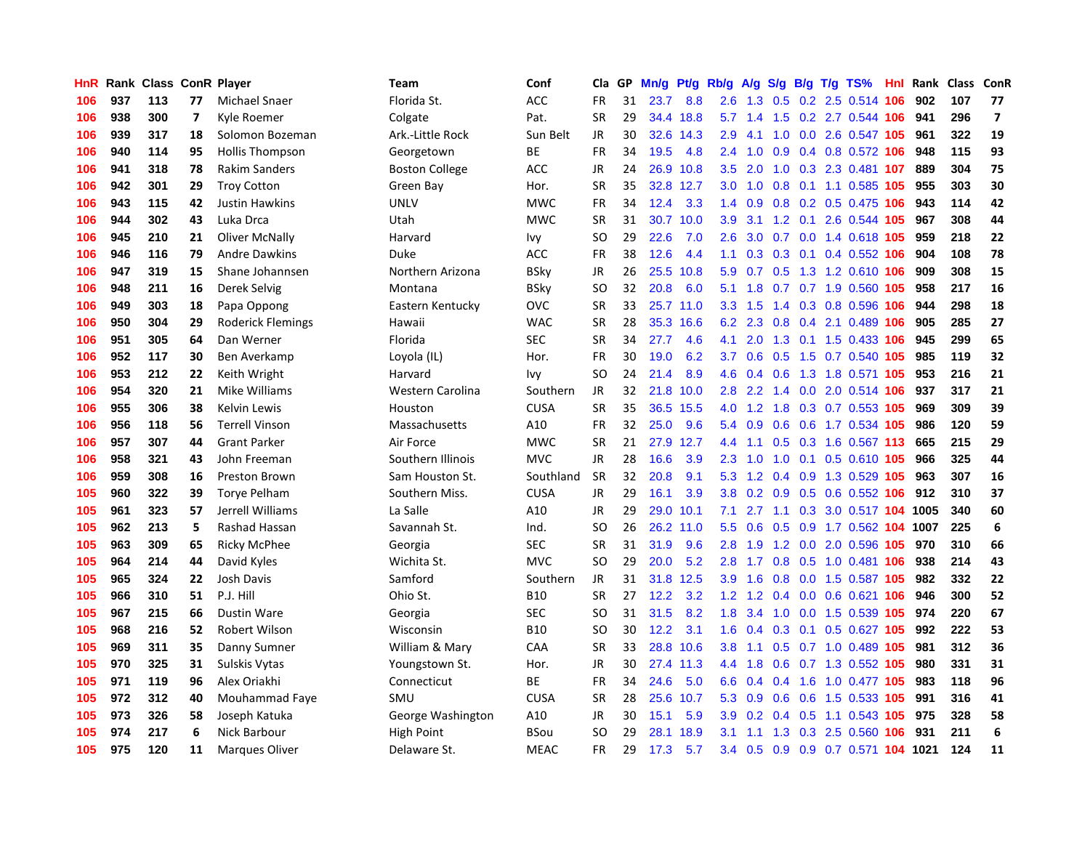| <b>HnR</b> | Rank |     |    | <b>Class ConR Player</b> | <b>Team</b>             | Conf        | Cla       | <b>GP</b> | Mn/g | <b>Pt/g</b> | Rb/g          | A/g              | S/g           |     | B/g T/g TS%                | Hnl | Rank | Class | ConR                    |
|------------|------|-----|----|--------------------------|-------------------------|-------------|-----------|-----------|------|-------------|---------------|------------------|---------------|-----|----------------------------|-----|------|-------|-------------------------|
| 106        | 937  | 113 | 77 | Michael Snaer            | Florida St.             | <b>ACC</b>  | FR        | 31        | 23.7 | 8.8         | 2.6           | 1.3              | 0.5           |     | 0.2 2.5 0.514 106          |     | 902  | 107   | 77                      |
| 106        | 938  | 300 | 7  | Kvle Roemer              | Colgate                 | Pat.        | <b>SR</b> | 29        |      | 34.4 18.8   | 5.7           | 1.4              | 1.5           |     | 0.2 2.7 0.544 106          |     | 941  | 296   | $\overline{\mathbf{z}}$ |
| 106        | 939  | 317 | 18 | Solomon Bozeman          | Ark.-Little Rock        | Sun Belt    | <b>JR</b> | 30        | 32.6 | 14.3        | 2.9           | 4.1              | 1.0           |     | 0.0 2.6 0.547 105          |     | 961  | 322   | 19                      |
| 106        | 940  | 114 | 95 | Hollis Thompson          | Georgetown              | ВE          | <b>FR</b> | 34        | 19.5 | 4.8         | $2.4^{\circ}$ | 1.0              | 0.9           |     | 0.4 0.8 0.572 106          |     | 948  | 115   | 93                      |
| 106        | 941  | 318 | 78 | <b>Rakim Sanders</b>     | <b>Boston College</b>   | ACC         | <b>JR</b> | 24        | 26.9 | 10.8        | 3.5           | 2.0              | 1.0           |     | 0.3 2.3 0.481 107          |     | 889  | 304   | 75                      |
| 106        | 942  | 301 | 29 | <b>Troy Cotton</b>       | Green Bay               | Hor.        | <b>SR</b> | 35        | 32.8 | 12.7        | 3.0           | 1.0              | 0.8           |     | 0.1 1.1 0.585 105          |     | 955  | 303   | 30                      |
| 106        | 943  | 115 | 42 | <b>Justin Hawkins</b>    | <b>UNLV</b>             | <b>MWC</b>  | <b>FR</b> | 34        | 12.4 | 3.3         | 1.4           | 0.9              |               |     | 0.8 0.2 0.5 0.475 106      |     | 943  | 114   | 42                      |
| 106        | 944  | 302 | 43 | Luka Drca                | Utah                    | <b>MWC</b>  | <b>SR</b> | 31        | 30.7 | 10.0        | 3.9           | 3.1              | 1.2           |     | 0.1 2.6 0.544 105          |     | 967  | 308   | 44                      |
| 106        | 945  | 210 | 21 | Oliver McNally           | Harvard                 | Ivy         | SO        | 29        | 22.6 | 7.0         | 2.6           | 3.0              | 0.7           |     | 0.0 1.4 0.618 105          |     | 959  | 218   | 22                      |
| 106        | 946  | 116 | 79 | <b>Andre Dawkins</b>     | Duke                    | <b>ACC</b>  | <b>FR</b> | 38        | 12.6 | 4.4         | 1.1           | 0.3 <sub>0</sub> |               |     | 0.3 0.1 0.4 0.552 106      |     | 904  | 108   | 78                      |
| 106        | 947  | 319 | 15 | Shane Johannsen          | Northern Arizona        | <b>BSky</b> | JR        | 26        |      | 25.5 10.8   | 5.9           |                  |               |     | 0.7 0.5 1.3 1.2 0.610 106  |     | 909  | 308   | 15                      |
| 106        | 948  | 211 | 16 | Derek Selvig             | Montana                 | BSky        | SO        | 32        | 20.8 | 6.0         | 5.1           | 1.8              |               |     | 0.7 0.7 1.9 0.560 105      |     | 958  | 217   | 16                      |
| 106        | 949  | 303 | 18 | Papa Oppong              | Eastern Kentucky        | OVC         | <b>SR</b> | 33        | 25.7 | 11.0        | 3.3           | 1.5              | $1.4^{\circ}$ |     | 0.3 0.8 0.596 106          |     | 944  | 298   | 18                      |
| 106        | 950  | 304 | 29 | <b>Roderick Flemings</b> | Hawaii                  | <b>WAC</b>  | <b>SR</b> | 28        | 35.3 | 16.6        | 6.2           | 2.3              | 0.8           |     | 0.4 2.1 0.489 106          |     | 905  | 285   | 27                      |
| 106        | 951  | 305 | 64 | Dan Werner               | Florida                 | <b>SEC</b>  | <b>SR</b> | 34        | 27.7 | 4.6         | 4.1           | 2.0              |               |     | 1.3 0.1 1.5 0.433 106      |     | 945  | 299   | 65                      |
| 106        | 952  | 117 | 30 | Ben Averkamp             | Loyola (IL)             | Hor.        | <b>FR</b> | 30        | 19.0 | 6.2         | 3.7           | 0.6              | 0.5           |     | 1.5 0.7 0.540 105          |     | 985  | 119   | 32                      |
| 106        | 953  | 212 | 22 | Keith Wright             | Harvard                 | lvy         | SO        | 24        | 21.4 | 8.9         | 4.6           | 0.4              | 0.6           |     | 1.3 1.8 0.571 105          |     | 953  | 216   | 21                      |
| 106        | 954  | 320 | 21 | Mike Williams            | <b>Western Carolina</b> | Southern    | <b>JR</b> | 32        | 21.8 | 10.0        | 2.8           | 2.2              | 1.4           |     | $0.0$ 2.0 $0.514$ 106      |     | 937  | 317   | 21                      |
| 106        | 955  | 306 | 38 | Kelvin Lewis             | Houston                 | <b>CUSA</b> | <b>SR</b> | 35        |      | 36.5 15.5   | 4.0           | 1.2              |               |     | 1.8 0.3 0.7 0.553 105      |     | 969  | 309   | 39                      |
| 106        | 956  | 118 | 56 | <b>Terrell Vinson</b>    | Massachusetts           | A10         | <b>FR</b> | 32        | 25.0 | 9.6         | 5.4           | 0.9              |               |     | 0.6 0.6 1.7 0.534 105      |     | 986  | 120   | 59                      |
| 106        | 957  | 307 | 44 | <b>Grant Parker</b>      | Air Force               | MWC         | SR        | 21        | 27.9 | 12.7        | 4.4           | 1.1              |               |     | $0.5$ $0.3$ 1.6 0.567 113  |     | 665  | 215   | 29                      |
| 106        | 958  | 321 | 43 | John Freeman             | Southern Illinois       | <b>MVC</b>  | <b>JR</b> | 28        | 16.6 | 3.9         | 2.3           | 1.0              | 1.0           |     | 0.1 0.5 0.610 105          |     | 966  | 325   | 44                      |
| 106        | 959  | 308 | 16 | Preston Brown            | Sam Houston St.         | Southland   | <b>SR</b> | 32        | 20.8 | 9.1         | 5.3           | 1.2              | 0.4           |     | 0.9 1.3 0.529 105          |     | 963  | 307   | 16                      |
| 105        | 960  | 322 | 39 | Torye Pelham             | Southern Miss.          | <b>CUSA</b> | JR        | 29        | 16.1 | 3.9         | 3.8           | 0.2              | 0.9           |     | 0.5 0.6 0.552 106          |     | 912  | 310   | 37                      |
| 105        | 961  | 323 | 57 | Jerrell Williams         | La Salle                | A10         | JR        | 29        | 29.0 | 10.1        | 7.1           | 2.7              | 1.1           | 0.3 | 3.0 0.517 104 1005         |     |      | 340   | 60                      |
| 105        | 962  | 213 | 5  | <b>Rashad Hassan</b>     | Savannah St.            | Ind.        | SO        | 26        | 26.2 | 11.0        | 5.5           | 0.6              | 0.5           |     | 0.9 1.7 0.562 104 1007     |     |      | 225   | $\bf 6$                 |
| 105        | 963  | 309 | 65 | <b>Ricky McPhee</b>      | Georgia                 | <b>SEC</b>  | SR        | 31        | 31.9 | 9.6         | 2.8           | 1.9              |               |     | 1.2 0.0 2.0 0.596 105      |     | 970  | 310   | 66                      |
| 105        | 964  | 214 | 44 | David Kyles              | Wichita St.             | <b>MVC</b>  | SO        | 29        | 20.0 | 5.2         | 2.8           |                  |               |     | 1.7 0.8 0.5 1.0 0.481 106  |     | 938  | 214   | 43                      |
| 105        | 965  | 324 | 22 | Josh Davis               | Samford                 | Southern    | JR.       | 31        | 31.8 | 12.5        | 3.9           | 1.6              |               |     | 0.8 0.0 1.5 0.587 105      |     | 982  | 332   | 22                      |
| 105        | 966  | 310 | 51 | P.J. Hill                | Ohio St.                | <b>B10</b>  | <b>SR</b> | 27        | 12.2 | 3.2         | 1.2           | 1.2              |               |     | 0.4 0.0 0.6 0.621 106      |     | 946  | 300   | 52                      |
| 105        | 967  | 215 | 66 | <b>Dustin Ware</b>       | Georgia                 | <b>SEC</b>  | SO        | 31        | 31.5 | 8.2         | 1.8           | 3.4              | 1.0           |     | 0.0 1.5 0.539 105          |     | 974  | 220   | 67                      |
| 105        | 968  | 216 | 52 | Robert Wilson            | Wisconsin               | <b>B10</b>  | SO        | 30        | 12.2 | 3.1         | 1.6           | 0.4              | 0.3           |     | 0.1 0.5 0.627 105          |     | 992  | 222   | 53                      |
| 105        | 969  | 311 | 35 | Danny Sumner             | William & Mary          | CAA         | <b>SR</b> | 33        | 28.8 | 10.6        | 3.8           | 1.1              | 0.5           |     | $0.7$ 1.0 0.489            | 105 | 981  | 312   | 36                      |
| 105        | 970  | 325 | 31 | Sulskis Vytas            | Youngstown St.          | Hor.        | <b>JR</b> | 30        | 27.4 | 11.3        | 4.4           | 1.8              | 0.6           |     | 0.7 1.3 0.552 105          |     | 980  | 331   | 31                      |
| 105        | 971  | 119 | 96 | Alex Oriakhi             | Connecticut             | <b>BE</b>   | <b>FR</b> | 34        | 24.6 | 5.0         | 6.6           | 0.4              | 0.4           |     | 1.6 1.0 0.477 105          |     | 983  | 118   | 96                      |
| 105        | 972  | 312 | 40 | Mouhammad Faye           | SMU                     | <b>CUSA</b> | <b>SR</b> | 28        | 25.6 | 10.7        | 5.3           | 0.9              |               |     | 0.6 0.6 1.5 0.533 105      |     | 991  | 316   | 41                      |
| 105        | 973  | 326 | 58 | Joseph Katuka            | George Washington       | A10         | JR        | 30        | 15.1 | 5.9         | 3.9           | 0.2              | $0.4^{\circ}$ |     | $0.5$ 1.1 0.543 105        |     | 975  | 328   | 58                      |
| 105        | 974  | 217 | 6  | Nick Barbour             | High Point              | BSou        | SO        | 29        | 28.1 | 18.9        | 3.1           | 1.1              | 1.3           |     | 0.3 2.5 0.560 106          |     | 931  | 211   | $6\phantom{1}6$         |
| 105        | 975  | 120 | 11 | <b>Marques Oliver</b>    | Delaware St.            | <b>MEAC</b> | <b>FR</b> | 29        | 17.3 | 5.7         | 3.4           | 0.5              |               |     | 0.9 0.9 0.7 0.571 104 1021 |     |      | 124   | 11                      |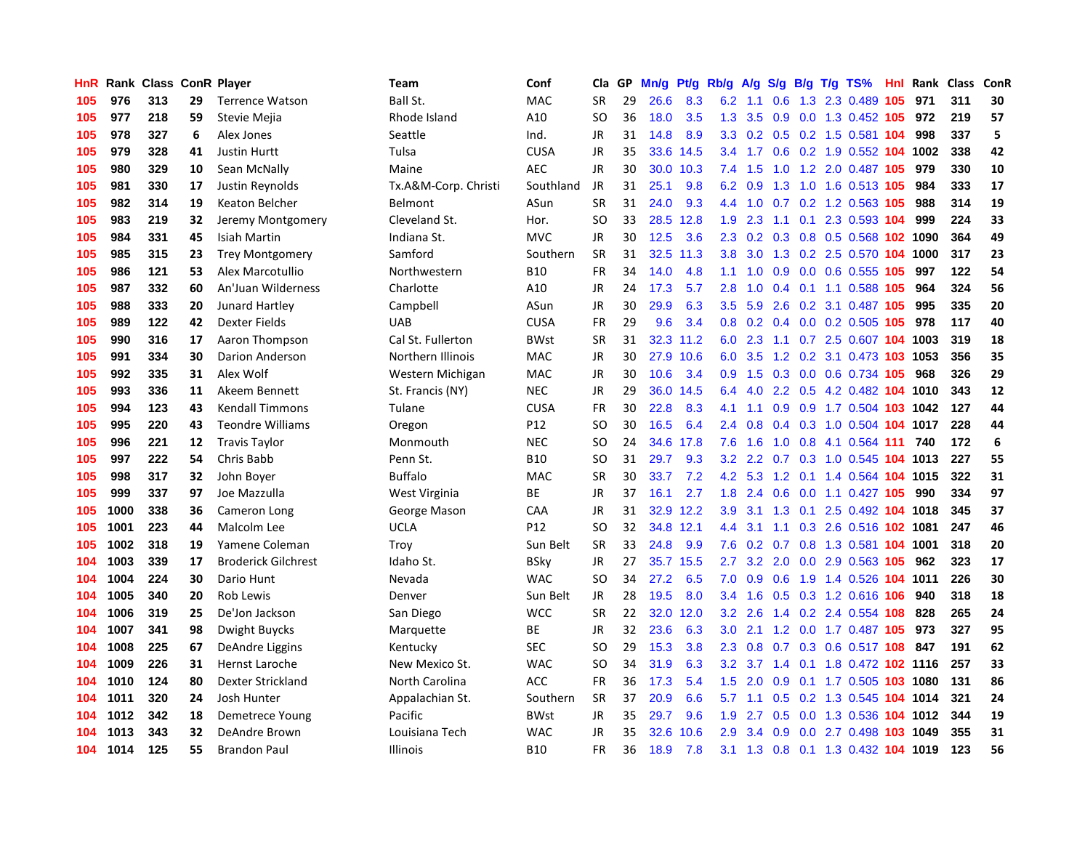| HnR | Rank |     |    | <b>Class ConR Player</b>   | Team                 | Conf            | Cla       | GP | Mn/g | <b>Pt/g</b> | Rb/g             | A/g    |                  |     | S/g B/g T/g TS%                | Hnl | Rank | <b>Class</b> | ConR |
|-----|------|-----|----|----------------------------|----------------------|-----------------|-----------|----|------|-------------|------------------|--------|------------------|-----|--------------------------------|-----|------|--------------|------|
| 105 | 976  | 313 | 29 | <b>Terrence Watson</b>     | Ball St.             | <b>MAC</b>      | <b>SR</b> | 29 | 26.6 | 8.3         | 6.2              | 1.1    | 0.6              |     | 1.3 2.3 0.489                  | 105 | 971  | 311          | 30   |
| 105 | 977  | 218 | 59 | Stevie Mejia               | Rhode Island         | A10             | SO        | 36 | 18.0 | 3.5         | 1.3              | 3.5    |                  |     | 0.9 0.0 1.3 0.452 105 972      |     |      | 219          | 57   |
| 105 | 978  | 327 | 6  | Alex Jones                 | Seattle              | Ind.            | <b>JR</b> | 31 | 14.8 | 8.9         | 3.3 <sub>2</sub> |        |                  |     | 0.2 0.5 0.2 1.5 0.581 104      |     | 998  | 337          | 5    |
| 105 | 979  | 328 | 41 | <b>Justin Hurtt</b>        | Tulsa                | <b>CUSA</b>     | <b>JR</b> | 35 | 33.6 | 14.5        | $3.4^{\circ}$    | 1.7    |                  |     | 0.6 0.2 1.9 0.552 104 1002     |     |      | 338          | 42   |
| 105 | 980  | 329 | 10 | Sean McNally               | Maine                | <b>AEC</b>      | <b>JR</b> | 30 | 30.0 | 10.3        | 7.4              | 1.5    | 1.0              |     | 1.2 2.0 0.487 105              |     | 979  | 330          | 10   |
| 105 | 981  | 330 | 17 | Justin Reynolds            | Tx.A&M-Corp. Christi | Southland       | JR        | 31 | 25.1 | 9.8         | 6.2              | 0.9    | 1.3              |     | 1.0 1.6 0.513 105              |     | 984  | 333          | 17   |
| 105 | 982  | 314 | 19 | Keaton Belcher             | Belmont              | ASun            | <b>SR</b> | 31 | 24.0 | 9.3         | 4.4              | 1.0    |                  |     | 0.7 0.2 1.2 0.563 105          |     | 988  | 314          | 19   |
| 105 | 983  | 219 | 32 | Jeremy Montgomery          | Cleveland St.        | Hor.            | <b>SO</b> | 33 | 28.5 | 12.8        | 1.9              | 2.3    | 1.1              |     | 0.1 2.3 0.593 104              |     | 999  | 224          | 33   |
| 105 | 984  | 331 | 45 | Isiah Martin               | Indiana St.          | <b>MVC</b>      | JR        | 30 | 12.5 | 3.6         | 2.3              | 0.2    | 0.3              |     | 0.8 0.5 0.568 102 1090         |     |      | 364          | 49   |
| 105 | 985  | 315 | 23 | <b>Trey Montgomery</b>     | Samford              | Southern        | <b>SR</b> | 31 | 32.5 | 11.3        | 3.8 <sub>2</sub> | 3.0    |                  |     | 1.3 0.2 2.5 0.570 104 1000     |     |      | 317          | 23   |
| 105 | 986  | 121 | 53 | Alex Marcotullio           | Northwestern         | <b>B10</b>      | <b>FR</b> | 34 | 14.0 | 4.8         | 1.1              |        |                  |     | 1.0 0.9 0.0 0.6 0.555 105      |     | 997  | 122          | 54   |
| 105 | 987  | 332 | 60 | An'Juan Wilderness         | Charlotte            | A10             | JR        | 24 | 17.3 | 5.7         | 2.8              | 1.0    |                  |     | 0.4 0.1 1.1 0.588 105          |     | 964  | 324          | 56   |
| 105 | 988  | 333 | 20 | Junard Hartley             | Campbell             | ASun            | <b>JR</b> | 30 | 29.9 | 6.3         | $3.5^{\circ}$    | 5.9    | 2.6              |     | 0.2 3.1 0.487 105              |     | 995  | 335          | 20   |
| 105 | 989  | 122 | 42 | <b>Dexter Fields</b>       | <b>UAB</b>           | <b>CUSA</b>     | <b>FR</b> | 29 | 9.6  | 3.4         | 0.8              | 0.2    |                  |     | 0.4 0.0 0.2 0.505 105          |     | 978  | 117          | 40   |
| 105 | 990  | 316 | 17 | Aaron Thompson             | Cal St. Fullerton    | <b>BWst</b>     | <b>SR</b> | 31 |      | 32.3 11.2   | 6.0              | 2.3    |                  |     | 1.1 0.7 2.5 0.607 104          |     | 1003 | 319          | 18   |
| 105 | 991  | 334 | 30 | Darion Anderson            | Northern Illinois    | <b>MAC</b>      | <b>JR</b> | 30 | 27.9 | 10.6        | 6.0              | 3.5    |                  |     | 1.2 0.2 3.1 0.473 103 1053     |     |      | 356          | 35   |
| 105 | 992  | 335 | 31 | Alex Wolf                  | Western Michigan     | <b>MAC</b>      | JR        | 30 | 10.6 | 3.4         | 0.9 <sub>0</sub> | 1.5    | 0.3              |     | 0.0 0.6 0.734 105              |     | 968  | 326          | 29   |
| 105 | 993  | 336 | 11 | Akeem Bennett              | St. Francis (NY)     | <b>NEC</b>      | <b>JR</b> | 29 | 36.0 | 14.5        | 6.4              | 4.0    | 2.2              |     | 0.5 4.2 0.482 104 1010         |     |      | 343          | 12   |
| 105 | 994  | 123 | 43 | <b>Kendall Timmons</b>     | Tulane               | <b>CUSA</b>     | FR        | 30 | 22.8 | 8.3         | 4.1              | 1.1    |                  |     | 0.9 0.9 1.7 0.504 103 1042     |     |      | 127          | 44   |
| 105 | 995  | 220 | 43 | <b>Teondre Williams</b>    | Oregon               | P12             | SO        | 30 | 16.5 | 6.4         | $2.4^{\circ}$    | 0.8    |                  |     | 0.4 0.3 1.0 0.504 104 1017     |     |      | 228          | 44   |
| 105 | 996  | 221 | 12 | <b>Travis Taylor</b>       | Monmouth             | <b>NEC</b>      | <b>SO</b> | 24 | 34.6 | 17.8        | 7.6              | 1.6    | 1.0              |     | 0.8 4.1 0.564 111              |     | 740  | 172          | 6    |
| 105 | 997  | 222 | 54 | Chris Babb                 | Penn St.             | <b>B10</b>      | <b>SO</b> | 31 | 29.7 | 9.3         | 3.2              | 2.2    | 0.7              |     | 0.3 1.0 0.545 104 1013         |     |      | 227          | 55   |
| 105 | 998  | 317 | 32 | John Boyer                 | <b>Buffalo</b>       | <b>MAC</b>      | <b>SR</b> | 30 | 33.7 | 7.2         | 4.2              | 5.3    | 1.2              |     | 0.1 1.4 0.564 104 1015         |     |      | 322          | 31   |
| 105 | 999  | 337 | 97 | Joe Mazzulla               | West Virginia        | ВE              | JR        | 37 | 16.1 | 2.7         | 1.8              | 2.4    | 0.6              |     | 0.0 1.1 0.427 105              |     | 990  | 334          | 97   |
| 105 | 1000 | 338 | 36 | Cameron Long               | George Mason         | CAA             | JR        | 31 | 32.9 | 12.2        | 3.9              | 3.1    | 1.3              | 0.1 | 2.5 0.492 104 1018             |     |      | 345          | 37   |
| 105 | 1001 | 223 | 44 | Malcolm Lee                | UCLA                 | P <sub>12</sub> | <b>SO</b> | 32 | 34.8 | 12.1        | 4.4              | 3.1    | 1.1              |     | 0.3 2.6 0.516 102 1081         |     |      | 247          | 46   |
| 105 | 1002 | 318 | 19 | Yamene Coleman             | Troy                 | Sun Belt        | <b>SR</b> | 33 | 24.8 | 9.9         | 7.6              |        |                  |     | 0.2 0.7 0.8 1.3 0.581 104 1001 |     |      | 318          | 20   |
| 104 | 1003 | 339 | 17 | <b>Broderick Gilchrest</b> | Idaho St.            | <b>BSky</b>     | <b>JR</b> | 27 | 35.7 | 15.5        | $2.7^{\circ}$    |        |                  |     | 3.2 2.0 0.0 2.9 0.563 105      |     | 962  | 323          | 17   |
| 104 | 1004 | 224 | 30 | Dario Hunt                 | Nevada               | <b>WAC</b>      | SO        | 34 | 27.2 | 6.5         | 7.0              | 0.9    |                  |     | 0.6 1.9 1.4 0.526 104 1011     |     |      | 226          | 30   |
| 104 | 1005 | 340 | 20 | Rob Lewis                  | Denver               | Sun Belt        | <b>JR</b> | 28 | 19.5 | 8.0         | $3.4^{\circ}$    | 1.6    |                  |     | $0.5$ 0.3 1.2 0.616 106        |     | 940  | 318          | 18   |
| 104 | 1006 | 319 | 25 | De'Jon Jackson             | San Diego            | <b>WCC</b>      | <b>SR</b> | 22 | 32.0 | 12.0        | 3.2              | 2.6    | 1.4              |     | 0.2 2.4 0.554 108              |     | 828  | 265          | 24   |
| 104 | 1007 | 341 | 98 | Dwight Buycks              | Marquette            | ВE              | <b>JR</b> | 32 | 23.6 | 6.3         | 3.0 <sub>2</sub> | 2.1    |                  |     | 1.2 0.0 1.7 0.487 105          |     | 973  | 327          | 95   |
| 104 | 1008 | 225 | 67 | DeAndre Liggins            | Kentucky             | SEC             | SO        | 29 | 15.3 | 3.8         | 2.3              | 0.8    | 0.7              |     | 0.3 0.6 0.517 108              |     | 847  | 191          | 62   |
| 104 | 1009 | 226 | 31 | Hernst Laroche             | New Mexico St.       | <b>WAC</b>      | SO        | 34 | 31.9 | 6.3         | 3.2 <sub>2</sub> | 3.7    | 1.4              |     | 0.1 1.8 0.472 102 1116         |     |      | 257          | 33   |
| 104 | 1010 | 124 | 80 | Dexter Strickland          | North Carolina       | ACC             | <b>FR</b> | 36 | 17.3 | 5.4         | 1.5              | 2.0    | 0.9              |     | 0.1 1.7 0.505 103 1080         |     |      | 131          | 86   |
| 104 | 1011 | 320 | 24 | Josh Hunter                | Appalachian St.      | Southern        | <b>SR</b> | 37 | 20.9 | 6.6         | 5.7              | $-1.1$ |                  |     | 0.5 0.2 1.3 0.545 104 1014     |     |      | 321          | 24   |
| 104 | 1012 | 342 | 18 | Demetrece Young            | Pacific              | <b>BWst</b>     | JR        | 35 | 29.7 | 9.6         | 1.9              | 2.7    | 0.5              |     | 0.0 1.3 0.536 104 1012         |     |      | 344          | 19   |
| 104 | 1013 | 343 | 32 | DeAndre Brown              | Louisiana Tech       | <b>WAC</b>      | JR        | 35 | 32.6 | 10.6        | 2.9 <sup>°</sup> | 3.4    | 0.9 <sup>°</sup> |     | 0.0 2.7 0.498 103 1049         |     |      | 355          | 31   |
| 104 | 1014 | 125 | 55 | <b>Brandon Paul</b>        | <b>Illinois</b>      | <b>B10</b>      | <b>FR</b> | 36 | 18.9 | 7.8         | 3.1              | 1.3    |                  |     | 0.8 0.1 1.3 0.432 104 1019     |     |      | 123          | 56   |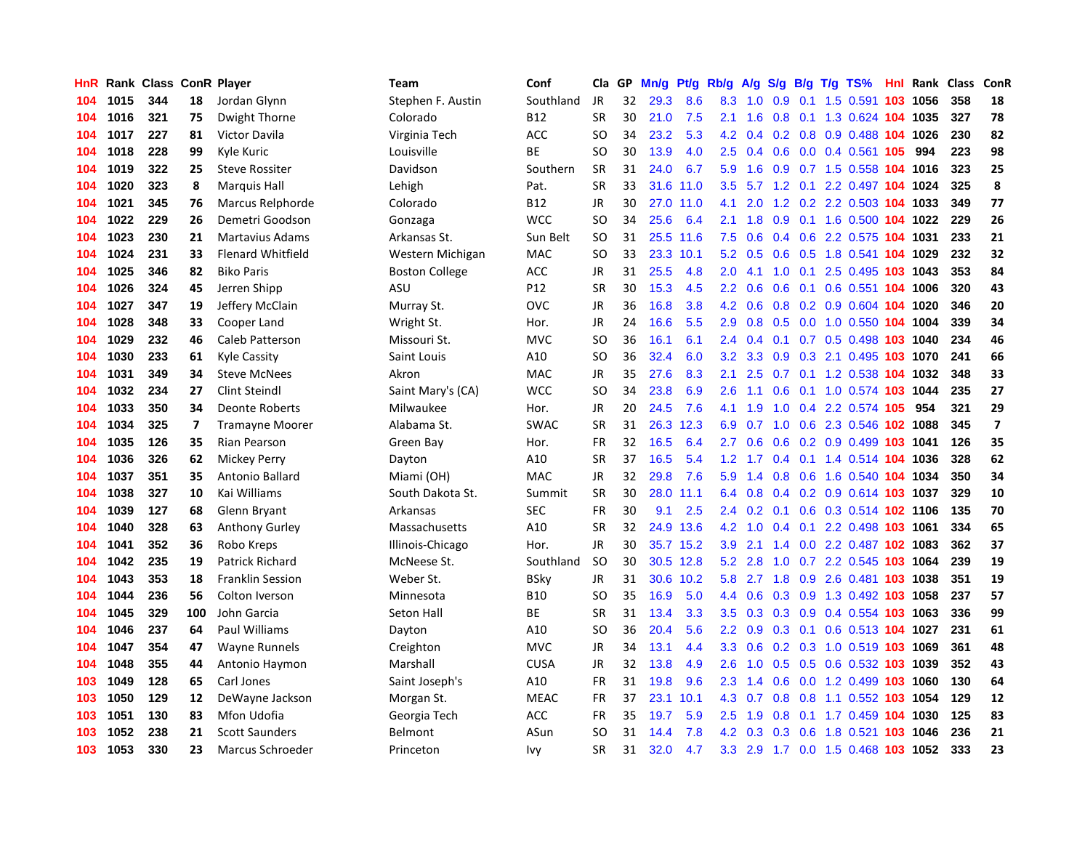| <b>HnR</b> |      | Rank Class ConR Player |     |                          | <b>Team</b>           | Conf        | Cla       | GP | Mn/g | Pt/g      | Rb/g          | A/g | S/g              |     | $B/g$ T/g TS%                  | Hnl | Rank Class |     | ConR           |
|------------|------|------------------------|-----|--------------------------|-----------------------|-------------|-----------|----|------|-----------|---------------|-----|------------------|-----|--------------------------------|-----|------------|-----|----------------|
| 104        | 1015 | 344                    | 18  | Jordan Glynn             | Stephen F. Austin     | Southland   | <b>JR</b> | 32 | 29.3 | 8.6       | 8.3           | 1.0 | 0.9              | 0.1 | 1.5 0.591                      | 103 | 1056       | 358 | 18             |
| 104        | 1016 | 321                    | 75  | Dwight Thorne            | Colorado              | B12         | <b>SR</b> | 30 | 21.0 | 7.5       | 2.1           | 1.6 | 0.8              |     | 0.1 1.3 0.624 104 1035         |     |            | 327 | 78             |
| 104        | 1017 | 227                    | 81  | Victor Davila            | Virginia Tech         | <b>ACC</b>  | SO        | 34 | 23.2 | 5.3       | 4.2           | 0.4 |                  |     | 0.2 0.8 0.9 0.488 104 1026     |     |            | 230 | 82             |
| 104        | 1018 | 228                    | 99  | Kyle Kuric               | Louisville            | ВE          | SO        | 30 | 13.9 | 4.0       | 2.5           | 0.4 |                  |     | 0.6 0.0 0.4 0.561 105          |     | 994        | 223 | 98             |
| 104        | 1019 | 322                    | 25  | <b>Steve Rossiter</b>    | Davidson              | Southern    | SR        | 31 | 24.0 | 6.7       | 5.9           | 1.6 | 0.9              |     | 0.7 1.5 0.558 104 1016         |     |            | 323 | 25             |
| 104        | 1020 | 323                    | 8   | <b>Marquis Hall</b>      | Lehigh                | Pat.        | <b>SR</b> | 33 | 31.6 | 11.0      | 3.5           | 5.7 | 1.2              |     | 0.1 2.2 0.497 104 1024         |     |            | 325 | 8              |
| 104        | 1021 | 345                    | 76  | Marcus Relphorde         | Colorado              | B12         | JR        | 30 | 27.0 | 11.0      | 4.1           | 2.0 |                  |     | 1.2 0.2 2.2 0.503 104 1033     |     |            | 349 | 77             |
| 104        | 1022 | 229                    | 26  | Demetri Goodson          | Gonzaga               | <b>WCC</b>  | SO        | 34 | 25.6 | 6.4       | 2.1           | 1.8 | 0.9 <sup>°</sup> |     | 0.1 1.6 0.500 104 1022         |     |            | 229 | 26             |
| 104        | 1023 | 230                    | 21  | <b>Martavius Adams</b>   | Arkansas St.          | Sun Belt    | SO        | 31 | 25.5 | 11.6      | 7.5           | 0.6 | 0.4              |     | 0.6 2.2 0.575 104 1031         |     |            | 233 | 21             |
| 104        | 1024 | 231                    | 33  | <b>Flenard Whitfield</b> | Western Michigan      | MAC         | SO        | 33 | 23.3 | 10.1      | 5.2           | 0.5 | 0.6              |     | 0.5 1.8 0.541 104 1029         |     |            | 232 | 32             |
| 104        | 1025 | 346                    | 82  | <b>Biko Paris</b>        | <b>Boston College</b> | <b>ACC</b>  | JR        | 31 | 25.5 | 4.8       | 2.0           | 4.1 |                  |     | 1.0 0.1 2.5 0.495 103 1043     |     |            | 353 | 84             |
| 104        | 1026 | 324                    | 45  | Jerren Shipp             | ASU                   | P12         | <b>SR</b> | 30 | 15.3 | 4.5       | $2.2^{\circ}$ | 0.6 |                  |     | 0.6 0.1 0.6 0.551 104 1006     |     |            | 320 | 43             |
| 104        | 1027 | 347                    | 19  | Jeffery McClain          | Murray St.            | <b>OVC</b>  | JR        | 36 | 16.8 | 3.8       | 4.2           | 0.6 |                  |     | 0.8 0.2 0.9 0.604 104 1020     |     |            | 346 | 20             |
| 104        | 1028 | 348                    | 33  | Cooper Land              | Wright St.            | Hor.        | JR        | 24 | 16.6 | 5.5       | 2.9           | 0.8 | 0.5              |     | 0.0 1.0 0.550 104 1004         |     |            | 339 | 34             |
| 104        | 1029 | 232                    | 46  | Caleb Patterson          | Missouri St.          | MVC         | SO        | 36 | 16.1 | 6.1       | $2.4^{\circ}$ | 0.4 |                  |     | 0.1 0.7 0.5 0.498 103 1040     |     |            | 234 | 46             |
| 104        | 1030 | 233                    | 61  | Kyle Cassity             | Saint Louis           | A10         | SO        | 36 | 32.4 | 6.0       | 3.2           | 3.3 | 0.9              |     | 0.3 2.1 0.495 103 1070         |     |            | 241 | 66             |
| 104        | 1031 | 349                    | 34  | <b>Steve McNees</b>      | Akron                 | MAC         | <b>JR</b> | 35 | 27.6 | 8.3       | 2.1           | 2.5 | 0.7              |     | 0.1 1.2 0.538 104 1032         |     |            | 348 | 33             |
| 104        | 1032 | 234                    | 27  | Clint Steindl            | Saint Mary's (CA)     | <b>WCC</b>  | SO        | 34 | 23.8 | 6.9       | 2.6           | 1.1 | 0.6              |     | 0.1 1.0 0.574 103 1044         |     |            | 235 | 27             |
| 104        | 1033 | 350                    | 34  | <b>Deonte Roberts</b>    | Milwaukee             | Hor.        | <b>JR</b> | 20 | 24.5 | 7.6       | 4.1           | 1.9 |                  |     | 1.0 0.4 2.2 0.574 105          |     | 954        | 321 | 29             |
| 104        | 1034 | 325                    | 7   | <b>Tramayne Moorer</b>   | Alabama St.           | <b>SWAC</b> | <b>SR</b> | 31 |      | 26.3 12.3 | 6.9           | 0.7 |                  |     | 1.0 0.6 2.3 0.546 102 1088     |     |            | 345 | $\overline{7}$ |
| 104        | 1035 | 126                    | 35  | <b>Rian Pearson</b>      | Green Bay             | Hor.        | FR        | 32 | 16.5 | 6.4       | 2.7           | 0.6 |                  |     | 0.6 0.2 0.9 0.499 103 1041     |     |            | 126 | 35             |
| 104        | 1036 | 326                    | 62  | Mickey Perry             | Dayton                | A10         | <b>SR</b> | 37 | 16.5 | 5.4       | 1.2           | 1.7 | 0.4              |     | 0.1 1.4 0.514 104 1036         |     |            | 328 | 62             |
| 104        | 1037 | 351                    | 35  | Antonio Ballard          | Miami (OH)            | <b>MAC</b>  | <b>JR</b> | 32 | 29.8 | 7.6       | 5.9           | 1.4 | 0.8              |     | 0.6 1.6 0.540 104 1034         |     |            | 350 | 34             |
| 104        | 1038 | 327                    | 10  | Kai Williams             | South Dakota St.      | Summit      | <b>SR</b> | 30 | 28.0 | 11.1      | 6.4           | 0.8 |                  |     | 0.4 0.2 0.9 0.614 103 1037     |     |            | 329 | 10             |
| 104        | 1039 | 127                    | 68  | Glenn Bryant             | Arkansas              | <b>SEC</b>  | FR        | 30 | 9.1  | 2.5       | $2.4^{\circ}$ | 0.2 | 0.1              |     | 0.6 0.3 0.514 102 1106         |     |            | 135 | 70             |
| 104        | 1040 | 328                    | 63  | Anthony Gurley           | Massachusetts         | A10         | <b>SR</b> | 32 | 24.9 | 13.6      | 4.2           | 1.0 | 0.4              |     | 0.1 2.2 0.498 103 1061         |     |            | 334 | 65             |
| 104        | 1041 | 352                    | 36  | Robo Kreps               | Illinois-Chicago      | Hor.        | <b>JR</b> | 30 |      | 35.7 15.2 | 3.9           | 2.1 | 1.4              |     | 0.0 2.2 0.487 102 1083         |     |            | 362 | 37             |
| 104        | 1042 | 235                    | 19  | <b>Patrick Richard</b>   | McNeese St.           | Southland   | <b>SO</b> | 30 |      | 30.5 12.8 | 5.2           | 2.8 |                  |     | 1.0 0.7 2.2 0.545 103 1064     |     |            | 239 | 19             |
| 104        | 1043 | 353                    | 18  | <b>Franklin Session</b>  | Weber St.             | BSky        | <b>JR</b> | 31 |      | 30.6 10.2 | 5.8           |     |                  |     | 2.7 1.8 0.9 2.6 0.481 103 1038 |     |            | 351 | 19             |
| 104        | 1044 | 236                    | 56  | Colton Iverson           | Minnesota             | <b>B10</b>  | SO        | 35 | 16.9 | 5.0       | 4.4           | 0.6 |                  |     | 0.3 0.9 1.3 0.492 103 1058     |     |            | 237 | 57             |
| 104        | 1045 | 329                    | 100 | John Garcia              | Seton Hall            | <b>BE</b>   | <b>SR</b> | 31 | 13.4 | 3.3       | 3.5           | 0.3 | 0.3              |     | 0.9 0.4 0.554 103 1063         |     |            | 336 | 99             |
| 104        | 1046 | 237                    | 64  | Paul Williams            | Dayton                | A10         | SO        | 36 | 20.4 | 5.6       | $2.2^{\circ}$ | 0.9 |                  |     | 0.3 0.1 0.6 0.513 104 1027     |     |            | 231 | 61             |
| 104        | 1047 | 354                    | 47  | Wayne Runnels            | Creighton             | MVC         | JR        | 34 | 13.1 | 4.4       | 3.3           | 0.6 |                  |     | 0.2 0.3 1.0 0.519 103 1069     |     |            | 361 | 48             |
| 104        | 1048 | 355                    | 44  | Antonio Haymon           | Marshall              | <b>CUSA</b> | JR        | 32 | 13.8 | 4.9       | 2.6           | 1.0 | 0.5              |     | 0.5 0.6 0.532 103 1039         |     |            | 352 | 43             |
| 103        | 1049 | 128                    | 65  | Carl Jones               | Saint Joseph's        | A10         | <b>FR</b> | 31 | 19.8 | 9.6       | 2.3           | 1.4 | 0.6              |     | 0.0 1.2 0.499 103 1060         |     |            | 130 | 64             |
| 103        | 1050 | 129                    | 12  | DeWayne Jackson          | Morgan St.            | <b>MEAC</b> | <b>FR</b> | 37 | 23.1 | 10.1      | 4.3           | 0.7 |                  |     | 0.8 0.8 1.1 0.552 103 1054     |     |            | 129 | 12             |
| 103        | 1051 | 130                    | 83  | Mfon Udofia              | Georgia Tech          | <b>ACC</b>  | FR.       | 35 | 19.7 | 5.9       | 2.5           | 1.9 | 0.8              |     | 0.1 1.7 0.459 104 1030         |     |            | 125 | 83             |
| 103        | 1052 | 238                    | 21  | <b>Scott Saunders</b>    | Belmont               | ASun        | SO        | 31 | 14.4 | 7.8       | 4.2           | 0.3 | 0.3              |     | 0.6 1.8 0.521 103 1046         |     |            | 236 | 21             |
| 103        | 1053 | 330                    | 23  | Marcus Schroeder         | Princeton             | Ivy         | <b>SR</b> | 31 | 32.0 | 4.7       | 3.3           |     |                  |     | 2.9 1.7 0.0 1.5 0.468 103 1052 |     |            | 333 | 23             |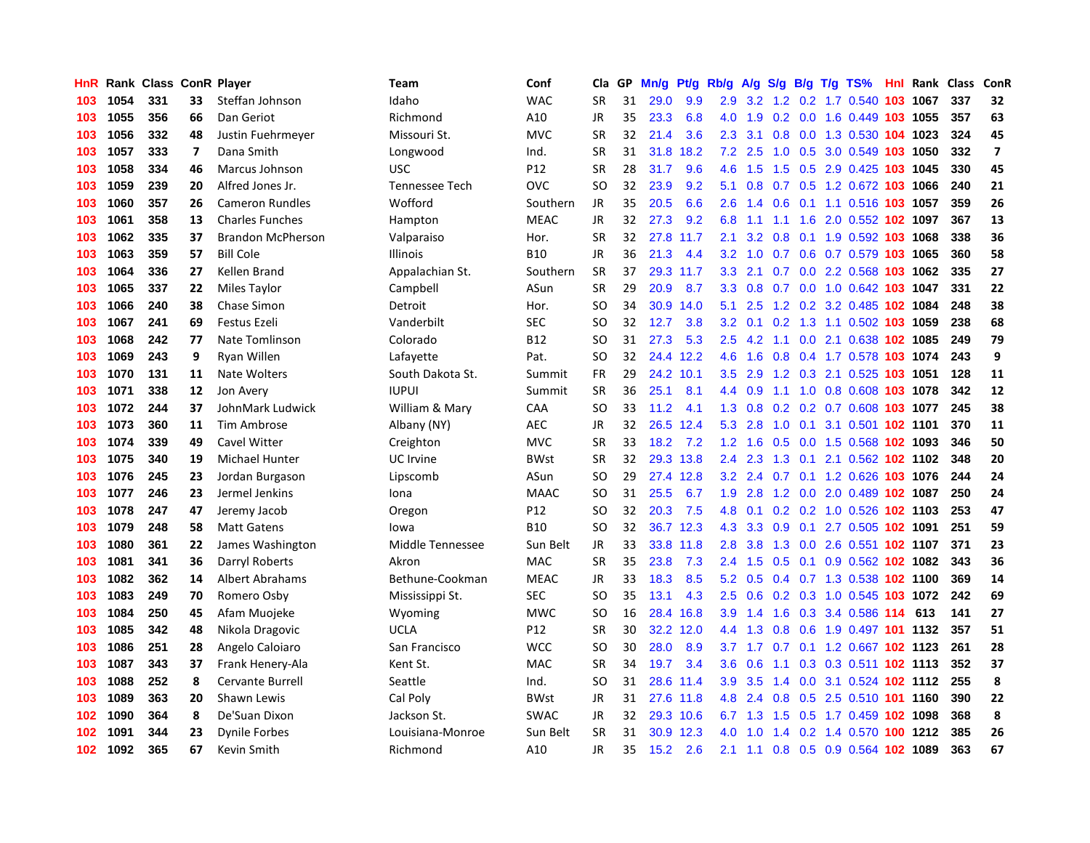| HnR. |      | <b>Rank Class</b> |    | <b>ConR Player</b>       | Team             | Conf        | Cla       | <b>GP</b> | Mn/g | <b>Pt/g</b> | Rb/g             | A/g |     |  | S/g B/g T/g TS%                | Hnl | Rank | <b>Class</b> | ConR                    |
|------|------|-------------------|----|--------------------------|------------------|-------------|-----------|-----------|------|-------------|------------------|-----|-----|--|--------------------------------|-----|------|--------------|-------------------------|
| 103  | 1054 | 331               | 33 | Steffan Johnson          | Idaho            | <b>WAC</b>  | <b>SR</b> | 31        | 29.0 | 9.9         | 2.9              |     |     |  | 3.2 1.2 0.2 1.7 0.540 103 1067 |     |      | 337          | 32                      |
| 103  | 1055 | 356               | 66 | Dan Geriot               | Richmond         | A10         | <b>JR</b> | 35        | 23.3 | 6.8         | 4.0              | 1.9 |     |  | 0.2 0.0 1.6 0.449 103 1055     |     |      | 357          | 63                      |
| 103  | 1056 | 332               | 48 | Justin Fuehrmeyer        | Missouri St.     | <b>MVC</b>  | <b>SR</b> | 32        | 21.4 | 3.6         | $2.3^{\circ}$    | 3.1 |     |  | 0.8 0.0 1.3 0.530 104 1023     |     |      | 324          | 45                      |
| 103  | 1057 | 333               | 7  | Dana Smith               | Longwood         | Ind.        | <b>SR</b> | 31        | 31.8 | 18.2        | 7.2              | 2.5 | 1.0 |  | 0.5 3.0 0.549 103 1050         |     |      | 332          | $\overline{\mathbf{z}}$ |
| 103  | 1058 | 334               | 46 | <b>Marcus Johnson</b>    | <b>USC</b>       | P12         | <b>SR</b> | 28        | 31.7 | 9.6         | 4.6              | 1.5 | 1.5 |  | 0.5 2.9 0.425 103 1045         |     |      | 330          | 45                      |
| 103  | 1059 | 239               | 20 | Alfred Jones Jr.         | Tennessee Tech   | OVC         | SO        | 32        | 23.9 | 9.2         | 5.1              | 0.8 |     |  | 0.7 0.5 1.2 0.672 103 1066     |     |      | 240          | 21                      |
| 103  | 1060 | 357               | 26 | <b>Cameron Rundles</b>   | Wofford          | Southern    | JR        | 35        | 20.5 | 6.6         | 2.6              | 1.4 | 0.6 |  | 0.1 1.1 0.516 103 1057         |     |      | 359          | 26                      |
| 103  | 1061 | 358               | 13 | <b>Charles Funches</b>   | Hampton          | <b>MEAC</b> | <b>JR</b> | 32        | 27.3 | 9.2         | 6.8              | 1.1 |     |  | 1.1 1.6 2.0 0.552 102 1097     |     |      | 367          | 13                      |
| 103  | 1062 | 335               | 37 | <b>Brandon McPherson</b> | Valparaiso       | Hor.        | <b>SR</b> | 32        | 27.8 | 11.7        | 2.1              | 3.2 | 0.8 |  | 0.1 1.9 0.592 103 1068         |     |      | 338          | 36                      |
| 103  | 1063 | 359               | 57 | <b>Bill Cole</b>         | <b>Illinois</b>  | <b>B10</b>  | JR        | 36        | 21.3 | 4.4         | 3.2              |     |     |  | 1.0 0.7 0.6 0.7 0.579 103 1065 |     |      | 360          | 58                      |
| 103  | 1064 | 336               | 27 | Kellen Brand             | Appalachian St.  | Southern    | <b>SR</b> | 37        |      | 29.3 11.7   | 3.3              | 2.1 |     |  | 0.7 0.0 2.2 0.568 103 1062     |     |      | 335          | 27                      |
| 103  | 1065 | 337               | 22 | Miles Taylor             | Campbell         | ASun        | <b>SR</b> | 29        | 20.9 | 8.7         | 3.3 <sub>2</sub> | 0.8 |     |  | 0.7 0.0 1.0 0.642 103 1047     |     |      | 331          | 22                      |
| 103  | 1066 | 240               | 38 | Chase Simon              | Detroit          | Hor.        | <b>SO</b> | 34        | 30.9 | 14.0        | 5.1              | 2.5 | 1.2 |  | 0.2 3.2 0.485 102 1084         |     |      | 248          | 38                      |
| 103  | 1067 | 241               | 69 | Festus Ezeli             | Vanderbilt       | SEC         | <b>SO</b> | 32        | 12.7 | 3.8         | 3.2              | 0.1 | 0.2 |  | 1.3 1.1 0.502 103 1059         |     |      | 238          | 68                      |
| 103  | 1068 | 242               | 77 | Nate Tomlinson           | Colorado         | <b>B12</b>  | SO        | 31        | 27.3 | 5.3         | 2.5              | 4.2 |     |  | 1.1 0.0 2.1 0.638 102 1085     |     |      | 249          | 79                      |
| 103  | 1069 | 243               | 9  | <b>Rvan Willen</b>       | Lafayette        | Pat.        | SO        | 32        |      | 24.4 12.2   | 4.6              | 1.6 | 0.8 |  | 0.4 1.7 0.578 103 1074         |     |      | 243          | 9                       |
| 103  | 1070 | 131               | 11 | Nate Wolters             | South Dakota St. | Summit      | <b>FR</b> | 29        | 24.2 | 10.1        | 3.5              | 2.9 | 1.2 |  | 0.3 2.1 0.525 103 1051         |     |      | 128          | 11                      |
| 103  | 1071 | 338               | 12 | Jon Avery                | <b>IUPUI</b>     | Summit      | <b>SR</b> | 36        | 25.1 | 8.1         | 4.4              | 0.9 |     |  | 1.1 1.0 0.8 0.608 103 1078     |     |      | 342          | 12                      |
| 103  | 1072 | 244               | 37 | JohnMark Ludwick         | William & Mary   | CAA         | SO        | 33        | 11.2 | 4.1         | 1.3              | 0.8 |     |  | 0.2 0.2 0.7 0.608 103 1077     |     |      | 245          | 38                      |
| 103  | 1073 | 360               | 11 | Tim Ambrose              | Albany (NY)      | AEC         | JR        | 32        | 26.5 | 12.4        | 5.3              | 2.8 |     |  | 1.0 0.1 3.1 0.501 102 1101     |     |      | 370          | 11                      |
| 103  | 1074 | 339               | 49 | Cavel Witter             | Creighton        | <b>MVC</b>  | <b>SR</b> | 33        | 18.2 | 7.2         | 1.2 <sub>2</sub> | 1.6 |     |  | 0.5 0.0 1.5 0.568 102 1093     |     |      | 346          | 50                      |
| 103  | 1075 | 340               | 19 | <b>Michael Hunter</b>    | UC Irvine        | <b>BWst</b> | <b>SR</b> | 32        |      | 29.3 13.8   | $2.4^{\circ}$    | 2.3 | 1.3 |  | 0.1 2.1 0.562 102 1102         |     |      | 348          | 20                      |
| 103  | 1076 | 245               | 23 | Jordan Burgason          | Lipscomb         | ASun        | SO        | 29        | 27.4 | 12.8        | 3.2              | 2.4 | 0.7 |  | 0.1 1.2 0.626 103 1076         |     |      | 244          | 24                      |
| 103  | 1077 | 246               | 23 | Jermel Jenkins           | Iona             | <b>MAAC</b> | <b>SO</b> | 31        | 25.5 | 6.7         | 1.9              | 2.8 | 1.2 |  | 0.0 2.0 0.489 102 1087         |     |      | 250          | 24                      |
| 103  | 1078 | 247               | 47 | Jeremy Jacob             | Oregon           | P12         | SO        | 32        | 20.3 | 7.5         | 4.8              | 0.1 |     |  | 0.2 0.2 1.0 0.526 102 1103     |     |      | 253          | 47                      |
| 103  | 1079 | 248               | 58 | <b>Matt Gatens</b>       | lowa             | <b>B10</b>  | <b>SO</b> | 32        | 36.7 | 12.3        | 4.3              | 3.3 | 0.9 |  | 0.1 2.7 0.505 102 1091         |     |      | 251          | 59                      |
| 103  | 1080 | 361               | 22 | James Washington         | Middle Tennessee | Sun Belt    | JR        | 33        |      | 33.8 11.8   | 2.8              | 3.8 |     |  | 1.3 0.0 2.6 0.551 102 1107     |     |      | 371          | 23                      |
| 103  | 1081 | 341               | 36 | Darryl Roberts           | Akron            | <b>MAC</b>  | <b>SR</b> | 35        | 23.8 | 7.3         | $2.4^{\circ}$    | 1.5 |     |  | 0.5 0.1 0.9 0.562 102 1082     |     |      | 343          | 36                      |
| 103  | 1082 | 362               | 14 | Albert Abrahams          | Bethune-Cookman  | <b>MEAC</b> | JR        | 33        | 18.3 | 8.5         | 5.2              | 0.5 |     |  | 0.4 0.7 1.3 0.538 102 1100     |     |      | 369          | 14                      |
| 103  | 1083 | 249               | 70 | Romero Osby              | Mississippi St.  | <b>SEC</b>  | <b>SO</b> | 35        | 13.1 | 4.3         | 2.5              | 0.6 |     |  | 0.2 0.3 1.0 0.545 103 1072     |     |      | 242          | 69                      |
| 103  | 1084 | 250               | 45 | Afam Muojeke             | Wyoming          | <b>MWC</b>  | <b>SO</b> | 16        | 28.4 | 16.8        | 3.9              | 1.4 | 1.6 |  | 0.3 3.4 0.586 114              |     | 613  | 141          | 27                      |
| 103  | 1085 | 342               | 48 | Nikola Dragovic          | <b>UCLA</b>      | P12         | <b>SR</b> | 30        | 32.2 | 12.0        | 4.4              | 1.3 | 0.8 |  | 0.6 1.9 0.497 101 1132         |     |      | 357          | 51                      |
| 103  | 1086 | 251               | 28 | Angelo Caloiaro          | San Francisco    | <b>WCC</b>  | SO        | 30        | 28.0 | 8.9         | 3.7              | 1.7 | 0.7 |  | 0.1 1.2 0.667 102 1123         |     |      | 261          | 28                      |
| 103  | 1087 | 343               | 37 | Frank Henery-Ala         | Kent St.         | <b>MAC</b>  | <b>SR</b> | 34        | 19.7 | 3.4         | 3.6 <sup>°</sup> | 0.6 | 1.1 |  | 0.3 0.3 0.511 102 1113         |     |      | 352          | 37                      |
| 103  | 1088 | 252               | 8  | <b>Cervante Burrell</b>  | Seattle          | Ind.        | SO        | 31        | 28.6 | 11.4        | 3.9 <sup>°</sup> | 3.5 | 1.4 |  | 0.0 3.1 0.524 102 1112         |     |      | 255          | 8                       |
| 103  | 1089 | 363               | 20 | Shawn Lewis              | Cal Poly         | <b>BWst</b> | <b>JR</b> | 31        |      | 27.6 11.8   | 4.8              | 2.4 |     |  | 0.8 0.5 2.5 0.510 101 1160     |     |      | 390          | 22                      |
| 102  | 1090 | 364               | 8  | De'Suan Dixon            | Jackson St.      | <b>SWAC</b> | JR        | 32        |      | 29.3 10.6   | 6.7              |     |     |  | 1.3 1.5 0.5 1.7 0.459 102 1098 |     |      | 368          | 8                       |
| 102  | 1091 | 344               | 23 | Dynile Forbes            | Louisiana-Monroe | Sun Belt    | SR        | 31        | 30.9 | 12.3        | 4.0              | 1.0 |     |  | 1.4 0.2 1.4 0.570 100 1212     |     |      | 385          | 26                      |
| 102  | 1092 | 365               | 67 | Kevin Smith              | Richmond         | A10         | <b>JR</b> | 35        | 15.2 | 2.6         | 2.1              | 1.1 |     |  | 0.8 0.5 0.9 0.564 102 1089     |     |      | 363          | 67                      |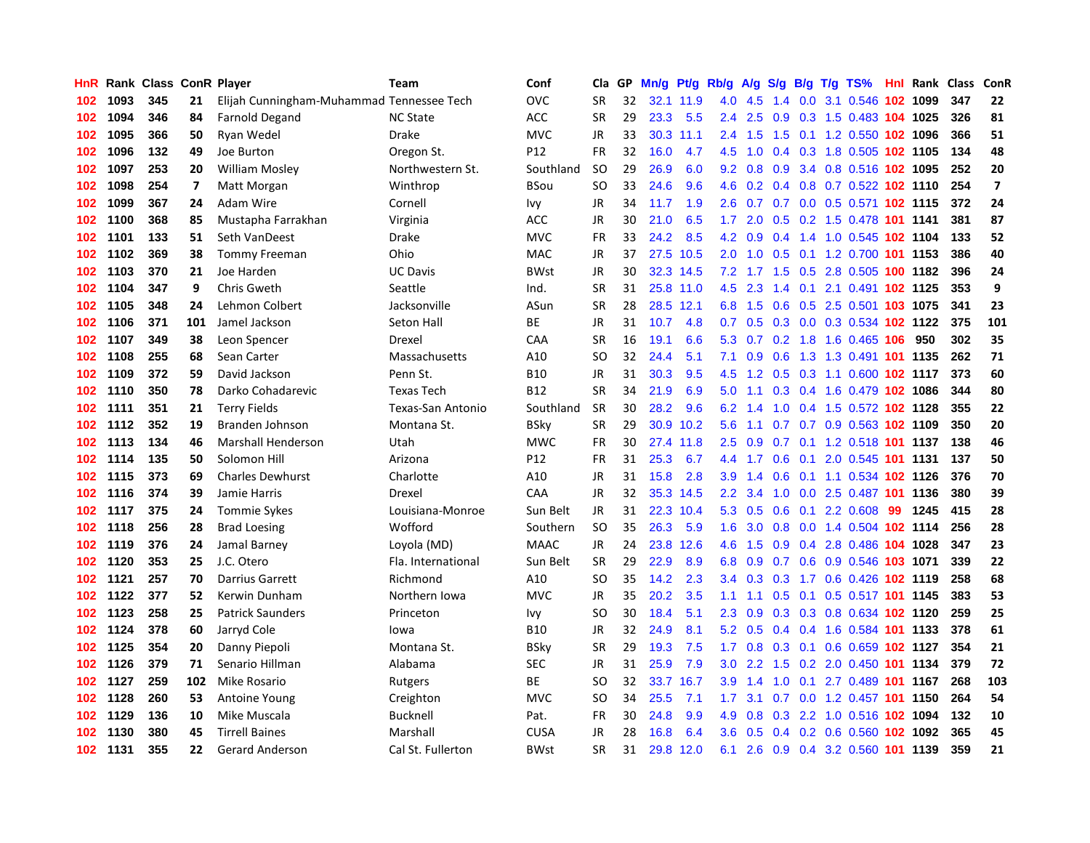| HnR |      | Rank Class ConR Player |                |                                           | <b>Team</b>        | Conf            | Cla       | <b>GP</b> | Mn/g | <b>Pt/g</b> | Rb/g             | A/g |               |     | S/g B/g T/g TS%                    |     | <b>Hnl</b> Rank | Class | ConR                    |
|-----|------|------------------------|----------------|-------------------------------------------|--------------------|-----------------|-----------|-----------|------|-------------|------------------|-----|---------------|-----|------------------------------------|-----|-----------------|-------|-------------------------|
| 102 | 1093 | 345                    | 21             | Elijah Cunningham-Muhammad Tennessee Tech |                    | OVC             | <b>SR</b> | 32        | 32.1 | 11.9        | 4.0              | 4.5 | 1.4           |     | 0.0 3.1 0.546 102 1099             |     |                 | 347   | 22                      |
| 102 | 1094 | 346                    | 84             | <b>Farnold Degand</b>                     | <b>NC State</b>    | ACC             | <b>SR</b> | 29        | 23.3 | 5.5         | $2.4^{\circ}$    | 2.5 |               |     | 0.9 0.3 1.5 0.483 104 1025         |     |                 | 326   | 81                      |
| 102 | 1095 | 366                    | 50             | Ryan Wedel                                | <b>Drake</b>       | <b>MVC</b>      | JR        | 33        |      | 30.3 11.1   | $2.4^{\circ}$    | 1.5 |               |     | 1.5 0.1 1.2 0.550 102 1096         |     |                 | 366   | 51                      |
| 102 | 1096 | 132                    | 49             | Joe Burton                                | Oregon St.         | P <sub>12</sub> | <b>FR</b> | 32        | 16.0 | 4.7         | 4.5              | 1.0 |               |     | 0.4 0.3 1.8 0.505 102 1105         |     |                 | 134   | 48                      |
| 102 | 1097 | 253                    | 20             | <b>William Mosley</b>                     | Northwestern St.   | Southland       | <b>SO</b> | 29        | 26.9 | 6.0         | 9.2              | 0.8 | 0.9           |     | 3.4 0.8 0.516 102 1095             |     |                 | 252   | 20                      |
| 102 | 1098 | 254                    | $\overline{7}$ | Matt Morgan                               | Winthrop           | <b>BSou</b>     | <b>SO</b> | 33        | 24.6 | 9.6         | 4.6              | 0.2 |               |     | $0.4$ 0.8 0.7 0.522 102 1110       |     |                 | 254   | $\overline{\mathbf{z}}$ |
| 102 | 1099 | 367                    | 24             | Adam Wire                                 | Cornell            | Ivy             | JR        | 34        | 11.7 | 1.9         | 2.6              | 0.7 |               |     | 0.7 0.0 0.5 0.571 102 1115         |     |                 | 372   | 24                      |
| 102 | 1100 | 368                    | 85             | Mustapha Farrakhan                        | Virginia           | <b>ACC</b>      | JR        | 30        | 21.0 | 6.5         | 1.7              | 2.0 |               |     | 0.5 0.2 1.5 0.478 101 1141         |     |                 | 381   | 87                      |
| 102 | 1101 | 133                    | 51             | Seth VanDeest                             | Drake              | <b>MVC</b>      | <b>FR</b> | 33        | 24.2 | 8.5         | 4.2              | 0.9 |               |     | 0.4 1.4 1.0 0.545 102 1104         |     |                 | 133   | 52                      |
| 102 | 1102 | 369                    | 38             | <b>Tommy Freeman</b>                      | Ohio               | <b>MAC</b>      | JR        | 37        | 27.5 | 10.5        | 2.0              | 1.0 |               |     | 0.5 0.1 1.2 0.700 101 1153         |     |                 | 386   | 40                      |
| 102 | 1103 | 370                    | 21             | Joe Harden                                | <b>UC Davis</b>    | <b>BWst</b>     | JR        | 30        |      | 32.3 14.5   |                  |     |               |     | 7.2 1.7 1.5 0.5 2.8 0.505 100 1182 |     |                 | 396   | 24                      |
| 102 | 1104 | 347                    | 9              | Chris Gweth                               | Seattle            | Ind.            | <b>SR</b> | 31        |      | 25.8 11.0   | 4.5              | 2.3 |               |     | 1.4 0.1 2.1 0.491 102 1125         |     |                 | 353   | 9                       |
| 102 | 1105 | 348                    | 24             | Lehmon Colbert                            | Jacksonville       | ASun            | <b>SR</b> | 28        | 28.5 | 12.1        | 6.8              | 1.5 |               |     | 0.6 0.5 2.5 0.501 103 1075         |     |                 | 341   | 23                      |
| 102 | 1106 | 371                    | 101            | Jamel Jackson                             | Seton Hall         | <b>BE</b>       | JR        | 31        | 10.7 | 4.8         | 0.7              | 0.5 |               |     | 0.3 0.0 0.3 0.534 102 1122         |     |                 | 375   | 101                     |
| 102 | 1107 | 349                    | 38             | Leon Spencer                              | Drexel             | CAA             | <b>SR</b> | 16        | 19.1 | 6.6         | 5.3              | 0.7 |               |     | 0.2 1.8 1.6 0.465 106              |     | 950             | 302   | 35                      |
| 102 | 1108 | 255                    | 68             | Sean Carter                               | Massachusetts      | A10             | <b>SO</b> | 32        | 24.4 | 5.1         | 7.1              | 0.9 | 0.6           |     | 1.3 1.3 0.491 101 1135             |     |                 | 262   | 71                      |
| 102 | 1109 | 372                    | 59             | David Jackson                             | Penn St.           | <b>B10</b>      | JR        | 31        | 30.3 | 9.5         | 4.5              | 1.2 | 0.5           |     | 0.3 1.1 0.600 102 1117             |     |                 | 373   | 60                      |
| 102 | 1110 | 350                    | 78             | Darko Cohadarevic                         | <b>Texas Tech</b>  | <b>B12</b>      | <b>SR</b> | 34        | 21.9 | 6.9         | 5.0              | 1.1 |               |     | 0.3 0.4 1.6 0.479 102 1086         |     |                 | 344   | 80                      |
| 102 | 1111 | 351                    | 21             | <b>Terry Fields</b>                       | Texas-San Antonio  | Southland       | <b>SR</b> | 30        | 28.2 | 9.6         | 6.2              | 1.4 |               |     | 1.0 0.4 1.5 0.572 102 1128         |     |                 | 355   | 22                      |
| 102 | 1112 | 352                    | 19             | Branden Johnson                           | Montana St.        | <b>BSky</b>     | <b>SR</b> | 29        |      | 30.9 10.2   | 5.6              | 1.1 |               |     | 0.7 0.7 0.9 0.563 102 1109         |     |                 | 350   | 20                      |
| 102 | 1113 | 134                    | 46             | Marshall Henderson                        | Utah               | <b>MWC</b>      | FR        | 30        | 27.4 | 11.8        | 2.5              | 0.9 |               |     | 0.7 0.1 1.2 0.518 101 1137         |     |                 | 138   | 46                      |
| 102 | 1114 | 135                    | 50             | Solomon Hill                              | Arizona            | P12             | <b>FR</b> | 31        | 25.3 | 6.7         | 4.4              | 1.7 | 0.6           | 0.1 | 2.0 0.545 101 1131                 |     |                 | 137   | 50                      |
| 102 | 1115 | 373                    | 69             | <b>Charles Dewhurst</b>                   | Charlotte          | A10             | JR        | 31        | 15.8 | 2.8         | 3.9              | 1.4 | 0.6           |     | 0.1 1.1 0.534 102 1126             |     |                 | 376   | 70                      |
| 102 | 1116 | 374                    | 39             | Jamie Harris                              | Drexel             | CAA             | JR        | 32        | 35.3 | 14.5        | 2.2              | 3.4 | 1.0           |     | 0.0 2.5 0.487 101 1136             |     |                 | 380   | 39                      |
| 102 | 1117 | 375                    | 24             | <b>Tommie Sykes</b>                       | Louisiana-Monroe   | Sun Belt        | JR        | 31        | 22.3 | 10.4        | 5.3              | 0.5 | 0.6           |     | $0.1$ 2.2 0.608                    | -99 | 1245            | 415   | 28                      |
| 102 | 1118 | 256                    | 28             | <b>Brad Loesing</b>                       | Wofford            | Southern        | <b>SO</b> | 35        | 26.3 | 5.9         | 1.6              | 3.0 | 0.8           |     | 0.0 1.4 0.504 102 1114             |     |                 | 256   | 28                      |
| 102 | 1119 | 376                    | 24             | Jamal Barney                              | Loyola (MD)        | <b>MAAC</b>     | JR        | 24        | 23.8 | 12.6        | 4.6              | 1.5 |               |     | 0.9 0.4 2.8 0.486 104 1028         |     |                 | 347   | 23                      |
| 102 | 1120 | 353                    | 25             | J.C. Otero                                | Fla. International | Sun Belt        | <b>SR</b> | 29        | 22.9 | 8.9         | 6.8              | 0.9 |               |     | 0.7 0.6 0.9 0.546 103 1071         |     |                 | 339   | 22                      |
| 102 | 1121 | 257                    | 70             | <b>Darrius Garrett</b>                    | Richmond           | A10             | SO        | 35        | 14.2 | 2.3         | $3.4^{\circ}$    | 0.3 |               |     | 0.3 1.7 0.6 0.426 102 1119         |     |                 | 258   | 68                      |
| 102 | 1122 | 377                    | 52             | Kerwin Dunham                             | Northern Iowa      | <b>MVC</b>      | JR        | 35        | 20.2 | 3.5         | 1.1              | 1.1 |               |     | 0.5 0.1 0.5 0.517 101 1145         |     |                 | 383   | 53                      |
| 102 | 1123 | 258                    | 25             | <b>Patrick Saunders</b>                   | Princeton          | Ivy             | SO.       | 30        | 18.4 | 5.1         | 2.3              | 0.9 |               |     | 0.3 0.3 0.8 0.634 102 1120         |     |                 | 259   | 25                      |
| 102 | 1124 | 378                    | 60             | Jarryd Cole                               | lowa               | <b>B10</b>      | JR        | 32        | 24.9 | 8.1         | 5.2              | 0.5 |               |     | 0.4 0.4 1.6 0.584 101 1133         |     |                 | 378   | 61                      |
| 102 | 1125 | 354                    | 20             | Danny Piepoli                             | Montana St.        | <b>BSky</b>     | <b>SR</b> | 29        | 19.3 | 7.5         | 1.7              | 0.8 | 0.3           |     | 0.1 0.6 0.659 102 1127             |     |                 | 354   | 21                      |
| 102 | 1126 | 379                    | 71             | Senario Hillman                           | Alabama            | <b>SEC</b>      | JR        | 31        | 25.9 | 7.9         | 3.0 <sub>2</sub> | 2.2 | $1.5^{\circ}$ |     | 0.2 2.0 0.450 101 1134             |     |                 | 379   | 72                      |
| 102 | 1127 | 259                    | 102            | Mike Rosario                              | Rutgers            | ВE              | SO        | 32        | 33.7 | 16.7        | 3.9 <sup>°</sup> | 1.4 | 1.0           |     | 0.1 2.7 0.489 101 1167             |     |                 | 268   | 103                     |
| 102 | 1128 | 260                    | 53             | <b>Antoine Young</b>                      | Creighton          | <b>MVC</b>      | SO        | 34        | 25.5 | 7.1         | $1.7^{\circ}$    | 3.1 |               |     | 0.7 0.0 1.2 0.457 101 1150         |     |                 | 264   | 54                      |
| 102 | 1129 | 136                    | 10             | Mike Muscala                              | Bucknell           | Pat.            | <b>FR</b> | 30        | 24.8 | 9.9         | 4.9              | 0.8 |               |     | 0.3 2.2 1.0 0.516 102 1094         |     |                 | 132   | 10                      |
| 102 | 1130 | 380                    | 45             | <b>Tirrell Baines</b>                     | Marshall           | <b>CUSA</b>     | JR        | 28        | 16.8 | 6.4         | 3.6              | 0.5 |               |     | 0.4 0.2 0.6 0.560 102 1092         |     |                 | 365   | 45                      |
| 102 | 1131 | 355                    | 22             | <b>Gerard Anderson</b>                    | Cal St. Fullerton  | <b>BWst</b>     | <b>SR</b> | 31        | 29.8 | 12.0        | 6.1              |     |               |     | 2.6 0.9 0.4 3.2 0.560 101 1139     |     |                 | 359   | 21                      |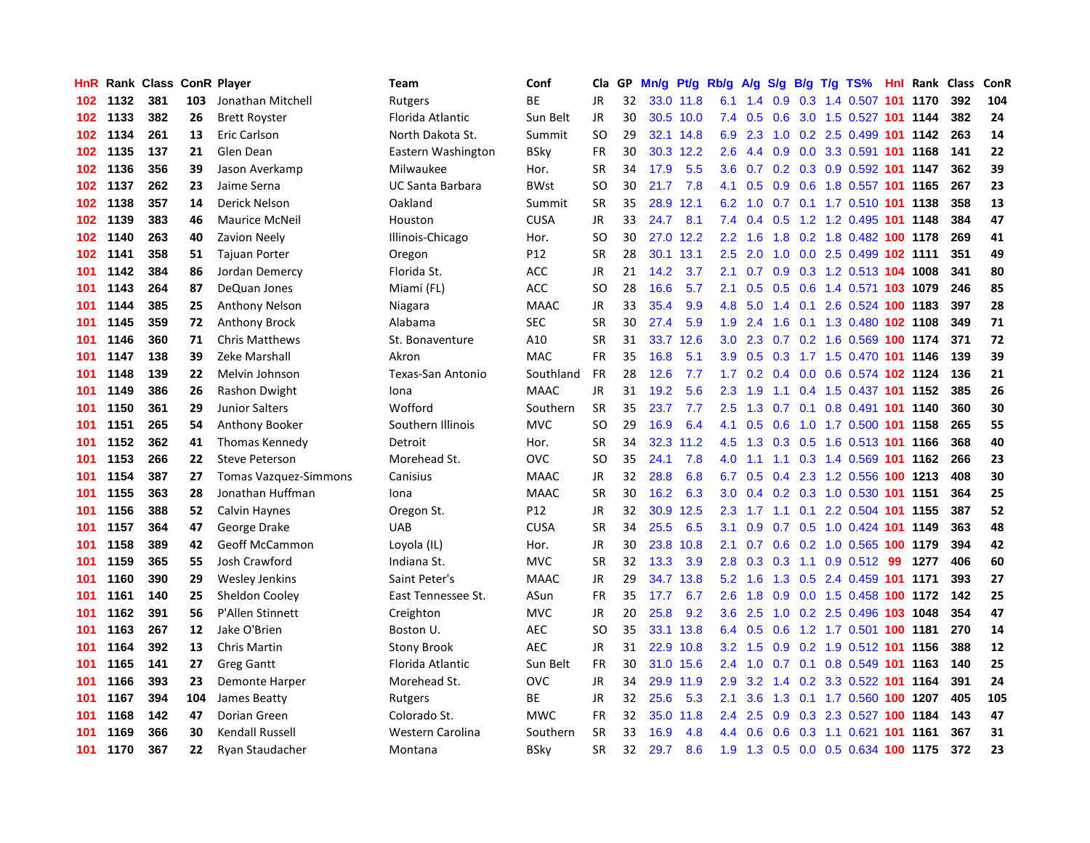| HnR |      | Rank Class ConR Player |     |                              | Team                    | Conf        | Cla       | <b>GP</b> | Mn/g |           | Pt/g Rb/g        | A/g | S/g              |     | $B/g$ T/g TS%                  | <b>Hnl</b> Rank | Class | ConR |
|-----|------|------------------------|-----|------------------------------|-------------------------|-------------|-----------|-----------|------|-----------|------------------|-----|------------------|-----|--------------------------------|-----------------|-------|------|
| 102 | 1132 | 381                    | 103 | Jonathan Mitchell            | Rutgers                 | <b>BE</b>   | JR        | 32        |      | 33.0 11.8 | 6.1              | 1.4 | 0.9              |     | 0.3 1.4 0.507 101 1170         |                 | 392   | 104  |
| 102 | 1133 | 382                    | 26  | <b>Brett Royster</b>         | Florida Atlantic        | Sun Belt    | <b>JR</b> | 30        |      | 30.5 10.0 | 7.4              | 0.5 |                  |     | 0.6 3.0 1.5 0.527 101 1144     |                 | 382   | 24   |
| 102 | 1134 | 261                    | 13  | Eric Carlson                 | North Dakota St.        | Summit      | SO.       | 29        |      | 32.1 14.8 | 6.9              | 2.3 |                  |     | 1.0 0.2 2.5 0.499 101 1142     |                 | 263   | 14   |
| 102 | 1135 | 137                    | 21  | Glen Dean                    | Eastern Washington      | BSky        | FR        | 30        | 30.3 | 12.2      | 2.6              | 4.4 | 0.9              |     | 0.0 3.3 0.591 101 1168         |                 | 141   | 22   |
| 102 | 1136 | 356                    | 39  | Jason Averkamp               | Milwaukee               | Hor.        | <b>SR</b> | 34        | 17.9 | 5.5       | 3.6              | 0.7 |                  |     | 0.2 0.3 0.9 0.592 101 1147     |                 | 362   | 39   |
| 102 | 1137 | 262                    | 23  | Jaime Serna                  | <b>UC Santa Barbara</b> | <b>BWst</b> | <b>SO</b> | 30        | 21.7 | 7.8       | 4.1              | 0.5 | 0.9 <sub>0</sub> |     | 0.6 1.8 0.557 101 1165         |                 | 267   | 23   |
| 102 | 1138 | 357                    | 14  | Derick Nelson                | Oakland                 | Summit      | <b>SR</b> | 35        | 28.9 | 12.1      | 6.2              | 1.0 |                  |     | 0.7 0.1 1.7 0.510 101 1138     |                 | 358   | 13   |
| 102 | 1139 | 383                    | 46  | <b>Maurice McNeil</b>        | Houston                 | <b>CUSA</b> | <b>JR</b> | 33        | 24.7 | 8.1       | 7.4              | 0.4 |                  |     | 0.5 1.2 1.2 0.495 101 1148     |                 | 384   | 47   |
| 102 | 1140 | 263                    | 40  | <b>Zavion Neely</b>          | Illinois-Chicago        | Hor.        | <b>SO</b> | 30        | 27.0 | 12.2      | 2.2              | 1.6 | 1.8              |     | 0.2 1.8 0.482 100 1178         |                 | 269   | 41   |
| 102 | 1141 | 358                    | 51  | <b>Tajuan Porter</b>         | Oregon                  | P12         | <b>SR</b> | 28        | 30.1 | 13.1      | $2.5^{\circ}$    | 2.0 |                  |     | 1.0 0.0 2.5 0.499 102 1111     |                 | 351   | 49   |
| 101 | 1142 | 384                    | 86  | Jordan Demercy               | Florida St.             | <b>ACC</b>  | JR        | 21        | 14.2 | 3.7       | 2.1              |     |                  |     | 0.7 0.9 0.3 1.2 0.513 104 1008 |                 | 341   | 80   |
| 101 | 1143 | 264                    | 87  | DeQuan Jones                 | Miami (FL)              | <b>ACC</b>  | SO        | 28        | 16.6 | 5.7       | 2.1              | 0.5 |                  |     | 0.5 0.6 1.4 0.571 103 1079     |                 | 246   | 85   |
| 101 | 1144 | 385                    | 25  | <b>Anthony Nelson</b>        | Niagara                 | <b>MAAC</b> | <b>JR</b> | 33        | 35.4 | 9.9       | 4.8              | 5.0 | $1.4^{\circ}$    |     | 0.1 2.6 0.524 100 1183         |                 | 397   | 28   |
| 101 | 1145 | 359                    | 72  | <b>Anthony Brock</b>         | Alabama                 | <b>SEC</b>  | <b>SR</b> | 30        | 27.4 | 5.9       | 1.9              | 2.4 | 1.6              |     | 0.1 1.3 0.480 102 1108         |                 | 349   | 71   |
| 101 | 1146 | 360                    | 71  | <b>Chris Matthews</b>        | St. Bonaventure         | A10         | <b>SR</b> | 31        | 33.7 | 12.6      | 3.0 <sub>2</sub> | 2.3 |                  |     | 0.7 0.2 1.6 0.569 100 1174     |                 | 371   | 72   |
| 101 | 1147 | 138                    | 39  | Zeke Marshall                | Akron                   | <b>MAC</b>  | <b>FR</b> | 35        | 16.8 | 5.1       | 3.9 <sup>°</sup> | 0.5 |                  |     | 0.3 1.7 1.5 0.470 101 1146     |                 | 139   | 39   |
| 101 | 1148 | 139                    | 22  | Melvin Johnson               | Texas-San Antonio       | Southland   | <b>FR</b> | 28        | 12.6 | 7.7       | 1.7              | 0.2 | 0.4              |     | 0.0 0.6 0.574 102 1124         |                 | 136   | 21   |
| 101 | 1149 | 386                    | 26  | Rashon Dwight                | Iona                    | <b>MAAC</b> | <b>JR</b> | 31        | 19.2 | 5.6       | 2.3              | 1.9 | 1.1              |     | 0.4 1.5 0.437 101 1152         |                 | 385   | 26   |
| 101 | 1150 | 361                    | 29  | <b>Junior Salters</b>        | Wofford                 | Southern    | <b>SR</b> | 35        | 23.7 | 7.7       | 2.5              | 1.3 |                  |     | 0.7 0.1 0.8 0.491 101 1140     |                 | 360   | 30   |
| 101 | 1151 | 265                    | 54  | Anthony Booker               | Southern Illinois       | <b>MVC</b>  | <b>SO</b> | 29        | 16.9 | 6.4       | 4.1              |     |                  |     | 0.5 0.6 1.0 1.7 0.500 101 1158 |                 | 265   | 55   |
| 101 | 1152 | 362                    | 41  | <b>Thomas Kennedy</b>        | Detroit                 | Hor.        | <b>SR</b> | 34        | 32.3 | 11.2      | 4.5              | 1.3 |                  |     | 0.3 0.5 1.6 0.513 101 1166     |                 | 368   | 40   |
| 101 | 1153 | 266                    | 22  | <b>Steve Peterson</b>        | Morehead St.            | OVC         | <b>SO</b> | 35        | 24.1 | 7.8       | 4.0              | 1.1 |                  |     | 1.1 0.3 1.4 0.569 101 1162     |                 | 266   | 23   |
| 101 | 1154 | 387                    | 27  | <b>Tomas Vazquez-Simmons</b> | Canisius                | <b>MAAC</b> | JR        | 32        | 28.8 | 6.8       | 6.7              | 0.5 | 0.4              |     | 2.3 1.2 0.556 100 1213         |                 | 408   | 30   |
| 101 | 1155 | 363                    | 28  | Jonathan Huffman             | Iona                    | <b>MAAC</b> | <b>SR</b> | 30        | 16.2 | 6.3       | 3.0              | 0.4 |                  |     | 0.2 0.3 1.0 0.530 101 1151     |                 | 364   | 25   |
| 101 | 1156 | 388                    | 52  | Calvin Haynes                | Oregon St.              | P12         | JR        | 32        | 30.9 | 12.5      | 2.3              | 1.7 | 1.1              | 0.1 | 2.2 0.504 101 1155             |                 | 387   | 52   |
| 101 | 1157 | 364                    | 47  | George Drake                 | <b>UAB</b>              | <b>CUSA</b> | <b>SR</b> | 34        | 25.5 | 6.5       | 3.1              | 0.9 |                  |     | 0.7 0.5 1.0 0.424 101 1149     |                 | 363   | 48   |
| 101 | 1158 | 389                    | 42  | <b>Geoff McCammon</b>        | Loyola (IL)             | Hor.        | JR        | 30        | 23.8 | 10.8      | 2.1              | 0.7 |                  |     | 0.6 0.2 1.0 0.565 100 1179     |                 | 394   | 42   |
| 101 | 1159 | 365                    | 55  | Josh Crawford                | Indiana St.             | <b>MVC</b>  | <b>SR</b> | 32        | 13.3 | 3.9       | 2.8              |     |                  |     | 0.3 0.3 1.1 0.9 0.512 99       | 1277            | 406   | 60   |
| 101 | 1160 | 390                    | 29  | Wesley Jenkins               | Saint Peter's           | <b>MAAC</b> | <b>JR</b> | 29        | 34.7 | 13.8      | 5.2              | 1.6 |                  |     | 1.3 0.5 2.4 0.459 101 1171     |                 | 393   | 27   |
| 101 | 1161 | 140                    | 25  | Sheldon Cooley               | East Tennessee St.      | ASun        | <b>FR</b> | 35        | 17.7 | 6.7       | 2.6              | 1.8 | 0.9              |     | 0.0 1.5 0.458 100 1172         |                 | 142   | 25   |
| 101 | 1162 | 391                    | 56  | P'Allen Stinnett             | Creighton               | <b>MVC</b>  | JR        | 20        | 25.8 | 9.2       | 3.6              | 2.5 | 1.0              |     | 0.2 2.5 0.496 103 1048         |                 | 354   | 47   |
| 101 | 1163 | 267                    | 12  | Jake O'Brien                 | Boston U.               | <b>AEC</b>  | SO        | 35        | 33.1 | 13.8      | 6.4              | 0.5 | 0.6              |     | 1.2 1.7 0.501 100 1181         |                 | 270   | 14   |
| 101 | 1164 | 392                    | 13  | <b>Chris Martin</b>          | <b>Stony Brook</b>      | <b>AEC</b>  | <b>JR</b> | 31        | 22.9 | 10.8      | 3.2              | 1.5 | 0.9 <sup>°</sup> |     | 0.2 1.9 0.512 101 1156         |                 | 388   | 12   |
| 101 | 1165 | 141                    | 27  | <b>Greg Gantt</b>            | Florida Atlantic        | Sun Belt    | <b>FR</b> | 30        | 31.0 | 15.6      | $2.4^{\circ}$    | 1.0 | 0.7              |     | 0.1 0.8 0.549 101 1163         |                 | 140   | 25   |
| 101 | 1166 | 393                    | 23  | <b>Demonte Harper</b>        | Morehead St.            | OVC         | JR        | 34        | 29.9 | 11.9      | 2.9 <sup>°</sup> | 3.2 | 1.4              |     | 0.2 3.3 0.522 101 1164         |                 | 391   | 24   |
| 101 | 1167 | 394                    | 104 | James Beatty                 | Rutgers                 | ВE          | <b>JR</b> | 32        | 25.6 | 5.3       | 2.1              | 3.6 | 1.3              |     | 0.1 1.7 0.560 100 1207         |                 | 405   | 105  |
| 101 | 1168 | 142                    | 47  | Dorian Green                 | Colorado St.            | <b>MWC</b>  | FR        | 32        | 35.0 | 11.8      | $2.4^{\circ}$    | 2.5 |                  |     | 0.9 0.3 2.3 0.527 100 1184     |                 | 143   | 47   |
| 101 | 1169 | 366                    | 30  | <b>Kendall Russell</b>       | Western Carolina        | Southern    | SR        | 33        | 16.9 | 4.8       | 4.4              | 0.6 |                  |     | 0.6 0.3 1.1 0.621 101 1161     |                 | 367   | 31   |
| 101 | 1170 | 367                    | 22  | Ryan Staudacher              | Montana                 | <b>BSkv</b> | <b>SR</b> | 32        | 29.7 | 8.6       | 1.9              | 1.3 |                  |     | 0.5 0.0 0.5 0.634 100 1175     |                 | 372   | 23   |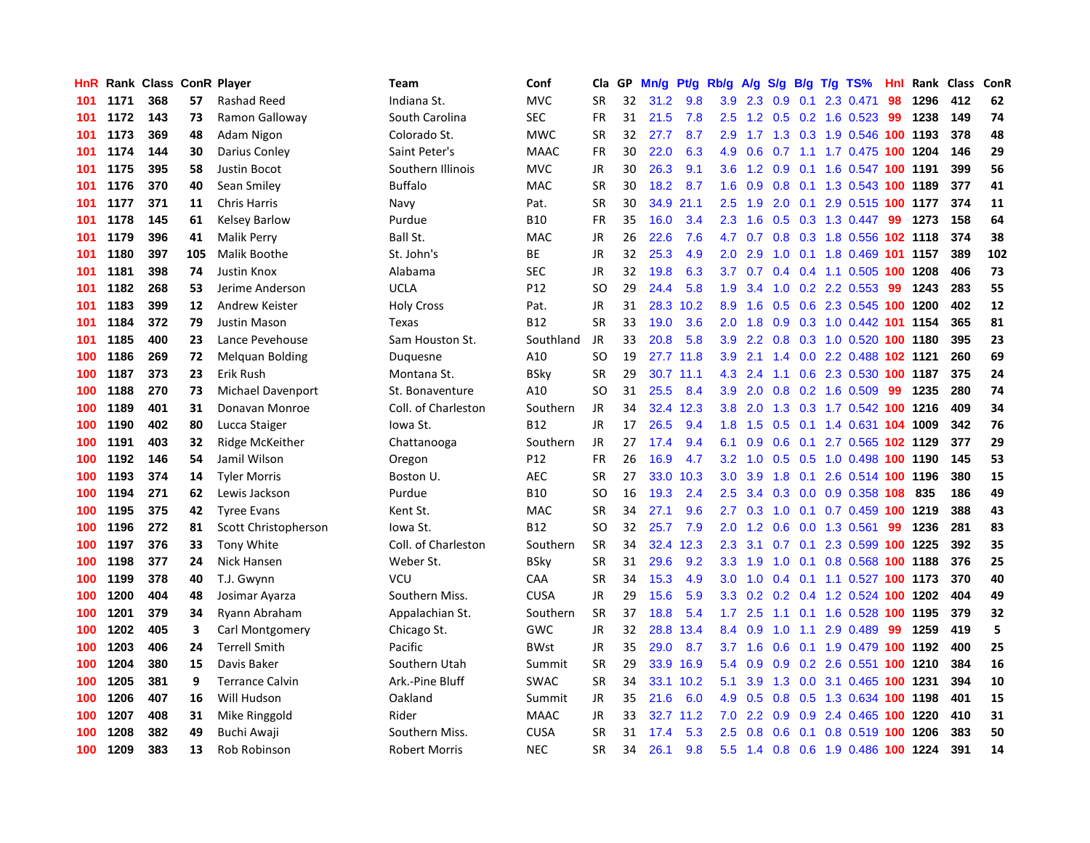| HnR |      | Rank Class ConR Player |     |                        | Team                | Conf        | Cla       | GP | Mn/g | Pt/g      | Rb/g             | A/g           |     |     | S/g B/g T/g TS%                | Hnl | Rank | Class | ConR |
|-----|------|------------------------|-----|------------------------|---------------------|-------------|-----------|----|------|-----------|------------------|---------------|-----|-----|--------------------------------|-----|------|-------|------|
| 101 | 1171 | 368                    | 57  | Rashad Reed            | Indiana St.         | <b>MVC</b>  | <b>SR</b> | 32 | 31.2 | 9.8       | 3.9              | 2.3           | 0.9 | 0.1 | 2.3 0.471                      | 98  | 1296 | 412   | 62   |
| 101 | 1172 | 143                    | 73  | Ramon Galloway         | South Carolina      | <b>SEC</b>  | FR        | 31 | 21.5 | 7.8       | 2.5              |               |     |     | 1.2 0.5 0.2 1.6 0.523 99       |     | 1238 | 149   | 74   |
| 101 | 1173 | 369                    | 48  | Adam Nigon             | Colorado St.        | <b>MWC</b>  | <b>SR</b> | 32 | 27.7 | 8.7       | 2.9 <sup>°</sup> |               |     |     | 1.7 1.3 0.3 1.9 0.546 100 1193 |     |      | 378   | 48   |
| 101 | 1174 | 144                    | 30  | Darius Conley          | Saint Peter's       | <b>MAAC</b> | FR        | 30 | 22.0 | 6.3       | 4.9              | 0.6           |     |     | 0.7 1.1 1.7 0.475 100 1204     |     |      | 146   | 29   |
| 101 | 1175 | 395                    | 58  | Justin Bocot           | Southern Illinois   | <b>MVC</b>  | JR        | 30 | 26.3 | 9.1       | 3.6              | 1.2           | 0.9 |     | 0.1 1.6 0.547 100 1191         |     |      | 399   | 56   |
| 101 | 1176 | 370                    | 40  | Sean Smiley            | <b>Buffalo</b>      | <b>MAC</b>  | <b>SR</b> | 30 | 18.2 | 8.7       | 1.6              | 0.9           | 0.8 |     | 0.1 1.3 0.543 100 1189         |     |      | 377   | 41   |
| 101 | 1177 | 371                    | 11  | <b>Chris Harris</b>    | Navy                | Pat.        | <b>SR</b> | 30 | 34.9 | 21.1      | 2.5              | 1.9           | 2.0 |     | 0.1 2.9 0.515 100 1177         |     |      | 374   | 11   |
| 101 | 1178 | 145                    | 61  | <b>Kelsey Barlow</b>   | Purdue              | <b>B10</b>  | FR        | 35 | 16.0 | 3.4       | $2.3^{\circ}$    | 1.6           | 0.5 |     | $0.3$ 1.3 0.447                | 99  | 1273 | 158   | 64   |
| 101 | 1179 | 396                    | 41  | Malik Perry            | Ball St.            | <b>MAC</b>  | JR        | 26 | 22.6 | 7.6       | 4.7              | 0.7           | 0.8 |     | 0.3 1.8 0.556 102 1118         |     |      | 374   | 38   |
| 101 | 1180 | 397                    | 105 | Malik Boothe           | St. John's          | ВE          | JR        | 32 | 25.3 | 4.9       | 2.0              | 2.9           |     |     | 1.0 0.1 1.8 0.469 101 1157     |     |      | 389   | 102  |
| 101 | 1181 | 398                    | 74  | <b>Justin Knox</b>     | Alabama             | <b>SEC</b>  | JR        | 32 | 19.8 | 6.3       | 3.7              | 0.7           |     |     | 0.4 0.4 1.1 0.505 100 1208     |     |      | 406   | 73   |
| 101 | 1182 | 268                    | 53  | Jerime Anderson        | <b>UCLA</b>         | P12         | SO        | 29 | 24.4 | 5.8       | 1.9              | 3.4           |     |     | 1.0 0.2 2.2 0.553              | -99 | 1243 | 283   | 55   |
| 101 | 1183 | 399                    | 12  | Andrew Keister         | <b>Holy Cross</b>   | Pat.        | <b>JR</b> | 31 | 28.3 | 10.2      | 8.9              | 1.6           | 0.5 |     | 0.6 2.3 0.545 100 1200         |     |      | 402   | 12   |
| 101 | 1184 | 372                    | 79  | Justin Mason           | Texas               | <b>B12</b>  | <b>SR</b> | 33 | 19.0 | 3.6       | 2.0              | 1.8           | 0.9 |     | 0.3 1.0 0.442 101 1154         |     |      | 365   | 81   |
| 101 | 1185 | 400                    | 23  | Lance Pevehouse        | Sam Houston St.     | Southland   | <b>JR</b> | 33 | 20.8 | 5.8       | 3.9              | 2.2           |     |     | 0.8 0.3 1.0 0.520 100 1180     |     |      | 395   | 23   |
| 100 | 1186 | 269                    | 72  | <b>Melguan Bolding</b> | Duquesne            | A10         | <b>SO</b> | 19 |      | 27.7 11.8 | 3.9              | 2.1           | 1.4 |     | 0.0 2.2 0.488 102 1121         |     |      | 260   | 69   |
| 100 | 1187 | 373                    | 23  | Erik Rush              | Montana St.         | <b>BSky</b> | <b>SR</b> | 29 |      | 30.7 11.1 | 4.3              | 2.4           | 1.1 |     | 0.6 2.3 0.530 100 1187         |     |      | 375   | 24   |
| 100 | 1188 | 270                    | 73  | Michael Davenport      | St. Bonaventure     | A10         | <b>SO</b> | 31 | 25.5 | 8.4       | 3.9              | 2.0           | 0.8 |     | $0.2$ 1.6 $0.509$              | 99  | 1235 | 280   | 74   |
| 100 | 1189 | 401                    | 31  | Donavan Monroe         | Coll. of Charleston | Southern    | JR        | 34 | 32.4 | 12.3      | 3.8              | 2.0           |     |     | 1.3 0.3 1.7 0.542 100 1216     |     |      | 409   | 34   |
| 100 | 1190 | 402                    | 80  | Lucca Staiger          | lowa St.            | <b>B12</b>  | JR        | 17 | 26.5 | 9.4       | 1.8              |               |     |     | 1.5 0.5 0.1 1.4 0.631 104 1009 |     |      | 342   | 76   |
| 100 | 1191 | 403                    | 32  | Ridge McKeither        | Chattanooga         | Southern    | JR        | 27 | 17.4 | 9.4       | 6.1              | 0.9           |     |     | 0.6 0.1 2.7 0.565 102 1129     |     |      | 377   | 29   |
| 100 | 1192 | 146                    | 54  | Jamil Wilson           | Oregon              | P12         | <b>FR</b> | 26 | 16.9 | 4.7       | 3.2              | 1.0           | 0.5 |     | 0.5 1.0 0.498 100 1190         |     |      | 145   | 53   |
| 100 | 1193 | 374                    | 14  | <b>Tyler Morris</b>    | Boston U.           | AEC         | <b>SR</b> | 27 | 33.0 | 10.3      | 3.0              | 3.9           | 1.8 |     | 0.1 2.6 0.514 100 1196         |     |      | 380   | 15   |
| 100 | 1194 | 271                    | 62  | Lewis Jackson          | Purdue              | <b>B10</b>  | SO        | 16 | 19.3 | 2.4       | 2.5              | 3.4           | 0.3 |     | 0.0 0.9 0.358 108              |     | 835  | 186   | 49   |
| 100 | 1195 | 375                    | 42  | <b>Tyree Evans</b>     | Kent St.            | MAC         | <b>SR</b> | 34 | 27.1 | 9.6       | 2.7              | 0.3           | 1.0 |     | 0.1 0.7 0.459 100 1219         |     |      | 388   | 43   |
| 100 | 1196 | 272                    | 81  | Scott Christopherson   | lowa St.            | <b>B12</b>  | <b>SO</b> | 32 | 25.7 | 7.9       | 2.0              | 1.2           | 0.6 |     | $0.0$ 1.3 $0.561$              | 99  | 1236 | 281   | 83   |
| 100 | 1197 | 376                    | 33  | Tony White             | Coll. of Charleston | Southern    | <b>SR</b> | 34 | 32.4 | 12.3      | 2.3              | 3.1           |     |     | 0.7 0.1 2.3 0.599 100 1225     |     |      | 392   | 35   |
| 100 | 1198 | 377                    | 24  | Nick Hansen            | Weber St.           | BSky        | <b>SR</b> | 31 | 29.6 | 9.2       | 3.3              | 1.9           |     |     | 1.0 0.1 0.8 0.568 100 1188     |     |      | 376   | 25   |
| 100 | 1199 | 378                    | 40  | T.J. Gwynn             | VCU                 | CAA         | <b>SR</b> | 34 | 15.3 | 4.9       | 3.0 <sub>2</sub> | 1.0           |     |     | 0.4 0.1 1.1 0.527 100 1173     |     |      | 370   | 40   |
| 100 | 1200 | 404                    | 48  | Josimar Ayarza         | Southern Miss.      | <b>CUSA</b> | <b>JR</b> | 29 | 15.6 | 5.9       | 3.3 <sub>2</sub> | 0.2           |     |     | 0.2 0.4 1.2 0.524 100 1202     |     |      | 404   | 49   |
| 100 | 1201 | 379                    | 34  | Ryann Abraham          | Appalachian St.     | Southern    | <b>SR</b> | 37 | 18.8 | 5.4       | 1.7 <sub>2</sub> | 2.5           | 1.1 |     | 0.1 1.6 0.528 100 1195         |     |      | 379   | 32   |
| 100 | 1202 | 405                    | 3   | Carl Montgomery        | Chicago St.         | GWC         | <b>JR</b> | 32 | 28.8 | 13.4      | 8.4              | 0.9           | 1.0 |     | 1.1 2.9 0.489                  | -99 | 1259 | 419   | 5    |
| 100 | 1203 | 406                    | 24  | <b>Terrell Smith</b>   | Pacific             | <b>BWst</b> | JR        | 35 | 29.0 | 8.7       | 3.7              | 1.6           | 0.6 |     | 0.1 1.9 0.479 100 1192         |     |      | 400   | 25   |
| 100 | 1204 | 380                    | 15  | Davis Baker            | Southern Utah       | Summit      | <b>SR</b> | 29 | 33.9 | 16.9      | 5.4              | 0.9           | 0.9 |     | 0.2 2.6 0.551 100 1210         |     |      | 384   | 16   |
| 100 | 1205 | 381                    | 9   | <b>Terrance Calvin</b> | Ark.-Pine Bluff     | <b>SWAC</b> | <b>SR</b> | 34 | 33.1 | 10.2      | 5.1              | 3.9           | 1.3 |     | 0.0 3.1 0.465 100 1231         |     |      | 394   | 10   |
| 100 | 1206 | 407                    | 16  | Will Hudson            | Oakland             | Summit      | JR        | 35 | 21.6 | 6.0       | 4.9              | 0.5           |     |     | 0.8 0.5 1.3 0.634 100 1198     |     |      | 401   | 15   |
| 100 | 1207 | 408                    | 31  | Mike Ringgold          | Rider               | <b>MAAC</b> | JR        | 33 | 32.7 | 11.2      | 7.0              | $2.2^{\circ}$ |     |     | 0.9 0.9 2.4 0.465 100 1220     |     |      | 410   | 31   |
| 100 | 1208 | 382                    | 49  | Buchi Awaji            | Southern Miss.      | <b>CUSA</b> | SR        | 31 | 17.4 | 5.3       | $2.5^{\circ}$    | 0.8           |     |     | 0.6 0.1 0.8 0.519 100 1206     |     |      | 383   | 50   |
| 100 | 1209 | 383                    | 13  | Rob Robinson           | Robert Morris       | <b>NEC</b>  | <b>SR</b> | 34 | 26.1 | 9.8       | 5.5              | 1.4           |     |     | 0.8 0.6 1.9 0.486 100 1224     |     |      | 391   | 14   |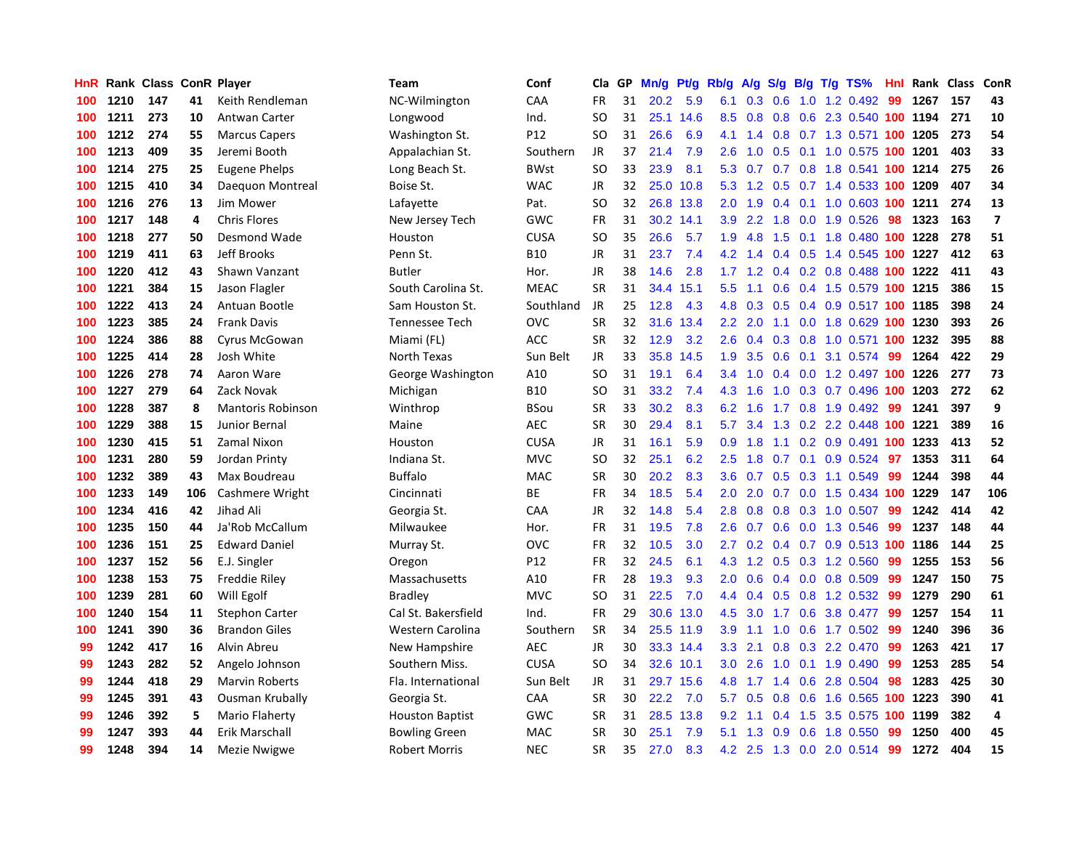| HnR |      | Rank Class ConR Player |     |                          | <b>Team</b>            | Conf        | Cla       | GP | Mn/g | Pt/g | Rb/g             | A/g | S/g           |     | $B/g$ T/g TS%                      | Hnl | Rank Class |     | ConR           |
|-----|------|------------------------|-----|--------------------------|------------------------|-------------|-----------|----|------|------|------------------|-----|---------------|-----|------------------------------------|-----|------------|-----|----------------|
| 100 | 1210 | 147                    | 41  | Keith Rendleman          | NC-Wilmington          | CAA         | <b>FR</b> | 31 | 20.2 | 5.9  | 6.1              | 0.3 | 0.6           |     | 1.0 1.2 0.492                      | 99  | 1267       | 157 | 43             |
| 100 | 1211 | 273                    | 10  | Antwan Carter            | Longwood               | Ind.        | SO        | 31 | 25.1 | 14.6 | 8.5              | 0.8 | 0.8           |     | 0.6 2.3 0.540 100 1194             |     |            | 271 | 10             |
| 100 | 1212 | 274                    | 55  | <b>Marcus Capers</b>     | Washington St.         | P12         | SO        | 31 | 26.6 | 6.9  | 4.1              | 1.4 |               |     | 0.8 0.7 1.3 0.571 100 1205         |     |            | 273 | 54             |
| 100 | 1213 | 409                    | 35  | Jeremi Booth             | Appalachian St.        | Southern    | JR        | 37 | 21.4 | 7.9  | 2.6              | 1.0 |               |     | 0.5 0.1 1.0 0.575 100 1201         |     |            | 403 | 33             |
| 100 | 1214 | 275                    | 25  | Eugene Phelps            | Long Beach St.         | <b>BWst</b> | <b>SO</b> | 33 | 23.9 | 8.1  | 5.3              | 0.7 |               |     | 0.7 0.8 1.8 0.541 100 1214         |     |            | 275 | 26             |
| 100 | 1215 | 410                    | 34  | Daequon Montreal         | Boise St.              | <b>WAC</b>  | JR        | 32 | 25.0 | 10.8 | 5.3              | 1.2 | 0.5           |     | 0.7 1.4 0.533 100 1209             |     |            | 407 | 34             |
| 100 | 1216 | 276                    | 13  | Jim Mower                | Lafayette              | Pat.        | SO        | 32 | 26.8 | 13.8 | 2.0              | 1.9 |               |     | 0.4 0.1 1.0 0.603 100 1211         |     |            | 274 | 13             |
| 100 | 1217 | 148                    | 4   | <b>Chris Flores</b>      | New Jersey Tech        | GWC         | FR        | 31 | 30.2 | 14.1 | 3.9              | 2.2 | 1.8           |     | $0.0$ 1.9 $0.526$                  | 98  | 1323       | 163 | $\overline{7}$ |
| 100 | 1218 | 277                    | 50  | Desmond Wade             | Houston                | <b>CUSA</b> | SO        | 35 | 26.6 | 5.7  | 1.9              | 4.8 | 1.5           |     | 0.1 1.8 0.480 100 1228             |     |            | 278 | 51             |
| 100 | 1219 | 411                    | 63  | Jeff Brooks              | Penn St.               | <b>B10</b>  | JR        | 31 | 23.7 | 7.4  | 4.2              | 1.4 |               |     | 0.4 0.5 1.4 0.545 100 1227         |     |            | 412 | 63             |
| 100 | 1220 | 412                    | 43  | Shawn Vanzant            | <b>Butler</b>          | Hor.        | JR        | 38 | 14.6 | 2.8  |                  |     |               |     | 1.7 1.2 0.4 0.2 0.8 0.488 100 1222 |     |            | 411 | 43             |
| 100 | 1221 | 384                    | 15  | Jason Flagler            | South Carolina St.     | <b>MEAC</b> | <b>SR</b> | 31 | 34.4 | 15.1 | $5.5^{\circ}$    | 1.1 |               |     | 0.6 0.4 1.5 0.579 100 1215         |     |            | 386 | 15             |
| 100 | 1222 | 413                    | 24  | Antuan Bootle            | Sam Houston St.        | Southland   | <b>JR</b> | 25 | 12.8 | 4.3  | 4.8              | 0.3 |               |     | 0.5 0.4 0.9 0.517 100 1185         |     |            | 398 | 24             |
| 100 | 1223 | 385                    | 24  | <b>Frank Davis</b>       | Tennessee Tech         | OVC         | <b>SR</b> | 32 | 31.6 | 13.4 | $2.2\phantom{0}$ | 2.0 | 1.1           |     | 0.0 1.8 0.629 100 1230             |     |            | 393 | 26             |
| 100 | 1224 | 386                    | 88  | Cyrus McGowan            | Miami (FL)             | <b>ACC</b>  | <b>SR</b> | 32 | 12.9 | 3.2  | 2.6              | 0.4 | 0.3           |     | 0.8 1.0 0.571 100 1232             |     |            | 395 | 88             |
| 100 | 1225 | 414                    | 28  | Josh White               | North Texas            | Sun Belt    | <b>JR</b> | 33 | 35.8 | 14.5 | 1.9              | 3.5 | 0.6           | 0.1 | 3.1 0.574                          | -99 | 1264       | 422 | 29             |
| 100 | 1226 | 278                    | 74  | Aaron Ware               | George Washington      | A10         | <b>SO</b> | 31 | 19.1 | 6.4  | $3.4^{\circ}$    | 1.0 | 0.4           |     | 0.0 1.2 0.497 100 1226             |     |            | 277 | 73             |
| 100 | 1227 | 279                    | 64  | Zack Novak               | Michigan               | <b>B10</b>  | SO        | 31 | 33.2 | 7.4  | 4.3              | 1.6 | 1.0           |     | 0.3 0.7 0.496 100 1203             |     |            | 272 | 62             |
| 100 | 1228 | 387                    | 8   | <b>Mantoris Robinson</b> | Winthrop               | <b>BSou</b> | <b>SR</b> | 33 | 30.2 | 8.3  | 6.2              | 1.6 |               |     | 1.7 0.8 1.9 0.492                  | -99 | 1241       | 397 | 9              |
| 100 | 1229 | 388                    | 15  | Junior Bernal            | Maine                  | <b>AEC</b>  | <b>SR</b> | 30 | 29.4 | 8.1  | 5.7              | 3.4 |               |     | 1.3 0.2 2.2 0.448 100 1221         |     |            | 389 | 16             |
| 100 | 1230 | 415                    | 51  | Zamal Nixon              | Houston                | <b>CUSA</b> | <b>JR</b> | 31 | 16.1 | 5.9  | 0.9 <sup>°</sup> | 1.8 |               |     | 1.1 0.2 0.9 0.491 100 1233         |     |            | 413 | 52             |
| 100 | 1231 | 280                    | 59  | Jordan Printy            | Indiana St.            | <b>MVC</b>  | <b>SO</b> | 32 | 25.1 | 6.2  | 2.5              | 1.8 |               |     | $0.7$ 0.1 0.9 0.524                | 97  | 1353       | 311 | 64             |
| 100 | 1232 | 389                    | 43  | Max Boudreau             | <b>Buffalo</b>         | <b>MAC</b>  | <b>SR</b> | 30 | 20.2 | 8.3  | 3.6              | 0.7 | 0.5           |     | $0.3$ 1.1 0.549                    | -99 | 1244       | 398 | 44             |
| 100 | 1233 | 149                    | 106 | Cashmere Wright          | Cincinnati             | BE          | FR        | 34 | 18.5 | 5.4  | 2.0              | 2.0 |               |     | 0.7 0.0 1.5 0.434 100 1229         |     |            | 147 | 106            |
| 100 | 1234 | 416                    | 42  | Jihad Ali                | Georgia St.            | CAA         | JR        | 32 | 14.8 | 5.4  | 2.8              | 0.8 | 0.8           |     | $0.3$ 1.0 0.507                    | 99  | 1242       | 414 | 42             |
| 100 | 1235 | 150                    | 44  | Ja'Rob McCallum          | Milwaukee              | Hor.        | <b>FR</b> | 31 | 19.5 | 7.8  | 2.6              | 0.7 | 0.6           |     | 0.0 1.3 0.546                      | -99 | 1237       | 148 | 44             |
| 100 | 1236 | 151                    | 25  | <b>Edward Daniel</b>     | Murray St.             | OVC         | FR        | 32 | 10.5 | 3.0  | 2.7              | 0.2 |               |     | 0.4 0.7 0.9 0.513 100 1186         |     |            | 144 | 25             |
| 100 | 1237 | 152                    | 56  | E.J. Singler             | Oregon                 | P12         | FR        | 32 | 24.5 | 6.1  | 4.3              |     |               |     | 1.2 0.5 0.3 1.2 0.560              | -99 | 1255       | 153 | 56             |
| 100 | 1238 | 153                    | 75  | Freddie Riley            | Massachusetts          | A10         | FR        | 28 | 19.3 | 9.3  | 2.0 <sub>1</sub> | 0.6 |               |     | $0.4$ 0.0 0.8 0.509                | -99 | 1247       | 150 | 75             |
| 100 | 1239 | 281                    | 60  | Will Egolf               | Bradley                | <b>MVC</b>  | SO        | 31 | 22.5 | 7.0  | 4.4              | 0.4 |               |     | $0.5$ 0.8 1.2 0.532                | -99 | 1279       | 290 | 61             |
| 100 | 1240 | 154                    | 11  | <b>Stephon Carter</b>    | Cal St. Bakersfield    | Ind.        | <b>FR</b> | 29 | 30.6 | 13.0 | 4.5              | 3.0 | 1.7           |     | 0.6 3.8 0.477                      | 99  | 1257       | 154 | 11             |
| 100 | 1241 | 390                    | 36  | <b>Brandon Giles</b>     | Western Carolina       | Southern    | SR        | 34 | 25.5 | 11.9 | 3.9 <sup>°</sup> | 1.1 | 1.0           |     | $0.6$ 1.7 0.502                    | -99 | 1240       | 396 | 36             |
| 99  | 1242 | 417                    | 16  | Alvin Abreu              | New Hampshire          | AEC.        | JR        | 30 | 33.3 | 14.4 | 3.3              | 2.1 | 0.8           |     | 0.3 2.2 0.470                      | -99 | 1263       | 421 | 17             |
| 99  | 1243 | 282                    | 52  | Angelo Johnson           | Southern Miss.         | <b>CUSA</b> | SO        | 34 | 32.6 | 10.1 | 3.0 <sub>2</sub> | 2.6 | 1.0           |     | $0.1$ 1.9 0.490                    | -99 | 1253       | 285 | 54             |
| 99  | 1244 | 418                    | 29  | Marvin Roberts           | Fla. International     | Sun Belt    | JR        | 31 | 29.7 | 15.6 | 4.8              | 1.7 | 1.4           |     | $0.6$ 2.8 $0.504$                  | 98  | 1283       | 425 | 30             |
| 99  | 1245 | 391                    | 43  | <b>Ousman Krubally</b>   | Georgia St.            | CAA         | SR        | 30 | 22.2 | 7.0  | 5.7              | 0.5 | 0.8           |     | 0.6 1.6 0.565 100 1223             |     |            | 390 | 41             |
| 99  | 1246 | 392                    | 5   | Mario Flaherty           | <b>Houston Baptist</b> | <b>GWC</b>  | SR        | 31 | 28.5 | 13.8 | 9.2              | 1.1 | $0.4^{\circ}$ |     | 1.5 3.5 0.575 100 1199             |     |            | 382 | $\overline{4}$ |
| 99  | 1247 | 393                    | 44  | Erik Marschall           | <b>Bowling Green</b>   | MAC         | SR        | 30 | 25.1 | 7.9  | 5.1              | 1.3 | 0.9           |     | 0.6 1.8 0.550                      | -99 | 1250       | 400 | 45             |
| 99  | 1248 | 394                    | 14  | Mezie Nwigwe             | <b>Robert Morris</b>   | <b>NEC</b>  | <b>SR</b> | 35 | 27.0 | 8.3  |                  |     |               |     | 4.2 2.5 1.3 0.0 2.0 0.514          | 99  | 1272       | 404 | 15             |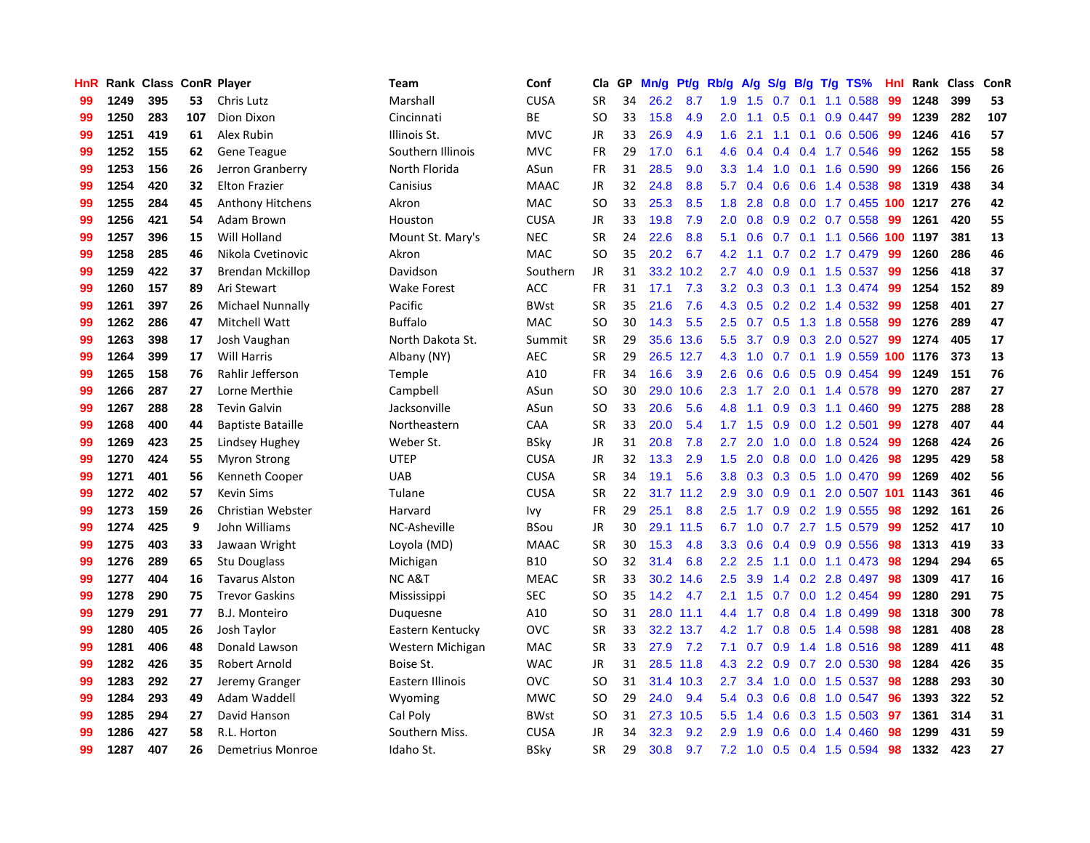| HnR |      | Rank Class ConR Player |     |                          | <b>Team</b>        | Conf        | Cla           | GP | Mn/g | Pt/g      | Rb/g             | A/g             | S/g              | B/g | T/g TS%                    | Hnl |      | Rank Class | ConR |
|-----|------|------------------------|-----|--------------------------|--------------------|-------------|---------------|----|------|-----------|------------------|-----------------|------------------|-----|----------------------------|-----|------|------------|------|
| 99  | 1249 | 395                    | 53  | Chris Lutz               | Marshall           | <b>CUSA</b> | <b>SR</b>     | 34 | 26.2 | 8.7       | 1.9              | 1.5             | 0.7              | 0.1 | 1.1 0.588                  | 99  | 1248 | 399        | 53   |
| 99  | 1250 | 283                    | 107 | Dion Dixon               | Cincinnati         | ВE          | SO            | 33 | 15.8 | 4.9       | 2.0              | 1.1             |                  |     | 0.5 0.1 0.9 0.447 99       |     | 1239 | 282        | 107  |
| 99  | 1251 | 419                    | 61  | Alex Rubin               | Illinois St.       | <b>MVC</b>  | JR            | 33 | 26.9 | 4.9       | 1.6              | 2.1             |                  |     | 1.1 0.1 0.6 0.506          | -99 | 1246 | 416        | 57   |
| 99  | 1252 | 155                    | 62  | <b>Gene Teague</b>       | Southern Illinois  | <b>MVC</b>  | FR            | 29 | 17.0 | 6.1       | 4.6              | 0.4             |                  |     | $0.4$ 0.4 1.7 0.546        | -99 | 1262 | 155        | 58   |
| 99  | 1253 | 156                    | 26  | Jerron Granberry         | North Florida      | ASun        | FR            | 31 | 28.5 | 9.0       | 3.3 <sub>2</sub> | 1.4             | 1.0              |     | $0.1$ 1.6 0.590            | -99 | 1266 | 156        | 26   |
| 99  | 1254 | 420                    | 32  | <b>Elton Frazier</b>     | Canisius           | <b>MAAC</b> | JR            | 32 | 24.8 | 8.8       | 5.7              | 0.4             | 0.6              |     | 0.6 1.4 0.538              | 98  | 1319 | 438        | 34   |
| 99  | 1255 | 284                    | 45  | <b>Anthony Hitchens</b>  | Akron              | MAC         | SO.           | 33 | 25.3 | 8.5       | 1.8              | 2.8             |                  |     | 0.8 0.0 1.7 0.455 100 1217 |     |      | 276        | 42   |
| 99  | 1256 | 421                    | 54  | Adam Brown               | Houston            | <b>CUSA</b> | JR            | 33 | 19.8 | 7.9       | 2.0              | 0.8             | 0.9 <sup>°</sup> |     | $0.2$ 0.7 0.558            | 99  | 1261 | 420        | 55   |
| 99  | 1257 | 396                    | 15  | Will Holland             | Mount St. Mary's   | <b>NEC</b>  | <b>SR</b>     | 24 | 22.6 | 8.8       | 5.1              | 0.6             |                  |     | 0.7 0.1 1.1 0.566 100 1197 |     |      | 381        | 13   |
| 99  | 1258 | 285                    | 46  | Nikola Cvetinovic        | Akron              | <b>MAC</b>  | <sub>SO</sub> | 35 | 20.2 | 6.7       | 4.2              | 1.1             |                  |     | $0.7$ $0.2$ 1.7 $0.479$    | -99 | 1260 | 286        | 46   |
| 99  | 1259 | 422                    | 37  | <b>Brendan Mckillop</b>  | Davidson           | Southern    | JR            | 31 |      | 33.2 10.2 | 2.7              | 4.0             |                  |     | 0.9 0.1 1.5 0.537 99       |     | 1256 | 418        | 37   |
| 99  | 1260 | 157                    | 89  | Ari Stewart              | <b>Wake Forest</b> | <b>ACC</b>  | <b>FR</b>     | 31 | 17.1 | 7.3       | 3.2              | 0.3             |                  |     | 0.3 0.1 1.3 0.474 99       |     | 1254 | 152        | 89   |
| 99  | 1261 | 397                    | 26  | <b>Michael Nunnally</b>  | Pacific            | <b>BWst</b> | <b>SR</b>     | 35 | 21.6 | 7.6       | 4.3              | 0.5             |                  |     | 0.2 0.2 1.4 0.532 99       |     | 1258 | 401        | 27   |
| 99  | 1262 | 286                    | 47  | Mitchell Watt            | <b>Buffalo</b>     | <b>MAC</b>  | <b>SO</b>     | 30 | 14.3 | 5.5       | $2.5^{\circ}$    | 0.7             | 0.5              |     | 1.3 1.8 0.558              | -99 | 1276 | 289        | 47   |
| 99  | 1263 | 398                    | 17  | Josh Vaughan             | North Dakota St.   | Summit      | <b>SR</b>     | 29 | 35.6 | 13.6      | 5.5              | 3.7             | 0.9 <sup>°</sup> |     | $0.3$ 2.0 0.527            | -99 | 1274 | 405        | 17   |
| 99  | 1264 | 399                    | 17  | <b>Will Harris</b>       | Albany (NY)        | <b>AEC</b>  | <b>SR</b>     | 29 | 26.5 | 12.7      | 4.3              | 1.0             | 0.7              |     | $0.1$ 1.9 0.559 100        |     | 1176 | 373        | 13   |
| 99  | 1265 | 158                    | 76  | Rahlir Jefferson         | Temple             | A10         | <b>FR</b>     | 34 | 16.6 | 3.9       | 2.6              | 0.6             | 0.6              |     | $0.5$ 0.9 0.454            | 99  | 1249 | 151        | 76   |
| 99  | 1266 | 287                    | 27  | Lorne Merthie            | Campbell           | ASun        | <sub>SO</sub> | 30 | 29.0 | 10.6      | 2.3              | 1.7             | 2.0              |     | $0.1$ 1.4 0.578            | -99 | 1270 | 287        | 27   |
| 99  | 1267 | 288                    | 28  | <b>Tevin Galvin</b>      | Jacksonville       | ASun        | <sub>SO</sub> | 33 | 20.6 | 5.6       | 4.8              | 1.1             |                  |     | $0.9$ $0.3$ 1.1 $0.460$    | -99 | 1275 | 288        | 28   |
| 99  | 1268 | 400                    | 44  | <b>Baptiste Bataille</b> | Northeastern       | CAA         | <b>SR</b>     | 33 | 20.0 | 5.4       |                  | $1.7 \quad 1.5$ |                  |     | $0.9$ 0.0 1.2 0.501        | -99 | 1278 | 407        | 44   |
| 99  | 1269 | 423                    | 25  | <b>Lindsey Hughey</b>    | Weber St.          | BSky        | JR            | 31 | 20.8 | 7.8       | 2.7              | 2.0             | 1.0              |     | $0.0$ 1.8 $0.524$          | -99 | 1268 | 424        | 26   |
| 99  | 1270 | 424                    | 55  | <b>Myron Strong</b>      | <b>UTEP</b>        | <b>CUSA</b> | JR            | 32 | 13.3 | 2.9       | 1.5              | 2.0             | 0.8              |     | $0.0$ 1.0 $0.426$          | 98  | 1295 | 429        | 58   |
| 99  | 1271 | 401                    | 56  | Kenneth Cooper           | <b>UAB</b>         | <b>CUSA</b> | <b>SR</b>     | 34 | 19.1 | 5.6       | 3.8 <sub>2</sub> | 0.3             |                  |     | $0.3$ $0.5$ 1.0 $0.470$    | -99 | 1269 | 402        | 56   |
| 99  | 1272 | 402                    | 57  | <b>Kevin Sims</b>        | Tulane             | <b>CUSA</b> | <b>SR</b>     | 22 | 31.7 | 11.2      | 2.9              | 3.0             | 0.9              | 0.1 | 2.0 0.507 101              |     | 1143 | 361        | 46   |
| 99  | 1273 | 159                    | 26  | Christian Webster        | Harvard            | Ivy         | <b>FR</b>     | 29 | 25.1 | 8.8       | $2.5^{\circ}$    | 1.7             | 0.9 <sup>°</sup> |     | $0.2$ 1.9 0.555            | 98  | 1292 | 161        | 26   |
| 99  | 1274 | 425                    | 9   | John Williams            | NC-Asheville       | BSou        | JR            | 30 | 29.1 | 11.5      | 6.7              | 1.0             | 0.7              |     | 2.7 1.5 0.579              | -99 | 1252 | 417        | 10   |
| 99  | 1275 | 403                    | 33  | Jawaan Wright            | Loyola (MD)        | <b>MAAC</b> | <b>SR</b>     | 30 | 15.3 | 4.8       | 3.3 <sub>2</sub> | 0.6             |                  |     | $0.4$ 0.9 0.9 0.556        | -98 | 1313 | 419        | 33   |
| 99  | 1276 | 289                    | 65  | Stu Douglass             | Michigan           | <b>B10</b>  | SO            | 32 | 31.4 | 6.8       | $2.2^{\circ}$    | 2.5             |                  |     | 1.1 0.0 1.1 0.473 98       |     | 1294 | 294        | 65   |
| 99  | 1277 | 404                    | 16  | <b>Tavarus Alston</b>    | NC A&T             | <b>MEAC</b> | <b>SR</b>     | 33 | 30.2 | 14.6      | $2.5^{\circ}$    | 3.9             |                  |     | 1.4 0.2 2.8 0.497 98       |     | 1309 | 417        | 16   |
| 99  | 1278 | 290                    | 75  | <b>Trevor Gaskins</b>    | Mississippi        | <b>SEC</b>  | SO            | 35 | 14.2 | 4.7       | 2.1              | 1.5             |                  |     | 0.7 0.0 1.2 0.454 99       |     | 1280 | 291        | 75   |
| 99  | 1279 | 291                    | 77  | <b>B.J. Monteiro</b>     | Duquesne           | A10         | <b>SO</b>     | 31 | 28.0 | 11.1      | 4.4              | 1.7             | 0.8              |     | 0.4 1.8 0.499              | 98  | 1318 | 300        | 78   |
| 99  | 1280 | 405                    | 26  | Josh Taylor              | Eastern Kentucky   | <b>OVC</b>  | SR            | 33 | 32.2 | 13.7      | 4.2              | 1.7             | 0.8              |     | 0.5 1.4 0.598              | -98 | 1281 | 408        | 28   |
| 99  | 1281 | 406                    | 48  | Donald Lawson            | Western Michigan   | <b>MAC</b>  | <b>SR</b>     | 33 | 27.9 | 7.2       | 7.1              | 0.7             | 0.9 <sub>0</sub> |     | 1.4 1.8 0.516              | 98  | 1289 | 411        | 48   |
| 99  | 1282 | 426                    | 35  | Robert Arnold            | Boise St.          | <b>WAC</b>  | JR            | 31 | 28.5 | 11.8      | 4.3              | 2.2             | 0.9              |     | 0.7 2.0 0.530              | -98 | 1284 | 426        | 35   |
| 99  | 1283 | 292                    | 27  | Jeremy Granger           | Eastern Illinois   | <b>OVC</b>  | <sub>SO</sub> | 31 | 31.4 | 10.3      | $2.7^{\circ}$    | 3.4             | 1.0              |     | $0.0$ 1.5 $0.537$          | 98  | 1288 | 293        | 30   |
| 99  | 1284 | 293                    | 49  | Adam Waddell             | Wyoming            | <b>MWC</b>  | SO            | 29 | 24.0 | 9.4       | 5.4              | 0.3             |                  |     | 0.6 0.8 1.0 0.547          | -96 | 1393 | 322        | 52   |
| 99  | 1285 | 294                    | 27  | David Hanson             | Cal Poly           | <b>BWst</b> | SO            | 31 | 27.3 | 10.5      | 5.5              | 1.4             |                  |     | 0.6 0.3 1.5 0.503 97       |     | 1361 | 314        | 31   |
| 99  | 1286 | 427                    | 58  | R.L. Horton              | Southern Miss.     | <b>CUSA</b> | JR            | 34 | 32.3 | 9.2       | 2.9              | 1.9             | 0.6              |     | $0.0$ 1.4 0.460            | 98  | 1299 | 431        | 59   |
| 99  | 1287 | 407                    | 26  | Demetrius Monroe         | Idaho St.          | <b>BSkv</b> | <b>SR</b>     | 29 | 30.8 | 9.7       |                  | $7.2 \quad 1.0$ |                  |     | $0.5$ 0.4 1.5 0.594        | 98  | 1332 | 423        | 27   |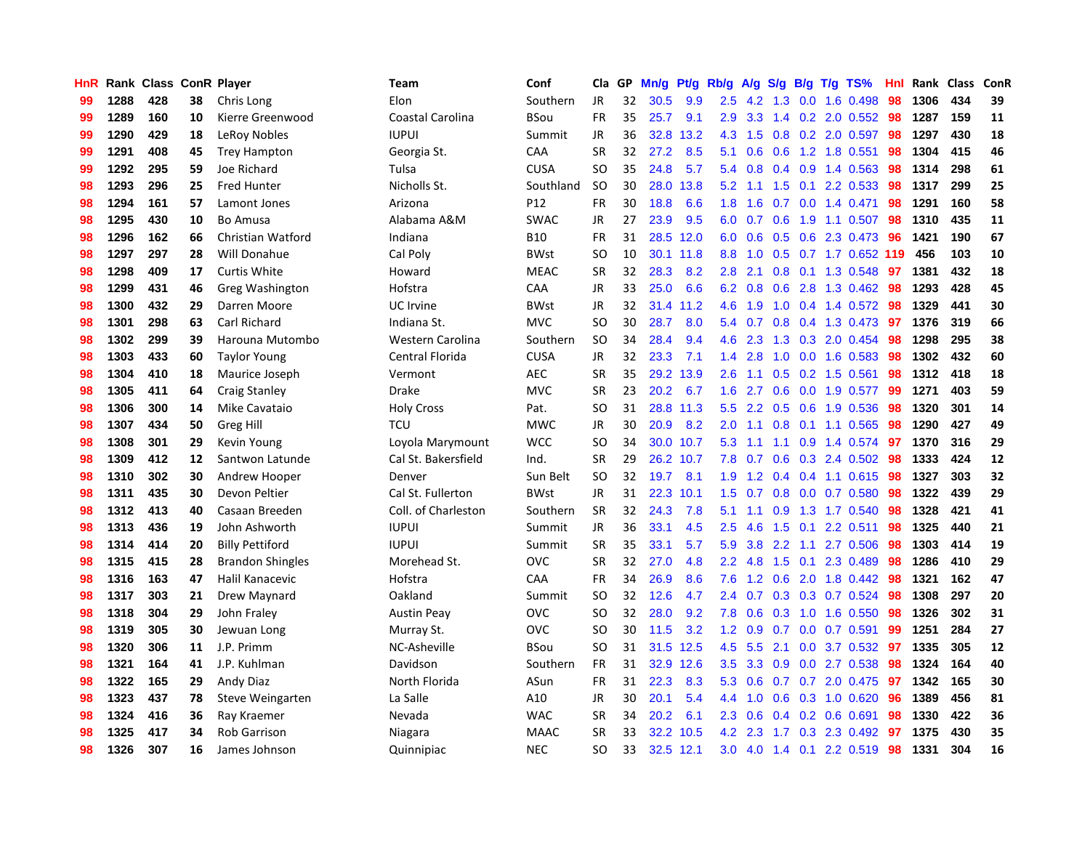| HnR |      | Rank Class ConR Player |    |                         | Team                | Conf        | Cla           | GP | Mn/g | Pt/g      | Rb/g          | A/g           | S/g              |     | $B/g$ T/g TS%             | Hnl |      | Rank Class | ConR |
|-----|------|------------------------|----|-------------------------|---------------------|-------------|---------------|----|------|-----------|---------------|---------------|------------------|-----|---------------------------|-----|------|------------|------|
| 99  | 1288 | 428                    | 38 | Chris Long              | Elon                | Southern    | <b>JR</b>     | 32 | 30.5 | 9.9       | 2.5           | 4.2           | 1.3              | 0.0 | 1.6 0.498                 | 98  | 1306 | 434        | 39   |
| 99  | 1289 | 160                    | 10 | Kierre Greenwood        | Coastal Carolina    | BSou        | <b>FR</b>     | 35 | 25.7 | 9.1       | 2.9           | 3.3           |                  |     | 1.4 0.2 2.0 0.552 98      |     | 1287 | 159        | 11   |
| 99  | 1290 | 429                    | 18 | LeRoy Nobles            | <b>IUPUI</b>        | Summit      | JR            | 36 | 32.8 | 13.2      | 4.3           | 1.5           |                  |     | 0.8 0.2 2.0 0.597 98      |     | 1297 | 430        | 18   |
| 99  | 1291 | 408                    | 45 | <b>Trey Hampton</b>     | Georgia St.         | CAA         | <b>SR</b>     | 32 | 27.2 | 8.5       | 5.1           | 0.6           |                  |     | $0.6$ 1.2 1.8 0.551       | -98 | 1304 | 415        | 46   |
| 99  | 1292 | 295                    | 59 | Joe Richard             | Tulsa               | <b>CUSA</b> | SO            | 35 | 24.8 | 5.7       | 5.4           | 0.8           |                  |     | $0.4$ 0.9 1.4 0.563       | 98  | 1314 | 298        | 61   |
| 98  | 1293 | 296                    | 25 | <b>Fred Hunter</b>      | Nicholls St.        | Southland   | <b>SO</b>     | 30 | 28.0 | 13.8      | 5.2           | 1.1           | 1.5              | 0.1 | 2.2 0.533                 | 98  | 1317 | 299        | 25   |
| 98  | 1294 | 161                    | 57 | Lamont Jones            | Arizona             | P12         | FR            | 30 | 18.8 | 6.6       | 1.8           | 1.6           |                  |     | $0.7$ $0.0$ 1.4 $0.471$   | 98  | 1291 | 160        | 58   |
| 98  | 1295 | 430                    | 10 | <b>Bo Amusa</b>         | Alabama A&M         | <b>SWAC</b> | JR            | 27 | 23.9 | 9.5       | 6.0           | 0.7           | 0.6              |     | 1.9 1.1 0.507             | 98  | 1310 | 435        | 11   |
| 98  | 1296 | 162                    | 66 | Christian Watford       | Indiana             | B10         | FR            | 31 | 28.5 | 12.0      | 6.0           | 0.6           | 0.5              |     | 0.6 2.3 0.473             | -96 | 1421 | 190        | 67   |
| 98  | 1297 | 297                    | 28 | Will Donahue            | Cal Poly            | <b>BWst</b> | <sub>SO</sub> | 10 | 30.1 | 11.8      | 8.8           | 1.0           |                  |     | 0.5 0.7 1.7 0.652 119     |     | 456  | 103        | 10   |
| 98  | 1298 | 409                    | 17 | <b>Curtis White</b>     | Howard              | <b>MEAC</b> | <b>SR</b>     | 32 | 28.3 | 8.2       | 2.8           | 2.1           |                  |     | 0.8 0.1 1.3 0.548 97      |     | 1381 | 432        | 18   |
| 98  | 1299 | 431                    | 46 | Greg Washington         | Hofstra             | <b>CAA</b>  | <b>JR</b>     | 33 | 25.0 | 6.6       | 6.2           | 0.8           |                  |     | 0.6 2.8 1.3 0.462 98      |     | 1293 | 428        | 45   |
| 98  | 1300 | 432                    | 29 | Darren Moore            | UC Irvine           | <b>BWst</b> | JR            | 32 | 31.4 | 11.2      | 4.6           | 1.9           |                  |     | 1.0 0.4 1.4 0.572 98      |     | 1329 | 441        | 30   |
| 98  | 1301 | 298                    | 63 | <b>Carl Richard</b>     | Indiana St.         | <b>MVC</b>  | <sub>SO</sub> | 30 | 28.7 | 8.0       | 5.4           | 0.7           | 0.8              |     | 0.4 1.3 0.473             | 97  | 1376 | 319        | 66   |
| 98  | 1302 | 299                    | 39 | Harouna Mutombo         | Western Carolina    | Southern    | <sub>SO</sub> | 34 | 28.4 | 9.4       | 4.6           | 2.3           | 1.3              |     | $0.3$ 2.0 0.454           | -98 | 1298 | 295        | 38   |
| 98  | 1303 | 433                    | 60 | <b>Taylor Young</b>     | Central Florida     | <b>CUSA</b> | JR            | 32 | 23.3 | 7.1       | 1.4           | 2.8           | 1.0              |     | $0.0$ 1.6 0.583           | -98 | 1302 | 432        | 60   |
| 98  | 1304 | 410                    | 18 | Maurice Joseph          | Vermont             | <b>AEC</b>  | <b>SR</b>     | 35 | 29.2 | 13.9      | 2.6           | 1.1           | 0.5              |     | $0.2$ 1.5 0.561           | 98  | 1312 | 418        | 18   |
| 98  | 1305 | 411                    | 64 | <b>Craig Stanley</b>    | Drake               | <b>MVC</b>  | <b>SR</b>     | 23 | 20.2 | 6.7       | 1.6           | 2.7           | 0.6              |     | 0.0 1.9 0.577             | 99  | 1271 | 403        | 59   |
| 98  | 1306 | 300                    | 14 | Mike Cavataio           | <b>Holy Cross</b>   | Pat.        | <sub>SO</sub> | 31 | 28.8 | 11.3      | 5.5           | $2.2^{\circ}$ |                  |     | 0.5 0.6 1.9 0.536         | -98 | 1320 | 301        | 14   |
| 98  | 1307 | 434                    | 50 | Greg Hill               | TCU                 | <b>MWC</b>  | <b>JR</b>     | 30 | 20.9 | 8.2       | 2.0           |               |                  |     | 1.1 0.8 0.1 1.1 0.565     | -98 | 1290 | 427        | 49   |
| 98  | 1308 | 301                    | 29 | Kevin Young             | Loyola Marymount    | <b>WCC</b>  | <sub>SO</sub> | 34 | 30.0 | 10.7      | 5.3           | 1.1           |                  |     | 1.1 0.9 1.4 0.574 97      |     | 1370 | 316        | 29   |
| 98  | 1309 | 412                    | 12 | Santwon Latunde         | Cal St. Bakersfield | Ind.        | SR            | 29 | 26.2 | 10.7      | 7.8           | 0.7           | 0.6              |     | 0.3 2.4 0.502             | -98 | 1333 | 424        | 12   |
| 98  | 1310 | 302                    | 30 | Andrew Hooper           | Denver              | Sun Belt    | <b>SO</b>     | 32 | 19.7 | 8.1       | 1.9           | 1.2           |                  |     | $0.4$ 0.4 1.1 0.615       | 98  | 1327 | 303        | 32   |
| 98  | 1311 | 435                    | 30 | Devon Peltier           | Cal St. Fullerton   | <b>BWst</b> | JR            | 31 | 22.3 | 10.1      | 1.5           | 0.7           |                  |     | $0.8$ 0.0 0.7 0.580       | 98  | 1322 | 439        | 29   |
| 98  | 1312 | 413                    | 40 | Casaan Breeden          | Coll. of Charleston | Southern    | <b>SR</b>     | 32 | 24.3 | 7.8       | 5.1           | 1.1           | 0.9 <sup>°</sup> |     | 1.3 1.7 0.540             | 98  | 1328 | 421        | 41   |
| 98  | 1313 | 436                    | 19 | John Ashworth           | <b>IUPUI</b>        | Summit      | JR            | 36 | 33.1 | 4.5       | $2.5^{\circ}$ | 4.6           | 1.5              | 0.1 | 2.2 0.511                 | 98  | 1325 | 440        | 21   |
| 98  | 1314 | 414                    | 20 | <b>Billy Pettiford</b>  | <b>IUPUI</b>        | Summit      | <b>SR</b>     | 35 | 33.1 | 5.7       | 5.9           | 3.8           |                  |     | 2.2 1.1 2.7 0.506         | -98 | 1303 | 414        | 19   |
| 98  | 1315 | 415                    | 28 | <b>Brandon Shingles</b> | Morehead St.        | <b>OVC</b>  | <b>SR</b>     | 32 | 27.0 | 4.8       | $2.2^{\circ}$ | 4.8           |                  |     | 1.5 0.1 2.3 0.489         | -98 | 1286 | 410        | 29   |
| 98  | 1316 | 163                    | 47 | Halil Kanacevic         | Hofstra             | <b>CAA</b>  | <b>FR</b>     | 34 | 26.9 | 8.6       | 7.6           | 1.2           |                  |     | 0.6 2.0 1.8 0.442 98      |     | 1321 | 162        | 47   |
| 98  | 1317 | 303                    | 21 | Drew Maynard            | Oakland             | Summit      | SO.           | 32 | 12.6 | 4.7       | 2.4           | 0.7           |                  |     | 0.3 0.3 0.7 0.524 98      |     | 1308 | 297        | 20   |
| 98  | 1318 | 304                    | 29 | John Fraley             | <b>Austin Peay</b>  | <b>OVC</b>  | <b>SO</b>     | 32 | 28.0 | 9.2       | 7.8           | 0.6           | 0.3              |     | 1.0 1.6 0.550             | 98  | 1326 | 302        | 31   |
| 98  | 1319 | 305                    | 30 | Jewuan Long             | Murray St.          | OVC         | SO            | 30 | 11.5 | 3.2       | 1.2           | 0.9           |                  |     | $0.7$ 0.0 0.7 0.591       | 99  | 1251 | 284        | 27   |
| 98  | 1320 | 306                    | 11 | J.P. Primm              | NC-Asheville        | <b>BSou</b> | <b>SO</b>     | 31 | 31.5 | 12.5      | 4.5           | 5.5           | 2.1              | 0.0 | 3.7 0.532                 | 97  | 1335 | 305        | 12   |
| 98  | 1321 | 164                    | 41 | J.P. Kuhlman            | Davidson            | Southern    | <b>FR</b>     | 31 | 32.9 | 12.6      | 3.5           | 3.3           | 0.9              |     | $0.0$ 2.7 $0.538$         | -98 | 1324 | 164        | 40   |
| 98  | 1322 | 165                    | 29 | <b>Andy Diaz</b>        | North Florida       | ASun        | <b>FR</b>     | 31 | 22.3 | 8.3       | 5.3           | 0.6           | 0.7              |     | $0.7$ 2.0 0.475           | 97  | 1342 | 165        | 30   |
| 98  | 1323 | 437                    | 78 | Steve Weingarten        | La Salle            | A10         | JR            | 30 | 20.1 | 5.4       | 4.4           | 1.0           |                  |     | $0.6$ $0.3$ $1.0$ $0.620$ | -96 | 1389 | 456        | 81   |
| 98  | 1324 | 416                    | 36 | Ray Kraemer             | Nevada              | <b>WAC</b>  | <b>SR</b>     | 34 | 20.2 | 6.1       | 2.3           | 0.6           |                  |     | $0.4$ 0.2 0.6 0.691       | -98 | 1330 | 422        | 36   |
| 98  | 1325 | 417                    | 34 | Rob Garrison            | Niagara             | <b>MAAC</b> | SR            | 33 | 32.2 | 10.5      | 4.2           | 2.3           |                  |     | 1.7 0.3 2.3 0.492         | -97 | 1375 | 430        | 35   |
| 98  | 1326 | 307                    | 16 | James Johnson           | Quinnipiac          | <b>NEC</b>  | <b>SO</b>     | 33 |      | 32.5 12.1 | 3.0           | 4.0           |                  |     | 1.4 0.1 2.2 0.519         | 98  | 1331 | 304        | 16   |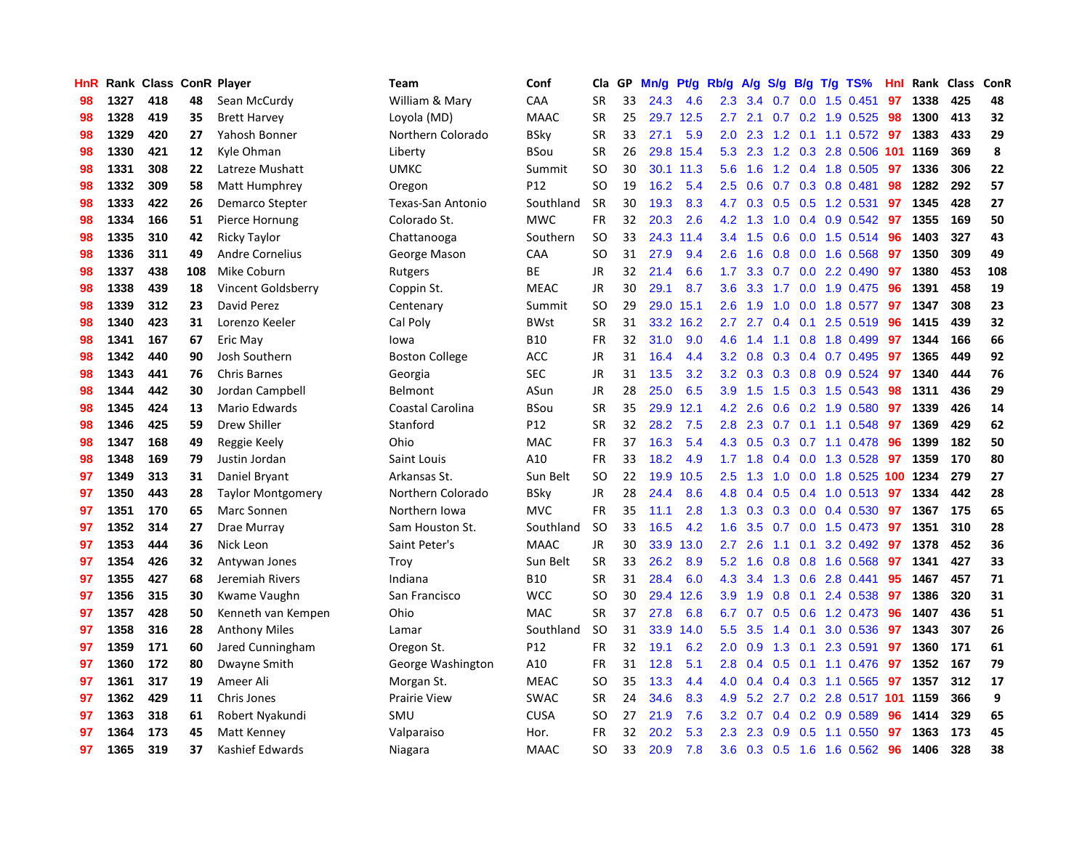| HnR |      | Rank Class ConR Player |     |                          | Team                     | Conf        | Cla           | <b>GP</b> | Mn/g | <b>Pt/g</b> | Rb/g             | A/g |     |     | S/g B/g T/g TS%                | Hnl | Rank | <b>Class</b> | ConR |
|-----|------|------------------------|-----|--------------------------|--------------------------|-------------|---------------|-----------|------|-------------|------------------|-----|-----|-----|--------------------------------|-----|------|--------------|------|
| 98  | 1327 | 418                    | 48  | Sean McCurdy             | William & Mary           | CAA         | SR            | 33        | 24.3 | 4.6         | 2.3              | 3.4 | 0.7 |     | $0.0$ 1.5 $0.451$              | 97  | 1338 | 425          | 48   |
| 98  | 1328 | 419                    | 35  | <b>Brett Harvey</b>      | Loyola (MD)              | <b>MAAC</b> | <b>SR</b>     | 25        |      | 29.7 12.5   | 2.7              | 2.1 |     |     | $0.7$ $0.2$ 1.9 $0.525$        | -98 | 1300 | 413          | 32   |
| 98  | 1329 | 420                    | 27  | Yahosh Bonner            | Northern Colorado        | BSky        | <b>SR</b>     | 33        | 27.1 | 5.9         | 2.0              | 2.3 |     |     | 1.2 0.1 1.1 0.572 97           |     | 1383 | 433          | 29   |
| 98  | 1330 | 421                    | 12  | Kyle Ohman               | Liberty                  | BSou        | <b>SR</b>     | 26        | 29.8 | 15.4        | 5.3              | 2.3 |     |     | 1.2 0.3 2.8 0.506 101 1169     |     |      | 369          | 8    |
| 98  | 1331 | 308                    | 22  | Latreze Mushatt          | <b>UMKC</b>              | Summit      | <sub>SO</sub> | 30        | 30.1 | 11.3        | 5.6              | 1.6 |     |     | 1.2 0.4 1.8 0.505              | 97  | 1336 | 306          | 22   |
| 98  | 1332 | 309                    | 58  | Matt Humphrey            | Oregon                   | P12         | <b>SO</b>     | 19        | 16.2 | 5.4         | 2.5              | 0.6 |     |     | $0.7$ $0.3$ $0.8$ $0.481$      | 98  | 1282 | 292          | 57   |
| 98  | 1333 | 422                    | 26  | Demarco Stepter          | <b>Texas-San Antonio</b> | Southland   | <b>SR</b>     | 30        | 19.3 | 8.3         | 4.7              | 0.3 |     |     | 0.5 0.5 1.2 0.531              | 97  | 1345 | 428          | 27   |
| 98  | 1334 | 166                    | 51  | Pierce Hornung           | Colorado St.             | <b>MWC</b>  | <b>FR</b>     | 32        | 20.3 | 2.6         | 4.2              | 1.3 | 1.0 |     | $0.4$ 0.9 0.542                | 97  | 1355 | 169          | 50   |
| 98  | 1335 | 310                    | 42  | <b>Ricky Taylor</b>      | Chattanooga              | Southern    | <b>SO</b>     | 33        | 24.3 | 11.4        | $3.4^{\circ}$    | 1.5 | 0.6 |     | $0.0$ 1.5 0.514                | -96 | 1403 | 327          | 43   |
| 98  | 1336 | 311                    | 49  | <b>Andre Cornelius</b>   | George Mason             | <b>CAA</b>  | <sub>SO</sub> | 31        | 27.9 | 9.4         | 2.6              | 1.6 |     |     | 0.8 0.0 1.6 0.568              | 97  | 1350 | 309          | 49   |
| 98  | 1337 | 438                    | 108 | Mike Coburn              | Rutgers                  | <b>BE</b>   | JR            | 32        | 21.4 | 6.6         | $1.7^{\circ}$    | 3.3 |     |     | $0.7$ 0.0 2.2 0.490 <b>97</b>  |     | 1380 | 453          | 108  |
| 98  | 1338 | 439                    | 18  | Vincent Goldsberry       | Coppin St.               | <b>MEAC</b> | JR            | 30        | 29.1 | 8.7         | 3.6              | 3.3 |     |     | 1.7 0.0 1.9 0.475              | -96 | 1391 | 458          | 19   |
| 98  | 1339 | 312                    | 23  | David Perez              | Centenary                | Summit      | <sub>SO</sub> | 29        | 29.0 | 15.1        | $2.6^{\circ}$    | 1.9 | 1.0 |     | 0.0 1.8 0.577                  | -97 | 1347 | 308          | 23   |
| 98  | 1340 | 423                    | 31  | Lorenzo Keeler           | Cal Poly                 | <b>BWst</b> | <b>SR</b>     | 31        | 33.2 | 16.2        | 2.7              | 2.7 | 0.4 |     | $0.1$ 2.5 0.519                | 96  | 1415 | 439          | 32   |
| 98  | 1341 | 167                    | 67  | Eric May                 | lowa                     | <b>B10</b>  | <b>FR</b>     | 32        | 31.0 | 9.0         | 4.6              | 1.4 |     |     | 1.1 0.8 1.8 0.499              | 97  | 1344 | 166          | 66   |
| 98  | 1342 | 440                    | 90  | Josh Southern            | <b>Boston College</b>    | <b>ACC</b>  | JR            | 31        | 16.4 | 4.4         | 3.2              | 0.8 | 0.3 |     | $0.4$ 0.7 0.495                | 97  | 1365 | 449          | 92   |
| 98  | 1343 | 441                    | 76  | <b>Chris Barnes</b>      | Georgia                  | <b>SEC</b>  | JR            | 31        | 13.5 | 3.2         | 3.2              | 0.3 | 0.3 |     | 0.8 0.9 0.524                  | -97 | 1340 | 444          | 76   |
| 98  | 1344 | 442                    | 30  | Jordan Campbell          | Belmont                  | ASun        | <b>JR</b>     | 28        | 25.0 | 6.5         | 3.9              | 1.5 | 1.5 |     | 0.3 1.5 0.543                  | 98  | 1311 | 436          | 29   |
| 98  | 1345 | 424                    | 13  | Mario Edwards            | Coastal Carolina         | BSou        | <b>SR</b>     | 35        | 29.9 | 12.1        | 4.2              | 2.6 |     |     | $0.6$ 0.2 1.9 0.580            | 97  | 1339 | 426          | 14   |
| 98  | 1346 | 425                    | 59  | <b>Drew Shiller</b>      | Stanford                 | P12         | <b>SR</b>     | 32        | 28.2 | 7.5         | 2.8              | 2.3 |     |     | $0.7$ 0.1 1.1 0.548            | 97  | 1369 | 429          | 62   |
| 98  | 1347 | 168                    | 49  | Reggie Keely             | Ohio                     | <b>MAC</b>  | FR            | 37        | 16.3 | 5.4         | 4.3              | 0.5 |     |     | $0.3$ 0.7 1.1 0.478            | -96 | 1399 | 182          | 50   |
| 98  | 1348 | 169                    | 79  | Justin Jordan            | Saint Louis              | A10         | <b>FR</b>     | 33        | 18.2 | 4.9         | 1.7 <sub>z</sub> | 1.8 |     |     | 0.4 0.0 1.3 0.528              | 97  | 1359 | 170          | 80   |
| 97  | 1349 | 313                    | 31  | Daniel Bryant            | Arkansas St.             | Sun Belt    | <b>SO</b>     | 22        | 19.9 | 10.5        | 2.5              | 1.3 | 1.0 |     | 0.0 1.8 0.525 100 1234         |     |      | 279          | 27   |
| 97  | 1350 | 443                    | 28  | <b>Taylor Montgomery</b> | Northern Colorado        | <b>BSky</b> | JR            | 28        | 24.4 | 8.6         | 4.8              | 0.4 | 0.5 |     | $0.4$ 1.0 0.513                | 97  | 1334 | 442          | 28   |
| 97  | 1351 | 170                    | 65  | Marc Sonnen              | Northern Iowa            | <b>MVC</b>  | <b>FR</b>     | 35        | 11.1 | 2.8         | 1.3              | 0.3 | 0.3 |     | $0.0$ 0.4 0.530                | 97  | 1367 | 175          | 65   |
| 97  | 1352 | 314                    | 27  | Drae Murray              | Sam Houston St.          | Southland   | <b>SO</b>     | 33        | 16.5 | 4.2         | 1.6              | 3.5 |     |     | 0.7 0.0 1.5 0.473              | 97  | 1351 | 310          | 28   |
| 97  | 1353 | 444                    | 36  | Nick Leon                | Saint Peter's            | <b>MAAC</b> | JR            | 30        | 33.9 | 13.0        | 2.7              | 2.6 |     |     | 1.1 0.1 3.2 0.492 97           |     | 1378 | 452          | 36   |
| 97  | 1354 | 426                    | 32  | Antywan Jones            | Troy                     | Sun Belt    | <b>SR</b>     | 33        | 26.2 | 8.9         | 5.2              | 1.6 |     |     | 0.8 0.8 1.6 0.568 97           |     | 1341 | 427          | 33   |
| 97  | 1355 | 427                    | 68  | Jeremiah Rivers          | Indiana                  | <b>B10</b>  | <b>SR</b>     | 31        | 28.4 | 6.0         | 4.3              | 3.4 |     |     | 1.3 0.6 2.8 0.441              | 95  | 1467 | 457          | 71   |
| 97  | 1356 | 315                    | 30  | Kwame Vaughn             | San Francisco            | <b>WCC</b>  | SO            | 30        | 29.4 | 12.6        | 3.9 <sup>°</sup> | 1.9 | 0.8 |     | 0.1 2.4 0.538 97               |     | 1386 | 320          | 31   |
| 97  | 1357 | 428                    | 50  | Kenneth van Kempen       | Ohio                     | <b>MAC</b>  | <b>SR</b>     | 37        | 27.8 | 6.8         | 6.7              | 0.7 | 0.5 |     | 0.6 1.2 0.473                  | -96 | 1407 | 436          | 51   |
| 97  | 1358 | 316                    | 28  | <b>Anthony Miles</b>     | Lamar                    | Southland   | <b>SO</b>     | 31        | 33.9 | 14.0        | 5.5              | 3.5 | 1.4 | 0.1 | 3.0 0.536                      | 97  | 1343 | 307          | 26   |
| 97  | 1359 | 171                    | 60  | Jared Cunningham         | Oregon St.               | P12         | <b>FR</b>     | 32        | 19.1 | 6.2         | 2.0              | 0.9 | 1.3 | 0.1 | 2.3 0.591                      | 97  | 1360 | 171          | 61   |
| 97  | 1360 | 172                    | 80  | Dwayne Smith             | George Washington        | A10         | <b>FR</b>     | 31        | 12.8 | 5.1         | 2.8              | 0.4 | 0.5 |     | $0.1$ 1.1 0.476                | 97  | 1352 | 167          | 79   |
| 97  | 1361 | 317                    | 19  | Ameer Ali                | Morgan St.               | <b>MEAC</b> | <sub>SO</sub> | 35        | 13.3 | 4.4         | 4.0              | 0.4 |     |     | $0.4$ 0.3 1.1 0.565            | 97  | 1357 | 312          | 17   |
| 97  | 1362 | 429                    | 11  | Chris Jones              | Prairie View             | <b>SWAC</b> | <b>SR</b>     | 24        | 34.6 | 8.3         | 4.9              |     |     |     | 5.2 2.7 0.2 2.8 0.517 101 1159 |     |      | 366          | 9    |
| 97  | 1363 | 318                    | 61  | Robert Nyakundi          | SMU                      | <b>CUSA</b> | SO            | 27        | 21.9 | 7.6         | 3.2              | 0.7 |     |     | $0.4$ 0.2 0.9 0.589            | 96  | 1414 | 329          | 65   |
| 97  | 1364 | 173                    | 45  | Matt Kenney              | Valparaiso               | Hor.        | FR            | 32        | 20.2 | 5.3         | $2.3^{\circ}$    | 2.3 |     |     | 0.9 0.5 1.1 0.550              | 97  | 1363 | 173          | 45   |
| 97  | 1365 | 319                    | 37  | Kashief Edwards          | Niagara                  | <b>MAAC</b> | <b>SO</b>     | 33        | 20.9 | 7.8         | 3.6              | 0.3 |     |     | 0.5 1.6 1.6 0.562              | 96  | 1406 | 328          | 38   |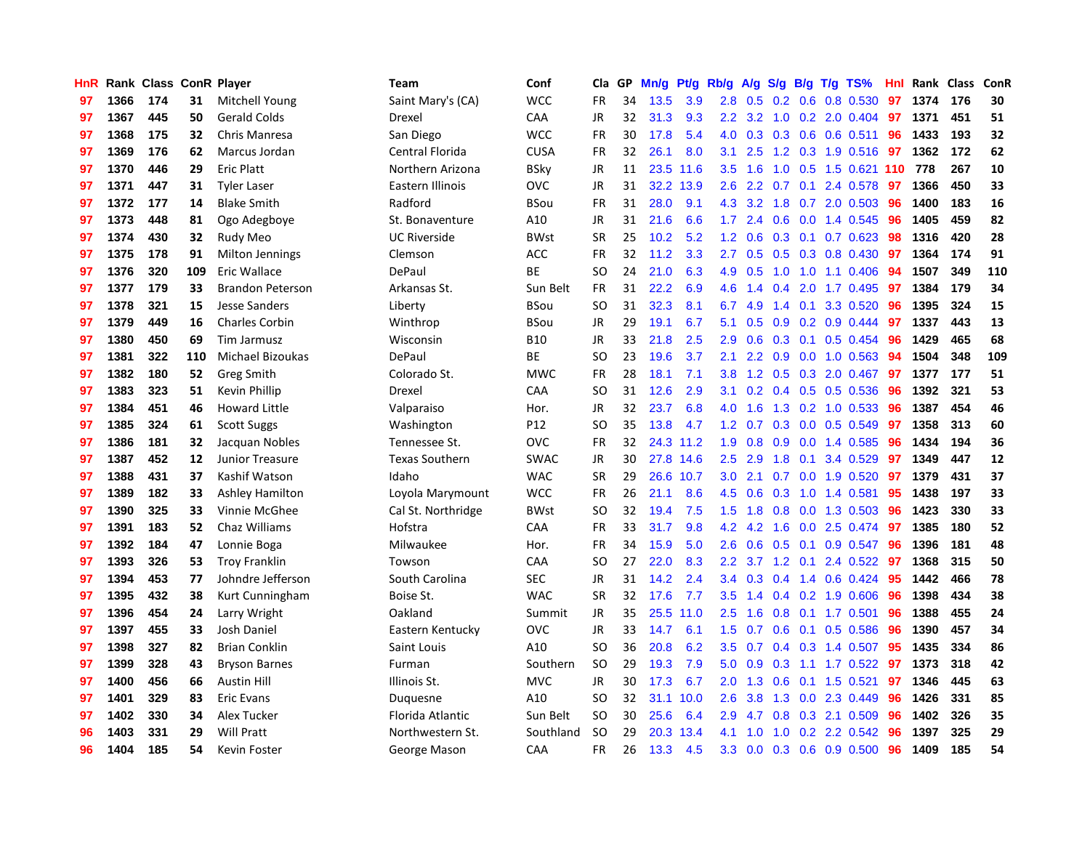| HnR |      | Rank Class ConR Player |     |                         | <b>Team</b>           | Conf        | Cla           | <b>GP</b> | Mn/g | <b>Pt/g</b> | Rb/g             | A/g           |               |     | S/g B/g T/g TS%          | Hnl |      | Rank Class | <b>ConR</b> |
|-----|------|------------------------|-----|-------------------------|-----------------------|-------------|---------------|-----------|------|-------------|------------------|---------------|---------------|-----|--------------------------|-----|------|------------|-------------|
| 97  | 1366 | 174                    | 31  | <b>Mitchell Young</b>   | Saint Mary's (CA)     | <b>WCC</b>  | <b>FR</b>     | 34        | 13.5 | 3.9         | 2.8              | 0.5           |               |     | $0.2$ 0.6 0.8 0.530      | 97  | 1374 | 176        | 30          |
| 97  | 1367 | 445                    | 50  | <b>Gerald Colds</b>     | Drexel                | CAA         | JR            | 32        | 31.3 | 9.3         | 2.2 <sub>2</sub> |               |               |     | 3.2 1.0 0.2 2.0 0.404 97 |     | 1371 | 451        | 51          |
| 97  | 1368 | 175                    | 32  | Chris Manresa           | San Diego             | <b>WCC</b>  | <b>FR</b>     | 30        | 17.8 | 5.4         | 4.0              | 0.3           |               |     | $0.3$ 0.6 0.6 0.511      | -96 | 1433 | 193        | 32          |
| 97  | 1369 | 176                    | 62  | Marcus Jordan           | Central Florida       | <b>CUSA</b> | <b>FR</b>     | 32        | 26.1 | 8.0         | 3.1              | 2.5           |               |     | 1.2 0.3 1.9 0.516 97     |     | 1362 | 172        | 62          |
| 97  | 1370 | 446                    | 29  | <b>Eric Platt</b>       | Northern Arizona      | <b>BSky</b> | JR            | 11        | 23.5 | 11.6        | 3.5              | 1.6           | 1.0           |     | 0.5 1.5 0.621 110 778    |     |      | 267        | 10          |
| 97  | 1371 | 447                    | 31  | <b>Tyler Laser</b>      | Eastern Illinois      | ovc         | JR            | 31        | 32.2 | 13.9        | 2.6              | 2.2           | 0.7           |     | $0.1$ 2.4 $0.578$        | 97  | 1366 | 450        | 33          |
| 97  | 1372 | 177                    | 14  | <b>Blake Smith</b>      | Radford               | BSou        | FR            | 31        | 28.0 | 9.1         | 4.3              | 3.2           | 1.8           |     | $0.7$ 2.0 0.503          | 96  | 1400 | 183        | 16          |
| 97  | 1373 | 448                    | 81  | Ogo Adegboye            | St. Bonaventure       | A10         | <b>JR</b>     | 31        | 21.6 | 6.6         | 1.7              | 2.4           | 0.6           |     | $0.0$ 1.4 0.545          | 96  | 1405 | 459        | 82          |
| 97  | 1374 | 430                    | 32  | Rudy Meo                | <b>UC Riverside</b>   | <b>BWst</b> | <b>SR</b>     | 25        | 10.2 | 5.2         | 1.2              | 0.6           |               |     | $0.3$ 0.1 0.7 0.623      | 98  | 1316 | 420        | 28          |
| 97  | 1375 | 178                    | 91  | Milton Jennings         | Clemson               | <b>ACC</b>  | <b>FR</b>     | 32        | 11.2 | 3.3         | $2.7^{\circ}$    | 0.5           |               |     | 0.5 0.3 0.8 0.430 97     |     | 1364 | 174        | 91          |
| 97  | 1376 | 320                    | 109 | Eric Wallace            | DePaul                | <b>BE</b>   | <b>SO</b>     | 24        | 21.0 | 6.3         |                  | 4.9 0.5       |               |     | 1.0 1.0 1.1 0.406 94     |     | 1507 | 349        | 110         |
| 97  | 1377 | 179                    | 33  | <b>Brandon Peterson</b> | Arkansas St.          | Sun Belt    | <b>FR</b>     | 31        | 22.2 | 6.9         | 4.6              | 1.4           |               |     | $0.4$ 2.0 1.7 0.495      | 97  | 1384 | 179        | 34          |
| 97  | 1378 | 321                    | 15  | <b>Jesse Sanders</b>    | Liberty               | BSou        | <b>SO</b>     | 31        | 32.3 | 8.1         | 6.7              | 4.9           | $1.4^{\circ}$ |     | $0.1$ 3.3 0.520          | 96  | 1395 | 324        | 15          |
| 97  | 1379 | 449                    | 16  | <b>Charles Corbin</b>   | Winthrop              | BSou        | JR            | 29        | 19.1 | 6.7         | 5.1              | 0.5           | 0.9           |     | $0.2$ 0.9 0.444          | 97  | 1337 | 443        | 13          |
| 97  | 1380 | 450                    | 69  | Tim Jarmusz             | Wisconsin             | <b>B10</b>  | <b>JR</b>     | 33        | 21.8 | 2.5         | 2.9              | 0.6           | 0.3           |     | $0.1$ 0.5 0.454          | 96  | 1429 | 465        | 68          |
| 97  | 1381 | 322                    | 110 | Michael Bizoukas        | DePaul                | <b>BE</b>   | SO.           | 23        | 19.6 | 3.7         | 2.1              | $2.2^{\circ}$ | 0.9           |     | $0.0$ 1.0 0.563          | 94  | 1504 | 348        | 109         |
| 97  | 1382 | 180                    | 52  | Greg Smith              | Colorado St.          | <b>MWC</b>  | <b>FR</b>     | 28        | 18.1 | 7.1         | 3.8 <sub>2</sub> | 1.2           | 0.5           |     | $0.3$ 2.0 0.467          | 97  | 1377 | 177        | 51          |
| 97  | 1383 | 323                    | 51  | Kevin Phillip           | Drexel                | CAA         | <sub>SO</sub> | 31        | 12.6 | 2.9         | 3.1              | 0.2           |               |     | 0.4 0.5 0.5 0.536        | -96 | 1392 | 321        | 53          |
| 97  | 1384 | 451                    | 46  | <b>Howard Little</b>    | Valparaiso            | Hor.        | <b>JR</b>     | 32        | 23.7 | 6.8         | 4.0              | 1.6           |               |     | 1.3 0.2 1.0 0.533 96     |     | 1387 | 454        | 46          |
| 97  | 1385 | 324                    | 61  | <b>Scott Suggs</b>      | Washington            | P12         | <sub>SO</sub> | 35        | 13.8 | 4.7         | 1.2              | 0.7           |               |     | $0.3$ 0.0 0.5 0.549      | 97  | 1358 | 313        | 60          |
| 97  | 1386 | 181                    | 32  | Jacquan Nobles          | Tennessee St.         | <b>OVC</b>  | <b>FR</b>     | 32        |      | 24.3 11.2   | 1.9              | 0.8           |               |     | $0.9$ 0.0 1.4 0.585      | -96 | 1434 | 194        | 36          |
| 97  | 1387 | 452                    | 12  | Junior Treasure         | <b>Texas Southern</b> | <b>SWAC</b> | JR            | 30        | 27.8 | 14.6        | 2.5              | 2.9           | 1.8           | 0.1 | 3.4 0.529                | 97  | 1349 | 447        | 12          |
| 97  | 1388 | 431                    | 37  | Kashif Watson           | Idaho                 | <b>WAC</b>  | <b>SR</b>     | 29        | 26.6 | 10.7        | 3.0 <sub>2</sub> | 2.1           |               |     | $0.7$ 0.0 1.9 0.520      | 97  | 1379 | 431        | 37          |
| 97  | 1389 | 182                    | 33  | Ashley Hamilton         | Loyola Marymount      | <b>WCC</b>  | <b>FR</b>     | 26        | 21.1 | 8.6         | 4.5              | 0.6           | 0.3           |     | 1.0 1.4 0.581            | 95  | 1438 | 197        | 33          |
| 97  | 1390 | 325                    | 33  | Vinnie McGhee           | Cal St. Northridge    | <b>BWst</b> | SO            | 32        | 19.4 | 7.5         | $1.5^{\circ}$    | 1.8           | 0.8           |     | 0.0 1.3 0.503            | -96 | 1423 | 330        | 33          |
| 97  | 1391 | 183                    | 52  | Chaz Williams           | Hofstra               | CAA         | <b>FR</b>     | 33        | 31.7 | 9.8         | 4.2              | 4.2           | 1.6           |     | 0.0 2.5 0.474 97         |     | 1385 | 180        | 52          |
| 97  | 1392 | 184                    | 47  | Lonnie Boga             | Milwaukee             | Hor.        | <b>FR</b>     | 34        | 15.9 | 5.0         | 2.6              | 0.6           |               |     | 0.5 0.1 0.9 0.547 96     |     | 1396 | 181        | 48          |
| 97  | 1393 | 326                    | 53  | <b>Troy Franklin</b>    | Towson                | CAA         | <b>SO</b>     | 27        | 22.0 | 8.3         | $2.2^{\circ}$    |               |               |     | 3.7 1.2 0.1 2.4 0.522 97 |     | 1368 | 315        | 50          |
| 97  | 1394 | 453                    | 77  | Johndre Jefferson       | South Carolina        | <b>SEC</b>  | JR            | 31        | 14.2 | 2.4         | $3.4^{\circ}$    | 0.3           |               |     | 0.4 1.4 0.6 0.424 95     |     | 1442 | 466        | 78          |
| 97  | 1395 | 432                    | 38  | Kurt Cunningham         | Boise St.             | <b>WAC</b>  | <b>SR</b>     | 32        | 17.6 | 7.7         | 3.5              | 1.4           |               |     | $0.4$ 0.2 1.9 0.606      | -96 | 1398 | 434        | 38          |
| 97  | 1396 | 454                    | 24  | Larry Wright            | Oakland               | Summit      | JR            | 35        | 25.5 | 11.0        | $2.5\,$          | 1.6           | 0.8           |     | $0.1$ 1.7 0.501          | 96  | 1388 | 455        | 24          |
| 97  | 1397 | 455                    | 33  | Josh Daniel             | Eastern Kentucky      | OVC         | <b>JR</b>     | 33        | 14.7 | 6.1         | 1.5              | 0.7           | 0.6           |     | $0.1$ 0.5 0.586          | 96  | 1390 | 457        | 34          |
| 97  | 1398 | 327                    | 82  | <b>Brian Conklin</b>    | Saint Louis           | A10         | SO            | 36        | 20.8 | 6.2         | 3.5              | 0.7           |               |     | 0.4 0.3 1.4 0.507        | 95  | 1435 | 334        | 86          |
| 97  | 1399 | 328                    | 43  | <b>Bryson Barnes</b>    | Furman                | Southern    | <sub>SO</sub> | 29        | 19.3 | 7.9         | 5.0              | 0.9           | 0.3           |     | $1.1$ $1.7$ $0.522$      | 97  | 1373 | 318        | 42          |
| 97  | 1400 | 456                    | 66  | <b>Austin Hill</b>      | Illinois St.          | <b>MVC</b>  | <b>JR</b>     | 30        | 17.3 | 6.7         | 2.0              | 1.3           | 0.6           |     | $0.1$ 1.5 0.521          | 97  | 1346 | 445        | 63          |
| 97  | 1401 | 329                    | 83  | <b>Eric Evans</b>       | Duquesne              | A10         | <sub>SO</sub> | 32        | 31.1 | 10.0        | 2.6              | 3.8           |               |     | 1.3 0.0 2.3 0.449        | 96  | 1426 | 331        | 85          |
| 97  | 1402 | 330                    | 34  | Alex Tucker             | Florida Atlantic      | Sun Belt    | <b>SO</b>     | 30        | 25.6 | 6.4         | 2.9              | 4.7           | 0.8           |     | 0.3 2.1 0.509            | 96  | 1402 | 326        | 35          |
| 96  | 1403 | 331                    | 29  | <b>Will Pratt</b>       | Northwestern St.      | Southland   | <b>SO</b>     | 29        | 20.3 | 13.4        | 4.1              | 1.0           | 1.0           |     | 0.2 2.2 0.542            | 96  | 1397 | 325        | 29          |
| 96  | 1404 | 185                    | 54  | Kevin Foster            | George Mason          | CAA         | <b>FR</b>     | 26        | 13.3 | 4.5         | 3.3 <sub>2</sub> | 0.0           |               |     | $0.3$ 0.6 0.9 0.500      | 96  | 1409 | 185        | 54          |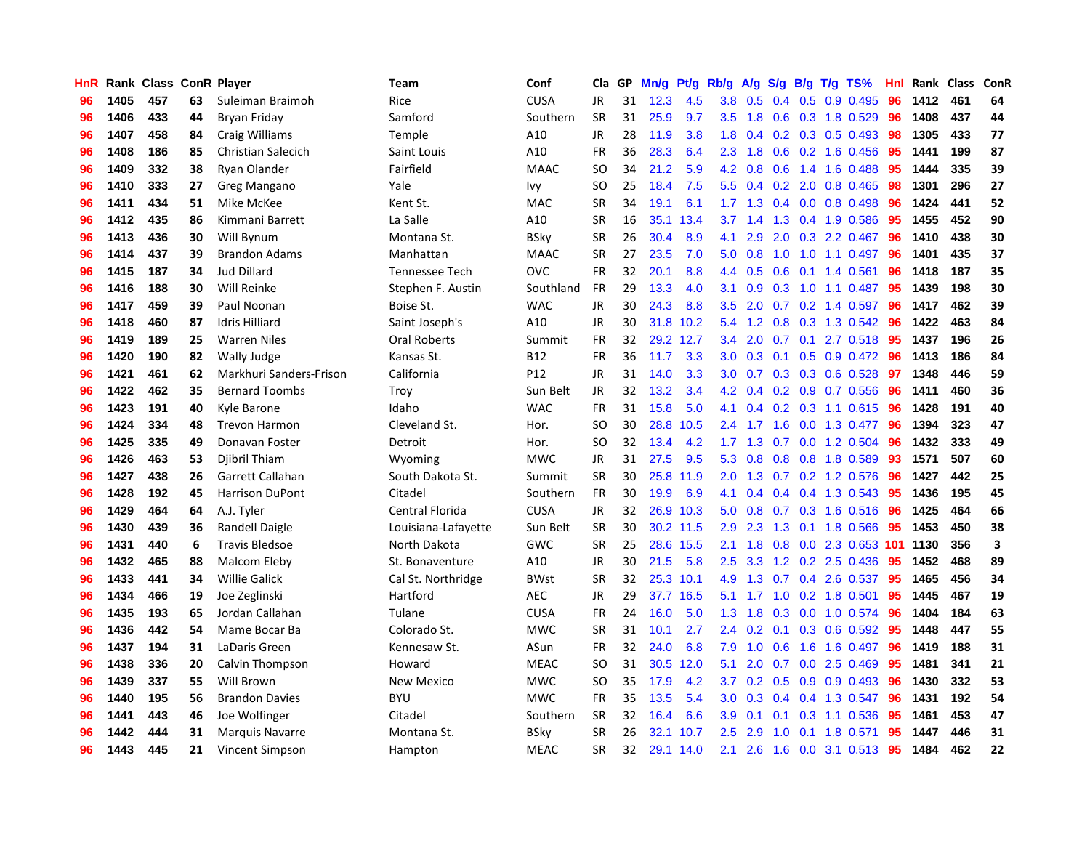| <b>HnR</b> |      | Rank Class ConR Player |    |                         | Team                  | Conf        | Cla       | <b>GP</b> | Mn/g | <b>Pt/g</b> | Rb/g             | A/g             |     |     | $S/g$ B/g T/g TS%               | Hnl |      | Rank Class | ConR |
|------------|------|------------------------|----|-------------------------|-----------------------|-------------|-----------|-----------|------|-------------|------------------|-----------------|-----|-----|---------------------------------|-----|------|------------|------|
| 96         | 1405 | 457                    | 63 | Suleiman Braimoh        | Rice                  | <b>CUSA</b> | JR        | 31        | 12.3 | 4.5         | 3.8              | 0.5             | 0.4 |     | $0.5$ 0.9 0.495                 | 96  | 1412 | 461        | 64   |
| 96         | 1406 | 433                    | 44 | Bryan Friday            | Samford               | Southern    | <b>SR</b> | 31        | 25.9 | 9.7         |                  | $3.5$ 1.8       |     |     | 0.6 0.3 1.8 0.529               | -96 | 1408 | 437        | 44   |
| 96         | 1407 | 458                    | 84 | Craig Williams          | Temple                | A10         | <b>JR</b> | 28        | 11.9 | 3.8         | 1.8              | 0.4             |     |     | $0.2$ 0.3 0.5 0.493             | -98 | 1305 | 433        | 77   |
| 96         | 1408 | 186                    | 85 | Christian Salecich      | Saint Louis           | A10         | FR        | 36        | 28.3 | 6.4         | 2.3              | 1.8             |     |     | $0.6$ $0.2$ 1.6 $0.456$         | -95 | 1441 | 199        | 87   |
| 96         | 1409 | 332                    | 38 | Ryan Olander            | Fairfield             | <b>MAAC</b> | <b>SO</b> | 34        | 21.2 | 5.9         | 4.2              | 0.8             | 0.6 |     | 1.4 1.6 0.488                   | 95  | 1444 | 335        | 39   |
| 96         | 1410 | 333                    | 27 | Greg Mangano            | Yale                  | Ivy         | <b>SO</b> | 25        | 18.4 | 7.5         | 5.5              |                 |     |     | $0.4$ 0.2 2.0 0.8 0.465         | 98  | 1301 | 296        | 27   |
| 96         | 1411 | 434                    | 51 | Mike McKee              | Kent St.              | MAC         | <b>SR</b> | 34        | 19.1 | 6.1         | 1.7 <sub>z</sub> | 1.3             |     |     | $0.4$ 0.0 0.8 0.498             | 96  | 1424 | 441        | 52   |
| 96         | 1412 | 435                    | 86 | Kimmani Barrett         | La Salle              | A10         | <b>SR</b> | 16        | 35.1 | 13.4        | 3.7              | 1.4             | 1.3 |     | 0.4 1.9 0.586                   | -95 | 1455 | 452        | 90   |
| 96         | 1413 | 436                    | 30 | Will Bynum              | Montana St.           | <b>BSky</b> | <b>SR</b> | 26        | 30.4 | 8.9         | 4.1              | 2.9             | 2.0 |     | $0.3$ 2.2 0.467                 | 96  | 1410 | 438        | 30   |
| 96         | 1414 | 437                    | 39 | <b>Brandon Adams</b>    | Manhattan             | <b>MAAC</b> | <b>SR</b> | 27        | 23.5 | 7.0         | 5.0              | 0.8             |     |     | 1.0 1.0 1.1 0.497 96            |     | 1401 | 435        | 37   |
| 96         | 1415 | 187                    | 34 | <b>Jud Dillard</b>      | <b>Tennessee Tech</b> | <b>OVC</b>  | <b>FR</b> | 32        | 20.1 | 8.8         | 4.4              | 0.5             |     |     | 0.6 0.1 1.4 0.561 96            |     | 1418 | 187        | 35   |
| 96         | 1416 | 188                    | 30 | Will Reinke             | Stephen F. Austin     | Southland   | <b>FR</b> | 29        | 13.3 | 4.0         | 3.1              | 0.9             |     |     | 0.3 1.0 1.1 0.487 95            |     | 1439 | 198        | 30   |
| 96         | 1417 | 459                    | 39 | Paul Noonan             | Boise St.             | <b>WAC</b>  | <b>JR</b> | 30        | 24.3 | 8.8         | 3.5              | 2.0             |     |     | $0.7$ $0.2$ 1.4 $0.597$         | -96 | 1417 | 462        | 39   |
| 96         | 1418 | 460                    | 87 | <b>Idris Hilliard</b>   | Saint Joseph's        | A10         | JR        | 30        | 31.8 | 10.2        | 5.4              | 1.2             |     |     | 0.8 0.3 1.3 0.542 96            |     | 1422 | 463        | 84   |
| 96         | 1419 | 189                    | 25 | <b>Warren Niles</b>     | <b>Oral Roberts</b>   | Summit      | FR        | 32        |      | 29.2 12.7   | 3.4              | 2.0             | 0.7 |     | $0.1$ 2.7 $0.518$               | 95  | 1437 | 196        | 26   |
| 96         | 1420 | 190                    | 82 | Wally Judge             | Kansas St.            | B12         | FR        | 36        | 11.7 | 3.3         | 3.0 <sub>1</sub> | 0.3             | 0.1 |     | $0.5$ 0.9 0.472                 | -96 | 1413 | 186        | 84   |
| 96         | 1421 | 461                    | 62 | Markhuri Sanders-Frison | California            | P12         | <b>JR</b> | 31        | 14.0 | 3.3         | 3.0 <sub>1</sub> | 0.7             |     |     | 0.3 0.3 0.6 0.528               | 97  | 1348 | 446        | 59   |
| 96         | 1422 | 462                    | 35 | <b>Bernard Toombs</b>   | Troy                  | Sun Belt    | <b>JR</b> | 32        | 13.2 | 3.4         |                  | $4.2 \quad 0.4$ |     |     | 0.2 0.9 0.7 0.556               | 96  | 1411 | 460        | 36   |
| 96         | 1423 | 191                    | 40 | Kyle Barone             | Idaho                 | <b>WAC</b>  | <b>FR</b> | 31        | 15.8 | 5.0         |                  |                 |     |     | 4.1 0.4 0.2 0.3 1.1 0.615 96    |     | 1428 | 191        | 40   |
| 96         | 1424 | 334                    | 48 | <b>Trevon Harmon</b>    | Cleveland St.         | Hor.        | <b>SO</b> | 30        | 28.8 | 10.5        |                  | $2.4$ 1.7       |     |     | 1.6 0.0 1.3 0.477               | -96 | 1394 | 323        | 47   |
| 96         | 1425 | 335                    | 49 | Donavan Foster          | Detroit               | Hor.        | <b>SO</b> | 32        | 13.4 | 4.2         |                  | $1.7$ 1.3       |     |     | 0.7 0.0 1.2 0.504               | -96 | 1432 | 333        | 49   |
| 96         | 1426 | 463                    | 53 | Djibril Thiam           | Wyoming               | <b>MWC</b>  | <b>JR</b> | 31        | 27.5 | 9.5         | 5.3              | 0.8             |     |     | 0.8 0.8 1.8 0.589               | 93  | 1571 | 507        | 60   |
| 96         | 1427 | 438                    | 26 | Garrett Callahan        | South Dakota St.      | Summit      | <b>SR</b> | 30        | 25.8 | 11.9        | 2.0 <sub>1</sub> | 1.3             |     |     | 0.7 0.2 1.2 0.576               | 96  | 1427 | 442        | 25   |
| 96         | 1428 | 192                    | 45 | <b>Harrison DuPont</b>  | Citadel               | Southern    | <b>FR</b> | 30        | 19.9 | 6.9         | 4.1              | 0.4             |     |     | 0.4 0.4 1.3 0.543               | -95 | 1436 | 195        | 45   |
| 96         | 1429 | 464                    | 64 | A.J. Tyler              | Central Florida       | <b>CUSA</b> | <b>JR</b> | 32        |      | 26.9 10.3   | 5.0              | 0.8             |     |     | 0.7 0.3 1.6 0.516               | -96 | 1425 | 464        | 66   |
| 96         | 1430 | 439                    | 36 | Randell Daigle          | Louisiana-Lafayette   | Sun Belt    | <b>SR</b> | 30        |      | 30.2 11.5   | 2.9 <sup>°</sup> | 2.3             |     |     | 1.3 0.1 1.8 0.566               | 95  | 1453 | 450        | 38   |
| 96         | 1431 | 440                    | 6  | <b>Travis Bledsoe</b>   | North Dakota          | GWC         | <b>SR</b> | 25        |      | 28.6 15.5   | 2.1              | 1.8             |     |     | 0.8 0.0 2.3 0.653 101 1130      |     |      | 356        | 3    |
| 96         | 1432 | 465                    | 88 | Malcom Eleby            | St. Bonaventure       | A10         | <b>JR</b> | 30        | 21.5 | 5.8         | 2.5              | 3.3             |     |     | 1.2 0.2 2.5 0.436               | -95 | 1452 | 468        | 89   |
| 96         | 1433 | 441                    | 34 | <b>Willie Galick</b>    | Cal St. Northridge    | <b>BWst</b> | <b>SR</b> | 32        |      | 25.3 10.1   | 4.9              | 1.3             |     |     | 0.7 0.4 2.6 0.537 95            |     | 1465 | 456        | 34   |
| 96         | 1434 | 466                    | 19 | Joe Zeglinski           | Hartford              | <b>AEC</b>  | <b>JR</b> | 29        |      | 37.7 16.5   | 5.1              | 1.7             | 1.0 |     | $0.2$ 1.8 $0.501$               | 95  | 1445 | 467        | 19   |
| 96         | 1435 | 193                    | 65 | Jordan Callahan         | Tulane                | <b>CUSA</b> | <b>FR</b> | 24        | 16.0 | 5.0         | 1.3              | 1.8             | 0.3 |     | $0.0$ 1.0 0.574                 | 96  | 1404 | 184        | 63   |
| 96         | 1436 | 442                    | 54 | Mame Bocar Ba           | Colorado St.          | <b>MWC</b>  | <b>SR</b> | 31        | 10.1 | 2.7         | $2.4^{\circ}$    | 0.2             | 0.1 |     | 0.3 0.6 0.592                   | 95  | 1448 | 447        | 55   |
| 96         | 1437 | 194                    | 31 | LaDaris Green           | Kennesaw St.          | ASun        | FR        | 32        | 24.0 | 6.8         | 7.9              | 1.0             | 0.6 |     | 1.6 1.6 0.497                   | -96 | 1419 | 188        | 31   |
| 96         | 1438 | 336                    | 20 | Calvin Thompson         | Howard                | <b>MEAC</b> | <b>SO</b> | 31        | 30.5 | 12.0        | 5.1              | 2.0             | 0.7 |     | $0.0$ 2.5 $0.469$               | 95  | 1481 | 341        | 21   |
| 96         | 1439 | 337                    | 55 | Will Brown              | <b>New Mexico</b>     | <b>MWC</b>  | <b>SO</b> | 35        | 17.9 | 4.2         | 3.7              |                 |     |     | $0.2$ $0.5$ $0.9$ $0.9$ $0.493$ | -96 | 1430 | 332        | 53   |
| 96         | 1440 | 195                    | 56 | <b>Brandon Davies</b>   | <b>BYU</b>            | <b>MWC</b>  | <b>FR</b> | 35        | 13.5 | 5.4         | 3.0 <sub>2</sub> | 0.3             |     |     | 0.4 0.4 1.3 0.547               | -96 | 1431 | 192        | 54   |
| 96         | 1441 | 443                    | 46 | Joe Wolfinger           | Citadel               | Southern    | <b>SR</b> | 32        | 16.4 | 6.6         | 3.9              | 0.1             |     |     | $0.1$ $0.3$ $1.1$ $0.536$       | -95 | 1461 | 453        | 47   |
| 96         | 1442 | 444                    | 31 | <b>Marquis Navarre</b>  | Montana St.           | <b>BSky</b> | <b>SR</b> | 26        | 32.1 | 10.7        | 2.5              | 2.9             | 1.0 | 0.1 | 1.8 0.571                       | 95  | 1447 | 446        | 31   |
| 96         | 1443 | 445                    | 21 | Vincent Simpson         | Hampton               | <b>MEAC</b> | <b>SR</b> | 32        |      | 29.1 14.0   | 2.1              | 2.6             |     |     | 1.6 0.0 3.1 0.513 95            |     | 1484 | 462        | 22   |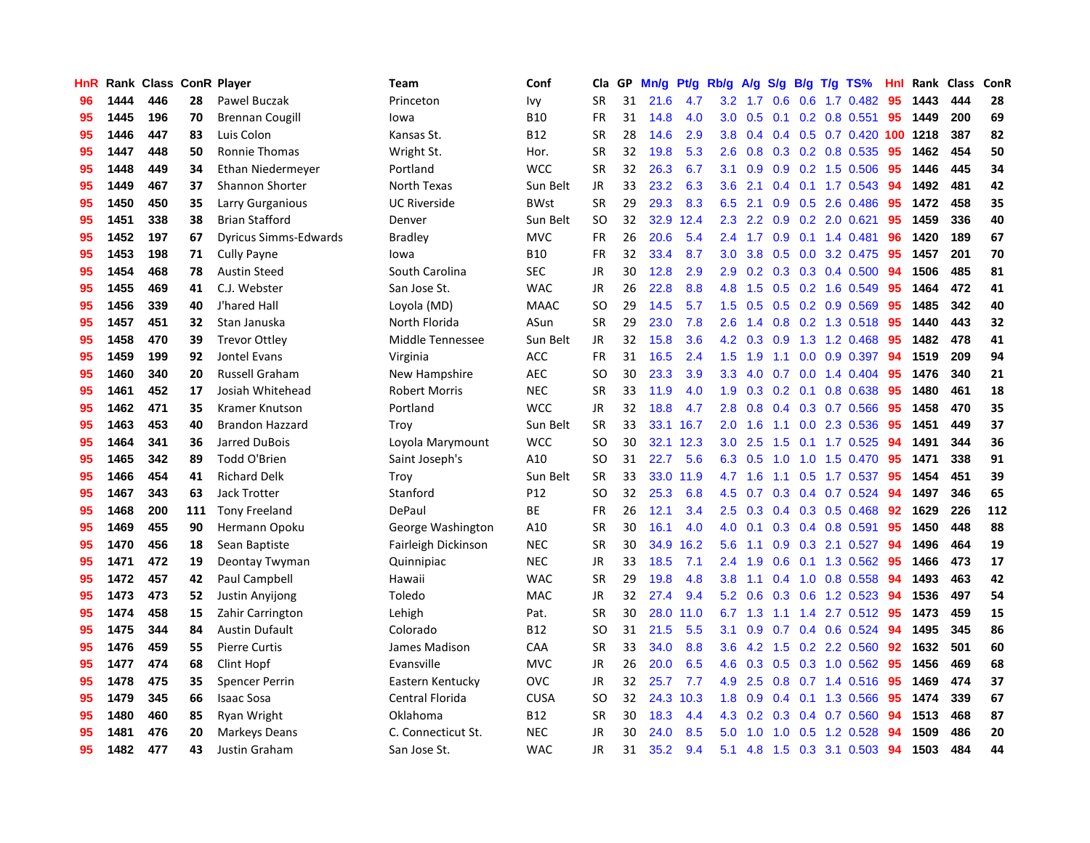| HnR |      | Rank Class ConR Player |     |                              | Team                 | Conf        | Cla       | GP | Mn/g | Pt/g | Rb/g             | A/g             |     |     | $S/g$ B/g T/g TS%            | Hnl | Rank     | <b>Class</b> | ConR |
|-----|------|------------------------|-----|------------------------------|----------------------|-------------|-----------|----|------|------|------------------|-----------------|-----|-----|------------------------------|-----|----------|--------------|------|
| 96  | 1444 | 446                    | 28  | Pawel Buczak                 | Princeton            | Ivy         | <b>SR</b> | 31 | 21.6 | 4.7  | 3.2              | 1.7             | 0.6 | 0.6 | $1.7 \, 0.482$               | 95  | 1443     | 444          | 28   |
| 95  | 1445 | 196                    | 70  | <b>Brennan Cougill</b>       | lowa                 | <b>B10</b>  | FR        | 31 | 14.8 | 4.0  |                  | $3.0 \quad 0.5$ |     |     | $0.1$ 0.2 0.8 0.551          | 95  | 1449     | 200          | 69   |
| 95  | 1446 | 447                    | 83  | Luis Colon                   | Kansas St.           | <b>B12</b>  | <b>SR</b> | 28 | 14.6 | 2.9  | 3.8 <sup>°</sup> | 0.4             |     |     | $0.4$ 0.5 0.7 0.420          |     | 100 1218 | 387          | 82   |
| 95  | 1447 | 448                    | 50  | <b>Ronnie Thomas</b>         | Wright St.           | Hor.        | <b>SR</b> | 32 | 19.8 | 5.3  | 2.6              | 0.8             |     |     | $0.3$ 0.2 0.8 0.535          | 95  | 1462     | 454          | 50   |
| 95  | 1448 | 449                    | 34  | Ethan Niedermeyer            | Portland             | <b>WCC</b>  | <b>SR</b> | 32 | 26.3 | 6.7  | 3.1              | 0.9             | 0.9 |     | 0.2 1.5 0.506                | 95  | 1446     | 445          | 34   |
| 95  | 1449 | 467                    | 37  | <b>Shannon Shorter</b>       | North Texas          | Sun Belt    | JR        | 33 | 23.2 | 6.3  | 3.6              | 2.1             | 0.4 |     | $0.1$ 1.7 0.543              | -94 | 1492     | 481          | 42   |
| 95  | 1450 | 450                    | 35  | Larry Gurganious             | <b>UC Riverside</b>  | <b>BWst</b> | <b>SR</b> | 29 | 29.3 | 8.3  | 6.5              | 2.1             | 0.9 |     | $0.5$ 2.6 0.486              | 95  | 1472     | 458          | 35   |
| 95  | 1451 | 338                    | 38  | <b>Brian Stafford</b>        | Denver               | Sun Belt    | <b>SO</b> | 32 | 32.9 | 12.4 | 2.3              | 2.2             | 0.9 |     | $0.2$ 2.0 $0.621$            | 95  | 1459     | 336          | 40   |
| 95  | 1452 | 197                    | 67  | <b>Dyricus Simms-Edwards</b> | <b>Bradley</b>       | <b>MVC</b>  | <b>FR</b> | 26 | 20.6 | 5.4  | $2.4^{\circ}$    | 1.7             | 0.9 |     | $0.1$ 1.4 0.481              | 96  | 1420     | 189          | 67   |
| 95  | 1453 | 198                    | 71  | <b>Cully Payne</b>           | lowa                 | <b>B10</b>  | <b>FR</b> | 32 | 33.4 | 8.7  | 3.0 <sub>1</sub> | 3.8             | 0.5 |     | $0.0$ 3.2 0.475              | -95 | 1457     | 201          | 70   |
| 95  | 1454 | 468                    | 78  | <b>Austin Steed</b>          | South Carolina       | <b>SEC</b>  | JR        | 30 | 12.8 | 2.9  |                  |                 |     |     | 2.9 0.2 0.3 0.3 0.4 0.500 94 |     | 1506     | 485          | 81   |
| 95  | 1455 | 469                    | 41  | C.J. Webster                 | San Jose St.         | <b>WAC</b>  | <b>JR</b> | 26 | 22.8 | 8.8  | 4.8              | 1.5             |     |     | $0.5$ $0.2$ 1.6 $0.549$      | 95  | 1464     | 472          | 41   |
| 95  | 1456 | 339                    | 40  | J'hared Hall                 | Loyola (MD)          | <b>MAAC</b> | <b>SO</b> | 29 | 14.5 | 5.7  | 1.5              | 0.5             |     |     | 0.5 0.2 0.9 0.569            | 95  | 1485     | 342          | 40   |
| 95  | 1457 | 451                    | 32  | Stan Januska                 | North Florida        | ASun        | <b>SR</b> | 29 | 23.0 | 7.8  | 2.6              | 1.4             |     |     | 0.8 0.2 1.3 0.518            | 95  | 1440     | 443          | 32   |
| 95  | 1458 | 470                    | 39  | <b>Trevor Ottley</b>         | Middle Tennessee     | Sun Belt    | <b>JR</b> | 32 | 15.8 | 3.6  | 4.2              | 0.3             | 0.9 |     | 1.3 1.2 0.468                | 95  | 1482     | 478          | 41   |
| 95  | 1459 | 199                    | 92  | Jontel Evans                 | Virginia             | <b>ACC</b>  | <b>FR</b> | 31 | 16.5 | 2.4  | 1.5              | 1.9             | 1.1 |     | $0.0$ 0.9 0.397              | 94  | 1519     | 209          | 94   |
| 95  | 1460 | 340                    | 20  | <b>Russell Graham</b>        | New Hampshire        | <b>AEC</b>  | <b>SO</b> | 30 | 23.3 | 3.9  | 3.3 <sub>2</sub> | 4.0             | 0.7 |     | $0.0$ 1.4 $0.404$            | 95  | 1476     | 340          | 21   |
| 95  | 1461 | 452                    | 17  | Josiah Whitehead             | <b>Robert Morris</b> | <b>NEC</b>  | <b>SR</b> | 33 | 11.9 | 4.0  | 1.9              | 0.3             | 0.2 | 0.1 | 0.8 0.638                    | 95  | 1480     | 461          | 18   |
| 95  | 1462 | 471                    | 35  | Kramer Knutson               | Portland             | <b>WCC</b>  | JR        | 32 | 18.8 | 4.7  | 2.8              | 0.8             |     |     | 0.4 0.3 0.7 0.566            | 95  | 1458     | 470          | 35   |
| 95  | 1463 | 453                    | 40  | <b>Brandon Hazzard</b>       | Troy                 | Sun Belt    | <b>SR</b> | 33 | 33.1 | 16.7 | 2.0 <sub>1</sub> | 1.6             |     |     | 1.1 0.0 2.3 0.536            | 95  | 1451     | 449          | 37   |
| 95  | 1464 | 341                    | 36  | Jarred DuBois                | Loyola Marymount     | <b>WCC</b>  | <b>SO</b> | 30 | 32.1 | 12.3 | 3.0 <sub>2</sub> | 2.5             | 1.5 |     | $0.1$ 1.7 0.525              | 94  | 1491     | 344          | 36   |
| 95  | 1465 | 342                    | 89  | Todd O'Brien                 | Saint Joseph's       | A10         | <b>SO</b> | 31 | 22.7 | 5.6  | 6.3              | 0.5             | 1.0 |     | 1.0 1.5 0.470                | 95  | 1471     | 338          | 91   |
| 95  | 1466 | 454                    | 41  | <b>Richard Delk</b>          | Troy                 | Sun Belt    | <b>SR</b> | 33 | 33.0 | 11.9 | 4.7              | 1.6             | 1.1 |     | $0.5$ 1.7 0.537              | 95  | 1454     | 451          | 39   |
| 95  | 1467 | 343                    | 63  | Jack Trotter                 | Stanford             | P12         | <b>SO</b> | 32 | 25.3 | 6.8  | 4.5              | 0.7             | 0.3 |     | 0.4 0.7 0.524                | 94  | 1497     | 346          | 65   |
| 95  | 1468 | 200                    | 111 | <b>Tony Freeland</b>         | DePaul               | BE          | FR        | 26 | 12.1 | 3.4  | 2.5              | 0.3             | 0.4 |     | $0.3$ 0.5 0.468              | 92  | 1629     | 226          | 112  |
| 95  | 1469 | 455                    | 90  | Hermann Opoku                | George Washington    | A10         | <b>SR</b> | 30 | 16.1 | 4.0  | 4.0              | 0.1             | 0.3 |     | 0.4 0.8 0.591                | 95  | 1450     | 448          | 88   |
| 95  | 1470 | 456                    | 18  | Sean Baptiste                | Fairleigh Dickinson  | <b>NEC</b>  | <b>SR</b> | 30 | 34.9 | 16.2 | 5.6              | $-1.1$          | 0.9 |     | 0.3 2.1 0.527                | 94  | 1496     | 464          | 19   |
| 95  | 1471 | 472                    | 19  | Deontay Twyman               | Quinnipiac           | <b>NEC</b>  | JR        | 33 | 18.5 | 7.1  | $2.4^{\circ}$    | 1.9             |     |     | 0.6 0.1 1.3 0.562 95         |     | 1466     | 473          | 17   |
| 95  | 1472 | 457                    | 42  | Paul Campbell                | Hawaii               | <b>WAC</b>  | <b>SR</b> | 29 | 19.8 | 4.8  | 3.8 <sub>2</sub> | 1.1             |     |     | $0.4$ 1.0 0.8 0.558          | -94 | 1493     | 463          | 42   |
| 95  | 1473 | 473                    | 52  | Justin Anyijong              | Toledo               | <b>MAC</b>  | JR        | 32 | 27.4 | 9.4  | 5.2              | 0.6             |     |     | $0.3$ 0.6 1.2 0.523          | -94 | 1536     | 497          | 54   |
| 95  | 1474 | 458                    | 15  | Zahir Carrington             | Lehigh               | Pat.        | <b>SR</b> | 30 | 28.0 | 11.0 | 6.7              | 1.3             | 1.1 |     | 1.4 2.7 0.512 95             |     | 1473     | 459          | 15   |
| 95  | 1475 | 344                    | 84  | <b>Austin Dufault</b>        | Colorado             | <b>B12</b>  | SO        | 31 | 21.5 | 5.5  | 3.1              | 0.9             | 0.7 |     | 0.4 0.6 0.524                | 94  | 1495     | 345          | 86   |
| 95  | 1476 | 459                    | 55  | <b>Pierre Curtis</b>         | James Madison        | CAA         | <b>SR</b> | 33 | 34.0 | 8.8  | 3.6              | 4.2             | 1.5 |     | 0.2 2.2 0.560                | 92  | 1632     | 501          | 60   |
| 95  | 1477 | 474                    | 68  | Clint Hopf                   | Evansville           | <b>MVC</b>  | JR        | 26 | 20.0 | 6.5  | 4.6              | 0.3             | 0.5 |     | 0.3 1.0 0.562                | -95 | 1456     | 469          | 68   |
| 95  | 1478 | 475                    | 35  | Spencer Perrin               | Eastern Kentucky     | <b>OVC</b>  | JR        | 32 | 25.7 | 7.7  |                  | 4.9 2.5         | 0.8 |     | $0.7$ 1.4 0.516              | -95 | 1469     | 474          | 37   |
| 95  | 1479 | 345                    | 66  | <b>Isaac Sosa</b>            | Central Florida      | <b>CUSA</b> | SO        | 32 | 24.3 | 10.3 | 1.8              | 0.9             |     |     | $0.4$ 0.1 1.3 0.566          | -95 | 1474     | 339          | 67   |
| 95  | 1480 | 460                    | 85  | Ryan Wright                  | Oklahoma             | <b>B12</b>  | <b>SR</b> | 30 | 18.3 | 4.4  |                  | 4.3 0.2         |     |     | $0.3$ 0.4 0.7 0.560          | -94 | 1513     | 468          | 87   |
| 95  | 1481 | 476                    | 20  | Markeys Deans                | C. Connecticut St.   | <b>NEC</b>  | JR        | 30 | 24.0 | 8.5  | 5.0              | 1.0             | 1.0 |     | $0.5$ 1.2 0.528              | 94  | 1509     | 486          | 20   |
| 95  | 1482 | 477                    | 43  | Justin Graham                | San Jose St.         | <b>WAC</b>  | <b>JR</b> | 31 | 35.2 | 9.4  | 5.1              | 4.8             |     |     | 1.5 0.3 3.1 0.503            | 94  | 1503     | 484          | 44   |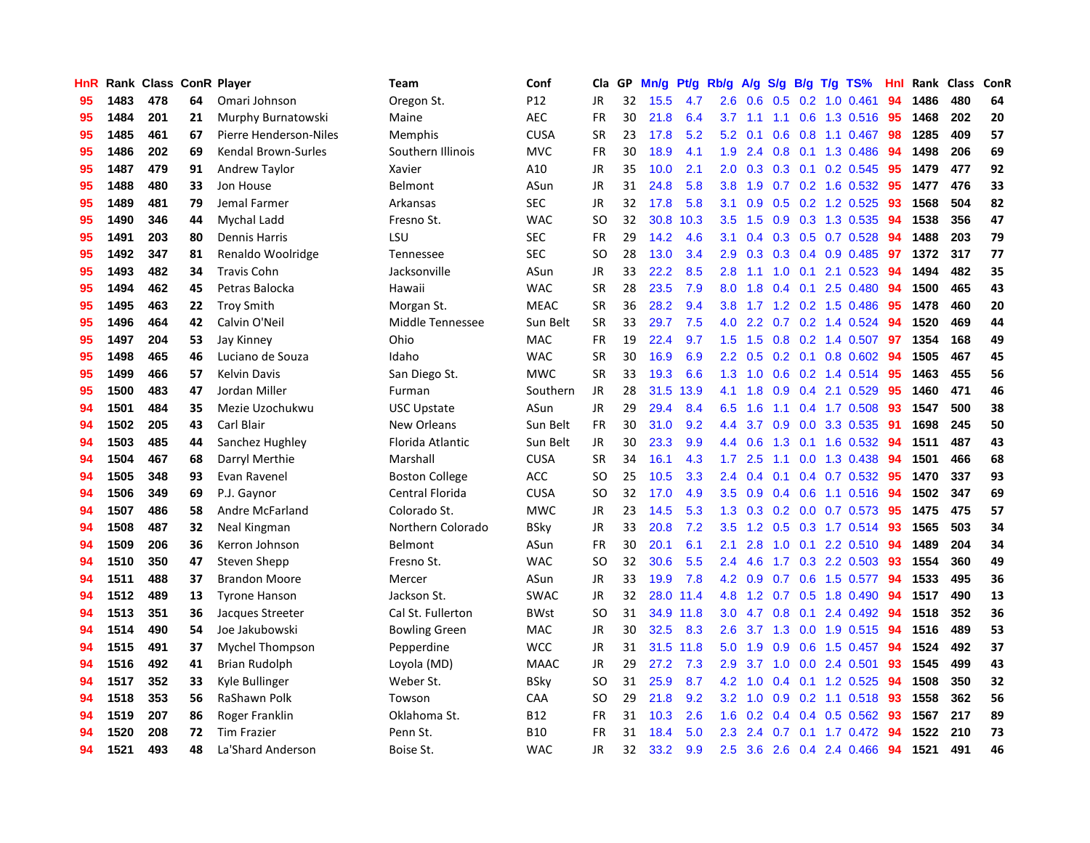| HnR |      | Rank Class ConR Player |    |                        | Team                   | Conf        | <b>Cla</b> | <b>GP</b> | Mn/g | Pt/g | Rb/g             | A/g     |     |  | $S/g$ B/g T/g TS%       | Hnl | Rank | <b>Class</b> | ConR |
|-----|------|------------------------|----|------------------------|------------------------|-------------|------------|-----------|------|------|------------------|---------|-----|--|-------------------------|-----|------|--------------|------|
| 95  | 1483 | 478                    | 64 | Omari Johnson          | Oregon St.             | P12         | JR         | 32        | 15.5 | 4.7  | 2.6              | 0.6     | 0.5 |  | $0.2$ 1.0 $0.461$       | 94  | 1486 | 480          | 64   |
| 95  | 1484 | 201                    | 21 | Murphy Burnatowski     | Maine                  | <b>AEC</b>  | FR         | 30        | 21.8 | 6.4  | 3.7              | 1.1     |     |  | 1.1 0.6 1.3 0.516 95    |     | 1468 | 202          | 20   |
| 95  | 1485 | 461                    | 67 | Pierre Henderson-Niles | <b>Memphis</b>         | <b>CUSA</b> | <b>SR</b>  | 23        | 17.8 | 5.2  | 5.2              | 0.1     |     |  | $0.6$ $0.8$ 1.1 $0.467$ | 98  | 1285 | 409          | 57   |
| 95  | 1486 | 202                    | 69 | Kendal Brown-Surles    | Southern Illinois      | <b>MVC</b>  | FR         | 30        | 18.9 | 4.1  | 1.9              | 2.4     |     |  | 0.8 0.1 1.3 0.486       | -94 | 1498 | 206          | 69   |
| 95  | 1487 | 479                    | 91 | <b>Andrew Taylor</b>   | Xavier                 | A10         | <b>JR</b>  | 35        | 10.0 | 2.1  | 2.0 <sub>1</sub> | 0.3     | 0.3 |  | 0.1 0.2 0.545           | 95  | 1479 | 477          | 92   |
| 95  | 1488 | 480                    | 33 | Jon House              | Belmont                | ASun        | JR         | 31        | 24.8 | 5.8  | 3.8              | 1.9     |     |  | $0.7$ $0.2$ 1.6 $0.532$ | 95  | 1477 | 476          | 33   |
| 95  | 1489 | 481                    | 79 | Jemal Farmer           | Arkansas               | SEC         | JR         | 32        | 17.8 | 5.8  | 3.1              | 0.9     | 0.5 |  | $0.2$ 1.2 $0.525$       | 93  | 1568 | 504          | 82   |
| 95  | 1490 | 346                    | 44 | Mychal Ladd            | Fresno St.             | <b>WAC</b>  | <b>SO</b>  | 32        | 30.8 | 10.3 | 3.5              | 1.5     | 0.9 |  | 0.3 1.3 0.535           | 94  | 1538 | 356          | 47   |
| 95  | 1491 | 203                    | 80 | <b>Dennis Harris</b>   | LSU                    | <b>SEC</b>  | <b>FR</b>  | 29        | 14.2 | 4.6  | 3.1              | 0.4     |     |  | 0.3 0.5 0.7 0.528       | 94  | 1488 | 203          | 79   |
| 95  | 1492 | 347                    | 81 | Renaldo Woolridge      | Tennessee              | <b>SEC</b>  | <b>SO</b>  | 28        | 13.0 | 3.4  | 2.9              | 0.3     |     |  | 0.3 0.4 0.9 0.485 97    |     | 1372 | 317          | 77   |
| 95  | 1493 | 482                    | 34 | <b>Travis Cohn</b>     | Jacksonville           | ASun        | JR.        | 33        | 22.2 | 8.5  | 2.8              | 1.1     |     |  | 1.0 0.1 2.1 0.523 94    |     | 1494 | 482          | 35   |
| 95  | 1494 | 462                    | 45 | Petras Balocka         | Hawaii                 | <b>WAC</b>  | <b>SR</b>  | 28        | 23.5 | 7.9  | 8.0              | 1.8     |     |  | $0.4$ 0.1 2.5 0.480     | -94 | 1500 | 465          | 43   |
| 95  | 1495 | 463                    | 22 | <b>Troy Smith</b>      | Morgan St.             | <b>MEAC</b> | <b>SR</b>  | 36        | 28.2 | 9.4  | 3.8 <sub>2</sub> | 1.7     |     |  | 1.2 0.2 1.5 0.486       | 95  | 1478 | 460          | 20   |
| 95  | 1496 | 464                    | 42 | Calvin O'Neil          | Middle Tennessee       | Sun Belt    | <b>SR</b>  | 33        | 29.7 | 7.5  | 4.0              | 2.2     |     |  | $0.7$ 0.2 1.4 0.524     | -94 | 1520 | 469          | 44   |
| 95  | 1497 | 204                    | 53 | Jay Kinney             | Ohio                   | MAC         | <b>FR</b>  | 19        | 22.4 | 9.7  | 1.5              | 1.5     | 0.8 |  | $0.2$ 1.4 $0.507$       | 97  | 1354 | 168          | 49   |
| 95  | 1498 | 465                    | 46 | Luciano de Souza       | Idaho                  | <b>WAC</b>  | <b>SR</b>  | 30        | 16.9 | 6.9  | 2.2 <sub>2</sub> | 0.5     |     |  | $0.2$ 0.1 0.8 0.602     | -94 | 1505 | 467          | 45   |
| 95  | 1499 | 466                    | 57 | <b>Kelvin Davis</b>    | San Diego St.          | <b>MWC</b>  | <b>SR</b>  | 33        | 19.3 | 6.6  | 1.3              | 1.0     | 0.6 |  | 0.2 1.4 0.514           | 95  | 1463 | 455          | 56   |
| 95  | 1500 | 483                    | 47 | Jordan Miller          | Furman                 | Southern    | <b>JR</b>  | 28        | 31.5 | 13.9 | 4.1              | 1.8     | 0.9 |  | 0.4 2.1 0.529           | 95  | 1460 | 471          | 46   |
| 94  | 1501 | 484                    | 35 | Mezie Uzochukwu        | <b>USC Upstate</b>     | ASun        | <b>JR</b>  | 29        | 29.4 | 8.4  | 6.5              | 1.6     |     |  | 1.1 0.4 1.7 0.508 93    |     | 1547 | 500          | 38   |
| 94  | 1502 | 205                    | 43 | Carl Blair             | New Orleans            | Sun Belt    | <b>FR</b>  | 30        | 31.0 | 9.2  | 4.4              | 3.7     |     |  | 0.9 0.0 3.3 0.535       | 91  | 1698 | 245          | 50   |
| 94  | 1503 | 485                    | 44 | Sanchez Hughley        | Florida Atlantic       | Sun Belt    | <b>JR</b>  | 30        | 23.3 | 9.9  | 4.4              | 0.6     | 1.3 |  | $0.1$ 1.6 0.532         | 94  | 1511 | 487          | 43   |
| 94  | 1504 | 467                    | 68 | Darryl Merthie         | Marshall               | <b>CUSA</b> | <b>SR</b>  | 34        | 16.1 | 4.3  | 1.7              | 2.5     | 1.1 |  | $0.0$ 1.3 0.438         | 94  | 1501 | 466          | 68   |
| 94  | 1505 | 348                    | 93 | Evan Ravenel           | <b>Boston College</b>  | <b>ACC</b>  | <b>SO</b>  | 25        | 10.5 | 3.3  | $2.4^{\circ}$    | 0.4     | 0.1 |  | $0.4$ 0.7 0.532         | 95  | 1470 | 337          | 93   |
| 94  | 1506 | 349                    | 69 | P.J. Gaynor            | <b>Central Florida</b> | <b>CUSA</b> | <b>SO</b>  | 32        | 17.0 | 4.9  | 3.5              | 0.9     | 0.4 |  | $0.6$ 1.1 $0.516$       | 94  | 1502 | 347          | 69   |
| 94  | 1507 | 486                    | 58 | Andre McFarland        | Colorado St.           | <b>MWC</b>  | <b>JR</b>  | 23        | 14.5 | 5.3  | 1.3              | 0.3     | 0.2 |  | $0.0$ 0.7 0.573         | 95  | 1475 | 475          | 57   |
| 94  | 1508 | 487                    | 32 | Neal Kingman           | Northern Colorado      | <b>BSky</b> | JR         | 33        | 20.8 | 7.2  | 3.5              | 1.2     |     |  | 0.5 0.3 1.7 0.514 93    |     | 1565 | 503          | 34   |
| 94  | 1509 | 206                    | 36 | Kerron Johnson         | Belmont                | ASun        | FR         | 30        | 20.1 | 6.1  | 2.1              | 2.8     |     |  | 1.0 0.1 2.2 0.510 94    |     | 1489 | 204          | 34   |
| 94  | 1510 | 350                    | 47 | Steven Shepp           | Fresno St.             | <b>WAC</b>  | <b>SO</b>  | 32        | 30.6 | 5.5  | $2.4^{\circ}$    | 4.6     |     |  | 1.7 0.3 2.2 0.503       | -93 | 1554 | 360          | 49   |
| 94  | 1511 | 488                    | 37 | <b>Brandon Moore</b>   | Mercer                 | ASun        | <b>JR</b>  | 33        | 19.9 | 7.8  |                  | 4.2 0.9 |     |  | 0.7 0.6 1.5 0.577       | -94 | 1533 | 495          | 36   |
| 94  | 1512 | 489                    | 13 | <b>Tyrone Hanson</b>   | Jackson St.            | <b>SWAC</b> | <b>JR</b>  | 32        | 28.0 | 11.4 | 4.8              | 1.2     |     |  | 0.7 0.5 1.8 0.490       | 94  | 1517 | 490          | 13   |
| 94  | 1513 | 351                    | 36 | Jacques Streeter       | Cal St. Fullerton      | <b>BWst</b> | <b>SO</b>  | 31        | 34.9 | 11.8 | 3.0 <sub>2</sub> | 4.7     | 0.8 |  | $0.1$ 2.4 $0.492$       | 94  | 1518 | 352          | 36   |
| 94  | 1514 | 490                    | 54 | Joe Jakubowski         | <b>Bowling Green</b>   | MAC         | JR         | 30        | 32.5 | 8.3  | 2.6              | 3.7     | 1.3 |  | 0.0 1.9 0.515           | 94  | 1516 | 489          | 53   |
| 94  | 1515 | 491                    | 37 | Mychel Thompson        | Pepperdine             | <b>WCC</b>  | JR         | 31        | 31.5 | 11.8 | 5.0              | 1.9     | 0.9 |  | $0.6$ 1.5 0.457         | 94  | 1524 | 492          | 37   |
| 94  | 1516 | 492                    | 41 | <b>Brian Rudolph</b>   | Loyola (MD)            | <b>MAAC</b> | <b>JR</b>  | 29        | 27.2 | 7.3  | 2.9 <sup>°</sup> | 3.7     | 1.0 |  | $0.0$ 2.4 $0.501$       | 93  | 1545 | 499          | 43   |
| 94  | 1517 | 352                    | 33 | Kyle Bullinger         | Weber St.              | <b>BSky</b> | <b>SO</b>  | 31        | 25.9 | 8.7  | 4.2              | 1.0     |     |  | 0.4 0.1 1.2 0.525       | -94 | 1508 | 350          | 32   |
| 94  | 1518 | 353                    | 56 | RaShawn Polk           | Towson                 | CAA         | <b>SO</b>  | 29        | 21.8 | 9.2  | 3.2              | 1.0     |     |  | 0.9 0.2 1.1 0.518 93    |     | 1558 | 362          | 56   |
| 94  | 1519 | 207                    | 86 | Roger Franklin         | Oklahoma St.           | B12         | <b>FR</b>  | 31        | 10.3 | 2.6  | 1.6              | 0.2     |     |  | $0.4$ 0.4 0.5 0.562     | -93 | 1567 | 217          | 89   |
| 94  | 1520 | 208                    | 72 | <b>Tim Frazier</b>     | Penn St.               | <b>B10</b>  | <b>FR</b>  | 31        | 18.4 | 5.0  | 2.3              | 2.4     | 0.7 |  | $0.1$ 1.7 0.472         | 94  | 1522 | 210          | 73   |
| 94  | 1521 | 493                    | 48 | La'Shard Anderson      | Boise St.              | <b>WAC</b>  | <b>JR</b>  | 32        | 33.2 | 9.9  | 2.5              | 3.6     |     |  | 2.6 0.4 2.4 0.466       | 94  | 1521 | 491          | 46   |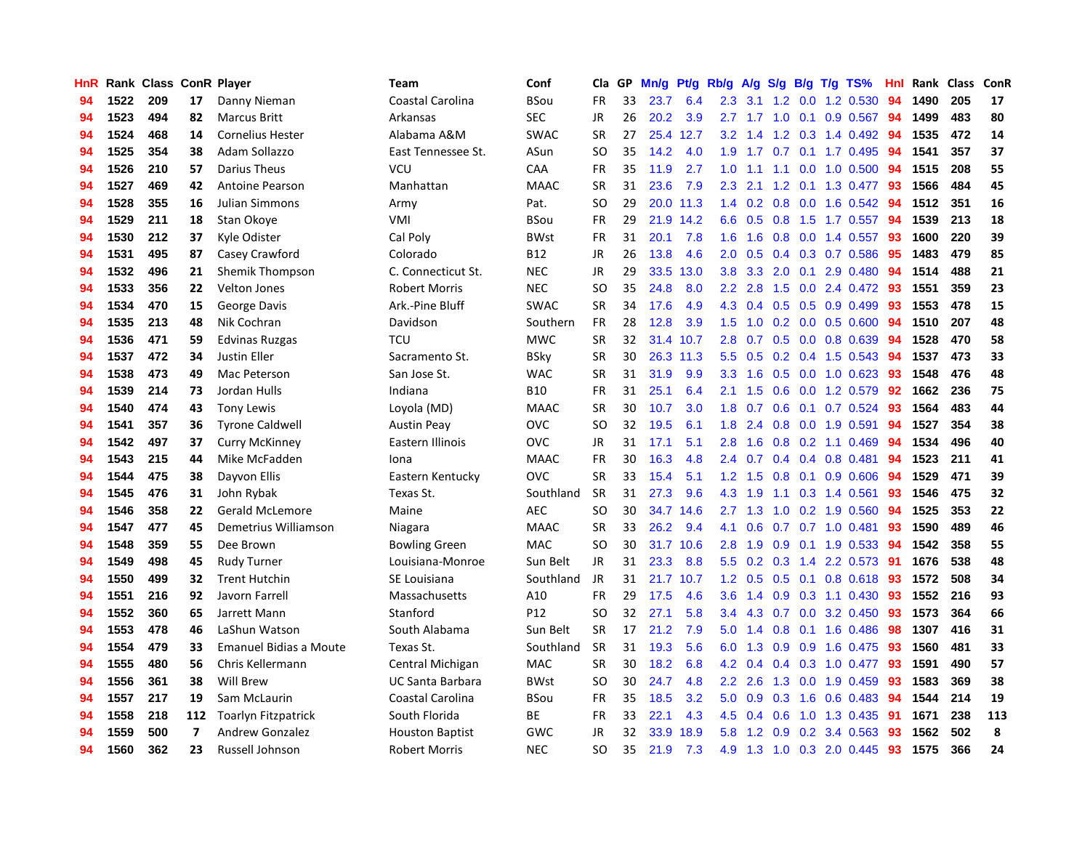| <b>HnR</b> |      | Rank Class ConR Player |                          |                               | Team                    | Conf            | Cla       | GP | Mn/g | <b>Pt/g</b> | Rb/g             | A/g             |     |  | S/g B/g T/g TS%              | Hnl | Rank | <b>Class</b> | ConR |
|------------|------|------------------------|--------------------------|-------------------------------|-------------------------|-----------------|-----------|----|------|-------------|------------------|-----------------|-----|--|------------------------------|-----|------|--------------|------|
| 94         | 1522 | 209                    | 17                       | Danny Nieman                  | Coastal Carolina        | <b>BSou</b>     | <b>FR</b> | 33 | 23.7 | 6.4         | 2.3              | 3.1             | 1.2 |  | $0.0$ 1.2 $0.530$            | 94  | 1490 | 205          | 17   |
| 94         | 1523 | 494                    | 82                       | <b>Marcus Britt</b>           | Arkansas                | <b>SEC</b>      | <b>JR</b> | 26 | 20.2 | 3.9         |                  |                 |     |  | 2.7 1.7 1.0 0.1 0.9 0.567 94 |     | 1499 | 483          | 80   |
| 94         | 1524 | 468                    | 14                       | <b>Cornelius Hester</b>       | Alabama A&M             | <b>SWAC</b>     | <b>SR</b> | 27 | 25.4 | 12.7        |                  | $3.2 \quad 1.4$ |     |  | 1.2 0.3 1.4 0.492            | -94 | 1535 | 472          | 14   |
| 94         | 1525 | 354                    | 38                       | Adam Sollazzo                 | East Tennessee St.      | ASun            | SO        | 35 | 14.2 | 4.0         |                  |                 |     |  | 1.9 1.7 0.7 0.1 1.7 0.495    | -94 | 1541 | 357          | 37   |
| 94         | 1526 | 210                    | 57                       | <b>Darius Theus</b>           | VCU                     | CAA             | <b>FR</b> | 35 | 11.9 | 2.7         | 1.0              | $-1.1$          | 1.1 |  | $0.0$ 1.0 $0.500$            | 94  | 1515 | 208          | 55   |
| 94         | 1527 | 469                    | 42                       | <b>Antoine Pearson</b>        | Manhattan               | <b>MAAC</b>     | <b>SR</b> | 31 | 23.6 | 7.9         | 2.3              | 2.1             | 1.2 |  | $0.1$ 1.3 0.477              | -93 | 1566 | 484          | 45   |
| 94         | 1528 | 355                    | 16                       | <b>Julian Simmons</b>         | Army                    | Pat.            | <b>SO</b> | 29 |      | 20.0 11.3   | 1.4              | 0.2             |     |  | $0.8$ 0.0 1.6 0.542          | -94 | 1512 | 351          | 16   |
| 94         | 1529 | 211                    | 18                       | Stan Okove                    | VMI                     | <b>BSou</b>     | <b>FR</b> | 29 | 21.9 | 14.2        | 6.6              | 0.5             |     |  | 0.8 1.5 1.7 0.557            | -94 | 1539 | 213          | 18   |
| 94         | 1530 | 212                    | 37                       | Kyle Odister                  | Cal Poly                | <b>BWst</b>     | <b>FR</b> | 31 | 20.1 | 7.8         | 1.6              | 1.6             | 0.8 |  | $0.0$ 1.4 0.557              | 93  | 1600 | 220          | 39   |
| 94         | 1531 | 495                    | 87                       | Casey Crawford                | Colorado                | <b>B12</b>      | JR        | 26 | 13.8 | 4.6         | 2.0 <sub>1</sub> | 0.5             |     |  | $0.4$ $0.3$ $0.7$ $0.586$    | -95 | 1483 | 479          | 85   |
| 94         | 1532 | 496                    | 21                       | Shemik Thompson               | C. Connecticut St.      | <b>NEC</b>      | JR        | 29 | 33.5 | 13.0        | 3.8 <sub>1</sub> | 3.3             |     |  | 2.0 0.1 2.9 0.480 94         |     | 1514 | 488          | 21   |
| 94         | 1533 | 356                    | 22                       | Velton Jones                  | <b>Robert Morris</b>    | <b>NEC</b>      | SO        | 35 | 24.8 | 8.0         | $2.2^{\circ}$    | 2.8             |     |  | 1.5 0.0 2.4 0.472 93         |     | 1551 | 359          | 23   |
| 94         | 1534 | 470                    | 15                       | George Davis                  | Ark.-Pine Bluff         | <b>SWAC</b>     | <b>SR</b> | 34 | 17.6 | 4.9         |                  | 4.3 0.4         |     |  | $0.5$ 0.5 0.9 0.499          | -93 | 1553 | 478          | 15   |
| 94         | 1535 | 213                    | 48                       | Nik Cochran                   | Davidson                | Southern        | <b>FR</b> | 28 | 12.8 | 3.9         | 1.5              | 1.0             |     |  | $0.2$ 0.0 0.5 0.600          | 94  | 1510 | 207          | 48   |
| 94         | 1536 | 471                    | 59                       | <b>Edvinas Ruzgas</b>         | <b>TCU</b>              | <b>MWC</b>      | <b>SR</b> | 32 | 31.4 | 10.7        | 2.8              | 0.7             |     |  | 0.5 0.0 0.8 0.639            | 94  | 1528 | 470          | 58   |
| 94         | 1537 | 472                    | 34                       | <b>Justin Eller</b>           | Sacramento St.          | <b>BSky</b>     | <b>SR</b> | 30 | 26.3 | 11.3        | 5.5              | 0.5             |     |  | $0.2$ 0.4 1.5 0.543          | 94  | 1537 | 473          | 33   |
| 94         | 1538 | 473                    | 49                       | Mac Peterson                  | San Jose St.            | <b>WAC</b>      | <b>SR</b> | 31 | 31.9 | 9.9         | 3.3 <sub>2</sub> | 1.6             | 0.5 |  | 0.0 1.0 0.623                | 93  | 1548 | 476          | 48   |
| 94         | 1539 | 214                    | 73                       | Jordan Hulls                  | Indiana                 | <b>B10</b>      | <b>FR</b> | 31 | 25.1 | 6.4         | 2.1              | 1.5             | 0.6 |  | 0.0 1.2 0.579                | 92  | 1662 | 236          | 75   |
| 94         | 1540 | 474                    | 43                       | <b>Tony Lewis</b>             | Loyola (MD)             | <b>MAAC</b>     | <b>SR</b> | 30 | 10.7 | 3.0         | 1.8              | 0.7             |     |  | 0.6 0.1 0.7 0.524 93         |     | 1564 | 483          | 44   |
| 94         | 1541 | 357                    | 36                       | <b>Tyrone Caldwell</b>        | <b>Austin Peay</b>      | <b>OVC</b>      | <b>SO</b> | 32 | 19.5 | 6.1         | 1.8              | 2.4             |     |  | 0.8 0.0 1.9 0.591            | 94  | 1527 | 354          | 38   |
| 94         | 1542 | 497                    | 37                       | <b>Curry McKinney</b>         | Eastern Illinois        | <b>OVC</b>      | JR        | 31 | 17.1 | 5.1         | 2.8              | 1.6             |     |  | $0.8$ 0.2 1.1 0.469          | -94 | 1534 | 496          | 40   |
| 94         | 1543 | 215                    | 44                       | Mike McFadden                 | Iona                    | <b>MAAC</b>     | <b>FR</b> | 30 | 16.3 | 4.8         | 2.4              | 0.7             |     |  | $0.4$ 0.4 0.8 0.481          | 94  | 1523 | 211          | 41   |
| 94         | 1544 | 475                    | 38                       | Dayvon Ellis                  | Eastern Kentucky        | <b>OVC</b>      | <b>SR</b> | 33 | 15.4 | 5.1         | 1.2              | 1.5             | 0.8 |  | $0.1$ 0.9 0.606              | 94  | 1529 | 471          | 39   |
| 94         | 1545 | 476                    | 31                       | John Rybak                    | Texas St.               | Southland       | SR        | 31 | 27.3 | 9.6         | 4.3              | 1.9             |     |  | 1.1 0.3 1.4 0.561            | 93  | 1546 | 475          | 32   |
| 94         | 1546 | 358                    | 22                       | <b>Gerald McLemore</b>        | Maine                   | <b>AEC</b>      | <b>SO</b> | 30 | 34.7 | 14.6        | 2.7 <sub>2</sub> | 1.3             | 1.0 |  | 0.2 1.9 0.560                | -94 | 1525 | 353          | 22   |
| 94         | 1547 | 477                    | 45                       | Demetrius Williamson          | Niagara                 | <b>MAAC</b>     | <b>SR</b> | 33 | 26.2 | 9.4         | 4.1              | 0.6             |     |  | 0.7 0.7 1.0 0.481            | 93  | 1590 | 489          | 46   |
| 94         | 1548 | 359                    | 55                       | Dee Brown                     | <b>Bowling Green</b>    | MAC             | <b>SO</b> | 30 |      | 31.7 10.6   | 2.8              | 1.9             |     |  | 0.9 0.1 1.9 0.533 94         |     | 1542 | 358          | 55   |
| 94         | 1549 | 498                    | 45                       | <b>Rudy Turner</b>            | Louisiana-Monroe        | Sun Belt        | JR        | 31 | 23.3 | 8.8         |                  |                 |     |  | 5.5 0.2 0.3 1.4 2.2 0.573 91 |     | 1676 | 538          | 48   |
| 94         | 1550 | 499                    | 32                       | <b>Trent Hutchin</b>          | SE Louisiana            | Southland       | JR        | 31 | 21.7 | 10.7        |                  | $1.2 \quad 0.5$ |     |  | 0.5 0.1 0.8 0.618 93         |     | 1572 | 508          | 34   |
| 94         | 1551 | 216                    | 92                       | Javorn Farrell                | Massachusetts           | A10             | <b>FR</b> | 29 | 17.5 | 4.6         | 3.6 <sup>°</sup> | 1.4             |     |  | $0.9$ $0.3$ 1.1 $0.430$      | -93 | 1552 | 216          | 93   |
| 94         | 1552 | 360                    | 65                       | Jarrett Mann                  | Stanford                | P <sub>12</sub> | <b>SO</b> | 32 | 27.1 | 5.8         | $3.4^{\circ}$    | 4.3             | 0.7 |  | 0.0 3.2 0.450                | 93  | 1573 | 364          | 66   |
| 94         | 1553 | 478                    | 46                       | LaShun Watson                 | South Alabama           | Sun Belt        | <b>SR</b> | 17 | 21.2 | 7.9         | 5.0              | 1.4             | 0.8 |  | 0.1 1.6 0.486                | 98  | 1307 | 416          | 31   |
| 94         | 1554 | 479                    | 33                       | <b>Emanuel Bidias a Moute</b> | Texas St.               | Southland       | <b>SR</b> | 31 | 19.3 | 5.6         | 6.0              | 1.3             | 0.9 |  | $0.9$ 1.6 $0.475$            | -93 | 1560 | 481          | 33   |
| 94         | 1555 | 480                    | 56                       | Chris Kellermann              | Central Michigan        | <b>MAC</b>      | <b>SR</b> | 30 | 18.2 | 6.8         | 4.2              | 0.4             |     |  | $0.4$ 0.3 1.0 0.477          | -93 | 1591 | 490          | 57   |
| 94         | 1556 | 361                    | 38                       | Will Brew                     | <b>UC Santa Barbara</b> | <b>BWst</b>     | <b>SO</b> | 30 | 24.7 | 4.8         | 2.2 <sub>2</sub> | 2.6             | 1.3 |  | $0.0$ 1.9 $0.459$            | -93 | 1583 | 369          | 38   |
| 94         | 1557 | 217                    | 19                       | Sam McLaurin                  | Coastal Carolina        | <b>BSou</b>     | <b>FR</b> | 35 | 18.5 | 3.2         |                  | $5.0 \quad 0.9$ |     |  | 0.3 1.6 0.6 0.483 94         |     | 1544 | 214          | 19   |
| 94         | 1558 | 218                    | 112                      | <b>Toarlyn Fitzpatrick</b>    | South Florida           | <b>BE</b>       | FR.       | 33 | 22.1 | 4.3         | 4.5              | 0.4             |     |  | 0.6 1.0 1.3 0.435 91         |     | 1671 | 238          | 113  |
| 94         | 1559 | 500                    | $\overline{\phantom{a}}$ | <b>Andrew Gonzalez</b>        | <b>Houston Baptist</b>  | GWC             | JR        | 32 | 33.9 | 18.9        | 5.8              | 1.2             |     |  | 0.9 0.2 3.4 0.563            | 93  | 1562 | 502          | 8    |
| 94         | 1560 | 362                    | 23                       | <b>Russell Johnson</b>        | <b>Robert Morris</b>    | <b>NEC</b>      | <b>SO</b> | 35 | 21.9 | 7.3         | 4.9              |                 |     |  | 1.3 1.0 0.3 2.0 0.445        | 93  | 1575 | 366          | 24   |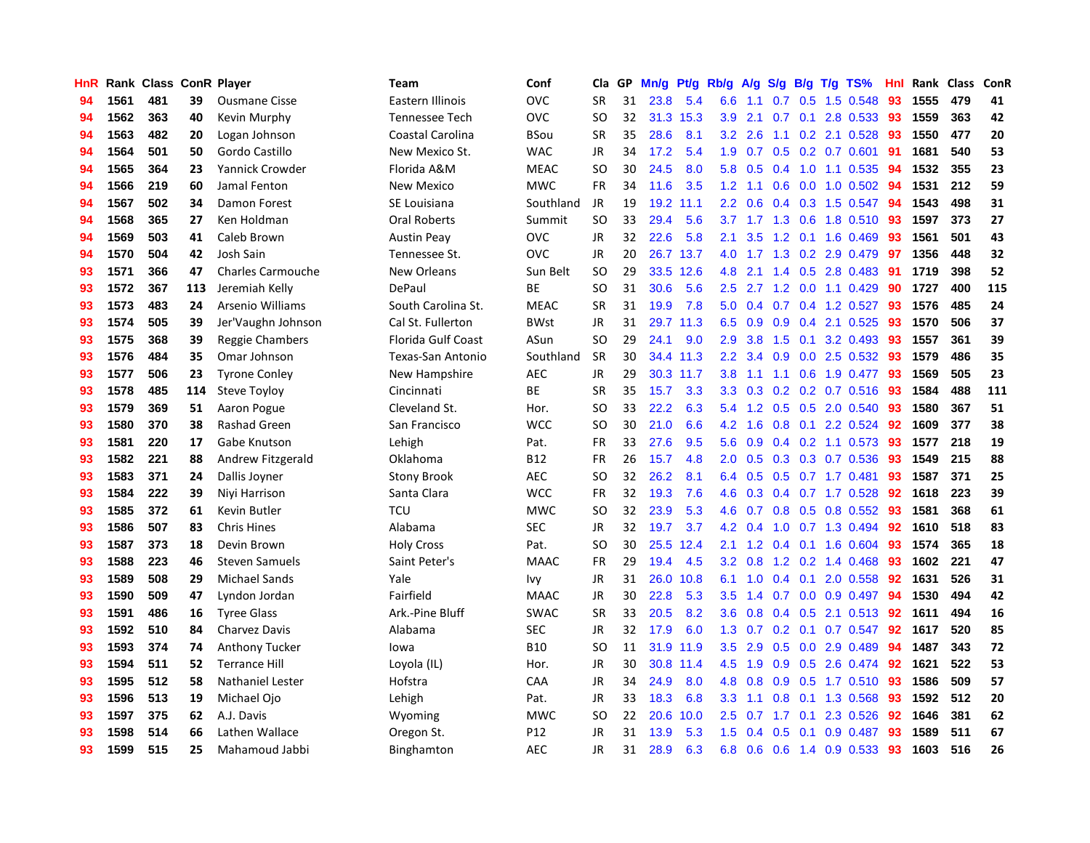| HnR |      | Rank Class ConR Player |     |                          | <b>Team</b>               | Conf        | Cla       | GP | Mn/g | Pt/g      | Rb/g             | A/g             | S/g |     | $B/g$ T/g TS%             | Hnl  |      | Rank Class | ConR |
|-----|------|------------------------|-----|--------------------------|---------------------------|-------------|-----------|----|------|-----------|------------------|-----------------|-----|-----|---------------------------|------|------|------------|------|
| 94  | 1561 | 481                    | 39  | <b>Ousmane Cisse</b>     | Eastern Illinois          | <b>OVC</b>  | <b>SR</b> | 31 | 23.8 | 5.4       | 6.6              | 1.1             | 0.7 | 0.5 | 1.5 0.548                 | 93   | 1555 | 479        | 41   |
| 94  | 1562 | 363                    | 40  | Kevin Murphy             | <b>Tennessee Tech</b>     | <b>OVC</b>  | <b>SO</b> | 32 |      | 31.3 15.3 | 3.9              | 2.1             |     |     | 0.7 0.1 2.8 0.533 93      |      | 1559 | 363        | 42   |
| 94  | 1563 | 482                    | 20  | Logan Johnson            | Coastal Carolina          | <b>BSou</b> | <b>SR</b> | 35 | 28.6 | 8.1       | 3.2              | 2.6             |     |     | 1.1 0.2 2.1 0.528 93      |      | 1550 | 477        | 20   |
| 94  | 1564 | 501                    | 50  | Gordo Castillo           | New Mexico St.            | <b>WAC</b>  | JR        | 34 | 17.2 | 5.4       | 1.9              | 0.7             |     |     | $0.5$ 0.2 0.7 0.601       | 91   | 1681 | 540        | 53   |
| 94  | 1565 | 364                    | 23  | Yannick Crowder          | Florida A&M               | <b>MEAC</b> | <b>SO</b> | 30 | 24.5 | 8.0       | 5.8              | 0.5             |     |     | 0.4 1.0 1.1 0.535         | 94   | 1532 | 355        | 23   |
| 94  | 1566 | 219                    | 60  | Jamal Fenton             | <b>New Mexico</b>         | <b>MWC</b>  | <b>FR</b> | 34 | 11.6 | 3.5       | 1.2              | 1.1             | 0.6 |     | $0.0$ 1.0 $0.502$         | - 94 | 1531 | 212        | 59   |
| 94  | 1567 | 502                    | 34  | Damon Forest             | SE Louisiana              | Southland   | JR        | 19 | 19.2 | 11.1      |                  | $2.2 \quad 0.6$ |     |     | 0.4 0.3 1.5 0.547         | -94  | 1543 | 498        | 31   |
| 94  | 1568 | 365                    | 27  | Ken Holdman              | <b>Oral Roberts</b>       | Summit      | <b>SO</b> | 33 | 29.4 | 5.6       |                  |                 |     |     | 3.7 1.7 1.3 0.6 1.8 0.510 | -93  | 1597 | 373        | 27   |
| 94  | 1569 | 503                    | 41  | Caleb Brown              | <b>Austin Peay</b>        | <b>OVC</b>  | <b>JR</b> | 32 | 22.6 | 5.8       | 2.1              | 3.5             | 1.2 |     | $0.1$ 1.6 $0.469$         | 93   | 1561 | 501        | 43   |
| 94  | 1570 | 504                    | 42  | Josh Sain                | Tennessee St.             | <b>OVC</b>  | JR        | 20 |      | 26.7 13.7 | 4.0              | 1.7             |     |     | 1.3 0.2 2.9 0.479         | 97   | 1356 | 448        | 32   |
| 93  | 1571 | 366                    | 47  | <b>Charles Carmouche</b> | New Orleans               | Sun Belt    | <b>SO</b> | 29 |      | 33.5 12.6 | 4.8              | 2.1             |     |     | 1.4 0.5 2.8 0.483 91      |      | 1719 | 398        | 52   |
| 93  | 1572 | 367                    | 113 | Jeremiah Kelly           | DePaul                    | <b>BE</b>   | <b>SO</b> | 31 | 30.6 | 5.6       | 2.5              | 2.7             |     |     | 1.2 0.0 1.1 0.429         | -90  | 1727 | 400        | 115  |
| 93  | 1573 | 483                    | 24  | Arsenio Williams         | South Carolina St.        | <b>MEAC</b> | <b>SR</b> | 31 | 19.9 | 7.8       | 5.0              | 0.4             |     |     | 0.7 0.4 1.2 0.527         | -93  | 1576 | 485        | 24   |
| 93  | 1574 | 505                    | 39  | Jer'Vaughn Johnson       | Cal St. Fullerton         | <b>BWst</b> | JR        | 31 | 29.7 | 11.3      | 6.5              | 0.9             | 0.9 |     | 0.4 2.1 0.525             | 93   | 1570 | 506        | 37   |
| 93  | 1575 | 368                    | 39  | Reggie Chambers          | <b>Florida Gulf Coast</b> | ASun        | <b>SO</b> | 29 | 24.1 | 9.0       | 2.9              | 3.8             | 1.5 | 0.1 | 3.2 0.493                 | 93   | 1557 | 361        | 39   |
| 93  | 1576 | 484                    | 35  | Omar Johnson             | Texas-San Antonio         | Southland   | <b>SR</b> | 30 |      | 34.4 11.3 | $2.2\phantom{0}$ | 3.4             | 0.9 |     | $0.0$ 2.5 0.532           | 93   | 1579 | 486        | 35   |
| 93  | 1577 | 506                    | 23  | <b>Tyrone Conley</b>     | New Hampshire             | <b>AEC</b>  | JR        | 29 | 30.3 | 11.7      | 3.8              | 1.1             |     |     | 1.1 0.6 1.9 0.477         | -93  | 1569 | 505        | 23   |
| 93  | 1578 | 485                    | 114 | <b>Steve Toyloy</b>      | Cincinnati                | <b>BE</b>   | <b>SR</b> | 35 | 15.7 | 3.3       | 3.3 <sub>2</sub> | 0.3             | 0.2 |     | $0.2$ 0.7 0.516           | 93   | 1584 | 488        | 111  |
| 93  | 1579 | 369                    | 51  | Aaron Pogue              | Cleveland St.             | Hor.        | <b>SO</b> | 33 | 22.2 | 6.3       | 5.4              |                 |     |     | 1.2 0.5 0.5 2.0 0.540 93  |      | 1580 | 367        | 51   |
| 93  | 1580 | 370                    | 38  | <b>Rashad Green</b>      | San Francisco             | <b>WCC</b>  | <b>SO</b> | 30 | 21.0 | 6.6       | 4.2              | 1.6             |     |     | 0.8 0.1 2.2 0.524 92      |      | 1609 | 377        | 38   |
| 93  | 1581 | 220                    | 17  | Gabe Knutson             | Lehigh                    | Pat.        | FR        | 33 | 27.6 | 9.5       | 5.6              | 0.9             |     |     | $0.4$ 0.2 1.1 0.573       | 93   | 1577 | 218        | 19   |
| 93  | 1582 | 221                    | 88  | Andrew Fitzgerald        | Oklahoma                  | <b>B12</b>  | <b>FR</b> | 26 | 15.7 | 4.8       | 2.0 <sub>1</sub> | 0.5             |     |     | 0.3 0.3 0.7 0.536         | 93   | 1549 | 215        | 88   |
| 93  | 1583 | 371                    | 24  | Dallis Joyner            | <b>Stony Brook</b>        | <b>AEC</b>  | <b>SO</b> | 32 | 26.2 | 8.1       | 6.4              | 0.5             |     |     | $0.5$ 0.7 1.7 0.481       | 93   | 1587 | 371        | 25   |
| 93  | 1584 | 222                    | 39  | Niyi Harrison            | Santa Clara               | <b>WCC</b>  | <b>FR</b> | 32 | 19.3 | 7.6       | 4.6              | 0.3             |     |     | 0.4 0.7 1.7 0.528         | 92   | 1618 | 223        | 39   |
| 93  | 1585 | 372                    | 61  | Kevin Butler             | <b>TCU</b>                | <b>MWC</b>  | <b>SO</b> | 32 | 23.9 | 5.3       | 4.6              | 0.7             | 0.8 |     | $0.5$ 0.8 0.552           | -93  | 1581 | 368        | 61   |
| 93  | 1586 | 507                    | 83  | <b>Chris Hines</b>       | Alabama                   | <b>SEC</b>  | <b>JR</b> | 32 | 19.7 | 3.7       | 4.2              | 0.4             | 1.0 |     | 0.7 1.3 0.494             | 92   | 1610 | 518        | 83   |
| 93  | 1587 | 373                    | 18  | Devin Brown              | <b>Holy Cross</b>         | Pat.        | <b>SO</b> | 30 | 25.5 | 12.4      | 2.1              |                 |     |     | 1.2 0.4 0.1 1.6 0.604 93  |      | 1574 | 365        | 18   |
| 93  | 1588 | 223                    | 46  | <b>Steven Samuels</b>    | Saint Peter's             | <b>MAAC</b> | <b>FR</b> | 29 | 19.4 | 4.5       | 3.2              | 0.8             |     |     | 1.2 0.2 1.4 0.468 93      |      | 1602 | 221        | 47   |
| 93  | 1589 | 508                    | 29  | <b>Michael Sands</b>     | Yale                      | Ivy         | JR        | 31 | 26.0 | 10.8      | 6.1              | 1.0             |     |     | $0.4$ 0.1 2.0 0.558       | 92   | 1631 | 526        | 31   |
| 93  | 1590 | 509                    | 47  | Lyndon Jordan            | Fairfield                 | <b>MAAC</b> | <b>JR</b> | 30 | 22.8 | 5.3       | 3.5              | 1.4             |     |     | $0.7$ 0.0 0.9 0.497       | 94   | 1530 | 494        | 42   |
| 93  | 1591 | 486                    | 16  | <b>Tyree Glass</b>       | Ark.-Pine Bluff           | <b>SWAC</b> | <b>SR</b> | 33 | 20.5 | 8.2       | 3.6 <sup>°</sup> | 0.8             | 0.4 |     | $0.5$ 2.1 0.513           | 92   | 1611 | 494        | 16   |
| 93  | 1592 | 510                    | 84  | Charvez Davis            | Alabama                   | <b>SEC</b>  | JR        | 32 | 17.9 | 6.0       |                  | $1.3 \quad 0.7$ |     |     | $0.2$ 0.1 0.7 0.547       | 92   | 1617 | 520        | 85   |
| 93  | 1593 | 374                    | 74  | <b>Anthony Tucker</b>    | lowa                      | <b>B10</b>  | <b>SO</b> | 11 | 31.9 | 11.9      | 3.5              | 2.9             | 0.5 |     | $0.0$ 2.9 $0.489$         | 94   | 1487 | 343        | 72   |
| 93  | 1594 | 511                    | 52  | <b>Terrance Hill</b>     | Loyola (IL)               | Hor.        | <b>JR</b> | 30 | 30.8 | 11.4      | 4.5              | 1.9             | 0.9 |     | 0.5 2.6 0.474             | 92   | 1621 | 522        | 53   |
| 93  | 1595 | 512                    | 58  | <b>Nathaniel Lester</b>  | Hofstra                   | CAA         | <b>JR</b> | 34 | 24.9 | 8.0       | 4.8              | 0.8             | 0.9 |     | 0.5 1.7 0.510 93          |      | 1586 | 509        | 57   |
| 93  | 1596 | 513                    | 19  | Michael Ojo              | Lehigh                    | Pat.        | JR        | 33 | 18.3 | 6.8       | 3.3 <sub>2</sub> | $-1.1$          |     |     | 0.8 0.1 1.3 0.568 93      |      | 1592 | 512        | 20   |
| 93  | 1597 | 375                    | 62  | A.J. Davis               | Wyoming                   | <b>MWC</b>  | <b>SO</b> | 22 | 20.6 | 10.0      | 2.5              | 0.7             |     |     | 1.7 0.1 2.3 0.526         | 92   | 1646 | 381        | 62   |
| 93  | 1598 | 514                    | 66  | Lathen Wallace           | Oregon St.                | P12         | <b>JR</b> | 31 | 13.9 | 5.3       | 1.5              | 0.4             | 0.5 | 0.1 | 0.9 0.487                 | 93   | 1589 | 511        | 67   |
| 93  | 1599 | 515                    | 25  | Mahamoud Jabbi           | Binghamton                | <b>AEC</b>  | <b>JR</b> | 31 | 28.9 | 6.3       | 6.8              | 0.6             |     |     | 0.6 1.4 0.9 0.533         | 93   | 1603 | 516        | 26   |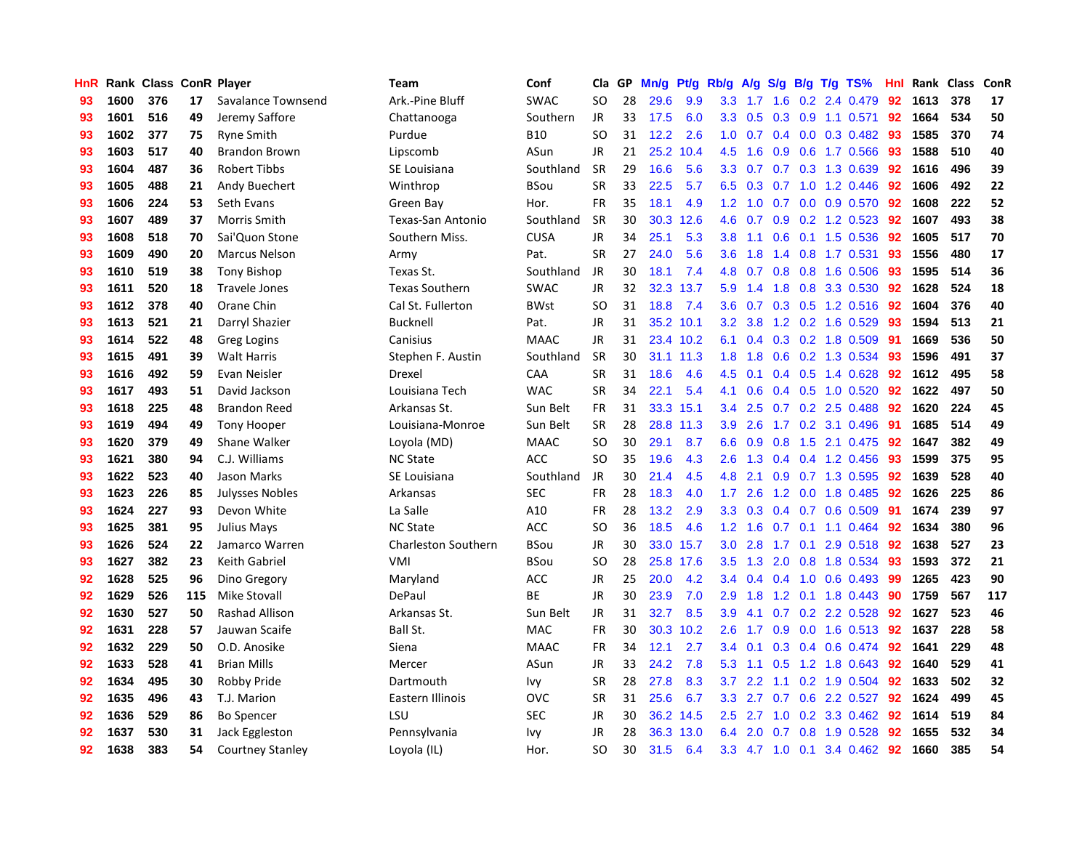| HnR |      | Rank Class ConR Player |     |                         | <b>Team</b>                | Conf        | Cla           | GP | Mn/g | Pt/g      | Rb/g             | A/g           | S/g              |  | $B/g$ T/g TS%                | Hnl |      | Rank Class | ConR |
|-----|------|------------------------|-----|-------------------------|----------------------------|-------------|---------------|----|------|-----------|------------------|---------------|------------------|--|------------------------------|-----|------|------------|------|
| 93  | 1600 | 376                    | 17  | Savalance Townsend      | Ark.-Pine Bluff            | <b>SWAC</b> | SO            | 28 | 29.6 | 9.9       | 3.3              | 1.7           | 1.6              |  | 0.2 2.4 0.479                | 92  | 1613 | 378        | 17   |
| 93  | 1601 | 516                    | 49  | Jeremy Saffore          | Chattanooga                | Southern    | JR            | 33 | 17.5 | 6.0       |                  | $3.3$ 0.5     |                  |  | $0.3$ 0.9 1.1 0.571          | 92  | 1664 | 534        | 50   |
| 93  | 1602 | 377                    | 75  | <b>Ryne Smith</b>       | Purdue                     | <b>B10</b>  | <b>SO</b>     | 31 | 12.2 | 2.6       |                  |               |                  |  | 1.0 0.7 0.4 0.0 0.3 0.482 93 |     | 1585 | 370        | 74   |
| 93  | 1603 | 517                    | 40  | <b>Brandon Brown</b>    | Lipscomb                   | ASun        | JR            | 21 | 25.2 | 10.4      | 4.5              | 1.6           |                  |  | 0.9 0.6 1.7 0.566 93         |     | 1588 | 510        | 40   |
| 93  | 1604 | 487                    | 36  | <b>Robert Tibbs</b>     | SE Louisiana               | Southland   | <b>SR</b>     | 29 | 16.6 | 5.6       | 3.3 <sub>2</sub> | 0.7           |                  |  | 0.7 0.3 1.3 0.639            | 92  | 1616 | 496        | 39   |
| 93  | 1605 | 488                    | 21  | Andy Buechert           | Winthrop                   | BSou        | <b>SR</b>     | 33 | 22.5 | 5.7       | 6.5              | 0.3           | 0.7              |  | 1.0 1.2 0.446                | 92  | 1606 | 492        | 22   |
| 93  | 1606 | 224                    | 53  | Seth Evans              | Green Bay                  | Hor.        | FR            | 35 | 18.1 | 4.9       | 1.2              | 1.0           |                  |  | 0.7 0.0 0.9 0.570            | 92  | 1608 | 222        | 52   |
| 93  | 1607 | 489                    | 37  | Morris Smith            | Texas-San Antonio          | Southland   | <b>SR</b>     | 30 | 30.3 | 12.6      | 4.6              | 0.7           | 0.9 <sup>°</sup> |  | $0.2$ 1.2 0.523              | 92  | 1607 | 493        | 38   |
| 93  | 1608 | 518                    | 70  | Sai'Quon Stone          | Southern Miss.             | <b>CUSA</b> | <b>JR</b>     | 34 | 25.1 | 5.3       | 3.8 <sub>2</sub> | 1.1           | 0.6              |  | 0.1 1.5 0.536                | 92  | 1605 | 517        | 70   |
| 93  | 1609 | 490                    | 20  | <b>Marcus Nelson</b>    | Army                       | Pat.        | <b>SR</b>     | 27 | 24.0 | 5.6       | 3.6              | 1.8           |                  |  | 1.4 0.8 1.7 0.531            | 93  | 1556 | 480        | 17   |
| 93  | 1610 | 519                    | 38  | <b>Tony Bishop</b>      | Texas St.                  | Southland   | JR            | 30 | 18.1 | 7.4       |                  | 4.8 0.7       |                  |  | 0.8 0.8 1.6 0.506 93         |     | 1595 | 514        | 36   |
| 93  | 1611 | 520                    | 18  | <b>Travele Jones</b>    | <b>Texas Southern</b>      | <b>SWAC</b> | JR            | 32 |      | 32.3 13.7 | 5.9              | 1.4           |                  |  | 1.8 0.8 3.3 0.530            | -92 | 1628 | 524        | 18   |
| 93  | 1612 | 378                    | 40  | Orane Chin              | Cal St. Fullerton          | <b>BWst</b> | <sub>SO</sub> | 31 | 18.8 | 7.4       | 3.6              | 0.7           |                  |  | 0.3 0.5 1.2 0.516 92         |     | 1604 | 376        | 40   |
| 93  | 1613 | 521                    | 21  | Darryl Shazier          | <b>Bucknell</b>            | Pat.        | JR            | 31 |      | 35.2 10.1 | 3.2              | 3.8           |                  |  | 1.2 0.2 1.6 0.529            | -93 | 1594 | 513        | 21   |
| 93  | 1614 | 522                    | 48  | Greg Logins             | Canisius                   | <b>MAAC</b> | JR            | 31 |      | 23.4 10.2 | 6.1              | 0.4           |                  |  | 0.3 0.2 1.8 0.509            | -91 | 1669 | 536        | 50   |
| 93  | 1615 | 491                    | 39  | <b>Walt Harris</b>      | Stephen F. Austin          | Southland   | <b>SR</b>     | 30 |      | 31.1 11.3 | 1.8              | 1.8           |                  |  | $0.6$ $0.2$ 1.3 $0.534$      | -93 | 1596 | 491        | 37   |
| 93  | 1616 | 492                    | 59  | Evan Neisler            | Drexel                     | CAA         | <b>SR</b>     | 31 | 18.6 | 4.6       | 4.5              | 0.1           |                  |  | $0.4$ 0.5 1.4 0.628          | 92  | 1612 | 495        | 58   |
| 93  | 1617 | 493                    | 51  | David Jackson           | Louisiana Tech             | <b>WAC</b>  | <b>SR</b>     | 34 | 22.1 | 5.4       | 4.1              | 0.6           |                  |  | $0.4$ 0.5 1.0 0.520          | 92  | 1622 | 497        | 50   |
| 93  | 1618 | 225                    | 48  | <b>Brandon Reed</b>     | Arkansas St.               | Sun Belt    | <b>FR</b>     | 31 |      | 33.3 15.1 | 3.4              | 2.5           |                  |  | $0.7$ $0.2$ $2.5$ $0.488$    | 92  | 1620 | 224        | 45   |
| 93  | 1619 | 494                    | 49  | <b>Tony Hooper</b>      | Louisiana-Monroe           | Sun Belt    | <b>SR</b>     | 28 |      | 28.8 11.3 | 3.9 <sup>°</sup> | 2.6           |                  |  | 1.7 0.2 3.1 0.496 91         |     | 1685 | 514        | 49   |
| 93  | 1620 | 379                    | 49  | Shane Walker            | Loyola (MD)                | <b>MAAC</b> | <sub>SO</sub> | 30 | 29.1 | 8.7       | 6.6              | 0.9           |                  |  | $0.8$ 1.5 2.1 0.475          | 92  | 1647 | 382        | 49   |
| 93  | 1621 | 380                    | 94  | C.J. Williams           | <b>NC State</b>            | <b>ACC</b>  | <b>SO</b>     | 35 | 19.6 | 4.3       | 2.6              | 1.3           |                  |  | $0.4$ 0.4 1.2 0.456          | -93 | 1599 | 375        | 95   |
| 93  | 1622 | 523                    | 40  | Jason Marks             | SE Louisiana               | Southland   | JR            | 30 | 21.4 | 4.5       | 4.8              | 2.1           |                  |  | $0.9$ 0.7 1.3 0.595          | 92  | 1639 | 528        | 40   |
| 93  | 1623 | 226                    | 85  | <b>Julysses Nobles</b>  | Arkansas                   | <b>SEC</b>  | <b>FR</b>     | 28 | 18.3 | 4.0       | $1.7^{\circ}$    | 2.6           |                  |  | 1.2 0.0 1.8 0.485            | 92  | 1626 | 225        | 86   |
| 93  | 1624 | 227                    | 93  | Devon White             | La Salle                   | A10         | <b>FR</b>     | 28 | 13.2 | 2.9       | 3.3 <sub>2</sub> | 0.3           |                  |  | $0.4$ 0.7 0.6 0.509          | -91 | 1674 | 239        | 97   |
| 93  | 1625 | 381                    | 95  | Julius Mays             | <b>NC State</b>            | <b>ACC</b>  | SO            | 36 | 18.5 | 4.6       | $1.2^{\circ}$    | 1.6           |                  |  | $0.7$ 0.1 1.1 0.464          | 92  | 1634 | 380        | 96   |
| 93  | 1626 | 524                    | 22  | Jamarco Warren          | <b>Charleston Southern</b> | BSou        | JR            | 30 |      | 33.0 15.7 | 3.0 <sub>1</sub> | 2.8           |                  |  | 1.7 0.1 2.9 0.518 92         |     | 1638 | 527        | 23   |
| 93  | 1627 | 382                    | 23  | Keith Gabriel           | VMI                        | BSou        | SO            | 28 |      | 25.8 17.6 | 3.5              | 1.3           |                  |  | 2.0 0.8 1.8 0.534 93         |     | 1593 | 372        | 21   |
| 92  | 1628 | 525                    | 96  | Dino Gregory            | Maryland                   | <b>ACC</b>  | JR            | 25 | 20.0 | 4.2       | 3.4              | $0.4^{\circ}$ |                  |  | $0.4$ 1.0 0.6 0.493          | -99 | 1265 | 423        | 90   |
| 92  | 1629 | 526                    | 115 | Mike Stovall            | DePaul                     | <b>BE</b>   | JR            | 30 | 23.9 | 7.0       | 2.9              | 1.8           |                  |  | 1.2 0.1 1.8 0.443            | 90  | 1759 | 567        | 117  |
| 92  | 1630 | 527                    | 50  | <b>Rashad Allison</b>   | Arkansas St.               | Sun Belt    | JR            | 31 | 32.7 | 8.5       | 3.9              | 4.1           |                  |  | $0.7$ $0.2$ $2.2$ $0.528$    | 92  | 1627 | 523        | 46   |
| 92  | 1631 | 228                    | 57  | Jauwan Scaife           | Ball St.                   | <b>MAC</b>  | <b>FR</b>     | 30 | 30.3 | 10.2      | 2.6              | 1.7           | 0.9              |  | 0.0 1.6 0.513 92             |     | 1637 | 228        | 58   |
| 92  | 1632 | 229                    | 50  | O.D. Anosike            | Siena                      | <b>MAAC</b> | <b>FR</b>     | 34 | 12.1 | 2.7       | $3.4^{\circ}$    | 0.1           |                  |  | $0.3$ 0.4 0.6 0.474          | 92  | 1641 | 229        | 48   |
| 92  | 1633 | 528                    | 41  | <b>Brian Mills</b>      | Mercer                     | ASun        | <b>JR</b>     | 33 | 24.2 | 7.8       | 5.3              | $-1.1$        |                  |  | 0.5 1.2 1.8 0.643            | 92  | 1640 | 529        | 41   |
| 92  | 1634 | 495                    | 30  | Robby Pride             | Dartmouth                  | Ivy         | <b>SR</b>     | 28 | 27.8 | 8.3       | 3.7              | 2.2           | 1.1              |  | $0.2$ 1.9 0.504              | 92  | 1633 | 502        | 32   |
| 92  | 1635 | 496                    | 43  | T.J. Marion             | Eastern Illinois           | <b>OVC</b>  | <b>SR</b>     | 31 | 25.6 | 6.7       |                  | $3.3$ 2.7     |                  |  | 0.7 0.6 2.2 0.527 92         |     | 1624 | 499        | 45   |
| 92  | 1636 | 529                    | 86  | <b>Bo Spencer</b>       | LSU                        | <b>SEC</b>  | JR            | 30 | 36.2 | 14.5      | $2.5^{\circ}$    | 2.7           |                  |  | 1.0 0.2 3.3 0.462 92         |     | 1614 | 519        | 84   |
| 92  | 1637 | 530                    | 31  | Jack Eggleston          | Pennsylvania               | lvv         | JR            | 28 | 36.3 | 13.0      | 6.4              | 2.0           |                  |  | 0.7 0.8 1.9 0.528            | 92  | 1655 | 532        | 34   |
| 92  | 1638 | 383                    | 54  | <b>Courtney Stanley</b> | Loyola (IL)                | Hor.        | <b>SO</b>     | 30 | 31.5 | 6.4       | 3.3 <sub>2</sub> |               |                  |  | 4.7 1.0 0.1 3.4 0.462 92     |     | 1660 | 385        | 54   |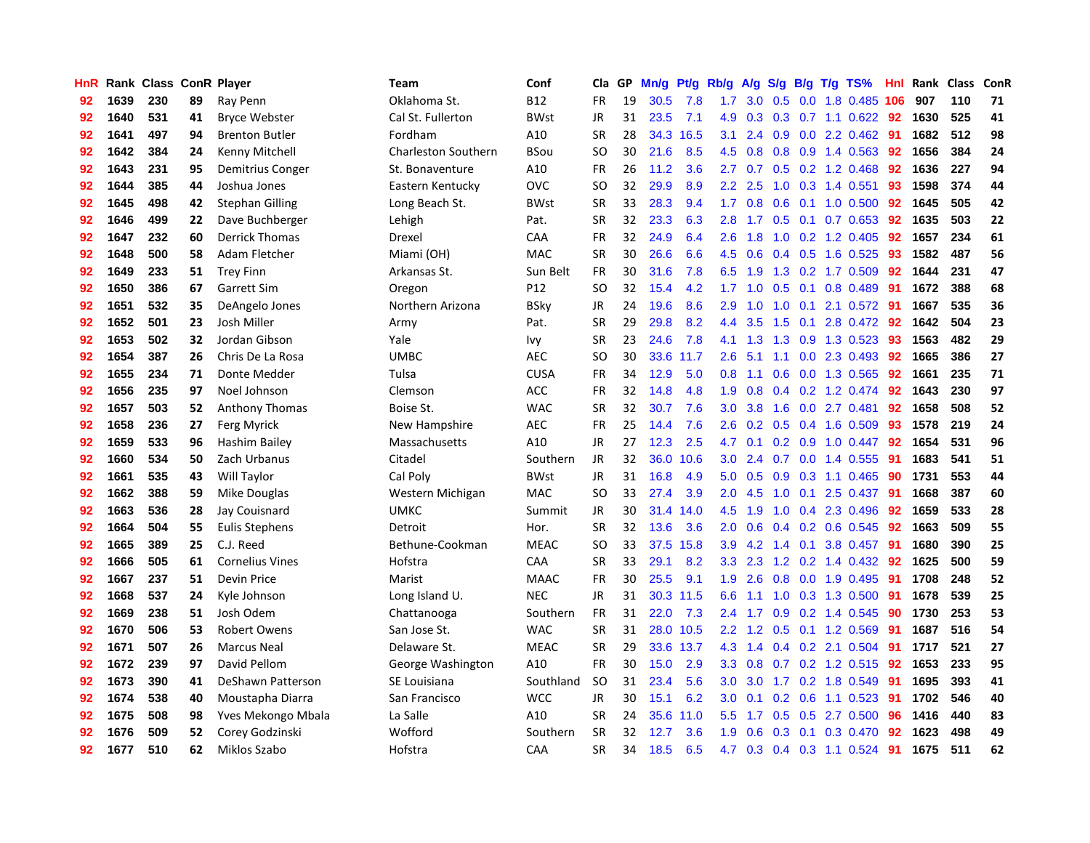| HnR |      | Rank Class ConR Player |    |                        | Team                       | Conf            | Cla           | <b>GP</b> | Mn/g | <b>Pt/g</b> | Rb/g             | A/g |                  |     | S/g B/g T/g TS%           | Hnl | Rank | <b>Class</b> | <b>ConR</b> |
|-----|------|------------------------|----|------------------------|----------------------------|-----------------|---------------|-----------|------|-------------|------------------|-----|------------------|-----|---------------------------|-----|------|--------------|-------------|
| 92  | 1639 | 230                    | 89 | Ray Penn               | Oklahoma St.               | B <sub>12</sub> | <b>FR</b>     | 19        | 30.5 | 7.8         | 1.7              | 3.0 | 0.5              |     | 0.0 1.8 0.485             | 106 | 907  | 110          | 71          |
| 92  | 1640 | 531                    | 41 | <b>Bryce Webster</b>   | Cal St. Fullerton          | <b>BWst</b>     | <b>JR</b>     | 31        | 23.5 | 7.1         | 4.9              | 0.3 |                  |     | 0.3 0.7 1.1 0.622 92      |     | 1630 | 525          | 41          |
| 92  | 1641 | 497                    | 94 | <b>Brenton Butler</b>  | Fordham                    | A10             | <b>SR</b>     | 28        | 34.3 | 16.5        | 3.1              | 2.4 |                  |     | $0.9$ $0.0$ 2.2 $0.462$   | -91 | 1682 | 512          | 98          |
| 92  | 1642 | 384                    | 24 | Kenny Mitchell         | <b>Charleston Southern</b> | BSou            | SO            | 30        | 21.6 | 8.5         | 4.5              | 0.8 |                  |     | $0.8$ 0.9 1.4 0.563       | 92  | 1656 | 384          | 24          |
| 92  | 1643 | 231                    | 95 | Demitrius Conger       | St. Bonaventure            | A10             | <b>FR</b>     | 26        | 11.2 | 3.6         | $2.7^{\circ}$    | 0.7 |                  |     | 0.5 0.2 1.2 0.468         | 92  | 1636 | 227          | 94          |
| 92  | 1644 | 385                    | 44 | Joshua Jones           | Eastern Kentucky           | <b>OVC</b>      | <b>SO</b>     | 32        | 29.9 | 8.9         | 2.2              | 2.5 |                  |     | 1.0 0.3 1.4 0.551         | 93  | 1598 | 374          | 44          |
| 92  | 1645 | 498                    | 42 | <b>Stephan Gilling</b> | Long Beach St.             | <b>BWst</b>     | <b>SR</b>     | 33        | 28.3 | 9.4         | 1.7 <sub>z</sub> | 0.8 |                  |     | $0.6$ 0.1 1.0 0.500       | 92  | 1645 | 505          | 42          |
| 92  | 1646 | 499                    | 22 | Dave Buchberger        | Lehigh                     | Pat.            | <b>SR</b>     | 32        | 23.3 | 6.3         | 2.8              | 1.7 |                  |     | $0.5$ 0.1 0.7 0.653       | 92  | 1635 | 503          | 22          |
| 92  | 1647 | 232                    | 60 | <b>Derrick Thomas</b>  | Drexel                     | CAA             | <b>FR</b>     | 32        | 24.9 | 6.4         | 2.6              | 1.8 | 1.0              |     | 0.2 1.2 0.405             | 92  | 1657 | 234          | 61          |
| 92  | 1648 | 500                    | 58 | Adam Fletcher          | Miami (OH)                 | <b>MAC</b>      | <b>SR</b>     | 30        | 26.6 | 6.6         | 4.5              | 0.6 |                  |     | $0.4$ 0.5 1.6 0.525       | -93 | 1582 | 487          | 56          |
| 92  | 1649 | 233                    | 51 | <b>Trey Finn</b>       | Arkansas St.               | Sun Belt        | <b>FR</b>     | 30        | 31.6 | 7.8         | 6.5              | 1.9 |                  |     | 1.3 0.2 1.7 0.509 92      |     | 1644 | 231          | 47          |
| 92  | 1650 | 386                    | 67 | Garrett Sim            | Oregon                     | P12             | SO.           | 32        | 15.4 | 4.2         | $1.7^{\circ}$    | 1.0 |                  |     | $0.5$ 0.1 0.8 0.489       | -91 | 1672 | 388          | 68          |
| 92  | 1651 | 532                    | 35 | DeAngelo Jones         | Northern Arizona           | <b>BSky</b>     | <b>JR</b>     | 24        | 19.6 | 8.6         | 2.9              | 1.0 | 1.0              | 0.1 | 2.1 0.572 91              |     | 1667 | 535          | 36          |
| 92  | 1652 | 501                    | 23 | Josh Miller            | Army                       | Pat.            | <b>SR</b>     | 29        | 29.8 | 8.2         | 4.4              | 3.5 | 1.5              |     | 0.1 2.8 0.472 92          |     | 1642 | 504          | 23          |
| 92  | 1653 | 502                    | 32 | Jordan Gibson          | Yale                       | Ivy             | <b>SR</b>     | 23        | 24.6 | 7.8         | 4.1              | 1.3 |                  |     | 1.3 0.9 1.3 0.523         | 93  | 1563 | 482          | 29          |
| 92  | 1654 | 387                    | 26 | Chris De La Rosa       | <b>UMBC</b>                | <b>AEC</b>      | SO            | 30        | 33.6 | 11.7        | 2.6              | 5.1 | 1.1              |     | $0.0$ 2.3 $0.493$         | 92  | 1665 | 386          | 27          |
| 92  | 1655 | 234                    | 71 | Donte Medder           | Tulsa                      | <b>CUSA</b>     | <b>FR</b>     | 34        | 12.9 | 5.0         | 0.8              | 1.1 | 0.6              |     | 0.0 1.3 0.565             | 92  | 1661 | 235          | 71          |
| 92  | 1656 | 235                    | 97 | Noel Johnson           | Clemson                    | <b>ACC</b>      | <b>FR</b>     | 32        | 14.8 | 4.8         | 1.9              | 0.8 |                  |     | $0.4$ 0.2 1.2 0.474       | 92  | 1643 | 230          | 97          |
| 92  | 1657 | 503                    | 52 | Anthony Thomas         | Boise St.                  | <b>WAC</b>      | <b>SR</b>     | 32        | 30.7 | 7.6         | 3.0 <sub>2</sub> | 3.8 |                  |     | 1.6 0.0 2.7 0.481         | 92  | 1658 | 508          | 52          |
| 92  | 1658 | 236                    | 27 | Ferg Myrick            | New Hampshire              | <b>AEC</b>      | <b>FR</b>     | 25        | 14.4 | 7.6         | 2.6              | 0.2 |                  |     | $0.5$ 0.4 1.6 0.509       | 93  | 1578 | 219          | 24          |
| 92  | 1659 | 533                    | 96 | Hashim Bailey          | Massachusetts              | A10             | JR            | 27        | 12.3 | 2.5         | 4.7              | 0.1 |                  |     | $0.2$ $0.9$ $1.0$ $0.447$ | 92  | 1654 | 531          | 96          |
| 92  | 1660 | 534                    | 50 | Zach Urbanus           | Citadel                    | Southern        | <b>JR</b>     | 32        | 36.0 | 10.6        | 3.0              | 2.4 |                  |     | 0.7 0.0 1.4 0.555         | 91  | 1683 | 541          | 51          |
| 92  | 1661 | 535                    | 43 | Will Taylor            | Cal Poly                   | <b>BWst</b>     | JR            | 31        | 16.8 | 4.9         | 5.0              | 0.5 | 0.9              |     | 0.3 1.1 0.465             | 90  | 1731 | 553          | 44          |
| 92  | 1662 | 388                    | 59 | Mike Douglas           | Western Michigan           | MAC             | <b>SO</b>     | 33        | 27.4 | 3.9         | 2.0              | 4.5 | 1.0              | 0.1 | 2.5 0.437                 | 91  | 1668 | 387          | 60          |
| 92  | 1663 | 536                    | 28 | Jay Couisnard          | <b>UMKC</b>                | Summit          | JR            | 30        | 31.4 | 14.0        | 4.5              | 1.9 | 1.0              |     | 0.4 2.3 0.496             | 92  | 1659 | 533          | 28          |
| 92  | 1664 | 504                    | 55 | <b>Eulis Stephens</b>  | Detroit                    | Hor.            | <b>SR</b>     | 32        | 13.6 | 3.6         | 2.0              | 0.6 |                  |     | $0.4$ 0.2 0.6 0.545       | 92  | 1663 | 509          | 55          |
| 92  | 1665 | 389                    | 25 | C.J. Reed              | Bethune-Cookman            | <b>MEAC</b>     | <sub>SO</sub> | 33        | 37.5 | 15.8        | 3.9              | 4.2 |                  |     | 1.4 0.1 3.8 0.457 91      |     | 1680 | 390          | 25          |
| 92  | 1666 | 505                    | 61 | <b>Cornelius Vines</b> | Hofstra                    | <b>CAA</b>      | <b>SR</b>     | 33        | 29.1 | 8.2         | 3.3 <sub>2</sub> | 2.3 |                  |     | 1.2 0.2 1.4 0.432 92      |     | 1625 | 500          | 59          |
| 92  | 1667 | 237                    | 51 | Devin Price            | Marist                     | <b>MAAC</b>     | <b>FR</b>     | 30        | 25.5 | 9.1         | 1.9              | 2.6 |                  |     | $0.8$ 0.0 1.9 0.495       | -91 | 1708 | 248          | 52          |
| 92  | 1668 | 537                    | 24 | Kyle Johnson           | Long Island U.             | <b>NEC</b>      | JR            | 31        | 30.3 | 11.5        | 6.6              | 1.1 |                  |     | 1.0 0.3 1.3 0.500         | -91 | 1678 | 539          | 25          |
| 92  | 1669 | 238                    | 51 | Josh Odem              | Chattanooga                | Southern        | <b>FR</b>     | 31        | 22.0 | 7.3         | 2.4              | 1.7 | 0.9 <sub>0</sub> |     | 0.2 1.4 0.545             | 90  | 1730 | 253          | 53          |
| 92  | 1670 | 506                    | 53 | <b>Robert Owens</b>    | San Jose St.               | <b>WAC</b>      | <b>SR</b>     | 31        |      | 28.0 10.5   | 2.2              | 1.2 |                  |     | $0.5$ 0.1 1.2 0.569       | -91 | 1687 | 516          | 54          |
| 92  | 1671 | 507                    | 26 | <b>Marcus Neal</b>     | Delaware St.               | <b>MEAC</b>     | <b>SR</b>     | 29        | 33.6 | 13.7        | 4.3              | 1.4 |                  |     | $0.4$ 0.2 2.1 0.504       | -91 | 1717 | 521          | 27          |
| 92  | 1672 | 239                    | 97 | David Pellom           | George Washington          | A10             | <b>FR</b>     | 30        | 15.0 | 2.9         | 3.3 <sub>2</sub> | 0.8 |                  |     | $0.7$ $0.2$ 1.2 $0.515$   | 92  | 1653 | 233          | 95          |
| 92  | 1673 | 390                    | 41 | DeShawn Patterson      | SE Louisiana               | Southland       | <b>SO</b>     | 31        | 23.4 | 5.6         | 3.0 <sub>2</sub> | 3.0 | $1.7^{\circ}$    |     | 0.2 1.8 0.549             | -91 | 1695 | 393          | 41          |
| 92  | 1674 | 538                    | 40 | Moustapha Diarra       | San Francisco              | <b>WCC</b>      | <b>JR</b>     | 30        | 15.1 | 6.2         | 3.0 <sub>2</sub> | 0.1 |                  |     | 0.2 0.6 1.1 0.523 91      |     | 1702 | 546          | 40          |
| 92  | 1675 | 508                    | 98 | Yves Mekongo Mbala     | La Salle                   | A10             | <b>SR</b>     | 24        | 35.6 | 11.0        | 5.5 <sub>1</sub> | 1.7 |                  |     | $0.5$ $0.5$ 2.7 $0.500$   | 96  | 1416 | 440          | 83          |
| 92  | 1676 | 509                    | 52 | Corey Godzinski        | Wofford                    | Southern        | SR            | 32        | 12.7 | 3.6         | 1.9              | 0.6 |                  |     | 0.3 0.1 0.3 0.470         | 92  | 1623 | 498          | 49          |
| 92  | 1677 | 510                    | 62 | Miklos Szabo           | Hofstra                    | CAA             | <b>SR</b>     | 34        | 18.5 | 6.5         | 4.7              | 0.3 |                  |     | $0.4$ 0.3 1.1 0.524       | 91  | 1675 | 511          | 62          |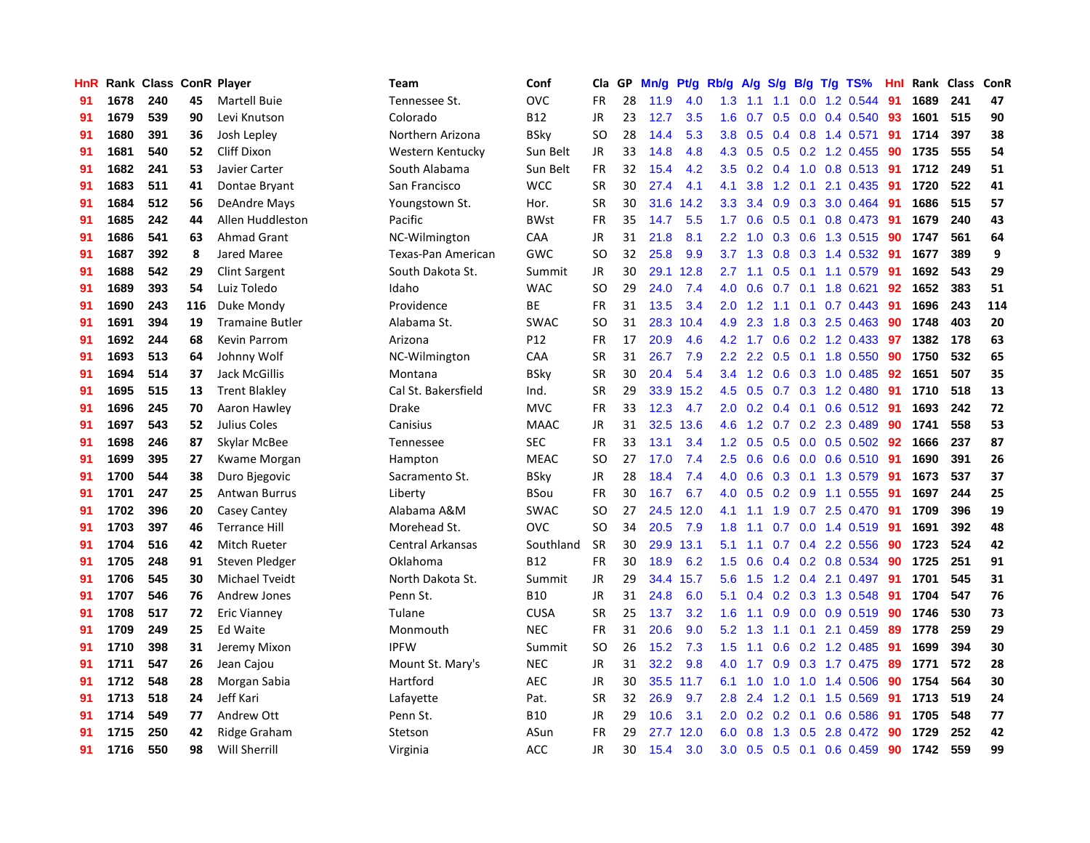| HnR |      | Rank Class ConR Player |     |                        | <b>Team</b>         | Conf        | Cla           | GP | Mn/g | Pt/g | Rb/g             | A/g     | S/g              |     | $B/g$ T/g TS%             | Hnl |      | Rank Class | ConR |
|-----|------|------------------------|-----|------------------------|---------------------|-------------|---------------|----|------|------|------------------|---------|------------------|-----|---------------------------|-----|------|------------|------|
| 91  | 1678 | 240                    | 45  | <b>Martell Buie</b>    | Tennessee St.       | OVC         | <b>FR</b>     | 28 | 11.9 | 4.0  | 1.3              | 1.1     | 1.1              |     | $0.0$ 1.2 0.544           | 91  | 1689 | 241        | 47   |
| 91  | 1679 | 539                    | 90  | Levi Knutson           | Colorado            | <b>B12</b>  | JR            | 23 | 12.7 | 3.5  | 1.6              | 0.7     |                  |     | $0.5$ 0.0 0.4 0.540       | 93  | 1601 | 515        | 90   |
| 91  | 1680 | 391                    | 36  | Josh Lepley            | Northern Arizona    | <b>BSky</b> | <sub>SO</sub> | 28 | 14.4 | 5.3  | 3.8              | 0.5     |                  |     | $0.4$ 0.8 1.4 0.571       | 91  | 1714 | 397        | 38   |
| 91  | 1681 | 540                    | 52  | Cliff Dixon            | Western Kentucky    | Sun Belt    | JR            | 33 | 14.8 | 4.8  |                  | 4.3 0.5 |                  |     | $0.5$ 0.2 1.2 0.455       | 90  | 1735 | 555        | 54   |
| 91  | 1682 | 241                    | 53  | Javier Carter          | South Alabama       | Sun Belt    | FR            | 32 | 15.4 | 4.2  | 3.5              | 0.2     |                  |     | $0.4$ 1.0 0.8 0.513       | -91 | 1712 | 249        | 51   |
| 91  | 1683 | 511                    | 41  | Dontae Bryant          | San Francisco       | <b>WCC</b>  | <b>SR</b>     | 30 | 27.4 | 4.1  | 4.1              | 3.8     | 1.2              | 0.1 | 2.1 0.435                 | 91  | 1720 | 522        | 41   |
| 91  | 1684 | 512                    | 56  | DeAndre Mays           | Youngstown St.      | Hor.        | <b>SR</b>     | 30 | 31.6 | 14.2 | 3.3              | 3.4     |                  |     | 0.9 0.3 3.0 0.464         | -91 | 1686 | 515        | 57   |
| 91  | 1685 | 242                    | 44  | Allen Huddleston       | Pacific             | <b>BWst</b> | <b>FR</b>     | 35 | 14.7 | 5.5  | 1.7              | 0.6     | 0.5              |     | $0.1$ 0.8 0.473           | 91  | 1679 | 240        | 43   |
| 91  | 1686 | 541                    | 63  | Ahmad Grant            | NC-Wilmington       | CAA         | <b>JR</b>     | 31 | 21.8 | 8.1  | 2.2              | 1.0     | 0.3              |     | 0.6 1.3 0.515             | -90 | 1747 | 561        | 64   |
| 91  | 1687 | 392                    | 8   | <b>Jared Maree</b>     | Texas-Pan American  | GWC         | <sub>SO</sub> | 32 | 25.8 | 9.9  | 3.7              | 1.3     |                  |     | $0.8$ 0.3 1.4 0.532       | -91 | 1677 | 389        | 9    |
| 91  | 1688 | 542                    | 29  | <b>Clint Sargent</b>   | South Dakota St.    | Summit      | JR            | 30 | 29.1 | 12.8 |                  |         |                  |     | 2.7 1.1 0.5 0.1 1.1 0.579 | -91 | 1692 | 543        | 29   |
| 91  | 1689 | 393                    | 54  | Luiz Toledo            | Idaho               | <b>WAC</b>  | <b>SO</b>     | 29 | 24.0 | 7.4  | 4.0              | 0.6     |                  |     | $0.7$ 0.1 1.8 0.621       | 92  | 1652 | 383        | 51   |
| 91  | 1690 | 243                    | 116 | Duke Mondy             | Providence          | ВE          | FR            | 31 | 13.5 | 3.4  | 2.0              | 1.2     |                  |     | 1.1 0.1 0.7 0.443         | -91 | 1696 | 243        | 114  |
| 91  | 1691 | 394                    | 19  | <b>Tramaine Butler</b> | Alabama St.         | <b>SWAC</b> | <b>SO</b>     | 31 | 28.3 | 10.4 | 4.9              | 2.3     | 1.8              |     | $0.3$ 2.5 0.463           | 90  | 1748 | 403        | 20   |
| 91  | 1692 | 244                    | 68  | <b>Kevin Parrom</b>    | Arizona             | P12         | <b>FR</b>     | 17 | 20.9 | 4.6  | 4.2              | 1.7     |                  |     | $0.6$ $0.2$ $1.2$ $0.433$ | -97 | 1382 | 178        | 63   |
| 91  | 1693 | 513                    | 64  | Johnny Wolf            | NC-Wilmington       | CAA         | <b>SR</b>     | 31 | 26.7 | 7.9  | 2.2              | 2.2     | 0.5              |     | 0.1 1.8 0.550             | 90  | 1750 | 532        | 65   |
| 91  | 1694 | 514                    | 37  | Jack McGillis          | Montana             | <b>BSky</b> | <b>SR</b>     | 30 | 20.4 | 5.4  | 3.4              | 1.2     | 0.6              |     | 0.3 1.0 0.485             | 92  | 1651 | 507        | 35   |
| 91  | 1695 | 515                    | 13  | <b>Trent Blakley</b>   | Cal St. Bakersfield | Ind.        | <b>SR</b>     | 29 | 33.9 | 15.2 | 4.5              | 0.5     |                  |     | 0.7 0.3 1.2 0.480         | 91  | 1710 | 518        | 13   |
| 91  | 1696 | 245                    | 70  | Aaron Hawley           | Drake               | <b>MVC</b>  | <b>FR</b>     | 33 | 12.3 | 4.7  | 2.0 <sub>1</sub> |         |                  |     | 0.2 0.4 0.1 0.6 0.512 91  |     | 1693 | 242        | 72   |
| 91  | 1697 | 543                    | 52  | Julius Coles           | Canisius            | <b>MAAC</b> | <b>JR</b>     | 31 | 32.5 | 13.6 | 4.6              |         |                  |     | 1.2 0.7 0.2 2.3 0.489     | 90  | 1741 | 558        | 53   |
| 91  | 1698 | 246                    | 87  | Skylar McBee           | Tennessee           | SEC         | <b>FR</b>     | 33 | 13.1 | 3.4  | 1.2              | 0.5     |                  |     | $0.5$ 0.0 0.5 0.502 92    |     | 1666 | 237        | 87   |
| 91  | 1699 | 395                    | 27  | Kwame Morgan           | Hampton             | <b>MEAC</b> | <b>SO</b>     | 27 | 17.0 | 7.4  | 2.5              | 0.6     | 0.6              |     | $0.0$ 0.6 0.510           | 91  | 1690 | 391        | 26   |
| 91  | 1700 | 544                    | 38  | Duro Bjegovic          | Sacramento St.      | <b>BSky</b> | JR            | 28 | 18.4 | 7.4  | 4.0              | 0.6     |                  |     | 0.3 0.1 1.3 0.579         | 91  | 1673 | 537        | 37   |
| 91  | 1701 | 247                    | 25  | <b>Antwan Burrus</b>   | Liberty             | <b>BSou</b> | <b>FR</b>     | 30 | 16.7 | 6.7  | 4.0              | 0.5     |                  |     | $0.2$ 0.9 1.1 0.555       | 91  | 1697 | 244        | 25   |
| 91  | 1702 | 396                    | 20  | Casey Cantey           | Alabama A&M         | SWAC        | SO            | 27 | 24.5 | 12.0 | 4.1              | 1.1     | 1.9              |     | 0.7 2.5 0.470             | -91 | 1709 | 396        | 19   |
| 91  | 1703 | 397                    | 46  | <b>Terrance Hill</b>   | Morehead St.        | OVC         | <b>SO</b>     | 34 | 20.5 | 7.9  | 1.8              | 1.1     |                  |     | 0.7 0.0 1.4 0.519         | 91  | 1691 | 392        | 48   |
| 91  | 1704 | 516                    | 42  | Mitch Rueter           | Central Arkansas    | Southland   | <b>SR</b>     | 30 | 29.9 | 13.1 | 5.1              | 1.1     |                  |     | $0.7$ 0.4 2.2 0.556       | 90  | 1723 | 524        | 42   |
| 91  | 1705 | 248                    | 91  | Steven Pledger         | Oklahoma            | <b>B12</b>  | <b>FR</b>     | 30 | 18.9 | 6.2  | 1.5              | 0.6     |                  |     | $0.4$ 0.2 0.8 0.534       | -90 | 1725 | 251        | 91   |
| 91  | 1706 | 545                    | 30  | <b>Michael Tveidt</b>  | North Dakota St.    | Summit      | JR            | 29 | 34.4 | 15.7 | 5.6              | 1.5     |                  |     | 1.2 0.4 2.1 0.497         | -91 | 1701 | 545        | 31   |
| 91  | 1707 | 546                    | 76  | Andrew Jones           | Penn St.            | <b>B10</b>  | <b>JR</b>     | 31 | 24.8 | 6.0  | 5.1              | 0.4     |                  |     | 0.2 0.3 1.3 0.548         | -91 | 1704 | 547        | 76   |
| 91  | 1708 | 517                    | 72  | <b>Eric Vianney</b>    | Tulane              | <b>CUSA</b> | <b>SR</b>     | 25 | 13.7 | 3.2  | 1.6              | 1.1     | 0.9 <sub>0</sub> |     | $0.0$ 0.9 0.519           | 90  | 1746 | 530        | 73   |
| 91  | 1709 | 249                    | 25  | Ed Waite               | Monmouth            | <b>NEC</b>  | <b>FR</b>     | 31 | 20.6 | 9.0  | 5.2              | 1.3     |                  |     | 1.1 0.1 2.1 0.459         | 89  | 1778 | 259        | 29   |
| 91  | 1710 | 398                    | 31  | Jeremy Mixon           | <b>IPFW</b>         | Summit      | <b>SO</b>     | 26 | 15.2 | 7.3  | 1.5              | 1.1     | 0.6              |     | $0.2$ 1.2 0.485           | 91  | 1699 | 394        | 30   |
| 91  | 1711 | 547                    | 26  | Jean Cajou             | Mount St. Mary's    | <b>NEC</b>  | <b>JR</b>     | 31 | 32.2 | 9.8  | 4.0              | 1.7     | 0.9              |     | 0.3 1.7 0.475             | 89  | 1771 | 572        | 28   |
| 91  | 1712 | 548                    | 28  | Morgan Sabia           | Hartford            | <b>AEC</b>  | <b>JR</b>     | 30 | 35.5 | 11.7 | 6.1              | 1.0     | 1.0              |     | 1.0 1.4 0.506             | 90  | 1754 | 564        | 30   |
| 91  | 1713 | 518                    | 24  | Jeff Kari              | Lafayette           | Pat.        | <b>SR</b>     | 32 | 26.9 | 9.7  | 2.8              | 2.4     |                  |     | 1.2 0.1 1.5 0.569         | -91 | 1713 | 519        | 24   |
| 91  | 1714 | 549                    | 77  | Andrew Ott             | Penn St.            | <b>B10</b>  | JR            | 29 | 10.6 | 3.1  | 2.0 <sub>1</sub> | 0.2     |                  |     | 0.2 0.1 0.6 0.586         | -91 | 1705 | 548        | 77   |
| 91  | 1715 | 250                    | 42  | Ridge Graham           | Stetson             | ASun        | <b>FR</b>     | 29 | 27.7 | 12.0 | 6.0              | 0.8     | 1.3              |     | 0.5 2.8 0.472             | 90  | 1729 | 252        | 42   |
| 91  | 1716 | 550                    | 98  | Will Sherrill          | Virginia            | <b>ACC</b>  | <b>JR</b>     | 30 | 15.4 | 3.0  | 3.0 <sub>2</sub> | 0.5     |                  |     | $0.5$ 0.1 0.6 0.459       | 90  | 1742 | 559        | 99   |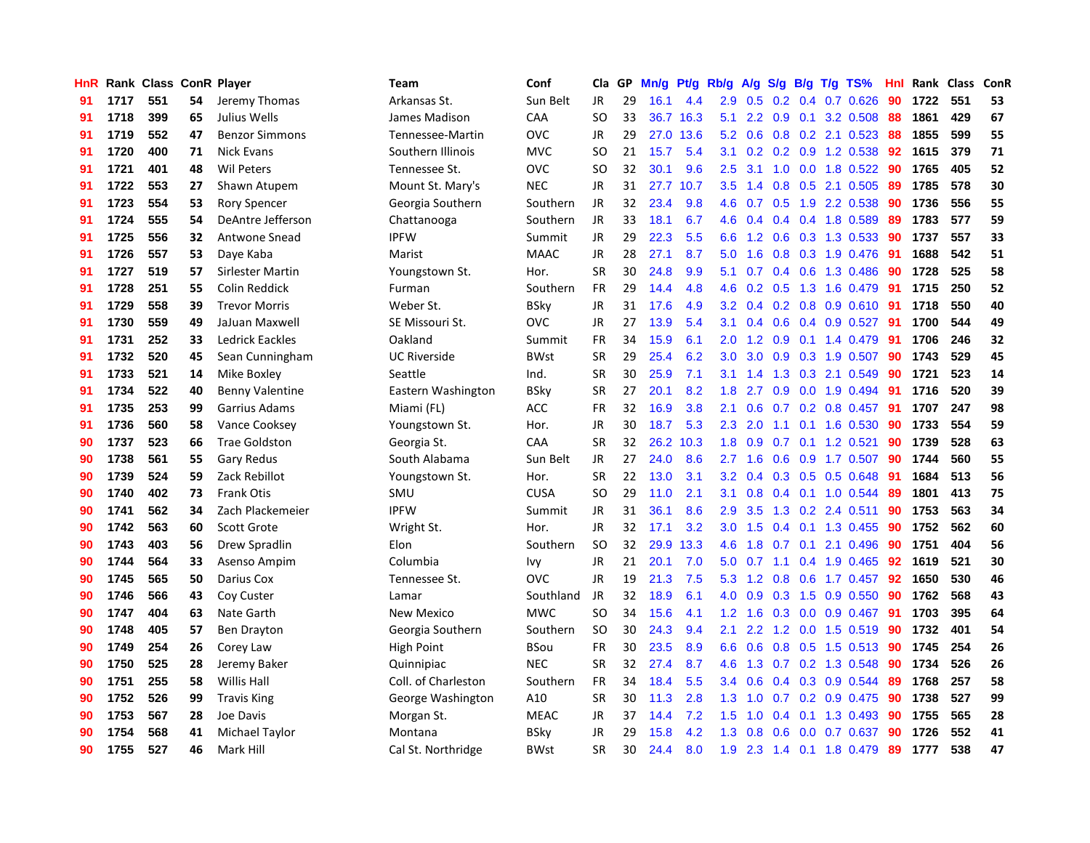| HnR |      | Rank Class ConR Player |    |                        | <b>Team</b>         | Conf        | Cla       | GP | Mn/g | Pt/g      | Rb/g | A/g           |     |     | S/g B/g T/g TS%           | Hnl | Rank | Class | <b>ConR</b> |
|-----|------|------------------------|----|------------------------|---------------------|-------------|-----------|----|------|-----------|------|---------------|-----|-----|---------------------------|-----|------|-------|-------------|
| 91  | 1717 | 551                    | 54 | Jeremy Thomas          | Arkansas St.        | Sun Belt    | JR        | 29 | 16.1 | 4.4       | 2.9  | 0.5           | 0.2 | 0.4 | $0.7$ $0.626$             | 90  | 1722 | 551   | 53          |
| 91  | 1718 | 399                    | 65 | Julius Wells           | James Madison       | CAA         | <b>SO</b> | 33 |      | 36.7 16.3 | 5.1  |               |     |     | 2.2 0.9 0.1 3.2 0.508     | -88 | 1861 | 429   | 67          |
| 91  | 1719 | 552                    | 47 | <b>Benzor Simmons</b>  | Tennessee-Martin    | OVC         | JR        | 29 | 27.0 | 13.6      | 5.2  | 0.6           |     |     | $0.8$ 0.2 2.1 0.523       | -88 | 1855 | 599   | 55          |
| 91  | 1720 | 400                    | 71 | <b>Nick Evans</b>      | Southern Illinois   | <b>MVC</b>  | SO.       | 21 | 15.7 | 5.4       | 3.1  | 0.2           |     |     | $0.2$ 0.9 1.2 0.538       | 92  | 1615 | 379   | 71          |
| 91  | 1721 | 401                    | 48 | <b>Wil Peters</b>      | Tennessee St.       | OVC         | <b>SO</b> | 32 | 30.1 | 9.6       | 2.5  | 3.1           | 1.0 |     | $0.0$ 1.8 $0.522$         | 90  | 1765 | 405   | 52          |
| 91  | 1722 | 553                    | 27 | Shawn Atupem           | Mount St. Mary's    | <b>NEC</b>  | JR        | 31 | 27.7 | 10.7      | 3.5  | 1.4           | 0.8 |     | 0.5 2.1 0.505             | 89  | 1785 | 578   | 30          |
| 91  | 1723 | 554                    | 53 | <b>Rory Spencer</b>    | Georgia Southern    | Southern    | JR        | 32 | 23.4 | 9.8       | 4.6  | 0.7           |     |     | 0.5 1.9 2.2 0.538         | -90 | 1736 | 556   | 55          |
| 91  | 1724 | 555                    | 54 | DeAntre Jefferson      | Chattanooga         | Southern    | JR        | 33 | 18.1 | 6.7       | 4.6  | 0.4           |     |     | $0.4$ 0.4 1.8 0.589       | 89  | 1783 | 577   | 59          |
| 91  | 1725 | 556                    | 32 | Antwone Snead          | <b>IPFW</b>         | Summit      | <b>JR</b> | 29 | 22.3 | 5.5       | 6.6  | 1.2           | 0.6 |     | 0.3 1.3 0.533             | -90 | 1737 | 557   | 33          |
| 91  | 1726 | 557                    | 53 | Daye Kaba              | Marist              | <b>MAAC</b> | JR        | 28 | 27.1 | 8.7       | 5.0  | 1.6           |     |     | 0.8 0.3 1.9 0.476 91      |     | 1688 | 542   | 51          |
| 91  | 1727 | 519                    | 57 | Sirlester Martin       | Youngstown St.      | Hor.        | <b>SR</b> | 30 | 24.8 | 9.9       | 5.1  | 0.7           |     |     | 0.4 0.6 1.3 0.486 90      |     | 1728 | 525   | 58          |
| 91  | 1728 | 251                    | 55 | <b>Colin Reddick</b>   | Furman              | Southern    | <b>FR</b> | 29 | 14.4 | 4.8       | 4.6  | 0.2           |     |     | $0.5$ 1.3 1.6 0.479       | -91 | 1715 | 250   | 52          |
| 91  | 1729 | 558                    | 39 | <b>Trevor Morris</b>   | Weber St.           | <b>BSky</b> | <b>JR</b> | 31 | 17.6 | 4.9       | 3.2  | 0.4           |     |     | $0.2$ 0.8 0.9 0.610       | -91 | 1718 | 550   | 40          |
| 91  | 1730 | 559                    | 49 | JaJuan Maxwell         | SE Missouri St.     | OVC         | <b>JR</b> | 27 | 13.9 | 5.4       | 3.1  | 0.4           | 0.6 |     | $0.4$ 0.9 0.527           | 91  | 1700 | 544   | 49          |
| 91  | 1731 | 252                    | 33 | Ledrick Eackles        | Oakland             | Summit      | FR        | 34 | 15.9 | 6.1       | 2.0  | 1.2           | 0.9 |     | 0.1 1.4 0.479             | -91 | 1706 | 246   | 32          |
| 91  | 1732 | 520                    | 45 | Sean Cunningham        | <b>UC Riverside</b> | <b>BWst</b> | <b>SR</b> | 29 | 25.4 | 6.2       | 3.0  | 3.0           | 0.9 |     | 0.3 1.9 0.507             | 90  | 1743 | 529   | 45          |
| 91  | 1733 | 521                    | 14 | Mike Boxley            | Seattle             | Ind.        | <b>SR</b> | 30 | 25.9 | 7.1       | 3.1  | 1.4           | 1.3 |     | 0.3 2.1 0.549             | 90  | 1721 | 523   | 14          |
| 91  | 1734 | 522                    | 40 | <b>Benny Valentine</b> | Eastern Washington  | <b>BSky</b> | <b>SR</b> | 27 | 20.1 | 8.2       | 1.8  | 2.7           | 0.9 |     | $0.0$ 1.9 0.494           | 91  | 1716 | 520   | 39          |
| 91  | 1735 | 253                    | 99 | Garrius Adams          | Miami (FL)          | <b>ACC</b>  | FR        | 32 | 16.9 | 3.8       | 2.1  | 0.6           |     |     | $0.7$ 0.2 0.8 0.457       | -91 | 1707 | 247   | 98          |
| 91  | 1736 | 560                    | 58 | Vance Cooksey          | Youngstown St.      | Hor.        | JR        | 30 | 18.7 | 5.3       | 2.3  | 2.0           |     |     | 1.1 0.1 1.6 0.530         | 90  | 1733 | 554   | 59          |
| 90  | 1737 | 523                    | 66 | <b>Trae Goldston</b>   | Georgia St.         | CAA         | <b>SR</b> | 32 | 26.2 | 10.3      | 1.8  | 0.9           |     |     | $0.7$ 0.1 1.2 0.521       | 90  | 1739 | 528   | 63          |
| 90  | 1738 | 561                    | 55 | <b>Gary Redus</b>      | South Alabama       | Sun Belt    | <b>JR</b> | 27 | 24.0 | 8.6       | 2.7  | 1.6           | 0.6 |     | 0.9 1.7 0.507             | 90  | 1744 | 560   | 55          |
| 90  | 1739 | 524                    | 59 | Zack Rebillot          | Youngstown St.      | Hor.        | <b>SR</b> | 22 | 13.0 | 3.1       | 3.2  | 0.4           |     |     | 0.3 0.5 0.5 0.648         | -91 | 1684 | 513   | 56          |
| 90  | 1740 | 402                    | 73 | <b>Frank Otis</b>      | SMU                 | <b>CUSA</b> | <b>SO</b> | 29 | 11.0 | 2.1       | 3.1  | 0.8           |     |     | $0.4$ 0.1 1.0 0.544       | 89  | 1801 | 413   | 75          |
| 90  | 1741 | 562                    | 34 | Zach Plackemeier       | <b>IPFW</b>         | Summit      | JR        | 31 | 36.1 | 8.6       | 2.9  | 3.5           | 1.3 |     | $0.2$ 2.4 0.511           | 90  | 1753 | 563   | 34          |
| 90  | 1742 | 563                    | 60 | <b>Scott Grote</b>     | Wright St.          | Hor.        | <b>JR</b> | 32 | 17.1 | 3.2       | 3.0  | 1.5           |     |     | 0.4 0.1 1.3 0.455         | 90  | 1752 | 562   | 60          |
| 90  | 1743 | 403                    | 56 | Drew Spradlin          | Elon                | Southern    | <b>SO</b> | 32 | 29.9 | 13.3      | 4.6  | 1.8           |     |     | $0.7$ 0.1 2.1 0.496       | 90  | 1751 | 404   | 56          |
| 90  | 1744 | 564                    | 33 | Asenso Ampim           | Columbia            | Ivy         | JR        | 21 | 20.1 | 7.0       | 5.0  |               |     |     | 0.7 1.1 0.4 1.9 0.465 92  |     | 1619 | 521   | 30          |
| 90  | 1745 | 565                    | 50 | Darius Cox             | Tennessee St.       | OVC         | JR        | 19 | 21.3 | 7.5       | 5.3  | 1.2           |     |     | 0.8 0.6 1.7 0.457 92      |     | 1650 | 530   | 46          |
| 90  | 1746 | 566                    | 43 | Coy Custer             | Lamar               | Southland   | <b>JR</b> | 32 | 18.9 | 6.1       | 4.0  | 0.9           |     |     | 0.3 1.5 0.9 0.550         | 90  | 1762 | 568   | 43          |
| 90  | 1747 | 404                    | 63 | Nate Garth             | <b>New Mexico</b>   | <b>MWC</b>  | <b>SO</b> | 34 | 15.6 | 4.1       | 1.2  | 1.6           |     |     | $0.3$ 0.0 0.9 0.467       | -91 | 1703 | 395   | 64          |
| 90  | 1748 | 405                    | 57 | <b>Ben Drayton</b>     | Georgia Southern    | Southern    | <b>SO</b> | 30 | 24.3 | 9.4       | 2.1  | $2.2^{\circ}$ |     |     | 1.2 0.0 1.5 0.519         | 90  | 1732 | 401   | 54          |
| 90  | 1749 | 254                    | 26 | Corey Law              | High Point          | <b>BSou</b> | <b>FR</b> | 30 | 23.5 | 8.9       | 6.6  | 0.6           | 0.8 |     | $0.5$ 1.5 0.513           | -90 | 1745 | 254   | 26          |
| 90  | 1750 | 525                    | 28 | Jeremy Baker           | Quinnipiac          | <b>NEC</b>  | <b>SR</b> | 32 | 27.4 | 8.7       | 4.6  | 1.3           |     |     | 0.7 0.2 1.3 0.548         | -90 | 1734 | 526   | 26          |
| 90  | 1751 | 255                    | 58 | <b>Willis Hall</b>     | Coll. of Charleston | Southern    | <b>FR</b> | 34 | 18.4 | 5.5       | 3.4  | 0.6           | 0.4 |     | 0.3 0.9 0.544             | -89 | 1768 | 257   | 58          |
| 90  | 1752 | 526                    | 99 | <b>Travis King</b>     | George Washington   | A10         | <b>SR</b> | 30 | 11.3 | 2.8       | 1.3  | 1.0           |     |     | $0.7$ $0.2$ $0.9$ $0.475$ | 90  | 1738 | 527   | 99          |
| 90  | 1753 | 567                    | 28 | Joe Davis              | Morgan St.          | <b>MEAC</b> | JR        | 37 | 14.4 | 7.2       | 1.5  | 1.0           |     |     | $0.4$ 0.1 1.3 0.493       | -90 | 1755 | 565   | 28          |
| 90  | 1754 | 568                    | 41 | Michael Taylor         | Montana             | BSky        | JR        | 29 | 15.8 | 4.2       | 1.3  | 0.8           |     |     | $0.6$ $0.0$ $0.7$ $0.637$ | 90  | 1726 | 552   | 41          |
| 90  | 1755 | 527                    | 46 | Mark Hill              | Cal St. Northridge  | <b>BWst</b> | <b>SR</b> | 30 | 24.4 | 8.0       | 1.9  |               |     |     | 2.3 1.4 0.1 1.8 0.479     | 89  | 1777 | 538   | 47          |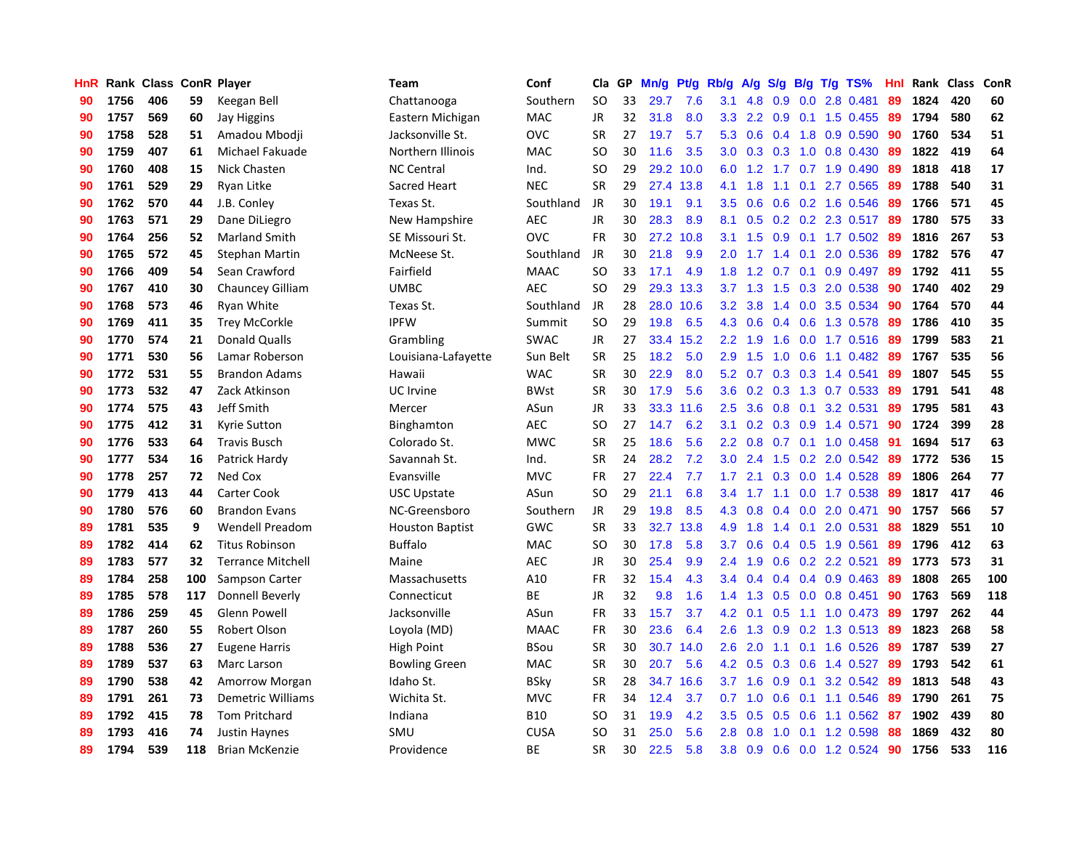| <b>HnR</b> |      | Rank Class ConR Player |     |                          | <b>Team</b>            | Conf        | Cla       | GP | Mn/g | Pt/g      | Rb/g             | A/g             | S/g           |     | $B/g$ T/g TS%            | Hnl  | Rank Class |     | ConR |
|------------|------|------------------------|-----|--------------------------|------------------------|-------------|-----------|----|------|-----------|------------------|-----------------|---------------|-----|--------------------------|------|------------|-----|------|
| 90         | 1756 | 406                    | 59  | Keegan Bell              | Chattanooga            | Southern    | <b>SO</b> | 33 | 29.7 | 7.6       | 3.1              | 4.8             | 0.9           | 0.0 | 2.8 0.481                | 89   | 1824       | 420 | 60   |
| 90         | 1757 | 569                    | 60  | Jay Higgins              | Eastern Michigan       | <b>MAC</b>  | JR        | 32 | 31.8 | 8.0       |                  | $3.3$ 2.2       |               |     | 0.9 0.1 1.5 0.455        | -89  | 1794       | 580 | 62   |
| 90         | 1758 | 528                    | 51  | Amadou Mbodji            | Jacksonville St.       | <b>OVC</b>  | <b>SR</b> | 27 | 19.7 | 5.7       | 5.3              | 0.6             |               |     | 0.4 1.8 0.9 0.590        | 90   | 1760       | 534 | 51   |
| 90         | 1759 | 407                    | 61  | Michael Fakuade          | Northern Illinois      | MAC         | SO        | 30 | 11.6 | 3.5       |                  | $3.0 \quad 0.3$ |               |     | $0.3$ 1.0 0.8 0.430      | -89  | 1822       | 419 | 64   |
| 90         | 1760 | 408                    | 15  | Nick Chasten             | <b>NC Central</b>      | Ind.        | <b>SO</b> | 29 | 29.2 | 10.0      | 6.0              | 1.2             |               |     | 1.7 0.7 1.9 0.490        | 89   | 1818       | 418 | 17   |
| 90         | 1761 | 529                    | 29  | Ryan Litke               | Sacred Heart           | <b>NEC</b>  | <b>SR</b> | 29 | 27.4 | 13.8      | 4.1              | 1.8             | 1.1           | 0.1 | 2.7 0.565                | 89   | 1788       | 540 | 31   |
| 90         | 1762 | 570                    | 44  | J.B. Conley              | Texas St.              | Southland   | JR        | 30 | 19.1 | 9.1       | 3.5              | 0.6             |               |     | 0.6 0.2 1.6 0.546        | -89  | 1766       | 571 | 45   |
| 90         | 1763 | 571                    | 29  | Dane DiLiegro            | New Hampshire          | <b>AEC</b>  | JR        | 30 | 28.3 | 8.9       | 8.1              | 0.5             |               |     | $0.2$ 0.2 2.3 0.517      | -89  | 1780       | 575 | 33   |
| 90         | 1764 | 256                    | 52  | <b>Marland Smith</b>     | SE Missouri St.        | <b>OVC</b>  | FR        | 30 | 27.2 | 10.8      |                  | $3.1 \quad 1.5$ | 0.9           |     | $0.1$ 1.7 0.502          | -89  | 1816       | 267 | 53   |
| 90         | 1765 | 572                    | 45  | <b>Stephan Martin</b>    | McNeese St.            | Southland   | JR        | 30 | 21.8 | 9.9       | 2.0 <sub>1</sub> | 1.7             | 1.4           | 0.1 | 2.0 0.536                | -89  | 1782       | 576 | 47   |
| 90         | 1766 | 409                    | 54  | Sean Crawford            | Fairfield              | <b>MAAC</b> | <b>SO</b> | 33 | 17.1 | 4.9       | 1.8              |                 |               |     | 1.2 0.7 0.1 0.9 0.497 89 |      | 1792       | 411 | 55   |
| 90         | 1767 | 410                    | 30  | <b>Chauncey Gilliam</b>  | <b>UMBC</b>            | <b>AEC</b>  | <b>SO</b> | 29 |      | 29.3 13.3 |                  | $3.7 \quad 1.3$ |               |     | 1.5 0.3 2.0 0.538        | -90  | 1740       | 402 | 29   |
| 90         | 1768 | 573                    | 46  | Ryan White               | Texas St.              | Southland   | JR        | 28 |      | 28.0 10.6 | 3.2              | 3.8             |               |     | 1.4 0.0 3.5 0.534        | -90  | 1764       | 570 | 44   |
| 90         | 1769 | 411                    | 35  | <b>Trey McCorkle</b>     | <b>IPFW</b>            | Summit      | <b>SO</b> | 29 | 19.8 | 6.5       | 4.3              | 0.6             | $0.4^{\circ}$ |     | 0.6 1.3 0.578            | -89  | 1786       | 410 | 35   |
| 90         | 1770 | 574                    | 21  | <b>Donald Qualls</b>     | Grambling              | <b>SWAC</b> | JR        | 27 | 33.4 | 15.2      | $2.2^{\circ}$    | 1.9             | 1.6           |     | $0.0$ 1.7 $0.516$        | -89  | 1799       | 583 | 21   |
| 90         | 1771 | 530                    | 56  | Lamar Roberson           | Louisiana-Lafayette    | Sun Belt    | <b>SR</b> | 25 | 18.2 | 5.0       | 2.9 <sup>°</sup> | 1.5             | 1.0           |     | $0.6$ 1.1 $0.482$        | -89  | 1767       | 535 | 56   |
| 90         | 1772 | 531                    | 55  | <b>Brandon Adams</b>     | Hawaii                 | <b>WAC</b>  | <b>SR</b> | 30 | 22.9 | 8.0       | 5.2              | 0.7             | 0.3           |     | $0.3$ 1.4 0.541          | 89   | 1807       | 545 | 55   |
| 90         | 1773 | 532                    | 47  | Zack Atkinson            | UC Irvine              | <b>BWst</b> | <b>SR</b> | 30 | 17.9 | 5.6       | 3.6 <sup>°</sup> | 0.2             | 0.3           |     | 1.3 0.7 0.533            | -89  | 1791       | 541 | 48   |
| 90         | 1774 | 575                    | 43  | Jeff Smith               | Mercer                 | ASun        | JR        | 33 | 33.3 | 11.6      | 2.5              | 3.6             |               |     | 0.8 0.1 3.2 0.531        | 89   | 1795       | 581 | 43   |
| 90         | 1775 | 412                    | 31  | Kyrie Sutton             | Binghamton             | <b>AEC</b>  | <b>SO</b> | 27 | 14.7 | 6.2       | 3.1              |                 |               |     | 0.2 0.3 0.9 1.4 0.571    | -90  | 1724       | 399 | 28   |
| 90         | 1776 | 533                    | 64  | <b>Travis Busch</b>      | Colorado St.           | <b>MWC</b>  | <b>SR</b> | 25 | 18.6 | 5.6       | $2.2^{\circ}$    | 0.8             |               |     | $0.7$ 0.1 1.0 0.458      | -91  | 1694       | 517 | 63   |
| 90         | 1777 | 534                    | 16  | Patrick Hardy            | Savannah St.           | Ind.        | <b>SR</b> | 24 | 28.2 | 7.2       | 3.0 <sub>1</sub> | 2.4             | 1.5           |     | $0.2$ 2.0 $0.542$        | -89  | 1772       | 536 | 15   |
| 90         | 1778 | 257                    | 72  | Ned Cox                  | Evansville             | <b>MVC</b>  | <b>FR</b> | 27 | 22.4 | 7.7       | 1.7 <sub>z</sub> | 2.1             | 0.3           |     | 0.0 1.4 0.528            | 89   | 1806       | 264 | 77   |
| 90         | 1779 | 413                    | 44  | Carter Cook              | <b>USC Upstate</b>     | ASun        | <b>SO</b> | 29 | 21.1 | 6.8       | $3.4^{\circ}$    | 1.7             |               |     | 1.1 0.0 1.7 0.538        | -89  | 1817       | 417 | 46   |
| 90         | 1780 | 576                    | 60  | <b>Brandon Evans</b>     | NC-Greensboro          | Southern    | JR        | 29 | 19.8 | 8.5       | 4.3              | 0.8             | $0.4^{\circ}$ |     | $0.0$ 2.0 0.471          | 90   | 1757       | 566 | 57   |
| 89         | 1781 | 535                    | 9   | <b>Wendell Preadom</b>   | <b>Houston Baptist</b> | GWC         | <b>SR</b> | 33 | 32.7 | 13.8      | 4.9              | 1.8             | $1.4^{\circ}$ | 0.1 | 2.0 0.531                | 88   | 1829       | 551 | 10   |
| 89         | 1782 | 414                    | 62  | <b>Titus Robinson</b>    | <b>Buffalo</b>         | <b>MAC</b>  | SO        | 30 | 17.8 | 5.8       | 3.7 <sub>2</sub> | 0.6             |               |     | $0.4$ 0.5 1.9 0.561      | 89   | 1796       | 412 | 63   |
| 89         | 1783 | 577                    | 32  | <b>Terrance Mitchell</b> | Maine                  | <b>AEC</b>  | <b>JR</b> | 30 | 25.4 | 9.9       | $2.4^{\circ}$    | 1.9             |               |     | $0.6$ $0.2$ 2.2 $0.521$  | 89   | 1773       | 573 | 31   |
| 89         | 1784 | 258                    | 100 | Sampson Carter           | Massachusetts          | A10         | <b>FR</b> | 32 | 15.4 | 4.3       | $3.4^{\circ}$    | 0.4             |               |     | $0.4$ 0.4 0.9 0.463      | -89  | 1808       | 265 | 100  |
| 89         | 1785 | 578                    | 117 | Donnell Beverly          | Connecticut            | <b>BE</b>   | <b>JR</b> | 32 | 9.8  | 1.6       | $1.4^{\circ}$    | 1.3             |               |     | $0.5$ 0.0 0.8 0.451      | -90  | 1763       | 569 | 118  |
| 89         | 1786 | 259                    | 45  | Glenn Powell             | Jacksonville           | ASun        | <b>FR</b> | 33 | 15.7 | 3.7       | 4.2              | 0.1             | 0.5           |     | 1.1 1.0 0.473            | -89  | 1797       | 262 | 44   |
| 89         | 1787 | 260                    | 55  | Robert Olson             | Loyola (MD)            | <b>MAAC</b> | <b>FR</b> | 30 | 23.6 | 6.4       | 2.6              | 1.3             | 0.9           |     | 0.2 1.3 0.513            | -89  | 1823       | 268 | 58   |
| 89         | 1788 | 536                    | 27  | <b>Eugene Harris</b>     | High Point             | <b>BSou</b> | <b>SR</b> | 30 | 30.7 | 14.0      | 2.6              | 2.0             | 1.1           |     | $0.1$ 1.6 0.526          | -89  | 1787       | 539 | 27   |
| 89         | 1789 | 537                    | 63  | Marc Larson              | <b>Bowling Green</b>   | <b>MAC</b>  | <b>SR</b> | 30 | 20.7 | 5.6       | 4.2              | 0.5             | 0.3           |     | $0.6$ 1.4 0.527          | -89  | 1793       | 542 | 61   |
| 89         | 1790 | 538                    | 42  | Amorrow Morgan           | Idaho St.              | <b>BSky</b> | <b>SR</b> | 28 | 34.7 | 16.6      |                  | $3.7 \quad 1.6$ | 0.9           | 0.1 | 3.2 0.542                | -89  | 1813       | 548 | 43   |
| 89         | 1791 | 261                    | 73  | <b>Demetric Williams</b> | Wichita St.            | <b>MVC</b>  | <b>FR</b> | 34 | 12.4 | 3.7       | 0.7              | 1.0             | 0.6           |     | $0.1$ 1.1 0.546          | -89  | 1790       | 261 | 75   |
| 89         | 1792 | 415                    | 78  | <b>Tom Pritchard</b>     | Indiana                | <b>B10</b>  | SO        | 31 | 19.9 | 4.2       | $3.5^{\circ}$    | 0.5             |               |     | 0.5 0.6 1.1 0.562        | - 87 | 1902       | 439 | 80   |
| 89         | 1793 | 416                    | 74  | Justin Haynes            | SMU                    | <b>CUSA</b> | SO        | 31 | 25.0 | 5.6       | 2.8 <sub>1</sub> | 0.8             | 1.0           |     | $0.1$ 1.2 0.598          | -88  | 1869       | 432 | 80   |
| 89         | 1794 | 539                    | 118 | <b>Brian McKenzie</b>    | Providence             | <b>BE</b>   | <b>SR</b> | 30 | 22.5 | 5.8       | 3.8 <sup>°</sup> | 0.9             |               |     | 0.6 0.0 1.2 0.524        | 90   | 1756       | 533 | 116  |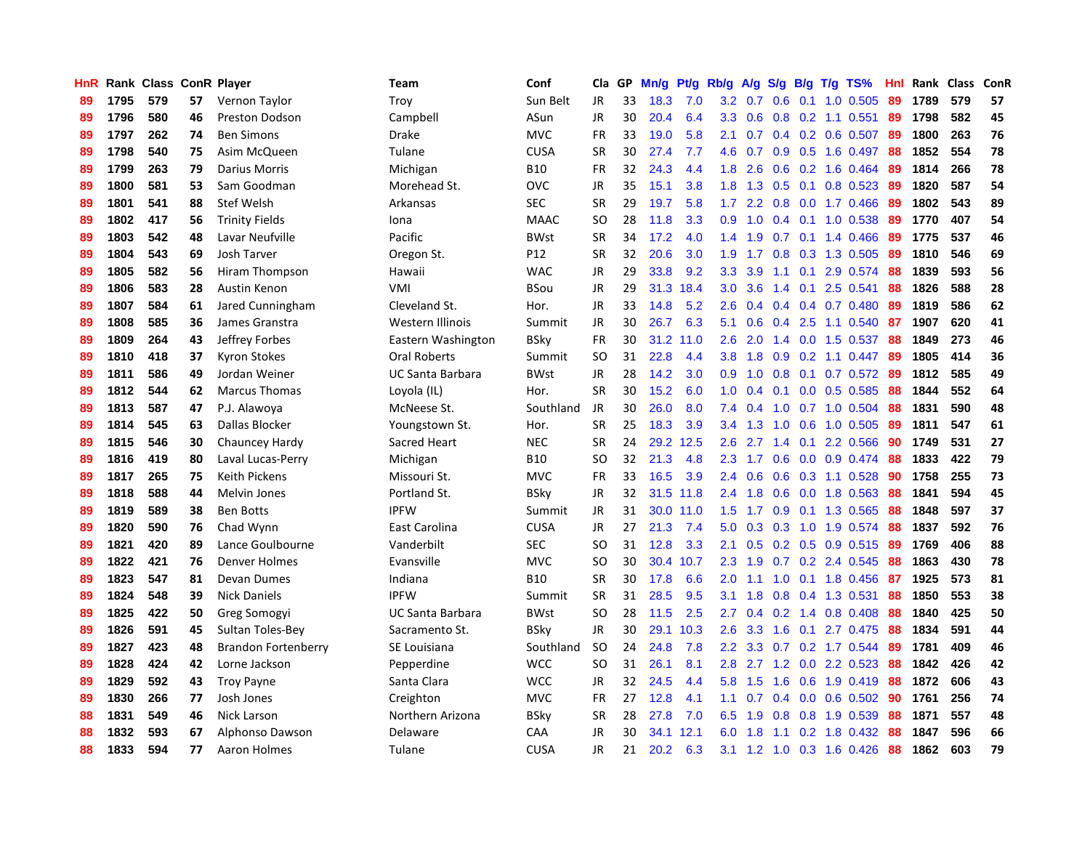| <b>HnR</b> |      | Rank Class ConR Player |    |                            | <b>Team</b>             | Conf            | Cla       | GP | Mn/g | <b>Pt/g</b> | Rb/g             | A/g             |     |     | S/g B/g T/g TS%         | Hnl | Rank | Class | ConR |
|------------|------|------------------------|----|----------------------------|-------------------------|-----------------|-----------|----|------|-------------|------------------|-----------------|-----|-----|-------------------------|-----|------|-------|------|
| 89         | 1795 | 579                    | 57 | Vernon Taylor              | Troy                    | Sun Belt        | JR        | 33 | 18.3 | 7.0         |                  | $3.2 \quad 0.7$ | 0.6 | 0.1 | 1.0 0.505               | 89  | 1789 | 579   | 57   |
| 89         | 1796 | 580                    | 46 | <b>Preston Dodson</b>      | Campbell                | ASun            | <b>JR</b> | 30 | 20.4 | 6.4         |                  | $3.3 \quad 0.6$ |     |     | $0.8$ 0.2 1.1 0.551     | -89 | 1798 | 582   | 45   |
| 89         | 1797 | 262                    | 74 | <b>Ben Simons</b>          | Drake                   | <b>MVC</b>      | <b>FR</b> | 33 | 19.0 | 5.8         | 2.1              | 0.7             |     |     | 0.4 0.2 0.6 0.507 89    |     | 1800 | 263   | 76   |
| 89         | 1798 | 540                    | 75 | Asim McQueen               | Tulane                  | <b>CUSA</b>     | <b>SR</b> | 30 | 27.4 | 7.7         | 4.6              | 0.7             |     |     | $0.9$ $0.5$ 1.6 $0.497$ | -88 | 1852 | 554   | 78   |
| 89         | 1799 | 263                    | 79 | Darius Morris              | Michigan                | <b>B10</b>      | <b>FR</b> | 32 | 24.3 | 4.4         | 1.8              | 2.6             | 0.6 |     | 0.2 1.6 0.464           | -89 | 1814 | 266   | 78   |
| 89         | 1800 | 581                    | 53 | Sam Goodman                | Morehead St.            | <b>OVC</b>      | JR        | 35 | 15.1 | 3.8         | 1.8              | 1.3             | 0.5 |     | $0.1$ 0.8 0.523         | -89 | 1820 | 587   | 54   |
| 89         | 1801 | 541                    | 88 | <b>Stef Welsh</b>          | Arkansas                | <b>SEC</b>      | <b>SR</b> | 29 | 19.7 | 5.8         | 1.7 <sub>z</sub> | 2.2             |     |     | $0.8$ 0.0 1.7 0.466     | 89  | 1802 | 543   | 89   |
| 89         | 1802 | 417                    | 56 | <b>Trinity Fields</b>      | Iona                    | <b>MAAC</b>     | SO        | 28 | 11.8 | 3.3         | 0.9 <sub>0</sub> | 1.0             |     |     | $0.4$ 0.1 1.0 0.538     | 89  | 1770 | 407   | 54   |
| 89         | 1803 | 542                    | 48 | Lavar Neufville            | Pacific                 | <b>BWst</b>     | <b>SR</b> | 34 | 17.2 | 4.0         | $1.4^{\circ}$    | 1.9             |     |     | $0.7$ 0.1 1.4 0.466     | -89 | 1775 | 537   | 46   |
| 89         | 1804 | 543                    | 69 | Josh Tarver                | Oregon St.              | P <sub>12</sub> | <b>SR</b> | 32 | 20.6 | 3.0         | 1.9 <sup>°</sup> | 1.7             |     |     | $0.8$ 0.3 1.3 0.505     | -89 | 1810 | 546   | 69   |
| 89         | 1805 | 582                    | 56 | Hiram Thompson             | Hawaii                  | <b>WAC</b>      | <b>JR</b> | 29 | 33.8 | 9.2         | 3.3 <sub>2</sub> | 3.9             |     |     | 1.1 0.1 2.9 0.574 88    |     | 1839 | 593   | 56   |
| 89         | 1806 | 583                    | 28 | Austin Kenon               | VMI                     | <b>BSou</b>     | <b>JR</b> | 29 | 31.3 | 18.4        | 3.0 <sub>1</sub> | 3.6             |     |     | 1.4 0.1 2.5 0.541       | -88 | 1826 | 588   | 28   |
| 89         | 1807 | 584                    | 61 | Jared Cunningham           | Cleveland St.           | Hor.            | <b>JR</b> | 33 | 14.8 | 5.2         | 2.6              | 0.4             |     |     | $0.4$ 0.4 0.7 0.480     | 89  | 1819 | 586   | 62   |
| 89         | 1808 | 585                    | 36 | James Granstra             | Western Illinois        | Summit          | <b>JR</b> | 30 | 26.7 | 6.3         | 5.1              | 0.6             |     |     | 0.4 2.5 1.1 0.540       | 87  | 1907 | 620   | 41   |
| 89         | 1809 | 264                    | 43 | Jeffrey Forbes             | Eastern Washington      | <b>BSky</b>     | <b>FR</b> | 30 | 31.2 | 11.0        | 2.6              | 2.0             |     |     | 1.4 0.0 1.5 0.537       | 88  | 1849 | 273   | 46   |
| 89         | 1810 | 418                    | 37 | <b>Kyron Stokes</b>        | <b>Oral Roberts</b>     | Summit          | <b>SO</b> | 31 | 22.8 | 4.4         | 3.8 <sub>2</sub> | 1.8             | 0.9 |     | $0.2$ 1.1 0.447         | 89  | 1805 | 414   | 36   |
| 89         | 1811 | 586                    | 49 | Jordan Weiner              | <b>UC Santa Barbara</b> | <b>BWst</b>     | <b>JR</b> | 28 | 14.2 | 3.0         | 0.9 <sub>0</sub> | 1.0             | 0.8 | 0.1 | $0.7$ 0.572             | -89 | 1812 | 585   | 49   |
| 89         | 1812 | 544                    | 62 | <b>Marcus Thomas</b>       | Loyola (IL)             | Hor.            | <b>SR</b> | 30 | 15.2 | 6.0         | 1.0              | 0.4             | 0.1 |     | $0.0$ 0.5 0.585         | -88 | 1844 | 552   | 64   |
| 89         | 1813 | 587                    | 47 | P.J. Alawoya               | McNeese St.             | Southland       | JR        | 30 | 26.0 | 8.0         | 7.4              | 0.4             |     |     | 1.0 0.7 1.0 0.504 88    |     | 1831 | 590   | 48   |
| 89         | 1814 | 545                    | 63 | Dallas Blocker             | Youngstown St.          | Hor.            | <b>SR</b> | 25 | 18.3 | 3.9         | 3.4              | 1.3             |     |     | 1.0 0.6 1.0 0.505       | -89 | 1811 | 547   | 61   |
| 89         | 1815 | 546                    | 30 | Chauncey Hardy             | Sacred Heart            | <b>NEC</b>      | <b>SR</b> | 24 | 29.2 | 12.5        | 2.6              | 2.7             |     |     | 1.4 0.1 2.2 0.566       | -90 | 1749 | 531   | 27   |
| 89         | 1816 | 419                    | 80 | Laval Lucas-Perry          | Michigan                | <b>B10</b>      | <b>SO</b> | 32 | 21.3 | 4.8         | 2.3              | 1.7             | 0.6 |     | 0.0 0.9 0.474           | 88  | 1833 | 422   | 79   |
| 89         | 1817 | 265                    | 75 | Keith Pickens              | Missouri St.            | <b>MVC</b>      | FR        | 33 | 16.5 | 3.9         | 2.4              | 0.6             | 0.6 |     | 0.3 1.1 0.528           | 90  | 1758 | 255   | 73   |
| 89         | 1818 | 588                    | 44 | Melvin Jones               | Portland St.            | <b>BSky</b>     | JR        | 32 | 31.5 | 11.8        | $2.4^{\circ}$    | 1.8             | 0.6 |     | 0.0 1.8 0.563           | 88  | 1841 | 594   | 45   |
| 89         | 1819 | 589                    | 38 | <b>Ben Botts</b>           | <b>IPFW</b>             | Summit          | JR        | 31 | 30.0 | 11.0        | 1.5              | 1.7             | 0.9 |     | $0.1$ 1.3 0.565         | -88 | 1848 | 597   | 37   |
| 89         | 1820 | 590                    | 76 | Chad Wynn                  | East Carolina           | <b>CUSA</b>     | <b>JR</b> | 27 | 21.3 | 7.4         | 5.0              | 0.3             | 0.3 |     | 1.0 1.9 0.574           | -88 | 1837 | 592   | 76   |
| 89         | 1821 | 420                    | 89 | Lance Goulbourne           | Vanderbilt              | <b>SEC</b>      | <b>SO</b> | 31 | 12.8 | 3.3         | 2.1              | 0.5             |     |     | 0.2 0.5 0.9 0.515 89    |     | 1769 | 406   | 88   |
| 89         | 1822 | 421                    | 76 | Denver Holmes              | Evansville              | <b>MVC</b>      | <b>SO</b> | 30 | 30.4 | 10.7        | $2.3^{\circ}$    | 1.9             |     |     | $0.7$ 0.2 2.4 0.545     | -88 | 1863 | 430   | 78   |
| 89         | 1823 | 547                    | 81 | Devan Dumes                | Indiana                 | <b>B10</b>      | <b>SR</b> | 30 | 17.8 | 6.6         | 2.0 <sub>1</sub> | 1.1             |     |     | 1.0 0.1 1.8 0.456 87    |     | 1925 | 573   | 81   |
| 89         | 1824 | 548                    | 39 | <b>Nick Daniels</b>        | <b>IPFW</b>             | Summit          | <b>SR</b> | 31 | 28.5 | 9.5         | 3.1              | 1.8             | 0.8 |     | 0.4 1.3 0.531           | 88  | 1850 | 553   | 38   |
| 89         | 1825 | 422                    | 50 | Greg Somogyi               | UC Santa Barbara        | <b>BWst</b>     | <b>SO</b> | 28 | 11.5 | 2.5         | $2.7^{\circ}$    | 0.4             | 0.2 |     | 1.4 0.8 0.408           | 88  | 1840 | 425   | 50   |
| 89         | 1826 | 591                    | 45 | Sultan Toles-Bey           | Sacramento St.          | <b>BSky</b>     | JR        | 30 | 29.1 | 10.3        | 2.6              | 3.3             | 1.6 | 0.1 | 2.7 0.475               | -88 | 1834 | 591   | 44   |
| 89         | 1827 | 423                    | 48 | <b>Brandon Fortenberry</b> | SE Louisiana            | Southland       | <b>SO</b> | 24 | 24.8 | 7.8         | $2.2^{\circ}$    | 3.3             | 0.7 |     | 0.2 1.7 0.544           | 89  | 1781 | 409   | 46   |
| 89         | 1828 | 424                    | 42 | Lorne Jackson              | Pepperdine              | <b>WCC</b>      | <b>SO</b> | 31 | 26.1 | 8.1         | 2.8              | 2.7             | 1.2 |     | 0.0 2.2 0.523           | 88  | 1842 | 426   | 42   |
| 89         | 1829 | 592                    | 43 | <b>Troy Payne</b>          | Santa Clara             | <b>WCC</b>      | <b>JR</b> | 32 | 24.5 | 4.4         | 5.8              | 1.5             | 1.6 |     | 0.6 1.9 0.419           | -88 | 1872 | 606   | 43   |
| 89         | 1830 | 266                    | 77 | Josh Jones                 | Creighton               | <b>MVC</b>      | <b>FR</b> | 27 | 12.8 | 4.1         | 1.1 <sup>2</sup> | 0.7             |     |     | 0.4 0.0 0.6 0.502 90    |     | 1761 | 256   | 74   |
| 88         | 1831 | 549                    | 46 | Nick Larson                | Northern Arizona        | <b>BSky</b>     | <b>SR</b> | 28 | 27.8 | 7.0         | 6.5              | 1.9             | 0.8 |     | 0.8 1.9 0.539           | 88  | 1871 | 557   | 48   |
| 88         | 1832 | 593                    | 67 | Alphonso Dawson            | Delaware                | CAA             | JR        | 30 | 34.1 | 12.1        | 6.0              | 1.8             | 1.1 |     | $0.2$ 1.8 0.432         | -88 | 1847 | 596   | 66   |
| 88         | 1833 | 594                    | 77 | Aaron Holmes               | Tulane                  | <b>CUSA</b>     | <b>JR</b> | 21 | 20.2 | 6.3         | 3.1              |                 |     |     | 1.2 1.0 0.3 1.6 0.426   | 88  | 1862 | 603   | 79   |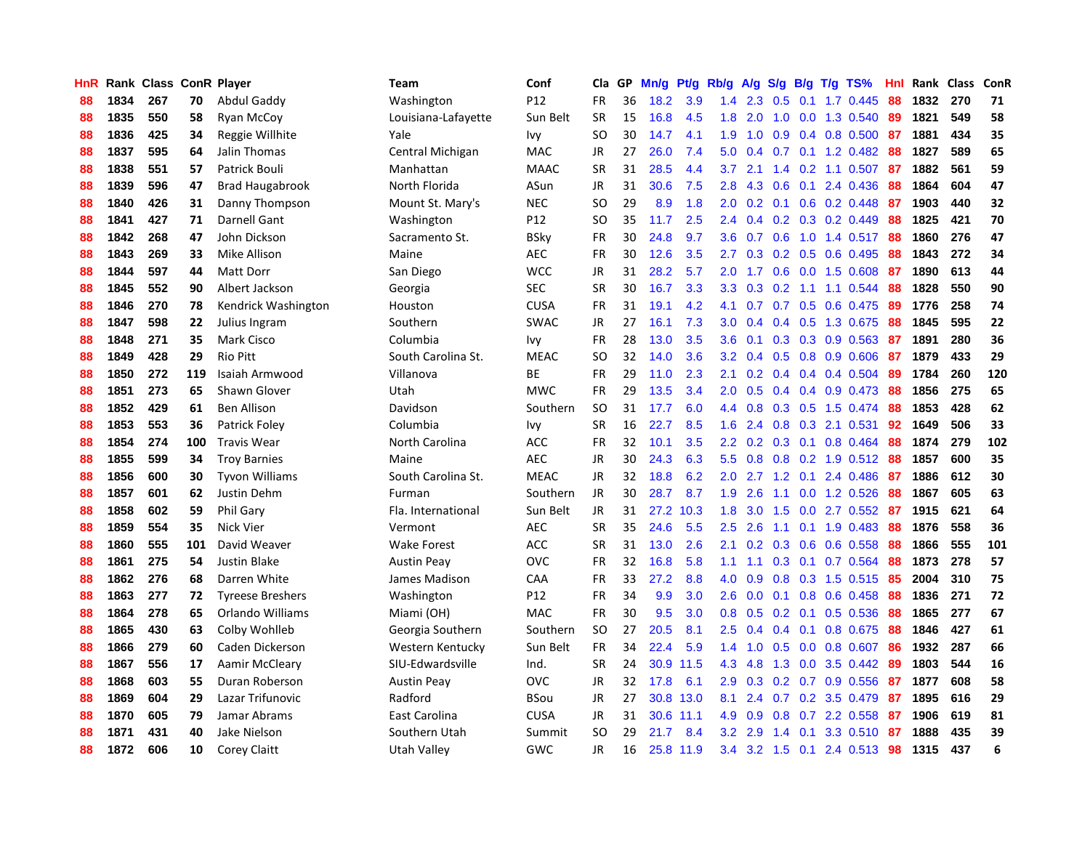| HnR |      | Rank Class ConR Player |     |                         | Team                | Conf            | Cla           | <b>GP</b> | Mn/g | <b>Pt/g</b> | Rb/g             | A/g |               |     | S/g B/g T/g TS%           | Hnl | Rank | Class | <b>ConR</b> |
|-----|------|------------------------|-----|-------------------------|---------------------|-----------------|---------------|-----------|------|-------------|------------------|-----|---------------|-----|---------------------------|-----|------|-------|-------------|
| 88  | 1834 | 267                    | 70  | Abdul Gaddy             | Washington          | P <sub>12</sub> | <b>FR</b>     | 36        | 18.2 | 3.9         | 1.4              | 2.3 | 0.5           | 0.1 | 1.7 0.445                 | 88  | 1832 | 270   | 71          |
| 88  | 1835 | 550                    | 58  | Ryan McCoy              | Louisiana-Lafayette | Sun Belt        | <b>SR</b>     | 15        | 16.8 | 4.5         | 1.8              | 2.0 |               |     | 1.0 0.0 1.3 0.540         | -89 | 1821 | 549   | 58          |
| 88  | 1836 | 425                    | 34  | Reggie Willhite         | Yale                | Ivy             | <sub>SO</sub> | 30        | 14.7 | 4.1         | 1.9              | 1.0 |               |     | $0.9$ 0.4 0.8 0.500       | -87 | 1881 | 434   | 35          |
| 88  | 1837 | 595                    | 64  | Jalin Thomas            | Central Michigan    | <b>MAC</b>      | JR            | 27        | 26.0 | 7.4         | 5.0              | 0.4 |               |     | $0.7$ 0.1 1.2 0.482       | 88  | 1827 | 589   | 65          |
| 88  | 1838 | 551                    | 57  | Patrick Bouli           | Manhattan           | <b>MAAC</b>     | <b>SR</b>     | 31        | 28.5 | 4.4         | 3.7              | 2.1 |               |     | 1.4 0.2 1.1 0.507         | -87 | 1882 | 561   | 59          |
| 88  | 1839 | 596                    | 47  | <b>Brad Haugabrook</b>  | North Florida       | ASun            | <b>JR</b>     | 31        | 30.6 | 7.5         | 2.8              | 4.3 | 0.6           |     | 0.1 2.4 0.436             | 88  | 1864 | 604   | 47          |
| 88  | 1840 | 426                    | 31  | Danny Thompson          | Mount St. Mary's    | <b>NEC</b>      | <sub>SO</sub> | 29        | 8.9  | 1.8         | 2.0              | 0.2 |               |     | $0.1$ $0.6$ $0.2$ $0.448$ | 87  | 1903 | 440   | 32          |
| 88  | 1841 | 427                    | 71  | Darnell Gant            | Washington          | P12             | SO            | 35        | 11.7 | 2.5         | $2.4^{\circ}$    | 0.4 |               |     | $0.2$ $0.3$ $0.2$ $0.449$ | 88  | 1825 | 421   | 70          |
| 88  | 1842 | 268                    | 47  | John Dickson            | Sacramento St.      | <b>BSky</b>     | FR            | 30        | 24.8 | 9.7         | 3.6              | 0.7 | 0.6           |     | 1.0 1.4 0.517             | -88 | 1860 | 276   | 47          |
| 88  | 1843 | 269                    | 33  | Mike Allison            | Maine               | <b>AEC</b>      | <b>FR</b>     | 30        | 12.6 | 3.5         | 2.7              | 0.3 |               |     | $0.2$ 0.5 0.6 0.495       | -88 | 1843 | 272   | 34          |
| 88  | 1844 | 597                    | 44  | <b>Matt Dorr</b>        | San Diego           | <b>WCC</b>      | JR            | 31        | 28.2 | 5.7         | 2.0              |     |               |     | 1.7 0.6 0.0 1.5 0.608 87  |     | 1890 | 613   | 44          |
| 88  | 1845 | 552                    | 90  | Albert Jackson          | Georgia             | <b>SEC</b>      | <b>SR</b>     | 30        | 16.7 | 3.3         | 3.3 <sub>2</sub> | 0.3 |               |     | $0.2$ 1.1 1.1 0.544       | -88 | 1828 | 550   | 90          |
| 88  | 1846 | 270                    | 78  | Kendrick Washington     | Houston             | <b>CUSA</b>     | FR            | 31        | 19.1 | 4.2         | 4.1              | 0.7 |               |     | 0.7 0.5 0.6 0.475         | -89 | 1776 | 258   | 74          |
| 88  | 1847 | 598                    | 22  | Julius Ingram           | Southern            | <b>SWAC</b>     | JR            | 27        | 16.1 | 7.3         | 3.0              | 0.4 |               |     | 0.4 0.5 1.3 0.675         | 88  | 1845 | 595   | 22          |
| 88  | 1848 | 271                    | 35  | <b>Mark Cisco</b>       | Columbia            | Ivy             | <b>FR</b>     | 28        | 13.0 | 3.5         | 3.6              | 0.1 |               |     | $0.3$ 0.3 0.9 0.563       | 87  | 1891 | 280   | 36          |
| 88  | 1849 | 428                    | 29  | <b>Rio Pitt</b>         | South Carolina St.  | <b>MEAC</b>     | <b>SO</b>     | 32        | 14.0 | 3.6         | 3.2              | 0.4 |               |     | 0.5 0.8 0.9 0.606         | 87  | 1879 | 433   | 29          |
| 88  | 1850 | 272                    | 119 | Isaiah Armwood          | Villanova           | BE              | <b>FR</b>     | 29        | 11.0 | 2.3         | 2.1              | 0.2 |               |     | $0.4$ 0.4 0.4 0.504       | 89  | 1784 | 260   | 120         |
| 88  | 1851 | 273                    | 65  | Shawn Glover            | Utah                | <b>MWC</b>      | <b>FR</b>     | 29        | 13.5 | 3.4         | 2.0              | 0.5 | 0.4           |     | 0.4 0.9 0.473 88          |     | 1856 | 275   | 65          |
| 88  | 1852 | 429                    | 61  | <b>Ben Allison</b>      | Davidson            | Southern        | <sub>SO</sub> | 31        | 17.7 | 6.0         | 4.4              | 0.8 |               |     | 0.3 0.5 1.5 0.474 88      |     | 1853 | 428   | 62          |
| 88  | 1853 | 553                    | 36  | Patrick Foley           | Columbia            | Ivy             | <b>SR</b>     | 16        | 22.7 | 8.5         | 1.6              | 2.4 |               |     | 0.8 0.3 2.1 0.531         | 92  | 1649 | 506   | 33          |
| 88  | 1854 | 274                    | 100 | <b>Travis Wear</b>      | North Carolina      | <b>ACC</b>      | FR            | 32        | 10.1 | 3.5         | 2.2              | 0.2 |               |     | $0.3$ 0.1 0.8 0.464       | -88 | 1874 | 279   | 102         |
| 88  | 1855 | 599                    | 34  | <b>Troy Barnies</b>     | Maine               | <b>AEC</b>      | <b>JR</b>     | 30        | 24.3 | 6.3         | 5.5              | 0.8 |               |     | 0.8 0.2 1.9 0.512 88      |     | 1857 | 600   | 35          |
| 88  | 1856 | 600                    | 30  | <b>Tyvon Williams</b>   | South Carolina St.  | <b>MEAC</b>     | JR            | 32        | 18.8 | 6.2         | 2.0              | 2.7 |               |     | 1.2 0.1 2.4 0.486         | -87 | 1886 | 612   | 30          |
| 88  | 1857 | 601                    | 62  | Justin Dehm             | Furman              | Southern        | <b>JR</b>     | 30        | 28.7 | 8.7         | 1.9              | 2.6 | 1.1           |     | 0.0 1.2 0.526             | 88  | 1867 | 605   | 63          |
| 88  | 1858 | 602                    | 59  | Phil Gary               | Fla. International  | Sun Belt        | JR            | 31        | 27.2 | 10.3        | 1.8              | 3.0 | 1.5           |     | $0.0$ 2.7 $0.552$         | -87 | 1915 | 621   | 64          |
| 88  | 1859 | 554                    | 35  | Nick Vier               | Vermont             | <b>AEC</b>      | <b>SR</b>     | 35        | 24.6 | 5.5         | 2.5              | 2.6 | 1.1           |     | $0.1$ 1.9 0.483           | 88  | 1876 | 558   | 36          |
| 88  | 1860 | 555                    | 101 | David Weaver            | <b>Wake Forest</b>  | <b>ACC</b>      | <b>SR</b>     | 31        | 13.0 | 2.6         | 2.1              | 0.2 |               |     | $0.3$ $0.6$ $0.6$ $0.558$ | -88 | 1866 | 555   | 101         |
| 88  | 1861 | 275                    | 54  | <b>Justin Blake</b>     | <b>Austin Peay</b>  | <b>OVC</b>      | <b>FR</b>     | 32        | 16.8 | 5.8         | 1.1              |     |               |     | 1.1 0.3 0.1 0.7 0.564 88  |     | 1873 | 278   | 57          |
| 88  | 1862 | 276                    | 68  | Darren White            | James Madison       | CAA             | <b>FR</b>     | 33        | 27.2 | 8.8         | 4.0              | 0.9 |               |     | 0.8 0.3 1.5 0.515 85      |     | 2004 | 310   | 75          |
| 88  | 1863 | 277                    | 72  | <b>Tyreese Breshers</b> | Washington          | P <sub>12</sub> | <b>FR</b>     | 34        | 9.9  | 3.0         | 2.6              | 0.0 |               |     | $0.1$ 0.8 0.6 0.458       | -88 | 1836 | 271   | 72          |
| 88  | 1864 | 278                    | 65  | Orlando Williams        | Miami (OH)          | <b>MAC</b>      | <b>FR</b>     | 30        | 9.5  | 3.0         | 0.8              | 0.5 |               |     | $0.2$ 0.1 0.5 0.536       | 88  | 1865 | 277   | 67          |
| 88  | 1865 | 430                    | 63  | Colby Wohlleb           | Georgia Southern    | Southern        | <b>SO</b>     | 27        | 20.5 | 8.1         | 2.5              | 0.4 |               |     | $0.4$ 0.1 0.8 0.675       | 88  | 1846 | 427   | 61          |
| 88  | 1866 | 279                    | 60  | Caden Dickerson         | Western Kentucky    | Sun Belt        | <b>FR</b>     | 34        | 22.4 | 5.9         | 1.4              | 1.0 | 0.5           |     | $0.0$ 0.8 0.607           | -86 | 1932 | 287   | 66          |
| 88  | 1867 | 556                    | 17  | Aamir McCleary          | SIU-Edwardsville    | Ind.            | <b>SR</b>     | 24        | 30.9 | 11.5        | 4.3              | 4.8 | 1.3           |     | $0.0$ 3.5 $0.442$         | 89  | 1803 | 544   | 16          |
| 88  | 1868 | 603                    | 55  | Duran Roberson          | <b>Austin Peay</b>  | <b>OVC</b>      | <b>JR</b>     | 32        | 17.8 | 6.1         | 2.9              | 0.3 | 0.2           |     | 0.7 0.9 0.556             | -87 | 1877 | 608   | 58          |
| 88  | 1869 | 604                    | 29  | Lazar Trifunovic        | Radford             | BSou            | JR            | 27        | 30.8 | 13.0        | 8.1              | 2.4 |               |     | 0.7 0.2 3.5 0.479         | -87 | 1895 | 616   | 29          |
| 88  | 1870 | 605                    | 79  | Jamar Abrams            | East Carolina       | <b>CUSA</b>     | JR            | 31        |      | 30.6 11.1   | 4.9              | 0.9 |               |     | $0.8$ 0.7 2.2 0.558       | -87 | 1906 | 619   | 81          |
| 88  | 1871 | 431                    | 40  | Jake Nielson            | Southern Utah       | Summit          | SO            | 29        | 21.7 | 8.4         | 3.2              | 2.9 | $1.4^{\circ}$ | 0.1 | 3.3 0.510                 | -87 | 1888 | 435   | 39          |
| 88  | 1872 | 606                    | 10  | <b>Corey Claitt</b>     | Utah Valley         | GWC             | <b>JR</b>     | 16        |      | 25.8 11.9   | $3.4^{\circ}$    |     |               |     | 3.2 1.5 0.1 2.4 0.513     | 98  | 1315 | 437   | 6           |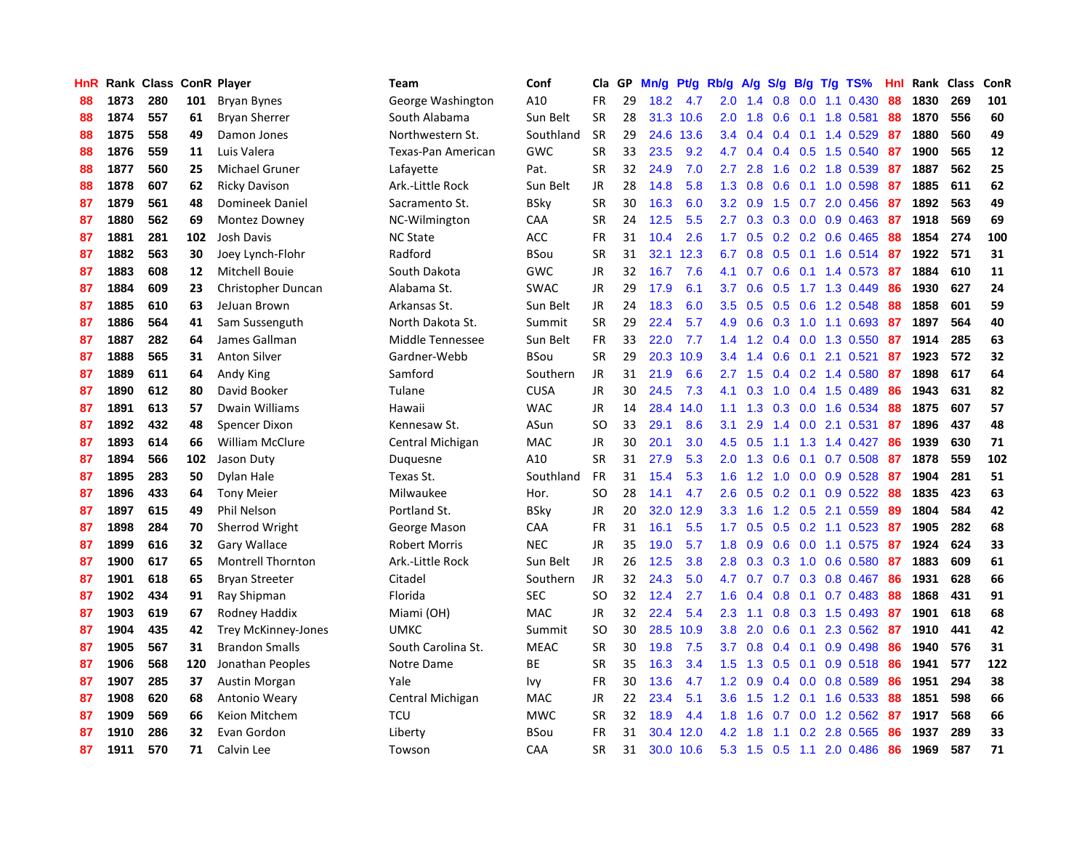| <b>HnR</b> |      | Rank Class ConR Player |     |                            | <b>Team</b>          | Conf        | Cla       | GP | Mn/g | Pf/g      | Rb/g             | A/g | S/g              |     | $B/g$ T/g TS%             | Hnl | Rank Class |     | ConR |
|------------|------|------------------------|-----|----------------------------|----------------------|-------------|-----------|----|------|-----------|------------------|-----|------------------|-----|---------------------------|-----|------------|-----|------|
| 88         | 1873 | 280                    | 101 | Bryan Bynes                | George Washington    | A10         | <b>FR</b> | 29 | 18.2 | 4.7       | 2.0              | 1.4 | 0.8              | 0.0 | 1.1 0.430                 | 88  | 1830       | 269 | 101  |
| 88         | 1874 | 557                    | 61  | <b>Bryan Sherrer</b>       | South Alabama        | Sun Belt    | <b>SR</b> | 28 |      | 31.3 10.6 | 2.0 <sub>1</sub> | 1.8 |                  |     | 0.6 0.1 1.8 0.581         | 88  | 1870       | 556 | 60   |
| 88         | 1875 | 558                    | 49  | Damon Jones                | Northwestern St.     | Southland   | <b>SR</b> | 29 | 24.6 | 13.6      | $3.4^{\circ}$    | 0.4 |                  |     | $0.4$ 0.1 1.4 0.529       | -87 | 1880       | 560 | 49   |
| 88         | 1876 | 559                    | 11  | Luis Valera                | Texas-Pan American   | GWC         | <b>SR</b> | 33 | 23.5 | 9.2       | 4.7              | 0.4 |                  |     | $0.4$ 0.5 1.5 0.540       | 87  | 1900       | 565 | 12   |
| 88         | 1877 | 560                    | 25  | Michael Gruner             | Lafayette            | Pat.        | <b>SR</b> | 32 | 24.9 | 7.0       | $2.7^{\circ}$    | 2.8 | 1.6              |     | 0.2 1.8 0.539             | 87  | 1887       | 562 | 25   |
| 88         | 1878 | 607                    | 62  | <b>Ricky Davison</b>       | Ark.-Little Rock     | Sun Belt    | JR        | 28 | 14.8 | 5.8       | 1.3              | 0.8 | 0.6              |     | $0.1$ 1.0 0.598           | 87  | 1885       | 611 | 62   |
| 87         | 1879 | 561                    | 48  | Domineek Daniel            | Sacramento St.       | <b>BSky</b> | <b>SR</b> | 30 | 16.3 | 6.0       | 3.2              | 0.9 |                  |     | 1.5 0.7 2.0 0.456         | 87  | 1892       | 563 | 49   |
| 87         | 1880 | 562                    | 69  | Montez Downey              | NC-Wilmington        | CAA         | <b>SR</b> | 24 | 12.5 | 5.5       | 2.7              | 0.3 | 0.3              |     | $0.0$ 0.9 0.463           | 87  | 1918       | 569 | 69   |
| 87         | 1881 | 281                    | 102 | Josh Davis                 | <b>NC State</b>      | ACC         | FR        | 31 | 10.4 | 2.6       | 1.7 <sub>z</sub> | 0.5 | 0.2              |     | $0.2$ 0.6 0.465           | 88  | 1854       | 274 | 100  |
| 87         | 1882 | 563                    | 30  | Joey Lynch-Flohr           | Radford              | <b>BSou</b> | <b>SR</b> | 31 | 32.1 | 12.3      | 6.7              | 0.8 |                  |     | 0.5 0.1 1.6 0.514 87      |     | 1922       | 571 | 31   |
| 87         | 1883 | 608                    | 12  | <b>Mitchell Bouie</b>      | South Dakota         | GWC         | JR        | 32 | 16.7 | 7.6       | 4.1              | 0.7 |                  |     | 0.6 0.1 1.4 0.573 87      |     | 1884       | 610 | 11   |
| 87         | 1884 | 609                    | 23  | Christopher Duncan         | Alabama St.          | <b>SWAC</b> | JR        | 29 | 17.9 | 6.1       | 3.7              | 0.6 |                  |     | $0.5$ 1.7 1.3 0.449       | -86 | 1930       | 627 | 24   |
| 87         | 1885 | 610                    | 63  | JeJuan Brown               | Arkansas St.         | Sun Belt    | JR        | 24 | 18.3 | 6.0       | $3.5^{\circ}$    | 0.5 |                  |     | 0.5 0.6 1.2 0.548         | -88 | 1858       | 601 | 59   |
| 87         | 1886 | 564                    | 41  | Sam Sussenguth             | North Dakota St.     | Summit      | <b>SR</b> | 29 | 22.4 | 5.7       | 4.9              | 0.6 | 0.3              |     | $1.0$ 1.1 0.693           | -87 | 1897       | 564 | 40   |
| 87         | 1887 | 282                    | 64  | James Gallman              | Middle Tennessee     | Sun Belt    | <b>FR</b> | 33 | 22.0 | 7.7       | 1.4              | 1.2 |                  |     | 0.4 0.0 1.3 0.550         | 87  | 1914       | 285 | 63   |
| 87         | 1888 | 565                    | 31  | <b>Anton Silver</b>        | Gardner-Webb         | <b>BSou</b> | <b>SR</b> | 29 | 20.3 | 10.9      | $3.4^{\circ}$    | 1.4 | 0.6              | 0.1 | 2.1 0.521                 | 87  | 1923       | 572 | 32   |
| 87         | 1889 | 611                    | 64  | Andy King                  | Samford              | Southern    | JR        | 31 | 21.9 | 6.6       | $2.7^{\circ}$    | 1.5 |                  |     | $0.4$ 0.2 1.4 0.580       | 87  | 1898       | 617 | 64   |
| 87         | 1890 | 612                    | 80  | David Booker               | Tulane               | <b>CUSA</b> | <b>JR</b> | 30 | 24.5 | 7.3       | 4.1              | 0.3 | 1.0              |     | $0.4$ 1.5 0.489           | 86  | 1943       | 631 | 82   |
| 87         | 1891 | 613                    | 57  | Dwain Williams             | Hawaii               | <b>WAC</b>  | JR        | 14 | 28.4 | 14.0      | 1.1              | 1.3 |                  |     | $0.3$ 0.0 1.6 0.534       | 88  | 1875       | 607 | 57   |
| 87         | 1892 | 432                    | 48  | Spencer Dixon              | Kennesaw St.         | ASun        | <b>SO</b> | 33 | 29.1 | 8.6       | 3.1              | 2.9 |                  |     | 1.4 0.0 2.1 0.531         | -87 | 1896       | 437 | 48   |
| 87         | 1893 | 614                    | 66  | <b>William McClure</b>     | Central Michigan     | <b>MAC</b>  | JR        | 30 | 20.1 | 3.0       | 4.5              | 0.5 |                  |     | $1.1$ $1.3$ $1.4$ $0.427$ | -86 | 1939       | 630 | 71   |
| 87         | 1894 | 566                    | 102 | Jason Duty                 | Duguesne             | A10         | <b>SR</b> | 31 | 27.9 | 5.3       | 2.0 <sub>1</sub> | 1.3 | 0.6              |     | $0.1$ 0.7 0.508           | -87 | 1878       | 559 | 102  |
| 87         | 1895 | 283                    | 50  | Dylan Hale                 | Texas St.            | Southland   | <b>FR</b> | 31 | 15.4 | 5.3       | 1.6              | 1.2 | 1.0              |     | $0.0$ 0.9 0.528           | 87  | 1904       | 281 | 51   |
| 87         | 1896 | 433                    | 64  | <b>Tony Meier</b>          | Milwaukee            | Hor.        | <b>SO</b> | 28 | 14.1 | 4.7       | 2.6              | 0.5 | 0.2              |     | $0.1$ 0.9 0.522           | 88  | 1835       | 423 | 63   |
| 87         | 1897 | 615                    | 49  | Phil Nelson                | Portland St.         | BSkv        | JR        | 20 | 32.0 | 12.9      | 3.3 <sub>2</sub> | 1.6 | 1.2              |     | $0.5$ 2.1 0.559           | 89  | 1804       | 584 | 42   |
| 87         | 1898 | 284                    | 70  | Sherrod Wright             | George Mason         | CAA         | <b>FR</b> | 31 | 16.1 | 5.5       | 1.7 <sub>z</sub> | 0.5 | 0.5              |     | 0.2 1.1 0.523             | -87 | 1905       | 282 | 68   |
| 87         | 1899 | 616                    | 32  | Gary Wallace               | <b>Robert Morris</b> | <b>NEC</b>  | JR        | 35 | 19.0 | 5.7       | 1.8              | 0.9 |                  |     | $0.6$ $0.0$ 1.1 $0.575$   | -87 | 1924       | 624 | 33   |
| 87         | 1900 | 617                    | 65  | <b>Montrell Thornton</b>   | Ark.-Little Rock     | Sun Belt    | JR        | 26 | 12.5 | 3.8       | 2.8 <sub>1</sub> | 0.3 |                  |     | 0.3 1.0 0.6 0.580 87      |     | 1883       | 609 | 61   |
| 87         | 1901 | 618                    | 65  | <b>Bryan Streeter</b>      | Citadel              | Southern    | JR        | 32 | 24.3 | 5.0       | 4.7              | 0.7 |                  |     | 0.7 0.3 0.8 0.467 86      |     | 1931       | 628 | 66   |
| 87         | 1902 | 434                    | 91  | Ray Shipman                | Florida              | <b>SEC</b>  | <b>SO</b> | 32 | 12.4 | 2.7       | 1.6              | 0.4 | 0.8              |     | $0.1$ 0.7 0.483           | -88 | 1868       | 431 | 91   |
| 87         | 1903 | 619                    | 67  | Rodney Haddix              | Miami (OH)           | <b>MAC</b>  | JR        | 32 | 22.4 | 5.4       | 2.3              | 1.1 | 0.8 <sub>0</sub> |     | $0.3$ 1.5 0.493           | -87 | 1901       | 618 | 68   |
| 87         | 1904 | 435                    | 42  | <b>Trey McKinney-Jones</b> | <b>UMKC</b>          | Summit      | <b>SO</b> | 30 | 28.5 | 10.9      | 3.8 <sub>2</sub> | 2.0 | 0.6              | 0.1 | 2.3 0.562                 | -87 | 1910       | 441 | 42   |
| 87         | 1905 | 567                    | 31  | <b>Brandon Smalls</b>      | South Carolina St.   | <b>MEAC</b> | <b>SR</b> | 30 | 19.8 | 7.5       | 3.7 <sub>2</sub> | 0.8 | 0.4              | 0.1 | $0.9$ 0.498               | 86  | 1940       | 576 | 31   |
| 87         | 1906 | 568                    | 120 | Jonathan Peoples           | Notre Dame           | BE          | <b>SR</b> | 35 | 16.3 | 3.4       | 1.5              | 1.3 | 0.5              | 0.1 | $0.9$ $0.518$             | -86 | 1941       | 577 | 122  |
| 87         | 1907 | 285                    | 37  | Austin Morgan              | Yale                 | Ivy         | <b>FR</b> | 30 | 13.6 | 4.7       | 1.2              | 0.9 | $0.4^{\circ}$    |     | $0.0$ 0.8 0.589           | 86  | 1951       | 294 | 38   |
| 87         | 1908 | 620                    | 68  | Antonio Weary              | Central Michigan     | <b>MAC</b>  | JR        | 22 | 23.4 | 5.1       | 3.6 <sup>°</sup> | 1.5 |                  |     | 1.2 0.1 1.6 0.533         | -88 | 1851       | 598 | 66   |
| 87         | 1909 | 569                    | 66  | Keion Mitchem              | <b>TCU</b>           | <b>MWC</b>  | <b>SR</b> | 32 | 18.9 | 4.4       | 1.8              | 1.6 | 0.7              |     | $0.0$ 1.2 $0.562$         | -87 | 1917       | 568 | 66   |
| 87         | 1910 | 286                    | 32  | Evan Gordon                | Liberty              | BSou        | FR        | 31 | 30.4 | 12.0      | 4.2              | 1.8 | 1.1              |     | 0.2 2.8 0.565             | -86 | 1937       | 289 | 33   |
| 87         | 1911 | 570                    | 71  | Calvin Lee                 | Towson               | CAA         | <b>SR</b> | 31 | 30.0 | 10.6      | 5.3              | 1.5 | 0.5              | 1.1 | 2.0 0.486                 | 86  | 1969       | 587 | 71   |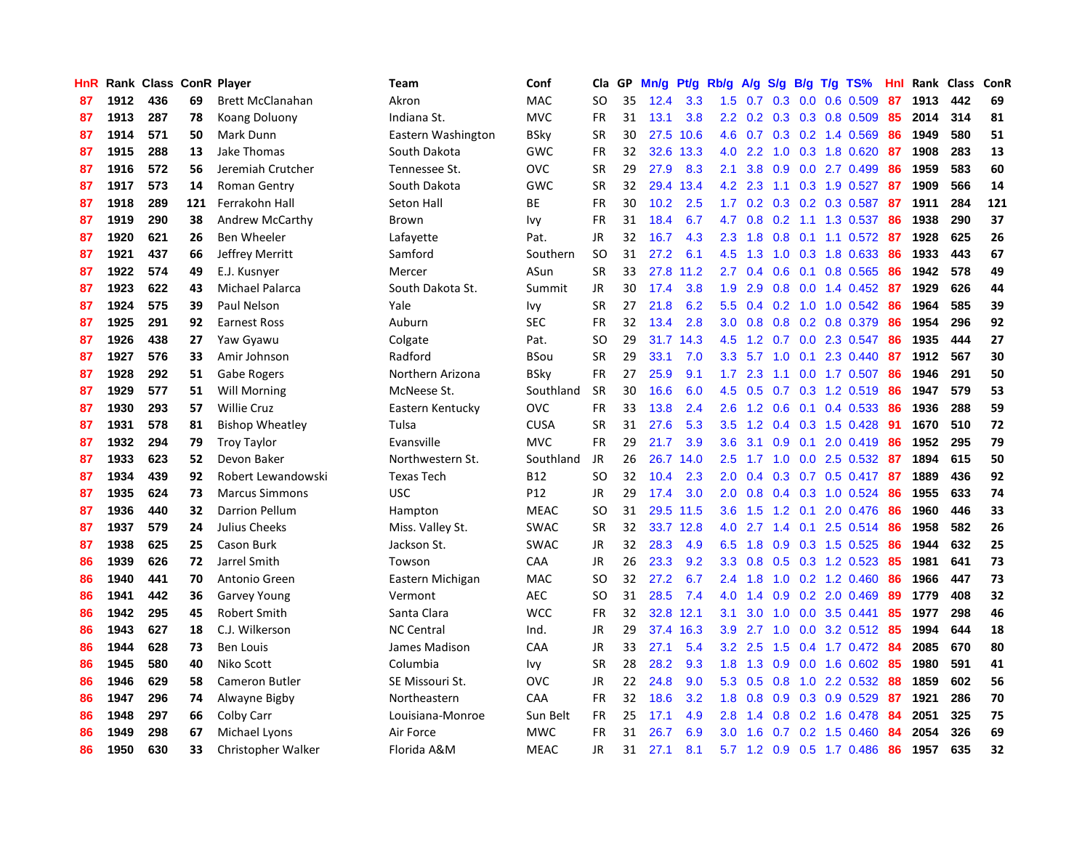| <b>HnR</b> |      | Rank Class ConR Player |     |                         | Team               | Conf        | Cla       | GP | Mn/g | <b>Pt/g</b> | Rb/g             | A/g             |     |     | S/g B/g T/g TS%           | Hnl | Rank | Class | ConR |
|------------|------|------------------------|-----|-------------------------|--------------------|-------------|-----------|----|------|-------------|------------------|-----------------|-----|-----|---------------------------|-----|------|-------|------|
| 87         | 1912 | 436                    | 69  | <b>Brett McClanahan</b> | Akron              | MAC         | <b>SO</b> | 35 | 12.4 | 3.3         | 1.5              | 0.7             | 0.3 |     | $0.0$ 0.6 0.509           | -87 | 1913 | 442   | 69   |
| 87         | 1913 | 287                    | 78  | <b>Koang Doluony</b>    | Indiana St.        | <b>MVC</b>  | <b>FR</b> | 31 | 13.1 | 3.8         |                  |                 |     |     | 2.2 0.2 0.3 0.3 0.8 0.509 | -85 | 2014 | 314   | 81   |
| 87         | 1914 | 571                    | 50  | Mark Dunn               | Eastern Washington | <b>BSky</b> | <b>SR</b> | 30 | 27.5 | 10.6        |                  |                 |     |     | 4.6 0.7 0.3 0.2 1.4 0.569 | -86 | 1949 | 580   | 51   |
| 87         | 1915 | 288                    | 13  | <b>Jake Thomas</b>      | South Dakota       | GWC         | <b>FR</b> | 32 | 32.6 | 13.3        | 4.0              | 2.2             |     |     | 1.0 0.3 1.8 0.620         | -87 | 1908 | 283   | 13   |
| 87         | 1916 | 572                    | 56  | Jeremiah Crutcher       | Tennessee St.      | <b>OVC</b>  | <b>SR</b> | 29 | 27.9 | 8.3         | 2.1              | 3.8             | 0.9 |     | $0.0$ 2.7 $0.499$         | 86  | 1959 | 583   | 60   |
| 87         | 1917 | 573                    | 14  | <b>Roman Gentry</b>     | South Dakota       | GWC         | <b>SR</b> | 32 | 29.4 | 13.4        | 4.2              | 2.3             | 1.1 |     | 0.3 1.9 0.527             | 87  | 1909 | 566   | 14   |
| 87         | 1918 | 289                    | 121 | Ferrakohn Hall          | Seton Hall         | <b>BE</b>   | <b>FR</b> | 30 | 10.2 | 2.5         | 1.7 <sub>z</sub> | 0.2             |     |     | 0.3 0.2 0.3 0.587         | 87  | 1911 | 284   | 121  |
| 87         | 1919 | 290                    | 38  | <b>Andrew McCarthy</b>  | <b>Brown</b>       | Ivy         | <b>FR</b> | 31 | 18.4 | 6.7         | 4.7              | 0.8             |     |     | $0.2$ 1.1 1.3 0.537       | 86  | 1938 | 290   | 37   |
| 87         | 1920 | 621                    | 26  | <b>Ben Wheeler</b>      | Lafayette          | Pat.        | JR        | 32 | 16.7 | 4.3         | 2.3              | 1.8             | 0.8 |     | 0.1 1.1 0.572 87          |     | 1928 | 625   | 26   |
| 87         | 1921 | 437                    | 66  | Jeffrey Merritt         | Samford            | Southern    | <b>SO</b> | 31 | 27.2 | 6.1         | 4.5              | 1.3             |     |     | 1.0 0.3 1.8 0.633         | -86 | 1933 | 443   | 67   |
| 87         | 1922 | 574                    | 49  | E.J. Kusnyer            | Mercer             | ASun        | <b>SR</b> | 33 | 27.8 | 11.2        | $2.7^{\circ}$    | 0.4             |     |     | 0.6 0.1 0.8 0.565 86      |     | 1942 | 578   | 49   |
| 87         | 1923 | 622                    | 43  | Michael Palarca         | South Dakota St.   | Summit      | JR        | 30 | 17.4 | 3.8         | 1.9 <sup>°</sup> | 2.9             |     |     | 0.8 0.0 1.4 0.452 87      |     | 1929 | 626   | 44   |
| 87         | 1924 | 575                    | 39  | Paul Nelson             | Yale               | Ivy         | <b>SR</b> | 27 | 21.8 | 6.2         | 5.5              | 0.4             |     |     | 0.2 1.0 1.0 0.542 86      |     | 1964 | 585   | 39   |
| 87         | 1925 | 291                    | 92  | <b>Earnest Ross</b>     | Auburn             | <b>SEC</b>  | <b>FR</b> | 32 | 13.4 | 2.8         | 3.0 <sub>2</sub> | 0.8             |     |     | 0.8 0.2 0.8 0.379         | 86  | 1954 | 296   | 92   |
| 87         | 1926 | 438                    | 27  | Yaw Gyawu               | Colgate            | Pat.        | <b>SO</b> | 29 | 31.7 | 14.3        | 4.5              | 1.2             |     |     | 0.7 0.0 2.3 0.547         | 86  | 1935 | 444   | 27   |
| 87         | 1927 | 576                    | 33  | Amir Johnson            | Radford            | <b>BSou</b> | <b>SR</b> | 29 | 33.1 | 7.0         | 3.3              | 5.7             | 1.0 | 0.1 | 2.3 0.440                 | 87  | 1912 | 567   | 30   |
| 87         | 1928 | 292                    | 51  | Gabe Rogers             | Northern Arizona   | <b>BSky</b> | <b>FR</b> | 27 | 25.9 | 9.1         | 1.7 <sub>2</sub> | 2.3             | 1.1 |     | $0.0$ 1.7 $0.507$         | -86 | 1946 | 291   | 50   |
| 87         | 1929 | 577                    | 51  | <b>Will Morning</b>     | McNeese St.        | Southland   | <b>SR</b> | 30 | 16.6 | 6.0         | 4.5              | 0.5             | 0.7 |     | 0.3 1.2 0.519             | 86  | 1947 | 579   | 53   |
| 87         | 1930 | 293                    | 57  | <b>Willie Cruz</b>      | Eastern Kentucky   | <b>OVC</b>  | <b>FR</b> | 33 | 13.8 | 2.4         | 2.6              |                 |     |     | 1.2 0.6 0.1 0.4 0.533 86  |     | 1936 | 288   | 59   |
| 87         | 1931 | 578                    | 81  | <b>Bishop Wheatley</b>  | Tulsa              | <b>CUSA</b> | <b>SR</b> | 31 | 27.6 | 5.3         | 3.5              | 1.2             |     |     | 0.4 0.3 1.5 0.428 91      |     | 1670 | 510   | 72   |
| 87         | 1932 | 294                    | 79  | <b>Troy Taylor</b>      | Evansville         | <b>MVC</b>  | FR        | 29 | 21.7 | 3.9         | 3.6 <sup>°</sup> | 3.1             | 0.9 |     | $0.1$ 2.0 0.419           | -86 | 1952 | 295   | 79   |
| 87         | 1933 | 623                    | 52  | Devon Baker             | Northwestern St.   | Southland   | <b>JR</b> | 26 | 26.7 | 14.0        | $2.5\,$          | 1.7             | 1.0 |     | 0.0 2.5 0.532 87          |     | 1894 | 615   | 50   |
| 87         | 1934 | 439                    | 92  | Robert Lewandowski      | <b>Texas Tech</b>  | <b>B12</b>  | <b>SO</b> | 32 | 10.4 | 2.3         | 2.0              | 0.4             |     |     | $0.3$ 0.7 0.5 0.417       | -87 | 1889 | 436   | 92   |
| 87         | 1935 | 624                    | 73  | <b>Marcus Simmons</b>   | <b>USC</b>         | P12         | JR        | 29 | 17.4 | 3.0         | 2.0 <sub>1</sub> | 0.8             |     |     | 0.4 0.3 1.0 0.524         | 86  | 1955 | 633   | 74   |
| 87         | 1936 | 440                    | 32  | <b>Darrion Pellum</b>   | Hampton            | <b>MEAC</b> | <b>SO</b> | 31 | 29.5 | 11.5        | 3.6 <sub>2</sub> | 1.5             | 1.2 | 0.1 | 2.0 0.476                 | -86 | 1960 | 446   | 33   |
| 87         | 1937 | 579                    | 24  | Julius Cheeks           | Miss. Valley St.   | SWAC        | SR        | 32 |      | 33.7 12.8   | 4.0              | 2.7             | 1.4 |     | $0.1$ 2.5 0.514           | 86  | 1958 | 582   | 26   |
| 87         | 1938 | 625                    | 25  | Cason Burk              | Jackson St.        | <b>SWAC</b> | JR        | 32 | 28.3 | 4.9         | 6.5              | 1.8             |     |     | $0.9$ 0.3 1.5 0.525       | -86 | 1944 | 632   | 25   |
| 86         | 1939 | 626                    | 72  | Jarrel Smith            | Towson             | <b>CAA</b>  | JR        | 26 | 23.3 | 9.2         |                  | $3.3 \quad 0.8$ |     |     | 0.5 0.3 1.2 0.523 85      |     | 1981 | 641   | 73   |
| 86         | 1940 | 441                    | 70  | Antonio Green           | Eastern Michigan   | <b>MAC</b>  | SO        | 32 | 27.2 | 6.7         | $2.4^{\circ}$    | 1.8             |     |     | $1.0 \t0.2 \t1.2 \t0.460$ | -86 | 1966 | 447   | 73   |
| 86         | 1941 | 442                    | 36  | <b>Garvey Young</b>     | Vermont            | <b>AEC</b>  | SO        | 31 | 28.5 | 7.4         | 4.0              | 1.4             |     |     | 0.9 0.2 2.0 0.469         | 89  | 1779 | 408   | 32   |
| 86         | 1942 | 295                    | 45  | Robert Smith            | Santa Clara        | <b>WCC</b>  | <b>FR</b> | 32 | 32.8 | 12.1        | 3.1              | 3.0             | 1.0 |     | $0.0$ 3.5 $0.441$         | 85  | 1977 | 298   | 46   |
| 86         | 1943 | 627                    | 18  | C.J. Wilkerson          | <b>NC Central</b>  | Ind.        | JR        | 29 | 37.4 | 16.3        | 3.9 <sup>°</sup> | 2.7             | 1.0 |     | 0.0 3.2 0.512 85          |     | 1994 | 644   | 18   |
| 86         | 1944 | 628                    | 73  | <b>Ben Louis</b>        | James Madison      | CAA         | JR        | 33 | 27.1 | 5.4         | 3.2              | 2.5             | 1.5 |     | $0.4$ 1.7 $0.472$         | -84 | 2085 | 670   | 80   |
| 86         | 1945 | 580                    | 40  | Niko Scott              | Columbia           | Ivy         | <b>SR</b> | 28 | 28.2 | 9.3         | 1.8              | 1.3             | 0.9 |     | $0.0$ 1.6 $0.602$         | -85 | 1980 | 591   | 41   |
| 86         | 1946 | 629                    | 58  | <b>Cameron Butler</b>   | SE Missouri St.    | <b>OVC</b>  | <b>JR</b> | 22 | 24.8 | 9.0         | 5.3              | 0.5             | 0.8 |     | 1.0 2.2 0.532             | -88 | 1859 | 602   | 56   |
| 86         | 1947 | 296                    | 74  | Alwayne Bigby           | Northeastern       | CAA         | <b>FR</b> | 32 | 18.6 | 3.2         | 1.8              | 0.8             |     |     | $0.9$ 0.3 0.9 0.529       | -87 | 1921 | 286   | 70   |
| 86         | 1948 | 297                    | 66  | Colby Carr              | Louisiana-Monroe   | Sun Belt    | <b>FR</b> | 25 | 17.1 | 4.9         | 2.8              | 1.4             |     |     | 0.8 0.2 1.6 0.478 84      |     | 2051 | 325   | 75   |
| 86         | 1949 | 298                    | 67  | Michael Lyons           | Air Force          | <b>MWC</b>  | FR        | 31 | 26.7 | 6.9         | 3.0 <sub>1</sub> | 1.6             |     |     | $0.7$ $0.2$ 1.5 $0.460$   | -84 | 2054 | 326   | 69   |
| 86         | 1950 | 630                    | 33  | Christopher Walker      | Florida A&M        | <b>MEAC</b> | <b>JR</b> | 31 | 27.1 | 8.1         |                  |                 |     |     | 5.7 1.2 0.9 0.5 1.7 0.486 | 86  | 1957 | 635   | 32   |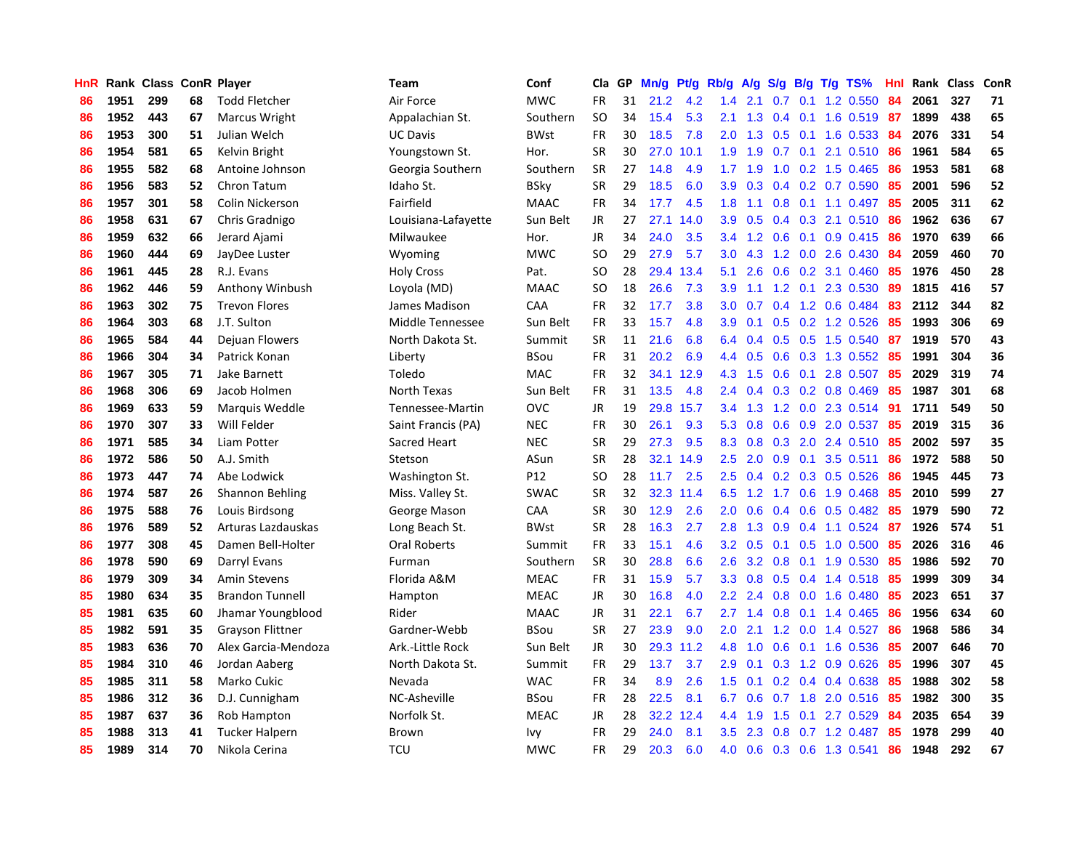| HnR |      | Rank Class ConR Player |    |                         | Team                | Conf        | Cla           | GP | Mn/g | Pt/g | Rb/g             | A/g       | S/g              |     | $B/g$ T/g TS%             | Hnl |      | Rank Class | ConR |
|-----|------|------------------------|----|-------------------------|---------------------|-------------|---------------|----|------|------|------------------|-----------|------------------|-----|---------------------------|-----|------|------------|------|
| 86  | 1951 | 299                    | 68 | <b>Todd Fletcher</b>    | Air Force           | <b>MWC</b>  | <b>FR</b>     | 31 | 21.2 | 4.2  | 1.4              | 2.1       | 0.7              | 0.1 | 1.2 0.550                 | 84  | 2061 | 327        | 71   |
| 86  | 1952 | 443                    | 67 | Marcus Wright           | Appalachian St.     | Southern    | SO            | 34 | 15.4 | 5.3  | 2.1              | 1.3       |                  |     | 0.4 0.1 1.6 0.519 87      |     | 1899 | 438        | 65   |
| 86  | 1953 | 300                    | 51 | Julian Welch            | <b>UC Davis</b>     | <b>BWst</b> | <b>FR</b>     | 30 | 18.5 | 7.8  | 2.0              | 1.3       |                  |     | 0.5 0.1 1.6 0.533 84      |     | 2076 | 331        | 54   |
| 86  | 1954 | 581                    | 65 | Kelvin Bright           | Youngstown St.      | Hor.        | SR            | 30 | 27.0 | 10.1 | 1.9              | 1.9       |                  |     | $0.7$ 0.1 2.1 0.510       | -86 | 1961 | 584        | 65   |
| 86  | 1955 | 582                    | 68 | Antoine Johnson         | Georgia Southern    | Southern    | <b>SR</b>     | 27 | 14.8 | 4.9  |                  | $1.7$ 1.9 | 1.0              |     | 0.2 1.5 0.465             | 86  | 1953 | 581        | 68   |
| 86  | 1956 | 583                    | 52 | Chron Tatum             | Idaho St.           | <b>BSky</b> | <b>SR</b>     | 29 | 18.5 | 6.0  | 3.9              | 0.3       |                  |     | $0.4$ 0.2 0.7 0.590       | 85  | 2001 | 596        | 52   |
| 86  | 1957 | 301                    | 58 | Colin Nickerson         | Fairfield           | <b>MAAC</b> | FR            | 34 | 17.7 | 4.5  | 1.8              | 1.1       |                  |     | $0.8$ 0.1 1.1 0.497       | 85  | 2005 | 311        | 62   |
| 86  | 1958 | 631                    | 67 | Chris Gradnigo          | Louisiana-Lafayette | Sun Belt    | JR            | 27 | 27.1 | 14.0 | 3.9 <sup>°</sup> | 0.5       |                  |     | 0.4 0.3 2.1 0.510         | 86  | 1962 | 636        | 67   |
| 86  | 1959 | 632                    | 66 | Jerard Ajami            | Milwaukee           | Hor.        | <b>JR</b>     | 34 | 24.0 | 3.5  | 3.4              | 1.2       | 0.6              |     | $0.1$ 0.9 0.415           | 86  | 1970 | 639        | 66   |
| 86  | 1960 | 444                    | 69 | JayDee Luster           | Wyoming             | <b>MWC</b>  | <sub>SO</sub> | 29 | 27.9 | 5.7  | 3.0 <sub>2</sub> | 4.3       |                  |     | 1.2 0.0 2.6 0.430         | -84 | 2059 | 460        | 70   |
| 86  | 1961 | 445                    | 28 | R.J. Evans              | <b>Holy Cross</b>   | Pat.        | <sub>SO</sub> | 28 | 29.4 | 13.4 | 5.1              | 2.6       |                  |     | $0.6$ $0.2$ $3.1$ $0.460$ | -85 | 1976 | 450        | 28   |
| 86  | 1962 | 446                    | 59 | Anthony Winbush         | Loyola (MD)         | <b>MAAC</b> | <b>SO</b>     | 18 | 26.6 | 7.3  | 3.9              | 1.1       |                  |     | 1.2 0.1 2.3 0.530         | -89 | 1815 | 416        | 57   |
| 86  | 1963 | 302                    | 75 | <b>Trevon Flores</b>    | James Madison       | CAA         | FR            | 32 | 17.7 | 3.8  | 3.0              | 0.7       |                  |     | 0.4 1.2 0.6 0.484         | 83  | 2112 | 344        | 82   |
| 86  | 1964 | 303                    | 68 | J.T. Sulton             | Middle Tennessee    | Sun Belt    | <b>FR</b>     | 33 | 15.7 | 4.8  | 3.9 <sup>°</sup> | 0.1       |                  |     | 0.5 0.2 1.2 0.526         | 85  | 1993 | 306        | 69   |
| 86  | 1965 | 584                    | 44 | Dejuan Flowers          | North Dakota St.    | Summit      | <b>SR</b>     | 11 | 21.6 | 6.8  | 6.4              | 0.4       |                  |     | 0.5 0.5 1.5 0.540         | 87  | 1919 | 570        | 43   |
| 86  | 1966 | 304                    | 34 | Patrick Konan           | Liberty             | BSou        | <b>FR</b>     | 31 | 20.2 | 6.9  | 4.4              | 0.5       | 0.6              |     | 0.3 1.3 0.552             | 85  | 1991 | 304        | 36   |
| 86  | 1967 | 305                    | 71 | Jake Barnett            | Toledo              | <b>MAC</b>  | <b>FR</b>     | 32 | 34.1 | 12.9 | 4.3              | 1.5       | 0.6              | 0.1 | 2.8 0.507                 | 85  | 2029 | 319        | 74   |
| 86  | 1968 | 306                    | 69 | Jacob Holmen            | North Texas         | Sun Belt    | <b>FR</b>     | 31 | 13.5 | 4.8  | 2.4              | 0.4       |                  |     | $0.3$ 0.2 0.8 0.469       | 85  | 1987 | 301        | 68   |
| 86  | 1969 | 633                    | 59 | Marquis Weddle          | Tennessee-Martin    | <b>OVC</b>  | JR            | 19 | 29.8 | 15.7 | 3.4              | 1.3       |                  |     | 1.2 0.0 2.3 0.514 91      |     | 1711 | 549        | 50   |
| 86  | 1970 | 307                    | 33 | Will Felder             | Saint Francis (PA)  | <b>NEC</b>  | <b>FR</b>     | 30 | 26.1 | 9.3  | 5.3              | 0.8       |                  |     | $0.6$ $0.9$ $2.0$ $0.537$ | -85 | 2019 | 315        | 36   |
| 86  | 1971 | 585                    | 34 | Liam Potter             | Sacred Heart        | <b>NEC</b>  | <b>SR</b>     | 29 | 27.3 | 9.5  | 8.3              | 0.8       |                  |     | $0.3$ 2.0 2.4 0.510       | -85 | 2002 | 597        | 35   |
| 86  | 1972 | 586                    | 50 | A.J. Smith              | Stetson             | ASun        | <b>SR</b>     | 28 | 32.1 | 14.9 | 2.5              | 2.0       | 0.9              |     | $0.1$ 3.5 0.511           | 86  | 1972 | 588        | 50   |
| 86  | 1973 | 447                    | 74 | Abe Lodwick             | Washington St.      | P12         | SO            | 28 | 11.7 | 2.5  | 2.5              | 0.4       |                  |     | $0.2$ 0.3 0.5 0.526       | 86  | 1945 | 445        | 73   |
| 86  | 1974 | 587                    | 26 | <b>Shannon Behling</b>  | Miss. Valley St.    | <b>SWAC</b> | <b>SR</b>     | 32 | 32.3 | 11.4 | 6.5              | 1.2       | 1.7              |     | 0.6 1.9 0.468             | 85  | 2010 | 599        | 27   |
| 86  | 1975 | 588                    | 76 | Louis Birdsong          | George Mason        | CAA         | <b>SR</b>     | 30 | 12.9 | 2.6  | 2.0              | 0.6       |                  |     | 0.4 0.6 0.5 0.482         | 85  | 1979 | 590        | 72   |
| 86  | 1976 | 589                    | 52 | Arturas Lazdauskas      | Long Beach St.      | <b>BWst</b> | <b>SR</b>     | 28 | 16.3 | 2.7  | 2.8              | 1.3       | 0.9 <sub>0</sub> |     | $0.4$ 1.1 0.524           | -87 | 1926 | 574        | 51   |
| 86  | 1977 | 308                    | 45 | Damen Bell-Holter       | Oral Roberts        | Summit      | FR            | 33 | 15.1 | 4.6  | 3.2              | 0.5       |                  |     | $0.1$ $0.5$ $1.0$ $0.500$ | -85 | 2026 | 316        | 46   |
| 86  | 1978 | 590                    | 69 | Darryl Evans            | Furman              | Southern    | <b>SR</b>     | 30 | 28.8 | 6.6  | 2.6              | 3.2       |                  |     | 0.8 0.1 1.9 0.530 85      |     | 1986 | 592        | 70   |
| 86  | 1979 | 309                    | 34 | Amin Stevens            | Florida A&M         | <b>MEAC</b> | FR            | 31 | 15.9 | 5.7  | 3.3 <sub>2</sub> | 0.8       |                  |     | 0.5 0.4 1.4 0.518 85      |     | 1999 | 309        | 34   |
| 85  | 1980 | 634                    | 35 | <b>Brandon Tunnell</b>  | Hampton             | <b>MEAC</b> | <b>JR</b>     | 30 | 16.8 | 4.0  | 2.2              | 2.4       | 0.8              |     | $0.0$ 1.6 $0.480$         | 85  | 2023 | 651        | 37   |
| 85  | 1981 | 635                    | 60 | Jhamar Youngblood       | Rider               | <b>MAAC</b> | <b>JR</b>     | 31 | 22.1 | 6.7  | 2.7              | 1.4       | 0.8              |     | $0.1$ 1.4 0.465           | 86  | 1956 | 634        | 60   |
| 85  | 1982 | 591                    | 35 | <b>Grayson Flittner</b> | Gardner-Webb        | <b>BSou</b> | <b>SR</b>     | 27 | 23.9 | 9.0  | 2.0              | 2.1       |                  |     | 1.2 0.0 1.4 0.527         | 86  | 1968 | 586        | 34   |
| 85  | 1983 | 636                    | 70 | Alex Garcia-Mendoza     | Ark.-Little Rock    | Sun Belt    | <b>JR</b>     | 30 | 29.3 | 11.2 | 4.8              | 1.0       | 0.6              |     | 0.1 1.6 0.536             | 85  | 2007 | 646        | 70   |
| 85  | 1984 | 310                    | 46 | Jordan Aaberg           | North Dakota St.    | Summit      | <b>FR</b>     | 29 | 13.7 | 3.7  | 2.9              | 0.1       | 0.3              |     | 1.2 0.9 0.626             | 85  | 1996 | 307        | 45   |
| 85  | 1985 | 311                    | 58 | Marko Cukic             | Nevada              | <b>WAC</b>  | <b>FR</b>     | 34 | 8.9  | 2.6  | 1.5              | 0.1       |                  |     | $0.2$ 0.4 0.4 0.638       | 85  | 1988 | 302        | 58   |
| 85  | 1986 | 312                    | 36 | D.J. Cunnigham          | NC-Asheville        | BSou        | <b>FR</b>     | 28 | 22.5 | 8.1  | 6.7              | 0.6       |                  |     | 0.7 1.8 2.0 0.516 85      |     | 1982 | 300        | 35   |
| 85  | 1987 | 637                    | 36 | Rob Hampton             | Norfolk St.         | <b>MEAC</b> | <b>JR</b>     | 28 | 32.2 | 12.4 | 4.4              | 1.9       | 1.5              |     | $0.1$ 2.7 0.529           | -84 | 2035 | 654        | 39   |
| 85  | 1988 | 313                    | 41 | <b>Tucker Halpern</b>   | Brown               | Ivy         | <b>FR</b>     | 29 | 24.0 | 8.1  | 3.5              | 2.3       | 0.8              |     | $0.7$ 1.2 0.487           | 85  | 1978 | 299        | 40   |
| 85  | 1989 | 314                    | 70 | Nikola Cerina           | <b>TCU</b>          | <b>MWC</b>  | FR            | 29 | 20.3 | 6.0  | 4.0              | 0.6       |                  |     | 0.3 0.6 1.3 0.541         | 86  | 1948 | 292        | 67   |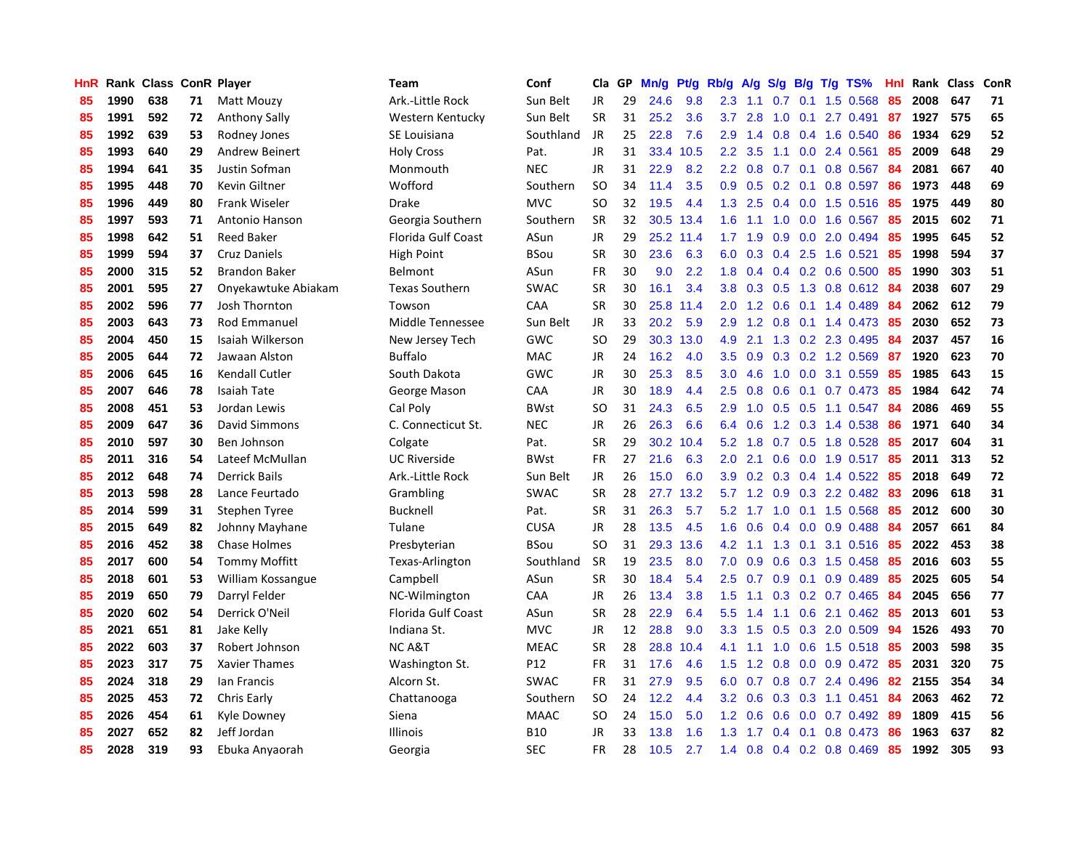| HnR |      | Rank Class ConR Player |    |                       | <b>Team</b>           | Conf        | Cla           | GP | Mn/g | Pt/g | Rb/g             | A/g    | S/g |     | $B/g$ T/g TS%              | Hnl |      | Rank Class | ConR |
|-----|------|------------------------|----|-----------------------|-----------------------|-------------|---------------|----|------|------|------------------|--------|-----|-----|----------------------------|-----|------|------------|------|
| 85  | 1990 | 638                    | 71 | Matt Mouzy            | Ark.-Little Rock      | Sun Belt    | <b>JR</b>     | 29 | 24.6 | 9.8  | 2.3              | 1.1    | 0.7 | 0.1 | 1.5 0.568                  | 85  | 2008 | 647        | 71   |
| 85  | 1991 | 592                    | 72 | <b>Anthony Sally</b>  | Western Kentucky      | Sun Belt    | <b>SR</b>     | 31 | 25.2 | 3.6  | 3.7              | 2.8    | 1.0 |     | $0.1$ 2.7 0.491            | 87  | 1927 | 575        | 65   |
| 85  | 1992 | 639                    | 53 | Rodney Jones          | SE Louisiana          | Southland   | JR            | 25 | 22.8 | 7.6  | 2.9              | 1.4    |     |     | 0.8 0.4 1.6 0.540          | 86  | 1934 | 629        | 52   |
| 85  | 1993 | 640                    | 29 | <b>Andrew Beinert</b> | <b>Holy Cross</b>     | Pat.        | JR            | 31 | 33.4 | 10.5 | $2.2\phantom{0}$ | 3.5    |     |     | 1.1 0.0 2.4 0.561          | 85  | 2009 | 648        | 29   |
| 85  | 1994 | 641                    | 35 | Justin Sofman         | Monmouth              | <b>NEC</b>  | JR            | 31 | 22.9 | 8.2  | 2.2              | 0.8    |     |     | $0.7$ 0.1 0.8 0.567        | 84  | 2081 | 667        | 40   |
| 85  | 1995 | 448                    | 70 | Kevin Giltner         | Wofford               | Southern    | <sub>SO</sub> | 34 | 11.4 | 3.5  | 0.9              | 0.5    | 0.2 | 0.1 | $0.8$ 0.597                | 86  | 1973 | 448        | 69   |
| 85  | 1996 | 449                    | 80 | <b>Frank Wiseler</b>  | Drake                 | <b>MVC</b>  | SO            | 32 | 19.5 | 4.4  | 1.3              | 2.5    |     |     | $0.4$ 0.0 1.5 0.516        | 85  | 1975 | 449        | 80   |
| 85  | 1997 | 593                    | 71 | Antonio Hanson        | Georgia Southern      | Southern    | <b>SR</b>     | 32 | 30.5 | 13.4 | 1.6              | 1.1    | 1.0 |     | $0.0$ 1.6 0.567            | 85  | 2015 | 602        | 71   |
| 85  | 1998 | 642                    | 51 | <b>Reed Baker</b>     | Florida Gulf Coast    | ASun        | <b>JR</b>     | 29 | 25.2 | 11.4 | 1.7              | 1.9    | 0.9 |     | $0.0$ 2.0 $0.494$          | 85  | 1995 | 645        | 52   |
| 85  | 1999 | 594                    | 37 | Cruz Daniels          | High Point            | <b>BSou</b> | <b>SR</b>     | 30 | 23.6 | 6.3  | 6.0              | 0.3    |     |     | $0.4$ 2.5 1.6 0.521        | 85  | 1998 | 594        | 37   |
| 85  | 2000 | 315                    | 52 | <b>Brandon Baker</b>  | Belmont               | ASun        | FR            | 30 | 9.0  | 2.2  | 1.8              |        |     |     | $0.4$ 0.4 0.2 0.6 0.500 85 |     | 1990 | 303        | 51   |
| 85  | 2001 | 595                    | 27 | Onyekawtuke Abiakam   | <b>Texas Southern</b> | <b>SWAC</b> | <b>SR</b>     | 30 | 16.1 | 3.4  | 3.8              | 0.3    |     |     | 0.5 1.3 0.8 0.612 84       |     | 2038 | 607        | 29   |
| 85  | 2002 | 596                    | 77 | Josh Thornton         | Towson                | CAA         | <b>SR</b>     | 30 | 25.8 | 11.4 | 2.0              | 1.2    |     |     | $0.6$ 0.1 1.4 0.489        | -84 | 2062 | 612        | 79   |
| 85  | 2003 | 643                    | 73 | <b>Rod Emmanuel</b>   | Middle Tennessee      | Sun Belt    | JR            | 33 | 20.2 | 5.9  | 2.9              | 1.2    | 0.8 |     | $0.1$ 1.4 0.473            | -85 | 2030 | 652        | 73   |
| 85  | 2004 | 450                    | 15 | Isaiah Wilkerson      | New Jersey Tech       | <b>GWC</b>  | <sub>SO</sub> | 29 | 30.3 | 13.0 | 4.9              | 2.1    |     |     | 1.3 0.2 2.3 0.495          | 84  | 2037 | 457        | 16   |
| 85  | 2005 | 644                    | 72 | Jawaan Alston         | <b>Buffalo</b>        | <b>MAC</b>  | <b>JR</b>     | 24 | 16.2 | 4.0  | 3.5              | 0.9    | 0.3 |     | 0.2 1.2 0.569              | 87  | 1920 | 623        | 70   |
| 85  | 2006 | 645                    | 16 | Kendall Cutler        | South Dakota          | GWC         | JR            | 30 | 25.3 | 8.5  | 3.0 <sub>2</sub> | 4.6    | 1.0 |     | $0.0$ 3.1 $0.559$          | 85  | 1985 | 643        | 15   |
| 85  | 2007 | 646                    | 78 | <b>Isaiah Tate</b>    | George Mason          | CAA         | <b>JR</b>     | 30 | 18.9 | 4.4  | 2.5              | 0.8    | 0.6 | 0.1 | $0.7$ 0.473                | -85 | 1984 | 642        | 74   |
| 85  | 2008 | 451                    | 53 | Jordan Lewis          | Cal Poly              | <b>BWst</b> | SO            | 31 | 24.3 | 6.5  | 2.9              | 1.0    |     |     | $0.5$ $0.5$ 1.1 $0.547$    | -84 | 2086 | 469        | 55   |
| 85  | 2009 | 647                    | 36 | David Simmons         | C. Connecticut St.    | <b>NEC</b>  | <b>JR</b>     | 26 | 26.3 | 6.6  | 6.4              | 0.6    |     |     | 1.2 0.3 1.4 0.538          | -86 | 1971 | 640        | 34   |
| 85  | 2010 | 597                    | 30 | Ben Johnson           | Colgate               | Pat.        | <b>SR</b>     | 29 | 30.2 | 10.4 | 5.2              | 1.8    |     |     | $0.7$ $0.5$ 1.8 $0.528$    | 85  | 2017 | 604        | 31   |
| 85  | 2011 | 316                    | 54 | Lateef McMullan       | <b>UC Riverside</b>   | <b>BWst</b> | <b>FR</b>     | 27 | 21.6 | 6.3  | 2.0              | 2.1    | 0.6 |     | $0.0$ 1.9 $0.517$          | 85  | 2011 | 313        | 52   |
| 85  | 2012 | 648                    | 74 | <b>Derrick Bails</b>  | Ark.-Little Rock      | Sun Belt    | JR            | 26 | 15.0 | 6.0  | 3.9 <sup>°</sup> | 0.2    |     |     | 0.3 0.4 1.4 0.522          | -85 | 2018 | 649        | 72   |
| 85  | 2013 | 598                    | 28 | Lance Feurtado        | Grambling             | <b>SWAC</b> | <b>SR</b>     | 28 | 27.7 | 13.2 | 5.7              | 1.2    | 0.9 |     | 0.3 2.2 0.482              | 83  | 2096 | 618        | 31   |
| 85  | 2014 | 599                    | 31 | Stephen Tyree         | Bucknell              | Pat.        | <b>SR</b>     | 31 | 26.3 | 5.7  | 5.2              | $-1.7$ | 1.0 |     | $0.1$ 1.5 0.568            | 85  | 2012 | 600        | 30   |
| 85  | 2015 | 649                    | 82 | Johnny Mayhane        | Tulane                | <b>CUSA</b> | JR            | 28 | 13.5 | 4.5  | 1.6              | 0.6    |     |     | $0.4$ 0.0 0.9 0.488        | 84  | 2057 | 661        | 84   |
| 85  | 2016 | 452                    | 38 | <b>Chase Holmes</b>   | Presbyterian          | BSou        | <sub>SO</sub> | 31 | 29.3 | 13.6 | 4.2              | $-1.1$ |     |     | 1.3 0.1 3.1 0.516 85       |     | 2022 | 453        | 38   |
| 85  | 2017 | 600                    | 54 | <b>Tommy Moffitt</b>  | Texas-Arlington       | Southland   | <b>SR</b>     | 19 | 23.5 | 8.0  | 7.0              | 0.9    |     |     | 0.6 0.3 1.5 0.458 85       |     | 2016 | 603        | 55   |
| 85  | 2018 | 601                    | 53 | William Kossangue     | Campbell              | ASun        | <b>SR</b>     | 30 | 18.4 | 5.4  | $2.5^{\circ}$    | 0.7    |     |     | $0.9$ 0.1 0.9 0.489        | -85 | 2025 | 605        | 54   |
| 85  | 2019 | 650                    | 79 | Darryl Felder         | NC-Wilmington         | CAA         | JR            | 26 | 13.4 | 3.8  | $1.5^{\circ}$    | 1.1    |     |     | $0.3$ 0.2 0.7 0.465        | -84 | 2045 | 656        | 77   |
| 85  | 2020 | 602                    | 54 | Derrick O'Neil        | Florida Gulf Coast    | ASun        | <b>SR</b>     | 28 | 22.9 | 6.4  | 5.5              | 1.4    | 1.1 |     | $0.6$ 2.1 $0.462$          | -85 | 2013 | 601        | 53   |
| 85  | 2021 | 651                    | 81 | Jake Kelly            | Indiana St.           | <b>MVC</b>  | JR            | 12 | 28.8 | 9.0  | 3.3 <sub>2</sub> | 1.5    | 0.5 |     | $0.3$ 2.0 0.509            | -94 | 1526 | 493        | 70   |
| 85  | 2022 | 603                    | 37 | Robert Johnson        | NC A&T                | <b>MEAC</b> | <b>SR</b>     | 28 | 28.8 | 10.4 | 4.1              | 1.1    | 1.0 |     | $0.6$ 1.5 0.518            | -85 | 2003 | 598        | 35   |
| 85  | 2023 | 317                    | 75 | Xavier Thames         | Washington St.        | P12         | <b>FR</b>     | 31 | 17.6 | 4.6  | 1.5              | 1.2    | 0.8 |     | $0.0$ $0.9$ $0.472$        | 85  | 2031 | 320        | 75   |
| 85  | 2024 | 318                    | 29 | lan Francis           | Alcorn St.            | <b>SWAC</b> | <b>FR</b>     | 31 | 27.9 | 9.5  | 6.0              | 0.7    | 0.8 |     | $0.7$ 2.4 0.496            | 82  | 2155 | 354        | 34   |
| 85  | 2025 | 453                    | 72 | Chris Early           | Chattanooga           | Southern    | SO            | 24 | 12.2 | 4.4  | 3.2              | 0.6    |     |     | $0.3$ 0.3 1.1 0.451        | 84  | 2063 | 462        | 72   |
| 85  | 2026 | 454                    | 61 | Kyle Downey           | Siena                 | <b>MAAC</b> | SO.           | 24 | 15.0 | 5.0  | $1.2^{\circ}$    | 0.6    |     |     | $0.6$ $0.0$ $0.7$ $0.492$  | -89 | 1809 | 415        | 56   |
| 85  | 2027 | 652                    | 82 | Jeff Jordan           | <b>Illinois</b>       | B10         | JR            | 33 | 13.8 | 1.6  | 1.3              | 1.7    |     |     | $0.4$ 0.1 0.8 0.473        | 86  | 1963 | 637        | 82   |
| 85  | 2028 | 319                    | 93 | Ebuka Anvaorah        | Georgia               | <b>SEC</b>  | <b>FR</b>     | 28 | 10.5 | 2.7  | 1.4              | 0.8    |     |     | $0.4$ 0.2 0.8 0.469        | 85  | 1992 | 305        | 93   |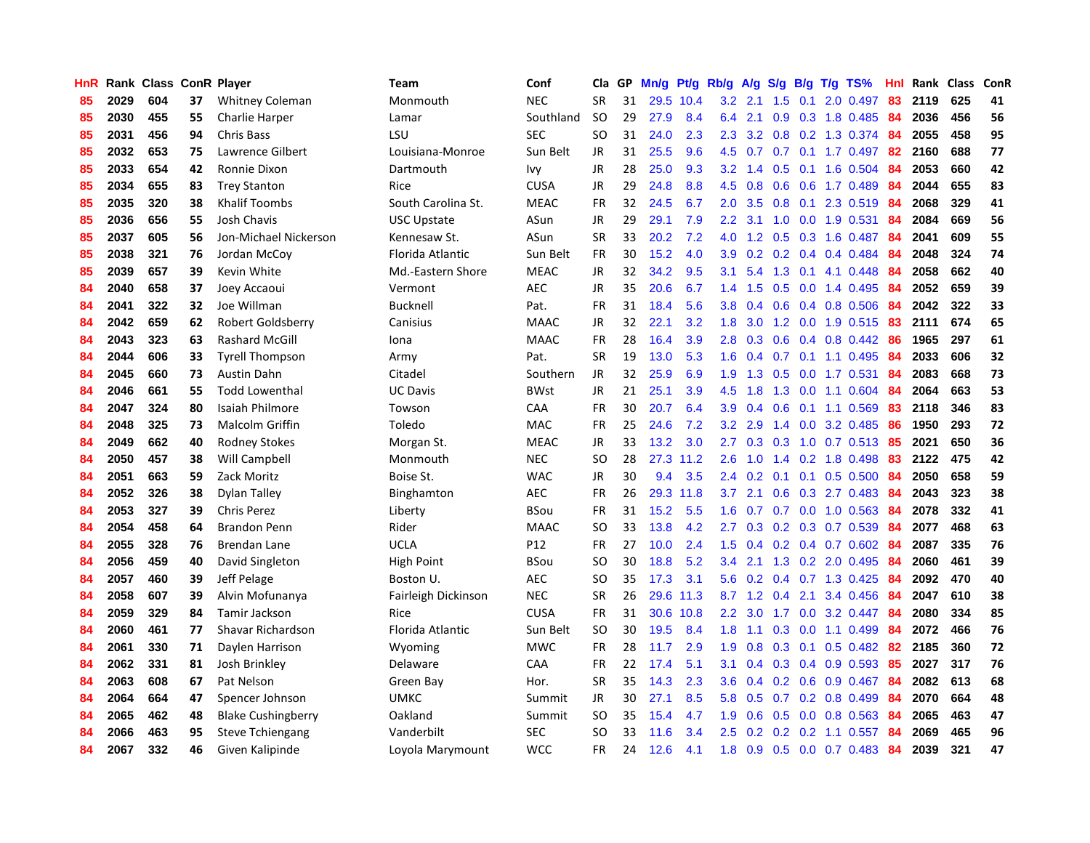| HnR |      | Rank Class ConR Player |    |                           | Team                | Conf        | Cla       | GP | Mn/g | Pt/g      | Rb/g             | A/g             |               |     | S/g B/g T/g TS%                 | Hnl | Rank | Class | ConR |
|-----|------|------------------------|----|---------------------------|---------------------|-------------|-----------|----|------|-----------|------------------|-----------------|---------------|-----|---------------------------------|-----|------|-------|------|
| 85  | 2029 | 604                    | 37 | <b>Whitney Coleman</b>    | Monmouth            | <b>NEC</b>  | <b>SR</b> | 31 |      | 29.5 10.4 |                  | $3.2$ 2.1       | 1.5           | 0.1 | 2.0 0.497                       | 83  | 2119 | 625   | 41   |
| 85  | 2030 | 455                    | 55 | <b>Charlie Harper</b>     | Lamar               | Southland   | <b>SO</b> | 29 | 27.9 | 8.4       | 6.4              | 2.1             |               |     | 0.9 0.3 1.8 0.485 84            |     | 2036 | 456   | 56   |
| 85  | 2031 | 456                    | 94 | Chris Bass                | LSU                 | <b>SEC</b>  | SO.       | 31 | 24.0 | 2.3       | 2.3              | 3.2             |               |     | 0.8 0.2 1.3 0.374 84            |     | 2055 | 458   | 95   |
| 85  | 2032 | 653                    | 75 | Lawrence Gilbert          | Louisiana-Monroe    | Sun Belt    | JR        | 31 | 25.5 | 9.6       |                  |                 |               |     | 4.5 0.7 0.7 0.1 1.7 0.497       | -82 | 2160 | 688   | 77   |
| 85  | 2033 | 654                    | 42 | Ronnie Dixon              | Dartmouth           | Ivy         | <b>JR</b> | 28 | 25.0 | 9.3       | 3.2              | 1.4             | 0.5           |     | $0.1$ 1.6 0.504                 | 84  | 2053 | 660   | 42   |
| 85  | 2034 | 655                    | 83 | <b>Trey Stanton</b>       | Rice                | <b>CUSA</b> | JR        | 29 | 24.8 | 8.8       | 4.5              | 0.8             |               |     | $0.6$ $0.6$ 1.7 $0.489$         | 84  | 2044 | 655   | 83   |
| 85  | 2035 | 320                    | 38 | <b>Khalif Toombs</b>      | South Carolina St.  | <b>MEAC</b> | <b>FR</b> | 32 | 24.5 | 6.7       | 2.0 <sub>1</sub> | 3.5             |               |     | $0.8$ 0.1 2.3 0.519             | -84 | 2068 | 329   | 41   |
| 85  | 2036 | 656                    | 55 | Josh Chavis               | <b>USC Upstate</b>  | ASun        | JR        | 29 | 29.1 | 7.9       | $2.2^{\circ}$    | 3.1             | 1.0           |     | $0.0$ 1.9 $0.531$               | -84 | 2084 | 669   | 56   |
| 85  | 2037 | 605                    | 56 | Jon-Michael Nickerson     | Kennesaw St.        | ASun        | <b>SR</b> | 33 | 20.2 | 7.2       | 4.0              | 1.2             | 0.5           |     | 0.3 1.6 0.487                   | 84  | 2041 | 609   | 55   |
| 85  | 2038 | 321                    | 76 | Jordan McCoy              | Florida Atlantic    | Sun Belt    | <b>FR</b> | 30 | 15.2 | 4.0       | 3.9 <sup>°</sup> |                 |               |     | $0.2$ $0.2$ $0.4$ $0.4$ $0.484$ | -84 | 2048 | 324   | 74   |
| 85  | 2039 | 657                    | 39 | Kevin White               | Md.-Eastern Shore   | <b>MEAC</b> | JR        | 32 | 34.2 | 9.5       | 3.1              |                 |               |     | 5.4 1.3 0.1 4.1 0.448 84        |     | 2058 | 662   | 40   |
| 84  | 2040 | 658                    | 37 | Joey Accaoui              | Vermont             | <b>AEC</b>  | <b>JR</b> | 35 | 20.6 | 6.7       | $1.4^{\circ}$    | 1.5             |               |     | $0.5$ 0.0 1.4 0.495             | -84 | 2052 | 659   | 39   |
| 84  | 2041 | 322                    | 32 | Joe Willman               | Bucknell            | Pat.        | <b>FR</b> | 31 | 18.4 | 5.6       | 3.8 <sub>1</sub> | 0.4             |               |     | 0.6 0.4 0.8 0.506               | -84 | 2042 | 322   | 33   |
| 84  | 2042 | 659                    | 62 | <b>Robert Goldsberry</b>  | Canisius            | <b>MAAC</b> | JR        | 32 | 22.1 | 3.2       | 1.8              | 3.0             |               |     | 1.2 0.0 1.9 0.515               | -83 | 2111 | 674   | 65   |
| 84  | 2043 | 323                    | 63 | <b>Rashard McGill</b>     | Iona                | <b>MAAC</b> | <b>FR</b> | 28 | 16.4 | 3.9       | 2.8              | 0.3             |               |     | 0.6 0.4 0.8 0.442               | 86  | 1965 | 297   | 61   |
| 84  | 2044 | 606                    | 33 | <b>Tyrell Thompson</b>    | Army                | Pat.        | <b>SR</b> | 19 | 13.0 | 5.3       | 1.6              | 0.4             |               |     | $0.7$ 0.1 1.1 0.495             | -84 | 2033 | 606   | 32   |
| 84  | 2045 | 660                    | 73 | Austin Dahn               | Citadel             | Southern    | <b>JR</b> | 32 | 25.9 | 6.9       | 1.9              | 1.3             | 0.5           |     | $0.0$ 1.7 $0.531$               | -84 | 2083 | 668   | 73   |
| 84  | 2046 | 661                    | 55 | <b>Todd Lowenthal</b>     | <b>UC Davis</b>     | <b>BWst</b> | <b>JR</b> | 21 | 25.1 | 3.9       | 4.5              | 1.8             | 1.3           |     | 0.0 1.1 0.604                   | -84 | 2064 | 663   | 53   |
| 84  | 2047 | 324                    | 80 | <b>Isaiah Philmore</b>    | Towson              | CAA         | <b>FR</b> | 30 | 20.7 | 6.4       | 3.9 <sup>°</sup> | 0.4             |               |     | $0.6$ 0.1 1.1 0.569             | -83 | 2118 | 346   | 83   |
| 84  | 2048 | 325                    | 73 | <b>Malcolm Griffin</b>    | Toledo              | <b>MAC</b>  | <b>FR</b> | 25 | 24.6 | 7.2       | 3.2              | 2.9             |               |     | 1.4 0.0 3.2 0.485               | 86  | 1950 | 293   | 72   |
| 84  | 2049 | 662                    | 40 | <b>Rodney Stokes</b>      | Morgan St.          | <b>MEAC</b> | JR        | 33 | 13.2 | 3.0       | $2.7^{\circ}$    | 0.3             |               |     | 0.3 1.0 0.7 0.513 85            |     | 2021 | 650   | 36   |
| 84  | 2050 | 457                    | 38 | Will Campbell             | Monmouth            | <b>NEC</b>  | <b>SO</b> | 28 | 27.3 | 11.2      | 2.6              | 1.0             |               |     | 1.4 0.2 1.8 0.498               | 83  | 2122 | 475   | 42   |
| 84  | 2051 | 663                    | 59 | Zack Moritz               | Boise St.           | <b>WAC</b>  | JR        | 30 | 9.4  | 3.5       | 2.4              | 0.2             | 0.1           |     | $0.1$ 0.5 0.500                 | 84  | 2050 | 658   | 59   |
| 84  | 2052 | 326                    | 38 | Dylan Talley              | Binghamton          | <b>AEC</b>  | FR        | 26 | 29.3 | 11.8      | 3.7              | 2.1             | 0.6           |     | $0.3$ 2.7 0.483                 | -84 | 2043 | 323   | 38   |
| 84  | 2053 | 327                    | 39 | <b>Chris Perez</b>        | Liberty             | <b>BSou</b> | FR        | 31 | 15.2 | 5.5       | 1.6              | 0.7             |               |     | 0.7 0.0 1.0 0.563               | -84 | 2078 | 332   | 41   |
| 84  | 2054 | 458                    | 64 | <b>Brandon Penn</b>       | Rider               | <b>MAAC</b> | <b>SO</b> | 33 | 13.8 | 4.2       | 2.7 <sub>2</sub> | 0.3             |               |     | 0.2 0.3 0.7 0.539               | 84  | 2077 | 468   | 63   |
| 84  | 2055 | 328                    | 76 | Brendan Lane              | UCLA                | P12         | FR        | 27 | 10.0 | 2.4       | 1.5              |                 |               |     | 0.4 0.2 0.4 0.7 0.602 84        |     | 2087 | 335   | 76   |
| 84  | 2056 | 459                    | 40 | David Singleton           | High Point          | <b>BSou</b> | <b>SO</b> | 30 | 18.8 | 5.2       | $3.4^{\circ}$    | 2.1             |               |     | 1.3 0.2 2.0 0.495 84            |     | 2060 | 461   | 39   |
| 84  | 2057 | 460                    | 39 | Jeff Pelage               | Boston U.           | <b>AEC</b>  | SO        | 35 | 17.3 | 3.1       | 5.6              | 0.2             |               |     | 0.4 0.7 1.3 0.425 84            |     | 2092 | 470   | 40   |
| 84  | 2058 | 607                    | 39 | Alvin Mofunanya           | Fairleigh Dickinson | <b>NEC</b>  | <b>SR</b> | 26 | 29.6 | 11.3      |                  | $8.7 \quad 1.2$ | $0.4^{\circ}$ |     | 2.1 3.4 0.456                   | -84 | 2047 | 610   | 38   |
| 84  | 2059 | 329                    | 84 | Tamir Jackson             | Rice                | <b>CUSA</b> | <b>FR</b> | 31 | 30.6 | 10.8      | $2.2^{\circ}$    | 3.0             | 1.7           |     | $0.0$ 3.2 $0.447$               | -84 | 2080 | 334   | 85   |
| 84  | 2060 | 461                    | 77 | Shavar Richardson         | Florida Atlantic    | Sun Belt    | <b>SO</b> | 30 | 19.5 | 8.4       | 1.8              | 1.1             | 0.3           |     | $0.0$ 1.1 $0.499$               | 84  | 2072 | 466   | 76   |
| 84  | 2061 | 330                    | 71 | Daylen Harrison           | Wyoming             | <b>MWC</b>  | <b>FR</b> | 28 | 11.7 | 2.9       | 1.9              | 0.8             | 0.3           | 0.1 | $0.5 \ 0.482$                   | -82 | 2185 | 360   | 72   |
| 84  | 2062 | 331                    | 81 | Josh Brinkley             | Delaware            | CAA         | <b>FR</b> | 22 | 17.4 | 5.1       | 3.1              | 0.4             | 0.3           |     | $0.4$ 0.9 0.593                 | -85 | 2027 | 317   | 76   |
| 84  | 2063 | 608                    | 67 | Pat Nelson                | Green Bay           | Hor.        | <b>SR</b> | 35 | 14.3 | 2.3       | 3.6 <sup>°</sup> | 0.4             |               |     | $0.2$ 0.6 0.9 0.467             | -84 | 2082 | 613   | 68   |
| 84  | 2064 | 664                    | 47 | Spencer Johnson           | UMKC                | Summit      | JR        | 30 | 27.1 | 8.5       |                  | 5.8 0.5         |               |     | $0.7$ 0.2 0.8 0.499             | -84 | 2070 | 664   | 48   |
| 84  | 2065 | 462                    | 48 | <b>Blake Cushingberry</b> | Oakland             | Summit      | SO        | 35 | 15.4 | 4.7       | 1.9 <sup>°</sup> | 0.6             |               |     | $0.5$ 0.0 0.8 0.563             | -84 | 2065 | 463   | 47   |
| 84  | 2066 | 463                    | 95 | <b>Steve Tchiengang</b>   | Vanderbilt          | <b>SEC</b>  | SO        | 33 | 11.6 | 3.4       | 2.5              | 0.2             |               |     | $0.2$ 0.2 1.1 0.557             | -84 | 2069 | 465   | 96   |
| 84  | 2067 | 332                    | 46 | Given Kalipinde           | Loyola Marymount    | <b>WCC</b>  | <b>FR</b> | 24 | 12.6 | 4.1       | 1.8              | 0.9             |               |     | $0.5$ 0.0 0.7 0.483             | 84  | 2039 | 321   | 47   |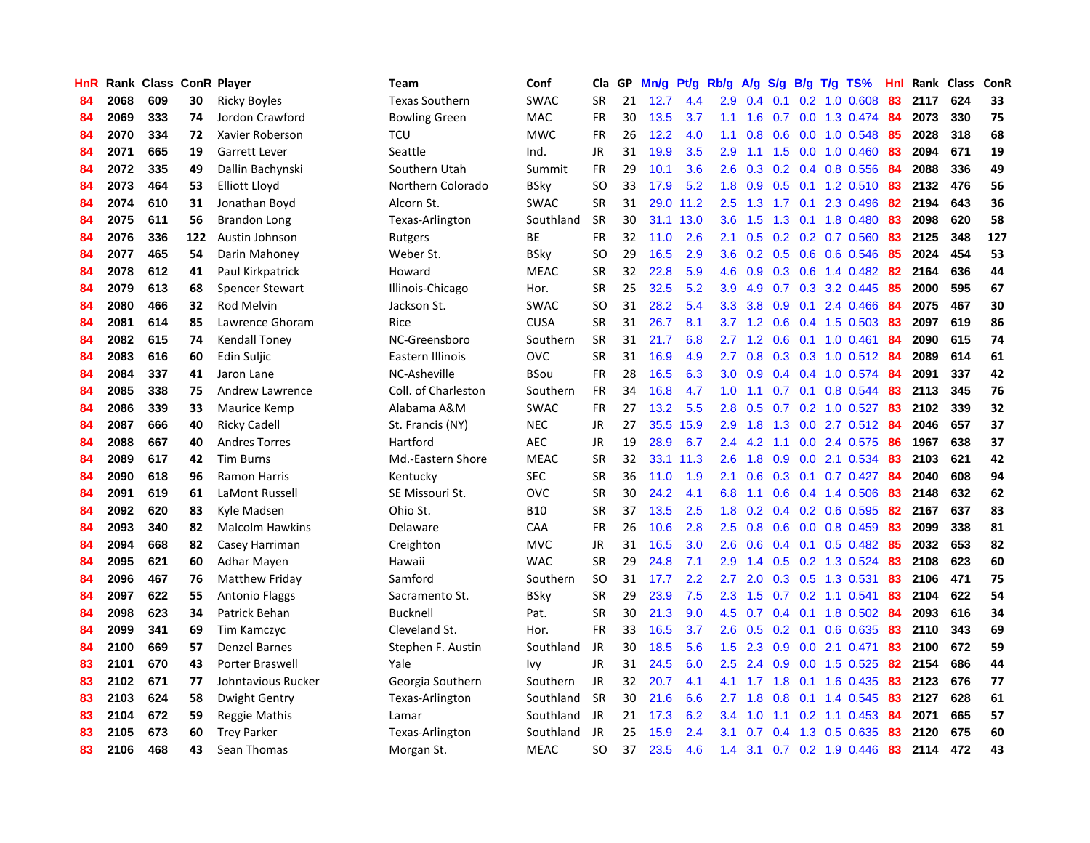| HnR |      | Rank Class ConR Player |     |                        | <b>Team</b>           | Conf        | Cla           | GP | Mn/g | <b>Pt/g</b> | Rb/g             | A/g | S/g           |                 | $B/g$ T/g TS%             | Hnl |      | Rank Class | ConR |
|-----|------|------------------------|-----|------------------------|-----------------------|-------------|---------------|----|------|-------------|------------------|-----|---------------|-----------------|---------------------------|-----|------|------------|------|
| 84  | 2068 | 609                    | 30  | <b>Ricky Boyles</b>    | <b>Texas Southern</b> | <b>SWAC</b> | <b>SR</b>     | 21 | 12.7 | 4.4         | 2.9              | 0.4 | 0.1           |                 | $0.2$ 1.0 0.608           | 83  | 2117 | 624        | 33   |
| 84  | 2069 | 333                    | 74  | Jordon Crawford        | <b>Bowling Green</b>  | <b>MAC</b>  | <b>FR</b>     | 30 | 13.5 | 3.7         | 1.1              | 1.6 |               |                 | 0.7 0.0 1.3 0.474 84      |     | 2073 | 330        | 75   |
| 84  | 2070 | 334                    | 72  | Xavier Roberson        | TCU                   | <b>MWC</b>  | <b>FR</b>     | 26 | 12.2 | 4.0         | 1.1              | 0.8 |               |                 | 0.6 0.0 1.0 0.548 85      |     | 2028 | 318        | 68   |
| 84  | 2071 | 665                    | 19  | <b>Garrett Lever</b>   | Seattle               | Ind.        | JR            | 31 | 19.9 | 3.5         | 2.9              | 1.1 |               |                 | 1.5 0.0 1.0 0.460         | -83 | 2094 | 671        | 19   |
| 84  | 2072 | 335                    | 49  | Dallin Bachynski       | Southern Utah         | Summit      | FR            | 29 | 10.1 | 3.6         | 2.6              | 0.3 |               |                 | $0.2$ 0.4 0.8 0.556       | -84 | 2088 | 336        | 49   |
| 84  | 2073 | 464                    | 53  | Elliott Lloyd          | Northern Colorado     | BSky        | <b>SO</b>     | 33 | 17.9 | 5.2         | 1.8              | 0.9 | 0.5           |                 | 0.1 1.2 0.510             | 83  | 2132 | 476        | 56   |
| 84  | 2074 | 610                    | 31  | Jonathan Boyd          | Alcorn St.            | <b>SWAC</b> | <b>SR</b>     | 31 | 29.0 | 11.2        | 2.5              | 1.3 |               | $1.7 \quad 0.1$ | 2.3 0.496                 | 82  | 2194 | 643        | 36   |
| 84  | 2075 | 611                    | 56  | <b>Brandon Long</b>    | Texas-Arlington       | Southland   | <b>SR</b>     | 30 | 31.1 | 13.0        | 3.6              | 1.5 | 1.3           |                 | $0.1$ 1.8 0.480           | 83  | 2098 | 620        | 58   |
| 84  | 2076 | 336                    | 122 | Austin Johnson         | Rutgers               | ВE          | FR            | 32 | 11.0 | 2.6         | 2.1              | 0.5 | 0.2           |                 | $0.2$ 0.7 0.560           | 83  | 2125 | 348        | 127  |
| 84  | 2077 | 465                    | 54  | Darin Mahoney          | Weber St.             | BSky        | <sub>SO</sub> | 29 | 16.5 | 2.9         | 3.6              | 0.2 |               |                 | $0.5$ 0.6 0.6 0.546       | -85 | 2024 | 454        | 53   |
| 84  | 2078 | 612                    | 41  | Paul Kirkpatrick       | Howard                | MEAC        | <b>SR</b>     | 32 | 22.8 | 5.9         | 4.6              | 0.9 |               |                 | 0.3 0.6 1.4 0.482 82      |     | 2164 | 636        | 44   |
| 84  | 2079 | 613                    | 68  | <b>Spencer Stewart</b> | Illinois-Chicago      | Hor.        | <b>SR</b>     | 25 | 32.5 | 5.2         | 3.9              | 4.9 |               |                 | $0.7$ $0.3$ $3.2$ $0.445$ | -85 | 2000 | 595        | 67   |
| 84  | 2080 | 466                    | 32  | <b>Rod Melvin</b>      | Jackson St.           | <b>SWAC</b> | <b>SO</b>     | 31 | 28.2 | 5.4         | 3.3 <sub>2</sub> | 3.8 |               |                 | $0.9$ 0.1 2.4 0.466       | -84 | 2075 | 467        | 30   |
| 84  | 2081 | 614                    | 85  | Lawrence Ghoram        | Rice                  | <b>CUSA</b> | <b>SR</b>     | 31 | 26.7 | 8.1         | 3.7              | 1.2 | 0.6           |                 | $0.4$ 1.5 0.503           | -83 | 2097 | 619        | 86   |
| 84  | 2082 | 615                    | 74  | <b>Kendall Toney</b>   | NC-Greensboro         | Southern    | <b>SR</b>     | 31 | 21.7 | 6.8         | 2.7              | 1.2 | 0.6           |                 | $0.1$ 1.0 0.461           | 84  | 2090 | 615        | 74   |
| 84  | 2083 | 616                    | 60  | Edin Suljic            | Eastern Illinois      | <b>OVC</b>  | <b>SR</b>     | 31 | 16.9 | 4.9         | 2.7              | 0.8 |               |                 | 0.3 0.3 1.0 0.512 84      |     | 2089 | 614        | 61   |
| 84  | 2084 | 337                    | 41  | Jaron Lane             | NC-Asheville          | BSou        | <b>FR</b>     | 28 | 16.5 | 6.3         | 3.0 <sub>2</sub> | 0.9 |               |                 | $0.4$ 0.4 1.0 0.574       | -84 | 2091 | 337        | 42   |
| 84  | 2085 | 338                    | 75  | <b>Andrew Lawrence</b> | Coll. of Charleston   | Southern    | <b>FR</b>     | 34 | 16.8 | 4.7         | 1.0              | 1.1 |               | $0.7 \quad 0.1$ | 0.8 0.544                 | 83  | 2113 | 345        | 76   |
| 84  | 2086 | 339                    | 33  | Maurice Kemp           | Alabama A&M           | <b>SWAC</b> | <b>FR</b>     | 27 | 13.2 | 5.5         | 2.8              | 0.5 |               |                 | $0.7$ $0.2$ $1.0$ $0.527$ | -83 | 2102 | 339        | 32   |
| 84  | 2087 | 666                    | 40  | <b>Ricky Cadell</b>    | St. Francis (NY)      | <b>NEC</b>  | <b>JR</b>     | 27 | 35.5 | 15.9        | 2.9              | 1.8 |               |                 | 1.3 0.0 2.7 0.512 84      |     | 2046 | 657        | 37   |
| 84  | 2088 | 667                    | 40  | <b>Andres Torres</b>   | Hartford              | <b>AEC</b>  | JR            | 19 | 28.9 | 6.7         | $2.4^{\circ}$    | 4.2 |               |                 | $1.1$ 0.0 2.4 0.575       | -86 | 1967 | 638        | 37   |
| 84  | 2089 | 617                    | 42  | <b>Tim Burns</b>       | Md.-Eastern Shore     | <b>MEAC</b> | <b>SR</b>     | 32 | 33.1 | 11.3        | 2.6              | 1.8 | 0.9           |                 | $0.0$ 2.1 $0.534$         | 83  | 2103 | 621        | 42   |
| 84  | 2090 | 618                    | 96  | <b>Ramon Harris</b>    | Kentucky              | <b>SEC</b>  | <b>SR</b>     | 36 | 11.0 | 1.9         | 2.1              | 0.6 |               |                 | $0.3$ 0.1 0.7 0.427       | 84  | 2040 | 608        | 94   |
| 84  | 2091 | 619                    | 61  | LaMont Russell         | SE Missouri St.       | <b>OVC</b>  | <b>SR</b>     | 30 | 24.2 | 4.1         | 6.8              | 1.1 | 0.6           |                 | $0.4$ 1.4 0.506           | 83  | 2148 | 632        | 62   |
| 84  | 2092 | 620                    | 83  | Kyle Madsen            | Ohio St.              | <b>B10</b>  | <b>SR</b>     | 37 | 13.5 | 2.5         | 1.8              | 0.2 |               |                 | $0.4$ 0.2 0.6 0.595       | 82  | 2167 | 637        | 83   |
| 84  | 2093 | 340                    | 82  | <b>Malcolm Hawkins</b> | Delaware              | CAA         | <b>FR</b>     | 26 | 10.6 | 2.8         | $2.5^{\circ}$    | 0.8 | 0.6           |                 | $0.0$ 0.8 0.459           | 83  | 2099 | 338        | 81   |
| 84  | 2094 | 668                    | 82  | Casey Harriman         | Creighton             | <b>MVC</b>  | JR            | 31 | 16.5 | 3.0         | 2.6              | 0.6 |               |                 | 0.4 0.1 0.5 0.482 85      |     | 2032 | 653        | 82   |
| 84  | 2095 | 621                    | 60  | Adhar Mayen            | Hawaii                | <b>WAC</b>  | <b>SR</b>     | 29 | 24.8 | 7.1         | 2.9              |     |               |                 | 1.4 0.5 0.2 1.3 0.524 83  |     | 2108 | 623        | 60   |
| 84  | 2096 | 467                    | 76  | Matthew Friday         | Samford               | Southern    | SO.           | 31 | 17.7 | 2.2         | 2.7              | 2.0 |               |                 | $0.3$ $0.5$ 1.3 $0.531$   | -83 | 2106 | 471        | 75   |
| 84  | 2097 | 622                    | 55  | <b>Antonio Flaggs</b>  | Sacramento St.        | BSky        | <b>SR</b>     | 29 | 23.9 | 7.5         | 2.3              | 1.5 |               |                 | $0.7$ $0.2$ 1.1 $0.541$   | 83  | 2104 | 622        | 54   |
| 84  | 2098 | 623                    | 34  | Patrick Behan          | <b>Bucknell</b>       | Pat.        | <b>SR</b>     | 30 | 21.3 | 9.0         | 4.5              | 0.7 | $0.4^{\circ}$ |                 | $0.1$ 1.8 $0.502$         | -84 | 2093 | 616        | 34   |
| 84  | 2099 | 341                    | 69  | Tim Kamczyc            | Cleveland St.         | Hor.        | <b>FR</b>     | 33 | 16.5 | 3.7         | 2.6              | 0.5 |               |                 | $0.2$ 0.1 0.6 0.635       | 83  | 2110 | 343        | 69   |
| 84  | 2100 | 669                    | 57  | <b>Denzel Barnes</b>   | Stephen F. Austin     | Southland   | JR            | 30 | 18.5 | 5.6         | 1.5              | 2.3 | 0.9           |                 | $0.0$ 2.1 $0.471$         | 83  | 2100 | 672        | 59   |
| 83  | 2101 | 670                    | 43  | Porter Braswell        | Yale                  | Ivy         | JR            | 31 | 24.5 | 6.0         | $2.5^{\circ}$    | 2.4 | 0.9           |                 | $0.0$ 1.5 0.525           | 82  | 2154 | 686        | 44   |
| 83  | 2102 | 671                    | 77  | Johntavious Rucker     | Georgia Southern      | Southern    | JR            | 32 | 20.7 | 4.1         | 4.1              | 1.7 | 1.8           |                 | $0.1$ 1.6 0.435           | 83  | 2123 | 676        | 77   |
| 83  | 2103 | 624                    | 58  | Dwight Gentry          | Texas-Arlington       | Southland   | <b>SR</b>     | 30 | 21.6 | 6.6         | 2.7              | 1.8 |               |                 | $0.8$ 0.1 1.4 0.545       | 83  | 2127 | 628        | 61   |
| 83  | 2104 | 672                    | 59  | Reggie Mathis          | Lamar                 | Southland   | <b>JR</b>     | 21 | 17.3 | 6.2         | $3.4^{\circ}$    | 1.0 |               |                 | $1.1$ 0.2 1.1 0.453       | -84 | 2071 | 665        | 57   |
| 83  | 2105 | 673                    | 60  | <b>Trey Parker</b>     | Texas-Arlington       | Southland   | JR            | 25 | 15.9 | 2.4         | 3.1              | 0.7 |               |                 | 0.4 1.3 0.5 0.635         | -83 | 2120 | 675        | 60   |
| 83  | 2106 | 468                    | 43  | Sean Thomas            | Morgan St.            | <b>MEAC</b> | <b>SO</b>     | 37 | 23.5 | 4.6         | 1.4              | 3.1 |               |                 | 0.7 0.2 1.9 0.446         | 83  | 2114 | 472        | 43   |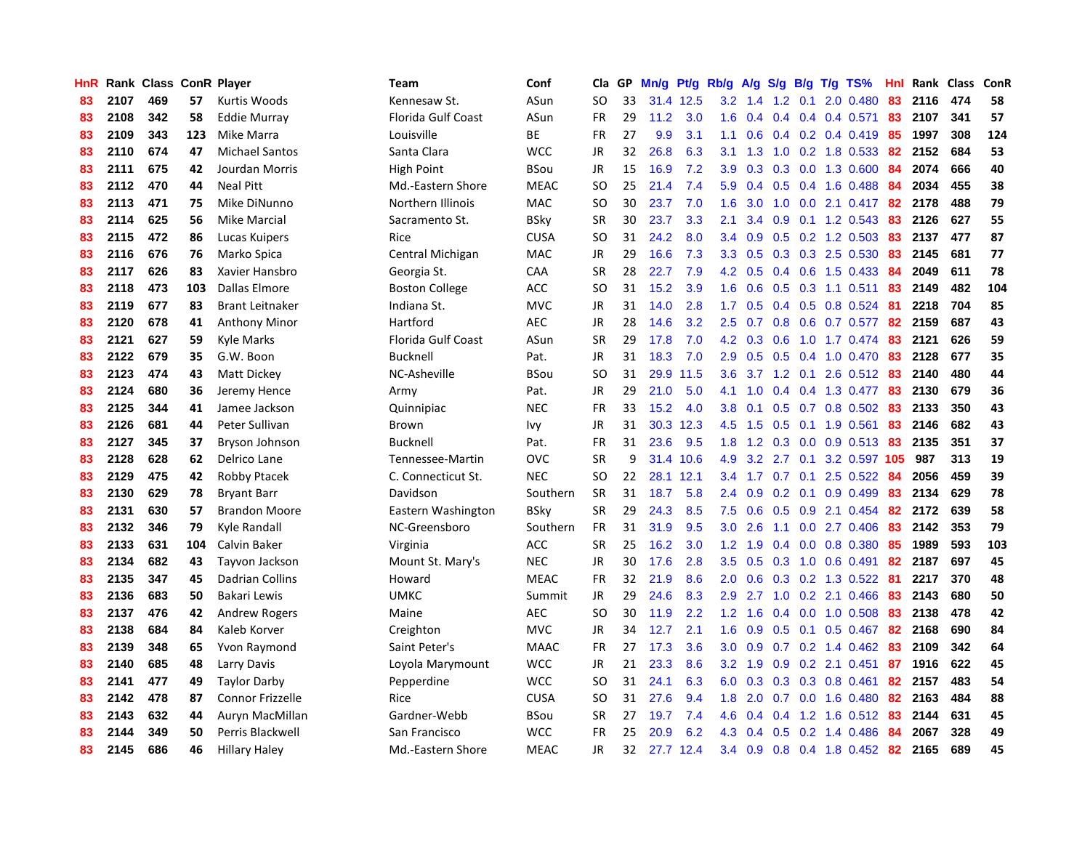| HnR |      | Rank Class ConR Player |     |                         | <b>Team</b>               | Conf        | Cla           | <b>GP</b> | Mn/g | <b>Pt/g</b> | Rb/g             | A/g             |     |                 | S/g B/g T/g TS%           | Hnl |         | Rank Class | ConR |
|-----|------|------------------------|-----|-------------------------|---------------------------|-------------|---------------|-----------|------|-------------|------------------|-----------------|-----|-----------------|---------------------------|-----|---------|------------|------|
| 83  | 2107 | 469                    | 57  | Kurtis Woods            | Kennesaw St.              | ASun        | SO            | 33        | 31.4 | 12.5        | 3.2              | 1.4             | 1.2 | 0.1             | 2.0 0.480                 | 83  | 2116    | 474        | 58   |
| 83  | 2108 | 342                    | 58  | Eddie Murray            | <b>Florida Gulf Coast</b> | ASun        | <b>FR</b>     | 29        | 11.2 | 3.0         | 1.6              | 0.4             |     |                 | $0.4$ 0.4 0.4 0.571       | 83  | 2107    | 341        | 57   |
| 83  | 2109 | 343                    | 123 | Mike Marra              | Louisville                | <b>BE</b>   | <b>FR</b>     | 27        | 9.9  | 3.1         | 1.1              | 0.6             |     |                 | $0.4$ 0.2 0.4 0.419       | -85 | 1997    | 308        | 124  |
| 83  | 2110 | 674                    | 47  | <b>Michael Santos</b>   | Santa Clara               | <b>WCC</b>  | JR            | 32        | 26.8 | 6.3         | 3.1              | 1.3             |     |                 | $1.0$ 0.2 1.8 0.533       | 82  | 2152    | 684        | 53   |
| 83  | 2111 | 675                    | 42  | Jourdan Morris          | <b>High Point</b>         | BSou        | <b>JR</b>     | 15        | 16.9 | 7.2         | 3.9              | 0.3             | 0.3 |                 | 0.0 1.3 0.600             | 84  | 2074    | 666        | 40   |
| 83  | 2112 | 470                    | 44  | <b>Neal Pitt</b>        | Md.-Eastern Shore         | <b>MEAC</b> | SO.           | 25        | 21.4 | 7.4         | 5.9              | 0.4             |     |                 | $0.5$ 0.4 1.6 0.488       | -84 | 2034    | 455        | 38   |
| 83  | 2113 | 471                    | 75  | Mike DiNunno            | Northern Illinois         | <b>MAC</b>  | <b>SO</b>     | 30        | 23.7 | 7.0         | 1.6              | 3.0             |     |                 | $1.0$ $0.0$ $2.1$ $0.417$ | 82  | 2178    | 488        | 79   |
| 83  | 2114 | 625                    | 56  | Mike Marcial            | Sacramento St.            | BSky        | <b>SR</b>     | 30        | 23.7 | 3.3         | 2.1              | 3.4             | 0.9 |                 | $0.1$ 1.2 0.543           | 83  | 2126    | 627        | 55   |
| 83  | 2115 | 472                    | 86  | Lucas Kuipers           | Rice                      | <b>CUSA</b> | SO            | 31        | 24.2 | 8.0         | $3.4^{\circ}$    | 0.9             | 0.5 |                 | 0.2 1.2 0.503             | 83  | 2137    | 477        | 87   |
| 83  | 2116 | 676                    | 76  | Marko Spica             | Central Michigan          | <b>MAC</b>  | JR            | 29        | 16.6 | 7.3         | 3.3 <sub>2</sub> | 0.5             |     |                 | $0.3$ $0.3$ $2.5$ $0.530$ | 83  | 2145    | 681        | 77   |
| 83  | 2117 | 626                    | 83  | Xavier Hansbro          | Georgia St.               | CAA         | <b>SR</b>     | 28        | 22.7 | 7.9         |                  | 4.2 0.5         |     |                 | 0.4 0.6 1.5 0.433 84      |     | 2049    | 611        | 78   |
| 83  | 2118 | 473                    | 103 | <b>Dallas Elmore</b>    | <b>Boston College</b>     | <b>ACC</b>  | SO            | 31        | 15.2 | 3.9         | 1.6              | 0.6             |     |                 | $0.5$ 0.3 1.1 0.511 83    |     | 2149    | 482        | 104  |
| 83  | 2119 | 677                    | 83  | <b>Brant Leitnaker</b>  | Indiana St.               | <b>MVC</b>  | JR            | 31        | 14.0 | 2.8         | 1.7 <sup>2</sup> | 0.5             |     |                 | 0.4 0.5 0.8 0.524         | -81 | 2218    | 704        | 85   |
| 83  | 2120 | 678                    | 41  | <b>Anthony Minor</b>    | Hartford                  | <b>AEC</b>  | JR            | 28        | 14.6 | 3.2         | 2.5              | 0.7             | 0.8 |                 | $0.6$ 0.7 0.577           | 82  | 2159    | 687        | 43   |
| 83  | 2121 | 627                    | 59  | <b>Kyle Marks</b>       | Florida Gulf Coast        | ASun        | <b>SR</b>     | 29        | 17.8 | 7.0         | 4.2              | 0.3             | 0.6 |                 | 1.0 1.7 0.474             | 83  | 2121    | 626        | 59   |
| 83  | 2122 | 679                    | 35  | G.W. Boon               | <b>Bucknell</b>           | Pat.        | JR            | 31        | 18.3 | 7.0         | 2.9              | 0.5             |     |                 | $0.5$ 0.4 1.0 0.470       | 83  | 2128    | 677        | 35   |
| 83  | 2123 | 474                    | 43  | Matt Dickey             | NC-Asheville              | BSou        | <sub>SO</sub> | 31        | 29.9 | 11.5        | 3.6              |                 |     | $3.7$ 1.2 0.1   | $2.6$ 0.512               | -83 | 2140    | 480        | 44   |
| 83  | 2124 | 680                    | 36  | Jeremy Hence            | Army                      | Pat.        | <b>JR</b>     | 29        | 21.0 | 5.0         | 4.1              | 1.0             | 0.4 |                 | 0.4 1.3 0.477             | 83  | 2130    | 679        | 36   |
| 83  | 2125 | 344                    | 41  | Jamee Jackson           | Quinnipiac                | <b>NEC</b>  | <b>FR</b>     | 33        | 15.2 | 4.0         | 3.8              | 0.1             |     |                 | 0.5 0.7 0.8 0.502 83      |     | 2133    | 350        | 43   |
| 83  | 2126 | 681                    | 44  | Peter Sullivan          | Brown                     | Ivy         | <b>JR</b>     | 31        | 30.3 | 12.3        | 4.5              | 1.5             |     |                 | $0.5$ 0.1 1.9 0.561       | 83  | 2146    | 682        | 43   |
| 83  | 2127 | 345                    | 37  | Bryson Johnson          | <b>Bucknell</b>           | Pat.        | FR            | 31        | 23.6 | 9.5         | 1.8              | 1.2             |     |                 | $0.3$ 0.0 0.9 0.513       | 83  | 2135    | 351        | 37   |
| 83  | 2128 | 628                    | 62  | Delrico Lane            | Tennessee-Martin          | <b>OVC</b>  | <b>SR</b>     | 9         |      | 31.4 10.6   | 4.9              | 3.2             |     | $2.7 \quad 0.1$ | 3.2 0.597 105             |     | 987     | 313        | 19   |
| 83  | 2129 | 475                    | 42  | <b>Robby Ptacek</b>     | C. Connecticut St.        | <b>NEC</b>  | <b>SO</b>     | 22        | 28.1 | 12.1        | 3.4              | 1.7             | 0.7 |                 | $0.1$ 2.5 0.522           | -84 | 2056    | 459        | 39   |
| 83  | 2130 | 629                    | 78  | <b>Bryant Barr</b>      | Davidson                  | Southern    | <b>SR</b>     | 31        | 18.7 | 5.8         | 2.4              | 0.9             | 0.2 |                 | $0.1$ 0.9 0.499           | 83  | 2134    | 629        | 78   |
| 83  | 2131 | 630                    | 57  | <b>Brandon Moore</b>    | Eastern Washington        | BSky        | <b>SR</b>     | 29        | 24.3 | 8.5         | 7.5              | 0.6             | 0.5 |                 | 0.9 2.1 0.454             | 82  | 2172    | 639        | 58   |
| 83  | 2132 | 346                    | 79  | Kyle Randall            | NC-Greensboro             | Southern    | <b>FR</b>     | 31        | 31.9 | 9.5         | 3.0              | 2.6             | 1.1 |                 | $0.0$ 2.7 $0.406$         | 83  | 2142    | 353        | 79   |
| 83  | 2133 | 631                    | 104 | Calvin Baker            | Virginia                  | ACC         | <b>SR</b>     | 25        | 16.2 | 3.0         | 1.2              | 1.9             |     |                 | $0.4$ 0.0 0.8 0.380       | -85 | 1989    | 593        | 103  |
| 83  | 2134 | 682                    | 43  | Tayvon Jackson          | Mount St. Mary's          | <b>NEC</b>  | <b>JR</b>     | 30        | 17.6 | 2.8         | 3.5              | 0.5             |     |                 | 0.3 1.0 0.6 0.491 82      |     | 2187    | 697        | 45   |
| 83  | 2135 | 347                    | 45  | Dadrian Collins         | Howard                    | <b>MEAC</b> | <b>FR</b>     | 32        | 21.9 | 8.6         | 2.0              | 0.6             |     |                 | 0.3 0.2 1.3 0.522 81      |     | 2217    | 370        | 48   |
| 83  | 2136 | 683                    | 50  | Bakari Lewis            | <b>UMKC</b>               | Summit      | JR            | 29        | 24.6 | 8.3         | 2.9              | 2.7             |     |                 | $1.0$ 0.2 2.1 0.466       | 83  | 2143    | 680        | 50   |
| 83  | 2137 | 476                    | 42  | Andrew Rogers           | Maine                     | <b>AEC</b>  | <b>SO</b>     | 30        | 11.9 | 2.2         | 1.2              | 1.6             | 0.4 |                 | $0.0$ 1.0 $0.508$         | -83 | 2138    | 478        | 42   |
| 83  | 2138 | 684                    | 84  | Kaleb Korver            | Creighton                 | <b>MVC</b>  | JR            | 34        | 12.7 | 2.1         | 1.6              | 0.9             | 0.5 |                 | $0.1$ 0.5 0.467           | -82 | 2168    | 690        | 84   |
| 83  | 2139 | 348                    | 65  | Yvon Raymond            | Saint Peter's             | <b>MAAC</b> | <b>FR</b>     | 27        | 17.3 | 3.6         | 3.0 <sub>2</sub> | 0.9             | 0.7 |                 | $0.2$ 1.4 $0.462$         | -83 | 2109    | 342        | 64   |
| 83  | 2140 | 685                    | 48  | Larry Davis             | Loyola Marymount          | <b>WCC</b>  | JR            | 21        | 23.3 | 8.6         |                  | $3.2 \quad 1.9$ | 0.9 |                 | 0.2 2.1 0.451             | 87  | 1916    | 622        | 45   |
| 83  | 2141 | 477                    | 49  | <b>Taylor Darby</b>     | Pepperdine                | <b>WCC</b>  | <sub>SO</sub> | 31        | 24.1 | 6.3         | 6.0              | 0.3             |     |                 | 0.3 0.3 0.8 0.461         | 82  | 2157    | 483        | 54   |
| 83  | 2142 | 478                    | 87  | <b>Connor Frizzelle</b> | Rice                      | <b>CUSA</b> | SO            | 31        | 27.6 | 9.4         | 1.8              | 2.0             |     |                 | $0.7$ 0.0 1.6 0.480       |     | 82 2163 | 484        | 88   |
| 83  | 2143 | 632                    | 44  | Auryn MacMillan         | Gardner-Webb              | BSou        | <b>SR</b>     | 27        | 19.7 | 7.4         | 4.6              | 0.4             |     |                 | $0.4$ 1.2 1.6 0.512 83    |     | 2144    | 631        | 45   |
| 83  | 2144 | 349                    | 50  | Perris Blackwell        | San Francisco             | <b>WCC</b>  | FR            | 25        | 20.9 | 6.2         | 4.3              | 0.4             |     |                 | $0.5$ 0.2 1.4 0.486       | -84 | 2067    | 328        | 49   |
| 83  | 2145 | 686                    | 46  | <b>Hillary Haley</b>    | Md.-Eastern Shore         | <b>MEAC</b> | <b>JR</b>     | 32        |      | 27.7 12.4   | 3.4              | 0.9             |     |                 | 0.8 0.4 1.8 0.452 82      |     | 2165    | 689        | 45   |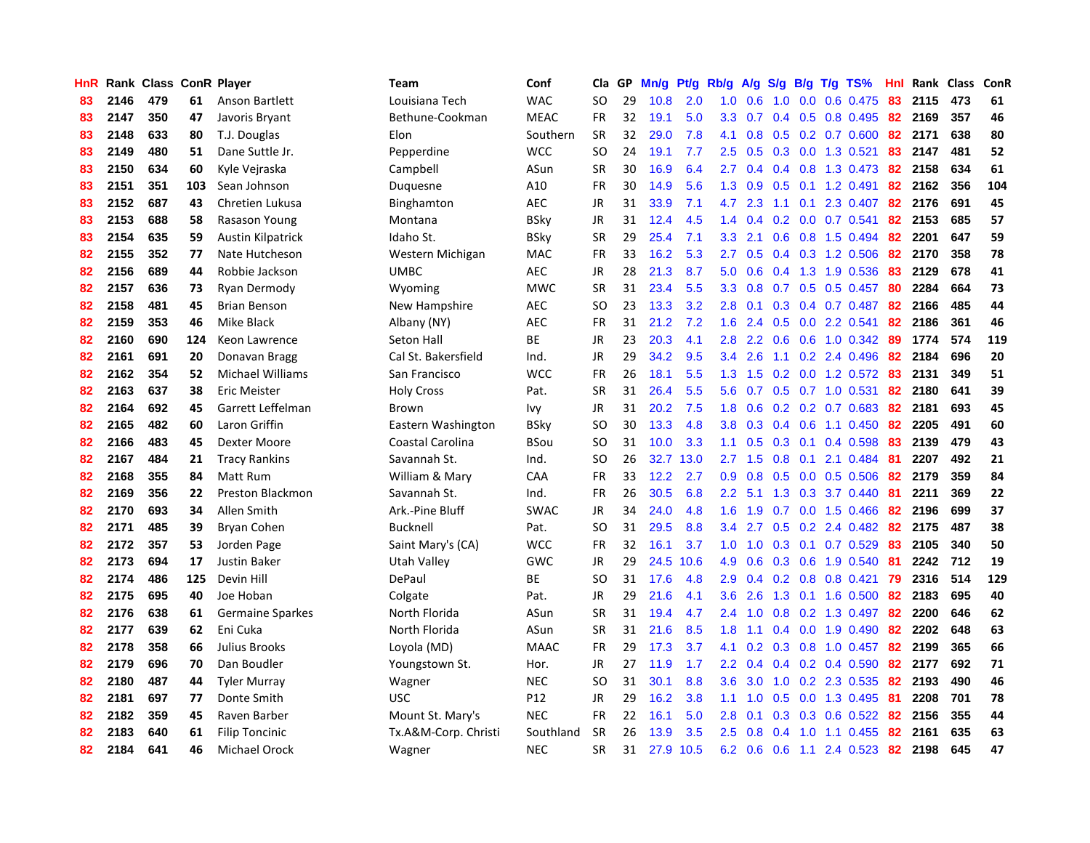| HnR |      | Rank Class ConR Player |     |                          | <b>Team</b>          | Conf            | Cla       | <b>GP</b> | Mn/g | <b>Pt/g</b> | Rb/g             | A/g           |     |     | S/g B/g T/g TS%           | Hnl |      | Rank Class | <b>ConR</b> |
|-----|------|------------------------|-----|--------------------------|----------------------|-----------------|-----------|-----------|------|-------------|------------------|---------------|-----|-----|---------------------------|-----|------|------------|-------------|
| 83  | 2146 | 479                    | 61  | Anson Bartlett           | Louisiana Tech       | <b>WAC</b>      | <b>SO</b> | 29        | 10.8 | 2.0         | 1.0              | 0.6           | 1.0 |     | $0.0$ 0.6 0.475           | -83 | 2115 | 473        | 61          |
| 83  | 2147 | 350                    | 47  | Javoris Bryant           | Bethune-Cookman      | <b>MEAC</b>     | <b>FR</b> | 32        | 19.1 | 5.0         | 3.3 <sub>2</sub> | 0.7           |     |     | $0.4$ 0.5 0.8 0.495       | -82 | 2169 | 357        | 46          |
| 83  | 2148 | 633                    | 80  | T.J. Douglas             | Elon                 | Southern        | <b>SR</b> | 32        | 29.0 | 7.8         | 4.1              | 0.8           |     |     | $0.5$ $0.2$ $0.7$ $0.600$ | 82  | 2171 | 638        | 80          |
| 83  | 2149 | 480                    | 51  | Dane Suttle Jr.          | Pepperdine           | <b>WCC</b>      | SO        | 24        | 19.1 | 7.7         | $2.5^{\circ}$    | 0.5           |     |     | 0.3 0.0 1.3 0.521         | 83  | 2147 | 481        | 52          |
| 83  | 2150 | 634                    | 60  | Kyle Vejraska            | Campbell             | ASun            | <b>SR</b> | 30        | 16.9 | 6.4         | $2.7^{\circ}$    | 0.4           |     |     | 0.4 0.8 1.3 0.473         | -82 | 2158 | 634        | 61          |
| 83  | 2151 | 351                    | 103 | Sean Johnson             | Duguesne             | A10             | <b>FR</b> | 30        | 14.9 | 5.6         | 1.3              | 0.9           |     |     | $0.5$ 0.1 1.2 0.491       | 82  | 2162 | 356        | 104         |
| 83  | 2152 | 687                    | 43  | Chretien Lukusa          | Binghamton           | <b>AEC</b>      | JR        | 31        | 33.9 | 7.1         | 4.7              | 2.3           |     |     | 1.1 0.1 2.3 0.407         | 82  | 2176 | 691        | 45          |
| 83  | 2153 | 688                    | 58  | Rasason Young            | Montana              | <b>BSky</b>     | JR        | 31        | 12.4 | 4.5         | 1.4              | 0.4           |     |     | $0.2$ 0.0 0.7 0.541       | 82  | 2153 | 685        | 57          |
| 83  | 2154 | 635                    | 59  | <b>Austin Kilpatrick</b> | Idaho St.            | <b>BSky</b>     | <b>SR</b> | 29        | 25.4 | 7.1         | 3.3 <sub>2</sub> | 2.1           | 0.6 |     | 0.8 1.5 0.494             | 82  | 2201 | 647        | 59          |
| 82  | 2155 | 352                    | 77  | Nate Hutcheson           | Western Michigan     | <b>MAC</b>      | <b>FR</b> | 33        | 16.2 | 5.3         | 2.7              | 0.5           |     |     | $0.4$ 0.3 1.2 0.506       | -82 | 2170 | 358        | 78          |
| 82  | 2156 | 689                    | 44  | Robbie Jackson           | <b>UMBC</b>          | <b>AEC</b>      | JR        | 28        | 21.3 | 8.7         | 5.0              | 0.6           |     |     | 0.4 1.3 1.9 0.536         | -83 | 2129 | 678        | 41          |
| 82  | 2157 | 636                    | 73  | Ryan Dermody             | Wyoming              | <b>MWC</b>      | <b>SR</b> | 31        | 23.4 | 5.5         | 3.3 <sub>2</sub> | 0.8           |     |     | 0.7 0.5 0.5 0.457 80      |     | 2284 | 664        | 73          |
| 82  | 2158 | 481                    | 45  | Brian Benson             | New Hampshire        | <b>AEC</b>      | SO.       | 23        | 13.3 | 3.2         | 2.8              | 0.1           |     |     | 0.3 0.4 0.7 0.487         | -82 | 2166 | 485        | 44          |
| 82  | 2159 | 353                    | 46  | Mike Black               | Albany (NY)          | <b>AEC</b>      | <b>FR</b> | 31        | 21.2 | 7.2         | 1.6              | 2.4           | 0.5 |     | 0.0 2.2 0.541             | 82  | 2186 | 361        | 46          |
| 82  | 2160 | 690                    | 124 | Keon Lawrence            | Seton Hall           | <b>BE</b>       | JR        | 23        | 20.3 | 4.1         | 2.8              | 2.2           |     |     | 0.6 0.6 1.0 0.342         | -89 | 1774 | 574        | 119         |
| 82  | 2161 | 691                    | 20  | Donavan Bragg            | Cal St. Bakersfield  | Ind.            | JR        | 29        | 34.2 | 9.5         | 3.4              | 2.6           |     |     | 1.1 0.2 2.4 0.496         | 82  | 2184 | 696        | 20          |
| 82  | 2162 | 354                    | 52  | <b>Michael Williams</b>  | San Francisco        | <b>WCC</b>      | <b>FR</b> | 26        | 18.1 | 5.5         | 1.3              | 1.5           |     |     | $0.2$ 0.0 1.2 0.572       | -83 | 2131 | 349        | 51          |
| 82  | 2163 | 637                    | 38  | Eric Meister             | <b>Holy Cross</b>    | Pat.            | <b>SR</b> | 31        | 26.4 | 5.5         | 5.6              | 0.7           | 0.5 |     | 0.7 1.0 0.531             | 82  | 2180 | 641        | 39          |
| 82  | 2164 | 692                    | 45  | Garrett Leffelman        | Brown                | Ivy             | JR        | 31        | 20.2 | 7.5         | 1.8              | 0.6           |     |     | $0.2$ 0.2 0.7 0.683       | 82  | 2181 | 693        | 45          |
| 82  | 2165 | 482                    | 60  | Laron Griffin            | Eastern Washington   | <b>BSky</b>     | <b>SO</b> | 30        | 13.3 | 4.8         | 3.8              | 0.3           |     |     | $0.4$ 0.6 1.1 0.450       | 82  | 2205 | 491        | 60          |
| 82  | 2166 | 483                    | 45  | Dexter Moore             | Coastal Carolina     | <b>BSou</b>     | <b>SO</b> | 31        | 10.0 | 3.3         | 1.1              | 0.5           |     |     | $0.3$ 0.1 0.4 0.598       | 83  | 2139 | 479        | 43          |
| 82  | 2167 | 484                    | 21  | <b>Tracy Rankins</b>     | Savannah St.         | Ind.            | <b>SO</b> | 26        | 32.7 | 13.0        | 2.7              | 1.5           | 0.8 | 0.1 | 2.1 0.484                 | 81  | 2207 | 492        | 21          |
| 82  | 2168 | 355                    | 84  | Matt Rum                 | William & Mary       | CAA             | FR        | 33        | 12.2 | 2.7         | 0.9              | 0.8           |     |     | $0.5$ 0.0 0.5 0.506       | 82  | 2179 | 359        | 84          |
| 82  | 2169 | 356                    | 22  | Preston Blackmon         | Savannah St.         | Ind.            | FR        | 26        | 30.5 | 6.8         | 2.2              | 5.1           | 1.3 |     | 0.3 3.7 0.440             | -81 | 2211 | 369        | 22          |
| 82  | 2170 | 693                    | 34  | Allen Smith              | Ark.-Pine Bluff      | <b>SWAC</b>     | JR        | 34        | 24.0 | 4.8         | 1.6              | 1.9           |     |     | 0.7 0.0 1.5 0.466         | 82  | 2196 | 699        | 37          |
| 82  | 2171 | 485                    | 39  | Bryan Cohen              | <b>Bucknell</b>      | Pat.            | <b>SO</b> | 31        | 29.5 | 8.8         | 3.4              | 2.7           | 0.5 |     | $0.2$ 2.4 $0.482$         | -82 | 2175 | 487        | 38          |
| 82  | 2172 | 357                    | 53  | Jorden Page              | Saint Mary's (CA)    | <b>WCC</b>      | FR        | 32        | 16.1 | 3.7         | 1.0              | 1.0           |     |     | $0.3$ 0.1 0.7 0.529       | 83  | 2105 | 340        | 50          |
| 82  | 2173 | 694                    | 17  | <b>Justin Baker</b>      | Utah Valley          | GWC             | JR        | 29        | 24.5 | 10.6        | 4.9              | 0.6           |     |     | $0.3$ 0.6 1.9 0.540       | -81 | 2242 | 712        | 19          |
| 82  | 2174 | 486                    | 125 | Devin Hill               | DePaul               | ВE              | SO.       | 31        | 17.6 | 4.8         | 2.9 <sup>°</sup> | $0.4^{\circ}$ |     |     | $0.2$ 0.8 0.8 0.421       | 79  | 2316 | 514        | 129         |
| 82  | 2175 | 695                    | 40  | Joe Hoban                | Colgate              | Pat.            | JR        | 29        | 21.6 | 4.1         | 3.6 <sup>°</sup> | 2.6           |     |     | 1.3 0.1 1.6 0.500         | -82 | 2183 | 695        | 40          |
| 82  | 2176 | 638                    | 61  | Germaine Sparkes         | North Florida        | ASun            | <b>SR</b> | 31        | 19.4 | 4.7         | 2.4              | 1.0           | 0.8 |     | 0.2 1.3 0.497             | 82  | 2200 | 646        | 62          |
| 82  | 2177 | 639                    | 62  | Eni Cuka                 | North Florida        | ASun            | <b>SR</b> | 31        | 21.6 | 8.5         | 1.8              | 1.1           |     |     | $0.4$ 0.0 1.9 0.490       | 82  | 2202 | 648        | 63          |
| 82  | 2178 | 358                    | 66  | Julius Brooks            | Loyola (MD)          | <b>MAAC</b>     | <b>FR</b> | 29        | 17.3 | 3.7         | 4.1              | 0.2           |     |     | $0.3$ 0.8 1.0 0.457       | 82  | 2199 | 365        | 66          |
| 82  | 2179 | 696                    | 70  | Dan Boudler              | Youngstown St.       | Hor.            | JR        | 27        | 11.9 | 1.7         | $2.2^{\circ}$    | 0.4           |     |     | 0.4 0.2 0.4 0.590         | 82  | 2177 | 692        | 71          |
| 82  | 2180 | 487                    | 44  | <b>Tyler Murray</b>      | Wagner               | <b>NEC</b>      | SO.       | 31        | 30.1 | 8.8         | 3.6              | 3.0           | 1.0 |     | 0.2 2.3 0.535             | -82 | 2193 | 490        | 46          |
| 82  | 2181 | 697                    | 77  | Donte Smith              | <b>USC</b>           | P <sub>12</sub> | JR        | 29        | 16.2 | 3.8         | 1.1              | 1.0           |     |     | 0.5 0.0 1.3 0.495         | -81 | 2208 | 701        | 78          |
| 82  | 2182 | 359                    | 45  | Raven Barber             | Mount St. Mary's     | <b>NEC</b>      | <b>FR</b> | 22        | 16.1 | 5.0         | 2.8              | 0.1           |     |     | $0.3$ 0.3 0.6 0.522       | -82 | 2156 | 355        | 44          |
| 82  | 2183 | 640                    | 61  | <b>Filip Toncinic</b>    | Tx.A&M-Corp. Christi | Southland       | <b>SR</b> | 26        | 13.9 | 3.5         | $2.5^{\circ}$    | 0.8           |     |     | 0.4 1.0 1.1 0.455         | 82  | 2161 | 635        | 63          |
| 82  | 2184 | 641                    | 46  | Michael Orock            | Wagner               | <b>NEC</b>      | <b>SR</b> | 31        | 27.9 | 10.5        | 6.2              | 0.6           |     |     | 0.6 1.1 2.4 0.523 82      |     | 2198 | 645        | 47          |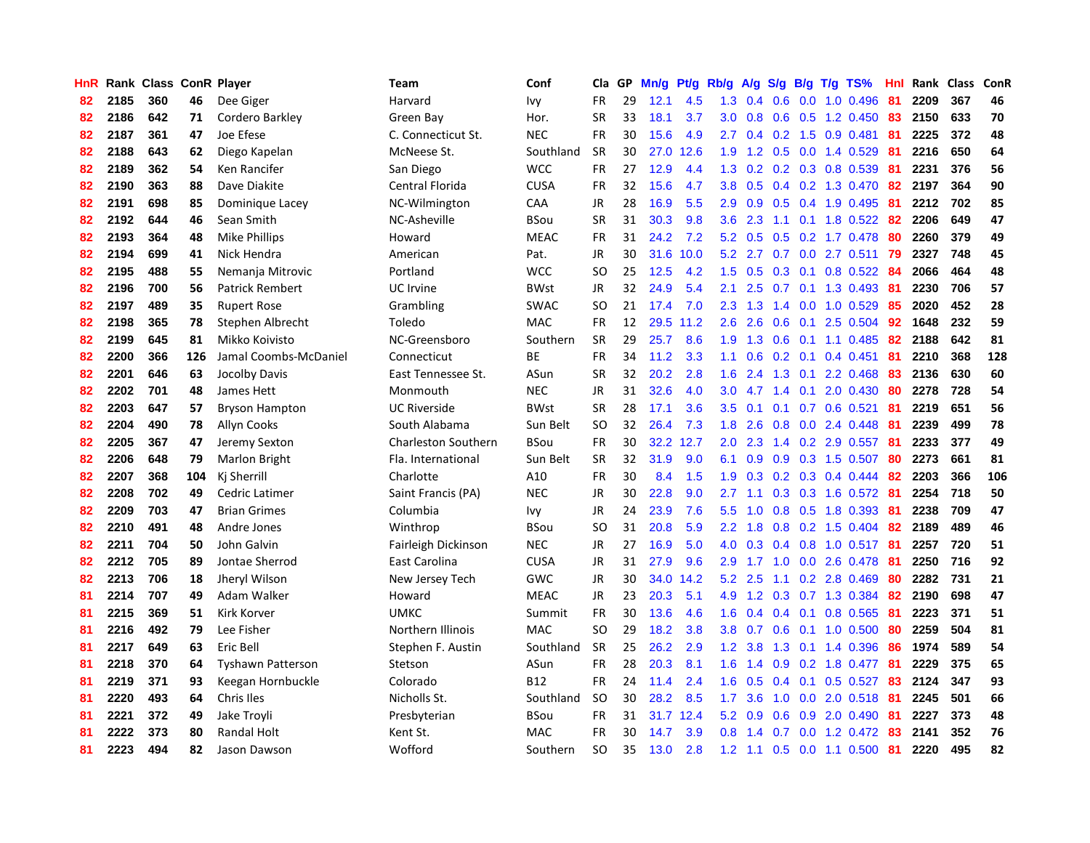| <b>HnR</b> |      | Rank Class ConR Player |     |                          | Team                       | Conf        | Cla       | GP | Mn/g | <b>Pt/g</b> | Rb/g             | A/g             |     |                 | S/g B/g T/g TS%              | Hnl | Rank | <b>Class</b> | ConR |
|------------|------|------------------------|-----|--------------------------|----------------------------|-------------|-----------|----|------|-------------|------------------|-----------------|-----|-----------------|------------------------------|-----|------|--------------|------|
| 82         | 2185 | 360                    | 46  | Dee Giger                | Harvard                    | Ivy         | <b>FR</b> | 29 | 12.1 | 4.5         | 1.3              | 0.4             | 0.6 |                 | $0.0$ 1.0 $0.496$            | -81 | 2209 | 367          | 46   |
| 82         | 2186 | 642                    | 71  | Cordero Barkley          | Green Bay                  | Hor.        | <b>SR</b> | 33 | 18.1 | 3.7         |                  | $3.0 \quad 0.8$ |     |                 | 0.6 0.5 1.2 0.450            | -83 | 2150 | 633          | 70   |
| 82         | 2187 | 361                    | 47  | Joe Efese                | C. Connecticut St.         | <b>NEC</b>  | <b>FR</b> | 30 | 15.6 | 4.9         | $2.7^{\circ}$    |                 |     |                 | $0.4$ 0.2 1.5 0.9 0.481      | -81 | 2225 | 372          | 48   |
| 82         | 2188 | 643                    | 62  | Diego Kapelan            | McNeese St.                | Southland   | <b>SR</b> | 30 | 27.0 | 12.6        | 1.9 <sup>°</sup> | 1.2             |     |                 | $0.5$ 0.0 1.4 0.529          | -81 | 2216 | 650          | 64   |
| 82         | 2189 | 362                    | 54  | Ken Rancifer             | San Diego                  | <b>WCC</b>  | <b>FR</b> | 27 | 12.9 | 4.4         | 1.3              | 0.2             |     |                 | 0.2 0.3 0.8 0.539            | -81 | 2231 | 376          | 56   |
| 82         | 2190 | 363                    | 88  | Dave Diakite             | Central Florida            | <b>CUSA</b> | <b>FR</b> | 32 | 15.6 | 4.7         | 3.8 <sub>1</sub> | 0.5             |     |                 | $0.4$ 0.2 1.3 0.470          | -82 | 2197 | 364          | 90   |
| 82         | 2191 | 698                    | 85  | Dominique Lacey          | NC-Wilmington              | CAA         | JR        | 28 | 16.9 | 5.5         | 2.9 <sup>°</sup> | 0.9             |     |                 | $0.5$ 0.4 1.9 0.495          | 81  | 2212 | 702          | 85   |
| 82         | 2192 | 644                    | 46  | Sean Smith               | NC-Asheville               | <b>BSou</b> | <b>SR</b> | 31 | 30.3 | 9.8         | 3.6 <sup>°</sup> | 2.3             | 1.1 |                 | $0.1$ 1.8 0.522              | -82 | 2206 | 649          | 47   |
| 82         | 2193 | 364                    | 48  | <b>Mike Phillips</b>     | Howard                     | <b>MEAC</b> | <b>FR</b> | 31 | 24.2 | 7.2         | 5.2              | 0.5             | 0.5 |                 | 0.2 1.7 0.478                | -80 | 2260 | 379          | 49   |
| 82         | 2194 | 699                    | 41  | Nick Hendra              | American                   | Pat.        | JR        | 30 | 31.6 | 10.0        |                  | $5.2$ 2.7       |     |                 | $0.7$ $0.0$ 2.7 $0.511$      | -79 | 2327 | 748          | 45   |
| 82         | 2195 | 488                    | 55  | Nemanja Mitrovic         | Portland                   | <b>WCC</b>  | <b>SO</b> | 25 | 12.5 | 4.2         |                  |                 |     |                 | 1.5 0.5 0.3 0.1 0.8 0.522 84 |     | 2066 | 464          | 48   |
| 82         | 2196 | 700                    | 56  | <b>Patrick Rembert</b>   | UC Irvine                  | <b>BWst</b> | <b>JR</b> | 32 | 24.9 | 5.4         | 2.1              | 2.5             |     |                 | $0.7$ 0.1 1.3 0.493          | -81 | 2230 | 706          | 57   |
| 82         | 2197 | 489                    | 35  | <b>Rupert Rose</b>       | Grambling                  | <b>SWAC</b> | <b>SO</b> | 21 | 17.4 | 7.0         | 2.3              | 1.3             |     |                 | 1.4 0.0 1.0 0.529            | 85  | 2020 | 452          | 28   |
| 82         | 2198 | 365                    | 78  | Stephen Albrecht         | Toledo                     | <b>MAC</b>  | <b>FR</b> | 12 | 29.5 | 11.2        | 2.6              | 2.6             | 0.6 |                 | $0.1$ 2.5 0.504              | 92  | 1648 | 232          | 59   |
| 82         | 2199 | 645                    | 81  | Mikko Koivisto           | NC-Greensboro              | Southern    | <b>SR</b> | 29 | 25.7 | 8.6         | 1.9              | 1.3             | 0.6 |                 | $0.1$ 1.1 0.485              | 82  | 2188 | 642          | 81   |
| 82         | 2200 | 366                    | 126 | Jamal Coombs-McDaniel    | Connecticut                | <b>BE</b>   | <b>FR</b> | 34 | 11.2 | 3.3         | 1.1              | 0.6             |     | $0.2 \quad 0.1$ | $0.4$ 0.451                  | 81  | 2210 | 368          | 128  |
| 82         | 2201 | 646                    | 63  | Jocolby Davis            | East Tennessee St.         | ASun        | <b>SR</b> | 32 | 20.2 | 2.8         | 1.6              | 2.4             | 1.3 | 0.1             | 2.2 0.468                    | -83 | 2136 | 630          | 60   |
| 82         | 2202 | 701                    | 48  | James Hett               | Monmouth                   | <b>NEC</b>  | <b>JR</b> | 31 | 32.6 | 4.0         | 3.0 <sub>2</sub> | 4.7             | 1.4 | 0.1             | 2.0 0.430                    | -80 | 2278 | 728          | 54   |
| 82         | 2203 | 647                    | 57  | <b>Bryson Hampton</b>    | <b>UC Riverside</b>        | <b>BWst</b> | <b>SR</b> | 28 | 17.1 | 3.6         |                  | $3.5 \quad 0.1$ |     |                 | $0.1$ 0.7 0.6 0.521          | -81 | 2219 | 651          | 56   |
| 82         | 2204 | 490                    | 78  | <b>Allyn Cooks</b>       | South Alabama              | Sun Belt    | <b>SO</b> | 32 | 26.4 | 7.3         | 1.8              | 2.6             |     |                 | $0.8$ 0.0 2.4 0.448          | -81 | 2239 | 499          | 78   |
| 82         | 2205 | 367                    | 47  | Jeremy Sexton            | <b>Charleston Southern</b> | <b>BSou</b> | FR        | 30 | 32.2 | 12.7        | 2.0 <sub>1</sub> | 2.3             |     |                 | 1.4 0.2 2.9 0.557            | -81 | 2233 | 377          | 49   |
| 82         | 2206 | 648                    | 79  | Marlon Bright            | Fla. International         | Sun Belt    | <b>SR</b> | 32 | 31.9 | 9.0         | 6.1              | 0.9             |     |                 | 0.9 0.3 1.5 0.507            | -80 | 2273 | 661          | 81   |
| 82         | 2207 | 368                    | 104 | Kj Sherrill              | Charlotte                  | A10         | FR        | 30 | 8.4  | 1.5         | 1.9              | 0.3             |     |                 | $0.2$ 0.3 0.4 0.444          | 82  | 2203 | 366          | 106  |
| 82         | 2208 | 702                    | 49  | Cedric Latimer           | Saint Francis (PA)         | <b>NEC</b>  | JR        | 30 | 22.8 | 9.0         | $2.7^{\circ}$    | 1.1             | 0.3 |                 | 0.3 1.6 0.572                | -81 | 2254 | 718          | 50   |
| 82         | 2209 | 703                    | 47  | <b>Brian Grimes</b>      | Columbia                   | Ivy         | JR        | 24 | 23.9 | 7.6         | 5.5              | 1.0             | 0.8 |                 | 0.5 1.8 0.393                | 81  | 2238 | 709          | 47   |
| 82         | 2210 | 491                    | 48  | Andre Jones              | Winthrop                   | <b>BSou</b> | <b>SO</b> | 31 | 20.8 | 5.9         | $2.2\phantom{0}$ | 1.8             |     |                 | 0.8 0.2 1.5 0.404            | 82  | 2189 | 489          | 46   |
| 82         | 2211 | 704                    | 50  | John Galvin              | Fairleigh Dickinson        | <b>NEC</b>  | JR        | 27 | 16.9 | 5.0         | 4.0              | 0.3             |     |                 | 0.4 0.8 1.0 0.517 81         |     | 2257 | 720          | 51   |
| 82         | 2212 | 705                    | 89  | Jontae Sherrod           | East Carolina              | <b>CUSA</b> | JR        | 31 | 27.9 | 9.6         | 2.9 <sup>°</sup> |                 |     |                 | 1.7 1.0 0.0 2.6 0.478 81     |     | 2250 | 716          | 92   |
| 82         | 2213 | 706                    | 18  | Jheryl Wilson            | New Jersey Tech            | <b>GWC</b>  | JR        | 30 | 34.0 | 14.2        | 5.2              | 2.5             |     |                 | 1.1 0.2 2.8 0.469            | -80 | 2282 | 731          | 21   |
| 81         | 2214 | 707                    | 49  | Adam Walker              | Howard                     | <b>MEAC</b> | JR        | 23 | 20.3 | 5.1         | 4.9              | 1.2             |     |                 | 0.3 0.7 1.3 0.384            | -82 | 2190 | 698          | 47   |
| 81         | 2215 | 369                    | 51  | Kirk Korver              | <b>UMKC</b>                | Summit      | <b>FR</b> | 30 | 13.6 | 4.6         | 1.6              | 0.4             |     |                 | $0.4$ 0.1 0.8 0.565          | -81 | 2223 | 371          | 51   |
| 81         | 2216 | 492                    | 79  | Lee Fisher               | Northern Illinois          | <b>MAC</b>  | <b>SO</b> | 29 | 18.2 | 3.8         | 3.8 <sub>1</sub> | 0.7             | 0.6 |                 | $0.1$ 1.0 0.500              | -80 | 2259 | 504          | 81   |
| 81         | 2217 | 649                    | 63  | Eric Bell                | Stephen F. Austin          | Southland   | <b>SR</b> | 25 | 26.2 | 2.9         | 1.2              | 3.8             | 1.3 |                 | $0.1$ 1.4 0.396              | -86 | 1974 | 589          | 54   |
| 81         | 2218 | 370                    | 64  | <b>Tyshawn Patterson</b> | Stetson                    | ASun        | <b>FR</b> | 28 | 20.3 | 8.1         | 1.6              | 1.4             | 0.9 |                 | 0.2 1.8 0.477                | -81 | 2229 | 375          | 65   |
| 81         | 2219 | 371                    | 93  | Keegan Hornbuckle        | Colorado                   | <b>B12</b>  | <b>FR</b> | 24 | 11.4 | 2.4         | 1.6              | 0.5             | 0.4 | 0.1             | $0.5$ 0.527                  | -83 | 2124 | 347          | 93   |
| 81         | 2220 | 493                    | 64  | Chris Iles               | Nicholls St.               | Southland   | <b>SO</b> | 30 | 28.2 | 8.5         | 1.7 <sub>z</sub> | 3.6             |     |                 | 1.0 0.0 2.0 0.518 81         |     | 2245 | 501          | 66   |
| 81         | 2221 | 372                    | 49  | Jake Troyli              | Presbyterian               | BSou        | <b>FR</b> | 31 | 31.7 | 12.4        | 5.2              | 0.9             | 0.6 |                 | $0.9$ 2.0 0.490              | -81 | 2227 | 373          | 48   |
| 81         | 2222 | 373                    | 80  | Randal Holt              | Kent St.                   | <b>MAC</b>  | FR        | 30 | 14.7 | 3.9         | 0.8              | 1.4             |     |                 | 0.7 0.0 1.2 0.472            | -83 | 2141 | 352          | 76   |
| 81         | 2223 | 494                    | 82  | Jason Dawson             | Wofford                    | Southern    | <b>SO</b> | 35 | 13.0 | 2.8         |                  | $1.2 \quad 1.1$ |     |                 | $0.5$ 0.0 1.1 0.500          | 81  | 2220 | 495          | 82   |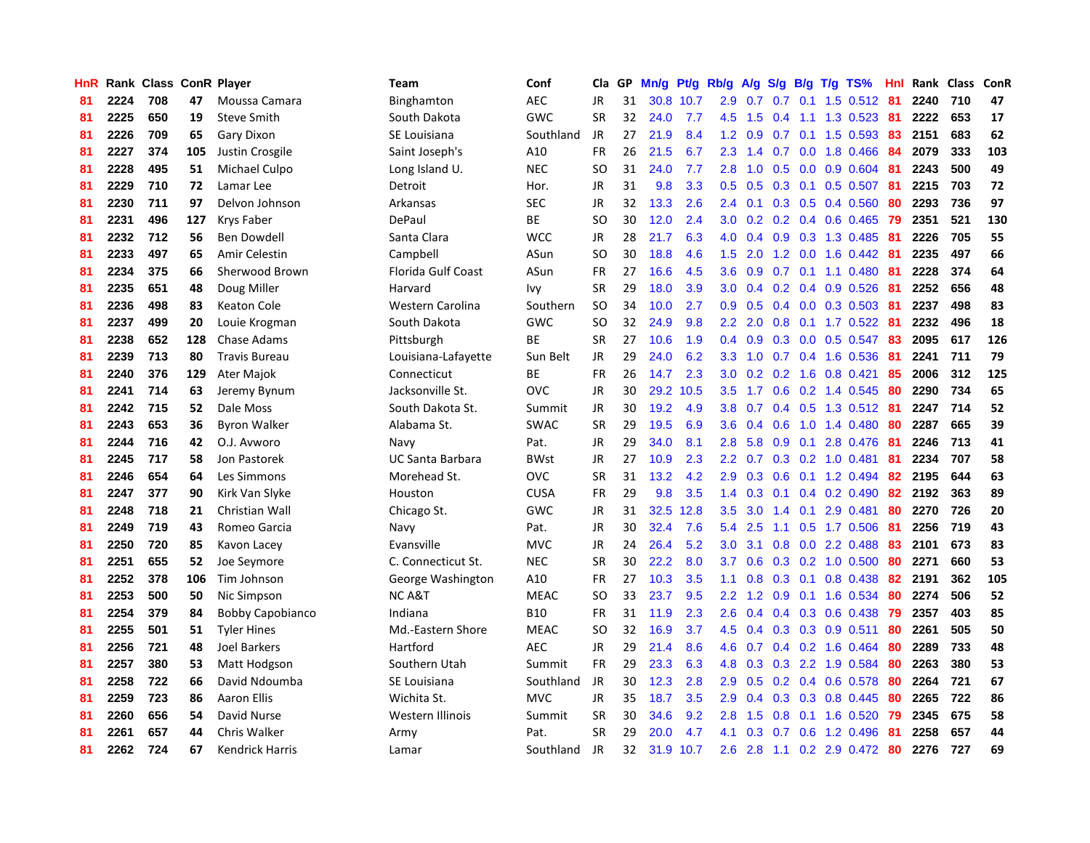| HnR |      | Rank Class ConR Player |     |                         | Team                    | Conf        | Cla           | GP | Mn/g | Pt/g | Rb/g             | A/g |     |     | $S/g$ B/g T/g TS%         | Hnl  |      | Rank Class | ConR |
|-----|------|------------------------|-----|-------------------------|-------------------------|-------------|---------------|----|------|------|------------------|-----|-----|-----|---------------------------|------|------|------------|------|
| 81  | 2224 | 708                    | 47  | Moussa Camara           | Binghamton              | <b>AEC</b>  | <b>JR</b>     | 31 | 30.8 | 10.7 | 2.9              | 0.7 | 0.7 | 0.1 | $1.5$ 0.512               | -81  | 2240 | 710        | 47   |
| 81  | 2225 | 650                    | 19  | <b>Steve Smith</b>      | South Dakota            | GWC         | <b>SR</b>     | 32 | 24.0 | 7.7  | 4.5              | 1.5 |     |     | 0.4 1.1 1.3 0.523 81      |      | 2222 | 653        | 17   |
| 81  | 2226 | 709                    | 65  | Gary Dixon              | SE Louisiana            | Southland   | JR            | 27 | 21.9 | 8.4  | 1.2              | 0.9 |     |     | 0.7 0.1 1.5 0.593 83      |      | 2151 | 683        | 62   |
| 81  | 2227 | 374                    | 105 | Justin Crosgile         | Saint Joseph's          | A10         | FR            | 26 | 21.5 | 6.7  | 2.3              | 1.4 |     |     | $0.7$ 0.0 1.8 0.466       | -84  | 2079 | 333        | 103  |
| 81  | 2228 | 495                    | 51  | Michael Culpo           | Long Island U.          | <b>NEC</b>  | SO            | 31 | 24.0 | 7.7  | 2.8              | 1.0 |     |     | $0.5$ 0.0 0.9 0.604       | -81  | 2243 | 500        | 49   |
| 81  | 2229 | 710                    | 72  | Lamar Lee               | Detroit                 | Hor.        | JR            | 31 | 9.8  | 3.3  | 0.5              | 0.5 | 0.3 |     | $0.1$ 0.5 0.507           | 81   | 2215 | 703        | 72   |
| 81  | 2230 | 711                    | 97  | Delvon Johnson          | Arkansas                | <b>SEC</b>  | JR            | 32 | 13.3 | 2.6  | 2.4              | 0.1 |     |     | $0.3$ 0.5 0.4 0.560       | 80   | 2293 | 736        | 97   |
| 81  | 2231 | 496                    | 127 | Krys Faber              | DePaul                  | <b>BE</b>   | <b>SO</b>     | 30 | 12.0 | 2.4  | 3.0              | 0.2 |     |     | $0.2$ 0.4 0.6 0.465       | 79   | 2351 | 521        | 130  |
| 81  | 2232 | 712                    | 56  | Ben Dowdell             | Santa Clara             | <b>WCC</b>  | JR            | 28 | 21.7 | 6.3  | 4.0              | 0.4 | 0.9 |     | 0.3 1.3 0.485             | -81  | 2226 | 705        | 55   |
| 81  | 2233 | 497                    | 65  | Amir Celestin           | Campbell                | ASun        | <sub>SO</sub> | 30 | 18.8 | 4.6  | 1.5              | 2.0 |     |     | 1.2 0.0 1.6 0.442 81      |      | 2235 | 497        | 66   |
| 81  | 2234 | 375                    | 66  | Sherwood Brown          | Florida Gulf Coast      | ASun        | FR            | 27 | 16.6 | 4.5  | 3.6              | 0.9 |     |     | 0.7 0.1 1.1 0.480 81      |      | 2228 | 374        | 64   |
| 81  | 2235 | 651                    | 48  | Doug Miller             | Harvard                 | Ivy         | <b>SR</b>     | 29 | 18.0 | 3.9  | 3.0 <sub>2</sub> | 0.4 |     |     | $0.2$ 0.4 0.9 0.526       | -81  | 2252 | 656        | 48   |
| 81  | 2236 | 498                    | 83  | <b>Keaton Cole</b>      | Western Carolina        | Southern    | SO            | 34 | 10.0 | 2.7  | 0.9 <sub>0</sub> | 0.5 |     |     | $0.4$ 0.0 0.3 0.503       | -81  | 2237 | 498        | 83   |
| 81  | 2237 | 499                    | 20  | Louie Krogman           | South Dakota            | GWC         | <b>SO</b>     | 32 | 24.9 | 9.8  | 2.2              | 2.0 | 0.8 |     | $0.1$ 1.7 $0.522$         | -81  | 2232 | 496        | 18   |
| 81  | 2238 | 652                    | 128 | Chase Adams             | Pittsburgh              | <b>BE</b>   | <b>SR</b>     | 27 | 10.6 | 1.9  | $0.4^{\circ}$    | 0.9 |     |     | 0.3 0.0 0.5 0.547         | 83   | 2095 | 617        | 126  |
| 81  | 2239 | 713                    | 80  | <b>Travis Bureau</b>    | Louisiana-Lafayette     | Sun Belt    | JR            | 29 | 24.0 | 6.2  | 3.3 <sub>2</sub> | 1.0 | 0.7 |     | $0.4$ 1.6 0.536           | -81  | 2241 | 711        | 79   |
| 81  | 2240 | 376                    | 129 | Ater Majok              | Connecticut             | <b>BE</b>   | <b>FR</b>     | 26 | 14.7 | 2.3  | 3.0 <sub>2</sub> | 0.2 |     |     | $0.2$ 1.6 0.8 0.421       | 85   | 2006 | 312        | 125  |
| 81  | 2241 | 714                    | 63  | Jeremy Bynum            | Jacksonville St.        | OVC         | <b>JR</b>     | 30 | 29.2 | 10.5 | 3.5              | 1.7 | 0.6 |     | 0.2 1.4 0.545             | 80   | 2290 | 734        | 65   |
| 81  | 2242 | 715                    | 52  | Dale Moss               | South Dakota St.        | Summit      | JR            | 30 | 19.2 | 4.9  | 3.8 <sub>2</sub> | 0.7 |     |     | 0.4 0.5 1.3 0.512 81      |      | 2247 | 714        | 52   |
| 81  | 2243 | 653                    | 36  | <b>Byron Walker</b>     | Alabama St.             | <b>SWAC</b> | <b>SR</b>     | 29 | 19.5 | 6.9  | 3.6              | 0.4 |     |     | $0.6$ 1.0 1.4 0.480       | -80  | 2287 | 665        | 39   |
| 81  | 2244 | 716                    | 42  | O.J. Avworo             | Navy                    | Pat.        | <b>JR</b>     | 29 | 34.0 | 8.1  | 2.8              | 5.8 |     |     | $0.9$ 0.1 2.8 0.476       | - 81 | 2246 | 713        | 41   |
| 81  | 2245 | 717                    | 58  | Jon Pastorek            | <b>UC Santa Barbara</b> | <b>BWst</b> | <b>JR</b>     | 27 | 10.9 | 2.3  | 2.2              | 0.7 |     |     | $0.3$ 0.2 1.0 0.481       | 81   | 2234 | 707        | 58   |
| 81  | 2246 | 654                    | 64  | Les Simmons             | Morehead St.            | <b>OVC</b>  | <b>SR</b>     | 31 | 13.2 | 4.2  | 2.9              | 0.3 | 0.6 |     | $0.1$ 1.2 0.494           | 82   | 2195 | 644        | 63   |
| 81  | 2247 | 377                    | 90  | Kirk Van Slyke          | Houston                 | <b>CUSA</b> | <b>FR</b>     | 29 | 9.8  | 3.5  | 1.4              | 0.3 |     |     | $0.1$ 0.4 0.2 0.490       | 82   | 2192 | 363        | 89   |
| 81  | 2248 | 718                    | 21  | Christian Wall          | Chicago St.             | GWC         | JR            | 31 | 32.5 | 12.8 | 3.5              | 3.0 | 1.4 | 0.1 | 2.9 0.481                 | 80   | 2270 | 726        | 20   |
| 81  | 2249 | 719                    | 43  | Romeo Garcia            | Navy                    | Pat.        | JR            | 30 | 32.4 | 7.6  | 5.4              | 2.5 | 1.1 |     | $0.5$ 1.7 0.506           | -81  | 2256 | 719        | 43   |
| 81  | 2250 | 720                    | 85  | Kavon Lacey             | Evansville              | <b>MVC</b>  | JR            | 24 | 26.4 | 5.2  | 3.0 <sub>2</sub> | 3.1 |     |     | $0.8$ 0.0 2.2 0.488       | -83  | 2101 | 673        | 83   |
| 81  | 2251 | 655                    | 52  | Joe Seymore             | C. Connecticut St.      | <b>NEC</b>  | <b>SR</b>     | 30 | 22.2 | 8.0  | 3.7              | 0.6 |     |     | $0.3$ 0.2 1.0 0.500       | -80  | 2271 | 660        | 53   |
| 81  | 2252 | 378                    | 106 | Tim Johnson             | George Washington       | A10         | <b>FR</b>     | 27 | 10.3 | 3.5  | 1.1              | 0.8 |     |     | $0.3$ 0.1 0.8 0.438       | -82  | 2191 | 362        | 105  |
| 81  | 2253 | 500                    | 50  | Nic Simpson             | NC A&T                  | <b>MEAC</b> | SO.           | 33 | 23.7 | 9.5  | $2.2^{\circ}$    | 1.2 |     |     | $0.9$ 0.1 1.6 0.534       | -80  | 2274 | 506        | 52   |
| 81  | 2254 | 379                    | 84  | <b>Bobby Capobianco</b> | Indiana                 | <b>B10</b>  | <b>FR</b>     | 31 | 11.9 | 2.3  | 2.6              | 0.4 |     |     | $0.4$ 0.3 0.6 0.438       | -79  | 2357 | 403        | 85   |
| 81  | 2255 | 501                    | 51  | <b>Tyler Hines</b>      | Md.-Eastern Shore       | <b>MEAC</b> | SO            | 32 | 16.9 | 3.7  | 4.5              | 0.4 |     |     | $0.3$ $0.3$ $0.9$ $0.511$ | 80   | 2261 | 505        | 50   |
| 81  | 2256 | 721                    | 48  | <b>Joel Barkers</b>     | Hartford                | <b>AEC</b>  | JR            | 29 | 21.4 | 8.6  | 4.6              | 0.7 |     |     | $0.4$ 0.2 1.6 0.464       | -80  | 2289 | 733        | 48   |
| 81  | 2257 | 380                    | 53  | Matt Hodgson            | Southern Utah           | Summit      | <b>FR</b>     | 29 | 23.3 | 6.3  | 4.8              | 0.3 | 0.3 |     | 2.2 1.9 0.584             | -80  | 2263 | 380        | 53   |
| 81  | 2258 | 722                    | 66  | David Ndoumba           | SE Louisiana            | Southland   | JR            | 30 | 12.3 | 2.8  | 2.9              | 0.5 |     |     | $0.2$ 0.4 0.6 0.578       | -80  | 2264 | 721        | 67   |
| 81  | 2259 | 723                    | 86  | <b>Aaron Ellis</b>      | Wichita St.             | <b>MVC</b>  | JR            | 35 | 18.7 | 3.5  | 2.9              | 0.4 |     |     | 0.3 0.3 0.8 0.445         | -80  | 2265 | 722        | 86   |
| 81  | 2260 | 656                    | 54  | David Nurse             | Western Illinois        | Summit      | <b>SR</b>     | 30 | 34.6 | 9.2  | 2.8              | 1.5 |     |     | $0.8$ 0.1 1.6 0.520       | -79  | 2345 | 675        | 58   |
| 81  | 2261 | 657                    | 44  | Chris Walker            | Army                    | Pat.        | SR            | 29 | 20.0 | 4.7  | 4.1              | 0.3 |     |     | 0.7 0.6 1.2 0.496         | -81  | 2258 | 657        | 44   |
| 81  | 2262 | 724                    | 67  | Kendrick Harris         | Lamar                   | Southland   | <b>JR</b>     | 32 | 31.9 | 10.7 | 2.6              |     |     |     | 2.8 1.1 0.2 2.9 0.472 80  |      | 2276 | 727        | 69   |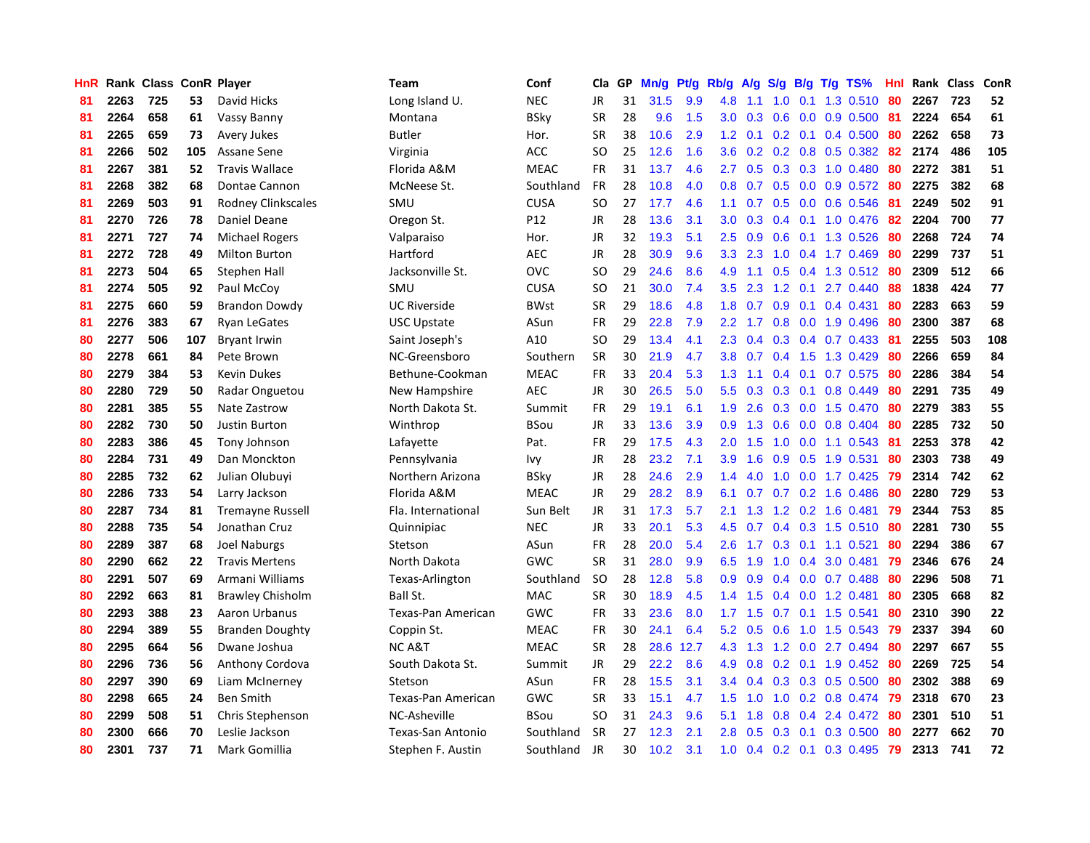| HnR |      | Rank Class ConR Player |     |                         | Team                | Conf        | Cla       | <b>GP</b> | Mn/g | <b>Pt/g</b> | Rb/g             | A/g             |                  |               | S/g B/g T/g TS%          | Hnl |      | Rank Class | ConR |
|-----|------|------------------------|-----|-------------------------|---------------------|-------------|-----------|-----------|------|-------------|------------------|-----------------|------------------|---------------|--------------------------|-----|------|------------|------|
| 81  | 2263 | 725                    | 53  | David Hicks             | Long Island U.      | <b>NEC</b>  | JR        | 31        | 31.5 | 9.9         | 4.8              | 1.1             | 1.0              | 0.1           | 1.3 0.510                | -80 | 2267 | 723        | 52   |
| 81  | 2264 | 658                    | 61  | Vassy Banny             | Montana             | BSky        | <b>SR</b> | 28        | 9.6  | 1.5         |                  | $3.0 \quad 0.3$ |                  |               | $0.6$ 0.0 0.9 0.500 81   |     | 2224 | 654        | 61   |
| 81  | 2265 | 659                    | 73  | Avery Jukes             | <b>Butler</b>       | Hor.        | <b>SR</b> | 38        | 10.6 | 2.9         | 1.2              | 0.1             |                  |               | $0.2$ 0.1 0.4 0.500      | -80 | 2262 | 658        | 73   |
| 81  | 2266 | 502                    | 105 | Assane Sene             | Virginia            | <b>ACC</b>  | SO        | 25        | 12.6 | 1.6         | 3.6 <sup>°</sup> | 0.2             |                  |               | $0.2$ 0.8 0.5 0.382      | 82  | 2174 | 486        | 105  |
| 81  | 2267 | 381                    | 52  | <b>Travis Wallace</b>   | Florida A&M         | <b>MEAC</b> | <b>FR</b> | 31        | 13.7 | 4.6         | $2.7^{\circ}$    | 0.5             |                  |               | 0.3 0.3 1.0 0.480        | 80  | 2272 | 381        | 51   |
| 81  | 2268 | 382                    | 68  | Dontae Cannon           | McNeese St.         | Southland   | <b>FR</b> | 28        | 10.8 | 4.0         | 0.8              | 0.7             |                  |               | $0.5$ 0.0 0.9 0.572      | -80 | 2275 | 382        | 68   |
| 81  | 2269 | 503                    | 91  | Rodney Clinkscales      | SMU                 | <b>CUSA</b> | <b>SO</b> | 27        | 17.7 | 4.6         | 1.1              | 0.7             |                  |               | $0.5$ 0.0 0.6 0.546      | 81  | 2249 | 502        | 91   |
| 81  | 2270 | 726                    | 78  | Daniel Deane            | Oregon St.          | P12         | JR        | 28        | 13.6 | 3.1         | 3.0 <sub>2</sub> | 0.3             |                  |               | $0.4$ 0.1 1.0 0.476      | 82  | 2204 | 700        | 77   |
| 81  | 2271 | 727                    | 74  | <b>Michael Rogers</b>   | Valparaiso          | Hor.        | JR        | 32        | 19.3 | 5.1         | $2.5^{\circ}$    | 0.9             | 0.6              |               | $0.1$ 1.3 0.526          | 80  | 2268 | 724        | 74   |
| 81  | 2272 | 728                    | 49  | <b>Milton Burton</b>    | Hartford            | <b>AEC</b>  | JR        | 28        | 30.9 | 9.6         | 3.3 <sub>2</sub> | 2.3             |                  |               | 1.0 0.4 1.7 0.469        | -80 | 2299 | 737        | 51   |
| 81  | 2273 | 504                    | 65  | Stephen Hall            | Jacksonville St.    | <b>OVC</b>  | <b>SO</b> | 29        | 24.6 | 8.6         | 4.9              |                 |                  |               | 1.1 0.5 0.4 1.3 0.512 80 |     | 2309 | 512        | 66   |
| 81  | 2274 | 505                    | 92  | Paul McCoy              | SMU                 | <b>CUSA</b> | SO.       | 21        | 30.0 | 7.4         | 3.5              | 2.3             |                  |               | 1.2 0.1 2.7 0.440        | -88 | 1838 | 424        | 77   |
| 81  | 2275 | 660                    | 59  | Brandon Dowdy           | <b>UC Riverside</b> | <b>BWst</b> | <b>SR</b> | 29        | 18.6 | 4.8         | 1.8              | 0.7             | 0.9              |               | 0.1 0.4 0.431            | 80  | 2283 | 663        | 59   |
| 81  | 2276 | 383                    | 67  | <b>Ryan LeGates</b>     | <b>USC Upstate</b>  | ASun        | <b>FR</b> | 29        | 22.8 | 7.9         | 2.2              | 1.7             | 0.8              |               | 0.0 1.9 0.496            | 80  | 2300 | 387        | 68   |
| 80  | 2277 | 506                    | 107 | <b>Bryant Irwin</b>     | Saint Joseph's      | A10         | <b>SO</b> | 29        | 13.4 | 4.1         | 2.3              | 0.4             |                  |               | $0.3$ 0.4 0.7 0.433      | -81 | 2255 | 503        | 108  |
| 80  | 2278 | 661                    | 84  | Pete Brown              | NC-Greensboro       | Southern    | <b>SR</b> | 30        | 21.9 | 4.7         | 3.8              | 0.7             |                  |               | 0.4 1.5 1.3 0.429        | 80  | 2266 | 659        | 84   |
| 80  | 2279 | 384                    | 53  | <b>Kevin Dukes</b>      | Bethune-Cookman     | <b>MEAC</b> | <b>FR</b> | 33        | 20.4 | 5.3         | 1.3              | 1.1             | 0.4              | 0.1           | 0.7 0.575                | 80  | 2286 | 384        | 54   |
| 80  | 2280 | 729                    | 50  | Radar Onguetou          | New Hampshire       | <b>AEC</b>  | <b>JR</b> | 30        | 26.5 | 5.0         | 5.5              | 0.3             | 0.3              | 0.1           | 0.8 0.449                | 80  | 2291 | 735        | 49   |
| 80  | 2281 | 385                    | 55  | Nate Zastrow            | North Dakota St.    | Summit      | <b>FR</b> | 29        | 19.1 | 6.1         | 1.9              | 2.6             |                  |               | 0.3 0.0 1.5 0.470        | -80 | 2279 | 383        | 55   |
| 80  | 2282 | 730                    | 50  | <b>Justin Burton</b>    | Winthrop            | <b>BSou</b> | <b>JR</b> | 33        | 13.6 | 3.9         | 0.9 <sub>0</sub> | 1.3             |                  |               | $0.6$ 0.0 0.8 0.404      | -80 | 2285 | 732        | 50   |
| 80  | 2283 | 386                    | 45  | Tony Johnson            | Lafayette           | Pat.        | FR        | 29        | 17.5 | 4.3         | 2.0              | 1.5             |                  |               | 1.0 0.0 1.1 0.543        | -81 | 2253 | 378        | 42   |
| 80  | 2284 | 731                    | 49  | Dan Monckton            | Pennsylvania        | lvy         | <b>JR</b> | 28        | 23.2 | 7.1         | 3.9              | 1.6             | 0.9              |               | 0.5 1.9 0.531            | 80  | 2303 | 738        | 49   |
| 80  | 2285 | 732                    | 62  | Julian Olubuyi          | Northern Arizona    | BSky        | JR        | 28        | 24.6 | 2.9         | 1.4              | 4.0             | 1.0              |               | $0.0$ 1.7 $0.425$        | 79  | 2314 | 742        | 62   |
| 80  | 2286 | 733                    | 54  | Larry Jackson           | Florida A&M         | <b>MEAC</b> | JR        | 29        | 28.2 | 8.9         | 6.1              | 0.7             |                  |               | 0.7 0.2 1.6 0.486        | 80  | 2280 | 729        | 53   |
| 80  | 2287 | 734                    | 81  | <b>Tremayne Russell</b> | Fla. International  | Sun Belt    | JR        | 31        | 17.3 | 5.7         | 2.1              | 1.3             |                  |               | 1.2 0.2 1.6 0.481        | 79  | 2344 | 753        | 85   |
| 80  | 2288 | 735                    | 54  | Jonathan Cruz           | Quinnipiac          | <b>NEC</b>  | <b>JR</b> | 33        | 20.1 | 5.3         | 4.5              | 0.7             |                  |               | 0.4 0.3 1.5 0.510        | -80 | 2281 | 730        | 55   |
| 80  | 2289 | 387                    | 68  | <b>Joel Naburgs</b>     | Stetson             | ASun        | FR        | 28        | 20.0 | 5.4         | 2.6              | 1.7             |                  |               | $0.3$ 0.1 1.1 0.521      | 80  | 2294 | 386        | 67   |
| 80  | 2290 | 662                    | 22  | <b>Travis Mertens</b>   | North Dakota        | GWC         | <b>SR</b> | 31        | 28.0 | 9.9         | 6.5              | 1.9             |                  |               | 1.0 0.4 3.0 0.481        | -79 | 2346 | 676        | 24   |
| 80  | 2291 | 507                    | 69  | Armani Williams         | Texas-Arlington     | Southland   | <b>SO</b> | 28        | 12.8 | 5.8         | 0.9 <sup>°</sup> | 0.9             |                  |               | $0.4$ 0.0 0.7 0.488      | -80 | 2296 | 508        | 71   |
| 80  | 2292 | 663                    | 81  | <b>Brawley Chisholm</b> | Ball St.            | <b>MAC</b>  | <b>SR</b> | 30        | 18.9 | 4.5         | 1.4              | 1.5             |                  |               | $0.4$ 0.0 1.2 0.481      | 80  | 2305 | 668        | 82   |
| 80  | 2293 | 388                    | 23  | Aaron Urbanus           | Texas-Pan American  | GWC         | <b>FR</b> | 33        | 23.6 | 8.0         | 1.7              | 1.5             | 0.7              |               | $0.1$ 1.5 0.541          | 80  | 2310 | 390        | 22   |
| 80  | 2294 | 389                    | 55  | <b>Branden Doughty</b>  | Coppin St.          | <b>MEAC</b> | <b>FR</b> | 30        | 24.1 | 6.4         | 5.2              | 0.5             | 0.6              |               | 1.0 1.5 0.543            | -79 | 2337 | 394        | 60   |
| 80  | 2295 | 664                    | 56  | Dwane Joshua            | NC A&T              | <b>MEAC</b> | <b>SR</b> | 28        | 28.6 | 12.7        | 4.3              | 1.3             | 1.2              |               | $0.0$ 2.7 0.494          | -80 | 2297 | 667        | 55   |
| 80  | 2296 | 736                    | 56  | Anthony Cordova         | South Dakota St.    | Summit      | JR        | 29        | 22.2 | 8.6         | 4.9              | 0.8             | 0.2 <sub>0</sub> |               | $0.1$ 1.9 $0.452$        | -80 | 2269 | 725        | 54   |
| 80  | 2297 | 390                    | 69  | Liam McInerney          | Stetson             | ASun        | <b>FR</b> | 28        | 15.5 | 3.1         | $3.4^{\circ}$    | 0.4             |                  |               | $0.3$ 0.3 0.5 0.500      | -80 | 2302 | 388        | 69   |
| 80  | 2298 | 665                    | 24  | <b>Ben Smith</b>        | Texas-Pan American  | <b>GWC</b>  | <b>SR</b> | 33        | 15.1 | 4.7         | $1.5^{\circ}$    | 1.0             |                  |               | 1.0 0.2 0.8 0.474 79     |     | 2318 | 670        | 23   |
| 80  | 2299 | 508                    | 51  | Chris Stephenson        | NC-Asheville        | BSou        | SO        | 31        | 24.3 | 9.6         | 5.1              | 1.8             | 0.8              |               | $0.4$ 2.4 0.472          | -80 | 2301 | 510        | 51   |
| 80  | 2300 | 666                    | 70  | Leslie Jackson          | Texas-San Antonio   | Southland   | <b>SR</b> | 27        | 12.3 | 2.1         | 2.8              | 0.5             | 0.3              | 0.1           | 0.3 0.500                | -80 | 2277 | 662        | 70   |
| 80  | 2301 | 737                    | 71  | Mark Gomillia           | Stephen F. Austin   | Southland   | <b>JR</b> | 30        | 10.2 | 3.1         | 1.0              |                 |                  | $0.4$ 0.2 0.1 | 0.3 0.495                | 79  | 2313 | 741        | 72   |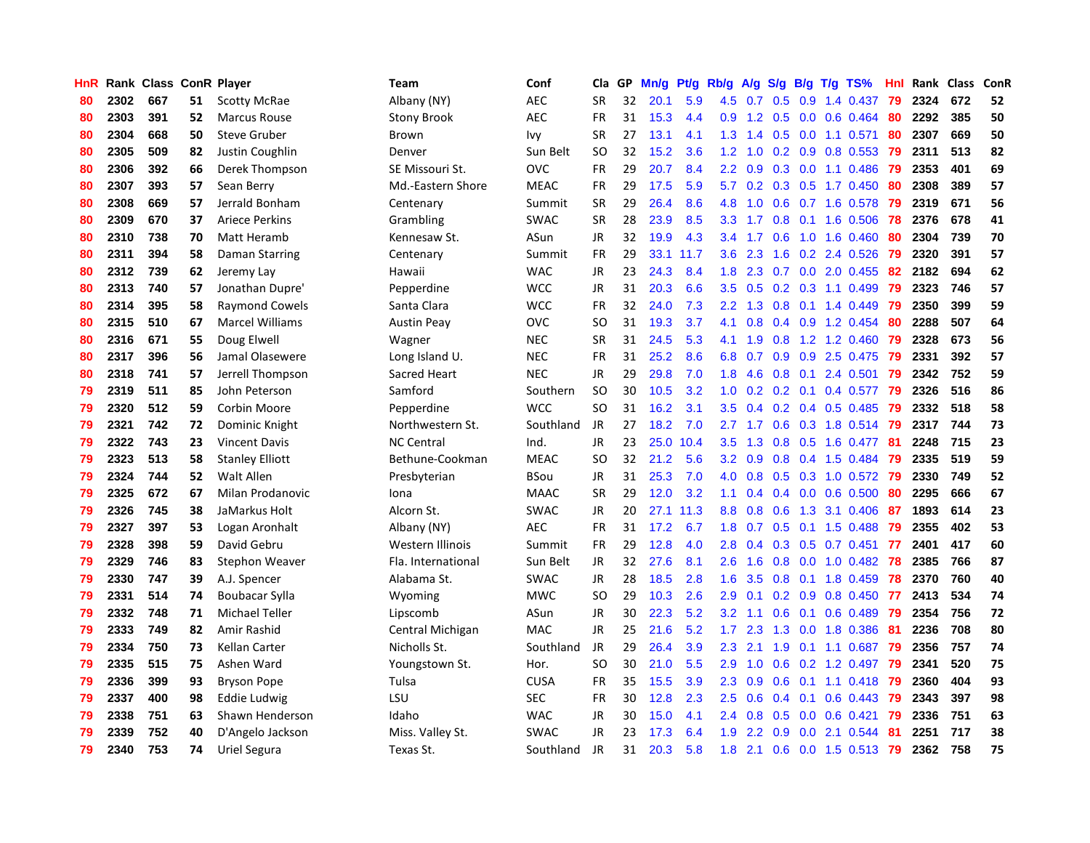| HnR |      | Rank Class ConR Player |    |                        | Team               | Conf        | Cla           | <b>GP</b> | Mn/g | <b>Pt/g</b> | Rb/g             | A/g             |                  |     | S/g B/g T/g TS%           | Hnl | Rank | Class | ConR |
|-----|------|------------------------|----|------------------------|--------------------|-------------|---------------|-----------|------|-------------|------------------|-----------------|------------------|-----|---------------------------|-----|------|-------|------|
| 80  | 2302 | 667                    | 51 | <b>Scotty McRae</b>    | Albany (NY)        | <b>AEC</b>  | SR            | 32        | 20.1 | 5.9         | 4.5              | 0.7             | 0.5              | 0.9 | 1.4 0.437                 | 79  | 2324 | 672   | 52   |
| 80  | 2303 | 391                    | 52 | <b>Marcus Rouse</b>    | <b>Stony Brook</b> | <b>AEC</b>  | <b>FR</b>     | 31        | 15.3 | 4.4         |                  |                 |                  |     | 0.9 1.2 0.5 0.0 0.6 0.464 | -80 | 2292 | 385   | 50   |
| 80  | 2304 | 668                    | 50 | <b>Steve Gruber</b>    | Brown              | Ivy         | <b>SR</b>     | 27        | 13.1 | 4.1         | 1.3              | 1.4             |                  |     | $0.5$ 0.0 1.1 0.571       | -80 | 2307 | 669   | 50   |
| 80  | 2305 | 509                    | 82 | Justin Coughlin        | Denver             | Sun Belt    | SO            | 32        | 15.2 | 3.6         | 1.2              | 1.0             |                  |     | $0.2$ 0.9 0.8 0.553       | 79  | 2311 | 513   | 82   |
| 80  | 2306 | 392                    | 66 | Derek Thompson         | SE Missouri St.    | <b>OVC</b>  | <b>FR</b>     | 29        | 20.7 | 8.4         | $2.2^{\circ}$    | 0.9             |                  |     | $0.3$ 0.0 1.1 0.486       | -79 | 2353 | 401   | 69   |
| 80  | 2307 | 393                    | 57 | Sean Berry             | Md.-Eastern Shore  | <b>MEAC</b> | <b>FR</b>     | 29        | 17.5 | 5.9         | 5.7              | 0.2             |                  |     | $0.3$ $0.5$ 1.7 $0.450$   | 80  | 2308 | 389   | 57   |
| 80  | 2308 | 669                    | 57 | Jerrald Bonham         | Centenary          | Summit      | <b>SR</b>     | 29        | 26.4 | 8.6         | 4.8              | 1.0             |                  |     | $0.6$ 0.7 1.6 0.578       | -79 | 2319 | 671   | 56   |
| 80  | 2309 | 670                    | 37 | <b>Ariece Perkins</b>  | Grambling          | <b>SWAC</b> | <b>SR</b>     | 28        | 23.9 | 8.5         | 3.3 <sub>2</sub> | 1.7             | 0.8              |     | $0.1$ 1.6 0.506           | 78  | 2376 | 678   | 41   |
| 80  | 2310 | 738                    | 70 | Matt Heramb            | Kennesaw St.       | ASun        | JR            | 32        | 19.9 | 4.3         | $3.4^{\circ}$    | 1.7             | 0.6              |     | 1.0 1.6 0.460             | 80  | 2304 | 739   | 70   |
| 80  | 2311 | 394                    | 58 | Daman Starring         | Centenary          | Summit      | <b>FR</b>     | 29        | 33.1 | 11.7        | 3.6              | 2.3             |                  |     | 1.6 0.2 2.4 0.526         | -79 | 2320 | 391   | 57   |
| 80  | 2312 | 739                    | 62 | Jeremy Lay             | Hawaii             | <b>WAC</b>  | <b>JR</b>     | 23        | 24.3 | 8.4         | 1.8              | 2.3             |                  |     | $0.7$ $0.0$ $2.0$ $0.455$ | -82 | 2182 | 694   | 62   |
| 80  | 2313 | 740                    | 57 | Jonathan Dupre'        | Pepperdine         | <b>WCC</b>  | JR            | 31        | 20.3 | 6.6         | 3.5              | 0.5             |                  |     | $0.2$ $0.3$ 1.1 $0.499$   | -79 | 2323 | 746   | 57   |
| 80  | 2314 | 395                    | 58 | <b>Raymond Cowels</b>  | Santa Clara        | <b>WCC</b>  | <b>FR</b>     | 32        | 24.0 | 7.3         | $2.2^{\circ}$    | 1.3             |                  |     | 0.8 0.1 1.4 0.449         | -79 | 2350 | 399   | 59   |
| 80  | 2315 | 510                    | 67 | <b>Marcel Williams</b> | <b>Austin Peay</b> | <b>OVC</b>  | <b>SO</b>     | 31        | 19.3 | 3.7         | 4.1              | 0.8             |                  |     | $0.4$ 0.9 1.2 0.454       | -80 | 2288 | 507   | 64   |
| 80  | 2316 | 671                    | 55 | Doug Elwell            | Wagner             | <b>NEC</b>  | <b>SR</b>     | 31        | 24.5 | 5.3         | 4.1              | 1.9             | 0.8              |     | 1.2 1.2 0.460             | 79  | 2328 | 673   | 56   |
| 80  | 2317 | 396                    | 56 | Jamal Olasewere        | Long Island U.     | <b>NEC</b>  | <b>FR</b>     | 31        | 25.2 | 8.6         | 6.8              | 0.7             | 0.9 <sub>0</sub> |     | 0.9 2.5 0.475             | 79  | 2331 | 392   | 57   |
| 80  | 2318 | 741                    | 57 | Jerrell Thompson       | Sacred Heart       | <b>NEC</b>  | <b>JR</b>     | 29        | 29.8 | 7.0         | 1.8              | 4.6             | 0.8              | 0.1 | 2.4 0.501                 | 79  | 2342 | 752   | 59   |
| 79  | 2319 | 511                    | 85 | John Peterson          | Samford            | Southern    | <sub>SO</sub> | 30        | 10.5 | 3.2         | 1.0              | 0.2             | 0.2              | 0.1 | 0.4 0.577                 | 79  | 2326 | 516   | 86   |
| 79  | 2320 | 512                    | 59 | Corbin Moore           | Pepperdine         | <b>WCC</b>  | SO            | 31        | 16.2 | 3.1         | 3.5              | 0.4             |                  |     | $0.2$ 0.4 0.5 0.485       | -79 | 2332 | 518   | 58   |
| 79  | 2321 | 742                    | 72 | Dominic Knight         | Northwestern St.   | Southland   | <b>JR</b>     | 27        | 18.2 | 7.0         |                  | $2.7 \quad 1.7$ |                  |     | 0.6 0.3 1.8 0.514 79      |     | 2317 | 744   | 73   |
| 79  | 2322 | 743                    | 23 | <b>Vincent Davis</b>   | <b>NC Central</b>  | Ind.        | JR            | 23        | 25.0 | 10.4        | 3.5              | 1.3             |                  |     | $0.8$ 0.5 1.6 0.477       | -81 | 2248 | 715   | 23   |
| 79  | 2323 | 513                    | 58 | <b>Stanley Elliott</b> | Bethune-Cookman    | MEAC        | <sub>SO</sub> | 32        | 21.2 | 5.6         | 3.2              | 0.9             | 0.8              |     | 0.4 1.5 0.484             | 79  | 2335 | 519   | 59   |
| 79  | 2324 | 744                    | 52 | Walt Allen             | Presbyterian       | BSou        | JR            | 31        | 25.3 | 7.0         | 4.0              | 0.8             |                  |     | $0.5$ 0.3 1.0 0.572       | -79 | 2330 | 749   | 52   |
| 79  | 2325 | 672                    | 67 | Milan Prodanovic       | Iona               | <b>MAAC</b> | <b>SR</b>     | 29        | 12.0 | 3.2         | 1.1              | 0.4             |                  |     | $0.4$ 0.0 0.6 0.500       | 80  | 2295 | 666   | 67   |
| 79  | 2326 | 745                    | 38 | JaMarkus Holt          | Alcorn St.         | <b>SWAC</b> | JR            | 20        | 27.1 | 11.3        | 8.8              | 0.8             | 0.6              | 1.3 | 3.1 0.406                 | -87 | 1893 | 614   | 23   |
| 79  | 2327 | 397                    | 53 | Logan Aronhalt         | Albany (NY)        | <b>AEC</b>  | <b>FR</b>     | 31        | 17.2 | 6.7         | 1.8              | 0.7             | 0.5              |     | $0.1$ 1.5 0.488           | 79  | 2355 | 402   | 53   |
| 79  | 2328 | 398                    | 59 | David Gebru            | Western Illinois   | Summit      | <b>FR</b>     | 29        | 12.8 | 4.0         | 2.8              | 0.4             |                  |     | $0.3$ $0.5$ $0.7$ $0.451$ | 77  | 2401 | 417   | 60   |
| 79  | 2329 | 746                    | 83 | Stephon Weaver         | Fla. International | Sun Belt    | JR            | 32        | 27.6 | 8.1         | 2.6              | 1.6             |                  |     | 0.8 0.0 1.0 0.482 78      |     | 2385 | 766   | 87   |
| 79  | 2330 | 747                    | 39 | A.J. Spencer           | Alabama St.        | <b>SWAC</b> | JR            | 28        | 18.5 | 2.8         | 1.6              | 3.5             |                  |     | $0.8$ 0.1 1.8 0.459       | 78  | 2370 | 760   | 40   |
| 79  | 2331 | 514                    | 74 | Boubacar Sylla         | Wyoming            | MWC         | <sub>SO</sub> | 29        | 10.3 | 2.6         | 2.9              | 0.1             |                  |     | $0.2$ 0.9 0.8 0.450       | 77  | 2413 | 534   | 74   |
| 79  | 2332 | 748                    | 71 | <b>Michael Teller</b>  | Lipscomb           | ASun        | JR            | 30        | 22.3 | 5.2         | 3.2              | 1.1             | 0.6              | 0.1 | $0.6$ 0.489               | 79  | 2354 | 756   | 72   |
| 79  | 2333 | 749                    | 82 | Amir Rashid            | Central Michigan   | <b>MAC</b>  | JR            | 25        | 21.6 | 5.2         | 1.7 <sub>z</sub> | 2.3             | 1.3              |     | 0.0 1.8 0.386             | -81 | 2236 | 708   | 80   |
| 79  | 2334 | 750                    | 73 | Kellan Carter          | Nicholls St.       | Southland   | JR            | 29        | 26.4 | 3.9         | 2.3              | 2.1             | 1.9              |     | $0.1$ 1.1 0.687           | 79  | 2356 | 757   | 74   |
| 79  | 2335 | 515                    | 75 | Ashen Ward             | Youngstown St.     | Hor.        | SO            | 30        | 21.0 | 5.5         | 2.9              | 1.0             | 0.6              |     | 0.2 1.2 0.497             | -79 | 2341 | 520   | 75   |
| 79  | 2336 | 399                    | 93 | <b>Bryson Pope</b>     | Tulsa              | <b>CUSA</b> | <b>FR</b>     | 35        | 15.5 | 3.9         | 2.3              | 0.9             | 0.6              |     | $0.1$ 1.1 0.418           | -79 | 2360 | 404   | 93   |
| 79  | 2337 | 400                    | 98 | Eddie Ludwig           | LSU                | <b>SEC</b>  | <b>FR</b>     | 30        | 12.8 | 2.3         | $2.5^{\circ}$    | 0.6             |                  |     | $0.4$ 0.1 0.6 0.443       | -79 | 2343 | 397   | 98   |
| 79  | 2338 | 751                    | 63 | Shawn Henderson        | Idaho              | <b>WAC</b>  | JR            | 30        | 15.0 | 4.1         | 2.4              | 0.8             |                  |     | $0.5$ 0.0 0.6 0.421       | -79 | 2336 | 751   | 63   |
| 79  | 2339 | 752                    | 40 | D'Angelo Jackson       | Miss. Valley St.   | SWAC        | JR            | 23        | 17.3 | 6.4         | 1.9              | $2.2^{\circ}$   | 0.9              |     | 0.0 2.1 0.544             | -81 | 2251 | 717   | 38   |
| 79  | 2340 | 753                    | 74 | Uriel Segura           | Texas St.          | Southland   | <b>JR</b>     | 31        | 20.3 | 5.8         | 1.8              | 2.1             |                  |     | 0.6 0.0 1.5 0.513 79      |     | 2362 | 758   | 75   |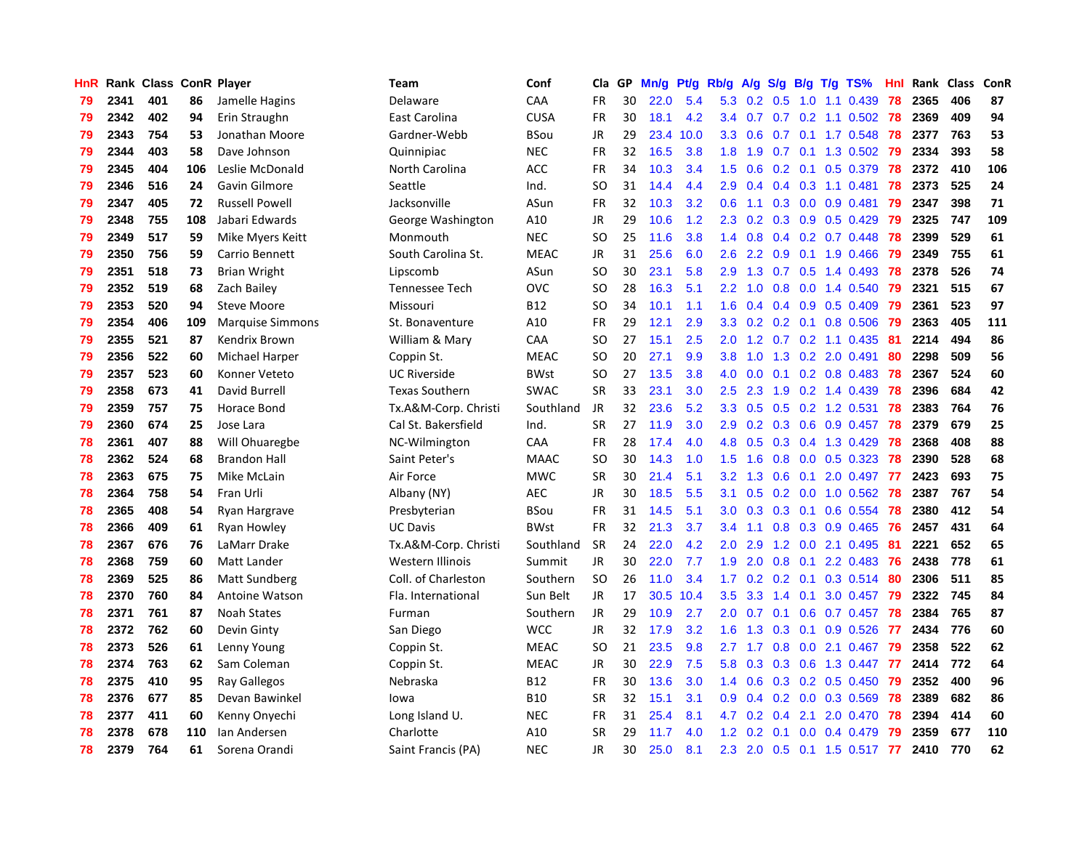| HnR |      | Rank Class ConR Player |     |                         | Team                  | Conf        | Cla.          | <b>GP</b> | Mn/g | <b>Pt/g</b> | Rb/g             | A/g             | S/g           |                 | B/g T/g TS%                | Hnl | Rank | Class | <b>ConR</b> |
|-----|------|------------------------|-----|-------------------------|-----------------------|-------------|---------------|-----------|------|-------------|------------------|-----------------|---------------|-----------------|----------------------------|-----|------|-------|-------------|
| 79  | 2341 | 401                    | 86  | Jamelle Hagins          | Delaware              | CAA         | <b>FR</b>     | 30        | 22.0 | 5.4         | 5.3              | $0.2 \quad 0.5$ |               |                 | $1.0$ $1.1$ $0.439$        | 78  | 2365 | 406   | 87          |
| 79  | 2342 | 402                    | 94  | Erin Straughn           | East Carolina         | <b>CUSA</b> | <b>FR</b>     | 30        | 18.1 | 4.2         | $3.4^{\circ}$    |                 |               |                 | $0.7$ 0.7 0.2 1.1 0.502 78 |     | 2369 | 409   | 94          |
| 79  | 2343 | 754                    | 53  | Jonathan Moore          | Gardner-Webb          | BSou        | <b>JR</b>     | 29        | 23.4 | 10.0        | 3.3 <sub>2</sub> | 0.6             |               |                 | $0.7$ 0.1 1.7 0.548        | 78  | 2377 | 763   | 53          |
| 79  | 2344 | 403                    | 58  | Dave Johnson            | Quinnipiac            | <b>NEC</b>  | <b>FR</b>     | 32        | 16.5 | 3.8         | 1.8              | 1.9             |               |                 | 0.7 0.1 1.3 0.502 79       |     | 2334 | 393   | 58          |
| 79  | 2345 | 404                    | 106 | Leslie McDonald         | North Carolina        | <b>ACC</b>  | <b>FR</b>     | 34        | 10.3 | 3.4         | 1.5              | 0.6             |               |                 | $0.2$ 0.1 0.5 0.379        | 78  | 2372 | 410   | 106         |
| 79  | 2346 | 516                    | 24  | Gavin Gilmore           | Seattle               | Ind.        | SO            | 31        | 14.4 | 4.4         | 2.9              | 0.4             |               |                 | $0.4$ 0.3 1.1 0.481        | 78  | 2373 | 525   | 24          |
| 79  | 2347 | 405                    | 72  | <b>Russell Powell</b>   | Jacksonville          | ASun        | <b>FR</b>     | 32        | 10.3 | 3.2         | 0.6              | 1.1             |               |                 | 0.3 0.0 0.9 0.481          | 79  | 2347 | 398   | 71          |
| 79  | 2348 | 755                    | 108 | Jabari Edwards          | George Washington     | A10         | <b>JR</b>     | 29        | 10.6 | 1.2         | 2.3              | 0.2             | 0.3           |                 | $0.9$ 0.5 0.429            | 79  | 2325 | 747   | 109         |
| 79  | 2349 | 517                    | 59  | Mike Myers Keitt        | Monmouth              | <b>NEC</b>  | <sub>SO</sub> | 25        | 11.6 | 3.8         | 1.4              | 0.8             |               |                 | $0.4$ 0.2 0.7 0.448        | 78  | 2399 | 529   | 61          |
| 79  | 2350 | 756                    | 59  | Carrio Bennett          | South Carolina St.    | <b>MEAC</b> | JR            | 31        | 25.6 | 6.0         | 2.6              | $2.2^{\circ}$   |               |                 | $0.9$ 0.1 1.9 0.466        | -79 | 2349 | 755   | 61          |
| 79  | 2351 | 518                    | 73  | <b>Brian Wright</b>     | Lipscomb              | ASun        | <sub>SO</sub> | 30        | 23.1 | 5.8         | 2.9              |                 |               |                 | 1.3 0.7 0.5 1.4 0.493 78   |     | 2378 | 526   | 74          |
| 79  | 2352 | 519                    | 68  | Zach Bailey             | <b>Tennessee Tech</b> | <b>OVC</b>  | <b>SO</b>     | 28        | 16.3 | 5.1         | 2.2              | 1.0             |               |                 | $0.8$ 0.0 1.4 0.540        | 79  | 2321 | 515   | 67          |
| 79  | 2353 | 520                    | 94  | <b>Steve Moore</b>      | Missouri              | <b>B12</b>  | <b>SO</b>     | 34        | 10.1 | 1.1         | 1.6              | 0.4             |               |                 | $0.4$ 0.9 0.5 0.409        | 79  | 2361 | 523   | 97          |
| 79  | 2354 | 406                    | 109 | <b>Marquise Simmons</b> | St. Bonaventure       | A10         | FR            | 29        | 12.1 | 2.9         | 3.3              | 0.2             |               |                 | $0.2$ 0.1 0.8 0.506        | 79  | 2363 | 405   | 111         |
| 79  | 2355 | 521                    | 87  | Kendrix Brown           | William & Mary        | CAA         | <b>SO</b>     | 27        | 15.1 | 2.5         | 2.0              | 1.2             |               |                 | $0.7$ $0.2$ 1.1 $0.435$    | -81 | 2214 | 494   | 86          |
| 79  | 2356 | 522                    | 60  | Michael Harper          | Coppin St.            | <b>MEAC</b> | SO.           | 20        | 27.1 | 9.9         | 3.8              | 1.0             |               |                 | 1.3 0.2 2.0 0.491          | 80  | 2298 | 509   | 56          |
| 79  | 2357 | 523                    | 60  | Konner Veteto           | <b>UC Riverside</b>   | <b>BWst</b> | <sub>SO</sub> | 27        | 13.5 | 3.8         | 4.0              | 0.0             | 0.1           |                 | $0.2$ 0.8 0.483            | 78  | 2367 | 524   | 60          |
| 79  | 2358 | 673                    | 41  | David Burrell           | <b>Texas Southern</b> | <b>SWAC</b> | <b>SR</b>     | 33        | 23.1 | 3.0         | 2.5              | 2.3             | 1.9           |                 | 0.2 1.4 0.439              | 78  | 2396 | 684   | 42          |
| 79  | 2359 | 757                    | 75  | Horace Bond             | Tx.A&M-Corp. Christi  | Southland   | <b>JR</b>     | 32        | 23.6 | 5.2         | 3.3              | 0.5             |               |                 | $0.5$ 0.2 1.2 0.531        | 78  | 2383 | 764   | 76          |
| 79  | 2360 | 674                    | 25  | Jose Lara               | Cal St. Bakersfield   | Ind.        | <b>SR</b>     | 27        | 11.9 | 3.0         | 2.9              | 0.2             |               |                 | 0.3 0.6 0.9 0.457 78       |     | 2379 | 679   | 25          |
| 78  | 2361 | 407                    | 88  | Will Ohuaregbe          | NC-Wilmington         | CAA         | <b>FR</b>     | 28        | 17.4 | 4.0         | 4.8              | 0.5             |               |                 | $0.3$ 0.4 1.3 0.429        | 78  | 2368 | 408   | 88          |
| 78  | 2362 | 524                    | 68  | <b>Brandon Hall</b>     | Saint Peter's         | <b>MAAC</b> | <b>SO</b>     | 30        | 14.3 | 1.0         | 1.5              | 1.6             | 0.8           |                 | $0.0$ $0.5$ $0.323$        | 78  | 2390 | 528   | 68          |
| 78  | 2363 | 675                    | 75  | Mike McLain             | Air Force             | <b>MWC</b>  | SR            | 30        | 21.4 | 5.1         | 3.2              | 1.3             | 0.6           |                 | 0.1 2.0 0.497              | 77  | 2423 | 693   | 75          |
| 78  | 2364 | 758                    | 54  | Fran Urli               | Albany (NY)           | <b>AEC</b>  | JR            | 30        | 18.5 | 5.5         | 3.1              | 0.5             | 0.2           |                 | $0.0$ 1.0 $0.562$          | 78  | 2387 | 767   | 54          |
| 78  | 2365 | 408                    | 54  | Ryan Hargrave           | Presbyterian          | BSou        | <b>FR</b>     | 31        | 14.5 | 5.1         | 3.0 <sub>2</sub> | 0.3             | 0.3           | 0.1             | 0.6 0.554                  | 78  | 2380 | 412   | 54          |
| 78  | 2366 | 409                    | 61  | Ryan Howley             | <b>UC Davis</b>       | <b>BWst</b> | <b>FR</b>     | 32        | 21.3 | 3.7         | 3.4              | 1.1             | 0.8           |                 | 0.3 0.9 0.465              | 76  | 2457 | 431   | 64          |
| 78  | 2367 | 676                    | 76  | LaMarr Drake            | Tx.A&M-Corp. Christi  | Southland   | <b>SR</b>     | 24        | 22.0 | 4.2         | 2.0              | 2.9             |               |                 | 1.2 0.0 2.1 0.495          | -81 | 2221 | 652   | 65          |
| 78  | 2368 | 759                    | 60  | Matt Lander             | Western Illinois      | Summit      | <b>JR</b>     | 30        | 22.0 | 7.7         | 1.9              | 2.0             |               |                 | 0.8 0.1 2.2 0.483 76       |     | 2438 | 778   | 61          |
| 78  | 2369 | 525                    | 86  | <b>Matt Sundberg</b>    | Coll. of Charleston   | Southern    | <sub>SO</sub> | 26        | 11.0 | 3.4         | 1.7 <sup>2</sup> | 0.2             |               |                 | 0.2 0.1 0.3 0.514 80       |     | 2306 | 511   | 85          |
| 78  | 2370 | 760                    | 84  | Antoine Watson          | Fla. International    | Sun Belt    | <b>JR</b>     | 17        | 30.5 | 10.4        | 3.5              | 3.3             |               | $1.4 \quad 0.1$ | 3.0 0.457 79               |     | 2322 | 745   | 84          |
| 78  | 2371 | 761                    | 87  | <b>Noah States</b>      | Furman                | Southern    | <b>JR</b>     | 29        | 10.9 | 2.7         | 2.0              | 0.7             | 0.1           |                 | $0.6$ 0.7 0.457            | 78  | 2384 | 765   | 87          |
| 78  | 2372 | 762                    | 60  | Devin Ginty             | San Diego             | <b>WCC</b>  | JR            | 32        | 17.9 | 3.2         | 1.6              | 1.3             | 0.3           |                 | $0.1$ 0.9 0.526            | -77 | 2434 | 776   | 60          |
| 78  | 2373 | 526                    | 61  | Lenny Young             | Coppin St.            | <b>MEAC</b> | <b>SO</b>     | 21        | 23.5 | 9.8         | 2.7              | 1.7             | 0.8           |                 | $0.0$ 2.1 $0.467$          | 79  | 2358 | 522   | 62          |
| 78  | 2374 | 763                    | 62  | Sam Coleman             | Coppin St.            | <b>MEAC</b> | JR            | 30        | 22.9 | 7.5         | 5.8              | 0.3             | 0.3           |                 | 0.6 1.3 0.447              | -77 | 2414 | 772   | 64          |
| 78  | 2375 | 410                    | 95  | <b>Ray Gallegos</b>     | Nebraska              | B12         | <b>FR</b>     | 30        | 13.6 | 3.0         | 1.4              | 0.6             |               |                 | $0.3$ 0.2 0.5 0.450        | 79  | 2352 | 400   | 96          |
| 78  | 2376 | 677                    | 85  | Devan Bawinkel          | lowa                  | <b>B10</b>  | <b>SR</b>     | 32        | 15.1 | 3.1         | 0.9 <sup>°</sup> | $0.4^{\circ}$   |               |                 | $0.2$ 0.0 0.3 0.569        | 78  | 2389 | 682   | 86          |
| 78  | 2377 | 411                    | 60  | Kenny Onyechi           | Long Island U.        | NEC         | <b>FR</b>     | 31        | 25.4 | 8.1         | 4.7              | 0.2             | $0.4^{\circ}$ | 2.1             | 2.0 0.470                  | 78  | 2394 | 414   | 60          |
| 78  | 2378 | 678                    | 110 | Ian Andersen            | Charlotte             | A10         | SR            | 29        | 11.7 | 4.0         | $1.2^{\circ}$    | 0.2             |               |                 | $0.1$ 0.0 0.4 0.479        | 79  | 2359 | 677   | 110         |
| 78  | 2379 | 764                    | 61  | Sorena Orandi           | Saint Francis (PA)    | <b>NEC</b>  | <b>JR</b>     | 30        | 25.0 | 8.1         |                  | $2.3$ 2.0       |               |                 | $0.5$ 0.1 1.5 0.517        | 77  | 2410 | 770   | 62          |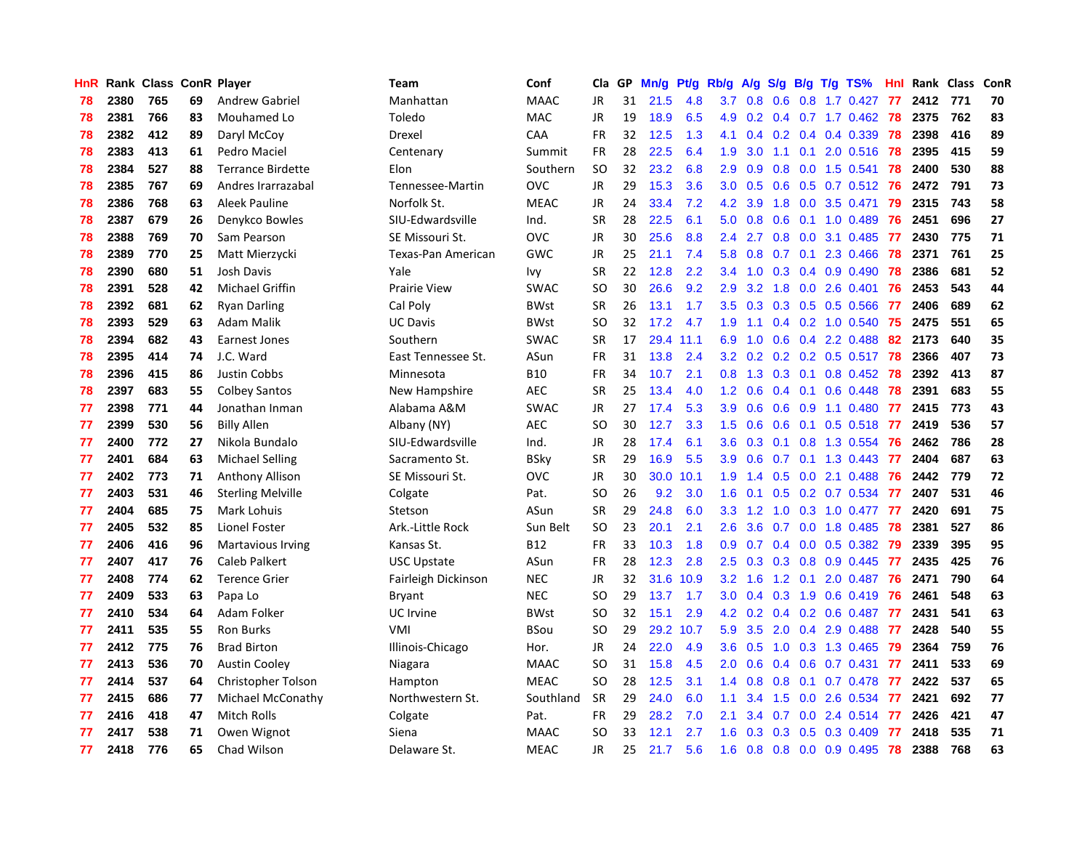| <b>HnR</b> |      | Rank Class ConR Player |    |                          | Team                | Conf        | Cla       | GP | Mn/g | Pt/g | Rb/g             | A/g             |               |     | S/g B/g T/g TS%              | Hnl |      | Rank Class | <b>ConR</b> |
|------------|------|------------------------|----|--------------------------|---------------------|-------------|-----------|----|------|------|------------------|-----------------|---------------|-----|------------------------------|-----|------|------------|-------------|
| 78         | 2380 | 765                    | 69 | <b>Andrew Gabriel</b>    | Manhattan           | <b>MAAC</b> | JR        | 31 | 21.5 | 4.8  |                  | $3.7 \quad 0.8$ | 0.6           |     | 0.8 1.7 0.427                | 77  | 2412 | 771        | 70          |
| 78         | 2381 | 766                    | 83 | Mouhamed Lo              | Toledo              | <b>MAC</b>  | <b>JR</b> | 19 | 18.9 | 6.5  |                  |                 |               |     | 4.9 0.2 0.4 0.7 1.7 0.462 78 |     | 2375 | 762        | 83          |
| 78         | 2382 | 412                    | 89 | Daryl McCoy              | Drexel              | CAA         | <b>FR</b> | 32 | 12.5 | 1.3  | 4.1              | $0.4^{\circ}$   |               |     | $0.2$ 0.4 0.4 0.339          | 78  | 2398 | 416        | 89          |
| 78         | 2383 | 413                    | 61 | Pedro Maciel             | Centenary           | Summit      | <b>FR</b> | 28 | 22.5 | 6.4  | 1.9              | 3.0             |               |     | 1.1 0.1 2.0 0.516            | 78  | 2395 | 415        | 59          |
| 78         | 2384 | 527                    | 88 | <b>Terrance Birdette</b> | Elon                | Southern    | <b>SO</b> | 32 | 23.2 | 6.8  | 2.9              | 0.9             | 0.8           |     | $0.0$ 1.5 0.541              | 78  | 2400 | 530        | 88          |
| 78         | 2385 | 767                    | 69 | Andres Irarrazabal       | Tennessee-Martin    | <b>OVC</b>  | JR        | 29 | 15.3 | 3.6  | 3.0 <sub>2</sub> | 0.5             |               |     | 0.6 0.5 0.7 0.512 76         |     | 2472 | 791        | 73          |
| 78         | 2386 | 768                    | 63 | Aleek Pauline            | Norfolk St.         | <b>MEAC</b> | JR        | 24 | 33.4 | 7.2  | 4.2              | 3.9             | 1.8           |     | $0.0$ 3.5 $0.471$            | 79  | 2315 | 743        | 58          |
| 78         | 2387 | 679                    | 26 | Denykco Bowles           | SIU-Edwardsville    | Ind.        | <b>SR</b> | 28 | 22.5 | 6.1  | 5.0              | 0.8             | 0.6           |     | $0.1$ 1.0 0.489              | 76  | 2451 | 696        | 27          |
| 78         | 2388 | 769                    | 70 | Sam Pearson              | SE Missouri St.     | <b>OVC</b>  | <b>JR</b> | 30 | 25.6 | 8.8  | $2.4^{\circ}$    | 2.7             | 0.8           |     | $0.0$ 3.1 $0.485$            | -77 | 2430 | 775        | 71          |
| 78         | 2389 | 770                    | 25 | Matt Mierzycki           | Texas-Pan American  | GWC         | JR        | 25 | 21.1 | 7.4  | 5.8              | 0.8             |               |     | $0.7$ 0.1 2.3 0.466          | -78 | 2371 | 761        | 25          |
| 78         | 2390 | 680                    | 51 | Josh Davis               | Yale                | Ivy         | <b>SR</b> | 22 | 12.8 | 2.2  | $3.4^{\circ}$    | 1.0             |               |     | 0.3 0.4 0.9 0.490 78         |     | 2386 | 681        | 52          |
| 78         | 2391 | 528                    | 42 | Michael Griffin          | <b>Prairie View</b> | <b>SWAC</b> | SO        | 30 | 26.6 | 9.2  | 2.9              | 3.2             |               |     | 1.8 0.0 2.6 0.401 76         |     | 2453 | 543        | 44          |
| 78         | 2392 | 681                    | 62 | Ryan Darling             | Cal Poly            | BWst        | <b>SR</b> | 26 | 13.1 | 1.7  | $3.5^{\circ}$    | 0.3             |               |     | 0.3 0.5 0.5 0.566 77         |     | 2406 | 689        | 62          |
| 78         | 2393 | 529                    | 63 | Adam Malik               | <b>UC Davis</b>     | <b>BWst</b> | <b>SO</b> | 32 | 17.2 | 4.7  | 1.9              | 1.1             |               |     | $0.4$ 0.2 1.0 0.540          | 75  | 2475 | 551        | 65          |
| 78         | 2394 | 682                    | 43 | <b>Earnest Jones</b>     | Southern            | <b>SWAC</b> | <b>SR</b> | 17 | 29.4 | 11.1 | 6.9              | 1.0             | 0.6           |     | $0.4$ 2.2 0.488              | 82  | 2173 | 640        | 35          |
| 78         | 2395 | 414                    | 74 | J.C. Ward                | East Tennessee St.  | ASun        | <b>FR</b> | 31 | 13.8 | 2.4  | 3.2              | 0.2             |               |     | $0.2$ 0.2 0.5 0.517          | 78  | 2366 | 407        | 73          |
| 78         | 2396 | 415                    | 86 | <b>Justin Cobbs</b>      | Minnesota           | <b>B10</b>  | <b>FR</b> | 34 | 10.7 | 2.1  | 0.8              | 1.3             | 0.3           | 0.1 | $0.8$ 0.452                  | 78  | 2392 | 413        | 87          |
| 78         | 2397 | 683                    | 55 | <b>Colbey Santos</b>     | New Hampshire       | AEC         | <b>SR</b> | 25 | 13.4 | 4.0  | 1.2              | 0.6             | $0.4^{\circ}$ | 0.1 | $0.6$ 0.448                  | 78  | 2391 | 683        | 55          |
| 77         | 2398 | 771                    | 44 | Jonathan Inman           | Alabama A&M         | <b>SWAC</b> | JR        | 27 | 17.4 | 5.3  | 3.9 <sup>°</sup> | 0.6             |               |     | 0.6 0.9 1.1 0.480            | 77  | 2415 | 773        | 43          |
| 77         | 2399 | 530                    | 56 | <b>Billy Allen</b>       | Albany (NY)         | <b>AEC</b>  | <b>SO</b> | 30 | 12.7 | 3.3  | 1.5              | 0.6             |               |     | 0.6 0.1 0.5 0.518 77         |     | 2419 | 536        | 57          |
| 77         | 2400 | 772                    | 27 | Nikola Bundalo           | SIU-Edwardsville    | Ind.        | JR        | 28 | 17.4 | 6.1  | 3.6 <sup>°</sup> | 0.3             |               |     | $0.1$ 0.8 1.3 0.554          | -76 | 2462 | 786        | 28          |
| 77         | 2401 | 684                    | 63 | <b>Michael Selling</b>   | Sacramento St.      | <b>BSky</b> | <b>SR</b> | 29 | 16.9 | 5.5  | 3.9              | 0.6             |               |     | 0.7 0.1 1.3 0.443            | -77 | 2404 | 687        | 63          |
| 77         | 2402 | 773                    | 71 | <b>Anthony Allison</b>   | SE Missouri St.     | <b>OVC</b>  | JR        | 30 | 30.0 | 10.1 | 1.9              | 1.4             | 0.5           |     | $0.0$ 2.1 $0.488$            | 76  | 2442 | 779        | 72          |
| 77         | 2403 | 531                    | 46 | <b>Sterling Melville</b> | Colgate             | Pat.        | <b>SO</b> | 26 | 9.2  | 3.0  | 1.6              | 0.1             | 0.5           |     | $0.2$ 0.7 0.534              | 77  | 2407 | 531        | 46          |
| 77         | 2404 | 685                    | 75 | Mark Lohuis              | Stetson             | ASun        | <b>SR</b> | 29 | 24.8 | 6.0  | 3.3              | 1.2             | 1.0           |     | 0.3 1.0 0.477                | 77  | 2420 | 691        | 75          |
| 77         | 2405 | 532                    | 85 | Lionel Foster            | Ark.-Little Rock    | Sun Belt    | <b>SO</b> | 23 | 20.1 | 2.1  | 2.6              | 3.6             |               |     | 0.7 0.0 1.8 0.485            | 78  | 2381 | 527        | 86          |
| 77         | 2406 | 416                    | 96 | <b>Martavious Irving</b> | Kansas St.          | B12         | FR        | 33 | 10.3 | 1.8  | 0.9              | 0.7             |               |     | $0.4$ 0.0 0.5 0.382          | -79 | 2339 | 395        | 95          |
| 77         | 2407 | 417                    | 76 | Caleb Palkert            | USC Upstate         | ASun        | <b>FR</b> | 28 | 12.3 | 2.8  | 2.5              | 0.3             |               |     | 0.3 0.8 0.9 0.445 77         |     | 2435 | 425        | 76          |
| 77         | 2408 | 774                    | 62 | <b>Terence Grier</b>     | Fairleigh Dickinson | <b>NEC</b>  | JR        | 32 | 31.6 | 10.9 | 3.2              | 1.6             |               |     | 1.2 0.1 2.0 0.487 76         |     | 2471 | 790        | 64          |
| 77         | 2409 | 533                    | 63 | Papa Lo                  | Bryant              | <b>NEC</b>  | <b>SO</b> | 29 | 13.7 | 1.7  | 3.0 <sub>1</sub> | 0.4             |               |     | $0.3$ 1.9 0.6 0.419          | -76 | 2461 | 548        | 63          |
| 77         | 2410 | 534                    | 64 | Adam Folker              | UC Irvine           | <b>BWst</b> | <b>SO</b> | 32 | 15.1 | 2.9  | 4.2              | 0.2             |               |     | $0.4$ 0.2 0.6 0.487          | -77 | 2431 | 541        | 63          |
| 77         | 2411 | 535                    | 55 | <b>Ron Burks</b>         | <b>VMI</b>          | <b>BSou</b> | <b>SO</b> | 29 | 29.2 | 10.7 | 5.9              | 3.5             | 2.0           |     | $0.4$ 2.9 0.488              | -77 | 2428 | 540        | 55          |
| 77         | 2412 | 775                    | 76 | <b>Brad Birton</b>       | Illinois-Chicago    | Hor.        | <b>JR</b> | 24 | 22.0 | 4.9  | 3.6 <sup>°</sup> | 0.5             | 1.0           |     | $0.3$ 1.3 0.465              | 79  | 2364 | 759        | 76          |
| 77         | 2413 | 536                    | 70 | <b>Austin Cooley</b>     | Niagara             | <b>MAAC</b> | SO        | 31 | 15.8 | 4.5  | 2.0 <sub>1</sub> | 0.6             | $0.4^{\circ}$ |     | $0.6$ 0.7 0.431              | 77  | 2411 | 533        | 69          |
| 77         | 2414 | 537                    | 64 | Christopher Tolson       | Hampton             | <b>MEAC</b> | <b>SO</b> | 28 | 12.5 | 3.1  | $1.4^{\circ}$    | 0.8             | 0.8           | 0.1 | $0.7$ 0.478                  | -77 | 2422 | 537        | 65          |
| 77         | 2415 | 686                    | 77 | Michael McConathy        | Northwestern St.    | Southland   | <b>SR</b> | 29 | 24.0 | 6.0  | 1.1              | 3.4             | 1.5           |     | $0.0$ 2.6 0.534              | -77 | 2421 | 692        | 77          |
| 77         | 2416 | 418                    | 47 | Mitch Rolls              | Colgate             | Pat.        | <b>FR</b> | 29 | 28.2 | 7.0  | 2.1              | 3.4             | 0.7           |     | $0.0$ 2.4 $0.514$            | -77 | 2426 | 421        | 47          |
| 77         | 2417 | 538                    | 71 | Owen Wignot              | Siena               | <b>MAAC</b> | SO        | 33 | 12.1 | 2.7  | 1.6              | 0.3             |               |     | $0.3$ 0.5 0.3 0.409          | -77 | 2418 | 535        | 71          |
| 77         | 2418 | 776                    | 65 | Chad Wilson              | Delaware St.        | <b>MEAC</b> | <b>JR</b> | 25 | 21.7 | 5.6  | 1.6              | 0.8             |               |     | 0.8 0.0 0.9 0.495            | 78  | 2388 | 768        | 63          |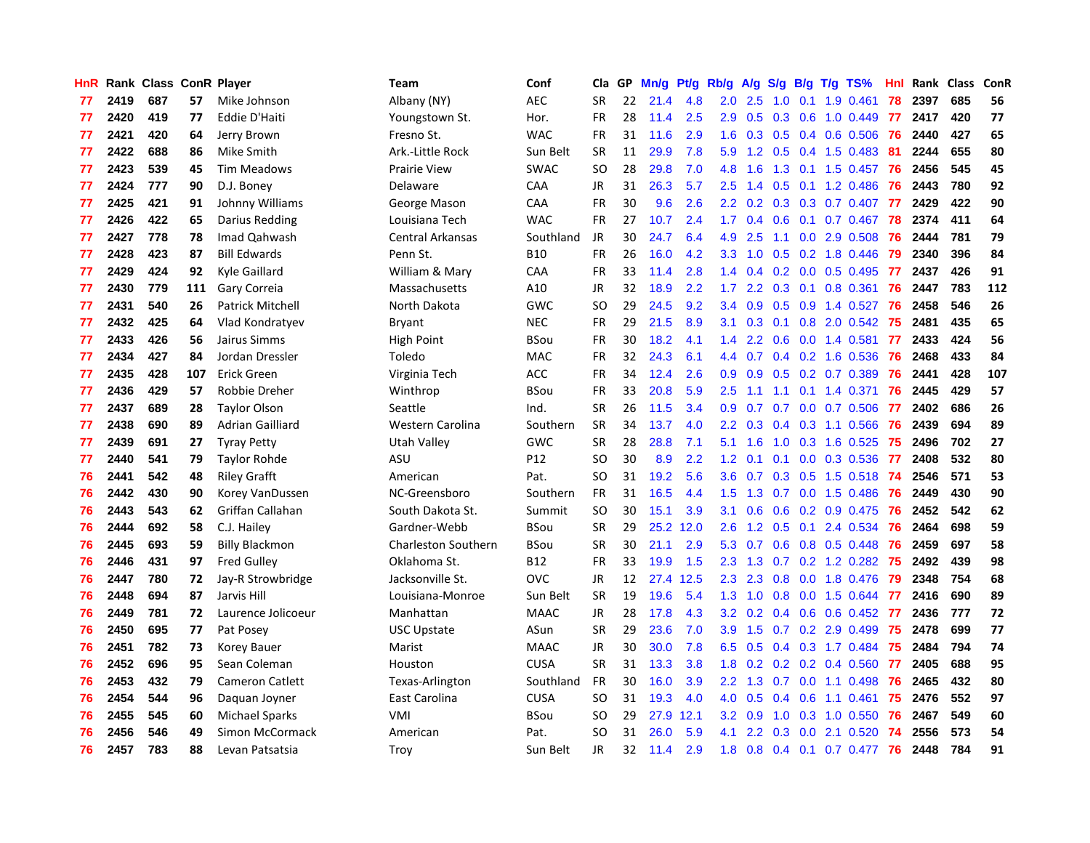| <b>HnR</b> |      | Rank Class ConR Player |     |                         | Team                       | Conf            | Cla       | GP | Mn/g | <b>Pt/g</b> | Rb/g             | A/g             |     |     | S/g B/g T/g TS%          | Hnl | Rank | Class | <b>ConR</b> |
|------------|------|------------------------|-----|-------------------------|----------------------------|-----------------|-----------|----|------|-------------|------------------|-----------------|-----|-----|--------------------------|-----|------|-------|-------------|
| 77         | 2419 | 687                    | 57  | Mike Johnson            | Albany (NY)                | <b>AEC</b>      | <b>SR</b> | 22 | 21.4 | 4.8         | 2.0 <sub>1</sub> | 2.5             | 1.0 | 0.1 | 1.9 0.461                | 78  | 2397 | 685   | 56          |
| 77         | 2420 | 419                    | 77  | <b>Eddie D'Haiti</b>    | Youngstown St.             | Hor.            | FR        | 28 | 11.4 | 2.5         |                  | $2.9$ 0.5       |     |     | $0.3$ 0.6 1.0 0.449      | -77 | 2417 | 420   | 77          |
| 77         | 2421 | 420                    | 64  | Jerry Brown             | Fresno St.                 | <b>WAC</b>      | <b>FR</b> | 31 | 11.6 | 2.9         | 1.6              | 0.3             |     |     | $0.5$ 0.4 0.6 0.506      | -76 | 2440 | 427   | 65          |
| 77         | 2422 | 688                    | 86  | Mike Smith              | Ark.-Little Rock           | Sun Belt        | <b>SR</b> | 11 | 29.9 | 7.8         | 5.9              | 1.2             |     |     | 0.5 0.4 1.5 0.483        | -81 | 2244 | 655   | 80          |
| 77         | 2423 | 539                    | 45  | Tim Meadows             | <b>Prairie View</b>        | <b>SWAC</b>     | <b>SO</b> | 28 | 29.8 | 7.0         | 4.8              | 1.6             | 1.3 |     | $0.1$ 1.5 0.457          | -76 | 2456 | 545   | 45          |
| 77         | 2424 | 777                    | 90  | D.J. Boney              | Delaware                   | CAA             | JR        | 31 | 26.3 | 5.7         | $2.5\,$          | 1.4             | 0.5 |     | $0.1$ 1.2 0.486          | 76  | 2443 | 780   | 92          |
| 77         | 2425 | 421                    | 91  | Johnny Williams         | George Mason               | CAA             | <b>FR</b> | 30 | 9.6  | 2.6         | $2.2\phantom{0}$ | 0.2             | 0.3 |     | 0.3 0.7 0.407            | 77  | 2429 | 422   | 90          |
| 77         | 2426 | 422                    | 65  | Darius Redding          | Louisiana Tech             | <b>WAC</b>      | FR        | 27 | 10.7 | 2.4         | 1.7              | 0.4             | 0.6 |     | $0.1$ 0.7 0.467          | 78  | 2374 | 411   | 64          |
| 77         | 2427 | 778                    | 78  | Imad Qahwash            | Central Arkansas           | Southland       | <b>JR</b> | 30 | 24.7 | 6.4         | 4.9              | 2.5             | 1.1 |     | $0.0$ 2.9 $0.508$        | -76 | 2444 | 781   | 79          |
| 77         | 2428 | 423                    | 87  | <b>Bill Edwards</b>     | Penn St.                   | <b>B10</b>      | FR        | 26 | 16.0 | 4.2         | 3.3              | 1.0             |     |     | $0.5$ 0.2 1.8 0.446      | -79 | 2340 | 396   | 84          |
| 77         | 2429 | 424                    | 92  | Kyle Gaillard           | William & Mary             | CAA             | <b>FR</b> | 33 | 11.4 | 2.8         | 1.4              |                 |     |     | 0.4 0.2 0.0 0.5 0.495 77 |     | 2437 | 426   | 91          |
| 77         | 2430 | 779                    | 111 | Gary Correia            | Massachusetts              | A10             | JR        | 32 | 18.9 | 2.2         | 1.7 <sub>z</sub> | $2.2^{\circ}$   |     |     | $0.3$ 0.1 0.8 0.361      | -76 | 2447 | 783   | 112         |
| 77         | 2431 | 540                    | 26  | <b>Patrick Mitchell</b> | North Dakota               | GWC             | <b>SO</b> | 29 | 24.5 | 9.2         | $3.4^{\circ}$    | 0.9             | 0.5 |     | 0.9 1.4 0.527            | 76  | 2458 | 546   | 26          |
| 77         | 2432 | 425                    | 64  | Vlad Kondratyev         | Bryant                     | <b>NEC</b>      | FR        | 29 | 21.5 | 8.9         | 3.1              | 0.3             |     |     | $0.1$ $0.8$ 2.0 $0.542$  | -75 | 2481 | 435   | 65          |
| 77         | 2433 | 426                    | 56  | Jairus Simms            | High Point                 | <b>BSou</b>     | <b>FR</b> | 30 | 18.2 | 4.1         | $1.4^{\circ}$    | 2.2             | 0.6 |     | $0.0$ 1.4 $0.581$        | 77  | 2433 | 424   | 56          |
| 77         | 2434 | 427                    | 84  | Jordan Dressler         | Toledo                     | MAC             | FR        | 32 | 24.3 | 6.1         | 4.4              | 0.7             |     |     | 0.4 0.2 1.6 0.536        | 76  | 2468 | 433   | 84          |
| 77         | 2435 | 428                    | 107 | <b>Erick Green</b>      | Virginia Tech              | <b>ACC</b>      | <b>FR</b> | 34 | 12.4 | 2.6         | 0.9              | 0.9             | 0.5 |     | 0.2 0.7 0.389            | 76  | 2441 | 428   | 107         |
| 77         | 2436 | 429                    | 57  | Robbie Dreher           | Winthrop                   | <b>BSou</b>     | <b>FR</b> | 33 | 20.8 | 5.9         | 2.5              | 1.1             | 1.1 |     | $0.1$ 1.4 0.371          | 76  | 2445 | 429   | 57          |
| 77         | 2437 | 689                    | 28  | <b>Taylor Olson</b>     | Seattle                    | Ind.            | <b>SR</b> | 26 | 11.5 | 3.4         |                  | $0.9\quad 0.7$  |     |     | 0.7 0.0 0.7 0.506 77     |     | 2402 | 686   | 26          |
| 77         | 2438 | 690                    | 89  | Adrian Gailliard        | Western Carolina           | Southern        | <b>SR</b> | 34 | 13.7 | 4.0         | $2.2^{\circ}$    | 0.3             |     |     | 0.4 0.3 1.1 0.566        | -76 | 2439 | 694   | 89          |
| 77         | 2439 | 691                    | 27  | <b>Tyray Petty</b>      | Utah Valley                | GWC             | <b>SR</b> | 28 | 28.8 | 7.1         | 5.1              | 1.6             | 1.0 |     | 0.3 1.6 0.525            | 75  | 2496 | 702   | 27          |
| 77         | 2440 | 541                    | 79  | <b>Taylor Rohde</b>     | ASU                        | P <sub>12</sub> | <b>SO</b> | 30 | 8.9  | 2.2         | 1.2              | 0.1             | 0.1 |     | $0.0$ $0.3$ $0.536$      | -77 | 2408 | 532   | 80          |
| 76         | 2441 | 542                    | 48  | <b>Riley Grafft</b>     | American                   | Pat.            | <b>SO</b> | 31 | 19.2 | 5.6         | 3.6              | 0.7             |     |     | $0.3$ 0.5 1.5 0.518      | -74 | 2546 | 571   | 53          |
| 76         | 2442 | 430                    | 90  | Korey VanDussen         | NC-Greensboro              | Southern        | <b>FR</b> | 31 | 16.5 | 4.4         | 1.5              | 1.3             | 0.7 |     | $0.0$ 1.5 $0.486$        | 76  | 2449 | 430   | 90          |
| 76         | 2443 | 543                    | 62  | Griffan Callahan        | South Dakota St.           | Summit          | <b>SO</b> | 30 | 15.1 | 3.9         | 3.1              | 0.6             | 0.6 |     | $0.2$ 0.9 0.475          | 76  | 2452 | 542   | 62          |
| 76         | 2444 | 692                    | 58  | C.J. Hailey             | Gardner-Webb               | <b>BSou</b>     | <b>SR</b> | 29 | 25.2 | 12.0        | 2.6              | 1.2             |     |     | $0.5$ 0.1 2.4 0.534      | -76 | 2464 | 698   | 59          |
| 76         | 2445 | 693                    | 59  | <b>Billy Blackmon</b>   | <b>Charleston Southern</b> | <b>BSou</b>     | <b>SR</b> | 30 | 21.1 | 2.9         |                  | $5.3 \quad 0.7$ |     |     | 0.6 0.8 0.5 0.448 76     |     | 2459 | 697   | 58          |
| 76         | 2446 | 431                    | 97  | <b>Fred Gulley</b>      | Oklahoma St.               | <b>B12</b>      | <b>FR</b> | 33 | 19.9 | 1.5         | 2.3              | 1.3             |     |     | 0.7 0.2 1.2 0.282 75     |     | 2492 | 439   | 98          |
| 76         | 2447 | 780                    | 72  | Jay-R Strowbridge       | Jacksonville St.           | <b>OVC</b>      | <b>JR</b> | 12 | 27.4 | 12.5        | 2.3              | 2.3             |     |     | 0.8 0.0 1.8 0.476        | -79 | 2348 | 754   | 68          |
| 76         | 2448 | 694                    | 87  | Jarvis Hill             | Louisiana-Monroe           | Sun Belt        | <b>SR</b> | 19 | 19.6 | 5.4         | 1.3              | 1.0             | 0.8 |     | 0.0 1.5 0.644            | -77 | 2416 | 690   | 89          |
| 76         | 2449 | 781                    | 72  | Laurence Jolicoeur      | Manhattan                  | <b>MAAC</b>     | JR        | 28 | 17.8 | 4.3         | 3.2              | 0.2             |     |     | $0.4$ 0.6 0.6 0.452      | -77 | 2436 | 777   | 72          |
| 76         | 2450 | 695                    | 77  | Pat Posey               | <b>USC Upstate</b>         | ASun            | <b>SR</b> | 29 | 23.6 | 7.0         | 3.9 <sup>°</sup> | 1.5             | 0.7 |     | 0.2 2.9 0.499            | 75  | 2478 | 699   | 77          |
| 76         | 2451 | 782                    | 73  | Korey Bauer             | Marist                     | <b>MAAC</b>     | JR        | 30 | 30.0 | 7.8         | 6.5              | 0.5             |     |     | 0.4 0.3 1.7 0.484        | 75  | 2484 | 794   | 74          |
| 76         | 2452 | 696                    | 95  | Sean Coleman            | Houston                    | <b>CUSA</b>     | <b>SR</b> | 31 | 13.3 | 3.8         | 1.8              | 0.2             |     |     | $0.2$ 0.2 0.4 0.560      | 77  | 2405 | 688   | 95          |
| 76         | 2453 | 432                    | 79  | <b>Cameron Catlett</b>  | Texas-Arlington            | Southland       | <b>FR</b> | 30 | 16.0 | 3.9         | $2.2^{\circ}$    | 1.3             |     |     | 0.7 0.0 1.1 0.498        | 76  | 2465 | 432   | 80          |
| 76         | 2454 | 544                    | 96  | Daguan Joyner           | East Carolina              | <b>CUSA</b>     | <b>SO</b> | 31 | 19.3 | 4.0         | 4.0              | 0.5             |     |     | $0.4$ 0.6 1.1 0.461      | 75  | 2476 | 552   | 97          |
| 76         | 2455 | 545                    | 60  | <b>Michael Sparks</b>   | VMI                        | <b>BSou</b>     | <b>SO</b> | 29 | 27.9 | 12.1        | 3.2              | 0.9             | 1.0 |     | 0.3 1.0 0.550            | 76  | 2467 | 549   | 60          |
| 76         | 2456 | 546                    | 49  | Simon McCormack         | American                   | Pat.            | <b>SO</b> | 31 | 26.0 | 5.9         | 4.1              | 2.2             | 0.3 |     | $0.0$ 2.1 $0.520$        | 74  | 2556 | 573   | 54          |
| 76         | 2457 | 783                    | 88  | Levan Patsatsia         | Troy                       | Sun Belt        | <b>JR</b> | 32 | 11.4 | 2.9         | 1.8              | 0.8             |     |     | 0.4 0.1 0.7 0.477 76     |     | 2448 | 784   | 91          |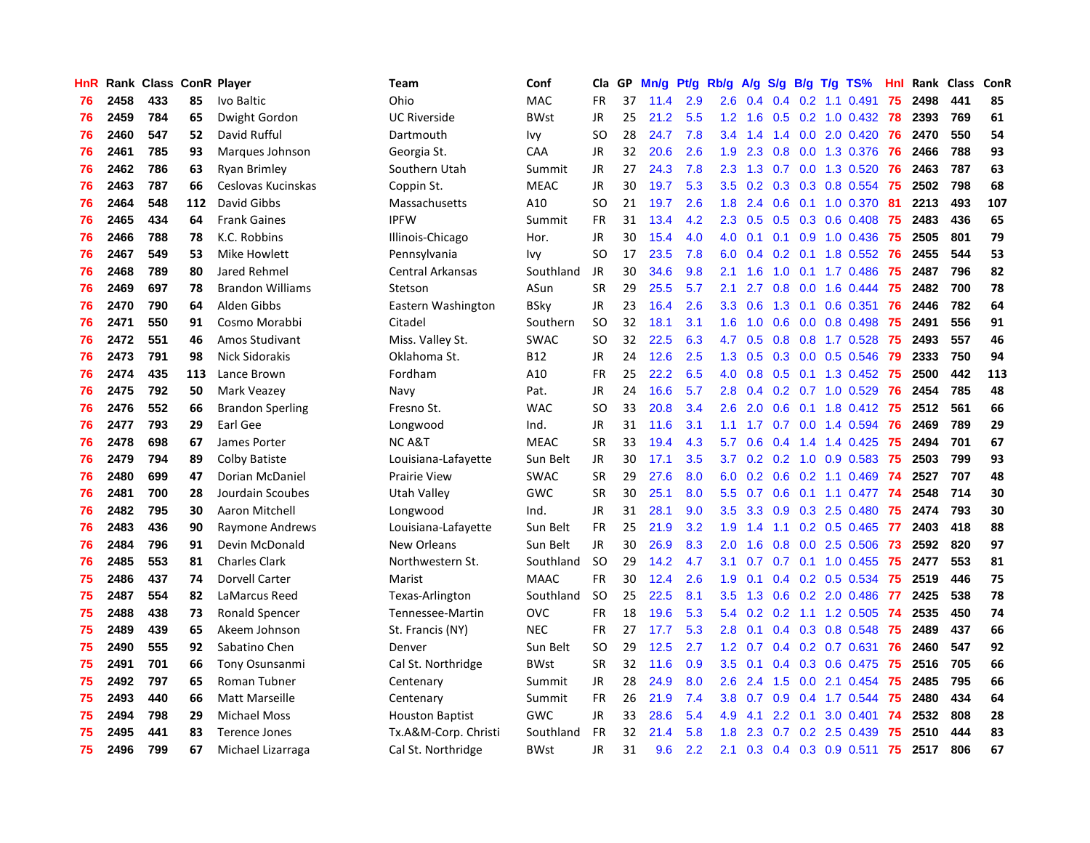| HnR |      | Rank Class ConR Player |     |                         | Team                   | Conf        | Cla           | <b>GP</b> | Mn/g | <b>Pt/g</b> | Rb/g             | A/g             |                  |  | S/g B/g T/g TS%           | Hnl | Rank | <b>Class</b> | ConR |
|-----|------|------------------------|-----|-------------------------|------------------------|-------------|---------------|-----------|------|-------------|------------------|-----------------|------------------|--|---------------------------|-----|------|--------------|------|
| 76  | 2458 | 433                    | 85  | Ivo Baltic              | Ohio                   | <b>MAC</b>  | <b>FR</b>     | 37        | 11.4 | 2.9         | 2.6              | 0.4             |                  |  | $0.4$ 0.2 1.1 0.491       | 75  | 2498 | 441          | 85   |
| 76  | 2459 | 784                    | 65  | Dwight Gordon           | <b>UC Riverside</b>    | <b>BWst</b> | <b>JR</b>     | 25        | 21.2 | 5.5         |                  | $1.2 \quad 1.6$ |                  |  | 0.5 0.2 1.0 0.432 78      |     | 2393 | 769          | 61   |
| 76  | 2460 | 547                    | 52  | David Rufful            | Dartmouth              | lvy         | <b>SO</b>     | 28        | 24.7 | 7.8         | 3.4              | 1.4             |                  |  | 1.4 0.0 2.0 0.420         | -76 | 2470 | 550          | 54   |
| 76  | 2461 | 785                    | 93  | Marques Johnson         | Georgia St.            | CAA         | JR            | 32        | 20.6 | 2.6         | 1.9              | 2.3             |                  |  | 0.8 0.0 1.3 0.376         | -76 | 2466 | 788          | 93   |
| 76  | 2462 | 786                    | 63  | <b>Ryan Brimley</b>     | Southern Utah          | Summit      | <b>JR</b>     | 27        | 24.3 | 7.8         | 2.3              | 1.3             |                  |  | 0.7 0.0 1.3 0.520         | 76  | 2463 | 787          | 63   |
| 76  | 2463 | 787                    | 66  | Ceslovas Kucinskas      | Coppin St.             | <b>MEAC</b> | JR            | 30        | 19.7 | 5.3         | 3.5              | 0.2             |                  |  | $0.3$ 0.3 0.8 0.554       | -75 | 2502 | 798          | 68   |
| 76  | 2464 | 548                    | 112 | David Gibbs             | Massachusetts          | A10         | <b>SO</b>     | 21        | 19.7 | 2.6         | 1.8              | 2.4             | 0.6              |  | $0.1$ 1.0 0.370           | 81  | 2213 | 493          | 107  |
| 76  | 2465 | 434                    | 64  | <b>Frank Gaines</b>     | <b>IPFW</b>            | Summit      | <b>FR</b>     | 31        | 13.4 | 4.2         | 2.3              | 0.5             |                  |  | $0.5$ 0.3 0.6 0.408       | 75  | 2483 | 436          | 65   |
| 76  | 2466 | 788                    | 78  | K.C. Robbins            | Illinois-Chicago       | Hor.        | <b>JR</b>     | 30        | 15.4 | 4.0         | 4.0              | 0.1             |                  |  | $0.1$ 0.9 1.0 0.436       | -75 | 2505 | 801          | 79   |
| 76  | 2467 | 549                    | 53  | Mike Howlett            | Pennsylvania           | Ivy         | SO.           | 17        | 23.5 | 7.8         | 6.0              | 0.4             |                  |  | 0.2 0.1 1.8 0.552 76      |     | 2455 | 544          | 53   |
| 76  | 2468 | 789                    | 80  | Jared Rehmel            | Central Arkansas       | Southland   | JR            | 30        | 34.6 | 9.8         | 2.1              | 1.6             |                  |  | 1.0 0.1 1.7 0.486 75      |     | 2487 | 796          | 82   |
| 76  | 2469 | 697                    | 78  | <b>Brandon Williams</b> | Stetson                | ASun        | <b>SR</b>     | 29        | 25.5 | 5.7         | 2.1              | 2.7             |                  |  | 0.8 0.0 1.6 0.444         | -75 | 2482 | 700          | 78   |
| 76  | 2470 | 790                    | 64  | Alden Gibbs             | Eastern Washington     | BSky        | <b>JR</b>     | 23        | 16.4 | 2.6         | 3.3 <sub>2</sub> | 0.6             |                  |  | 1.3 0.1 0.6 0.351         | 76  | 2446 | 782          | 64   |
| 76  | 2471 | 550                    | 91  | Cosmo Morabbi           | Citadel                | Southern    | <b>SO</b>     | 32        | 18.1 | 3.1         | 1.6              | 1.0             | 0.6              |  | $0.0$ 0.8 0.498           | 75  | 2491 | 556          | 91   |
| 76  | 2472 | 551                    | 46  | Amos Studivant          | Miss. Valley St.       | <b>SWAC</b> | SO            | 32        | 22.5 | 6.3         | 4.7              | 0.5             |                  |  | 0.8 0.8 1.7 0.528         | 75  | 2493 | 557          | 46   |
| 76  | 2473 | 791                    | 98  | <b>Nick Sidorakis</b>   | Oklahoma St.           | <b>B12</b>  | JR            | 24        | 12.6 | 2.5         | 1.3              | 0.5             |                  |  | 0.3 0.0 0.5 0.546         | 79  | 2333 | 750          | 94   |
| 76  | 2474 | 435                    | 113 | Lance Brown             | Fordham                | A10         | <b>FR</b>     | 25        | 22.2 | 6.5         | 4.0              | 0.8             | 0.5              |  | 0.1 1.3 0.452             | 75  | 2500 | 442          | 113  |
| 76  | 2475 | 792                    | 50  | Mark Veazey             | Navy                   | Pat.        | <b>JR</b>     | 24        | 16.6 | 5.7         | 2.8              | 0.4             |                  |  | $0.2$ 0.7 1.0 0.529       | 76  | 2454 | 785          | 48   |
| 76  | 2476 | 552                    | 66  | <b>Brandon Sperling</b> | Fresno St.             | <b>WAC</b>  | <sub>SO</sub> | 33        | 20.8 | 3.4         | 2.6              | 2.0             |                  |  | 0.6 0.1 1.8 0.412 75      |     | 2512 | 561          | 66   |
| 76  | 2477 | 793                    | 29  | Earl Gee                | Longwood               | Ind.        | JR            | 31        | 11.6 | 3.1         | 1.1              |                 |                  |  | 1.7 0.7 0.0 1.4 0.594     | 76  | 2469 | 789          | 29   |
| 76  | 2478 | 698                    | 67  | James Porter            | <b>NC A&amp;T</b>      | <b>MEAC</b> | <b>SR</b>     | 33        | 19.4 | 4.3         | 5.7              | 0.6             |                  |  | $0.4$ 1.4 1.4 0.425       | -75 | 2494 | 701          | 67   |
| 76  | 2479 | 794                    | 89  | <b>Colby Batiste</b>    | Louisiana-Lafayette    | Sun Belt    | <b>JR</b>     | 30        | 17.1 | 3.5         | 3.7              | 0.2             |                  |  | $0.2$ 1.0 0.9 0.583       | 75  | 2503 | 799          | 93   |
| 76  | 2480 | 699                    | 47  | Dorian McDaniel         | <b>Prairie View</b>    | <b>SWAC</b> | <b>SR</b>     | 29        | 27.6 | 8.0         | 6.0              | 0.2             | 0.6              |  | $0.2$ 1.1 0.469           | 74  | 2527 | 707          | 48   |
| 76  | 2481 | 700                    | 28  | Jourdain Scoubes        | <b>Utah Valley</b>     | GWC         | <b>SR</b>     | 30        | 25.1 | 8.0         | 5.5              | 0.7             | 0.6              |  | $0.1$ 1.1 0.477           | 74  | 2548 | 714          | 30   |
| 76  | 2482 | 795                    | 30  | Aaron Mitchell          | Longwood               | Ind.        | JR            | 31        | 28.1 | 9.0         | 3.5              | 3.3             | 0.9 <sub>0</sub> |  | 0.3 2.5 0.480             | 75  | 2474 | 793          | 30   |
| 76  | 2483 | 436                    | 90  | Raymone Andrews         | Louisiana-Lafayette    | Sun Belt    | FR            | 25        | 21.9 | 3.2         | 1.9              | 1.4             | 1.1              |  | $0.2$ 0.5 0.465           | -77 | 2403 | 418          | 88   |
| 76  | 2484 | 796                    | 91  | Devin McDonald          | New Orleans            | Sun Belt    | JR            | 30        | 26.9 | 8.3         | 2.0              | 1.6             |                  |  | 0.8 0.0 2.5 0.506         | -73 | 2592 | 820          | 97   |
| 76  | 2485 | 553                    | 81  | <b>Charles Clark</b>    | Northwestern St.       | Southland   | <b>SO</b>     | 29        | 14.2 | 4.7         | 3.1              | 0.7             |                  |  | 0.7 0.1 1.0 0.455 75      |     | 2477 | 553          | 81   |
| 75  | 2486 | 437                    | 74  | Dorvell Carter          | Marist                 | <b>MAAC</b> | <b>FR</b>     | 30        | 12.4 | 2.6         | 1.9              | 0.1             |                  |  | 0.4 0.2 0.5 0.534 75      |     | 2519 | 446          | 75   |
| 75  | 2487 | 554                    | 82  | LaMarcus Reed           | Texas-Arlington        | Southland   | <b>SO</b>     | 25        | 22.5 | 8.1         | 3.5              | 1.3             |                  |  | $0.6$ $0.2$ $2.0$ $0.486$ | 77  | 2425 | 538          | 78   |
| 75  | 2488 | 438                    | 73  | <b>Ronald Spencer</b>   | Tennessee-Martin       | <b>OVC</b>  | <b>FR</b>     | 18        | 19.6 | 5.3         | 5.4              | 0.2             | 0.2              |  | 1.1 1.2 0.505             | -74 | 2535 | 450          | 74   |
| 75  | 2489 | 439                    | 65  | Akeem Johnson           | St. Francis (NY)       | <b>NEC</b>  | <b>FR</b>     | 27        | 17.7 | 5.3         | 2.8              | 0.1             |                  |  | 0.4 0.3 0.8 0.548         | 75  | 2489 | 437          | 66   |
| 75  | 2490 | 555                    | 92  | Sabatino Chen           | Denver                 | Sun Belt    | <b>SO</b>     | 29        | 12.5 | 2.7         | 1.2              | 0.7             |                  |  | $0.4$ 0.2 0.7 0.631       | 76  | 2460 | 547          | 92   |
| 75  | 2491 | 701                    | 66  | Tony Osunsanmi          | Cal St. Northridge     | <b>BWst</b> | <b>SR</b>     | 32        | 11.6 | 0.9         | 3.5              | 0.1             |                  |  | 0.4 0.3 0.6 0.475         | 75  | 2516 | 705          | 66   |
| 75  | 2492 | 797                    | 65  | <b>Roman Tubner</b>     | Centenary              | Summit      | JR            | 28        | 24.9 | 8.0         | 2.6              | 2.4             | 1.5              |  | $0.0$ 2.1 $0.454$         | -75 | 2485 | 795          | 66   |
| 75  | 2493 | 440                    | 66  | Matt Marseille          | Centenary              | Summit      | <b>FR</b>     | 26        | 21.9 | 7.4         | 3.8 <sub>1</sub> | 0.7             |                  |  | 0.9 0.4 1.7 0.544         | -75 | 2480 | 434          | 64   |
| 75  | 2494 | 798                    | 29  | <b>Michael Moss</b>     | <b>Houston Baptist</b> | GWC         | <b>JR</b>     | 33        | 28.6 | 5.4         | 4.9              | 4.1             | $2.2^{\circ}$    |  | $0.1$ 3.0 0.401           | -74 | 2532 | 808          | 28   |
| 75  | 2495 | 441                    | 83  | Terence Jones           | Tx.A&M-Corp. Christi   | Southland   | <b>FR</b>     | 32        | 21.4 | 5.8         | 1.8              | 2.3             |                  |  | $0.7$ $0.2$ $2.5$ $0.439$ | 75  | 2510 | 444          | 83   |
| 75  | 2496 | 799                    | 67  | Michael Lizarraga       | Cal St. Northridge     | BWst        | <b>JR</b>     | 31        | 9.6  | 2.2         | 2.1              | 0.3             |                  |  | 0.4 0.3 0.9 0.511         | 75  | 2517 | 806          | 67   |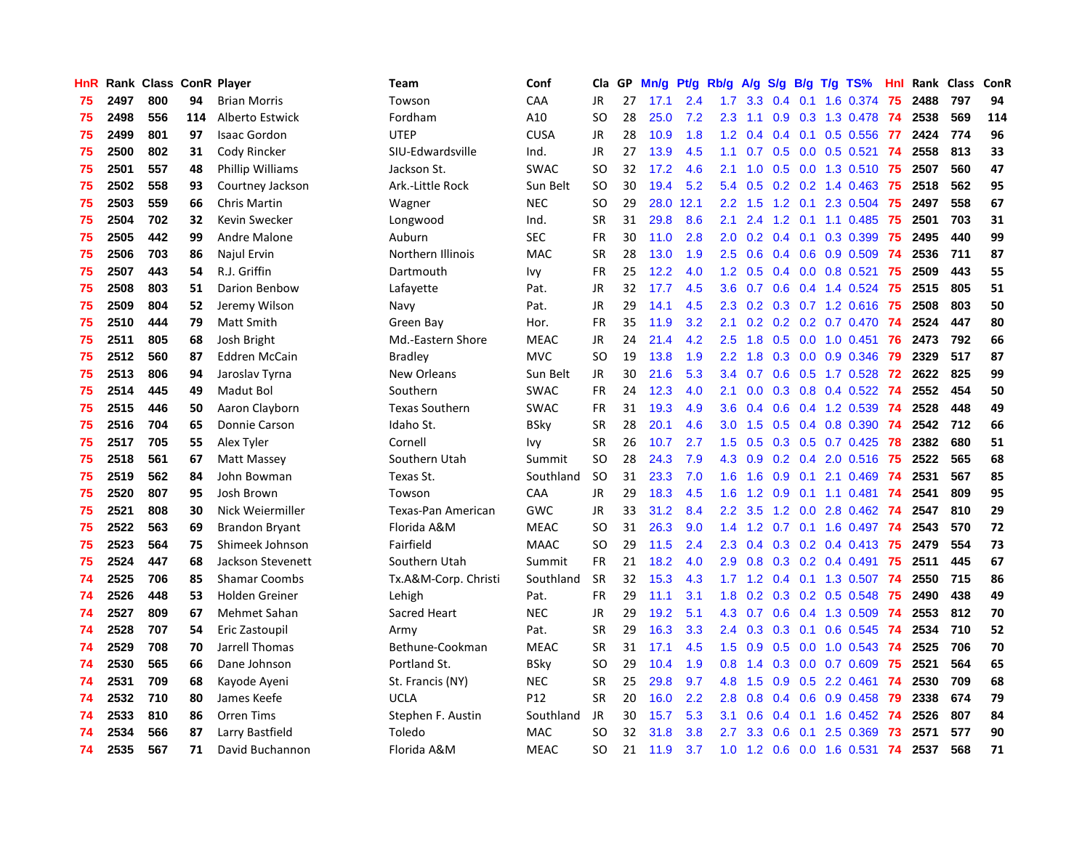| HnR |      | Rank Class ConR Player |     |                       | Team                  | Conf            | <b>Cla</b> | <b>GP</b> | Mn/g | <b>Pt/g</b> | Rb/g             | A/g             |     |     | S/g B/g T/g TS%           | Hnl | Rank | Class | <b>ConR</b> |
|-----|------|------------------------|-----|-----------------------|-----------------------|-----------------|------------|-----------|------|-------------|------------------|-----------------|-----|-----|---------------------------|-----|------|-------|-------------|
| 75  | 2497 | 800                    | 94  | <b>Brian Morris</b>   | Towson                | CAA             | JR.        | 27        | 17.1 | 2.4         | 1.7              | 3.3             | 0.4 | 0.1 | 1.6 0.374                 | 75  | 2488 | 797   | 94          |
| 75  | 2498 | 556                    | 114 | Alberto Estwick       | Fordham               | A10             | <b>SO</b>  | 28        | 25.0 | 7.2         | 2.3              | 1.1             |     |     | 0.9 0.3 1.3 0.478 74      |     | 2538 | 569   | 114         |
| 75  | 2499 | 801                    | 97  | <b>Isaac Gordon</b>   | <b>UTEP</b>           | <b>CUSA</b>     | JR         | 28        | 10.9 | 1.8         | 1.2              | 0.4             |     |     | 0.4 0.1 0.5 0.556 77      |     | 2424 | 774   | 96          |
| 75  | 2500 | 802                    | 31  | Cody Rincker          | SIU-Edwardsville      | Ind.            | JR         | 27        | 13.9 | 4.5         | 1.1 <sup>1</sup> | 0.7             |     |     | $0.5$ 0.0 0.5 0.521       | -74 | 2558 | 813   | 33          |
| 75  | 2501 | 557                    | 48  | Phillip Williams      | Jackson St.           | <b>SWAC</b>     | <b>SO</b>  | 32        | 17.2 | 4.6         | 2.1              | 1.0             | 0.5 |     | $0.0$ 1.3 0.510           | -75 | 2507 | 560   | 47          |
| 75  | 2502 | 558                    | 93  | Courtney Jackson      | Ark.-Little Rock      | Sun Belt        | <b>SO</b>  | 30        | 19.4 | 5.2         | 5.4              | 0.5             |     |     | $0.2$ 0.2 1.4 0.463       | -75 | 2518 | 562   | 95          |
| 75  | 2503 | 559                    | 66  | <b>Chris Martin</b>   | Wagner                | <b>NEC</b>      | <b>SO</b>  | 29        | 28.0 | 12.1        | $2.2^{\circ}$    | 1.5             |     |     | 1.2 0.1 2.3 0.504         | 75  | 2497 | 558   | 67          |
| 75  | 2504 | 702                    | 32  | Kevin Swecker         | Longwood              | Ind.            | <b>SR</b>  | 31        | 29.8 | 8.6         | 2.1              | 2.4             | 1.2 |     | $0.1$ 1.1 0.485           | 75  | 2501 | 703   | 31          |
| 75  | 2505 | 442                    | 99  | Andre Malone          | Auburn                | <b>SEC</b>      | FR         | 30        | 11.0 | 2.8         | 2.0              | 0.2             |     |     | $0.4$ 0.1 0.3 0.399       | 75  | 2495 | 440   | 99          |
| 75  | 2506 | 703                    | 86  | Najul Ervin           | Northern Illinois     | <b>MAC</b>      | <b>SR</b>  | 28        | 13.0 | 1.9         | 2.5              | 0.6             |     |     | 0.4 0.6 0.9 0.509 74      |     | 2536 | 711   | 87          |
| 75  | 2507 | 443                    | 54  | R.J. Griffin          | Dartmouth             | Ivy             | <b>FR</b>  | 25        | 12.2 | 4.0         |                  | $1.2 \quad 0.5$ |     |     | 0.4 0.0 0.8 0.521 75      |     | 2509 | 443   | 55          |
| 75  | 2508 | 803                    | 51  | Darion Benbow         | Lafayette             | Pat.            | JR         | 32        | 17.7 | 4.5         | 3.6 <sup>°</sup> | 0.7             |     |     | 0.6 0.4 1.4 0.524 75      |     | 2515 | 805   | 51          |
| 75  | 2509 | 804                    | 52  | Jeremy Wilson         | Navy                  | Pat.            | <b>JR</b>  | 29        | 14.1 | 4.5         | $2.3^{\circ}$    | 0.2             |     |     | 0.3 0.7 1.2 0.616 75      |     | 2508 | 803   | 50          |
| 75  | 2510 | 444                    | 79  | <b>Matt Smith</b>     | Green Bay             | Hor.            | <b>FR</b>  | 35        | 11.9 | 3.2         | 2.1              | 0.2             |     |     | $0.2$ 0.2 0.7 0.470       | -74 | 2524 | 447   | 80          |
| 75  | 2511 | 805                    | 68  | Josh Bright           | Md.-Eastern Shore     | <b>MEAC</b>     | <b>JR</b>  | 24        | 21.4 | 4.2         | 2.5              | 1.8             |     |     | 0.5 0.0 1.0 0.451         | 76  | 2473 | 792   | 66          |
| 75  | 2512 | 560                    | 87  | <b>Eddren McCain</b>  | <b>Bradley</b>        | <b>MVC</b>      | <b>SO</b>  | 19        | 13.8 | 1.9         | $2.2^{\circ}$    | 1.8             | 0.3 |     | $0.0$ $0.9$ $0.346$       | 79  | 2329 | 517   | 87          |
| 75  | 2513 | 806                    | 94  | Jaroslav Tyrna        | New Orleans           | Sun Belt        | <b>JR</b>  | 30        | 21.6 | 5.3         | 3.4              | 0.7             | 0.6 |     | 0.5 1.7 0.528             | -72 | 2622 | 825   | 99          |
| 75  | 2514 | 445                    | 49  | Madut Bol             | Southern              | <b>SWAC</b>     | <b>FR</b>  | 24        | 12.3 | 4.0         | 2.1              | 0.0             | 0.3 |     | $0.8$ 0.4 0.522           | 74  | 2552 | 454   | 50          |
| 75  | 2515 | 446                    | 50  | Aaron Clayborn        | <b>Texas Southern</b> | <b>SWAC</b>     | FR         | 31        | 19.3 | 4.9         | 3.6 <sup>°</sup> | 0.4             |     |     | 0.6 0.4 1.2 0.539         | -74 | 2528 | 448   | 49          |
| 75  | 2516 | 704                    | 65  | Donnie Carson         | Idaho St.             | <b>BSky</b>     | <b>SR</b>  | 28        | 20.1 | 4.6         | 3.0 <sub>2</sub> | 1.5             |     |     | 0.5 0.4 0.8 0.390         | -74 | 2542 | 712   | 66          |
| 75  | 2517 | 705                    | 55  | Alex Tyler            | Cornell               | Ivy             | <b>SR</b>  | 26        | 10.7 | 2.7         | 1.5              | 0.5             |     |     | $0.3$ $0.5$ $0.7$ $0.425$ | 78  | 2382 | 680   | 51          |
| 75  | 2518 | 561                    | 67  | Matt Massey           | Southern Utah         | Summit          | <b>SO</b>  | 28        | 24.3 | 7.9         | 4.3              | 0.9             |     |     | $0.2$ 0.4 2.0 0.516       | 75  | 2522 | 565   | 68          |
| 75  | 2519 | 562                    | 84  | John Bowman           | Texas St.             | Southland       | <b>SO</b>  | 31        | 23.3 | 7.0         | 1.6              | 1.6             | 0.9 |     | $0.1$ 2.1 0.469           | -74 | 2531 | 567   | 85          |
| 75  | 2520 | 807                    | 95  | Josh Brown            | Towson                | CAA             | JR         | 29        | 18.3 | 4.5         | 1.6              | 1.2             | 0.9 |     | $0.1$ 1.1 0.481           | 74  | 2541 | 809   | 95          |
| 75  | 2521 | 808                    | 30  | Nick Weiermiller      | Texas-Pan American    | <b>GWC</b>      | JR         | 33        | 31.2 | 8.4         | $2.2\phantom{0}$ | 3.5             | 1.2 |     | $0.0$ 2.8 $0.462$         | -74 | 2547 | 810   | 29          |
| 75  | 2522 | 563                    | 69  | <b>Brandon Bryant</b> | Florida A&M           | <b>MEAC</b>     | <b>SO</b>  | 31        | 26.3 | 9.0         | 1.4              | 1.2             |     |     | 0.7 0.1 1.6 0.497         | -74 | 2543 | 570   | 72          |
| 75  | 2523 | 564                    | 75  | Shimeek Johnson       | Fairfield             | <b>MAAC</b>     | <b>SO</b>  | 29        | 11.5 | 2.4         | 2.3              |                 |     |     | 0.4 0.3 0.2 0.4 0.413 75  |     | 2479 | 554   | 73          |
| 75  | 2524 | 447                    | 68  | Jackson Stevenett     | Southern Utah         | Summit          | <b>FR</b>  | 21        | 18.2 | 4.0         |                  | $2.9\quad0.8$   |     |     | 0.3 0.2 0.4 0.491 75      |     | 2511 | 445   | 67          |
| 74  | 2525 | 706                    | 85  | <b>Shamar Coombs</b>  | Tx.A&M-Corp. Christi  | Southland       | <b>SR</b>  | 32        | 15.3 | 4.3         | 1.7 <sub>z</sub> | 1.2             |     |     | 0.4 0.1 1.3 0.507 74      |     | 2550 | 715   | 86          |
| 74  | 2526 | 448                    | 53  | Holden Greiner        | Lehigh                | Pat.            | <b>FR</b>  | 29        | 11.1 | 3.1         | 1.8              | 0.2             |     |     | $0.3$ 0.2 0.5 0.548       | -75 | 2490 | 438   | 49          |
| 74  | 2527 | 809                    | 67  | Mehmet Sahan          | Sacred Heart          | <b>NEC</b>      | JR         | 29        | 19.2 | 5.1         | 4.3              | 0.7             | 0.6 |     | 0.4 1.3 0.509             | -74 | 2553 | 812   | 70          |
| 74  | 2528 | 707                    | 54  | Eric Zastoupil        | Army                  | Pat.            | <b>SR</b>  | 29        | 16.3 | 3.3         | $2.4^{\circ}$    | 0.3             | 0.3 |     | $0.1$ 0.6 0.545           | -74 | 2534 | 710   | 52          |
| 74  | 2529 | 708                    | 70  | Jarrell Thomas        | Bethune-Cookman       | <b>MEAC</b>     | <b>SR</b>  | 31        | 17.1 | 4.5         | 1.5              | 0.9             | 0.5 |     | $0.0$ 1.0 0.543           | -74 | 2525 | 706   | 70          |
| 74  | 2530 | 565                    | 66  | Dane Johnson          | Portland St.          | <b>BSky</b>     | <b>SO</b>  | 29        | 10.4 | 1.9         | 0.8              | 1.4             | 0.3 |     | $0.0$ 0.7 0.609           | 75  | 2521 | 564   | 65          |
| 74  | 2531 | 709                    | 68  | Kayode Ayeni          | St. Francis (NY)      | <b>NEC</b>      | <b>SR</b>  | 25        | 29.8 | 9.7         | 4.8              | 1.5             | 0.9 |     | $0.5$ 2.2 0.461           | -74 | 2530 | 709   | 68          |
| 74  | 2532 | 710                    | 80  | James Keefe           | <b>UCLA</b>           | P <sub>12</sub> | <b>SR</b>  | 20        | 16.0 | 2.2         | 2.8 <sub>1</sub> | 0.8             |     |     | 0.4 0.6 0.9 0.458 79      |     | 2338 | 674   | 79          |
| 74  | 2533 | 810                    | 86  | <b>Orren Tims</b>     | Stephen F. Austin     | Southland       | JR.        | 30        | 15.7 | 5.3         | 3.1              | 0.6             |     |     | 0.4 0.1 1.6 0.452 74      |     | 2526 | 807   | 84          |
| 74  | 2534 | 566                    | 87  | Larry Bastfield       | Toledo                | <b>MAC</b>      | SO         | 32        | 31.8 | 3.8         | $2.7^{\circ}$    | 3.3             | 0.6 | 0.1 | 2.5 0.369                 | -73 | 2571 | 577   | 90          |
| 74  | 2535 | 567                    | 71  | David Buchannon       | Florida A&M           | <b>MEAC</b>     | <b>SO</b>  | 21        | 11.9 | 3.7         | 1.0              |                 |     |     | 1.2 0.6 0.0 1.6 0.531     | 74  | 2537 | 568   | 71          |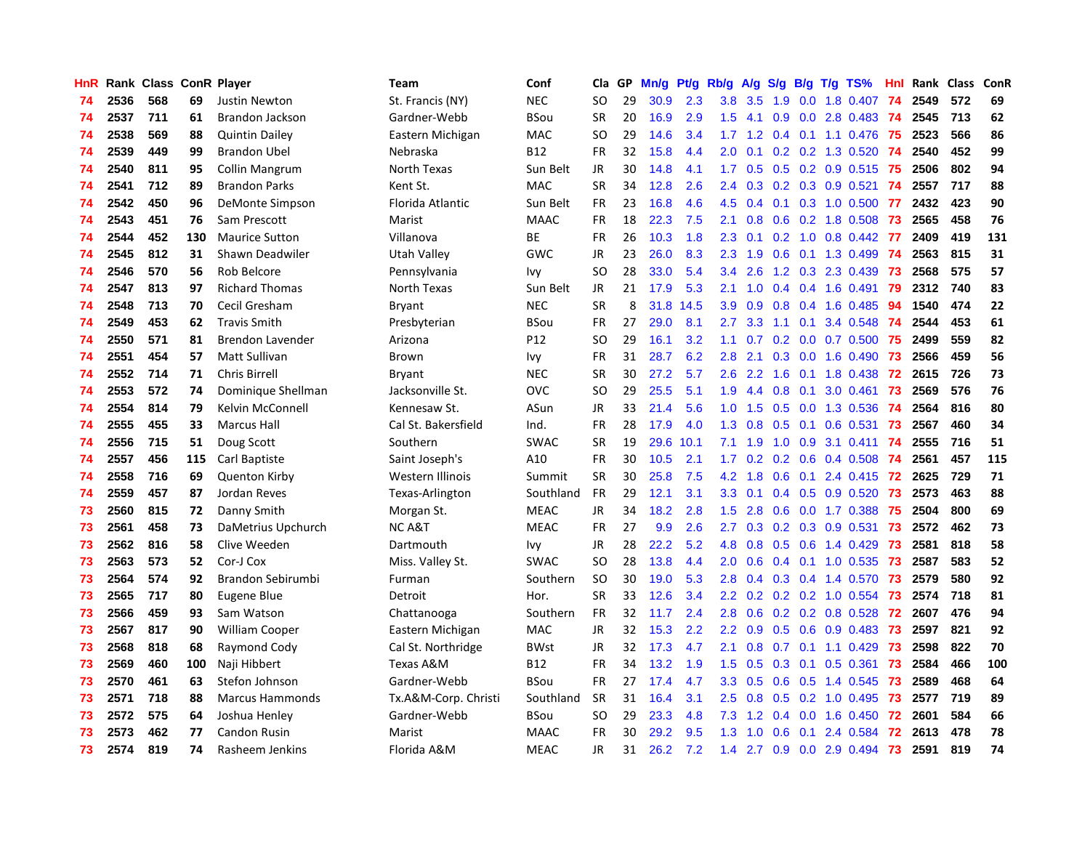| HnR |      | Rank Class ConR Player |     |                         | <b>Team</b>          | Conf        | Cla           | GP | Mn/g | Pt/g | Rb/g             | A/g           | S/g              |     | $B/g$ T/g TS%                | Hnl |      | Rank Class | ConR |
|-----|------|------------------------|-----|-------------------------|----------------------|-------------|---------------|----|------|------|------------------|---------------|------------------|-----|------------------------------|-----|------|------------|------|
| 74  | 2536 | 568                    | 69  | <b>Justin Newton</b>    | St. Francis (NY)     | <b>NEC</b>  | SO.           | 29 | 30.9 | 2.3  | 3.8              | 3.5           | 1.9              |     | 0.0 1.8 0.407                | 74  | 2549 | 572        | 69   |
| 74  | 2537 | 711                    | 61  | <b>Brandon Jackson</b>  | Gardner-Webb         | BSou        | SR            | 20 | 16.9 | 2.9  | 1.5              | 4.1           |                  |     | 0.9 0.0 2.8 0.483 74         |     | 2545 | 713        | 62   |
| 74  | 2538 | 569                    | 88  | <b>Quintin Dailey</b>   | Eastern Michigan     | <b>MAC</b>  | <sub>SO</sub> | 29 | 14.6 | 3.4  |                  |               |                  |     | 1.7 1.2 0.4 0.1 1.1 0.476 75 |     | 2523 | 566        | 86   |
| 74  | 2539 | 449                    | 99  | <b>Brandon Ubel</b>     | Nebraska             | B12         | FR            | 32 | 15.8 | 4.4  | 2.0              | 0.1           |                  |     | $0.2$ 0.2 1.3 0.520          | -74 | 2540 | 452        | 99   |
| 74  | 2540 | 811                    | 95  | <b>Collin Mangrum</b>   | North Texas          | Sun Belt    | JR            | 30 | 14.8 | 4.1  | 1.7 <sub>z</sub> | 0.5           |                  |     | 0.5 0.2 0.9 0.515            | -75 | 2506 | 802        | 94   |
| 74  | 2541 | 712                    | 89  | <b>Brandon Parks</b>    | Kent St.             | <b>MAC</b>  | <b>SR</b>     | 34 | 12.8 | 2.6  | 2.4              | 0.3           |                  |     | $0.2$ 0.3 0.9 0.521          | -74 | 2557 | 717        | 88   |
| 74  | 2542 | 450                    | 96  | DeMonte Simpson         | Florida Atlantic     | Sun Belt    | FR            | 23 | 16.8 | 4.6  | 4.5              | 0.4           |                  |     | $0.1$ $0.3$ $1.0$ $0.500$    | -77 | 2432 | 423        | 90   |
| 74  | 2543 | 451                    | 76  | Sam Prescott            | Marist               | <b>MAAC</b> | <b>FR</b>     | 18 | 22.3 | 7.5  | 2.1              | 0.8           |                  |     | 0.6 0.2 1.8 0.508            | 73  | 2565 | 458        | 76   |
| 74  | 2544 | 452                    | 130 | <b>Maurice Sutton</b>   | Villanova            | ВE          | FR            | 26 | 10.3 | 1.8  | 2.3              | 0.1           |                  |     | $0.2$ 1.0 0.8 0.442          | -77 | 2409 | 419        | 131  |
| 74  | 2545 | 812                    | 31  | Shawn Deadwiler         | Utah Valley          | GWC         | JR            | 23 | 26.0 | 8.3  | 2.3              | 1.9           |                  |     | 0.6 0.1 1.3 0.499            | -74 | 2563 | 815        | 31   |
| 74  | 2546 | 570                    | 56  | Rob Belcore             | Pennsylvania         | Ivy         | SO            | 28 | 33.0 | 5.4  | 3.4              | 2.6           |                  |     | 1.2 0.3 2.3 0.439 73         |     | 2568 | 575        | 57   |
| 74  | 2547 | 813                    | 97  | <b>Richard Thomas</b>   | North Texas          | Sun Belt    | JR.           | 21 | 17.9 | 5.3  | 2.1              | 1.0           |                  |     | 0.4 0.4 1.6 0.491 79         |     | 2312 | 740        | 83   |
| 74  | 2548 | 713                    | 70  | Cecil Gresham           | <b>Bryant</b>        | <b>NEC</b>  | <b>SR</b>     | 8  | 31.8 | 14.5 | 3.9              | 0.9           |                  |     | $0.8$ 0.4 1.6 0.485          | 94  | 1540 | 474        | 22   |
| 74  | 2549 | 453                    | 62  | <b>Travis Smith</b>     | Presbyterian         | BSou        | <b>FR</b>     | 27 | 29.0 | 8.1  | 2.7              | 3.3           | 1.1              | 0.1 | 3.4 0.548                    | -74 | 2544 | 453        | 61   |
| 74  | 2550 | 571                    | 81  | <b>Brendon Lavender</b> | Arizona              | P12         | SO            | 29 | 16.1 | 3.2  | 1.1              | 0.7           |                  |     | $0.2$ 0.0 0.7 0.500          | 75  | 2499 | 559        | 82   |
| 74  | 2551 | 454                    | 57  | <b>Matt Sullivan</b>    | Brown                | Ivy         | <b>FR</b>     | 31 | 28.7 | 6.2  | 2.8              | 2.1           |                  |     | $0.3$ 0.0 1.6 0.490          | 73  | 2566 | 459        | 56   |
| 74  | 2552 | 714                    | 71  | <b>Chris Birrell</b>    | <b>Bryant</b>        | <b>NEC</b>  | <b>SR</b>     | 30 | 27.2 | 5.7  | 2.6              | 2.2           | 1.6              |     | $0.1$ 1.8 0.438              | 72  | 2615 | 726        | 73   |
| 74  | 2553 | 572                    | 74  | Dominique Shellman      | Jacksonville St.     | OVC         | <sub>SO</sub> | 29 | 25.5 | 5.1  | 1.9              | 4.4           | 0.8              | 0.1 | 3.0 0.461                    | 73  | 2569 | 576        | 76   |
| 74  | 2554 | 814                    | 79  | Kelvin McConnell        | Kennesaw St.         | ASun        | JR            | 33 | 21.4 | 5.6  | 1.0              | 1.5           |                  |     | $0.5$ 0.0 1.3 0.536          | -74 | 2564 | 816        | 80   |
| 74  | 2555 | 455                    | 33  | <b>Marcus Hall</b>      | Cal St. Bakersfield  | Ind.        | <b>FR</b>     | 28 | 17.9 | 4.0  | 1.3              | 0.8           |                  |     | $0.5$ 0.1 0.6 0.531          | -73 | 2567 | 460        | 34   |
| 74  | 2556 | 715                    | 51  | Doug Scott              | Southern             | <b>SWAC</b> | <b>SR</b>     | 19 | 29.6 | 10.1 | 7.1              | 1.9           |                  |     | 1.0 0.9 3.1 0.411            | -74 | 2555 | 716        | 51   |
| 74  | 2557 | 456                    | 115 | Carl Baptiste           | Saint Joseph's       | A10         | <b>FR</b>     | 30 | 10.5 | 2.1  | $1.7^{\circ}$    | 0.2           |                  |     | $0.2$ 0.6 0.4 0.508          | -74 | 2561 | 457        | 115  |
| 74  | 2558 | 716                    | 69  | <b>Quenton Kirby</b>    | Western Illinois     | Summit      | <b>SR</b>     | 30 | 25.8 | 7.5  | 4.2              | 1.8           | 0.6              |     | 0.1 2.4 0.415                | 72  | 2625 | 729        | 71   |
| 74  | 2559 | 457                    | 87  | Jordan Reves            | Texas-Arlington      | Southland   | <b>FR</b>     | 29 | 12.1 | 3.1  | 3.3 <sub>2</sub> | 0.1           |                  |     | $0.4$ 0.5 0.9 0.520          | 73  | 2573 | 463        | 88   |
| 73  | 2560 | 815                    | 72  | Danny Smith             | Morgan St.           | <b>MEAC</b> | JR            | 34 | 18.2 | 2.8  | 1.5              | 2.8           | 0.6              |     | $0.0$ 1.7 0.388              | 75  | 2504 | 800        | 69   |
| 73  | 2561 | 458                    | 73  | DaMetrius Upchurch      | <b>NC A&amp;T</b>    | <b>MEAC</b> | <b>FR</b>     | 27 | 9.9  | 2.6  | $2.7^{\circ}$    | 0.3           |                  |     | $0.2$ 0.3 0.9 0.531          | 73  | 2572 | 462        | 73   |
| 73  | 2562 | 816                    | 58  | Clive Weeden            | Dartmouth            | Ivy         | JR            | 28 | 22.2 | 5.2  | 4.8              | 0.8           |                  |     | $0.5$ 0.6 1.4 0.429          | -73 | 2581 | 818        | 58   |
| 73  | 2563 | 573                    | 52  | Cor-J Cox               | Miss. Valley St.     | <b>SWAC</b> | SO            | 28 | 13.8 | 4.4  | 2.0              | 0.6           |                  |     | 0.4 0.1 1.0 0.535 73         |     | 2587 | 583        | 52   |
| 73  | 2564 | 574                    | 92  | Brandon Sebirumbi       | Furman               | Southern    | <b>SO</b>     | 30 | 19.0 | 5.3  | 2.8              | $0.4^{\circ}$ |                  |     | 0.3 0.4 1.4 0.570            | -73 | 2579 | 580        | 92   |
| 73  | 2565 | 717                    | 80  | Eugene Blue             | Detroit              | Hor.        | <b>SR</b>     | 33 | 12.6 | 3.4  | $2.2^{\circ}$    | 0.2           |                  |     | $0.2$ $0.2$ 1.0 $0.554$      | -73 | 2574 | 718        | 81   |
| 73  | 2566 | 459                    | 93  | Sam Watson              | Chattanooga          | Southern    | <b>FR</b>     | 32 | 11.7 | 2.4  | 2.8              | 0.6           |                  |     | $0.2$ 0.2 0.8 0.528          | 72  | 2607 | 476        | 94   |
| 73  | 2567 | 817                    | 90  | <b>William Cooper</b>   | Eastern Michigan     | <b>MAC</b>  | JR            | 32 | 15.3 | 2.2  | 2.2              | 0.9           |                  |     | $0.5$ 0.6 0.9 0.483          | -73 | 2597 | 821        | 92   |
| 73  | 2568 | 818                    | 68  | Raymond Cody            | Cal St. Northridge   | <b>BWst</b> | JR            | 32 | 17.3 | 4.7  | 2.1              | 0.8           | 0.7              |     | $0.1$ 1.1 $0.429$            | 73  | 2598 | 822        | 70   |
| 73  | 2569 | 460                    | 100 | Naji Hibbert            | Texas A&M            | B12         | <b>FR</b>     | 34 | 13.2 | 1.9  | $1.5^{\circ}$    | 0.5           | 0.3 <sub>0</sub> | 0.1 | $0.5$ 0.361                  | 73  | 2584 | 466        | 100  |
| 73  | 2570 | 461                    | 63  | Stefon Johnson          | Gardner-Webb         | BSou        | <b>FR</b>     | 27 | 17.4 | 4.7  | 3.3 <sub>2</sub> | 0.5           | 0.6              |     | 0.5 1.4 0.545                | -73 | 2589 | 468        | 64   |
| 73  | 2571 | 718                    | 88  | <b>Marcus Hammonds</b>  | Tx.A&M-Corp. Christi | Southland   | <b>SR</b>     | 31 | 16.4 | 3.1  | $2.5^{\circ}$    | 0.8           |                  |     | $0.5$ 0.2 1.0 0.495          | 73  | 2577 | 719        | 89   |
| 73  | 2572 | 575                    | 64  | Joshua Henley           | Gardner-Webb         | <b>BSou</b> | SO.           | 29 | 23.3 | 4.8  | 7.3              | 1.2           |                  |     | $0.4$ 0.0 1.6 0.450          | -72 | 2601 | 584        | 66   |
| 73  | 2573 | 462                    | 77  | <b>Candon Rusin</b>     | Marist               | <b>MAAC</b> | FR            | 30 | 29.2 | 9.5  | 1.3              | 1.0           | 0.6              | 0.1 | 2.4 0.584                    | 72  | 2613 | 478        | 78   |
| 73  | 2574 | 819                    | 74  | Rasheem Jenkins         | Florida A&M          | <b>MEAC</b> | <b>JR</b>     | 31 | 26.2 | 7.2  | 1.4              | 2.7           |                  |     | 0.9 0.0 2.9 0.494            | 73  | 2591 | 819        | 74   |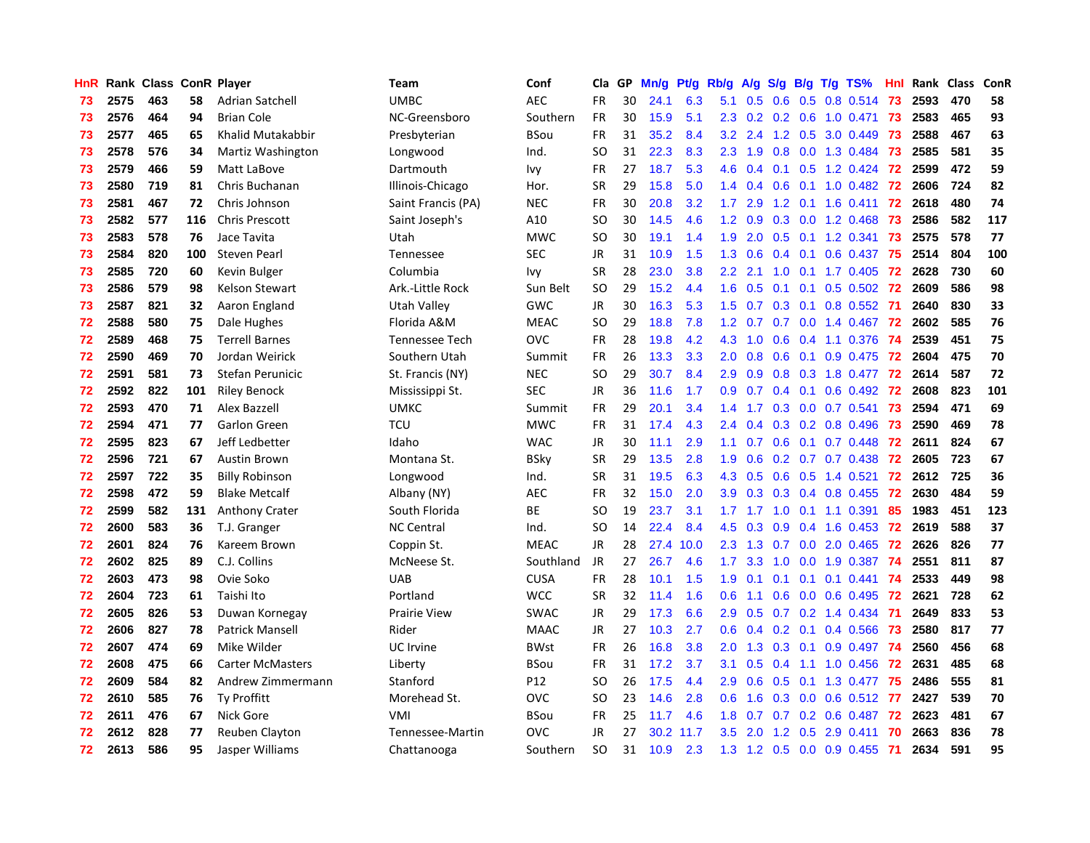| <b>HnR</b> |      | Rank Class ConR Player |     |                         | Team                | Conf        | Cla       | GP | Mn/g | Pt/g | Rb/g             | A/g             | S/g |                 | $B/g$ T/g TS%             | Hnl |      | Rank Class | ConR |
|------------|------|------------------------|-----|-------------------------|---------------------|-------------|-----------|----|------|------|------------------|-----------------|-----|-----------------|---------------------------|-----|------|------------|------|
| 73         | 2575 | 463                    | 58  | <b>Adrian Satchell</b>  | <b>UMBC</b>         | <b>AEC</b>  | <b>FR</b> | 30 | 24.1 | 6.3  | 5.1              | 0.5             | 0.6 |                 | $0.5$ 0.8 0.514           | 73  | 2593 | 470        | 58   |
| 73         | 2576 | 464                    | 94  | <b>Brian Cole</b>       | NC-Greensboro       | Southern    | FR        | 30 | 15.9 | 5.1  |                  |                 |     |                 | 2.3 0.2 0.2 0.6 1.0 0.471 | 73  | 2583 | 465        | 93   |
| 73         | 2577 | 465                    | 65  | Khalid Mutakabbir       | Presbyterian        | BSou        | <b>FR</b> | 31 | 35.2 | 8.4  | 3.2              | 2.4             |     |                 | 1.2 0.5 3.0 0.449         | -73 | 2588 | 467        | 63   |
| 73         | 2578 | 576                    | 34  | Martiz Washington       | Longwood            | Ind.        | <b>SO</b> | 31 | 22.3 | 8.3  | 2.3              | 1.9             |     |                 | 0.8 0.0 1.3 0.484         | -73 | 2585 | 581        | 35   |
| 73         | 2579 | 466                    | 59  | Matt LaBove             | Dartmouth           | Ivy         | FR        | 27 | 18.7 | 5.3  | 4.6              | 0.4             |     |                 | 0.1 0.5 1.2 0.424 72      |     | 2599 | 472        | 59   |
| 73         | 2580 | 719                    | 81  | Chris Buchanan          | Illinois-Chicago    | Hor.        | <b>SR</b> | 29 | 15.8 | 5.0  | $1.4^{\circ}$    | 0.4             | 0.6 |                 | 0.1 1.0 0.482 72          |     | 2606 | 724        | 82   |
| 73         | 2581 | 467                    | 72  | Chris Johnson           | Saint Francis (PA)  | <b>NEC</b>  | FR        | 30 | 20.8 | 3.2  | 1.7 <sub>z</sub> | 2.9             |     |                 | 1.2 0.1 1.6 0.411         | 72  | 2618 | 480        | 74   |
| 73         | 2582 | 577                    | 116 | <b>Chris Prescott</b>   | Saint Joseph's      | A10         | SO        | 30 | 14.5 | 4.6  | 1.2              | 0.9             |     |                 | 0.3 0.0 1.2 0.468         | 73  | 2586 | 582        | 117  |
| 73         | 2583 | 578                    | 76  | Jace Tavita             | Utah                | <b>MWC</b>  | SO        | 30 | 19.1 | 1.4  | 1.9              | 2.0             | 0.5 |                 | $0.1$ 1.2 0.341           | 73  | 2575 | 578        | 77   |
| 73         | 2584 | 820                    | 100 | Steven Pearl            | Tennessee           | <b>SEC</b>  | JR        | 31 | 10.9 | 1.5  | 1.3              | 0.6             |     |                 | 0.4 0.1 0.6 0.437         | 75  | 2514 | 804        | 100  |
| 73         | 2585 | 720                    | 60  | Kevin Bulger            | Columbia            | Ivy         | <b>SR</b> | 28 | 23.0 | 3.8  | $2.2^{\circ}$    | 2.1             |     |                 | 1.0 0.1 1.7 0.405 72      |     | 2628 | 730        | 60   |
| 73         | 2586 | 579                    | 98  | <b>Kelson Stewart</b>   | Ark.-Little Rock    | Sun Belt    | SO        | 29 | 15.2 | 4.4  | 1.6              | 0.5             |     |                 | $0.1$ 0.1 0.5 0.502 72    |     | 2609 | 586        | 98   |
| 73         | 2587 | 821                    | 32  | Aaron England           | Utah Valley         | GWC         | JR        | 30 | 16.3 | 5.3  | 1.5              | 0.7             |     |                 | 0.3 0.1 0.8 0.552 71      |     | 2640 | 830        | 33   |
| 72         | 2588 | 580                    | 75  | Dale Hughes             | Florida A&M         | <b>MEAC</b> | <b>SO</b> | 29 | 18.8 | 7.8  | 1.2              | 0.7             |     |                 | $0.7$ $0.0$ 1.4 $0.467$   | 72  | 2602 | 585        | 76   |
| 72         | 2589 | 468                    | 75  | <b>Terrell Barnes</b>   | Tennessee Tech      | <b>OVC</b>  | <b>FR</b> | 28 | 19.8 | 4.2  | 4.3              | 1.0             | 0.6 |                 | 0.4 1.1 0.376             | -74 | 2539 | 451        | 75   |
| 72         | 2590 | 469                    | 70  | Jordan Weirick          | Southern Utah       | Summit      | <b>FR</b> | 26 | 13.3 | 3.3  | $2.0^{\circ}$    | 0.8             | 0.6 | 0.1             | 0.9 0.475                 | 72  | 2604 | 475        | 70   |
| 72         | 2591 | 581                    | 73  | Stefan Perunicic        | St. Francis (NY)    | <b>NEC</b>  | <b>SO</b> | 29 | 30.7 | 8.4  | 2.9 <sup>°</sup> | 0.9             | 0.8 |                 | 0.3 1.8 0.477             | 72  | 2614 | 587        | 72   |
| 72         | 2592 | 822                    | 101 | <b>Riley Benock</b>     | Mississippi St.     | <b>SEC</b>  | <b>JR</b> | 36 | 11.6 | 1.7  | 0.9 <sup>°</sup> | 0.7             |     | $0.4 \quad 0.1$ | $0.6$ 0.492               | 72  | 2608 | 823        | 101  |
| 72         | 2593 | 470                    | 71  | Alex Bazzell            | <b>UMKC</b>         | Summit      | <b>FR</b> | 29 | 20.1 | 3.4  | 1.4              | 1.7             |     |                 | $0.3$ 0.0 0.7 0.541       | -73 | 2594 | 471        | 69   |
| 72         | 2594 | 471                    | 77  | Garlon Green            | <b>TCU</b>          | <b>MWC</b>  | <b>FR</b> | 31 | 17.4 | 4.3  | $2.4^{\circ}$    |                 |     |                 | $0.4$ 0.3 0.2 0.8 0.496   | -73 | 2590 | 469        | 78   |
| 72         | 2595 | 823                    | 67  | Jeff Ledbetter          | Idaho               | <b>WAC</b>  | <b>JR</b> | 30 | 11.1 | 2.9  | 1.1 <sub>1</sub> | 0.7             |     |                 | $0.6$ 0.1 0.7 0.448       | 72  | 2611 | 824        | 67   |
| 72         | 2596 | 721                    | 67  | <b>Austin Brown</b>     | Montana St.         | <b>BSky</b> | <b>SR</b> | 29 | 13.5 | 2.8  | 1.9 <sup>°</sup> | 0.6             |     |                 | 0.2 0.7 0.7 0.438 72      |     | 2605 | 723        | 67   |
| 72         | 2597 | 722                    | 35  | <b>Billy Robinson</b>   | Longwood            | Ind.        | <b>SR</b> | 31 | 19.5 | 6.3  | 4.3              | 0.5             | 0.6 |                 | 0.5 1.4 0.521             | 72  | 2612 | 725        | 36   |
| 72         | 2598 | 472                    | 59  | <b>Blake Metcalf</b>    | Albany (NY)         | <b>AEC</b>  | <b>FR</b> | 32 | 15.0 | 2.0  |                  | $3.9$ $0.3$     |     |                 | $0.3$ 0.4 0.8 0.455       | 72  | 2630 | 484        | 59   |
| 72         | 2599 | 582                    | 131 | <b>Anthony Crater</b>   | South Florida       | <b>BE</b>   | SO        | 19 | 23.7 | 3.1  | 1.7 <sub>z</sub> | 1.7             | 1.0 |                 | $0.1$ 1.1 0.391           | 85  | 1983 | 451        | 123  |
| 72         | 2600 | 583                    | 36  | T.J. Granger            | <b>NC Central</b>   | Ind.        | <b>SO</b> | 14 | 22.4 | 8.4  | 4.5              | 0.3             | 0.9 |                 | $0.4$ 1.6 0.453           | 72  | 2619 | 588        | 37   |
| 72         | 2601 | 824                    | 76  | Kareem Brown            | Coppin St.          | <b>MEAC</b> | JR        | 28 | 27.4 | 10.0 | $2.3^{\circ}$    | 1.3             |     |                 | 0.7 0.0 2.0 0.465 72      |     | 2626 | 826        | 77   |
| 72         | 2602 | 825                    | 89  | C.J. Collins            | McNeese St.         | Southland   | JR        | 27 | 26.7 | 4.6  | 1.7 <sub>z</sub> | 3.3             |     |                 | 1.0 0.0 1.9 0.387 74      |     | 2551 | 811        | 87   |
| 72         | 2603 | 473                    | 98  | Ovie Soko               | <b>UAB</b>          | <b>CUSA</b> | <b>FR</b> | 28 | 10.1 | 1.5  | 1.9 <sup>°</sup> | 0.1             |     |                 | 0.1 0.1 0.1 0.441 74      |     | 2533 | 449        | 98   |
| 72         | 2604 | 723                    | 61  | Taishi Ito              | Portland            | <b>WCC</b>  | <b>SR</b> | 32 | 11.4 | 1.6  | 0.6              | 1.1             |     |                 | 0.6 0.0 0.6 0.495 72      |     | 2621 | 728        | 62   |
| 72         | 2605 | 826                    | 53  | Duwan Kornegay          | <b>Prairie View</b> | <b>SWAC</b> | JR        | 29 | 17.3 | 6.6  | 2.9 <sup>°</sup> | 0.5             |     |                 | $0.7$ $0.2$ 1.4 $0.434$   | -71 | 2649 | 833        | 53   |
| 72         | 2606 | 827                    | 78  | <b>Patrick Mansell</b>  | Rider               | <b>MAAC</b> | JR        | 27 | 10.3 | 2.7  | 0.6              | 0.4             |     |                 | 0.2 0.1 0.4 0.566         | -73 | 2580 | 817        | 77   |
| 72         | 2607 | 474                    | 69  | Mike Wilder             | UC Irvine           | <b>BWst</b> | <b>FR</b> | 26 | 16.8 | 3.8  | 2.0 <sub>1</sub> | 1.3             | 0.3 |                 | $0.1$ 0.9 0.497           | -74 | 2560 | 456        | 68   |
| 72         | 2608 | 475                    | 66  | <b>Carter McMasters</b> | Liberty             | BSou        | FR        | 31 | 17.2 | 3.7  | 3.1              | 0.5             | 0.4 |                 | 1.1 1.0 0.456             | 72  | 2631 | 485        | 68   |
| 72         | 2609 | 584                    | 82  | Andrew Zimmermann       | Stanford            | P12         | SO        | 26 | 17.5 | 4.4  | 2.9 <sup>°</sup> | 0.6             | 0.5 |                 | $0.1$ 1.3 0.477           | -75 | 2486 | 555        | 81   |
| 72         | 2610 | 585                    | 76  | Ty Proffitt             | Morehead St.        | <b>OVC</b>  | SO        | 23 | 14.6 | 2.8  | 0.6              | 1.6             |     |                 | 0.3 0.0 0.6 0.512 77      |     | 2427 | 539        | 70   |
| 72         | 2611 | 476                    | 67  | Nick Gore               | VMI                 | <b>BSou</b> | FR.       | 25 | 11.7 | 4.6  | 1.8              | 0.7             |     |                 | 0.7 0.2 0.6 0.487 72      |     | 2623 | 481        | 67   |
| 72         | 2612 | 828                    | 77  | Reuben Clayton          | Tennessee-Martin    | <b>OVC</b>  | JR        | 27 | 30.2 | 11.7 | $3.5^{\circ}$    | 2.0             | 1.2 |                 | $0.5$ 2.9 0.411           | 70  | 2663 | 836        | 78   |
| 72         | 2613 | 586                    | 95  | Jasper Williams         | Chattanooga         | Southern    | <b>SO</b> | 31 | 10.9 | 2.3  | 1.3              | $1.2 \quad 0.5$ |     |                 | $0.0$ $0.9$ $0.455$       | 71  | 2634 | 591        | 95   |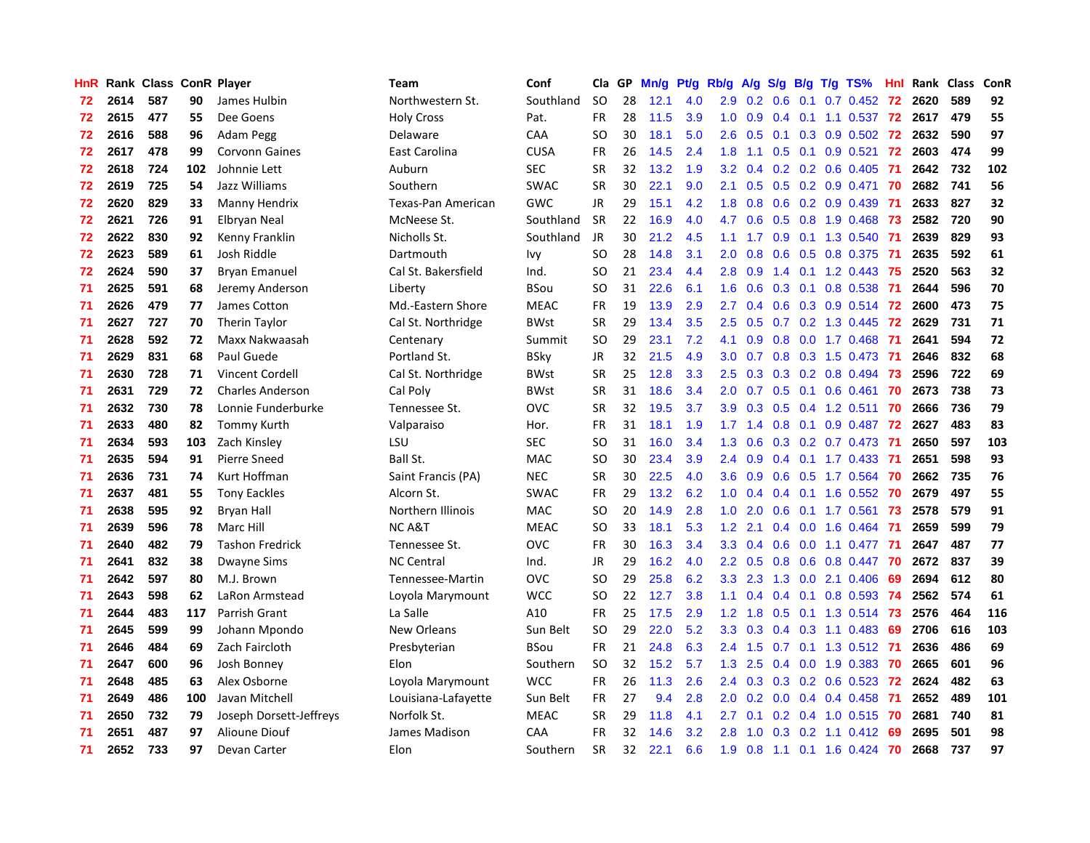| HnR |      | Rank Class ConR Player |     |                         | <b>Team</b>         | Conf        | Cla       | GP | Mn/g | Pt/g | Rb/g             | A/g             |     |     | $S/g$ B/g T/g TS%            | Hnl | Rank Class |     | ConR |
|-----|------|------------------------|-----|-------------------------|---------------------|-------------|-----------|----|------|------|------------------|-----------------|-----|-----|------------------------------|-----|------------|-----|------|
| 72  | 2614 | 587                    | 90  | James Hulbin            | Northwestern St.    | Southland   | <b>SO</b> | 28 | 12.1 | 4.0  | 2.9              | 0.2             | 0.6 | 0.1 | $0.7$ 0.452                  | 72  | 2620       | 589 | 92   |
| 72  | 2615 | 477                    | 55  | Dee Goens               | <b>Holy Cross</b>   | Pat.        | <b>FR</b> | 28 | 11.5 | 3.9  | 1.0              | 0.9             |     |     | 0.4 0.1 1.1 0.537 72 2617    |     |            | 479 | 55   |
| 72  | 2616 | 588                    | 96  | Adam Pegg               | Delaware            | CAA         | SO        | 30 | 18.1 | 5.0  | 2.6              | 0.5             |     |     | $0.1$ $0.3$ $0.9$ $0.502$ 72 |     | 2632       | 590 | 97   |
| 72  | 2617 | 478                    | 99  | <b>Corvonn Gaines</b>   | East Carolina       | <b>CUSA</b> | FR        | 26 | 14.5 | 2.4  | 1.8              | 1.1             |     |     | $0.5$ 0.1 0.9 0.521          | 72  | 2603       | 474 | 99   |
| 72  | 2618 | 724                    | 102 | Johnnie Lett            | Auburn              | <b>SEC</b>  | <b>SR</b> | 32 | 13.2 | 1.9  | 3.2              | 0.4             |     |     | $0.2$ 0.2 0.6 0.405          | -71 | 2642       | 732 | 102  |
| 72  | 2619 | 725                    | 54  | Jazz Williams           | Southern            | <b>SWAC</b> | <b>SR</b> | 30 | 22.1 | 9.0  | 2.1              | 0.5             |     |     | 0.5 0.2 0.9 0.471            | 70  | 2682       | 741 | 56   |
| 72  | 2620 | 829                    | 33  | Manny Hendrix           | Texas-Pan American  | GWC         | JR        | 29 | 15.1 | 4.2  | 1.8              | 0.8             |     |     | $0.6$ $0.2$ $0.9$ $0.439$    | -71 | 2633       | 827 | 32   |
| 72  | 2621 | 726                    | 91  | Elbryan Neal            | McNeese St.         | Southland   | <b>SR</b> | 22 | 16.9 | 4.0  | 4.7              | 0.6             |     |     | 0.5 0.8 1.9 0.468            | 73  | 2582       | 720 | 90   |
| 72  | 2622 | 830                    | 92  | Kenny Franklin          | Nicholls St.        | Southland   | <b>JR</b> | 30 | 21.2 | 4.5  | 1.1              | 1.7             | 0.9 |     | 0.1 1.3 0.540                | -71 | 2639       | 829 | 93   |
| 72  | 2623 | 589                    | 61  | Josh Riddle             | Dartmouth           | Ivy         | <b>SO</b> | 28 | 14.8 | 3.1  | 2.0              | 0.8             | 0.6 |     | 0.5 0.8 0.375                | -71 | 2635       | 592 | 61   |
| 72  | 2624 | 590                    | 37  | <b>Bryan Emanuel</b>    | Cal St. Bakersfield | Ind.        | SO        | 21 | 23.4 | 4.4  | 2.8              | 0.9             |     |     | 1.4 0.1 1.2 0.443 75         |     | 2520       | 563 | 32   |
| 71  | 2625 | 591                    | 68  | Jeremy Anderson         | Liberty             | <b>BSou</b> | <b>SO</b> | 31 | 22.6 | 6.1  | 1.6              | 0.6             |     |     | $0.3$ 0.1 0.8 0.538          | -71 | 2644       | 596 | 70   |
| 71  | 2626 | 479                    | 77  | James Cotton            | Md.-Eastern Shore   | <b>MEAC</b> | <b>FR</b> | 19 | 13.9 | 2.9  | 2.7              | 0.4             |     |     | 0.6 0.3 0.9 0.514 72         |     | 2600       | 473 | 75   |
| 71  | 2627 | 727                    | 70  | <b>Therin Taylor</b>    | Cal St. Northridge  | <b>BWst</b> | <b>SR</b> | 29 | 13.4 | 3.5  | 2.5              | 0.5             |     |     | $0.7$ $0.2$ 1.3 $0.445$      | 72  | 2629       | 731 | 71   |
| 71  | 2628 | 592                    | 72  | Maxx Nakwaasah          | Centenary           | Summit      | <b>SO</b> | 29 | 23.1 | 7.2  | 4.1              | 0.9             | 0.8 |     | $0.0$ 1.7 $0.468$            | -71 | 2641       | 594 | 72   |
| 71  | 2629 | 831                    | 68  | Paul Guede              | Portland St.        | <b>BSky</b> | <b>JR</b> | 32 | 21.5 | 4.9  | 3.0 <sub>2</sub> | 0.7             | 0.8 |     | $0.3$ 1.5 0.473              | -71 | 2646       | 832 | 68   |
| 71  | 2630 | 728                    | 71  | <b>Vincent Cordell</b>  | Cal St. Northridge  | <b>BWst</b> | <b>SR</b> | 25 | 12.8 | 3.3  | 2.5              | 0.3             | 0.3 |     | $0.2$ 0.8 0.494              | 73  | 2596       | 722 | 69   |
| 71  | 2631 | 729                    | 72  | <b>Charles Anderson</b> | Cal Poly            | <b>BWst</b> | <b>SR</b> | 31 | 18.6 | 3.4  | 2.0              | 0.7             | 0.5 | 0.1 | $0.6$ 0.461                  | 70  | 2673       | 738 | 73   |
| 71  | 2632 | 730                    | 78  | Lonnie Funderburke      | Tennessee St.       | <b>OVC</b>  | <b>SR</b> | 32 | 19.5 | 3.7  | 3.9 <sup>°</sup> | 0.3             |     |     | $0.5$ 0.4 1.2 0.511          | -70 | 2666       | 736 | 79   |
| 71  | 2633 | 480                    | 82  | <b>Tommy Kurth</b>      | Valparaiso          | Hor.        | <b>FR</b> | 31 | 18.1 | 1.9  |                  | $1.7 \quad 1.4$ |     |     | 0.8 0.1 0.9 0.487 72         |     | 2627       | 483 | 83   |
| 71  | 2634 | 593                    | 103 | Zach Kinsley            | LSU                 | <b>SEC</b>  | SO        | 31 | 16.0 | 3.4  | 1.3              | 0.6             |     |     | $0.3$ $0.2$ $0.7$ $0.473$    | -71 | 2650       | 597 | 103  |
| 71  | 2635 | 594                    | 91  | Pierre Sneed            | Ball St.            | <b>MAC</b>  | <b>SO</b> | 30 | 23.4 | 3.9  | $2.4^{\circ}$    | 0.9             |     |     | $0.4$ 0.1 1.7 0.433          | -71 | 2651       | 598 | 93   |
| 71  | 2636 | 731                    | 74  | Kurt Hoffman            | Saint Francis (PA)  | <b>NEC</b>  | <b>SR</b> | 30 | 22.5 | 4.0  | 3.6              | 0.9             |     |     | $0.6$ $0.5$ 1.7 $0.564$      | -70 | 2662       | 735 | 76   |
| 71  | 2637 | 481                    | 55  | <b>Tony Eackles</b>     | Alcorn St.          | <b>SWAC</b> | <b>FR</b> | 29 | 13.2 | 6.2  | 1.0              | 0.4             |     |     | $0.4$ 0.1 1.6 0.552          | -70 | 2679       | 497 | 55   |
| 71  | 2638 | 595                    | 92  | <b>Bryan Hall</b>       | Northern Illinois   | <b>MAC</b>  | SO.       | 20 | 14.9 | 2.8  | 1.0              | 2.0             | 0.6 |     | $0.1$ 1.7 0.561              | 73  | 2578       | 579 | 91   |
| 71  | 2639 | 596                    | 78  | Marc Hill               | <b>NCA&amp;T</b>    | <b>MEAC</b> | SO        | 33 | 18.1 | 5.3  | 1.2              | 2.1             |     |     | $0.4$ 0.0 1.6 0.464          | -71 | 2659       | 599 | 79   |
| 71  | 2640 | 482                    | 79  | <b>Tashon Fredrick</b>  | Tennessee St.       | <b>OVC</b>  | <b>FR</b> | 30 | 16.3 | 3.4  | 3.3 <sub>2</sub> | 0.4             |     |     | 0.6 0.0 1.1 0.477 71         |     | 2647       | 487 | 77   |
| 71  | 2641 | 832                    | 38  | <b>Dwayne Sims</b>      | <b>NC Central</b>   | Ind.        | JR        | 29 | 16.2 | 4.0  | $2.2^{\circ}$    | 0.5             |     |     | 0.8 0.6 0.8 0.447 70         |     | 2672       | 837 | 39   |
| 71  | 2642 | 597                    | 80  | M.J. Brown              | Tennessee-Martin    | <b>OVC</b>  | SO        | 29 | 25.8 | 6.2  | 3.3 <sub>2</sub> | 2.3             |     |     | 1.3 0.0 2.1 0.406            | -69 | 2694       | 612 | 80   |
| 71  | 2643 | 598                    | 62  | LaRon Armstead          | Loyola Marymount    | <b>WCC</b>  | SO.       | 22 | 12.7 | 3.8  | 1.1              | 0.4             |     |     | $0.4$ 0.1 0.8 0.593          | -74 | 2562       | 574 | 61   |
| 71  | 2644 | 483                    | 117 | Parrish Grant           | La Salle            | A10         | <b>FR</b> | 25 | 17.5 | 2.9  | 1.2              | 1.8             | 0.5 |     | $0.1$ 1.3 0.514              | -73 | 2576       | 464 | 116  |
| 71  | 2645 | 599                    | 99  | Johann Mpondo           | New Orleans         | Sun Belt    | <b>SO</b> | 29 | 22.0 | 5.2  | 3.3 <sub>2</sub> | 0.3             |     |     | $0.4$ 0.3 1.1 0.483          | 69  | 2706       | 616 | 103  |
| 71  | 2646 | 484                    | 69  | Zach Faircloth          | Presbyterian        | BSou        | <b>FR</b> | 21 | 24.8 | 6.3  | $2.4^{\circ}$    | 1.5             | 0.7 |     | $0.1$ 1.3 0.512              | -71 | 2636       | 486 | 69   |
| 71  | 2647 | 600                    | 96  | Josh Bonney             | Elon                | Southern    | <b>SO</b> | 32 | 15.2 | 5.7  | 1.3              | 2.5             | 0.4 |     | $0.0$ 1.9 0.383              | 70  | 2665       | 601 | 96   |
| 71  | 2648 | 485                    | 63  | Alex Osborne            | Loyola Marymount    | <b>WCC</b>  | <b>FR</b> | 26 | 11.3 | 2.6  | $2.4^{\circ}$    | 0.3             |     |     | $0.3$ 0.2 0.6 0.523          | -72 | 2624       | 482 | 63   |
| 71  | 2649 | 486                    | 100 | Javan Mitchell          | Louisiana-Lafayette | Sun Belt    | <b>FR</b> | 27 | 9.4  | 2.8  | 2.0 <sub>1</sub> | 0.2             |     |     | $0.0$ 0.4 0.4 0.458          | -71 | 2652       | 489 | 101  |
| 71  | 2650 | 732                    | 79  | Joseph Dorsett-Jeffreys | Norfolk St.         | <b>MEAC</b> | <b>SR</b> | 29 | 11.8 | 4.1  | 2.7              | 0.1             |     |     | 0.2 0.4 1.0 0.515 70         |     | 2681       | 740 | 81   |
| 71  | 2651 | 487                    | 97  | Alioune Diouf           | James Madison       | CAA         | FR        | 32 | 14.6 | 3.2  | 2.8              | 1.0             |     |     | $0.3$ 0.2 1.1 0.412          | -69 | 2695       | 501 | 98   |
| 71  | 2652 | 733                    | 97  | Devan Carter            | Elon                | Southern    | <b>SR</b> | 32 | 22.1 | 6.6  | 1.9              | 0.8             |     |     | 1.1 0.1 1.6 0.424 70         |     | 2668       | 737 | 97   |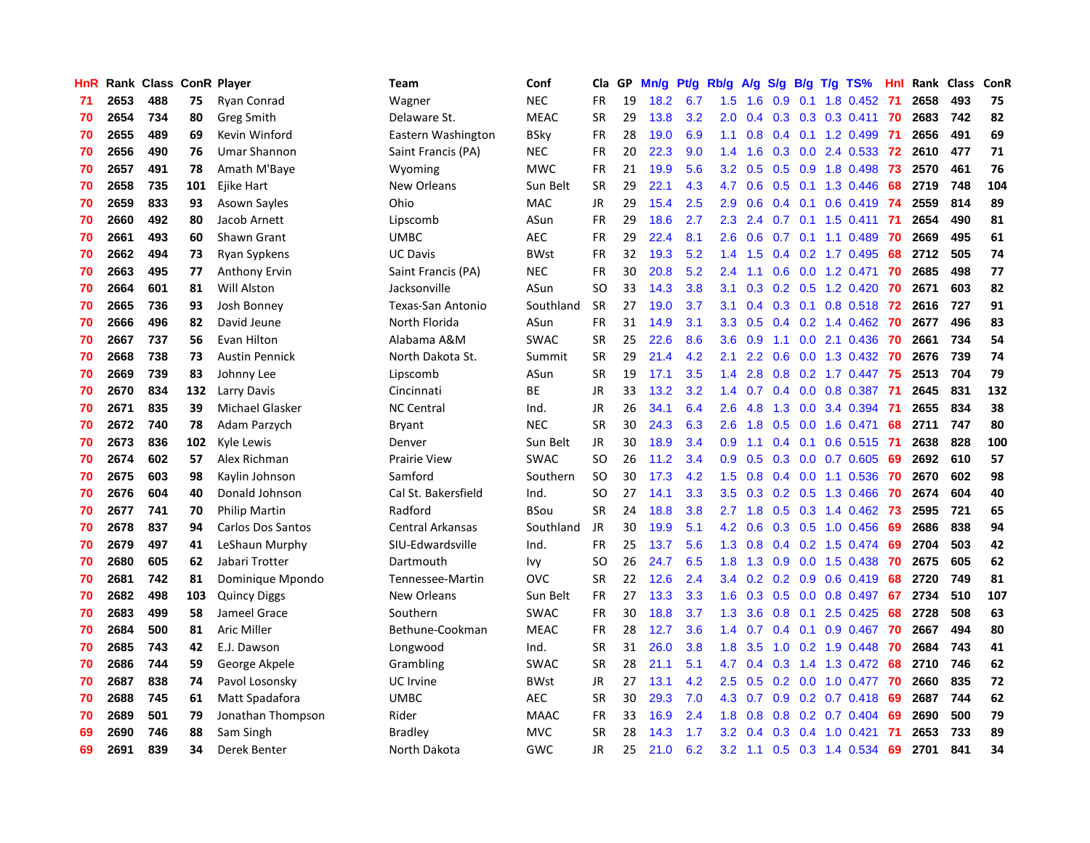| HnR |      | Rank Class ConR Player |     |                       | <b>Team</b>             | Conf        | Cla       | GP | Mn/g | Pt/g | Rb/g             | A/g     | S/g           |     | $B/g$ T/g TS%             | Hnl |      | Rank Class | ConR |
|-----|------|------------------------|-----|-----------------------|-------------------------|-------------|-----------|----|------|------|------------------|---------|---------------|-----|---------------------------|-----|------|------------|------|
| 71  | 2653 | 488                    | 75  | Ryan Conrad           | Wagner                  | <b>NEC</b>  | <b>FR</b> | 19 | 18.2 | 6.7  | 1.5              | 1.6     | 0.9           | 0.1 | 1.8 0.452                 | -71 | 2658 | 493        | 75   |
| 70  | 2654 | 734                    | 80  | <b>Greg Smith</b>     | Delaware St.            | <b>MEAC</b> | SR        | 29 | 13.8 | 3.2  | 2.0              | 0.4     |               |     | $0.3$ $0.3$ $0.3$ $0.411$ | 70  | 2683 | 742        | 82   |
| 70  | 2655 | 489                    | 69  | Kevin Winford         | Eastern Washington      | <b>BSky</b> | <b>FR</b> | 28 | 19.0 | 6.9  | 1.1              | 0.8     |               |     | $0.4$ 0.1 1.2 0.499       | -71 | 2656 | 491        | 69   |
| 70  | 2656 | 490                    | 76  | <b>Umar Shannon</b>   | Saint Francis (PA)      | <b>NEC</b>  | FR        | 20 | 22.3 | 9.0  | 1.4              | 1.6     |               |     | $0.3$ 0.0 2.4 0.533       | -72 | 2610 | 477        | 71   |
| 70  | 2657 | 491                    | 78  | Amath M'Baye          | Wyoming                 | <b>MWC</b>  | FR        | 21 | 19.9 | 5.6  | 3.2              | 0.5     |               |     | 0.5 0.9 1.8 0.498         | -73 | 2570 | 461        | 76   |
| 70  | 2658 | 735                    | 101 | Ejike Hart            | New Orleans             | Sun Belt    | <b>SR</b> | 29 | 22.1 | 4.3  | 4.7              | 0.6     | 0.5           |     | 0.1 1.3 0.446             | 68  | 2719 | 748        | 104  |
| 70  | 2659 | 833                    | 93  | Asown Sayles          | Ohio                    | <b>MAC</b>  | JR        | 29 | 15.4 | 2.5  | 2.9              | 0.6     |               |     | $0.4$ 0.1 0.6 0.419       | -74 | 2559 | 814        | 89   |
| 70  | 2660 | 492                    | 80  | Jacob Arnett          | Lipscomb                | ASun        | <b>FR</b> | 29 | 18.6 | 2.7  | 2.3              | 2.4     | 0.7           |     | $0.1$ 1.5 0.411           | -71 | 2654 | 490        | 81   |
| 70  | 2661 | 493                    | 60  | Shawn Grant           | <b>UMBC</b>             | <b>AEC</b>  | FR        | 29 | 22.4 | 8.1  | 2.6              | 0.6     | 0.7           |     | $0.1$ 1.1 0.489           | 70  | 2669 | 495        | 61   |
| 70  | 2662 | 494                    | 73  | Ryan Sypkens          | <b>UC Davis</b>         | <b>BWst</b> | FR        | 32 | 19.3 | 5.2  | 1.4              | 1.5     |               |     | 0.4 0.2 1.7 0.495         | 68  | 2712 | 505        | 74   |
| 70  | 2663 | 495                    | 77  | Anthony Ervin         | Saint Francis (PA)      | <b>NEC</b>  | FR        | 30 | 20.8 | 5.2  | 2.4              | 1.1     |               |     | $0.6$ $0.0$ 1.2 $0.471$   | -70 | 2685 | 498        | 77   |
| 70  | 2664 | 601                    | 81  | Will Alston           | Jacksonville            | ASun        | <b>SO</b> | 33 | 14.3 | 3.8  | 3.1              | 0.3     |               |     | $0.2$ $0.5$ 1.2 $0.420$   | -70 | 2671 | 603        | 82   |
| 70  | 2665 | 736                    | 93  | Josh Bonney           | Texas-San Antonio       | Southland   | <b>SR</b> | 27 | 19.0 | 3.7  | 3.1              | 0.4     |               |     | 0.3 0.1 0.8 0.518 72      |     | 2616 | 727        | 91   |
| 70  | 2666 | 496                    | 82  | David Jeune           | North Florida           | ASun        | <b>FR</b> | 31 | 14.9 | 3.1  | 3.3              | 0.5     | $0.4^{\circ}$ |     | $0.2$ 1.4 0.462           | -70 | 2677 | 496        | 83   |
| 70  | 2667 | 737                    | 56  | Evan Hilton           | Alabama A&M             | <b>SWAC</b> | <b>SR</b> | 25 | 22.6 | 8.6  | 3.6              | 0.9     |               |     | 1.1 0.0 2.1 0.436         | -70 | 2661 | 734        | 54   |
| 70  | 2668 | 738                    | 73  | <b>Austin Pennick</b> | North Dakota St.        | Summit      | <b>SR</b> | 29 | 21.4 | 4.2  | 2.1              | 2.2     | 0.6           |     | $0.0$ 1.3 0.432           | -70 | 2676 | 739        | 74   |
| 70  | 2669 | 739                    | 83  | Johnny Lee            | Lipscomb                | ASun        | <b>SR</b> | 19 | 17.1 | 3.5  | 1.4              | 2.8     | 0.8           |     | $0.2$ 1.7 $0.447$         | 75  | 2513 | 704        | 79   |
| 70  | 2670 | 834                    | 132 | Larry Davis           | Cincinnati              | <b>BE</b>   | <b>JR</b> | 33 | 13.2 | 3.2  | 1.4              | 0.7     | 0.4           |     | $0.0$ $0.8$ $0.387$       | -71 | 2645 | 831        | 132  |
| 70  | 2671 | 835                    | 39  | Michael Glasker       | <b>NC Central</b>       | Ind.        | JR        | 26 | 34.1 | 6.4  | 2.6              | 4.8     |               |     | 1.3 0.0 3.4 0.394         | -71 | 2655 | 834        | 38   |
| 70  | 2672 | 740                    | 78  | Adam Parzych          | <b>Bryant</b>           | <b>NEC</b>  | <b>SR</b> | 30 | 24.3 | 6.3  | 2.6              | 1.8     |               |     | $0.5$ 0.0 1.6 0.471       | 68  | 2711 | 747        | 80   |
| 70  | 2673 | 836                    | 102 | Kyle Lewis            | Denver                  | Sun Belt    | JR        | 30 | 18.9 | 3.4  | 0.9 <sup>°</sup> | 1.1     |               |     | $0.4$ 0.1 0.6 0.515       | -71 | 2638 | 828        | 100  |
| 70  | 2674 | 602                    | 57  | Alex Richman          | <b>Prairie View</b>     | <b>SWAC</b> | <b>SO</b> | 26 | 11.2 | 3.4  | 0.9 <sub>0</sub> | 0.5     |               |     | $0.3$ 0.0 0.7 0.605       | 69  | 2692 | 610        | 57   |
| 70  | 2675 | 603                    | 98  | Kaylin Johnson        | Samford                 | Southern    | <b>SO</b> | 30 | 17.3 | 4.2  | 1.5              | 0.8     |               |     | $0.4$ 0.0 1.1 0.536       | 70  | 2670 | 602        | 98   |
| 70  | 2676 | 604                    | 40  | Donald Johnson        | Cal St. Bakersfield     | Ind.        | <b>SO</b> | 27 | 14.1 | 3.3  | 3.5              | 0.3     |               |     | $0.2$ $0.5$ 1.3 0.466     | 70  | 2674 | 604        | 40   |
| 70  | 2677 | 741                    | 70  | <b>Philip Martin</b>  | Radford                 | BSou        | <b>SR</b> | 24 | 18.8 | 3.8  | 2.7              | 1.8     | 0.5           |     | $0.3$ 1.4 0.462           | -73 | 2595 | 721        | 65   |
| 70  | 2678 | 837                    | 94  | Carlos Dos Santos     | <b>Central Arkansas</b> | Southland   | <b>JR</b> | 30 | 19.9 | 5.1  | 4.2              | 0.6     |               |     | 0.3 0.5 1.0 0.456         | 69  | 2686 | 838        | 94   |
| 70  | 2679 | 497                    | 41  | LeShaun Murphy        | SIU-Edwardsville        | Ind.        | <b>FR</b> | 25 | 13.7 | 5.6  | 1.3              | 0.8     |               |     | $0.4$ 0.2 1.5 0.474       | -69 | 2704 | 503        | 42   |
| 70  | 2680 | 605                    | 62  | Jabari Trotter        | Dartmouth               | Ivy         | SO        | 26 | 24.7 | 6.5  | 1.8              | 1.3     |               |     | 0.9 0.0 1.5 0.438 70      |     | 2675 | 605        | 62   |
| 70  | 2681 | 742                    | 81  | Dominique Mpondo      | Tennessee-Martin        | <b>OVC</b>  | <b>SR</b> | 22 | 12.6 | 2.4  | $3.4^{\circ}$    | 0.2     |               |     | $0.2$ 0.9 0.6 0.419       | -68 | 2720 | 749        | 81   |
| 70  | 2682 | 498                    | 103 | <b>Quincy Diggs</b>   | New Orleans             | Sun Belt    | <b>FR</b> | 27 | 13.3 | 3.3  | 1.6              | 0.3     |               |     | $0.5$ 0.0 0.8 0.497       | -67 | 2734 | 510        | 107  |
| 70  | 2683 | 499                    | 58  | Jameel Grace          | Southern                | <b>SWAC</b> | <b>FR</b> | 30 | 18.8 | 3.7  | 1.3              | 3.6     | 0.8           | 0.1 | 2.5 0.425                 | 68  | 2728 | 508        | 63   |
| 70  | 2684 | 500                    | 81  | <b>Aric Miller</b>    | Bethune-Cookman         | <b>MEAC</b> | <b>FR</b> | 28 | 12.7 | 3.6  | 1.4              | 0.7     |               |     | $0.4$ 0.1 0.9 0.467       | 70  | 2667 | 494        | 80   |
| 70  | 2685 | 743                    | 42  | E.J. Dawson           | Longwood                | Ind.        | <b>SR</b> | 31 | 26.0 | 3.8  | 1.8              | 3.5     | 1.0           |     | $0.2$ 1.9 0.448           | 70  | 2684 | 743        | 41   |
| 70  | 2686 | 744                    | 59  | George Akpele         | Grambling               | <b>SWAC</b> | <b>SR</b> | 28 | 21.1 | 5.1  | 4.7              | 0.4     | 0.3           |     | 1.4 1.3 0.472             | 68  | 2710 | 746        | 62   |
| 70  | 2687 | 838                    | 74  | Pavol Losonsky        | <b>UC</b> Irvine        | <b>BWst</b> | <b>JR</b> | 27 | 13.1 | 4.2  | $2.5^{\circ}$    | 0.5     |               |     | $0.2$ 0.0 1.0 0.477       | -70 | 2660 | 835        | 72   |
| 70  | 2688 | 745                    | 61  | Matt Spadafora        | <b>UMBC</b>             | <b>AEC</b>  | <b>SR</b> | 30 | 29.3 | 7.0  |                  | 4.3 0.7 |               |     | $0.9$ 0.2 0.7 0.418       | -69 | 2687 | 744        | 62   |
| 70  | 2689 | 501                    | 79  | Jonathan Thompson     | Rider                   | <b>MAAC</b> | <b>FR</b> | 33 | 16.9 | 2.4  | 1.8              | 0.8     |               |     | $0.8$ 0.2 0.7 0.404       | -69 | 2690 | 500        | 79   |
| 69  | 2690 | 746                    | 88  | Sam Singh             | Bradley                 | <b>MVC</b>  | SR        | 28 | 14.3 | 1.7  | 3.2              | 0.4     | 0.3           |     | 0.4 1.0 0.421             | -71 | 2653 | 733        | 89   |
| 69  | 2691 | 839                    | 34  | Derek Benter          | North Dakota            | GWC         | <b>JR</b> | 25 | 21.0 | 6.2  | 3.2              | 1.1     |               |     | $0.5$ 0.3 1.4 0.534       | 69  | 2701 | 841        | 34   |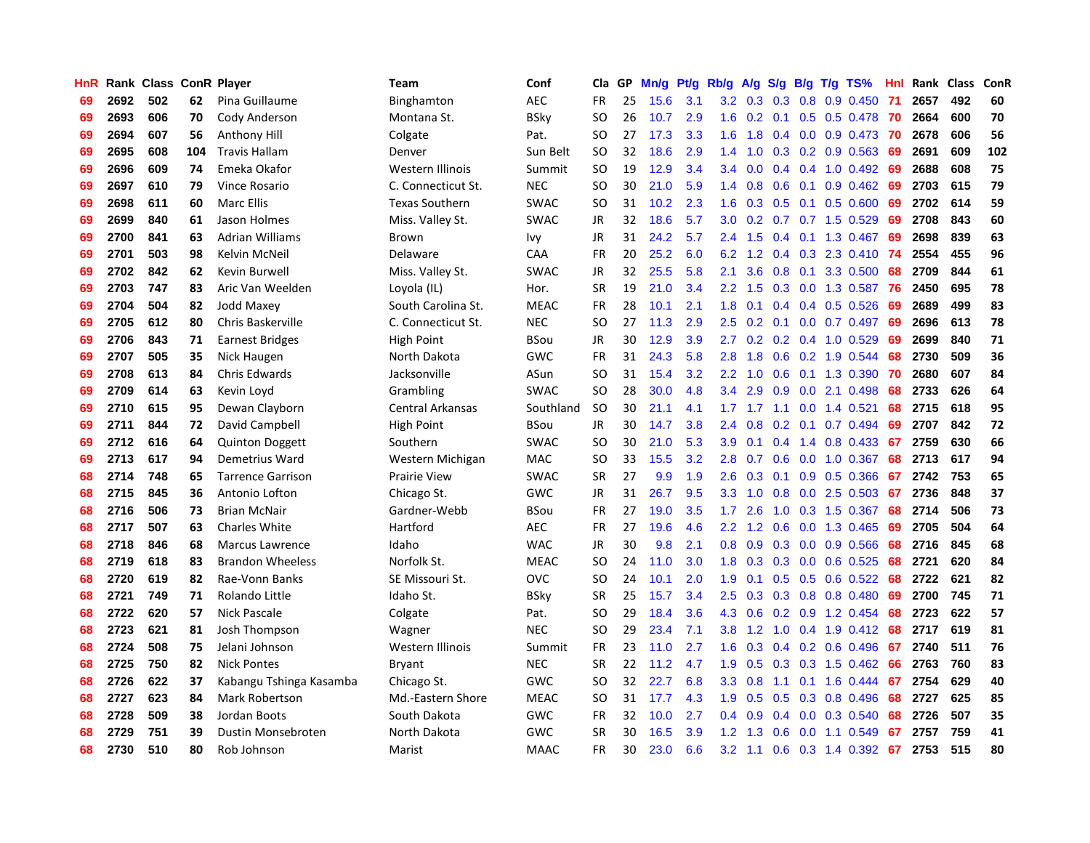| HnR |      | Rank Class ConR Player |     |                          | Team                    | Conf        | Cla           | <b>GP</b> | Mn/g | <b>Pt/g</b> | Rb/g             | A/g             | S/g           |  | B/g T/g TS%                  | Hnl | Rank | Class | ConR |
|-----|------|------------------------|-----|--------------------------|-------------------------|-------------|---------------|-----------|------|-------------|------------------|-----------------|---------------|--|------------------------------|-----|------|-------|------|
| 69  | 2692 | 502                    | 62  | Pina Guillaume           | Binghamton              | <b>AEC</b>  | <b>FR</b>     | 25        | 15.6 | 3.1         |                  | $3.2 \quad 0.3$ | 0.3           |  | $0.8$ 0.9 0.450              | -71 | 2657 | 492   | 60   |
| 69  | 2693 | 606                    | 70  | Cody Anderson            | Montana St.             | BSky        | SO            | 26        | 10.7 | 2.9         |                  |                 |               |  | 1.6 0.2 0.1 0.5 0.5 0.478 70 |     | 2664 | 600   | 70   |
| 69  | 2694 | 607                    | 56  | Anthony Hill             | Colgate                 | Pat.        | <b>SO</b>     | 27        | 17.3 | 3.3         | 1.6              | 1.8             |               |  | 0.4 0.0 0.9 0.473 70         |     | 2678 | 606   | 56   |
| 69  | 2695 | 608                    | 104 | <b>Travis Hallam</b>     | Denver                  | Sun Belt    | SO            | 32        | 18.6 | 2.9         | 1.4              | 1.0             |               |  | $0.3$ 0.2 0.9 0.563          | 69  | 2691 | 609   | 102  |
| 69  | 2696 | 609                    | 74  | Emeka Okafor             | Western Illinois        | Summit      | <b>SO</b>     | 19        | 12.9 | 3.4         | $3.4^{\circ}$    | 0.0             |               |  | $0.4$ 0.4 1.0 0.492          | 69  | 2688 | 608   | 75   |
| 69  | 2697 | 610                    | 79  | Vince Rosario            | C. Connecticut St.      | <b>NEC</b>  | <b>SO</b>     | 30        | 21.0 | 5.9         | 1.4              | 0.8             | 0.6           |  | $0.1$ 0.9 0.462              | -69 | 2703 | 615   | 79   |
| 69  | 2698 | 611                    | 60  | <b>Marc Ellis</b>        | <b>Texas Southern</b>   | <b>SWAC</b> | SO.           | 31        | 10.2 | 2.3         | 1.6              | 0.3             |               |  | $0.5$ 0.1 0.5 0.600          | 69  | 2702 | 614   | 59   |
| 69  | 2699 | 840                    | 61  | Jason Holmes             | Miss. Valley St.        | <b>SWAC</b> | JR            | 32        | 18.6 | 5.7         | 3.0 <sub>2</sub> | 0.2             |               |  | $0.7$ $0.7$ 1.5 $0.529$      | 69  | 2708 | 843   | 60   |
| 69  | 2700 | 841                    | 63  | <b>Adrian Williams</b>   | Brown                   | Ivy         | JR            | 31        | 24.2 | 5.7         | $2.4^{\circ}$    | 1.5             |               |  | $0.4$ 0.1 1.3 0.467          | 69  | 2698 | 839   | 63   |
| 69  | 2701 | 503                    | 98  | Kelvin McNeil            | Delaware                | CAA         | <b>FR</b>     | 20        | 25.2 | 6.0         | 6.2              | 1.2             |               |  | 0.4 0.3 2.3 0.410 74         |     | 2554 | 455   | 96   |
| 69  | 2702 | 842                    | 62  | Kevin Burwell            | Miss. Valley St.        | <b>SWAC</b> | JR            | 32        | 25.5 | 5.8         | 2.1              | 3.6             |               |  | 0.8 0.1 3.3 0.500 68         |     | 2709 | 844   | 61   |
| 69  | 2703 | 747                    | 83  | Aric Van Weelden         | Loyola (IL)             | Hor.        | <b>SR</b>     | 19        | 21.0 | 3.4         | $2.2^{\circ}$    | 1.5             |               |  | 0.3 0.0 1.3 0.587 76         |     | 2450 | 695   | 78   |
| 69  | 2704 | 504                    | 82  | Jodd Maxey               | South Carolina St.      | <b>MEAC</b> | <b>FR</b>     | 28        | 10.1 | 2.1         | 1.8              | 0.1             |               |  | 0.4 0.4 0.5 0.526            | 69  | 2689 | 499   | 83   |
| 69  | 2705 | 612                    | 80  | Chris Baskerville        | C. Connecticut St.      | <b>NEC</b>  | <b>SO</b>     | 27        | 11.3 | 2.9         | 2.5              | 0.2             |               |  | $0.1$ 0.0 0.7 0.497          | 69  | 2696 | 613   | 78   |
| 69  | 2706 | 843                    | 71  | <b>Earnest Bridges</b>   | High Point              | <b>BSou</b> | JR            | 30        | 12.9 | 3.9         | 2.7              | 0.2             |               |  | $0.2$ 0.4 1.0 0.529          | 69  | 2699 | 840   | 71   |
| 69  | 2707 | 505                    | 35  | Nick Haugen              | North Dakota            | GWC         | <b>FR</b>     | 31        | 24.3 | 5.8         | 2.8              | 1.8             |               |  | 0.6 0.2 1.9 0.544            | 68  | 2730 | 509   | 36   |
| 69  | 2708 | 613                    | 84  | Chris Edwards            | Jacksonville            | ASun        | <sub>SO</sub> | 31        | 15.4 | 3.2         | 2.2              | 1.0             | 0.6           |  | 0.1 1.3 0.390                | 70  | 2680 | 607   | 84   |
| 69  | 2709 | 614                    | 63  | Kevin Loyd               | Grambling               | <b>SWAC</b> | <sub>SO</sub> | 28        | 30.0 | 4.8         | 3.4              | 2.9             | 0.9           |  | $0.0$ 2.1 $0.498$            | 68  | 2733 | 626   | 64   |
| 69  | 2710 | 615                    | 95  | Dewan Clayborn           | <b>Central Arkansas</b> | Southland   | <b>SO</b>     | 30        | 21.1 | 4.1         |                  |                 |               |  | 1.7 1.7 1.1 0.0 1.4 0.521    | 68  | 2715 | 618   | 95   |
| 69  | 2711 | 844                    | 72  | David Campbell           | High Point              | <b>BSou</b> | <b>JR</b>     | 30        | 14.7 | 3.8         | 2.4              | 0.8             |               |  | $0.2$ 0.1 0.7 0.494          | 69  | 2707 | 842   | 72   |
| 69  | 2712 | 616                    | 64  | <b>Quinton Doggett</b>   | Southern                | <b>SWAC</b> | <sub>SO</sub> | 30        | 21.0 | 5.3         | 3.9              | 0.1             |               |  | $0.4$ 1.4 0.8 0.433          | 67  | 2759 | 630   | 66   |
| 69  | 2713 | 617                    | 94  | Demetrius Ward           | Western Michigan        | <b>MAC</b>  | <sub>SO</sub> | 33        | 15.5 | 3.2         | 2.8              | 0.7             | 0.6           |  | $0.0$ 1.0 $0.367$            | 68  | 2713 | 617   | 94   |
| 68  | 2714 | 748                    | 65  | <b>Tarrence Garrison</b> | <b>Prairie View</b>     | <b>SWAC</b> | <b>SR</b>     | 27        | 9.9  | 1.9         | 2.6              | 0.3             |               |  | $0.1$ 0.9 0.5 0.366          | 67  | 2742 | 753   | 65   |
| 68  | 2715 | 845                    | 36  | Antonio Lofton           | Chicago St.             | <b>GWC</b>  | JR            | 31        | 26.7 | 9.5         | 3.3              | 1.0             | 0.8           |  | $0.0$ 2.5 $0.503$            | 67  | 2736 | 848   | 37   |
| 68  | 2716 | 506                    | 73  | <b>Brian McNair</b>      | Gardner-Webb            | BSou        | FR            | 27        | 19.0 | 3.5         | 1.7              | 2.6             | 1.0           |  | $0.3$ 1.5 0.367              | 68  | 2714 | 506   | 73   |
| 68  | 2717 | 507                    | 63  | Charles White            | Hartford                | <b>AEC</b>  | FR            | 27        | 19.6 | 4.6         | 2.2              | 1.2             | 0.6           |  | $0.0$ 1.3 $0.465$            | 69  | 2705 | 504   | 64   |
| 68  | 2718 | 846                    | 68  | <b>Marcus Lawrence</b>   | Idaho                   | <b>WAC</b>  | JR            | 30        | 9.8  | 2.1         | 0.8              | 0.9             |               |  | $0.3$ 0.0 0.9 0.566          | -68 | 2716 | 845   | 68   |
| 68  | 2719 | 618                    | 83  | <b>Brandon Wheeless</b>  | Norfolk St.             | <b>MEAC</b> | <b>SO</b>     | 24        | 11.0 | 3.0         |                  | $1.8 \quad 0.3$ |               |  | $0.3$ 0.0 0.6 0.525          | -68 | 2721 | 620   | 84   |
| 68  | 2720 | 619                    | 82  | Rae-Vonn Banks           | SE Missouri St.         | <b>OVC</b>  | SO.           | 24        | 10.1 | 2.0         | 1.9              | 0.1             |               |  | $0.5$ $0.5$ $0.6$ $0.522$    | -68 | 2722 | 621   | 82   |
| 68  | 2721 | 749                    | 71  | Rolando Little           | Idaho St.               | BSky        | <b>SR</b>     | 25        | 15.7 | 3.4         | $2.5^{\circ}$    | 0.3             |               |  | $0.3$ 0.8 0.8 0.480          | 69  | 2700 | 745   | 71   |
| 68  | 2722 | 620                    | 57  | Nick Pascale             | Colgate                 | Pat.        | <b>SO</b>     | 29        | 18.4 | 3.6         | 4.3              | 0.6             |               |  | $0.2$ $0.9$ 1.2 $0.454$      | 68  | 2723 | 622   | 57   |
| 68  | 2723 | 621                    | 81  | Josh Thompson            | Wagner                  | <b>NEC</b>  | SO            | 29        | 23.4 | 7.1         | 3.8              | 1.2             | 1.0           |  | $0.4$ 1.9 0.412              | 68  | 2717 | 619   | 81   |
| 68  | 2724 | 508                    | 75  | Jelani Johnson           | Western Illinois        | Summit      | <b>FR</b>     | 23        | 11.0 | 2.7         | 1.6              | 0.3             | $0.4^{\circ}$ |  | $0.2$ 0.6 0.496              | 67  | 2740 | 511   | 76   |
| 68  | 2725 | 750                    | 82  | <b>Nick Pontes</b>       | <b>Bryant</b>           | <b>NEC</b>  | <b>SR</b>     | 22        | 11.2 | 4.7         | 1.9              | 0.5             | 0.3           |  | 0.3 1.5 0.462                | 66  | 2763 | 760   | 83   |
| 68  | 2726 | 622                    | 37  | Kabangu Tshinga Kasamba  | Chicago St.             | GWC         | <b>SO</b>     | 32        | 22.7 | 6.8         | 3.3 <sub>2</sub> | 0.8             | 1.1           |  | $0.1$ 1.6 0.444              | 67  | 2754 | 629   | 40   |
| 68  | 2727 | 623                    | 84  | Mark Robertson           | Md.-Eastern Shore       | <b>MEAC</b> | SO            | 31        | 17.7 | 4.3         | 1.9 <sup>°</sup> | 0.5             |               |  | $0.5$ 0.3 0.8 0.496          | 68  | 2727 | 625   | 85   |
| 68  | 2728 | 509                    | 38  | Jordan Boots             | South Dakota            | <b>GWC</b>  | <b>FR</b>     | 32        | 10.0 | 2.7         | $0.4^{\circ}$    | 0.9             |               |  | $0.4$ 0.0 0.3 0.540          | 68  | 2726 | 507   | 35   |
| 68  | 2729 | 751                    | 39  | Dustin Monsebroten       | North Dakota            | GWC         | SR            | 30        | 16.5 | 3.9         | $1.2^{\circ}$    | 1.3             | 0.6           |  | $0.0$ 1.1 0.549              | 67  | 2757 | 759   | 41   |
| 68  | 2730 | 510                    | 80  | Rob Johnson              | Marist                  | <b>MAAC</b> | <b>FR</b>     | 30        | 23.0 | 6.6         | 3.2              | $-1.1$          |               |  | $0.6$ $0.3$ 1.4 $0.392$      | 67  | 2753 | 515   | 80   |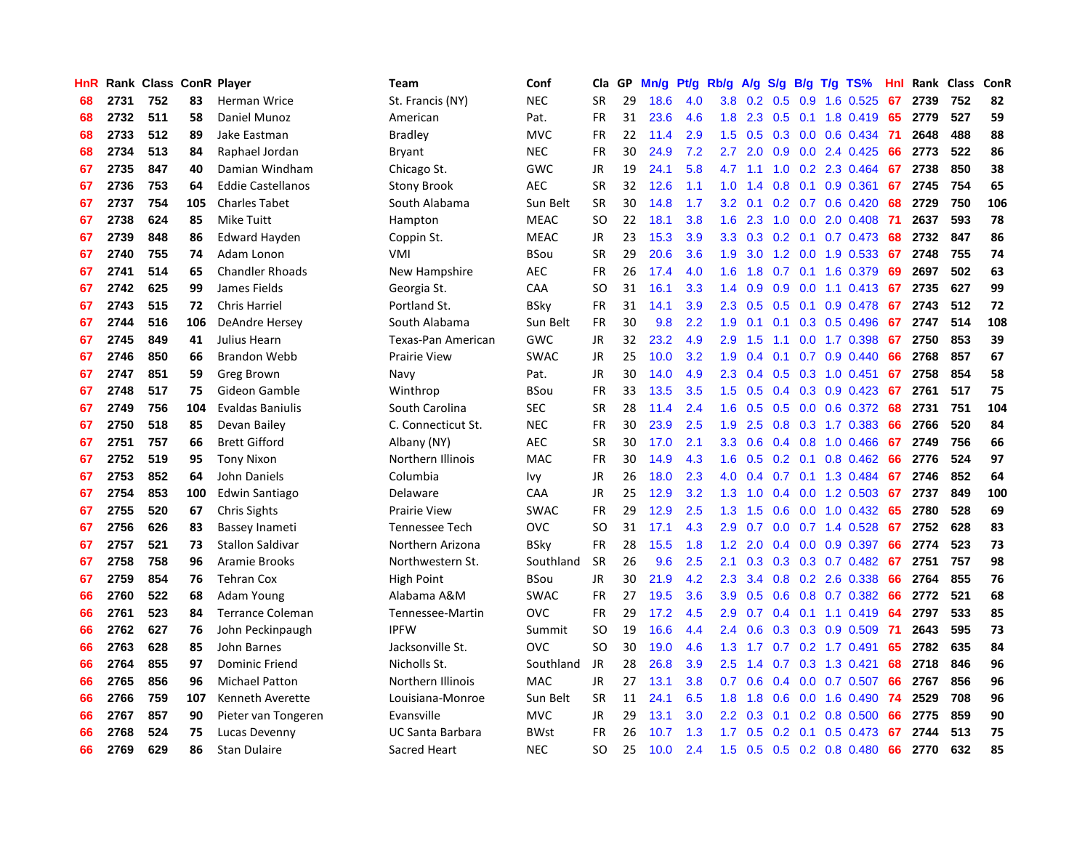| HnR |      | Rank Class ConR Player |     |                          | <b>Team</b>         | Conf        | Cla           | <b>GP</b> | Mn/g | <b>Pt/g</b> | Rb/g             | A/g    |               |  | S/g B/g T/g TS%          | Hnl | Rank | Class | ConR |
|-----|------|------------------------|-----|--------------------------|---------------------|-------------|---------------|-----------|------|-------------|------------------|--------|---------------|--|--------------------------|-----|------|-------|------|
| 68  | 2731 | 752                    | 83  | Herman Wrice             | St. Francis (NY)    | <b>NEC</b>  | <b>SR</b>     | 29        | 18.6 | 4.0         | 3.8 <sub>2</sub> | 0.2    | 0.5           |  | 0.9 1.6 0.525            | 67  | 2739 | 752   | 82   |
| 68  | 2732 | 511                    | 58  | Daniel Munoz             | American            | Pat.        | <b>FR</b>     | 31        | 23.6 | 4.6         | 1.8              |        |               |  | 2.3 0.5 0.1 1.8 0.419 65 |     | 2779 | 527   | 59   |
| 68  | 2733 | 512                    | 89  | Jake Eastman             | <b>Bradley</b>      | <b>MVC</b>  | <b>FR</b>     | 22        | 11.4 | 2.9         | 1.5              | 0.5    |               |  | $0.3$ 0.0 0.6 0.434      | -71 | 2648 | 488   | 88   |
| 68  | 2734 | 513                    | 84  | Raphael Jordan           | <b>Bryant</b>       | <b>NEC</b>  | <b>FR</b>     | 30        | 24.9 | 7.2         | $2.7^{\circ}$    | 2.0    |               |  | $0.9$ $0.0$ 2.4 $0.425$  | 66  | 2773 | 522   | 86   |
| 67  | 2735 | 847                    | 40  | Damian Windham           | Chicago St.         | GWC         | JR            | 19        | 24.1 | 5.8         | 4.7              | $-1.1$ | 1.0           |  | 0.2 2.3 0.464            | 67  | 2738 | 850   | 38   |
| 67  | 2736 | 753                    | 64  | <b>Eddie Castellanos</b> | Stony Brook         | <b>AEC</b>  | <b>SR</b>     | 32        | 12.6 | 1.1         | 1.0              | 1.4    | 0.8           |  | $0.1$ 0.9 0.361          | 67  | 2745 | 754   | 65   |
| 67  | 2737 | 754                    | 105 | <b>Charles Tabet</b>     | South Alabama       | Sun Belt    | <b>SR</b>     | 30        | 14.8 | 1.7         | 3.2              | 0.1    |               |  | $0.2$ 0.7 0.6 0.420      | 68  | 2729 | 750   | 106  |
| 67  | 2738 | 624                    | 85  | <b>Mike Tuitt</b>        | Hampton             | <b>MEAC</b> | SO.           | 22        | 18.1 | 3.8         | 1.6              | 2.3    | 1.0           |  | $0.0$ 2.0 0.408          | -71 | 2637 | 593   | 78   |
| 67  | 2739 | 848                    | 86  | <b>Edward Hayden</b>     | Coppin St.          | <b>MEAC</b> | JR            | 23        | 15.3 | 3.9         | 3.3 <sub>2</sub> | 0.3    |               |  | $0.2$ 0.1 0.7 0.473      | -68 | 2732 | 847   | 86   |
| 67  | 2740 | 755                    | 74  | Adam Lonon               | VMI                 | <b>BSou</b> | <b>SR</b>     | 29        | 20.6 | 3.6         | 1.9              | 3.0    |               |  | 1.2 0.0 1.9 0.533        | -67 | 2748 | 755   | 74   |
| 67  | 2741 | 514                    | 65  | <b>Chandler Rhoads</b>   | New Hampshire       | <b>AEC</b>  | <b>FR</b>     | 26        | 17.4 | 4.0         | 1.6              | 1.8    |               |  | $0.7$ 0.1 1.6 0.379      | -69 | 2697 | 502   | 63   |
| 67  | 2742 | 625                    | 99  | James Fields             | Georgia St.         | CAA         | SO.           | 31        | 16.1 | 3.3         | $1.4^{\circ}$    | 0.9    |               |  | $0.9$ 0.0 1.1 0.413 67   |     | 2735 | 627   | 99   |
| 67  | 2743 | 515                    | 72  | <b>Chris Harriel</b>     | Portland St.        | <b>BSky</b> | FR            | 31        | 14.1 | 3.9         | 2.3              | 0.5    | 0.5           |  | $0.1$ 0.9 0.478          | 67  | 2743 | 512   | 72   |
| 67  | 2744 | 516                    | 106 | <b>DeAndre Hersey</b>    | South Alabama       | Sun Belt    | <b>FR</b>     | 30        | 9.8  | 2.2         | 1.9              | 0.1    |               |  | $0.1$ 0.3 0.5 0.496      | 67  | 2747 | 514   | 108  |
| 67  | 2745 | 849                    | 41  | Julius Hearn             | Texas-Pan American  | GWC         | <b>JR</b>     | 32        | 23.2 | 4.9         | 2.9              | 1.5    |               |  | 1.1 0.0 1.7 0.398        | 67  | 2750 | 853   | 39   |
| 67  | 2746 | 850                    | 66  | <b>Brandon Webb</b>      | <b>Prairie View</b> | <b>SWAC</b> | JR            | 25        | 10.0 | 3.2         | 1.9              | 0.4    |               |  | $0.1$ 0.7 0.9 0.440      | 66  | 2768 | 857   | 67   |
| 67  | 2747 | 851                    | 59  | Greg Brown               | Navy                | Pat.        | JR            | 30        | 14.0 | 4.9         | 2.3              | 0.4    |               |  | 0.5 0.3 1.0 0.451        | 67  | 2758 | 854   | 58   |
| 67  | 2748 | 517                    | 75  | Gideon Gamble            | Winthrop            | <b>BSou</b> | <b>FR</b>     | 33        | 13.5 | 3.5         | 1.5              | 0.5    |               |  | $0.4$ 0.3 0.9 0.423      | 67  | 2761 | 517   | 75   |
| 67  | 2749 | 756                    | 104 | <b>Evaldas Baniulis</b>  | South Carolina      | SEC         | <b>SR</b>     | 28        | 11.4 | 2.4         | 1.6              | 0.5    |               |  | 0.5 0.0 0.6 0.372 68     |     | 2731 | 751   | 104  |
| 67  | 2750 | 518                    | 85  | Devan Bailey             | C. Connecticut St.  | <b>NEC</b>  | <b>FR</b>     | 30        | 23.9 | 2.5         | 1.9              | 2.5    |               |  | 0.8 0.3 1.7 0.383        | 66  | 2766 | 520   | 84   |
| 67  | 2751 | 757                    | 66  | <b>Brett Gifford</b>     | Albany (NY)         | <b>AEC</b>  | <b>SR</b>     | 30        | 17.0 | 2.1         | 3.3 <sub>2</sub> | 0.6    |               |  | $0.4$ 0.8 1.0 0.466      | 67  | 2749 | 756   | 66   |
| 67  | 2752 | 519                    | 95  | <b>Tony Nixon</b>        | Northern Illinois   | <b>MAC</b>  | <b>FR</b>     | 30        | 14.9 | 4.3         | 1.6              | 0.5    |               |  | $0.2$ 0.1 0.8 0.462      | 66  | 2776 | 524   | 97   |
| 67  | 2753 | 852                    | 64  | John Daniels             | Columbia            | Ivy         | JR            | 26        | 18.0 | 2.3         | 4.0              | 0.4    |               |  | $0.7$ 0.1 1.3 0.484      | 67  | 2746 | 852   | 64   |
| 67  | 2754 | 853                    | 100 | Edwin Santiago           | Delaware            | CAA         | JR            | 25        | 12.9 | 3.2         | 1.3              | 1.0    |               |  | 0.4 0.0 1.2 0.503        | 67  | 2737 | 849   | 100  |
| 67  | 2755 | 520                    | 67  | <b>Chris Sights</b>      | <b>Prairie View</b> | <b>SWAC</b> | FR            | 29        | 12.9 | 2.5         | 1.3              | 1.5    | 0.6           |  | $0.0$ 1.0 0.432          | 65  | 2780 | 528   | 69   |
| 67  | 2756 | 626                    | 83  | <b>Bassey Inameti</b>    | Tennessee Tech      | OVC         | <sub>SO</sub> | 31        | 17.1 | 4.3         | 2.9              | 0.7    | 0.0           |  | 0.7 1.4 0.528            | 67  | 2752 | 628   | 83   |
| 67  | 2757 | 521                    | 73  | <b>Stallon Saldivar</b>  | Northern Arizona    | <b>BSky</b> | FR            | 28        | 15.5 | 1.8         | $1.2^{\circ}$    | 2.0    |               |  | $0.4$ 0.0 0.9 0.397      | 66  | 2774 | 523   | 73   |
| 67  | 2758 | 758                    | 96  | Aramie Brooks            | Northwestern St.    | Southland   | <b>SR</b>     | 26        | 9.6  | 2.5         | 2.1              | 0.3    |               |  | $0.3$ 0.3 0.7 0.482 67   |     | 2751 | 757   | 98   |
| 67  | 2759 | 854                    | 76  | <b>Tehran Cox</b>        | <b>High Point</b>   | <b>BSou</b> | JR            | 30        | 21.9 | 4.2         | 2.3              | 3.4    |               |  | $0.8$ 0.2 2.6 0.338      | -66 | 2764 | 855   | 76   |
| 66  | 2760 | 522                    | 68  | Adam Young               | Alabama A&M         | <b>SWAC</b> | <b>FR</b>     | 27        | 19.5 | 3.6         | 3.9 <sup>°</sup> | 0.5    |               |  | 0.6 0.8 0.7 0.382        | -66 | 2772 | 521   | 68   |
| 66  | 2761 | 523                    | 84  | <b>Terrance Coleman</b>  | Tennessee-Martin    | OVC         | <b>FR</b>     | 29        | 17.2 | 4.5         | 2.9              | 0.7    | $0.4^{\circ}$ |  | $0.1$ 1.1 0.419          | 64  | 2797 | 533   | 85   |
| 66  | 2762 | 627                    | 76  | John Peckinpaugh         | <b>IPFW</b>         | Summit      | SO            | 19        | 16.6 | 4.4         | $2.4^{\circ}$    | 0.6    |               |  | $0.3$ 0.3 0.9 0.509      | -71 | 2643 | 595   | 73   |
| 66  | 2763 | 628                    | 85  | John Barnes              | Jacksonville St.    | OVC         | <b>SO</b>     | 30        | 19.0 | 4.6         | 1.3              | 1.7    | 0.7           |  | $0.2$ 1.7 $0.491$        | 65  | 2782 | 635   | 84   |
| 66  | 2764 | 855                    | 97  | <b>Dominic Friend</b>    | Nicholls St.        | Southland   | JR            | 28        | 26.8 | 3.9         | $2.5^{\circ}$    | 1.4    |               |  | 0.7 0.3 1.3 0.421        | 68  | 2718 | 846   | 96   |
| 66  | 2765 | 856                    | 96  | <b>Michael Patton</b>    | Northern Illinois   | <b>MAC</b>  | JR            | 27        | 13.1 | 3.8         | 0.7              | 0.6    | $0.4^{\circ}$ |  | $0.0$ 0.7 0.507          | 66  | 2767 | 856   | 96   |
| 66  | 2766 | 759                    | 107 | Kenneth Averette         | Louisiana-Monroe    | Sun Belt    | <b>SR</b>     | 11        | 24.1 | 6.5         | 1.8              | 1.8    |               |  | $0.6$ 0.0 1.6 0.490      | 74  | 2529 | 708   | 96   |
| 66  | 2767 | 857                    | 90  | Pieter van Tongeren      | Evansville          | <b>MVC</b>  | JR            | 29        | 13.1 | 3.0         | $2.2^{\circ}$    | 0.3    |               |  | $0.1$ 0.2 0.8 0.500      | 66  | 2775 | 859   | 90   |
| 66  | 2768 | 524                    | 75  | Lucas Devenny            | UC Santa Barbara    | <b>BWst</b> | FR            | 26        | 10.7 | 1.3         | 1.7              | 0.5    |               |  | $0.2$ 0.1 0.5 0.473      | 67  | 2744 | 513   | 75   |
| 66  | 2769 | 629                    | 86  | <b>Stan Dulaire</b>      | Sacred Heart        | <b>NEC</b>  | SO.           | 25        | 10.0 | 2.4         | 1.5              | 0.5    |               |  | $0.5$ 0.2 0.8 0.480      | 66  | 2770 | 632   | 85   |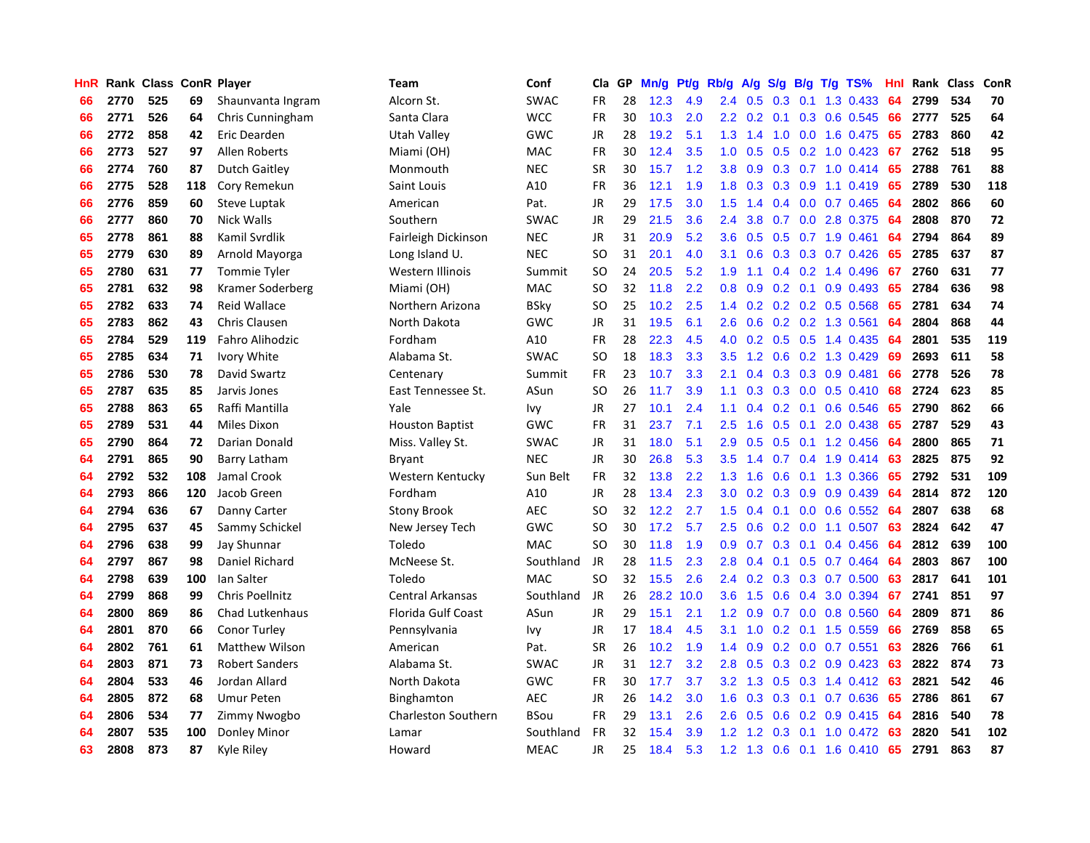| HnR |      | Rank Class ConR Player |     |                        | <b>Team</b>                | Conf        | Cla           | GP | Mn/g | Pt/g | Rb/g             | A/g             | S/g |     | $B/g$ T/g TS%             | Hnl |      | Rank Class | ConR |
|-----|------|------------------------|-----|------------------------|----------------------------|-------------|---------------|----|------|------|------------------|-----------------|-----|-----|---------------------------|-----|------|------------|------|
| 66  | 2770 | 525                    | 69  | Shaunvanta Ingram      | Alcorn St.                 | <b>SWAC</b> | <b>FR</b>     | 28 | 12.3 | 4.9  | 2.4              | 0.5             | 0.3 | 0.1 | 1.3 0.433                 | 64  | 2799 | 534        | 70   |
| 66  | 2771 | 526                    | 64  | Chris Cunningham       | Santa Clara                | <b>WCC</b>  | <b>FR</b>     | 30 | 10.3 | 2.0  |                  | $2.2 \quad 0.2$ |     |     | $0.1$ $0.3$ $0.6$ $0.545$ | 66  | 2777 | 525        | 64   |
| 66  | 2772 | 858                    | 42  | Eric Dearden           | Utah Valley                | GWC         | JR            | 28 | 19.2 | 5.1  |                  | $1.3$ 1.4       |     |     | 1.0 0.0 1.6 0.475         | 65  | 2783 | 860        | 42   |
| 66  | 2773 | 527                    | 97  | Allen Roberts          | Miami (OH)                 | <b>MAC</b>  | FR            | 30 | 12.4 | 3.5  | 1.0              | 0.5             |     |     | $0.5$ 0.2 1.0 0.423       | 67  | 2762 | 518        | 95   |
| 66  | 2774 | 760                    | 87  | <b>Dutch Gaitley</b>   | Monmouth                   | <b>NEC</b>  | <b>SR</b>     | 30 | 15.7 | 1.2  | 3.8              | 0.9             |     |     | $0.3$ 0.7 1.0 0.414       | 65  | 2788 | 761        | 88   |
| 66  | 2775 | 528                    | 118 | Cory Remekun           | Saint Louis                | A10         | FR            | 36 | 12.1 | 1.9  | 1.8              | 0.3             |     |     | $0.3$ 0.9 1.1 0.419       | 65  | 2789 | 530        | 118  |
| 66  | 2776 | 859                    | 60  | Steve Luptak           | American                   | Pat.        | JR            | 29 | 17.5 | 3.0  | 1.5              | 1.4             |     |     | $0.4$ 0.0 0.7 0.465       | 64  | 2802 | 866        | 60   |
| 66  | 2777 | 860                    | 70  | <b>Nick Walls</b>      | Southern                   | <b>SWAC</b> | JR            | 29 | 21.5 | 3.6  | 2.4              | 3.8             | 0.7 |     | 0.0 2.8 0.375             | 64  | 2808 | 870        | 72   |
| 65  | 2778 | 861                    | 88  | Kamil Svrdlik          | Fairleigh Dickinson        | <b>NEC</b>  | JR            | 31 | 20.9 | 5.2  | 3.6              | 0.5             | 0.5 |     | 0.7 1.9 0.461             | 64  | 2794 | 864        | 89   |
| 65  | 2779 | 630                    | 89  | Arnold Mayorga         | Long Island U.             | <b>NEC</b>  | <sub>SO</sub> | 31 | 20.1 | 4.0  | 3.1              | 0.6             |     |     | $0.3$ $0.3$ $0.7$ $0.426$ | 65  | 2785 | 637        | 87   |
| 65  | 2780 | 631                    | 77  | <b>Tommie Tyler</b>    | Western Illinois           | Summit      | SO            | 24 | 20.5 | 5.2  | 1.9              | 1.1             |     |     | $0.4$ 0.2 1.4 0.496       | 67  | 2760 | 631        | 77   |
| 65  | 2781 | 632                    | 98  | Kramer Soderberg       | Miami (OH)                 | <b>MAC</b>  | <b>SO</b>     | 32 | 11.8 | 2.2  | 0.8              | 0.9             |     |     | $0.2$ 0.1 0.9 0.493       | -65 | 2784 | 636        | 98   |
| 65  | 2782 | 633                    | 74  | Reid Wallace           | Northern Arizona           | BSky        | SO            | 25 | 10.2 | 2.5  | 1.4              | 0.2             |     |     | $0.2$ 0.2 0.5 0.568       | 65  | 2781 | 634        | 74   |
| 65  | 2783 | 862                    | 43  | <b>Chris Clausen</b>   | North Dakota               | GWC         | JR            | 31 | 19.5 | 6.1  | 2.6              | 0.6             |     |     | 0.2 0.2 1.3 0.561         | 64  | 2804 | 868        | 44   |
| 65  | 2784 | 529                    | 119 | Fahro Alihodzic        | Fordham                    | A10         | <b>FR</b>     | 28 | 22.3 | 4.5  | 4.0              | 0.2             |     |     | 0.5 0.5 1.4 0.435         | 64  | 2801 | 535        | 119  |
| 65  | 2785 | 634                    | 71  | Ivory White            | Alabama St.                | <b>SWAC</b> | <b>SO</b>     | 18 | 18.3 | 3.3  | 3.5              | 1.2             | 0.6 |     | $0.2$ 1.3 0.429           | 69  | 2693 | 611        | 58   |
| 65  | 2786 | 530                    | 78  | David Swartz           | Centenary                  | Summit      | <b>FR</b>     | 23 | 10.7 | 3.3  | 2.1              | 0.4             | 0.3 |     | $0.3$ 0.9 0.481           | 66  | 2778 | 526        | 78   |
| 65  | 2787 | 635                    | 85  | Jarvis Jones           | East Tennessee St.         | ASun        | <sub>SO</sub> | 26 | 11.7 | 3.9  | 1.1              | 0.3             | 0.3 |     | $0.0$ 0.5 0.410           | 68  | 2724 | 623        | 85   |
| 65  | 2788 | 863                    | 65  | Raffi Mantilla         | Yale                       | Ivy         | JR            | 27 | 10.1 | 2.4  | 1.1              | 0.4             |     |     | $0.2$ 0.1 0.6 0.546       | 65  | 2790 | 862        | 66   |
| 65  | 2789 | 531                    | 44  | Miles Dixon            | <b>Houston Baptist</b>     | <b>GWC</b>  | <b>FR</b>     | 31 | 23.7 | 7.1  | 2.5              | 1.6             |     |     | $0.5$ 0.1 2.0 0.438       | -65 | 2787 | 529        | 43   |
| 65  | 2790 | 864                    | 72  | Darian Donald          | Miss. Valley St.           | <b>SWAC</b> | JR            | 31 | 18.0 | 5.1  | 2.9              | 0.5             |     |     | $0.5$ 0.1 1.2 0.456       | 64  | 2800 | 865        | 71   |
| 64  | 2791 | 865                    | 90  | Barry Latham           | Bryant                     | <b>NEC</b>  | <b>JR</b>     | 30 | 26.8 | 5.3  | 3.5              | 1.4             |     |     | $0.7$ 0.4 1.9 0.414       | 63  | 2825 | 875        | 92   |
| 64  | 2792 | 532                    | 108 | Jamal Crook            | Western Kentucky           | Sun Belt    | FR            | 32 | 13.8 | 2.2  | 1.3              | 1.6             | 0.6 |     | $0.1$ 1.3 0.366           | 65  | 2792 | 531        | 109  |
| 64  | 2793 | 866                    | 120 | Jacob Green            | Fordham                    | A10         | JR            | 28 | 13.4 | 2.3  | 3.0              | 0.2             |     |     | $0.3$ 0.9 0.9 0.439       | 64  | 2814 | 872        | 120  |
| 64  | 2794 | 636                    | 67  | Danny Carter           | <b>Stony Brook</b>         | <b>AEC</b>  | SO.           | 32 | 12.2 | 2.7  | 1.5              | 0.4             |     |     | $0.1$ 0.0 0.6 0.552       | -64 | 2807 | 638        | 68   |
| 64  | 2795 | 637                    | 45  | Sammy Schickel         | New Jersey Tech            | GWC         | SO            | 30 | 17.2 | 5.7  | $2.5^{\circ}$    | 0.6             |     |     | $0.2$ 0.0 1.1 0.507       | 63  | 2824 | 642        | 47   |
| 64  | 2796 | 638                    | 99  | Jay Shunnar            | Toledo                     | <b>MAC</b>  | <sub>SO</sub> | 30 | 11.8 | 1.9  | 0.9 <sup>°</sup> | 0.7             |     |     | $0.3$ 0.1 0.4 0.456       | 64  | 2812 | 639        | 100  |
| 64  | 2797 | 867                    | 98  | Daniel Richard         | McNeese St.                | Southland   | JR            | 28 | 11.5 | 2.3  | 2.8              |                 |     |     | 0.4 0.1 0.5 0.7 0.464 64  |     | 2803 | 867        | 100  |
| 64  | 2798 | 639                    | 100 | Ian Salter             | Toledo                     | <b>MAC</b>  | <sub>SO</sub> | 32 | 15.5 | 2.6  | $2.4^{\circ}$    | 0.2             |     |     | $0.3$ $0.3$ $0.7$ $0.500$ | -63 | 2817 | 641        | 101  |
| 64  | 2799 | 868                    | 99  | Chris Poellnitz        | <b>Central Arkansas</b>    | Southland   | JR            | 26 | 28.2 | 10.0 | 3.6              | 1.5             |     |     | 0.6 0.4 3.0 0.394         | 67  | 2741 | 851        | 97   |
| 64  | 2800 | 869                    | 86  | <b>Chad Lutkenhaus</b> | Florida Gulf Coast         | ASun        | JR            | 29 | 15.1 | 2.1  | 1.2              | 0.9             |     |     | 0.7 0.0 0.8 0.560         | 64  | 2809 | 871        | 86   |
| 64  | 2801 | 870                    | 66  | <b>Conor Turley</b>    | Pennsylvania               | Ivy         | JR            | 17 | 18.4 | 4.5  | 3.1              | 1.0             |     |     | $0.2$ 0.1 1.5 0.559       | 66  | 2769 | 858        | 65   |
| 64  | 2802 | 761                    | 61  | <b>Matthew Wilson</b>  | American                   | Pat.        | <b>SR</b>     | 26 | 10.2 | 1.9  | 1.4              | 0.9             | 0.2 |     | $0.0$ 0.7 0.551           | 63  | 2826 | 766        | 61   |
| 64  | 2803 | 871                    | 73  | <b>Robert Sanders</b>  | Alabama St.                | <b>SWAC</b> | JR            | 31 | 12.7 | 3.2  | 2.8              | 0.5             | 0.3 |     | 0.2 0.9 0.423             | 63  | 2822 | 874        | 73   |
| 64  | 2804 | 533                    | 46  | Jordan Allard          | North Dakota               | <b>GWC</b>  | <b>FR</b>     | 30 | 17.7 | 3.7  | 3.2              | 1.3             | 0.5 |     | $0.3$ 1.4 $0.412$         | -63 | 2821 | 542        | 46   |
| 64  | 2805 | 872                    | 68  | <b>Umur Peten</b>      | <b>Binghamton</b>          | <b>AEC</b>  | JR            | 26 | 14.2 | 3.0  | 1.6              | 0.3             |     |     | 0.3 0.1 0.7 0.636         | -65 | 2786 | 861        | 67   |
| 64  | 2806 | 534                    | 77  | Zimmy Nwogbo           | <b>Charleston Southern</b> | <b>BSou</b> | <b>FR</b>     | 29 | 13.1 | 2.6  | 2.6              | 0.5             |     |     | $0.6$ $0.2$ $0.9$ $0.415$ | -64 | 2816 | 540        | 78   |
| 64  | 2807 | 535                    | 100 | Donley Minor           | Lamar                      | Southland   | <b>FR</b>     | 32 | 15.4 | 3.9  | $1.2^{\circ}$    | 1.2             | 0.3 |     | $0.1$ 1.0 0.472           | 63  | 2820 | 541        | 102  |
| 63  | 2808 | 873                    | 87  | Kyle Riley             | Howard                     | <b>MEAC</b> | <b>JR</b>     | 25 | 18.4 | 5.3  | 1.2              | 1.3             |     |     | 0.6 0.1 1.6 0.410         | 65  | 2791 | 863        | 87   |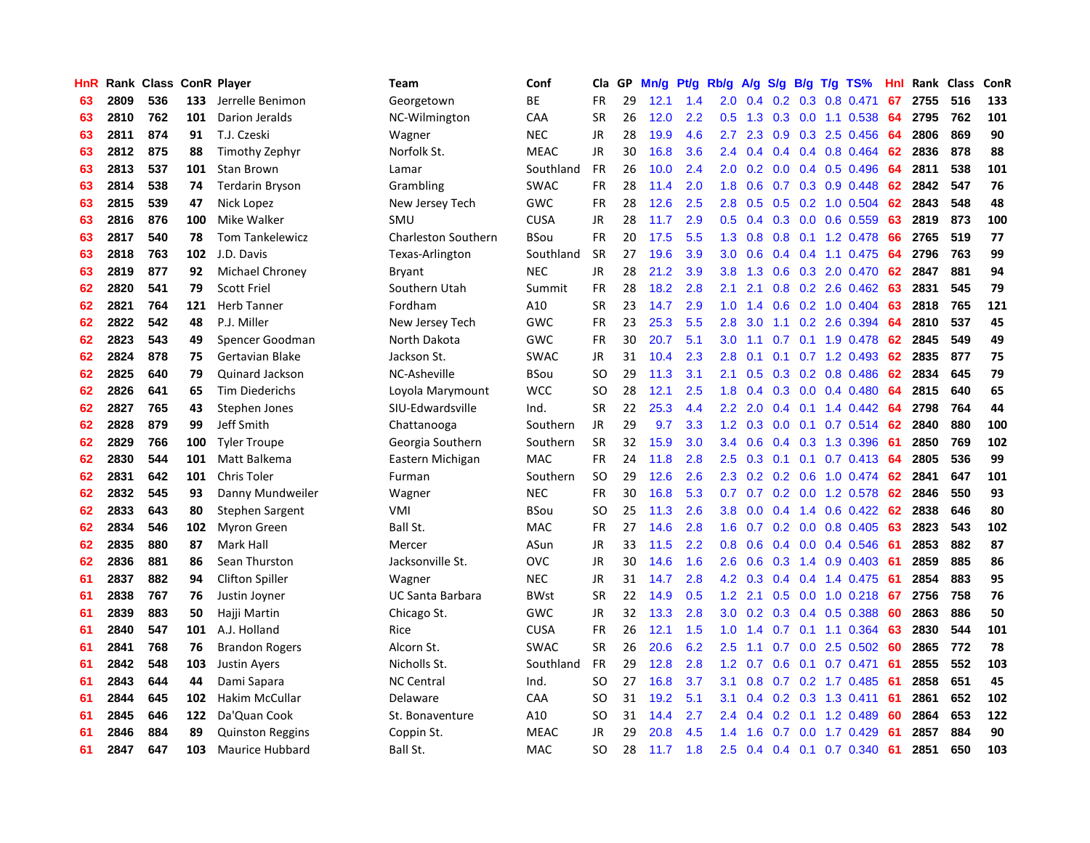| HnR |      | Rank Class ConR Player |     |                         | Team                       | Conf        | Cla           | <b>GP</b> | Mn/g | <b>Pt/g</b> | Rb/g             | A/g |     |     | S/g B/g T/g TS%            | Hnl | Rank | <b>Class</b> | ConR |
|-----|------|------------------------|-----|-------------------------|----------------------------|-------------|---------------|-----------|------|-------------|------------------|-----|-----|-----|----------------------------|-----|------|--------------|------|
| 63  | 2809 | 536                    | 133 | Jerrelle Benimon        | Georgetown                 | <b>BE</b>   | <b>FR</b>     | 29        | 12.1 | 1.4         | 2.0              | 0.4 |     |     | 0.2 0.3 0.8 0.471          | 67  | 2755 | 516          | 133  |
| 63  | 2810 | 762                    | 101 | Darion Jeralds          | NC-Wilmington              | CAA         | <b>SR</b>     | 26        | 12.0 | 2.2         | 0.5              | 1.3 |     |     | $0.3$ 0.0 1.1 0.538        | -64 | 2795 | 762          | 101  |
| 63  | 2811 | 874                    | 91  | T.J. Czeski             | Wagner                     | <b>NEC</b>  | <b>JR</b>     | 28        | 19.9 | 4.6         | 2.7              | 2.3 |     |     | $0.9$ $0.3$ 2.5 $0.456$    | -64 | 2806 | 869          | 90   |
| 63  | 2812 | 875                    | 88  | Timothy Zephyr          | Norfolk St.                | <b>MEAC</b> | JR            | 30        | 16.8 | 3.6         | $2.4^{\circ}$    | 0.4 |     |     | $0.4$ 0.4 0.8 0.464        | 62  | 2836 | 878          | 88   |
| 63  | 2813 | 537                    | 101 | <b>Stan Brown</b>       | Lamar                      | Southland   | <b>FR</b>     | 26        | 10.0 | 2.4         | 2.0              | 0.2 | 0.0 |     | 0.4 0.5 0.496              | 64  | 2811 | 538          | 101  |
| 63  | 2814 | 538                    | 74  | <b>Terdarin Bryson</b>  | Grambling                  | <b>SWAC</b> | <b>FR</b>     | 28        | 11.4 | 2.0         | 1.8              | 0.6 |     |     | $0.7$ $0.3$ $0.9$ $0.448$  | 62  | 2842 | 547          | 76   |
| 63  | 2815 | 539                    | 47  | Nick Lopez              | New Jersey Tech            | GWC         | <b>FR</b>     | 28        | 12.6 | 2.5         | 2.8              | 0.5 |     |     | 0.5 0.2 1.0 0.504          | 62  | 2843 | 548          | 48   |
| 63  | 2816 | 876                    | 100 | Mike Walker             | SMU                        | <b>CUSA</b> | JR            | 28        | 11.7 | 2.9         | 0.5              | 0.4 | 0.3 |     | $0.0$ 0.6 0.559            | 63  | 2819 | 873          | 100  |
| 63  | 2817 | 540                    | 78  | <b>Tom Tankelewicz</b>  | <b>Charleston Southern</b> | BSou        | <b>FR</b>     | 20        | 17.5 | 5.5         | 1.3              | 0.8 | 0.8 |     | $0.1$ 1.2 0.478            | 66  | 2765 | 519          | 77   |
| 63  | 2818 | 763                    | 102 | J.D. Davis              | Texas-Arlington            | Southland   | <b>SR</b>     | 27        | 19.6 | 3.9         | 3.0 <sub>2</sub> | 0.6 |     |     | $0.4$ 0.4 1.1 0.475        | -64 | 2796 | 763          | 99   |
| 63  | 2819 | 877                    | 92  | Michael Chroney         | Bryant                     | <b>NEC</b>  | <b>JR</b>     | 28        | 21.2 | 3.9         | 3.8 <sub>2</sub> | 1.3 |     |     | 0.6 0.3 2.0 0.470 62       |     | 2847 | 881          | 94   |
| 62  | 2820 | 541                    | 79  | <b>Scott Friel</b>      | Southern Utah              | Summit      | <b>FR</b>     | 28        | 18.2 | 2.8         | 2.1              | 2.1 |     |     | $0.8$ $0.2$ 2.6 $0.462$ 63 |     | 2831 | 545          | 79   |
| 62  | 2821 | 764                    | 121 | <b>Herb Tanner</b>      | Fordham                    | A10         | <b>SR</b>     | 23        | 14.7 | 2.9         | 1.0              | 1.4 |     |     | $0.6$ $0.2$ 1.0 $0.404$    | 63  | 2818 | 765          | 121  |
| 62  | 2822 | 542                    | 48  | P.J. Miller             | New Jersey Tech            | GWC         | <b>FR</b>     | 23        | 25.3 | 5.5         | 2.8              | 3.0 |     |     | 1.1 0.2 2.6 0.394          | 64  | 2810 | 537          | 45   |
| 62  | 2823 | 543                    | 49  | Spencer Goodman         | North Dakota               | GWC         | <b>FR</b>     | 30        | 20.7 | 5.1         | 3.0              | 1.1 |     |     | 0.7 0.1 1.9 0.478          | 62  | 2845 | 549          | 49   |
| 62  | 2824 | 878                    | 75  | Gertavian Blake         | Jackson St.                | <b>SWAC</b> | JR            | 31        | 10.4 | 2.3         | 2.8              | 0.1 | 0.1 |     | $0.7$ 1.2 0.493            | 62  | 2835 | 877          | 75   |
| 62  | 2825 | 640                    | 79  | Quinard Jackson         | NC-Asheville               | BSou        | <sub>SO</sub> | 29        | 11.3 | 3.1         | 2.1              | 0.5 | 0.3 |     | $0.2$ 0.8 0.486            | 62  | 2834 | 645          | 79   |
| 62  | 2826 | 641                    | 65  | <b>Tim Diederichs</b>   | Loyola Marymount           | <b>WCC</b>  | SO            | 28        | 12.1 | 2.5         | 1.8              | 0.4 |     |     | $0.3$ 0.0 0.4 0.480        | 64  | 2815 | 640          | 65   |
| 62  | 2827 | 765                    | 43  | Stephen Jones           | SIU-Edwardsville           | Ind.        | <b>SR</b>     | 22        | 25.3 | 4.4         | 2.2              | 2.0 |     |     | $0.4$ 0.1 1.4 0.442        | -64 | 2798 | 764          | 44   |
| 62  | 2828 | 879                    | 99  | Jeff Smith              | Chattanooga                | Southern    | <b>JR</b>     | 29        | 9.7  | 3.3         | 1.2              | 0.3 |     |     | $0.0$ $0.1$ $0.7$ $0.514$  | 62  | 2840 | 880          | 100  |
| 62  | 2829 | 766                    | 100 | <b>Tyler Troupe</b>     | Georgia Southern           | Southern    | <b>SR</b>     | 32        | 15.9 | 3.0         | 3.4              | 0.6 |     |     | $0.4$ 0.3 1.3 0.396        | -61 | 2850 | 769          | 102  |
| 62  | 2830 | 544                    | 101 | Matt Balkema            | Eastern Michigan           | <b>MAC</b>  | <b>FR</b>     | 24        | 11.8 | 2.8         | 2.5              | 0.3 | 0.1 |     | $0.1$ 0.7 0.413            | 64  | 2805 | 536          | 99   |
| 62  | 2831 | 642                    | 101 | Chris Toler             | Furman                     | Southern    | <b>SO</b>     | 29        | 12.6 | 2.6         | 2.3              | 0.2 |     |     | $0.2$ 0.6 1.0 0.474        | 62  | 2841 | 647          | 101  |
| 62  | 2832 | 545                    | 93  | Danny Mundweiler        | Wagner                     | <b>NEC</b>  | <b>FR</b>     | 30        | 16.8 | 5.3         | 0.7              | 0.7 |     |     | 0.2 0.0 1.2 0.578          | 62  | 2846 | 550          | 93   |
| 62  | 2833 | 643                    | 80  | Stephen Sargent         | VMI                        | BSou        | SO            | 25        | 11.3 | 2.6         | 3.8              | 0.0 |     |     | $0.4$ 1.4 0.6 0.422        | 62  | 2838 | 646          | 80   |
| 62  | 2834 | 546                    | 102 | Myron Green             | Ball St.                   | <b>MAC</b>  | FR            | 27        | 14.6 | 2.8         | 1.6              | 0.7 |     |     | $0.2$ 0.0 0.8 0.405        | 63  | 2823 | 543          | 102  |
| 62  | 2835 | 880                    | 87  | Mark Hall               | Mercer                     | ASun        | JR            | 33        | 11.5 | 2.2         | 0.8              | 0.6 |     |     | $0.4$ 0.0 0.4 0.546        | -61 | 2853 | 882          | 87   |
| 62  | 2836 | 881                    | 86  | Sean Thurston           | Jacksonville St.           | OVC         | JR            | 30        | 14.6 | 1.6         | 2.6              | 0.6 |     |     | 0.3 1.4 0.9 0.403 61       |     | 2859 | 885          | 86   |
| 61  | 2837 | 882                    | 94  | <b>Clifton Spiller</b>  | Wagner                     | <b>NEC</b>  | JR            | 31        | 14.7 | 2.8         | 4.2              | 0.3 |     |     | $0.4$ 0.4 1.4 0.475        | -61 | 2854 | 883          | 95   |
| 61  | 2838 | 767                    | 76  | Justin Joyner           | <b>UC Santa Barbara</b>    | <b>BWst</b> | <b>SR</b>     | 22        | 14.9 | 0.5         | 1.2              | 2.1 |     |     | 0.5 0.0 1.0 0.218 67       |     | 2756 | 758          | 76   |
| 61  | 2839 | 883                    | 50  | Hajji Martin            | Chicago St.                | GWC         | <b>JR</b>     | 32        | 13.3 | 2.8         | 3.0              | 0.2 |     |     | 0.3 0.4 0.5 0.388          | 60  | 2863 | 886          | 50   |
| 61  | 2840 | 547                    | 101 | A.J. Holland            | Rice                       | <b>CUSA</b> | <b>FR</b>     | 26        | 12.1 | 1.5         | 1.0              | 1.4 |     |     | $0.7$ 0.1 1.1 0.364        | 63  | 2830 | 544          | 101  |
| 61  | 2841 | 768                    | 76  | <b>Brandon Rogers</b>   | Alcorn St.                 | <b>SWAC</b> | <b>SR</b>     | 26        | 20.6 | 6.2         | 2.5              | 1.1 | 0.7 |     | $0.0$ 2.5 0.502            | -60 | 2865 | 772          | 78   |
| 61  | 2842 | 548                    | 103 | <b>Justin Ayers</b>     | Nicholls St.               | Southland   | <b>FR</b>     | 29        | 12.8 | 2.8         | 1.2              | 0.7 | 0.6 | 0.1 | $0.7$ 0.471                | 61  | 2855 | 552          | 103  |
| 61  | 2843 | 644                    | 44  | Dami Sapara             | <b>NC Central</b>          | Ind.        | <b>SO</b>     | 27        | 16.8 | 3.7         | 3.1              | 0.8 | 0.7 |     | $0.2$ 1.7 0.485            | -61 | 2858 | 651          | 45   |
| 61  | 2844 | 645                    | 102 | <b>Hakim McCullar</b>   | Delaware                   | CAA         | SO            | 31        | 19.2 | 5.1         | 3.1              | 0.4 |     |     | $0.2$ 0.3 1.3 0.411        | -61 | 2861 | 652          | 102  |
| 61  | 2845 | 646                    | 122 | Da'Quan Cook            | St. Bonaventure            | A10         | SO            | 31        | 14.4 | 2.7         | 2.4              | 0.4 |     |     | $0.2$ 0.1 1.2 0.489        | -60 | 2864 | 653          | 122  |
| 61  | 2846 | 884                    | 89  | <b>Quinston Reggins</b> | Coppin St.                 | <b>MEAC</b> | JR            | 29        | 20.8 | 4.5         | 1.4              | 1.6 |     |     | $0.7$ 0.0 1.7 0.429        | -61 | 2857 | 884          | 90   |
| 61  | 2847 | 647                    | 103 | Maurice Hubbard         | Ball St.                   | <b>MAC</b>  | <b>SO</b>     | 28        | 11.7 | 1.8         | 2.5              | 0.4 |     |     | 0.4 0.1 0.7 0.340          | 61  | 2851 | 650          | 103  |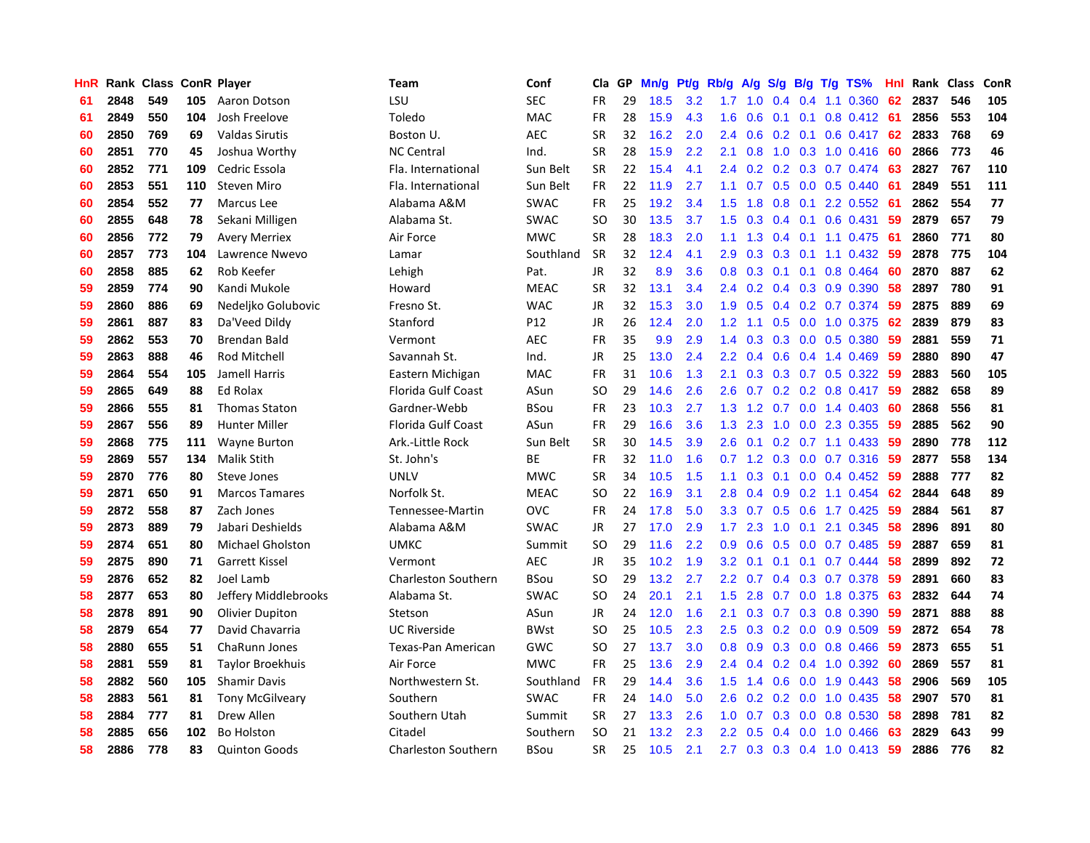| <b>HnR</b> |      | Rank Class ConR Player |     |                         | <b>Team</b>                | Conf            | Cla       | GP | Mn/g | <b>Pt/g</b> | Rb/g             | A/g             |               |               | $S/g$ B/g T/g TS%            | Hnl | Rank | Class | ConR |
|------------|------|------------------------|-----|-------------------------|----------------------------|-----------------|-----------|----|------|-------------|------------------|-----------------|---------------|---------------|------------------------------|-----|------|-------|------|
| 61         | 2848 | 549                    | 105 | Aaron Dotson            | LSU                        | <b>SEC</b>      | FR.       | 29 | 18.5 | 3.2         | 1.7              | 1.0             | $0.4^{\circ}$ | $0.4^{\circ}$ | 1.1 0.360                    | 62  | 2837 | 546   | 105  |
| 61         | 2849 | 550                    | 104 | Josh Freelove           | Toledo                     | <b>MAC</b>      | <b>FR</b> | 28 | 15.9 | 4.3         | 1.6              | 0.6             |               |               | $0.1$ 0.1 0.8 0.412 61       |     | 2856 | 553   | 104  |
| 60         | 2850 | 769                    | 69  | <b>Valdas Sirutis</b>   | Boston U.                  | <b>AEC</b>      | <b>SR</b> | 32 | 16.2 | 2.0         | $2.4^{\circ}$    | 0.6             |               |               | $0.2$ 0.1 0.6 0.417 62       |     | 2833 | 768   | 69   |
| 60         | 2851 | 770                    | 45  | Joshua Worthy           | <b>NC Central</b>          | Ind.            | <b>SR</b> | 28 | 15.9 | 2.2         | 2.1              | 0.8             |               |               | 1.0 0.3 1.0 0.416            | -60 | 2866 | 773   | 46   |
| 60         | 2852 | 771                    | 109 | Cedric Essola           | Fla. International         | Sun Belt        | <b>SR</b> | 22 | 15.4 | 4.1         | $2.4^{\circ}$    | 0.2             |               |               | 0.2 0.3 0.7 0.474            | -63 | 2827 | 767   | 110  |
| 60         | 2853 | 551                    | 110 | <b>Steven Miro</b>      | Fla. International         | Sun Belt        | <b>FR</b> | 22 | 11.9 | 2.7         | 1.1              | 0.7             |               |               | $0.5$ 0.0 0.5 0.440          | -61 | 2849 | 551   | 111  |
| 60         | 2854 | 552                    | 77  | <b>Marcus</b> Lee       | Alabama A&M                | <b>SWAC</b>     | <b>FR</b> | 25 | 19.2 | 3.4         | 1.5              | 1.8             | 0.8           |               | $0.1$ 2.2 0.552              | -61 | 2862 | 554   | 77   |
| 60         | 2855 | 648                    | 78  | Sekani Milligen         | Alabama St.                | <b>SWAC</b>     | SO        | 30 | 13.5 | 3.7         | 1.5              | 0.3             | 0.4           |               | $0.1$ 0.6 0.431              | -59 | 2879 | 657   | 79   |
| 60         | 2856 | 772                    | 79  | <b>Avery Merriex</b>    | Air Force                  | <b>MWC</b>      | <b>SR</b> | 28 | 18.3 | 2.0         | 1.1              | 1.3             | $0.4^{\circ}$ |               | $0.1$ 1.1 0.475              | -61 | 2860 | 771   | 80   |
| 60         | 2857 | 773                    | 104 | Lawrence Nwevo          | Lamar                      | Southland       | <b>SR</b> | 32 | 12.4 | 4.1         | 2.9 <sup>°</sup> | 0.3             |               |               | 0.3 0.1 1.1 0.432 59         |     | 2878 | 775   | 104  |
| 60         | 2858 | 885                    | 62  | Rob Keefer              | Lehigh                     | Pat.            | <b>JR</b> | 32 | 8.9  | 3.6         |                  | $0.8 \quad 0.3$ |               |               | 0.1 0.1 0.8 0.464 60         |     | 2870 | 887   | 62   |
| 59         | 2859 | 774                    | 90  | Kandi Mukole            | Howard                     | <b>MEAC</b>     | <b>SR</b> | 32 | 13.1 | 3.4         | $2.4^{\circ}$    | 0.2             |               |               | $0.4$ 0.3 0.9 0.390          | -58 | 2897 | 780   | 91   |
| 59         | 2860 | 886                    | 69  | Nedeljko Golubovic      | Fresno St.                 | <b>WAC</b>      | <b>JR</b> | 32 | 15.3 | 3.0         | 1.9              | 0.5             |               |               | 0.4 0.2 0.7 0.374 59         |     | 2875 | 889   | 69   |
| 59         | 2861 | 887                    | 83  | Da'Veed Dildy           | Stanford                   | P <sub>12</sub> | JR        | 26 | 12.4 | 2.0         | 1.2              | 1.1             | 0.5           |               | 0.0 1.0 0.375                | 62  | 2839 | 879   | 83   |
| 59         | 2862 | 553                    | 70  | Brendan Bald            | Vermont                    | <b>AEC</b>      | <b>FR</b> | 35 | 9.9  | 2.9         | 1.4              | 0.3             |               |               | 0.3 0.0 0.5 0.380            | 59  | 2881 | 559   | 71   |
| 59         | 2863 | 888                    | 46  | <b>Rod Mitchell</b>     | Savannah St.               | Ind.            | <b>JR</b> | 25 | 13.0 | 2.4         | $2.2\phantom{0}$ | 0.4             |               |               | $0.6$ 0.4 1.4 0.469          | 59  | 2880 | 890   | 47   |
| 59         | 2864 | 554                    | 105 | Jamell Harris           | Eastern Michigan           | MAC             | <b>FR</b> | 31 | 10.6 | 1.3         | 2.1              | 0.3             | 0.3           |               | $0.7$ $0.5$ $0.322$          | -59 | 2883 | 560   | 105  |
| 59         | 2865 | 649                    | 88  | Ed Rolax                | Florida Gulf Coast         | ASun            | <b>SO</b> | 29 | 14.6 | 2.6         | 2.6              | 0.7             |               |               | $0.2$ 0.2 0.8 0.417          | 59  | 2882 | 658   | 89   |
| 59         | 2866 | 555                    | 81  | <b>Thomas Staton</b>    | Gardner-Webb               | <b>BSou</b>     | FR        | 23 | 10.3 | 2.7         | 1.3              |                 |               |               | 1.2 0.7 0.0 1.4 0.403        | -60 | 2868 | 556   | 81   |
| 59         | 2867 | 556                    | 89  | <b>Hunter Miller</b>    | Florida Gulf Coast         | ASun            | <b>FR</b> | 29 | 16.6 | 3.6         | 1.3              | 2.3             |               |               | 1.0 0.0 2.3 0.355            | -59 | 2885 | 562   | 90   |
| 59         | 2868 | 775                    | 111 | <b>Wayne Burton</b>     | Ark.-Little Rock           | Sun Belt        | <b>SR</b> | 30 | 14.5 | 3.9         | 2.6              | 0.1             |               |               | $0.2$ 0.7 1.1 0.433          | -59 | 2890 | 778   | 112  |
| 59         | 2869 | 557                    | 134 | Malik Stith             | St. John's                 | BE              | <b>FR</b> | 32 | 11.0 | 1.6         |                  | $0.7 \quad 1.2$ |               |               | $0.3$ 0.0 0.7 0.316          | 59  | 2877 | 558   | 134  |
| 59         | 2870 | 776                    | 80  | <b>Steve Jones</b>      | UNLV                       | <b>MWC</b>      | <b>SR</b> | 34 | 10.5 | 1.5         | 1.1              | 0.3             | 0.1           |               | $0.0$ 0.4 0.452              | 59  | 2888 | 777   | 82   |
| 59         | 2871 | 650                    | 91  | <b>Marcos Tamares</b>   | Norfolk St.                | <b>MEAC</b>     | <b>SO</b> | 22 | 16.9 | 3.1         | 2.8              | 0.4             | 0.9           |               | $0.2$ 1.1 $0.454$            | 62  | 2844 | 648   | 89   |
| 59         | 2872 | 558                    | 87  | Zach Jones              | Tennessee-Martin           | <b>OVC</b>      | <b>FR</b> | 24 | 17.8 | 5.0         | 3.3 <sub>2</sub> | 0.7             | 0.5           |               | $0.6$ 1.7 0.425              | -59 | 2884 | 561   | 87   |
| 59         | 2873 | 889                    | 79  | Jabari Deshields        | Alabama A&M                | <b>SWAC</b>     | JR        | 27 | 17.0 | 2.9         | 1.7 <sub>z</sub> | 2.3             | 1.0           | 0.1           | 2.1 0.345                    | -58 | 2896 | 891   | 80   |
| 59         | 2874 | 651                    | 80  | <b>Michael Gholston</b> | <b>UMKC</b>                | Summit          | <b>SO</b> | 29 | 11.6 | 2.2         | 0.9              | 0.6             |               |               | $0.5$ 0.0 0.7 0.485          | -59 | 2887 | 659   | 81   |
| 59         | 2875 | 890                    | 71  | <b>Garrett Kissel</b>   | Vermont                    | <b>AEC</b>      | <b>JR</b> | 35 | 10.2 | 1.9         | 3.2              | 0.1             |               |               | $0.1$ 0.1 0.7 0.444          | -58 | 2899 | 892   | 72   |
| 59         | 2876 | 652                    | 82  | Joel Lamb               | <b>Charleston Southern</b> | <b>BSou</b>     | SO        | 29 | 13.2 | 2.7         | $2.2^{\circ}$    | 0.7             |               |               | $0.4$ $0.3$ $0.7$ $0.378$    | -59 | 2891 | 660   | 83   |
| 58         | 2877 | 653                    | 80  | Jeffery Middlebrooks    | Alabama St.                | <b>SWAC</b>     | SO.       | 24 | 20.1 | 2.1         | 1.5              | 2.8             |               |               | 0.7 0.0 1.8 0.375            | -63 | 2832 | 644   | 74   |
| 58         | 2878 | 891                    | 90  | <b>Olivier Dupiton</b>  | Stetson                    | ASun            | JR        | 24 | 12.0 | 1.6         | 2.1              | 0.3             | 0.7           |               | 0.3 0.8 0.390                | 59  | 2871 | 888   | 88   |
| 58         | 2879 | 654                    | 77  | David Chavarria         | <b>UC Riverside</b>        | <b>BWst</b>     | SO.       | 25 | 10.5 | 2.3         | 2.5              | 0.3             |               |               | $0.2$ 0.0 0.9 0.509          | -59 | 2872 | 654   | 78   |
| 58         | 2880 | 655                    | 51  | ChaRunn Jones           | Texas-Pan American         | GWC             | <b>SO</b> | 27 | 13.7 | 3.0         | 0.8              | 0.9             | 0.3           |               | $0.0$ 0.8 0.466              | -59 | 2873 | 655   | 51   |
| 58         | 2881 | 559                    | 81  | Taylor Broekhuis        | Air Force                  | <b>MWC</b>      | FR.       | 25 | 13.6 | 2.9         | $2.4^{\circ}$    | 0.4             | 0.2           |               | 0.4 1.0 0.392                | -60 | 2869 | 557   | 81   |
| 58         | 2882 | 560                    | 105 | <b>Shamir Davis</b>     | Northwestern St.           | Southland       | <b>FR</b> | 29 | 14.4 | 3.6         | 1.5              | 1.4             | 0.6           |               | $0.0$ 1.9 0.443              | 58  | 2906 | 569   | 105  |
| 58         | 2883 | 561                    | 81  | <b>Tony McGilveary</b>  | Southern                   | <b>SWAC</b>     | <b>FR</b> | 24 | 14.0 | 5.0         | 2.6 <sup>°</sup> |                 |               |               | 0.2 0.2 0.0 1.0 0.435        | -58 | 2907 | 570   | 81   |
| 58         | 2884 | 777                    | 81  | <b>Drew Allen</b>       | Southern Utah              | Summit          | <b>SR</b> | 27 | 13.3 | 2.6         | 1.0              | 0.7             |               |               | $0.3$ 0.0 0.8 0.530          | -58 | 2898 | 781   | 82   |
| 58         | 2885 | 656                    | 102 | <b>Bo Holston</b>       | Citadel                    | Southern        | SO        | 21 | 13.2 | 2.3         | $2.2^{\circ}$    | 0.5             |               |               | $0.4$ 0.0 1.0 0.466          | -63 | 2829 | 643   | 99   |
| 58         | 2886 | 778                    | 83  | <b>Quinton Goods</b>    | Charleston Southern        | <b>BSou</b>     | <b>SR</b> | 25 | 10.5 | 2.1         |                  |                 |               |               | 2.7 0.3 0.3 0.4 1.0 0.413 59 |     | 2886 | 776   | 82   |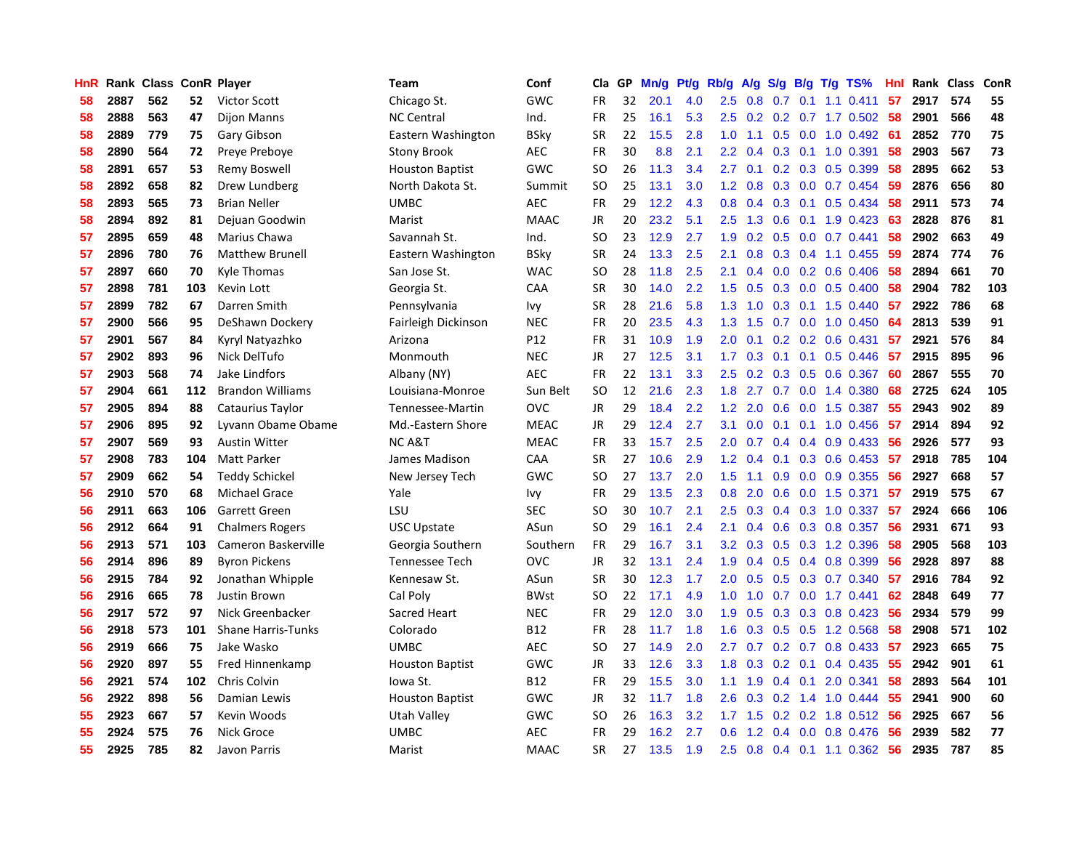| <b>HnR</b> |      | Rank Class ConR Player |     |                           | Team                   | Conf        | Cla       | GP | Mn/g | Pt/g | Rb/g             | A/g             |     |     | $S/g$ B/g T/g TS%            | Hnl | Rank Class |     | ConR |
|------------|------|------------------------|-----|---------------------------|------------------------|-------------|-----------|----|------|------|------------------|-----------------|-----|-----|------------------------------|-----|------------|-----|------|
| 58         | 2887 | 562                    | 52  | <b>Victor Scott</b>       | Chicago St.            | GWC         | <b>FR</b> | 32 | 20.1 | 4.0  | $2.5\,$          | 0.8             | 0.7 | 0.1 | $1.1 \t0.411$                | 57  | 2917       | 574 | 55   |
| 58         | 2888 | 563                    | 47  | <b>Dijon Manns</b>        | <b>NC Central</b>      | Ind.        | FR        | 25 | 16.1 | 5.3  |                  |                 |     |     | 2.5 0.2 0.2 0.7 1.7 0.502 58 |     | 2901       | 566 | 48   |
| 58         | 2889 | 779                    | 75  | Gary Gibson               | Eastern Washington     | <b>BSky</b> | <b>SR</b> | 22 | 15.5 | 2.8  | 1.0              | 1.1             |     |     | $0.5$ 0.0 1.0 0.492          | -61 | 2852       | 770 | 75   |
| 58         | 2890 | 564                    | 72  | Preye Preboye             | Stony Brook            | <b>AEC</b>  | FR        | 30 | 8.8  | 2.1  | $2.2\phantom{0}$ | 0.4             |     |     | $0.3$ 0.1 1.0 0.391          | 58  | 2903       | 567 | 73   |
| 58         | 2891 | 657                    | 53  | Remy Boswell              | <b>Houston Baptist</b> | GWC         | <b>SO</b> | 26 | 11.3 | 3.4  | 2.7 <sub>2</sub> | 0.1             |     |     | $0.2$ 0.3 0.5 0.399          | 58  | 2895       | 662 | 53   |
| 58         | 2892 | 658                    | 82  | Drew Lundberg             | North Dakota St.       | Summit      | <b>SO</b> | 25 | 13.1 | 3.0  | 1.2              | 0.8             |     |     | $0.3$ 0.0 0.7 0.454          | 59  | 2876       | 656 | 80   |
| 58         | 2893 | 565                    | 73  | <b>Brian Neller</b>       | <b>UMBC</b>            | <b>AEC</b>  | <b>FR</b> | 29 | 12.2 | 4.3  | 0.8              | 0.4             | 0.3 |     | $0.1$ 0.5 0.434              | 58  | 2911       | 573 | 74   |
| 58         | 2894 | 892                    | 81  | Dejuan Goodwin            | Marist                 | <b>MAAC</b> | JR        | 20 | 23.2 | 5.1  | $2.5\,$          | 1.3             | 0.6 |     | $0.1$ 1.9 $0.423$            | 63  | 2828       | 876 | 81   |
| 57         | 2895 | 659                    | 48  | Marius Chawa              | Savannah St.           | Ind.        | <b>SO</b> | 23 | 12.9 | 2.7  | 1.9              | 0.2             | 0.5 |     | $0.0$ 0.7 0.441              | 58  | 2902       | 663 | 49   |
| 57         | 2896 | 780                    | 76  | <b>Matthew Brunell</b>    | Eastern Washington     | BSky        | <b>SR</b> | 24 | 13.3 | 2.5  | 2.1              | 0.8             |     |     | $0.3$ 0.4 1.1 0.455          | -59 | 2874       | 774 | 76   |
| 57         | 2897 | 660                    | 70  | Kyle Thomas               | San Jose St.           | <b>WAC</b>  | <b>SO</b> | 28 | 11.8 | 2.5  | 2.1              | 0.4             |     |     | $0.0$ $0.2$ $0.6$ $0.406$    | -58 | 2894       | 661 | 70   |
| 57         | 2898 | 781                    | 103 | Kevin Lott                | Georgia St.            | CAA         | <b>SR</b> | 30 | 14.0 | 2.2  | 1.5              | 0.5             |     |     | $0.3$ 0.0 0.5 0.400          | -58 | 2904       | 782 | 103  |
| 57         | 2899 | 782                    | 67  | Darren Smith              | Pennsylvania           | Ivy         | <b>SR</b> | 28 | 21.6 | 5.8  | 1.3              | 1.0             | 0.3 |     | $0.1$ 1.5 0.440              | 57  | 2922       | 786 | 68   |
| 57         | 2900 | 566                    | 95  | DeShawn Dockery           | Fairleigh Dickinson    | <b>NEC</b>  | FR        | 20 | 23.5 | 4.3  | 1.3              | 1.5             |     |     | $0.7$ $0.0$ $1.0$ $0.450$    | 64  | 2813       | 539 | 91   |
| 57         | 2901 | 567                    | 84  | Kyryl Natyazhko           | Arizona                | P12         | FR        | 31 | 10.9 | 1.9  | 2.0              | 0.1             | 0.2 |     | $0.2$ 0.6 0.431              | 57  | 2921       | 576 | 84   |
| 57         | 2902 | 893                    | 96  | Nick DelTufo              | Monmouth               | <b>NEC</b>  | JR        | 27 | 12.5 | 3.1  | 1.7 <sub>2</sub> | 0.3             | 0.1 |     | $0.1$ 0.5 0.446              | 57  | 2915       | 895 | 96   |
| 57         | 2903 | 568                    | 74  | Jake Lindfors             | Albany (NY)            | <b>AEC</b>  | <b>FR</b> | 22 | 13.1 | 3.3  | $2.5\,$          | 0.2             | 0.3 |     | 0.5 0.6 0.367                | 60  | 2867       | 555 | 70   |
| 57         | 2904 | 661                    | 112 | <b>Brandon Williams</b>   | Louisiana-Monroe       | Sun Belt    | <b>SO</b> | 12 | 21.6 | 2.3  | 1.8              | 2.7             |     |     | 0.7 0.0 1.4 0.380            | 68  | 2725       | 624 | 105  |
| 57         | 2905 | 894                    | 88  | Cataurius Taylor          | Tennessee-Martin       | <b>OVC</b>  | <b>JR</b> | 29 | 18.4 | 2.2  | 1.2              | 2.0             |     |     | 0.6 0.0 1.5 0.387            | 55  | 2943       | 902 | 89   |
| 57         | 2906 | 895                    | 92  | Lyvann Obame Obame        | Md.-Eastern Shore      | <b>MEAC</b> | <b>JR</b> | 29 | 12.4 | 2.7  | 3.1              | 0.0             |     |     | $0.1$ 0.1 1.0 0.456          | -57 | 2914       | 894 | 92   |
| 57         | 2907 | 569                    | 93  | <b>Austin Witter</b>      | <b>NC A&amp;T</b>      | <b>MEAC</b> | <b>FR</b> | 33 | 15.7 | 2.5  | 2.0              | 0.7             |     |     | $0.4$ 0.4 0.9 0.433          | 56  | 2926       | 577 | 93   |
| 57         | 2908 | 783                    | 104 | Matt Parker               | James Madison          | CAA         | <b>SR</b> | 27 | 10.6 | 2.9  | 1.2              | 0.4             | 0.1 |     | $0.3$ 0.6 0.453              | 57  | 2918       | 785 | 104  |
| 57         | 2909 | 662                    | 54  | <b>Teddy Schickel</b>     | New Jersey Tech        | GWC         | <b>SO</b> | 27 | 13.7 | 2.0  | 1.5              | 1.1             | 0.9 |     | $0.0$ $0.9$ $0.355$          | 56  | 2927       | 668 | 57   |
| 56         | 2910 | 570                    | 68  | Michael Grace             | Yale                   | Ivy         | <b>FR</b> | 29 | 13.5 | 2.3  | 0.8              | 2.0             | 0.6 |     | 0.0 1.5 0.371                | 57  | 2919       | 575 | 67   |
| 56         | 2911 | 663                    | 106 | <b>Garrett Green</b>      | LSU                    | <b>SEC</b>  | <b>SO</b> | 30 | 10.7 | 2.1  | $2.5\,$          | 0.3             |     |     | 0.4 0.3 1.0 0.337            | 57  | 2924       | 666 | 106  |
| 56         | 2912 | 664                    | 91  | <b>Chalmers Rogers</b>    | <b>USC Upstate</b>     | ASun        | <b>SO</b> | 29 | 16.1 | 2.4  | 2.1              | 0.4             |     |     | 0.6 0.3 0.8 0.357            | 56  | 2931       | 671 | 93   |
| 56         | 2913 | 571                    | 103 | Cameron Baskerville       | Georgia Southern       | Southern    | <b>FR</b> | 29 | 16.7 | 3.1  |                  | $3.2 \quad 0.3$ |     |     | 0.5 0.3 1.2 0.396            | 58  | 2905       | 568 | 103  |
| 56         | 2914 | 896                    | 89  | <b>Byron Pickens</b>      | <b>Tennessee Tech</b>  | <b>OVC</b>  | JR        | 32 | 13.1 | 2.4  | 1.9              | 0.4             |     |     | $0.5$ 0.4 0.8 0.399          | 56  | 2928       | 897 | 88   |
| 56         | 2915 | 784                    | 92  | Jonathan Whipple          | Kennesaw St.           | ASun        | <b>SR</b> | 30 | 12.3 | 1.7  | 2.0 <sub>1</sub> | 0.5             |     |     | 0.5 0.3 0.7 0.340            | 57  | 2916       | 784 | 92   |
| 56         | 2916 | 665                    | 78  | Justin Brown              | Cal Poly               | <b>BWst</b> | <b>SO</b> | 22 | 17.1 | 4.9  | 1.0              | 1.0             |     |     | 0.7 0.0 1.7 0.441            | 62  | 2848       | 649 | 77   |
| 56         | 2917 | 572                    | 97  | Nick Greenbacker          | Sacred Heart           | <b>NEC</b>  | <b>FR</b> | 29 | 12.0 | 3.0  | 1.9              | 0.5             | 0.3 |     | $0.3$ 0.8 0.423              | 56  | 2934       | 579 | 99   |
| 56         | 2918 | 573                    | 101 | <b>Shane Harris-Tunks</b> | Colorado               | <b>B12</b>  | <b>FR</b> | 28 | 11.7 | 1.8  | 1.6              | 0.3             | 0.5 |     | $0.5$ 1.2 0.568              | 58  | 2908       | 571 | 102  |
| 56         | 2919 | 666                    | 75  | Jake Wasko                | <b>UMBC</b>            | AEC         | <b>SO</b> | 27 | 14.9 | 2.0  | $2.7^{\circ}$    | 0.7             | 0.2 |     | $0.7$ 0.8 0.433              | 57  | 2923       | 665 | 75   |
| 56         | 2920 | 897                    | 55  | Fred Hinnenkamp           | <b>Houston Baptist</b> | GWC         | <b>JR</b> | 33 | 12.6 | 3.3  | 1.8              | 0.3             | 0.2 | 0.1 | 0.4 0.435                    | 55  | 2942       | 901 | 61   |
| 56         | 2921 | 574                    | 102 | Chris Colvin              | lowa St.               | <b>B12</b>  | <b>FR</b> | 29 | 15.5 | 3.0  | 1.1              | 1.9             |     |     | $0.4$ 0.1 2.0 0.341          | 58  | 2893       | 564 | 101  |
| 56         | 2922 | 898                    | 56  | Damian Lewis              | <b>Houston Baptist</b> | GWC         | JR        | 32 | 11.7 | 1.8  | 2.6              | 0.3             |     |     | $0.2$ 1.4 1.0 0.444          | 55  | 2941       | 900 | 60   |
| 55         | 2923 | 667                    | 57  | Kevin Woods               | Utah Valley            | GWC         | SO        | 26 | 16.3 | 3.2  |                  | $1.7$ $1.5$     |     |     | $0.2$ 0.2 1.8 0.512          | -56 | 2925       | 667 | 56   |
| 55         | 2924 | 575                    | 76  | Nick Groce                | <b>UMBC</b>            | <b>AEC</b>  | <b>FR</b> | 29 | 16.2 | 2.7  | 0.6              | 1.2             | 0.4 |     | 0.0 0.8 0.476                | 56  | 2939       | 582 | 77   |
| 55         | 2925 | 785                    | 82  | Javon Parris              | Marist                 | <b>MAAC</b> | <b>SR</b> | 27 | 13.5 | 1.9  | 2.5              | 0.8             |     |     | 0.4 0.1 1.1 0.362            | -56 | 2935       | 787 | 85   |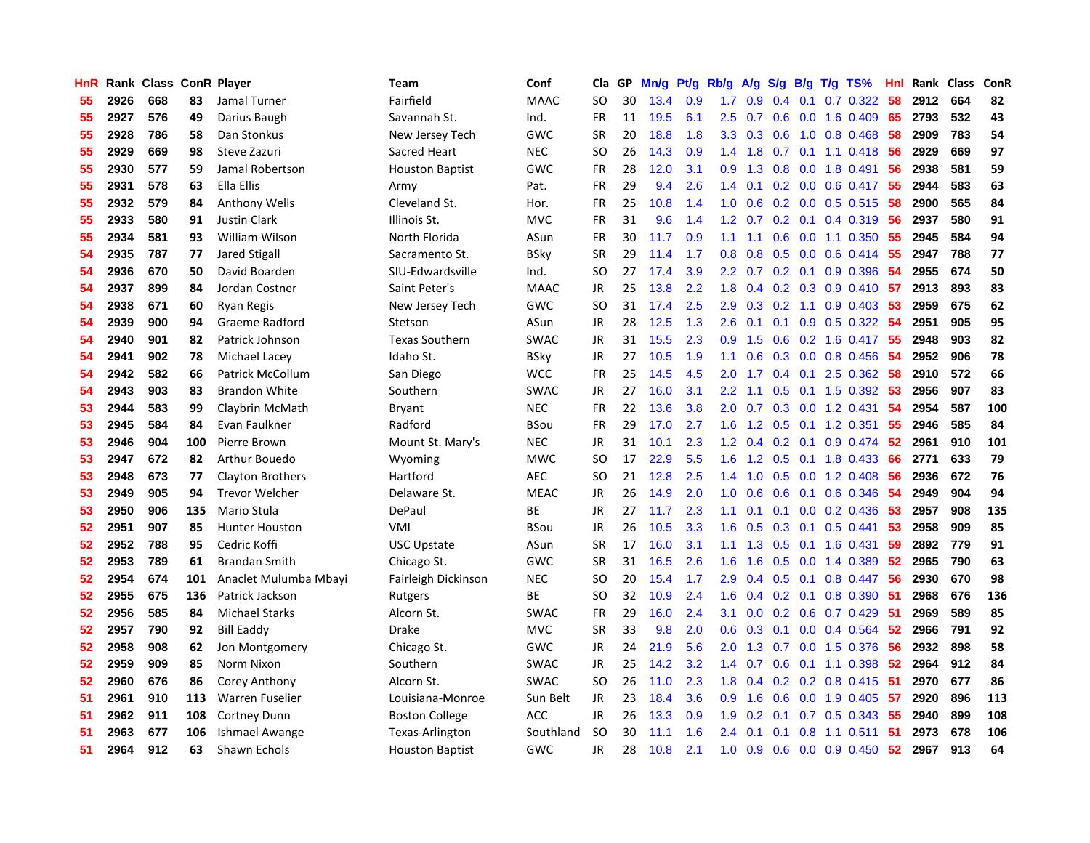| HnR |      |     |     | Rank Class ConR Player  | Team                   | Conf        | Cla       | GP | Mn/g | Pt/g | Rb/g             | A/g            |               |                 | S/g B/g T/g TS%            | Hnl | Rank | Class | ConR |
|-----|------|-----|-----|-------------------------|------------------------|-------------|-----------|----|------|------|------------------|----------------|---------------|-----------------|----------------------------|-----|------|-------|------|
| 55  | 2926 | 668 | 83  | Jamal Turner            | Fairfield              | <b>MAAC</b> | <b>SO</b> | 30 | 13.4 | 0.9  | 1.7              | 0.9            | $0.4^{\circ}$ | 0.1             | $0.7$ 0.322                | 58  | 2912 | 664   | 82   |
| 55  | 2927 | 576 | 49  | Darius Baugh            | Savannah St.           | Ind.        | <b>FR</b> | 11 | 19.5 | 6.1  |                  | $2.5\quad 0.7$ |               |                 | $0.6$ $0.0$ 1.6 $0.409$    | 65  | 2793 | 532   | 43   |
| 55  | 2928 | 786 | 58  | Dan Stonkus             | New Jersey Tech        | GWC         | <b>SR</b> | 20 | 18.8 | 1.8  | 3.3 <sub>2</sub> | 0.3            |               |                 | $0.6$ 1.0 0.8 0.468        | -58 | 2909 | 783   | 54   |
| 55  | 2929 | 669 | 98  | Steve Zazuri            | Sacred Heart           | <b>NEC</b>  | SO        | 26 | 14.3 | 0.9  | $1.4^{\circ}$    | 1.8            |               |                 | $0.7$ 0.1 1.1 0.418        | -56 | 2929 | 669   | 97   |
| 55  | 2930 | 577 | 59  | Jamal Robertson         | <b>Houston Baptist</b> | GWC         | <b>FR</b> | 28 | 12.0 | 3.1  | 0.9 <sub>0</sub> | 1.3            | 0.8           |                 | $0.0$ 1.8 0.491            | 56  | 2938 | 581   | 59   |
| 55  | 2931 | 578 | 63  | Ella Ellis              | Army                   | Pat.        | <b>FR</b> | 29 | 9.4  | 2.6  | 1.4              | 0.1            |               |                 | $0.2$ 0.0 0.6 0.417        | 55  | 2944 | 583   | 63   |
| 55  | 2932 | 579 | 84  | <b>Anthony Wells</b>    | Cleveland St.          | Hor.        | <b>FR</b> | 25 | 10.8 | 1.4  | 1.0              | 0.6            |               |                 | $0.2$ 0.0 0.5 0.515        | 58  | 2900 | 565   | 84   |
| 55  | 2933 | 580 | 91  | <b>Justin Clark</b>     | Illinois St.           | <b>MVC</b>  | FR.       | 31 | 9.6  | 1.4  | 1.2              | 0.7            |               |                 | $0.2$ 0.1 0.4 0.319        | 56  | 2937 | 580   | 91   |
| 55  | 2934 | 581 | 93  | William Wilson          | North Florida          | ASun        | <b>FR</b> | 30 | 11.7 | 0.9  | 1.1              | 1.1            | 0.6           |                 | $0.0$ 1.1 $0.350$          | 55  | 2945 | 584   | 94   |
| 54  | 2935 | 787 | 77  | <b>Jared Stigall</b>    | Sacramento St.         | <b>BSky</b> | <b>SR</b> | 29 | 11.4 | 1.7  | 0.8              | 0.8            |               |                 | $0.5$ 0.0 0.6 0.414        | -55 | 2947 | 788   | 77   |
| 54  | 2936 | 670 | 50  | David Boarden           | SIU-Edwardsville       | Ind.        | SO        | 27 | 17.4 | 3.9  |                  |                |               |                 | 2.2 0.7 0.2 0.1 0.9 0.396  | -54 | 2955 | 674   | 50   |
| 54  | 2937 | 899 | 84  | Jordan Costner          | Saint Peter's          | <b>MAAC</b> | JR        | 25 | 13.8 | 2.2  | 1.8              |                |               |                 | $0.4$ 0.2 0.3 0.9 0.410 57 |     | 2913 | 893   | 83   |
| 54  | 2938 | 671 | 60  | <b>Ryan Regis</b>       | New Jersey Tech        | <b>GWC</b>  | <b>SO</b> | 31 | 17.4 | 2.5  | 2.9              | 0.3            |               |                 | $0.2$ 1.1 0.9 0.403        | -53 | 2959 | 675   | 62   |
| 54  | 2939 | 900 | 94  | Graeme Radford          | Stetson                | ASun        | <b>JR</b> | 28 | 12.5 | 1.3  | 2.6              | 0.1            |               |                 | 0.1 0.9 0.5 0.322 54       |     | 2951 | 905   | 95   |
| 54  | 2940 | 901 | 82  | Patrick Johnson         | <b>Texas Southern</b>  | <b>SWAC</b> | <b>JR</b> | 31 | 15.5 | 2.3  | 0.9              | 1.5            |               |                 | 0.6 0.2 1.6 0.417          | 55  | 2948 | 903   | 82   |
| 54  | 2941 | 902 | 78  | Michael Lacey           | Idaho St.              | <b>BSky</b> | JR        | 27 | 10.5 | 1.9  | 1.1              | 0.6            |               |                 | 0.3 0.0 0.8 0.456          | -54 | 2952 | 906   | 78   |
| 54  | 2942 | 582 | 66  | <b>Patrick McCollum</b> | San Diego              | <b>WCC</b>  | <b>FR</b> | 25 | 14.5 | 4.5  | 2.0 <sub>1</sub> | 1.7            |               | $0.4 \quad 0.1$ | 2.5 0.362                  | 58  | 2910 | 572   | 66   |
| 54  | 2943 | 903 | 83  | <b>Brandon White</b>    | Southern               | <b>SWAC</b> | <b>JR</b> | 27 | 16.0 | 3.1  | $2.2^{\circ}$    | 1.1            | 0.5           |                 | $0.1$ 1.5 0.392            | -53 | 2956 | 907   | 83   |
| 53  | 2944 | 583 | 99  | Claybrin McMath         | <b>Bryant</b>          | <b>NEC</b>  | <b>FR</b> | 22 | 13.6 | 3.8  | 2.0 <sub>1</sub> | 0.7            |               |                 | 0.3 0.0 1.2 0.431          | 54  | 2954 | 587   | 100  |
| 53  | 2945 | 584 | 84  | Evan Faulkner           | Radford                | <b>BSou</b> | <b>FR</b> | 29 | 17.0 | 2.7  | 1.6              | 1.2            |               |                 | $0.5$ 0.1 1.2 0.351        | -55 | 2946 | 585   | 84   |
| 53  | 2946 | 904 | 100 | Pierre Brown            | Mount St. Mary's       | <b>NEC</b>  | JR        | 31 | 10.1 | 2.3  | 1.2              | 0.4            |               |                 | $0.2$ 0.1 0.9 0.474        | 52  | 2961 | 910   | 101  |
| 53  | 2947 | 672 | 82  | Arthur Bouedo           | Wyoming                | <b>MWC</b>  | <b>SO</b> | 17 | 22.9 | 5.5  | 1.6              | 1.2            | 0.5           |                 | $0.1$ 1.8 0.433            | 66  | 2771 | 633   | 79   |
| 53  | 2948 | 673 | 77  | Clayton Brothers        | Hartford               | <b>AEC</b>  | <b>SO</b> | 21 | 12.8 | 2.5  | 1.4              | 1.0            | 0.5           |                 | $0.0$ 1.2 0.408            | 56  | 2936 | 672   | 76   |
| 53  | 2949 | 905 | 94  | <b>Trevor Welcher</b>   | Delaware St.           | <b>MEAC</b> | JR        | 26 | 14.9 | 2.0  | 1.0              | 0.6            | 0.6           |                 | $0.1$ 0.6 0.346            | 54  | 2949 | 904   | 94   |
| 53  | 2950 | 906 | 135 | Mario Stula             | DePaul                 | ВE          | JR        | 27 | 11.7 | 2.3  | 1.1              | 0.1            | 0.1           |                 | $0.0$ $0.2$ $0.436$        | 53  | 2957 | 908   | 135  |
| 52  | 2951 | 907 | 85  | <b>Hunter Houston</b>   | <b>VMI</b>             | <b>BSou</b> | JR        | 26 | 10.5 | 3.3  | 1.6              | 0.5            | 0.3           | 0.1             | $0.5$ 0.441                | 53  | 2958 | 909   | 85   |
| 52  | 2952 | 788 | 95  | Cedric Koffi            | <b>USC Upstate</b>     | ASun        | <b>SR</b> | 17 | 16.0 | 3.1  | 1.1              | 1.3            |               |                 | 0.5 0.1 1.6 0.431          | 59  | 2892 | 779   | 91   |
| 52  | 2953 | 789 | 61  | <b>Brandan Smith</b>    | Chicago St.            | GWC         | <b>SR</b> | 31 | 16.5 | 2.6  | 1.6              | 1.6            |               |                 | $0.5$ 0.0 1.4 0.389        | -52 | 2965 | 790   | 63   |
| 52  | 2954 | 674 | 101 | Anaclet Mulumba Mbayi   | Fairleigh Dickinson    | <b>NEC</b>  | SO        | 20 | 15.4 | 1.7  | 2.9 <sup>°</sup> |                |               |                 | 0.4 0.5 0.1 0.8 0.447 56   |     | 2930 | 670   | 98   |
| 52  | 2955 | 675 | 136 | Patrick Jackson         | Rutgers                | <b>BE</b>   | SO        | 32 | 10.9 | 2.4  | 1.6              | 0.4            |               |                 | $0.2$ 0.1 0.8 0.390        | -51 | 2968 | 676   | 136  |
| 52  | 2956 | 585 | 84  | <b>Michael Starks</b>   | Alcorn St.             | <b>SWAC</b> | <b>FR</b> | 29 | 16.0 | 2.4  | 3.1              | 0.0            |               |                 | $0.2$ 0.6 0.7 0.429        | -51 | 2969 | 589   | 85   |
| 52  | 2957 | 790 | 92  | Bill Eaddy              | Drake                  | <b>MVC</b>  | <b>SR</b> | 33 | 9.8  | 2.0  | 0.6              | 0.3            |               |                 | $0.1$ 0.0 0.4 0.564        | 52  | 2966 | 791   | 92   |
| 52  | 2958 | 908 | 62  | Jon Montgomery          | Chicago St.            | GWC         | JR        | 24 | 21.9 | 5.6  | 2.0 <sub>1</sub> | 1.3            | 0.7           |                 | $0.0$ 1.5 $0.376$          | -56 | 2932 | 898   | 58   |
| 52  | 2959 | 909 | 85  | Norm Nixon              | Southern               | <b>SWAC</b> | <b>JR</b> | 25 | 14.2 | 3.2  | $1.4^{\circ}$    | 0.7            | 0.6           |                 | $0.1$ 1.1 0.398            | -52 | 2964 | 912   | 84   |
| 52  | 2960 | 676 | 86  | Corey Anthony           | Alcorn St.             | <b>SWAC</b> | <b>SO</b> | 26 | 11.0 | 2.3  | 1.8              | 0.4            |               |                 | $0.2$ 0.2 0.8 0.415        | -51 | 2970 | 677   | 86   |
| 51  | 2961 | 910 | 113 | Warren Fuselier         | Louisiana-Monroe       | Sun Belt    | <b>JR</b> | 23 | 18.4 | 3.6  | 0.9 <sup>°</sup> | 1.6            | 0.6           |                 | $0.0$ 1.9 $0.405$          | -57 | 2920 | 896   | 113  |
| 51  | 2962 | 911 | 108 | Cortney Dunn            | <b>Boston College</b>  | <b>ACC</b>  | JR        | 26 | 13.3 | 0.9  | 1.9 <sup>°</sup> | 0.2            | 0.1           |                 | $0.7$ 0.5 0.343            | -55 | 2940 | 899   | 108  |
| 51  | 2963 | 677 | 106 | Ishmael Awange          | Texas-Arlington        | Southland   | SO        | 30 | 11.1 | 1.6  | $2.4^{\circ}$    | 0.1            | 0.1           |                 | $0.8$ 1.1 0.511            | -51 | 2973 | 678   | 106  |
| 51  | 2964 | 912 | 63  | Shawn Echols            | <b>Houston Baptist</b> | GWC         | <b>JR</b> | 28 | 10.8 | 2.1  | 1.0              | 0.9            |               |                 | $0.6$ $0.0$ $0.9$ $0.450$  | 52  | 2967 | 913   | 64   |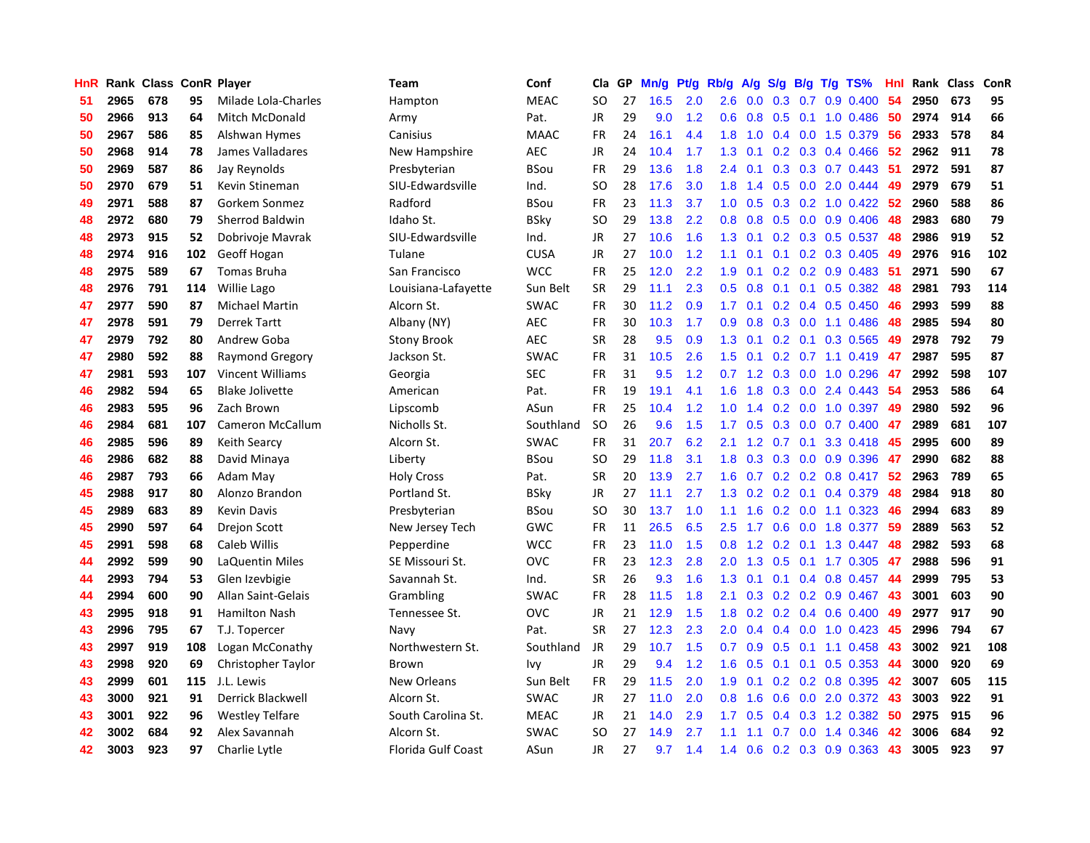| <b>HnR</b> |      | Rank Class ConR Player |     |                         | Team                      | Conf        | Cla       | GP | Mn/g | <b>Pt/g</b> | Rb/g             | A/g             |     |     | S/g B/g T/g TS%           | Hnl | Rank | <b>Class</b> | ConR |
|------------|------|------------------------|-----|-------------------------|---------------------------|-------------|-----------|----|------|-------------|------------------|-----------------|-----|-----|---------------------------|-----|------|--------------|------|
| 51         | 2965 | 678                    | 95  | Milade Lola-Charles     | Hampton                   | <b>MEAC</b> | <b>SO</b> | 27 | 16.5 | 2.0         | 2.6              | 0.0             | 0.3 |     | $0.7$ 0.9 0.400           | 54  | 2950 | 673          | 95   |
| 50         | 2966 | 913                    | 64  | Mitch McDonald          | Army                      | Pat.        | JR        | 29 | 9.0  | 1.2         |                  | $0.6 \quad 0.8$ |     |     | $0.5$ 0.1 1.0 0.486       | -50 | 2974 | 914          | 66   |
| 50         | 2967 | 586                    | 85  | Alshwan Hymes           | Canisius                  | <b>MAAC</b> | <b>FR</b> | 24 | 16.1 | 4.4         | 1.8              | 1.0             |     |     | $0.4$ 0.0 1.5 0.379       | -56 | 2933 | 578          | 84   |
| 50         | 2968 | 914                    | 78  | James Valladares        | New Hampshire             | <b>AEC</b>  | <b>JR</b> | 24 | 10.4 | 1.7         | 1.3              | 0.1             |     |     | $0.2$ 0.3 0.4 0.466       | -52 | 2962 | 911          | 78   |
| 50         | 2969 | 587                    | 86  | Jay Reynolds            | Presbyterian              | <b>BSou</b> | <b>FR</b> | 29 | 13.6 | 1.8         | $2.4^{\circ}$    | 0.1             |     |     | $0.3$ $0.3$ $0.7$ $0.443$ | -51 | 2972 | 591          | 87   |
| 50         | 2970 | 679                    | 51  | Kevin Stineman          | SIU-Edwardsville          | Ind.        | SO        | 28 | 17.6 | 3.0         | 1.8              | 1.4             |     |     | $0.5$ 0.0 2.0 0.444       | 49  | 2979 | 679          | 51   |
| 49         | 2971 | 588                    | 87  | Gorkem Sonmez           | Radford                   | <b>BSou</b> | <b>FR</b> | 23 | 11.3 | 3.7         | 1.0              | 0.5             | 0.3 |     | $0.2$ 1.0 0.422           | -52 | 2960 | 588          | 86   |
| 48         | 2972 | 680                    | 79  | <b>Sherrod Baldwin</b>  | Idaho St.                 | <b>BSky</b> | SO        | 29 | 13.8 | 2.2         | 0.8              | 0.8             | 0.5 |     | $0.0$ 0.9 0.406           | 48  | 2983 | 680          | 79   |
| 48         | 2973 | 915                    | 52  | Dobrivoje Mavrak        | SIU-Edwardsville          | Ind.        | JR        | 27 | 10.6 | 1.6         | 1.3              | 0.1             |     |     | $0.2$ 0.3 0.5 0.537       | 48  | 2986 | 919          | 52   |
| 48         | 2974 | 916                    | 102 | Geoff Hogan             | Tulane                    | <b>CUSA</b> | <b>JR</b> | 27 | 10.0 | 1.2         | 1.1              | 0.1             |     |     | $0.1$ 0.2 0.3 0.405       | -49 | 2976 | 916          | 102  |
| 48         | 2975 | 589                    | 67  | <b>Tomas Bruha</b>      | San Francisco             | <b>WCC</b>  | <b>FR</b> | 25 | 12.0 | 2.2         | 1.9 <sup>°</sup> | 0.1             |     |     | 0.2 0.2 0.9 0.483 51      |     | 2971 | 590          | 67   |
| 48         | 2976 | 791                    | 114 | <b>Willie Lago</b>      | Louisiana-Lafayette       | Sun Belt    | SR.       | 29 | 11.1 | 2.3         | 0.5              | 0.8             |     |     | $0.1$ 0.1 0.5 0.382       | -48 | 2981 | 793          | 114  |
| 47         | 2977 | 590                    | 87  | Michael Martin          | Alcorn St.                | <b>SWAC</b> | <b>FR</b> | 30 | 11.2 | 0.9         | 1.7 <sub>2</sub> | 0.1             |     |     | $0.2$ 0.4 0.5 0.450       | 46  | 2993 | 599          | 88   |
| 47         | 2978 | 591                    | 79  | <b>Derrek Tartt</b>     | Albany (NY)               | <b>AEC</b>  | <b>FR</b> | 30 | 10.3 | 1.7         | 0.9 <sub>0</sub> | 0.8             |     |     | 0.3 0.0 1.1 0.486         | 48  | 2985 | 594          | 80   |
| 47         | 2979 | 792                    | 80  | Andrew Goba             | <b>Stony Brook</b>        | AEC         | <b>SR</b> | 28 | 9.5  | 0.9         | 1.3              | 0.1             |     |     | 0.2 0.1 0.3 0.565         | 49  | 2978 | 792          | 79   |
| 47         | 2980 | 592                    | 88  | Raymond Gregory         | Jackson St.               | <b>SWAC</b> | <b>FR</b> | 31 | 10.5 | 2.6         | 1.5              | 0.1             |     |     | $0.2$ 0.7 1.1 0.419       | 47  | 2987 | 595          | 87   |
| 47         | 2981 | 593                    | 107 | Vincent Williams        | Georgia                   | <b>SEC</b>  | <b>FR</b> | 31 | 9.5  | 1.2         | 0.7              | 1.2             | 0.3 |     | $0.0$ 1.0 0.296           | 47  | 2992 | 598          | 107  |
| 46         | 2982 | 594                    | 65  | <b>Blake Jolivette</b>  | American                  | Pat.        | <b>FR</b> | 19 | 19.1 | 4.1         | 1.6              | 1.8             | 0.3 |     | $0.0$ 2.4 $0.443$         | 54  | 2953 | 586          | 64   |
| 46         | 2983 | 595                    | 96  | Zach Brown              | Lipscomb                  | ASun        | <b>FR</b> | 25 | 10.4 | 1.2         | 1.0              |                 |     |     | 1.4 0.2 0.0 1.0 0.397     | -49 | 2980 | 592          | 96   |
| 46         | 2984 | 681                    | 107 | <b>Cameron McCallum</b> | Nicholls St.              | Southland   | <b>SO</b> | 26 | 9.6  | 1.5         | 1.7              | 0.5             |     |     | $0.3$ 0.0 0.7 0.400       | 47  | 2989 | 681          | 107  |
| 46         | 2985 | 596                    | 89  | Keith Searcy            | Alcorn St.                | <b>SWAC</b> | FR        | 31 | 20.7 | 6.2         | 2.1              | 1.2             |     |     | $0.7$ 0.1 3.3 0.418       | -45 | 2995 | 600          | 89   |
| 46         | 2986 | 682                    | 88  | David Minaya            | Liberty                   | BSou        | <b>SO</b> | 29 | 11.8 | 3.1         | 1.8              | 0.3             |     |     | 0.3 0.0 0.9 0.396         | 47  | 2990 | 682          | 88   |
| 46         | 2987 | 793                    | 66  | Adam May                | <b>Holy Cross</b>         | Pat.        | <b>SR</b> | 20 | 13.9 | 2.7         | 1.6              | 0.7             |     |     | $0.2$ 0.2 0.8 0.417       | 52  | 2963 | 789          | 65   |
| 45         | 2988 | 917                    | 80  | Alonzo Brandon          | Portland St.              | <b>BSky</b> | JR        | 27 | 11.1 | 2.7         | 1.3              | 0.2             | 0.2 |     | 0.1 0.4 0.379             | 48  | 2984 | 918          | 80   |
| 45         | 2989 | 683                    | 89  | <b>Kevin Davis</b>      | Presbyterian              | BSou        | SO        | 30 | 13.7 | 1.0         | 1.1              | 1.6             |     |     | $0.2$ 0.0 1.1 0.323       | 46  | 2994 | 683          | 89   |
| 45         | 2990 | 597                    | 64  | <b>Drejon Scott</b>     | New Jersey Tech           | GWC         | FR        | 11 | 26.5 | 6.5         | 2.5              | 1.7             | 0.6 |     | 0.0 1.8 0.377             | 59  | 2889 | 563          | 52   |
| 45         | 2991 | 598                    | 68  | Caleb Willis            | Pepperdine                | <b>WCC</b>  | FR        | 23 | 11.0 | 1.5         | 0.8              |                 |     |     | 1.2 0.2 0.1 1.3 0.447     | -48 | 2982 | 593          | 68   |
| 44         | 2992 | 599                    | 90  | LaQuentin Miles         | SE Missouri St.           | <b>OVC</b>  | <b>FR</b> | 23 | 12.3 | 2.8         | $2.0^{\circ}$    | 1.3             |     |     | 0.5 0.1 1.7 0.305 47      |     | 2988 | 596          | 91   |
| 44         | 2993 | 794                    | 53  | Glen Izevbigie          | Savannah St.              | Ind.        | <b>SR</b> | 26 | 9.3  | 1.6         | 1.3              | 0.1             |     |     | 0.1 0.4 0.8 0.457 44      |     | 2999 | 795          | 53   |
| 44         | 2994 | 600                    | 90  | Allan Saint-Gelais      | Grambling                 | <b>SWAC</b> | <b>FR</b> | 28 | 11.5 | 1.8         | 2.1              | 0.3             |     |     | 0.2 0.2 0.9 0.467 43      |     | 3001 | 603          | 90   |
| 43         | 2995 | 918                    | 91  | <b>Hamilton Nash</b>    | Tennessee St.             | <b>OVC</b>  | JR        | 21 | 12.9 | 1.5         | 1.8              | 0.2             |     |     | $0.2$ 0.4 0.6 0.400       | 49  | 2977 | 917          | 90   |
| 43         | 2996 | 795                    | 67  | T.J. Topercer           | Navy                      | Pat.        | <b>SR</b> | 27 | 12.3 | 2.3         | 2.0 <sub>1</sub> | 0.4             |     |     | $0.4$ 0.0 1.0 0.423       | 45  | 2996 | 794          | 67   |
| 43         | 2997 | 919                    | 108 | Logan McConathy         | Northwestern St.          | Southland   | JR        | 29 | 10.7 | 1.5         | 0.7              | 0.9             | 0.5 |     | $0.1$ 1.1 0.458           | 43  | 3002 | 921          | 108  |
| 43         | 2998 | 920                    | 69  | Christopher Taylor      | <b>Brown</b>              | Ivy         | JR        | 29 | 9.4  | 1.2         | 1.6              | 0.5             | 0.1 | 0.1 | $0.5$ 0.353               | 44  | 3000 | 920          | 69   |
| 43         | 2999 | 601                    | 115 | J.L. Lewis              | New Orleans               | Sun Belt    | <b>FR</b> | 29 | 11.5 | 2.0         | 1.9 <sup>°</sup> | 0.1             |     |     | $0.2$ 0.2 0.8 0.395       | 42  | 3007 | 605          | 115  |
| 43         | 3000 | 921                    | 91  | Derrick Blackwell       | Alcorn St.                | <b>SWAC</b> | JR        | 27 | 11.0 | 2.0         | 0.8              | 1.6             | 0.6 |     | 0.0 2.0 0.372 43          |     | 3003 | 922          | 91   |
| 43         | 3001 | 922                    | 96  | <b>Westley Telfare</b>  | South Carolina St.        | <b>MEAC</b> | JR        | 21 | 14.0 | 2.9         | 1.7 <sub>z</sub> | 0.5             |     |     | $0.4$ 0.3 1.2 0.382       | -50 | 2975 | 915          | 96   |
| 42         | 3002 | 684                    | 92  | Alex Savannah           | Alcorn St.                | SWAC        | SO        | 27 | 14.9 | 2.7         | 1.1              | 1.1             |     |     | $0.7$ $0.0$ 1.4 $0.346$   | 42  | 3006 | 684          | 92   |
| 42         | 3003 | 923                    | 97  | Charlie Lytle           | <b>Florida Gulf Coast</b> | ASun        | <b>JR</b> | 27 | 9.7  | 1.4         | 1.4              | 0.6             |     |     | $0.2$ $0.3$ $0.9$ $0.363$ | 43  | 3005 | 923          | 97   |